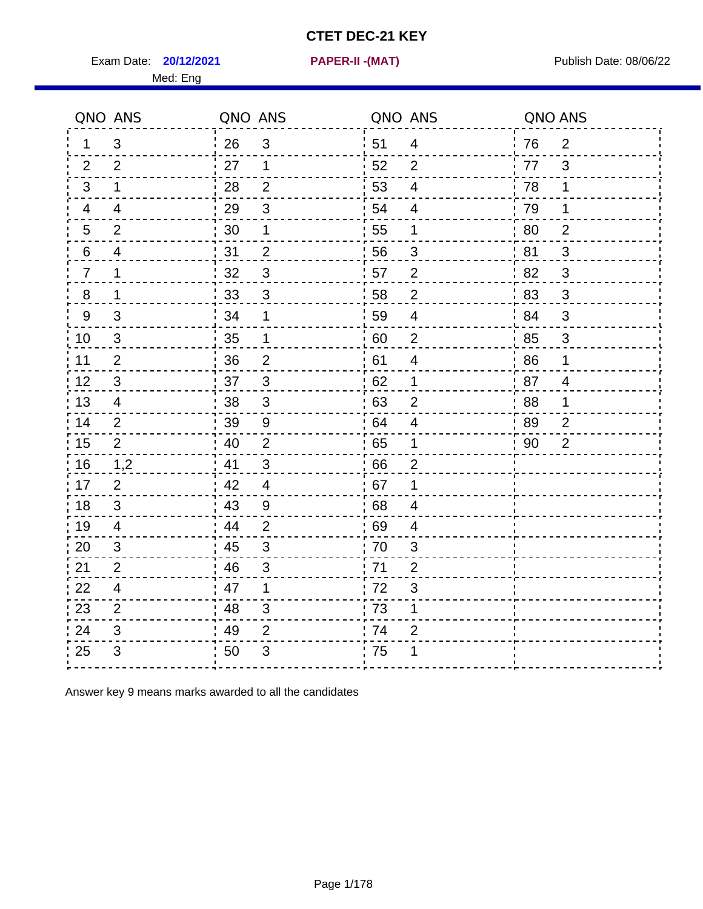Exam Date: **20/12/2021 PAPER-II -(MAT)** PUblish Date: 08/06/22

Med: Eng

**20/12/2021 PAPER-II -(MAT)**

|                | QNO ANS        | QNO ANS |                | QNO ANS          |                | QNO ANS |                |
|----------------|----------------|---------|----------------|------------------|----------------|---------|----------------|
| 1              | 3              | 26      | 3              | 51               | 4              | 76      | 2              |
| 2              | 2              | 27      | 1              | 52               | $\overline{2}$ | 77      | 3              |
| 3              | 1              | 28      | $\overline{2}$ | 53               | $\overline{4}$ | 78      | 1              |
| 4              | $\overline{4}$ | 29      | $\sqrt{3}$     | 54               | $\overline{4}$ | 79      | 1              |
| 5              | $\overline{2}$ | 30      | 1              | 55               | 1              | 80      | $\overline{2}$ |
| 6              | 4              | 31      | $\overline{2}$ | 56               | 3              | 81      | 3              |
| $\overline{7}$ | 1              | 32      | $\mathbf{3}$   | 57               | $\overline{2}$ | .82     | 3              |
| 8              | 1              | 33      | $\mathfrak{B}$ | 58               | $\overline{2}$ | 83      | 3              |
| 9              | 3              | 34      | 1              | 59               | $\overline{4}$ | :84     | 3              |
| 10             | 3              | 35      | 1              | 60               | $\overline{2}$ | 85      | $\mathfrak{S}$ |
| 11             | $\overline{2}$ | 36      | $\mathbf 2$    | 61               | $\overline{4}$ | 86      | 1              |
| 12             | $\sqrt{3}$     | 37      | $\mathsf 3$    | 62               | 1              | 87      | $\overline{4}$ |
| 13             | 4              | 38      | $\mathfrak{S}$ | 63               | $\overline{2}$ | 88      | 1              |
| 14             | $\overline{2}$ | 39      | 9              | .64              | 4              | 89      | $\overline{2}$ |
| 15             | $\overline{2}$ | 40      | $\mathbf 2$    | ' 65             | $\mathbf 1$    | 90      | $\overline{2}$ |
| 16             | 1,2            | 41      | $\mathbf{3}$   | 66               | $\overline{2}$ |         |                |
| 17             | $\overline{2}$ | 42      | $\overline{4}$ | .67              | 1              |         |                |
| 18             | 3              | 43      | 9              | 68               | 4              |         |                |
| 19             | $\overline{4}$ | 44      | $\overline{2}$ | 69               | 4              |         |                |
| 20             | 3              | 45      | $\sqrt{3}$     | $\frac{1}{2}$ 70 | 3              |         |                |
| 21             | 2              | 46      | 3              | 71               | $\overline{2}$ |         |                |
| 22             | 4              | 47      | 1              | 72               | 3              |         |                |
| 23             | $\overline{2}$ | 48      | $\mathfrak{S}$ | 73               | 1              |         |                |
| 24             | 3              | 49      | $\overline{2}$ | 74               | $\overline{2}$ |         |                |
| 25             | 3              | 50      | $\mathfrak{S}$ | .75              | 1              |         |                |

Answer key 9 means marks awarded to all the candidates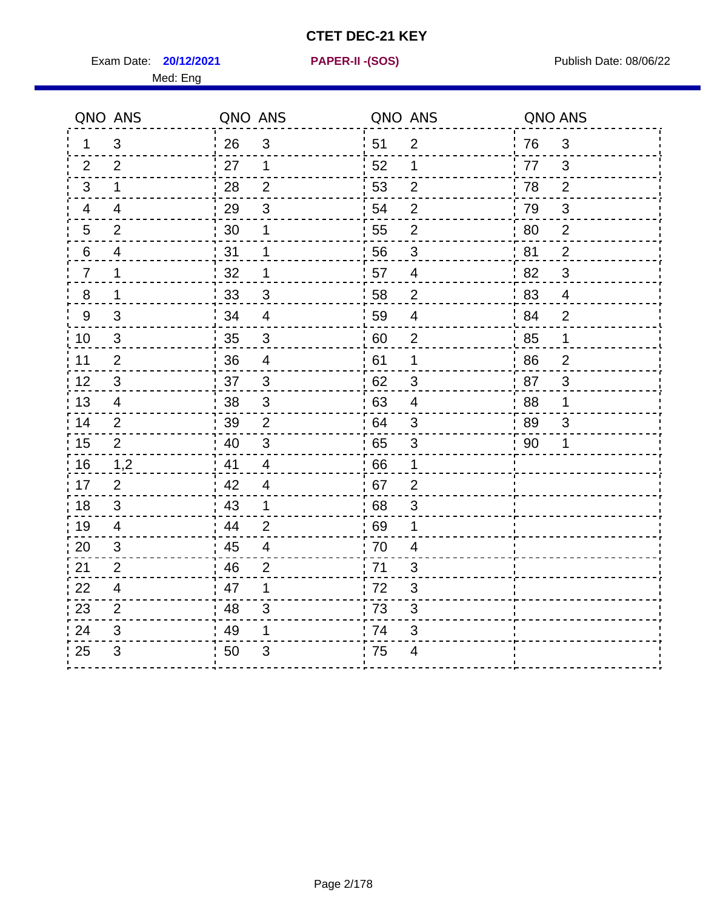Exam Date: **20/12/2021 PAPER-II - (SOS)** Publish Date: 08/06/22

**20/12/2021 PAPER-II -(SOS)**

| QNO ANS                 |                          | QNO ANS |                           | QNO ANS          |                           | QNO ANS          |                           |
|-------------------------|--------------------------|---------|---------------------------|------------------|---------------------------|------------------|---------------------------|
| $\mathbf 1$             | $\mathfrak{S}$           | 26      | $\mathfrak{B}$            | 51               | $\overline{2}$            | 76               | $\mathfrak{B}$            |
| $\overline{2}$          | $\overline{2}$           | 27      | 1                         | 52               | $\mathbf{1}$              | 77               | 3                         |
| 3                       | 1                        | 28      | $\overline{2}$            | 53               | $\overline{2}$            | 78               | $\overline{2}$            |
| $\overline{\mathbf{4}}$ | $\overline{\mathcal{A}}$ | 29      | $\sqrt{3}$                | 54               | $\overline{c}$            | 79               | $\mathfrak{S}$            |
| $\mathbf 5$             | $\overline{2}$           | 30      | 1                         | 55               | $\overline{2}$            | 80               | $\overline{c}$            |
| $\,6\,$                 | $\overline{\mathcal{A}}$ | 31      | $\mathbf 1$               | 56               | $\overline{3}$            | 81               | $\overline{2}$            |
| $\overline{7}$          | 1                        | 32      | $\mathbf 1$               | 57               | $\overline{4}$            | 82               | 3                         |
| 8                       | 1                        | 33      | 3                         | 58               | $\overline{2}$            | 83               | $\overline{4}$            |
| 9                       | 3                        | 34      | $\overline{4}$            | 59               | $\overline{\mathcal{A}}$  | 84               | $\overline{2}$            |
| 10                      | 3                        | 35      | 3                         | $\frac{1}{1}$ 60 | $\overline{2}$            | $\frac{1}{2}$ 85 | $\mathbf 1$               |
| 11                      | $\overline{2}$           | 36      | $\overline{4}$            | 61               | 1                         | 86               | $\overline{2}$            |
| 12                      | $\mathfrak{B}$           | 37      | $\sqrt{3}$                | 62               | $\mathfrak{S}$            | 87               | $\ensuremath{\mathsf{3}}$ |
| 13                      | $\overline{4}$           | 38      | $\ensuremath{\mathsf{3}}$ | 63               | $\overline{4}$            | 88               | 1                         |
| 14                      | $\overline{2}$           | 39      | $\overline{2}$            | .64              | $\ensuremath{\mathsf{3}}$ | 89               | 3                         |
| 15                      | 2                        | 40      | 3                         | .65              | $\sqrt{3}$                | 90               | 1                         |
| 16                      | 1,2                      | 41      | 4                         | 66               | $\mathbf 1$               |                  |                           |
| 17                      | $\overline{2}$           | 42      | $\overline{\mathcal{A}}$  | .67              | $\overline{2}$            |                  |                           |
| 18                      | $\sqrt{3}$               | 43      | $\mathbf 1$               | 68               | $\ensuremath{\mathsf{3}}$ |                  |                           |
| 19                      | $\overline{4}$           | 44      | $\overline{2}$            | : 69             | 1                         |                  |                           |
| 20                      | 3                        | 45      | 4                         | 70               | 4                         |                  |                           |
| 21                      | $\overline{2}$           | 46      | $\overline{c}$            | 71               | $\mathsf 3$               |                  |                           |
| 22                      | $\overline{4}$           | 47      | 1                         | 72               | $\sqrt{3}$                |                  |                           |
| 23                      | $\overline{2}$           | 48      | $\mathsf 3$               | 73               | $\ensuremath{\mathsf{3}}$ |                  |                           |
| 24                      | 3                        | 49      | 1                         | 74               | 3                         |                  |                           |
| 25                      | 3                        | 50      | $\mathfrak{S}$            | 75               | 4                         |                  |                           |
|                         |                          |         |                           |                  |                           |                  |                           |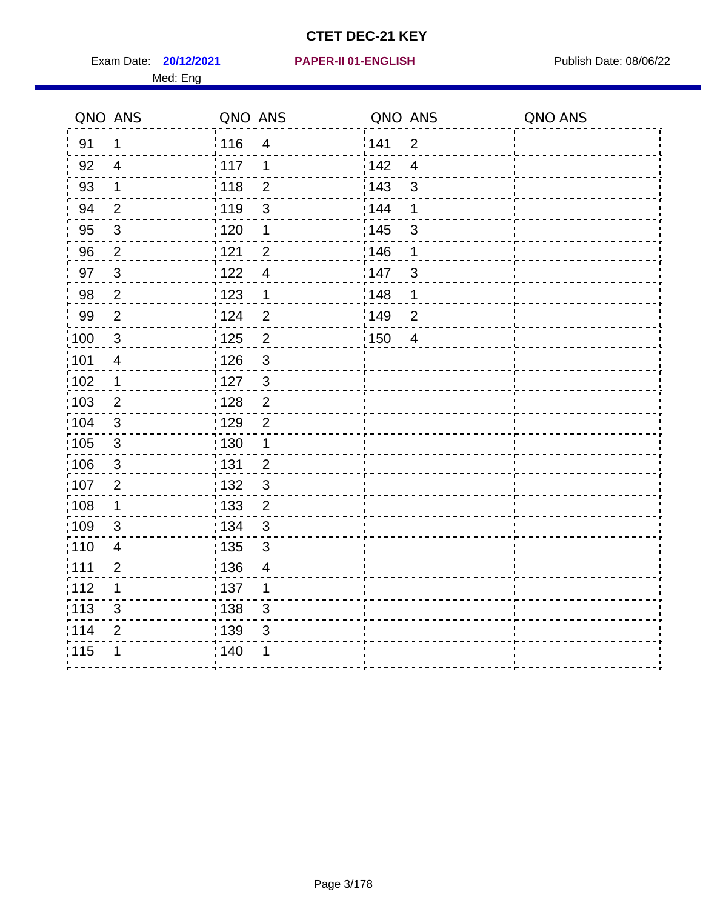Exam Date: **20/12/2021 PAPER-II 01-ENGLISH Propriet Algebra 20/06/22** Med: Eng

#### **20/12/2021 PAPER-II 01-ENGLISH**

|                   | QNO ANS                 | QNO ANS |                          | QNO ANS |                         | QNO ANS |
|-------------------|-------------------------|---------|--------------------------|---------|-------------------------|---------|
| 91                | $\mathbf 1$             | 116     | $\overline{4}$           | 141     | $\overline{2}$          |         |
| 92                | $\overline{4}$          | 117     | 1                        | 142     | $\overline{\mathbf{4}}$ |         |
| 93                | $\mathbf 1$             | 118     | $\mathbf{2}$             | 143     | $\mathsf 3$             |         |
| 94                | $\overline{2}$          | 119     | $\mathbf{3}$             | 144     | 1                       |         |
| 95                | $\mathbf{3}$            | : 120   | 1                        | : 145   | $\mathbf{3}$            |         |
| 96                | $\overline{2}$          | 121     | $\overline{2}$           | 146     | 1                       |         |
| 97                | 3                       | 1122    | $\overline{4}$           | 147     | $\mathbf{3}$            |         |
| 98                | $\overline{2}$          | 123     | $\mathbf 1$              | 148     | 1                       |         |
| 99                | $\overline{2}$          | 124     | $\overline{2}$           | 149     | $\overline{2}$          |         |
| 100               | $\sqrt{3}$              | 125     | $\overline{2}$           | 150     | $\overline{4}$          |         |
| 101               | $\overline{\mathbf{4}}$ | 126     | $\mathfrak{S}$           |         |                         |         |
| 102               | $\mathbf 1$             | : 127   | $\mathbf{3}$             |         |                         |         |
| 103               | $\overline{2}$          | : 128   | $\overline{2}$           |         |                         |         |
| $\frac{1}{1}$ 104 | $\mathbf{3}$            | : 129   | $\overline{2}$           |         |                         |         |
| $\frac{1}{1}$ 105 | $\mathbf{3}$            | : 130   | $\mathbf{1}$             |         |                         |         |
| 106               | $\mathbf{3}$            | : 131   | $\overline{2}$           |         |                         |         |
| 107               | $\overline{2}$          | : 132   | $\mathbf{3}$             |         |                         |         |
| $\frac{1}{1}$ 108 | $\mathbf{1}$            | : 133   | $\overline{2}$           |         |                         |         |
| :109              | $\sqrt{3}$              | : 134   | $\mathfrak{3}$           |         |                         |         |
| :110              | $\overline{4}$          | : 135   | $\mathbf{3}$             |         |                         |         |
| : 111             | $\overline{2}$          | : 136   | $\overline{\mathcal{A}}$ |         |                         |         |
| 112               | 1                       | : 137   | 1                        |         |                         |         |
| : 113             | $\mathfrak{S}$          | 138     | $\sqrt{3}$               |         |                         |         |
| 114               | $\overline{2}$          | : 139   | 3                        |         |                         |         |
| 115               | 1                       | : 140   | 1                        |         |                         |         |
|                   |                         |         |                          |         |                         |         |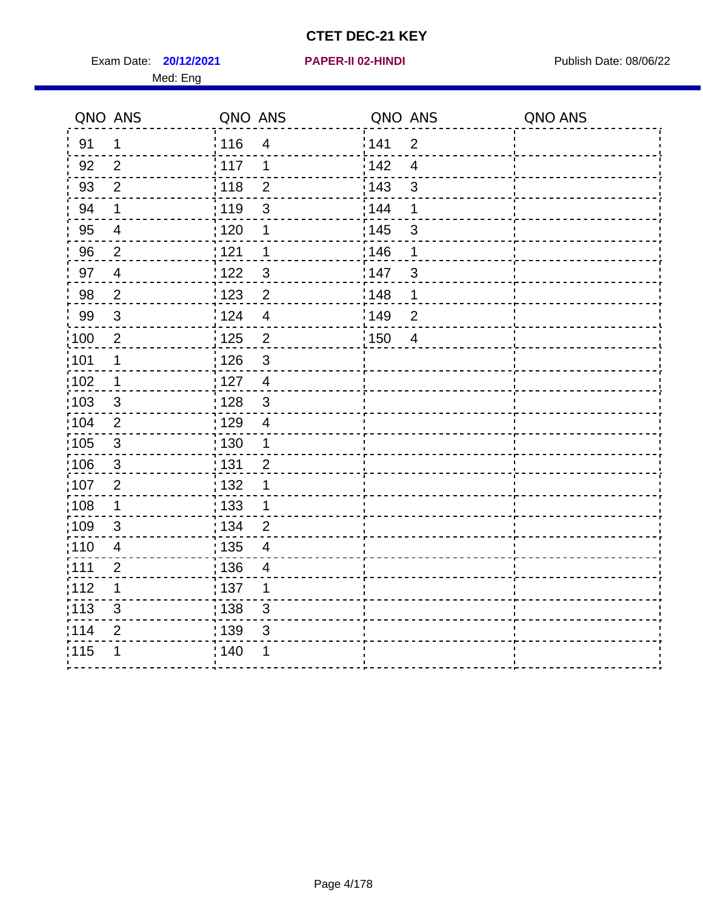Exam Date: **20/12/2021 PAPER-II 02-HINDI Exam Date: 08/06/22** Med: Eng

#### **20/12/2021 PAPER-II 02-HINDI**

|                   | QNO ANS                 | QNO ANS           |                | QNO ANS |                | QNO ANS |
|-------------------|-------------------------|-------------------|----------------|---------|----------------|---------|
| 91                | $\mathbf 1$             | : 116             | $\overline{4}$ | 141     | $\overline{2}$ |         |
| 92                | $\overline{2}$          | : 117             | 1              | 142     | $\overline{4}$ |         |
| 93                | $\overline{2}$          | 118               | $\overline{2}$ | 143     | $\mathbf{3}$   |         |
| 94                | $\mathbf 1$             | :119              | $\sqrt{3}$     | 144     | 1              |         |
| 95                | $\overline{\mathbf{4}}$ | : 120             | 1              | : 145   | $\sqrt{3}$     |         |
| 96                | 2                       | 121               | $\mathbf 1$    | 146     | 1              |         |
| 97                | $\overline{4}$          | 1122              | 3              | 147     | $\mathbf{3}$   |         |
| 98                | $\overline{2}$          | 123               | $\overline{c}$ | 148     | 1              |         |
| 99                | 3                       | 124               | $\overline{4}$ | 149     | $\overline{2}$ |         |
| $\frac{1}{100}$   | $\overline{2}$          | $\frac{1}{1}$ 125 | $\overline{c}$ | 150     | $\overline{4}$ |         |
| :101              | $\mathbf 1$             | : 126             | $\mathfrak{S}$ |         |                |         |
| $\frac{1}{1}$ 102 | $\mathbf{1}$            | : 127             | $\overline{4}$ |         |                |         |
| 103               | 3                       | : 128             | $\mathbf{3}$   |         |                |         |
| 104               | 2                       | :129              | $\overline{4}$ |         |                |         |
| $\frac{1}{1}$ 105 | $\sqrt{3}$              | : 130             | $\mathbf{1}$   |         |                |         |
| 106               | $\mathbf{3}$            | : 131             | $\overline{2}$ |         |                |         |
| 107               | $\overline{2}$          | : 132             | 1              |         |                |         |
| :108              | $\mathbf 1$             | : 133             | 1              |         |                |         |
| :109              | $\mathfrak{B}$          | : 134             | $\overline{2}$ |         |                |         |
| :110              | $\overline{4}$          | : 135             | $\overline{4}$ |         |                |         |
| :111              | $\overline{2}$          | : 136             | $\overline{4}$ |         |                |         |
| 112               | 1                       | :137              | 1              |         |                |         |
| $\frac{1}{1}$ 113 | 3                       | 138               | $\sqrt{3}$     |         |                |         |
| 114               | $\mathbf{2}$            | : 139             | $\mathfrak{S}$ |         |                |         |
| 115               | 1                       | : 140             | 1              |         |                |         |
|                   |                         |                   |                |         |                |         |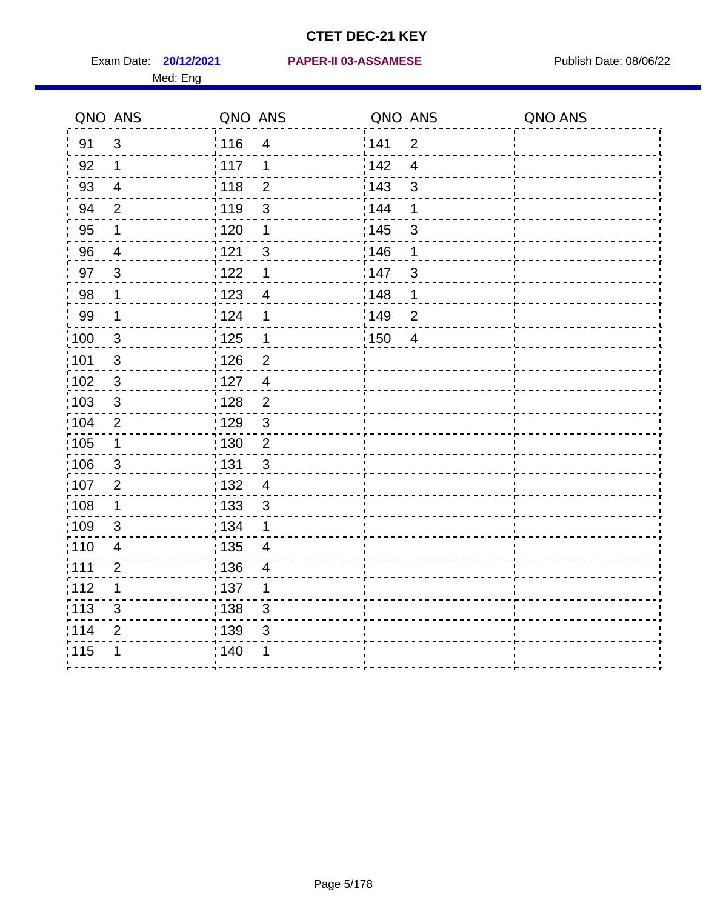|                   | QNO ANS        | QNO ANS           |                          | QNO ANS           |                         | QNO ANS |
|-------------------|----------------|-------------------|--------------------------|-------------------|-------------------------|---------|
| 91                | $\mathbf{3}$   | : 116             | $\overline{4}$           | 141               | $\overline{2}$          |         |
| 92                | $\mathbf 1$    | 117               | 1                        | 142               | $\overline{\mathbf{4}}$ |         |
| 93                | $\overline{4}$ | 118               | $\mathbf{2}$             | 143               | $\mathfrak{S}$          |         |
| 94                | $\overline{2}$ | : 119             | $\mathfrak{S}$           | : 144             | 1                       |         |
| 95                | 1              | : 120             | 1                        | : 145             | $\mathfrak{S}$          |         |
| 96                | 4              | 121               | 3                        | :146              | 1                       |         |
| 97                | $\mathbf{3}$   | 122               | 1                        | 147               | $\sqrt{3}$              |         |
| 98                | $\mathbf 1$    | $\frac{1}{2}$ 123 | $\overline{4}$           | 148               | 1                       |         |
| 99                | $\mathbf 1$    | 124               | 1                        | :149              | $\mathbf 2$             |         |
| 100               | $\mathbf{3}$   | $\frac{1}{1}$ 125 | $\mathbf 1$              | $\frac{1}{1}$ 150 | $\overline{4}$          |         |
| :101              | $\sqrt{3}$     | 126               | $\overline{2}$           |                   |                         |         |
| 102               | 3              | : 127             | $\overline{4}$           |                   |                         |         |
| 103               | $\mathbf{3}$   | : 128             | $\overline{2}$           |                   |                         |         |
| 104               | $\overline{2}$ | : 129             | $\mathbf{3}$             |                   |                         |         |
| 105               | $\mathbf 1$    | 130               | $\mathbf 2$              |                   |                         |         |
| 106               | $\mathbf{3}$   | : 131             | 3                        |                   |                         |         |
| :107              | $\overline{2}$ | : 132             | $\overline{4}$           |                   |                         |         |
| :108              | $\mathbf 1$    | : 133             | $\sqrt{3}$               |                   |                         |         |
| :109              | $\mathfrak{S}$ | : 134             | $\mathbf 1$              |                   |                         |         |
| :110              | $\overline{4}$ | : 135             | $\overline{\mathcal{A}}$ |                   |                         |         |
| 111               | $\overline{2}$ | : 136             | $\overline{\mathcal{A}}$ |                   |                         |         |
| 112               | 1              | : 137             | 1                        |                   |                         |         |
| $\frac{1}{1}$ 113 | 3              | : 138             | 3                        |                   |                         |         |
| 114               | 2              | 139               | 3                        |                   |                         |         |
| 115               | 1              | : 140             | 1                        |                   |                         |         |
|                   |                |                   |                          |                   |                         |         |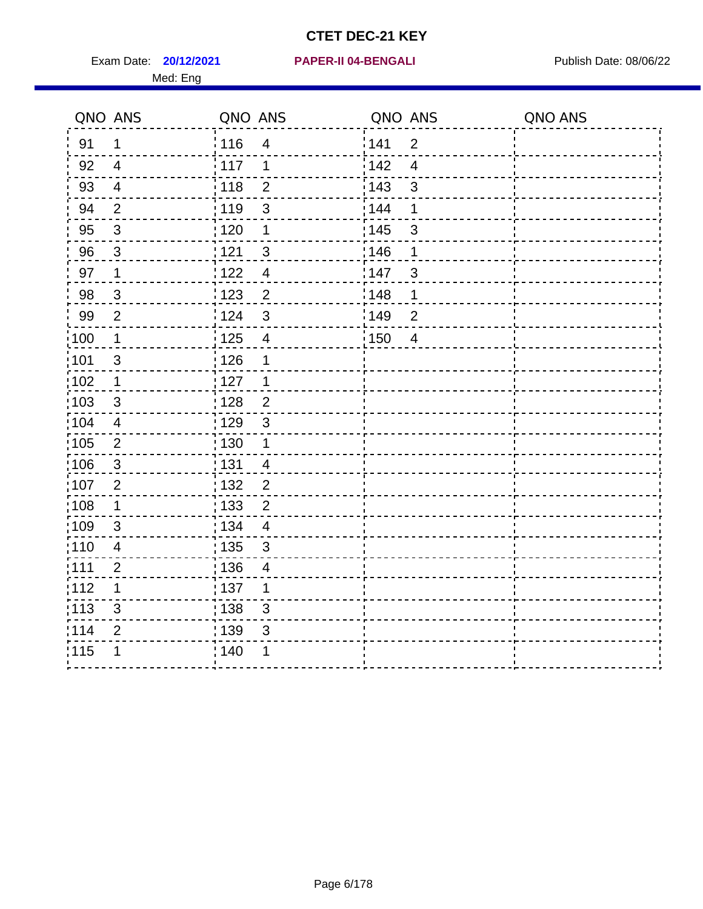Exam Date: **20/12/2021 PAPER-II 04-BENGALI PROPER PUBLISH Date: 08/06/22** Med: Eng

#### **20/12/2021 PAPER-II 04-BENGALI**

|                   | QNO ANS                  | QNO ANS           |                           | QNO ANS           |                | QNO ANS |
|-------------------|--------------------------|-------------------|---------------------------|-------------------|----------------|---------|
| 91                | $\mathbf 1$              | : 116             | $\overline{\mathcal{A}}$  | 141               | $\overline{2}$ |         |
| 92                | $\overline{4}$           | : 117             | $\mathbf 1$               | 142               | $\overline{4}$ |         |
| 93                | $\overline{\mathcal{A}}$ | 118               | $\overline{2}$            | 143               | $\mathsf 3$    |         |
| 94                | $\overline{2}$           | : 119             | $\mathfrak{S}$            | 144               | 1              |         |
| 95                | $\sqrt{3}$               | : 120             | $\mathbf 1$               | : 145             | $\mathsf 3$    |         |
| 96                | $\mathfrak{S}$           | 121               | $\mathfrak{S}$            | 146               | 1              |         |
| 97                | $\mathbf 1$              | 122               | $\overline{\mathbf{4}}$   | 147               | $\mathsf 3$    |         |
| 98                | $\mathbf{3}$             | 123               | $\overline{2}$            | 148               | 1              |         |
| 99                | $\overline{2}$           | 124               | $\mathfrak{S}$            | 149               | $\overline{2}$ |         |
| 100               | $\mathbf 1$              | $\frac{1}{1}$ 125 | $\overline{\mathbf{4}}$   | $\frac{1}{1}$ 150 | $\overline{4}$ |         |
| 101               | $\sqrt{3}$               | 126               | 1                         |                   |                |         |
| 102               | $\mathbf 1$              | : 127             | $\mathbf 1$               |                   |                |         |
| 103               | 3                        | : 128             | $\overline{2}$            |                   |                |         |
| $\frac{1}{1}$ 104 | $\overline{4}$           | : 129             | $\mathbf{3}$              |                   |                |         |
| $\frac{1}{1}$ 105 | $\mathbf{2}$             | : 130             | $\mathbf 1$               |                   |                |         |
| 106               | 3                        | : 131             | $\overline{4}$            |                   |                |         |
| :107              | $\overline{2}$           | : 132             | $\overline{2}$            |                   |                |         |
| 108               | $\mathbf 1$              | : 133             | $\overline{2}$            |                   |                |         |
| :109              | $\sqrt{3}$               | : 134             | $\overline{\mathbf{4}}$   |                   |                |         |
| : 110             | $\overline{4}$           | : 135             | $\mathbf{3}$              |                   |                |         |
| : 111             | $\overline{2}$           | : 136             | 4                         |                   |                |         |
| 112               | 1                        | : 137             | 1                         |                   |                |         |
| : 113             | $\mathfrak{S}$           | : 138             | $\ensuremath{\mathsf{3}}$ |                   |                |         |
| 114               | $\overline{2}$           | 139               | 3                         |                   |                |         |
| 115               | 1                        | : 140             | 1                         |                   |                |         |
|                   |                          |                   |                           |                   |                |         |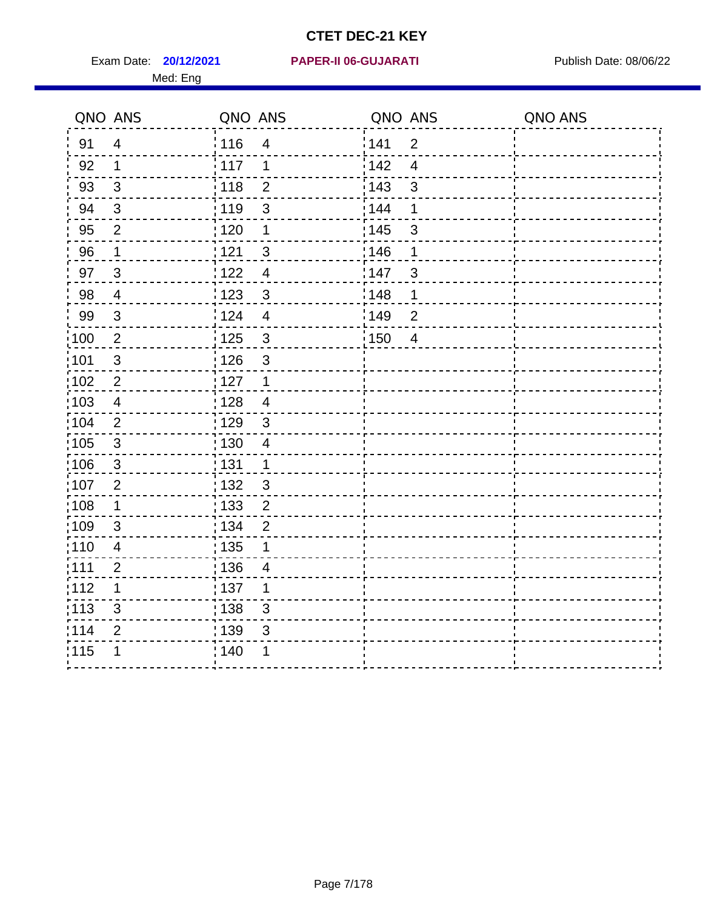Med: Eng

#### **20/12/2021 PAPER-II 06-GUJARATI** Exam Date: Publish Date: 08/06/22

|                   | QNO ANS        | QNO ANS           |                           | QNO ANS           |                | QNO ANS |
|-------------------|----------------|-------------------|---------------------------|-------------------|----------------|---------|
| 91                | $\overline{4}$ | 116               | $\overline{\mathcal{A}}$  | 141               | $\overline{2}$ |         |
| 92                | $\mathbf 1$    | : 117             | $\mathbf 1$               | 142               | $\overline{4}$ |         |
| 93                | $\mathfrak{S}$ | 118               | $\overline{2}$            | 143               | $\mathfrak{S}$ |         |
| 94                | 3              | : 119             | $\mathfrak{S}$            | 144               | 1              |         |
| 95                | $\overline{2}$ | : 120             | $\mathbf 1$               | : 145             | $\sqrt{3}$     |         |
| 96                | $\mathbf 1$    | 121               | $\mathfrak{B}$            | 146               | 1              |         |
| 97                | $\mathbf{3}$   | 122               | $\overline{\mathbf{4}}$   | 147               | $\sqrt{3}$     |         |
| 98                | $\overline{4}$ | 1123              | $\sqrt{3}$                | 148               | 1              |         |
| 99                | $\sqrt{3}$     | 124               | $\overline{\mathbf{4}}$   | 149               | $\overline{2}$ |         |
| 100               | $\sqrt{2}$     | $\frac{1}{1}$ 125 | $\mathbf{3}$              | $\frac{1}{1}$ 150 | $\overline{4}$ |         |
| 101               | $\sqrt{3}$     | 126               | $\mathfrak{S}$            |                   |                |         |
| 102               | $\overline{2}$ | : 127             | $\overline{1}$            |                   |                |         |
| 103               | 4              | : 128             | $\overline{4}$            |                   |                |         |
| $\frac{1}{1}$ 104 | 2              | : 129             | $\mathbf{3}$              |                   |                |         |
| $\frac{1}{1}$ 105 | $\sqrt{3}$     | : 130             | $\overline{4}$            |                   |                |         |
| 106               | $\mathbf{3}$   | : 131             | $\mathbf{1}$              |                   |                |         |
| :107              | $\overline{2}$ | : 132             | $\mathbf{3}$              |                   |                |         |
| 108               | $\mathbf 1$    | 133               | $\overline{2}$            |                   |                |         |
| :109              | $\sqrt{3}$     | : 134             | $\overline{2}$            |                   |                |         |
| : 110             | $\overline{4}$ | : 135             | 1                         |                   |                |         |
| : 111             | $\overline{2}$ | : 136             | 4                         |                   |                |         |
| 112               | 1              | : 137             | 1                         |                   |                |         |
| : 113             | $\mathfrak{S}$ | : 138             | $\ensuremath{\mathsf{3}}$ |                   |                |         |
| 114               | $\overline{2}$ | 139               | 3                         |                   |                |         |
| 115               | 1              | : 140             | 1                         |                   |                |         |
|                   |                |                   |                           |                   |                |         |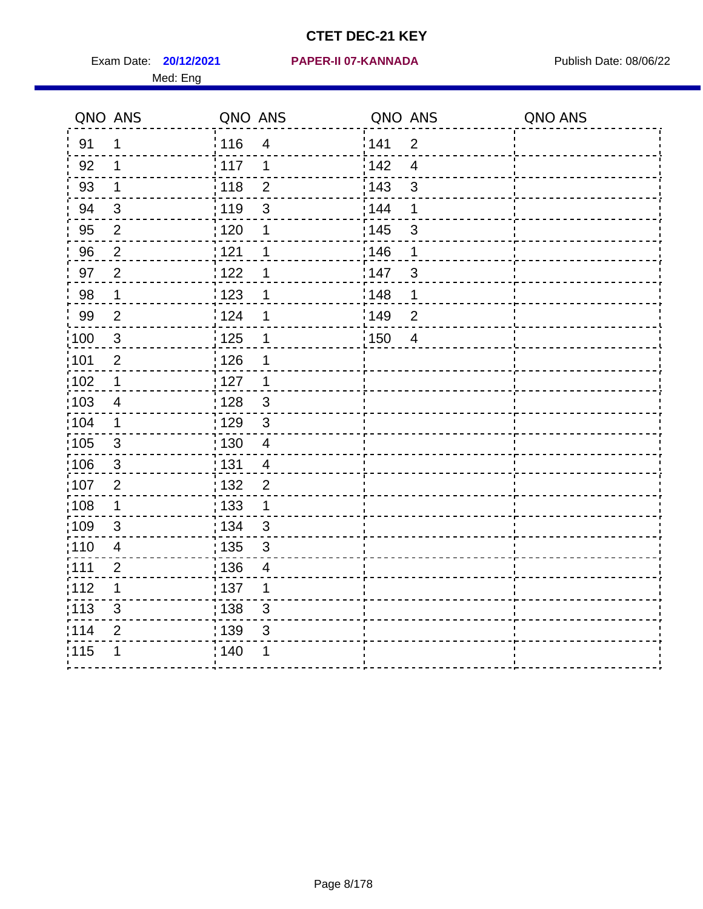|                   | QNO ANS        | QNO ANS           |                          | QNO ANS |                | QNO ANS |
|-------------------|----------------|-------------------|--------------------------|---------|----------------|---------|
| 91                | $\mathbf 1$    | 116               | $\overline{\mathbf{4}}$  | 1141    | $\overline{2}$ |         |
| 92                | 1              | $\frac{1}{2}$ 117 | 1                        | 142     | $\overline{4}$ |         |
| 93                | $\mathbf 1$    | 118               | $\overline{2}$           | 143     | $\mathsf 3$    |         |
| 94                | 3              | 119               | 3                        | 144     | 1              |         |
| 95                | 2              | : 120             | 1                        | : 145   | 3              |         |
| 96                | $\overline{2}$ | 121               | 1                        | 146     | 1              |         |
| 97                | $\overline{2}$ | 1122              | 1                        | 147     | 3              |         |
| 98                | $\mathbf 1$    | 123               | 1                        | 148     | $\mathbf 1$    |         |
| 99                | $\mathbf{2}$   | 124               | 1                        | 149     | $\mathbf 2$    |         |
| $\frac{1}{1}$ 100 | $\mathbf{3}$   | $\frac{1}{1}$ 125 | 1                        | 150     | $\overline{4}$ |         |
| :101              | $\overline{2}$ | : 126             | 1                        |         |                |         |
| 102               | $\mathbf 1$    | : 127             | 1                        |         |                |         |
| 103               | $\overline{4}$ | : 128             | $\mathbf{3}$             |         |                |         |
| :104              | $\mathbf 1$    | 129               | $\mathbf{3}$             |         |                |         |
| 105               | $\mathsf 3$    | 130               | $\overline{\mathbf{4}}$  |         |                |         |
| 106               | 3              | : 131             | $\overline{4}$           |         |                |         |
| :107              | $\overline{2}$ | : 132             | $\overline{2}$           |         |                |         |
| $\frac{1}{1}$ 108 | $\mathbf{1}$   | : 133             | $\mathbf 1$              |         |                |         |
| :109              | $\sqrt{3}$     | : 134             | $\mathbf{3}$             |         |                |         |
| :110              | $\overline{4}$ | 135               | 3                        |         |                |         |
| : 111             | $\overline{2}$ | 136               | $\overline{\mathcal{A}}$ |         |                |         |
| 112               | 1              | : 137             | 1                        |         |                |         |
| : 113             | 3              | : 138             | 3                        |         |                |         |
| 114               | $\overline{2}$ | : 139             | 3                        |         |                |         |
| 115               | 1              | 140               | 1                        |         |                |         |
|                   |                |                   |                          |         |                |         |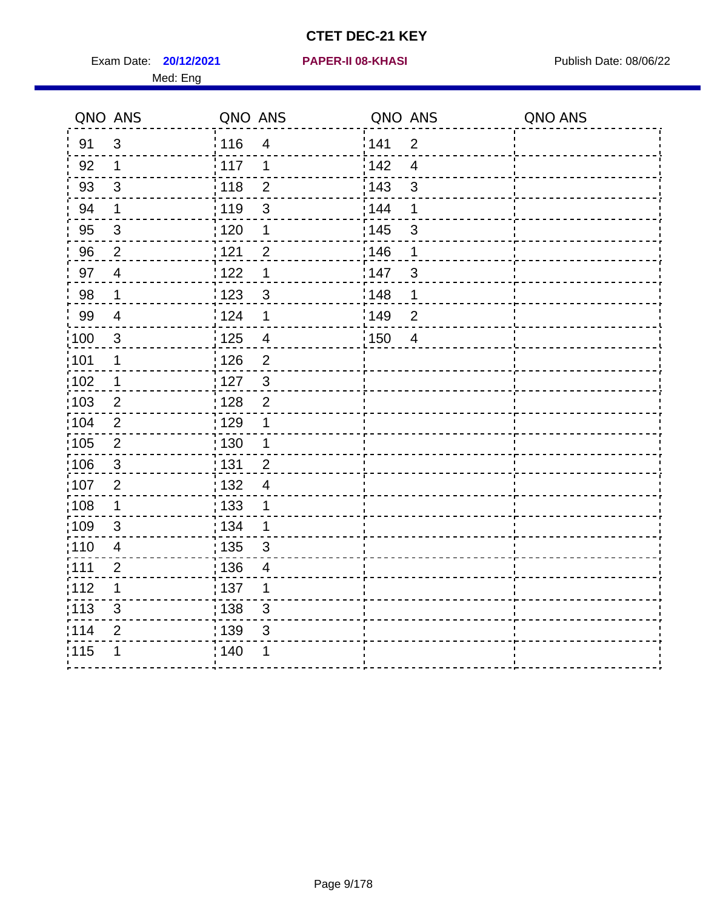Exam Date: **20/12/2021 PAPER-II 08-KHASI PREXALL RESPONSE PUblish Date: 08/06/22** Med: Eng

#### **20/12/2021 PAPER-II 08-KHASI**

|                   | QNO ANS                  | QNO ANS |                          | QNO ANS           |                | QNO ANS |
|-------------------|--------------------------|---------|--------------------------|-------------------|----------------|---------|
| 91                | $\mathfrak{B}$           | 116     | $\overline{\mathcal{A}}$ | 141               | $\overline{2}$ |         |
| 92                | $\mathbf 1$              | 117     | 1                        | 142               | $\overline{4}$ |         |
| 93                | $\mathfrak{S}$           | 118     | $\overline{2}$           | 143               | $\mathsf 3$    |         |
| 94                | $\mathbf 1$              | : 119   | 3                        | 144               | 1              |         |
| 95                | $\sqrt{3}$               | : 120   | 1                        | : 145             | $\sqrt{3}$     |         |
| 96                | $\overline{2}$           | 121     | $\overline{2}$           | 146               | 1              |         |
| 97                | $\overline{4}$           | 122     | 1                        | 147               | $\sqrt{3}$     |         |
| 98                | $\mathbf 1$              | 123     | $\mathbf{3}$             | 148               | 1              |         |
| 99                | $\overline{\mathcal{A}}$ | 124     | 1                        | 149               | $\overline{2}$ |         |
| 100               | $\mathbf{3}$             | 125     | $\overline{4}$           | $\frac{1}{1}$ 150 | $\overline{4}$ |         |
| 101               | $\mathbf 1$              | 126     | $\overline{2}$           |                   |                |         |
| 102               | $\mathbf{1}$             | 127     | $\mathbf{3}$             |                   |                |         |
| 103               | 2                        | : 128   | $\overline{2}$           |                   |                |         |
| 104               | $\overline{2}$           | : 129   | 1                        |                   |                |         |
| $\frac{1}{1}$ 105 | $\overline{2}$           | : 130   | $\mathbf 1$              |                   |                |         |
| 106               | $\mathbf{3}$             | : 131   | $\overline{2}$           |                   |                |         |
| :107              | $\overline{2}$           | : 132   | $\overline{4}$           |                   |                |         |
| 108               | $\mathbf 1$              | : 133   | 1                        |                   |                |         |
| :109              | $\sqrt{3}$               | : 134   | $\mathbf 1$              |                   |                |         |
| : 110             | $\overline{4}$           | : 135   | 3                        |                   |                |         |
| : 111             | $\overline{2}$           | : 136   | 4                        |                   |                |         |
| 112               | 1                        | : 137   | 1                        |                   |                |         |
| : 113             | $\mathfrak{S}$           | 138     | $\mathsf 3$              |                   |                |         |
| 114               | $\overline{2}$           | : 139   | 3                        |                   |                |         |
| 115               | 1                        | : 140   | 1                        |                   |                |         |
|                   |                          |         |                          |                   |                |         |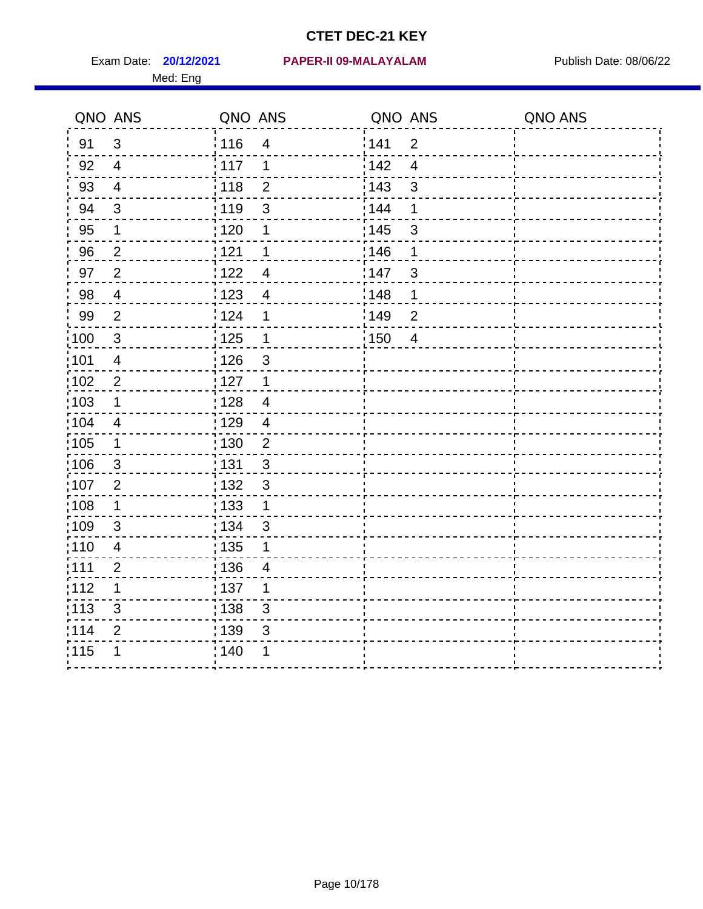|                   | QNO ANS                 | QNO ANS           |                           | QNO ANS |                | QNO ANS |
|-------------------|-------------------------|-------------------|---------------------------|---------|----------------|---------|
| 91                | 3                       | : 116             | $\overline{4}$            | 141     | $\overline{2}$ |         |
| 92                | $\overline{4}$          | 117               | 1                         | 142     | $\overline{4}$ |         |
| 93                | $\overline{4}$          | 118               | $\overline{2}$            | 143     | $\mathfrak{S}$ |         |
| 94                | 3                       | : 119             | $\mathfrak{S}$            | : 144   | 1              |         |
| 95                | 1                       | : 120             | 1                         | : 145   | 3              |         |
| 96                | $\overline{2}$          | 121               | 1                         | 146     | 1              |         |
| 97                | $\overline{2}$          | 122               | $\overline{4}$            | 147     | $\sqrt{3}$     |         |
| 98                | $\overline{4}$          | 1123              | $\overline{4}$            | 148     | 1              |         |
| 99                | $\mathbf{2}$            | 124               | 1                         | :149    | $\mathbf 2$    |         |
| $\frac{1}{1}$ 100 | $\mathbf{3}$            | 125               | $\mathbf 1$               | 150     | $\overline{4}$ |         |
| :101              | $\overline{\mathbf{4}}$ | : 126             | $\mathsf 3$               |         |                |         |
| 102               | $\overline{2}$          | : 127             | $\mathbf 1$               |         |                |         |
| 103               | 1                       | : 128             | $\overline{4}$            |         |                |         |
| $\frac{1}{104}$   | $\overline{\mathbf{4}}$ | : 129             | $\overline{4}$            |         |                |         |
| 105               | $\mathbf 1$             | $\frac{1}{1}$ 130 | $\overline{2}$            |         |                |         |
| 106               | $\mathbf{3}$            | : 131             | 3                         |         |                |         |
| 107               | $\overline{2}$          | : 132             | $\mathbf{3}$              |         |                |         |
| $\frac{1}{1}$ 108 | $\mathbf 1$             | 133               | $\mathbf 1$               |         |                |         |
| 109               | $\sqrt{3}$              | : 134             | $\mathbf{3}$              |         |                |         |
| :110              | $\overline{4}$          | : 135             | 1                         |         |                |         |
| : 111             | $\overline{2}$          | : 136             | $\overline{4}$            |         |                |         |
| 112               | 1                       | : 137             | 1                         |         |                |         |
| : 113             | $\sqrt{3}$              | : 138             | $\ensuremath{\mathsf{3}}$ |         |                |         |
| 114               | 2                       | : 139             | 3                         |         |                |         |
| 115               | 1                       | 140               | 1                         |         |                |         |
|                   |                         |                   |                           |         |                |         |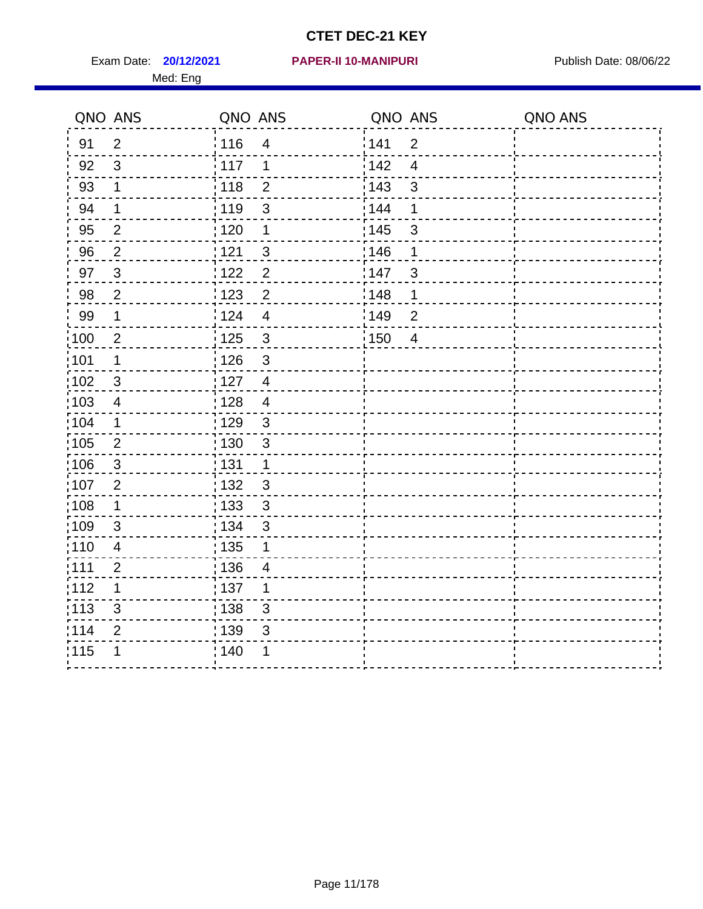Med: Eng

#### **20/12/2021 PAPER-II 10-MANIPURI** Exam Date: Publish Date: 08/06/22

| QNO ANS           |                           | QNO ANS         |                         | QNO ANS           |                | QNO ANS |
|-------------------|---------------------------|-----------------|-------------------------|-------------------|----------------|---------|
| 91                | $\overline{2}$            | : 116           | $\overline{\mathbf{4}}$ | 141               | $\overline{2}$ |         |
| 92                | 3                         | $\frac{1}{117}$ | 1                       | 142               | $\overline{4}$ |         |
| 93                | $\mathbf 1$               | 118             | $\overline{2}$          | 143               | 3              |         |
| 94                | $\mathbf 1$               | : 119           | 3                       | 144               | 1              |         |
| 95                | $\overline{2}$            | : 120           | $\mathbf 1$             | : 145             | $\mathfrak{S}$ |         |
| 96                | $\overline{2}$            | 121             | $\mathbf{3}$            | 146               | 1              |         |
| 97                | $\mathbf{3}$              | 122             | $\overline{2}$          | 147               | 3              |         |
| 98                | $\overline{2}$            | 1123            | $\overline{2}$          | $\frac{1}{2}$ 148 | $\mathbf 1$    |         |
| 99                | $\mathbf 1$               | 124             | $\overline{4}$          | 149               | $\overline{2}$ |         |
| $\frac{1}{1}$ 100 | $\overline{2}$            | $125$           | $\mathbf{3}$            | $\frac{1}{1}$ 150 | $\overline{4}$ |         |
| :101              | $\mathbf 1$               | 126             | 3                       |                   |                |         |
| :102              | $\sqrt{3}$                | : 127           | $\overline{4}$          |                   |                |         |
| 103               | $\overline{4}$            | : 128           | $\overline{4}$          |                   |                |         |
| 104               | $\mathbf 1$               | : 129           | 3                       |                   |                |         |
| $\frac{1}{1}$ 105 | $\mathbf{2}$              | 130             | $\mathfrak{S}$          |                   |                |         |
| 106               | $\mathbf{3}$              | : 131           | $\mathbf{1}$            |                   |                |         |
| 107               | 2                         | : 132           | $\mathbf{3}$            |                   |                |         |
| 108               | $\mathbf 1$               | : 133           | $\mathbf{3}$            |                   |                |         |
| $\frac{1}{1}$ 109 | $\sqrt{3}$                | : 134           | $\sqrt{3}$              |                   |                |         |
| :110              | $\overline{\mathbf{4}}$   | : 135           | 1                       |                   |                |         |
| : 111             | $\overline{2}$            | : 136           | 4                       |                   |                |         |
| 112               | $\mathbf 1$               | :137            | 1                       |                   |                |         |
| : 113             | $\ensuremath{\mathsf{3}}$ | 138             | $\mathfrak{S}$          |                   |                |         |
| 114               | $\overline{2}$            | 139             | $\mathfrak{S}$          |                   |                |         |
| 115               | 1                         | 140             | 1                       |                   |                |         |
|                   |                           |                 |                         |                   |                |         |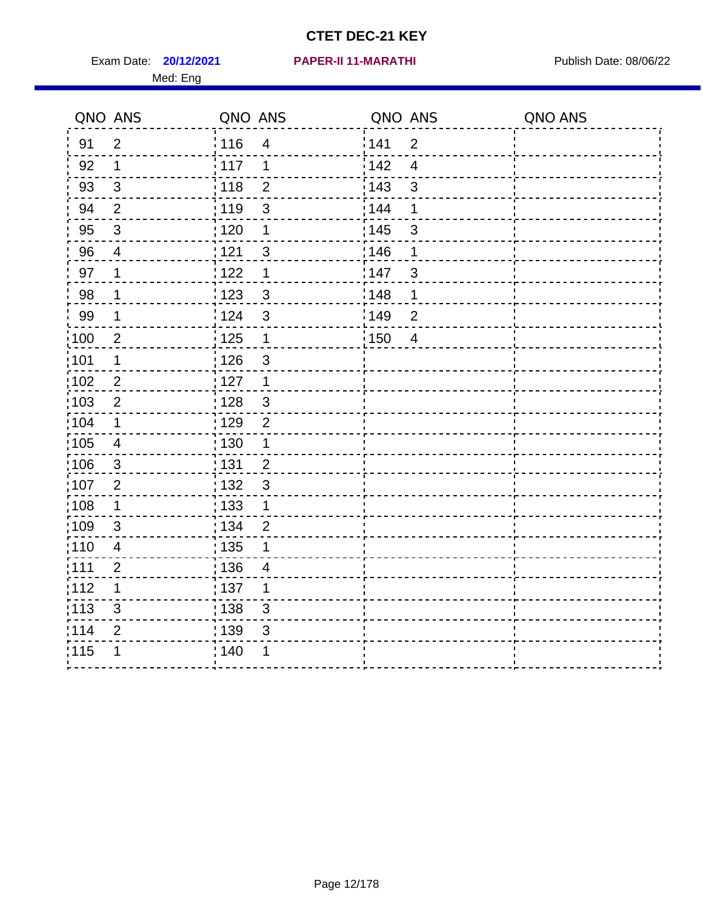Exam Date: **20/12/2021 PAPER-II 11-MARATHI Exam Date: 08/06/22** Med: Eng

#### **20/12/2021 PAPER-II 11-MARATHI**

|       | QNO ANS                  | QNO ANS           |                | QNO ANS |                | QNO ANS |
|-------|--------------------------|-------------------|----------------|---------|----------------|---------|
| 91    | $\overline{2}$           | : 116             | $\overline{4}$ | 141     | $\overline{2}$ |         |
| 92    | $\mathbf{1}$             | 117               | 1              | 142     | $\overline{4}$ |         |
| 93    | $\sqrt{3}$               | 118               | $\overline{2}$ | 143     | $\mathfrak{S}$ |         |
| 94    | $\overline{2}$           | 119               | 3              | 144     | 1              |         |
| 95    | $\sqrt{3}$               | : 120             | 1              | : 145   | $\mathsf 3$    |         |
| 96    | $\overline{\mathcal{A}}$ | 1121              | 3              | 146     | 1              |         |
| 97    | $\mathbf 1$              | 122               | 1              | 147     | $\mathfrak{S}$ |         |
| 98    | $\mathbf 1$              | $\frac{1}{2}$ 123 | $\mathbf{3}$   | 148     | 1              |         |
| 99    | $\mathbf 1$              | 124               | 3              | 149     | $\overline{2}$ |         |
| 100   | $\overline{2}$           | $\frac{1}{1}$ 125 | $\mathbf 1$    | 150     | $\overline{4}$ |         |
| 101   | $\mathbf 1$              | 126               | 3              |         |                |         |
| 102   | $\overline{2}$           | : 127             | $\overline{1}$ |         |                |         |
| 103   | $\overline{2}$           | : 128             | $\mathbf{3}$   |         |                |         |
| 104   | $\mathbf 1$              | : 129             | $\overline{2}$ |         |                |         |
| 105   | $\overline{4}$           | $\frac{1}{1}$ 130 | $\mathbf{1}$   |         |                |         |
| 106   | $\mathbf{3}$             | : 131             | $\overline{2}$ |         |                |         |
| 107   | $\overline{2}$           | : 132             | $\mathbf{3}$   |         |                |         |
| 108   | $\mathbf 1$              | : 133             | $\mathbf{1}$   |         |                |         |
| :109  | $\mathfrak{S}$           | : 134             | $\overline{2}$ |         |                |         |
| : 110 | $\overline{4}$           | : 135             | 1              |         |                |         |
| : 111 | $\overline{2}$           | 136               | 4              |         |                |         |
| 112   | 1                        | : 137             | 1              |         |                |         |
| : 113 | 3                        | $\frac{1}{1}$ 138 | 3              |         |                |         |
| 114   | $\overline{2}$           | 139               | 3              |         |                |         |
| 115   | 1                        | 140               | 1              |         |                |         |
|       |                          |                   |                |         |                |         |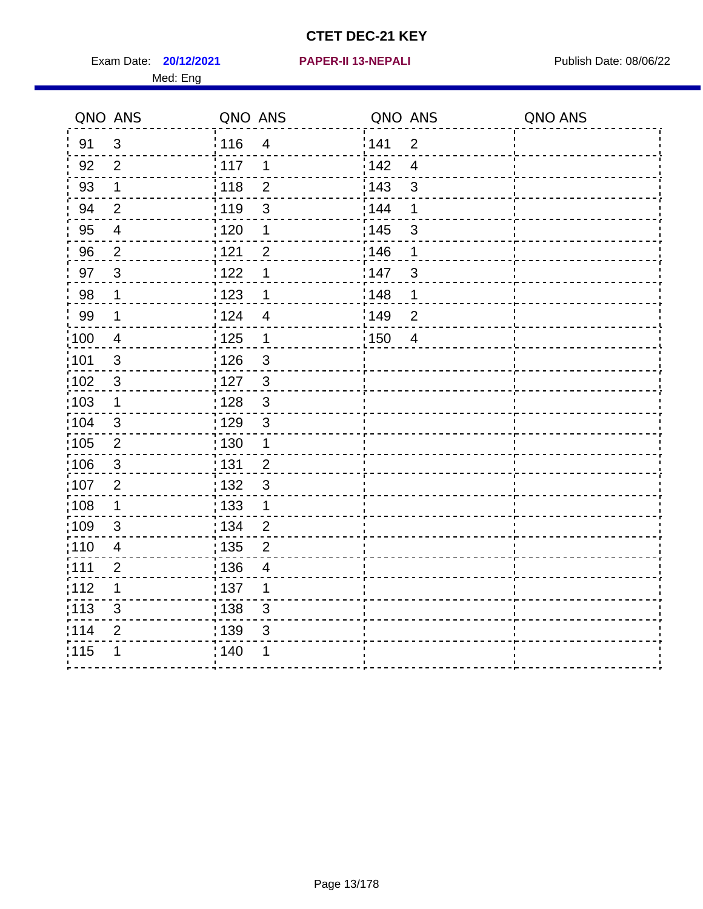Exam Date: **20/12/2021 PAPER-II 13-NEPALI Exam Date: 08/06/22** Med: Eng

#### **20/12/2021 PAPER-II 13-NEPALI**

|                   | QNO ANS                 | QNO ANS                 | QNO ANS                            | QNO ANS |
|-------------------|-------------------------|-------------------------|------------------------------------|---------|
| 91                | $\mathfrak{S}$          | : 116<br>$\overline{4}$ | 141<br>$\overline{2}$              |         |
| 92                | $\overline{2}$          | $\frac{1}{117}$<br>1    | 142<br>$\overline{4}$              |         |
| 93                | $\mathbf 1$             | 118<br>$\overline{2}$   | 143<br>$\mathbf{3}$                |         |
| 94                | $\overline{2}$          | : 119<br>$\sqrt{3}$     | 144<br>1                           |         |
| 95                | $\overline{\mathbf{4}}$ | : 120<br>$\mathbf 1$    | : 145<br>$\ensuremath{\mathsf{3}}$ |         |
| 96                | $\overline{2}$          | 121<br>$\overline{2}$   | 146<br>1                           |         |
| 97                | $\mathbf{3}$            | 1122<br>1               | 147<br>$\mathfrak{S}$              |         |
| 98                | $\mathbf 1$             | 123<br>1                | 148<br>1                           |         |
| 99                | 1                       | : 124<br>$\overline{4}$ | 149<br>$\overline{2}$              |         |
| $\frac{1}{2}100$  | $\overline{4}$          | 125<br>$\mathbf 1$      | 150<br>$\overline{\mathbf{4}}$     |         |
| 101               | $\mathfrak{S}$          | 126<br>$\mathbf{3}$     |                                    |         |
| 102               | $\mathfrak{3}$          | $\mathfrak{3}$<br>: 127 |                                    |         |
| 103               | 1                       | : 128<br>3              |                                    |         |
| 104               | 3                       | : 129<br>3              |                                    |         |
| $\frac{1}{1}$ 105 | $\overline{2}$          | 130<br>$\mathbf 1$      |                                    |         |
| 106               | $\sqrt{3}$              | : 131<br>$\overline{2}$ |                                    |         |
| 107               | 2                       | 132<br>$\mathfrak{B}$   |                                    |         |
| 108               | $\mathbf 1$             | 133<br>1                |                                    |         |
| $\frac{1}{1}$ 109 | $\mathfrak{B}$          | : 134<br>$\overline{2}$ |                                    |         |
| : 110             | $\overline{\mathbf{4}}$ | : 135<br>$\overline{2}$ |                                    |         |
| : 111             | $\overline{2}$          | : 136<br>4              |                                    |         |
| 112               | 1                       | : 137<br>1              |                                    |         |
| :113              | $\mathfrak{B}$          | : 138<br>$\sqrt{3}$     |                                    |         |
| 114               | $\overline{2}$          | : 139<br>$\sqrt{3}$     |                                    |         |
| 115               |                         | 140                     |                                    |         |
|                   |                         |                         |                                    |         |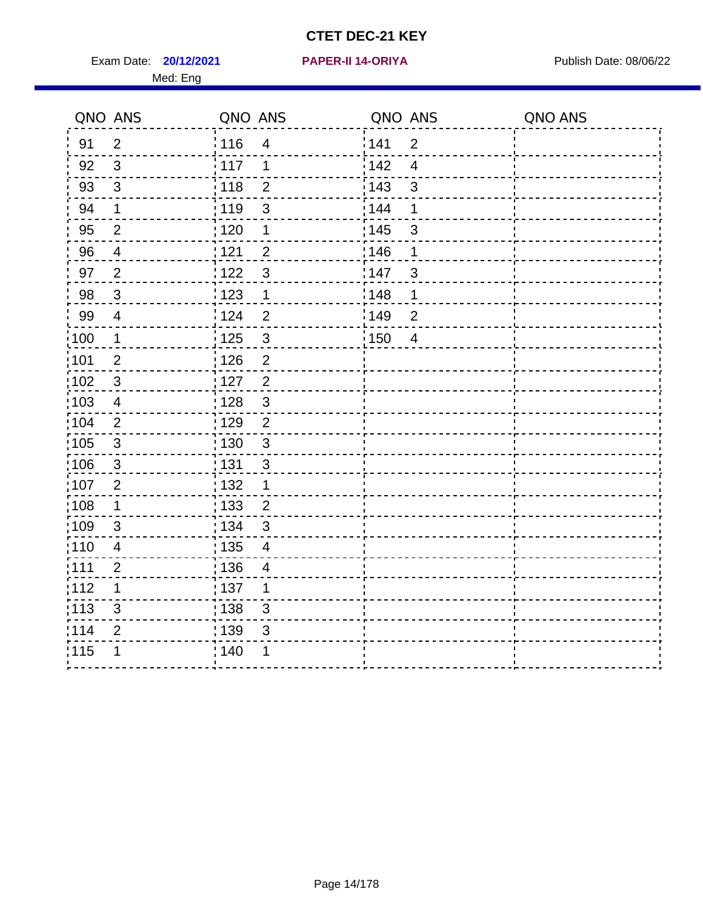Exam Date: **20/12/2021 PAPER-II 14-ORIYA Provided by Publish Date: 08/06/22** Med: Eng

#### **20/12/2021 PAPER-II 14-ORIYA**

|                   | QNO ANS                 | QNO ANS           |                         | QNO ANS |                          | QNO ANS |
|-------------------|-------------------------|-------------------|-------------------------|---------|--------------------------|---------|
| 91                | $\overline{2}$          | : 116             | $\overline{\mathbf{4}}$ | 1141    | $\overline{2}$           |         |
| 92                | $\mathbf{3}$            | 117               | $\mathbf 1$             | 142     | $\overline{4}$           |         |
| 93                | $\mathfrak{S}$          | 118               | $\overline{2}$          | 143     | $\mathfrak{S}$           |         |
| 94                | $\mathbf 1$             | : 119             | $\mathfrak{S}$          | 144     | 1                        |         |
| 95                | $\overline{2}$          | : 120             | $\mathbf 1$             | : 145   | $\mathfrak{S}$           |         |
| 96                | $\overline{4}$          | 121               | $\overline{2}$          | 146     | 1                        |         |
| 97                | $\overline{2}$          | 122               | 3                       | 147     | $\mathfrak{S}$           |         |
| 98                | $\mathbf{3}$            | $\frac{1}{2}$ 123 | $\mathbf 1$             | 148     | $\mathbf 1$              |         |
| 99                | $\overline{\mathbf{4}}$ | 124               | $\overline{2}$          | 149     | $\overline{2}$           |         |
| $\frac{1}{1}$ 100 | $\mathbf{1}$            | 125               | $\sqrt{3}$              | :150    | $\overline{\mathcal{A}}$ |         |
| :101              | $\mathbf{2}$            | 126               | $\overline{2}$          |         |                          |         |
| $\frac{1}{1}$ 102 | $\mathbf{3}$            | : 127             | $\frac{2}{\sqrt{2}}$    |         |                          |         |
| 103               | 4                       | : 128             | $\mathbf{3}$            |         |                          |         |
| 104               | 2                       | : 129             | $\overline{2}$          |         |                          |         |
| :105              | $\sqrt{3}$              | $\frac{1}{1}$ 130 | $\mathfrak{3}$          |         |                          |         |
| 106               | $\mathbf{3}$            | : 131             | 3                       |         |                          |         |
| 107               | $\overline{2}$          | : 132             | $\mathbf 1$             |         |                          |         |
| :108              | $\mathbf 1$             | : 133             | $\overline{2}$          |         |                          |         |
| :109              | $\sqrt{3}$              | : 134             | $\sqrt{3}$              |         |                          |         |
| : 110             | $\overline{\mathbf{4}}$ | : 135             | $\overline{\mathbf{4}}$ |         |                          |         |
| :111              | $\overline{2}$          | : 136             | 4                       |         |                          |         |
| 112               | 1                       | : 137             | 1                       |         |                          |         |
| $\frac{1}{1}$ 113 | 3                       | : 138             | $\sqrt{3}$              |         |                          |         |
| 114               | $\mathbf{2}$            | : 139             | $\mathfrak{S}$          |         |                          |         |
| :115              | 1                       | : 140             | 1                       |         |                          |         |
|                   |                         |                   |                         |         |                          |         |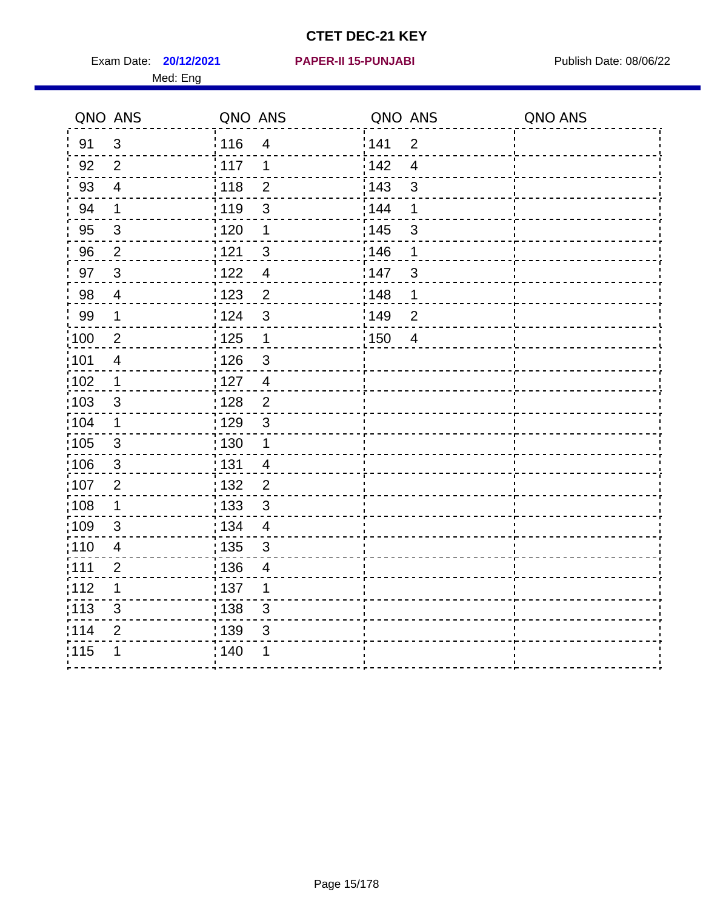Exam Date: **20/12/2021 PAPER-II 15-PUNJABI PRACESS** Publish Date: 08/06/22 Med: Eng

#### **20/12/2021 PAPER-II 15-PUNJABI**

|                   | QNO ANS                 | QNO ANS           |                          | QNO ANS |                         | QNO ANS |
|-------------------|-------------------------|-------------------|--------------------------|---------|-------------------------|---------|
| 91                | $\mathfrak{S}$          | : 116             | $\overline{4}$           | 141     | $\overline{2}$          |         |
| 92                | $\overline{2}$          | 117               | 1                        | 142     | $\overline{\mathbf{4}}$ |         |
| 93                | $\overline{\mathbf{4}}$ | 118               | $\mathbf{2}$             | 143     | $\mathsf 3$             |         |
| 94                | $\mathbf 1$             | 119               | $\mathfrak{S}$           | 144     | 1                       |         |
| 95                | $\mathfrak{B}$          | : 120             | 1                        | : 145   | $\mathfrak{S}$          |         |
| 96                | $\overline{2}$          | 121               | $\mathfrak{S}$           | 146     | 1                       |         |
| 97                | $\mathbf{3}$            | 1122              | $\overline{\mathcal{A}}$ | 147     | $\mathfrak{S}$          |         |
| 98                | $\overline{\mathbf{4}}$ | 123               | $\overline{2}$           | 148     | 1                       |         |
| 99                | $\mathbf 1$             | 124               | $\mathfrak{S}$           | 149     | $\overline{2}$          |         |
| 100               | $\overline{2}$          | $\frac{1}{2}$ 125 | $\mathbf 1$              | 150     | $\overline{4}$          |         |
| 101               | $\overline{\mathbf{4}}$ | 126               | $\mathbf{3}$             |         |                         |         |
| 102               | $\mathbf 1$             | : 127             | $\overline{\mathbf{4}}$  |         |                         |         |
| 103               | $\mathbf{3}$            | : 128             | 2                        |         |                         |         |
| $\frac{1}{104}$   | $\mathbf 1$             | : 129             | $\mathbf{3}$             |         |                         |         |
| $\frac{1}{1}$ 105 | $\sqrt{3}$              | : 130             | $\mathbf{1}$             |         |                         |         |
| 106               | $\mathbf{3}$            | : 131             | $\overline{4}$           |         |                         |         |
| 107               | $\overline{2}$          | : 132             | $\overline{2}$           |         |                         |         |
| $\frac{1}{1}$ 108 | $\mathbf{1}$            | 133               | $\mathbf{3}$             |         |                         |         |
| :109              | $\sqrt{3}$              | : 134             | $\overline{4}$           |         |                         |         |
| :110              | $\overline{4}$          | : 135             | $\mathfrak{B}$           |         |                         |         |
| : 111             | $\overline{2}$          | : 136             | $\overline{\mathcal{A}}$ |         |                         |         |
| 112               | 1                       | : 137             | 1                        |         |                         |         |
| : 113             | $\mathfrak{S}$          | 138               | $\sqrt{3}$               |         |                         |         |
| 114               | $\overline{2}$          | : 139             | 3                        |         |                         |         |
| 115               | 1                       | : 140             | 1                        |         |                         |         |
|                   |                         |                   |                          |         |                         |         |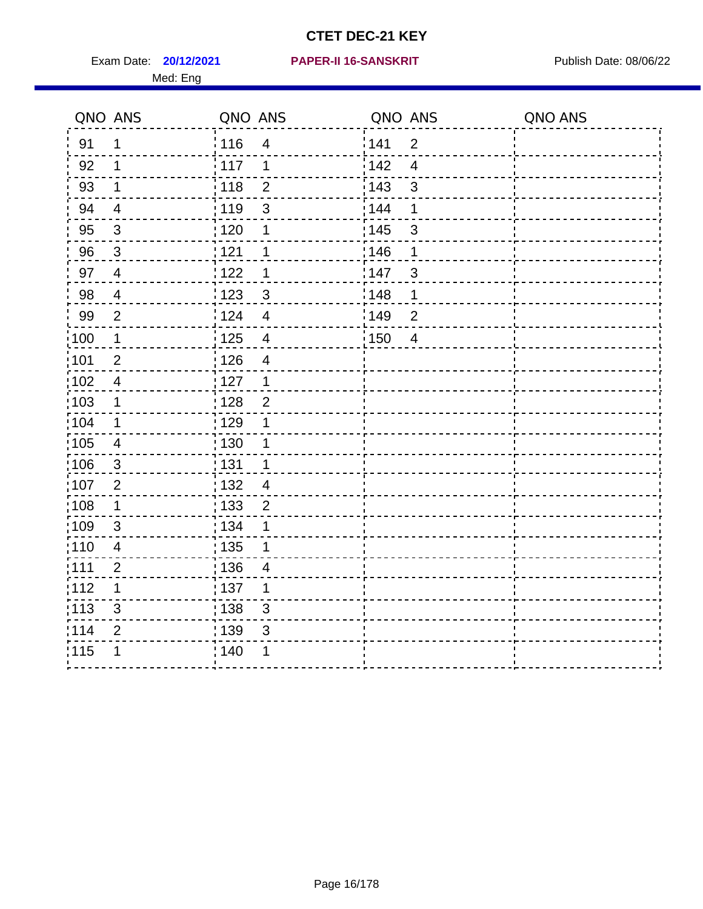|                   | QNO ANS                  | QNO ANS |                         | QNO ANS |                | QNO ANS |
|-------------------|--------------------------|---------|-------------------------|---------|----------------|---------|
| 91                | $\mathbf{1}$             | 116     | $\overline{\mathbf{4}}$ | 1141    | $\overline{2}$ |         |
| 92                | 1                        | 117     | 1                       | 142     | $\overline{4}$ |         |
| 93                | $\mathbf 1$              | 118     | $\mathbf{2}$            | 143     | $\mathfrak{S}$ |         |
| 94                | $\overline{\mathcal{A}}$ | 119     | $\mathfrak{S}$          | 144     | 1              |         |
| 95                | $\mathfrak{S}$           | : 120   | 1                       | : 145   | $\mathfrak{S}$ |         |
| 96                | $\mathbf{3}$             | 121     | 1                       | 146     | 1              |         |
| 97                | $\overline{4}$           | 122     | 1                       | 147     | $\mathfrak{S}$ |         |
| 98                | $\overline{4}$           | 123     | $\mathbf{3}$            | 148     | 1              |         |
| 99                | $\overline{2}$           | :124    | $\overline{4}$          | :149    | $\overline{2}$ |         |
| $\frac{1}{1}$ 100 | $\mathbf 1$              | 125     | $\overline{\mathbf{4}}$ | 150     | $\overline{4}$ |         |
| :101              | $\overline{2}$           | : 126   | $\overline{\mathbf{4}}$ |         |                |         |
| 102               | $\overline{4}$           | : 127   | $\mathbf 1$             |         |                |         |
| ;103              | $\mathbf 1$              | 128     | $\overline{2}$          |         |                |         |
| 104               | $\mathbf{1}$             | : 129   | 1                       |         |                |         |
| 105               | $\overline{4}$           | 130     | 1                       |         |                |         |
| :106              | $\mathfrak{S}$           | : 131   | $\mathbf 1$             |         |                |         |
| 107               | $\overline{2}$           | :132    | $\overline{4}$          |         |                |         |
| 108               | $\mathbf 1$              | : 133   | $\mathbf 2$             |         |                |         |
| :109              | $\mathfrak{S}$           | : 134   | 1                       |         |                |         |
| : 110             | $\overline{4}$           | : 135   | 1                       |         |                |         |
| :111              | $\overline{2}$           | : 136   | 4                       |         |                |         |
| 112               | 1                        | : 137   | 1                       |         |                |         |
| 113               | $\mathfrak{S}$           | : 138   | 3                       |         |                |         |
| 114               | $\overline{2}$           | 139     | 3                       |         |                |         |
| 115               | 1                        | 140     | 1                       |         |                |         |
|                   |                          |         |                         |         |                |         |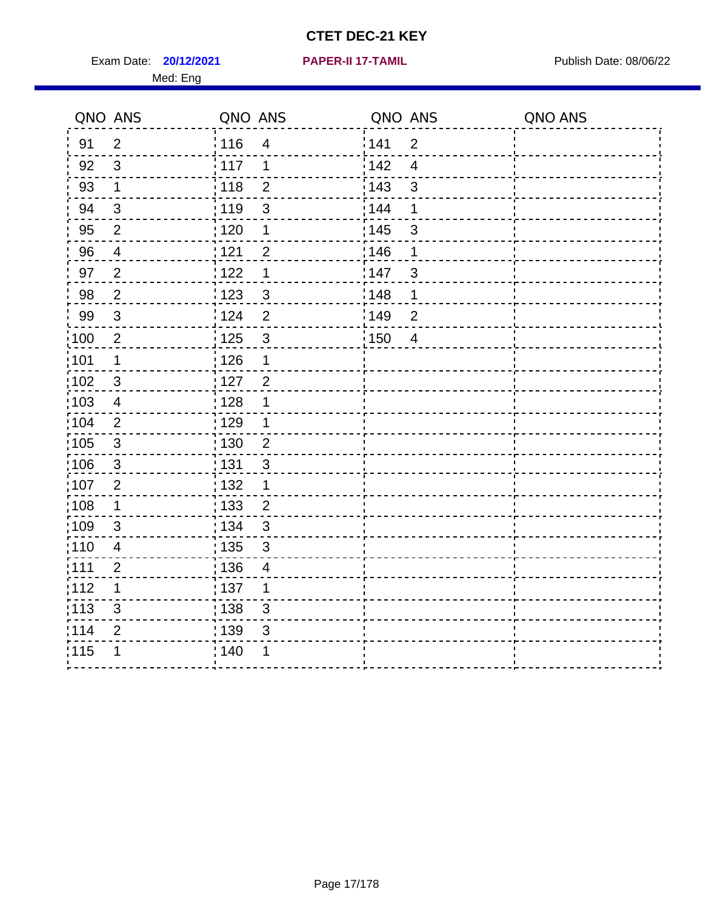Exam Date: **20/12/2021 PAPER-II 17-TAMIL Exam Date: 08/06/22** 

#### **20/12/2021 PAPER-II 17-TAMIL**

|       | QNO ANS          | QNO ANS      |                | QNO ANS           |                           | QNO ANS |
|-------|------------------|--------------|----------------|-------------------|---------------------------|---------|
| 91    | $\overline{2}$   | 116          | 4              | <sup>'</sup> 141  | $\overline{2}$            |         |
| 92    | $\mathfrak{S}$   | : 117        | 1              | 142               | $\overline{4}$            |         |
| 93    | $\mathbf 1$      | : 118        | $\overline{2}$ | $\frac{1}{2}$ 143 | 3                         |         |
| 94    | $\sqrt{3}$       | 119          | $\mathsf 3$    | : 144             | 1                         |         |
| 95    | $\overline{2}$   | : 120        | 1              | : 145             | $\ensuremath{\mathsf{3}}$ |         |
| 96    | $\overline{4}$   | 121          | $\overline{2}$ | 146               | 1                         |         |
| 97    | $\overline{2}$   | 1122         | 1              | 147               | 3                         |         |
| 98    | $\overline{2}$   | : 123        | $\mathbf{3}$   | 148               | 1                         |         |
| 99    | $\mathbf{3}$     | i 124        | $\overline{2}$ | 149               | $\overline{2}$            |         |
| :100  | $\overline{2}$   | : 125        | $\mathbf{3}$   | 150               | $\overline{4}$            |         |
| 101   | $\mathbf 1$      | 126          | 1              |                   |                           |         |
| 102   | $\mathbf{3}$     | 127          | $\overline{2}$ |                   |                           |         |
| 103   | $\overline{4}$   | 128          |                |                   |                           |         |
| 104   | $\overline{2}$   | : 129        |                |                   |                           |         |
| 105   | 3                | : 130        | $\overline{2}$ |                   |                           |         |
| :106  | $\mathfrak{S}$   | <u>¦</u> 131 | 3              |                   |                           |         |
| 107   | $\boldsymbol{2}$ | : 132        | 1              |                   |                           |         |
| :108  | $\mathbf 1$      | 133          | $\overline{c}$ |                   |                           |         |
| :109  | 3                | : 134        | 3              |                   |                           |         |
| :110  | 4                | 135          | 3              |                   |                           |         |
| :111  | $\boldsymbol{2}$ | 136          | 4              |                   |                           |         |
| 112   | $\mathbf 1$      | : 137        | 1              |                   |                           |         |
| : 113 | $\mathfrak{S}$   | : 138        | 3              |                   |                           |         |
| 114   | $\overline{2}$   | : 139        | $\mathfrak{S}$ |                   |                           |         |
| 115   | 1                | 140          | 1              |                   |                           |         |
|       |                  |              |                |                   |                           |         |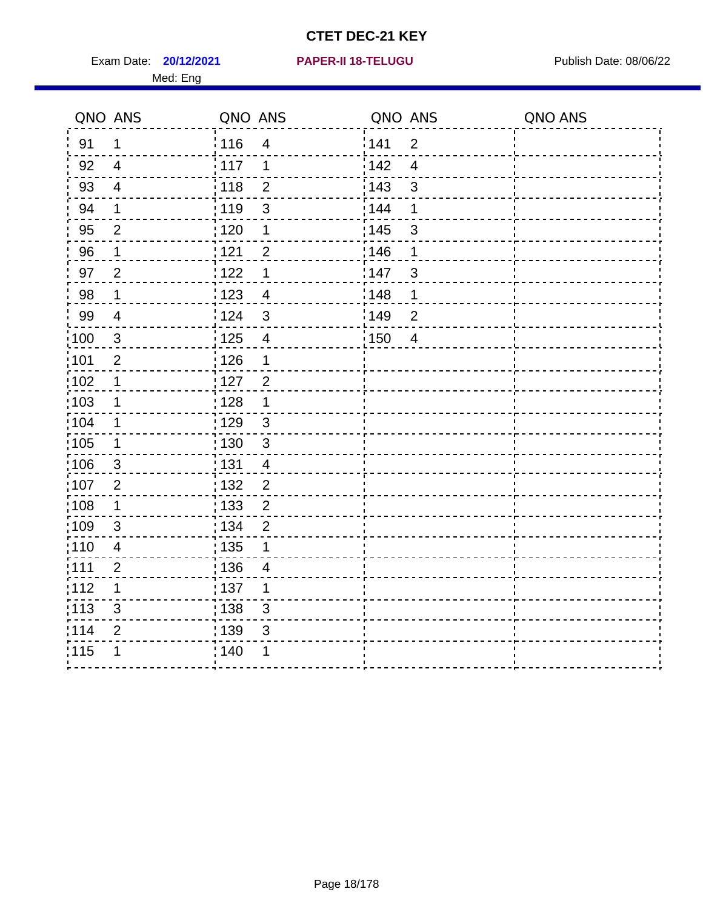Exam Date: **20/12/2021 PAPER-II 18-TELUGU Exam Date: 08/06/22** 

#### **20/12/2021 PAPER-II 18-TELUGU**

|                  | QNO ANS        | QNO ANS                             | QNO ANS               | QNO ANS |
|------------------|----------------|-------------------------------------|-----------------------|---------|
| 91               | 1              | 116<br>4                            | 141<br>$\overline{2}$ |         |
| 92               | $\overline{4}$ | $\frac{1}{2}$ 117<br>1              | 142<br>$\overline{4}$ |         |
| 93               | $\overline{4}$ | $\frac{1}{2}$ 118<br>$\overline{2}$ | : 143<br>3            |         |
| 94               | $\mathbf 1$    | $\mathsf 3$<br>119                  | : 144<br>1            |         |
| 95               | $\overline{2}$ | : 120<br>1                          | : 145<br>3            |         |
| 96               | 1              | , 121<br>$\overline{2}$             | 146<br>1              |         |
| 97               | $\overline{2}$ | 1122<br>1                           | 147<br>3              |         |
| 98               | 1              | 1123<br>$\overline{4}$              | 148<br>$\mathbf 1$    |         |
| 99               | 4              | $\frac{1}{24}$<br>3                 | 149<br>$\overline{2}$ |         |
| $\frac{1}{2}100$ | 3              | : 125<br>4                          | 150<br>$\overline{4}$ |         |
| :101             | $\overline{2}$ | : 126<br>1                          |                       |         |
| 102              | $\mathbf 1$    | :127<br>$\overline{2}$              |                       |         |
| 103              | $\mathbf 1$    | 128<br>1                            |                       |         |
| 104              | 1              | : 129<br>$\mathsf 3$                |                       |         |
| 105              | $\mathbf 1$    | : 130<br>3                          |                       |         |
| 106              | 3              | 131<br>$\overline{\mathcal{A}}$     |                       |         |
| 107              | $\overline{2}$ | $\overline{c}$<br>132               |                       |         |
| 108              | $\mathbf 1$    | $\frac{1}{1}$ 133<br>$\overline{c}$ |                       |         |
| :109             | $\mathbf{3}$   | : 134<br>$\overline{c}$             |                       |         |
| :110             | $\overline{4}$ | : 135                               |                       |         |
| 1111             | $\overline{2}$ | 136<br>$\overline{4}$               |                       |         |
| 112              | 1              | 137<br>1                            |                       |         |
| : 113            | $\sqrt{3}$     | 138<br>$\mathfrak{S}$               |                       |         |
| 114              | $\mathbf{2}$   | 139<br>3                            |                       |         |
| 115              |                | 140                                 |                       |         |
|                  |                |                                     |                       |         |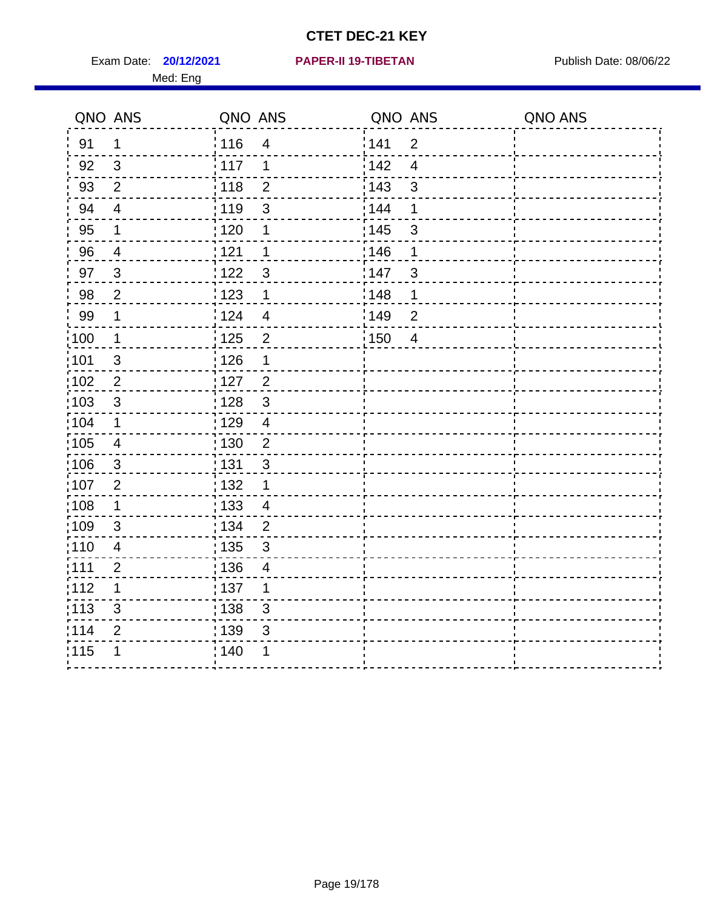Exam Date: **20/12/2021 PAPER-II 19-TIBETAN** Publish Date: 08/06/22 Med: Eng

#### **20/12/2021 PAPER-II 19-TIBETAN**

|                   | QNO ANS        | QNO ANS           |                          | QNO ANS           |                | QNO ANS |
|-------------------|----------------|-------------------|--------------------------|-------------------|----------------|---------|
| 91                | $\mathbf 1$    | : 116             | $\overline{4}$           | 141               | $\overline{2}$ |         |
| 92                | 3              | 117               | 1                        | <sup>'</sup> 142  | $\overline{4}$ |         |
| 93                | $\overline{2}$ | 118               | $\overline{2}$           | 143               | $\mathfrak{S}$ |         |
| 94                | $\overline{4}$ | : 119             | 3                        | : 144             | 1              |         |
| 95                | 1              | : 120             | 1                        | : 145             | $\mathfrak{S}$ |         |
| 96                | 4              | 121               | 1                        | 146               | 1              |         |
| 97                | $\mathbf{3}$   | 122               | 3                        | 147               | 3              |         |
| 98                | $\overline{2}$ | 123               | $\mathbf 1$              | 148               | $\mathbf 1$    |         |
| 99                | $\mathbf 1$    | 124               | $\overline{4}$           | $\frac{1}{2}$ 149 | $\overline{2}$ |         |
| 100               | $\mathbf 1$    | $\frac{1}{1}$ 125 | $\overline{2}$           | $\frac{1}{2}$ 150 | $\overline{4}$ |         |
| 101               | $\sqrt{3}$     | 126               | 1                        |                   |                |         |
| 102               | $\overline{2}$ | 127               | $\overline{2}$           |                   |                |         |
| 103               | $\mathbf{3}$   | : 128             | $\mathbf{3}$             |                   |                |         |
| $\frac{1}{1}$ 104 | $\mathbf 1$    | $\frac{1}{1}$ 129 | $\overline{4}$           |                   |                |         |
| $\frac{1}{1}$ 105 | $\overline{4}$ | : 130             | $\overline{2}$           |                   |                |         |
| 106               | $\mathbf{3}$   | : 131             | $\mathbf{3}$             |                   |                |         |
| 107               | $\overline{2}$ | : 132             | $\mathbf{1}$             |                   |                |         |
| 108               | $\mathbf 1$    | : 133             | $\overline{4}$           |                   |                |         |
| :109              | $\sqrt{3}$     | : 134             | $\overline{2}$           |                   |                |         |
| 110               | $\overline{4}$ | : 135             | 3                        |                   |                |         |
| : 111             | $\overline{2}$ | : 136             | $\overline{\mathcal{A}}$ |                   |                |         |
| 112               | 1              | $\frac{1}{1}$ 137 | 1                        |                   |                |         |
| : 113             | $\mathfrak{S}$ | 138               | $\mathfrak{S}$           |                   |                |         |
| 114               | 2              | : 139             | 3                        |                   |                |         |
| 115               | 1              | 140               | 1                        |                   |                |         |
|                   |                |                   |                          |                   |                |         |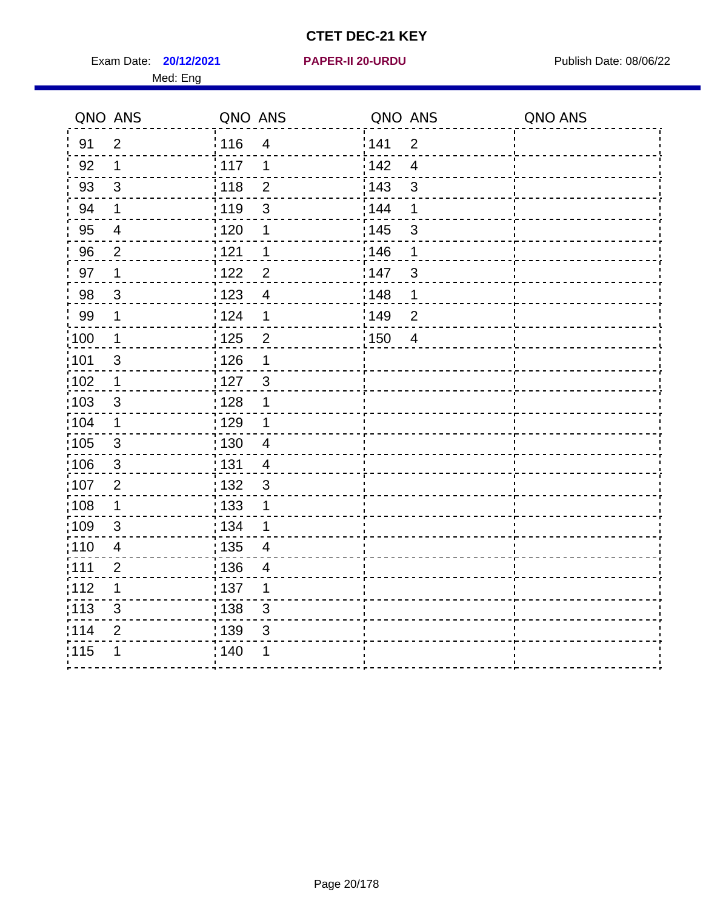Exam Date: **20/12/2021 PAPER-II 20-URDU Exam Date: 08/06/22** Med: Eng

#### **20/12/2021 PAPER-II 20-URDU**

|                   | QNO ANS                  | QNO ANS           |                         | QNO ANS           |                          | QNO ANS |
|-------------------|--------------------------|-------------------|-------------------------|-------------------|--------------------------|---------|
| 91                | $\overline{2}$           | 116               | $\overline{\mathbf{4}}$ | 141               | $\overline{2}$           |         |
| 92                | $\mathbf 1$              | 117               | 1                       | 142               | $\overline{4}$           |         |
| 93                | $\mathfrak{S}$           | 118               | $\overline{2}$          | 143               | 3                        |         |
| 94                | 1                        | : 119             | 3                       | 144               | 1                        |         |
| 95                | $\overline{\mathcal{A}}$ | : 120             | $\mathbf 1$             | $\frac{1}{1}$ 145 | $\mathfrak{S}$           |         |
| 96                | $\overline{2}$           | 121               | $\mathbf 1$             | 146               | 1                        |         |
| 97                | 1                        | 122               | $\overline{2}$          | 147               | $\mathfrak{S}$           |         |
| 98                | $\mathbf{3}$             | : 123             | $\overline{4}$          | 148               | 1                        |         |
| 99                | $\mathbf 1$              | 124               | 1                       | 149               | $\overline{2}$           |         |
| $\frac{1}{100}$   | $\mathbf 1$              | $\frac{1}{1}$ 125 | $\overline{2}$          | 150               | $\overline{\mathcal{A}}$ |         |
| :101              | $\mathfrak{S}$           | : 126             | 1                       |                   |                          |         |
| 102               | $\mathbf 1$              | : 127             | 3                       |                   |                          |         |
| 103               | 3                        | : 128             | 1                       |                   |                          |         |
| :104              | 1                        | : 129             | $\mathbf 1$             |                   |                          |         |
| 105               | $\mathbf{3}$             | : 130             | $\overline{4}$          |                   |                          |         |
| 106               | $\mathbf{3}$             | : 131             | $\overline{4}$          |                   |                          |         |
| 107               | 2                        | : 132             | 3                       |                   |                          |         |
| 108               | $\mathbf 1$              | : 133             | 1                       |                   |                          |         |
| $\frac{1}{1}$ 109 | 3                        | : 134             | 1                       |                   |                          |         |
| : 110             | $\overline{\mathbf{4}}$  | : 135             | $\overline{4}$          |                   |                          |         |
| :111              | $\overline{2}$           | :136              | 4                       |                   |                          |         |
| :112              | 1                        | : 137             | $\mathbf 1$             |                   |                          |         |
| :113              | 3                        | : 138             | $\mathfrak{S}$          |                   |                          |         |
| 114               | $\overline{2}$           | 139               | 3                       |                   |                          |         |
| 115               | 1                        | 140               |                         |                   |                          |         |
|                   |                          |                   |                         |                   |                          |         |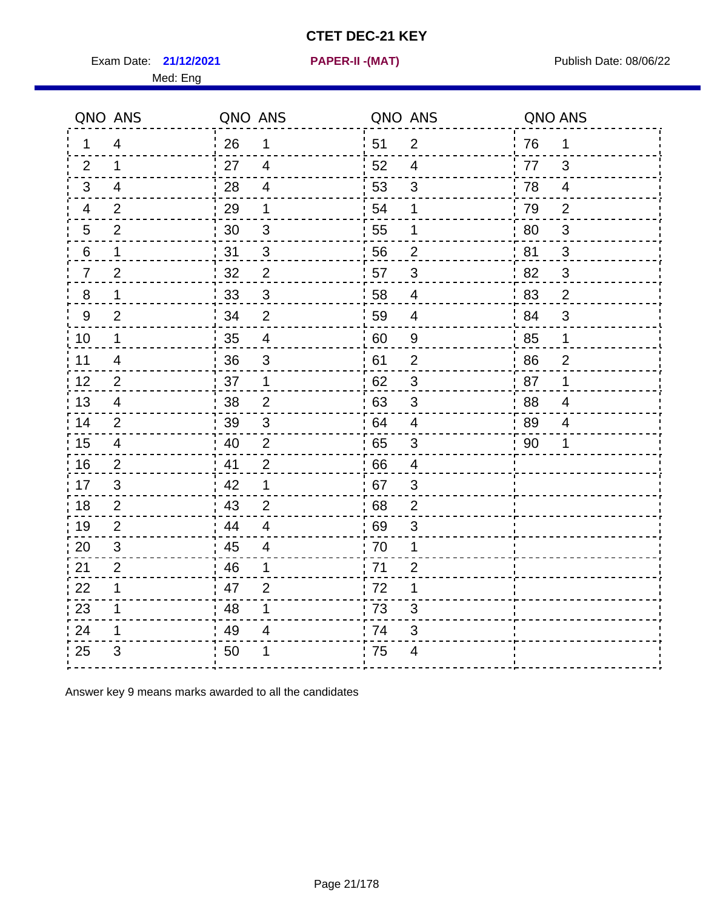Exam Date: **21/12/2021 PAPER-II -(MAT)** PUBLISH Date: 08/06/22

Med: Eng

**21/12/2021 PAPER-II -(MAT)**

|    | QNO ANS                  | QNO ANS |                         |      | QNO ANS                   | QNO ANS |                |
|----|--------------------------|---------|-------------------------|------|---------------------------|---------|----------------|
| 1  | $\overline{4}$           | 26      | 1                       | ່ 51 | $\overline{2}$            | 76      | $\mathbf 1$    |
| 2  | $\mathbf{1}$             | 27      | $\overline{4}$          | 52   | $\overline{4}$            | 77      | 3              |
| 3  | $\overline{4}$           | 28      | $\overline{4}$          | 53   | $\mathfrak{S}$            | 78      | $\overline{4}$ |
| 4  | $\overline{2}$           | 29      | 1                       | 54   | 1                         | 79      | $\mathbf{2}$   |
| 5  | $\overline{2}$           | 30      | $\sqrt{3}$              | 55   | 1                         | 80      | $\sqrt{3}$     |
| 6  | $\mathbf 1$              | 31      | $\mathfrak{B}$          | 56   | $\overline{2}$            | 81      | 3              |
| 7  | $\overline{2}$           | 32      | $\overline{2}$          | 57   | 3                         | 82      | $\mathfrak{S}$ |
| 8  | $\mathbf 1$              | 33      | $\sqrt{3}$              | 58   | $\overline{4}$            | 83      | $\overline{2}$ |
| 9  | $\overline{2}$           | 34      | $\overline{2}$          | 59   | $\overline{\mathcal{A}}$  | 84      | 3              |
| 10 | $\mathbf 1$              | 35      | $\overline{4}$          | 60   | $\boldsymbol{9}$          | 85      | $\mathbf 1$    |
| 11 | $\overline{\mathcal{A}}$ | 36      | $\sqrt{3}$              | 61   | $\overline{2}$            | 86      | $\overline{2}$ |
| 12 | $\overline{2}$           | 37      | $\mathbf 1$             | 62   | $\ensuremath{\mathsf{3}}$ | 87      | $\mathbf 1$    |
| 13 | 4                        | 38      | 2                       | .63  | 3                         | 88      | 4              |
| 14 | $\overline{2}$           | 39      | 3                       | 64   | 4                         | 89      | 4              |
| 15 | $\overline{4}$           | 40      | $\overline{2}$          | 65   | $\sqrt{3}$                | 90      | 1              |
| 16 | 2                        | 41      | $\overline{2}$          | 66   | $\overline{4}$            |         |                |
| 17 | 3                        | 42      | 1                       | 67   | 3                         |         |                |
| 18 | 2                        | 43      | $\overline{2}$          | 68   | $\overline{2}$            |         |                |
| 19 | $\overline{2}$           | 44      | $\overline{\mathbf{4}}$ | : 69 | 3                         |         |                |
| 20 | 3                        | 45      | $\overline{4}$          | 70   | 1                         |         |                |
| 21 | $\overline{2}$           | 46      | 1                       | 71   | $\overline{2}$            |         |                |
| 22 | $\mathbf{1}$             | 47      | $\overline{2}$          | 72   | $\mathbf 1$               |         |                |
| 23 | 1                        | 48      | 1                       | 73   | 3                         |         |                |
| 24 | 1                        | 49      | 4                       | 74   | 3                         |         |                |
| 25 | 3                        | 50      | 1                       | 75   | 4                         |         |                |

Answer key 9 means marks awarded to all the candidates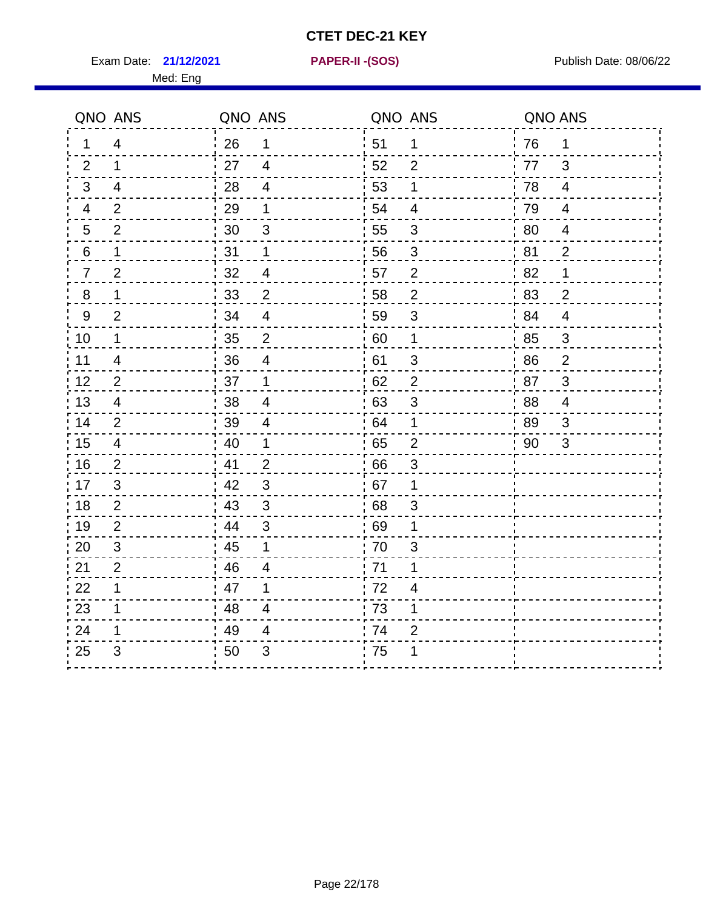Exam Date: **21/12/2021 PAPER-II - (SOS)** Publish Date: 08/06/22

Med: Eng

**21/12/2021 PAPER-II -(SOS)**

|                | QNO ANS                  | QNO ANS |                         | QNO ANS |                          | QNO ANS |                |
|----------------|--------------------------|---------|-------------------------|---------|--------------------------|---------|----------------|
| 1.             | $\overline{4}$           | 26      | $\mathbf{1}$            | 51      | 1                        | 76      | 1              |
| 2              | 1                        | 27      | $\overline{4}$          | 52      | 2                        | 77      | 3              |
| 3              | 4                        | 28      | $\overline{4}$          | 53      | 1                        | 78      | $\overline{4}$ |
| 4              | $\overline{2}$           | 29      | 1                       | 54      | $\overline{4}$           | 79      | $\overline{4}$ |
| 5              | $\overline{2}$           | 30      | 3                       | 55      | $\mathfrak{S}$           | 80      | $\overline{4}$ |
| 6              | 1                        | 31      | 1                       | 56      | 3                        | 81      | $\overline{2}$ |
| $\overline{7}$ | $\overline{2}$           | 32      | 4                       | 57      | $\overline{2}$           | 82      | 1              |
| $\,8\,$        | 1                        | 33      | $\overline{2}$          | 58      | $\overline{2}$           | 83      | $\overline{2}$ |
| 9              | $\overline{2}$           | 34      | $\overline{4}$          | 59      | $\mathfrak{S}$           | 84      | $\overline{4}$ |
| 10             | 1                        | 35      | $\overline{c}$          | 60      | 1                        | 85      | 3              |
| 11             | $\overline{\mathbf{4}}$  | 36      | $\overline{\mathbf{4}}$ | 61      | $\sqrt{3}$               | 86      | $\overline{c}$ |
| 12             | $\overline{2}$           | 37      | 1                       | 62      | $\overline{2}$           | 87      | 3              |
| 13             | $\overline{4}$           | 38      | $\overline{4}$          | 63      | 3                        | 88      | $\overline{4}$ |
| 14             | 2                        | 39      | 4                       | 64      | 1                        | 89      | 3              |
| 15             | $\overline{\mathcal{A}}$ | 40      | $\mathbf{1}$            | 65      | $\mathbf 2$              | 90      | 3              |
| 16             | $\overline{2}$           | 41      | $\overline{2}$          | 66      | 3                        |         |                |
| 17             | 3                        | 42      | 3                       | 67      | 1                        |         |                |
| 18             | $\overline{2}$           | 43      | $\mathfrak{S}$          | 68      | $\mathsf 3$              |         |                |
| 19             | $\overline{2}$           | 44      | $\mathfrak{S}$          | 69      | 1                        |         |                |
| 20             | 3                        | 45      | 1                       | 70      | 3                        |         |                |
| 21             | $\overline{2}$           | 46      | 4                       | 71      | 1                        |         |                |
| 22             | 1                        | 47      | 1                       | 72      | $\overline{\mathcal{A}}$ |         |                |
| 23             | 1                        | 48      | $\overline{4}$          | 73      | 1                        |         |                |
| 24             | 1                        | 49      | 4                       | 74      | $\overline{2}$           |         |                |
| 25             | 3                        | 50      | 3                       | 75      | 1                        |         |                |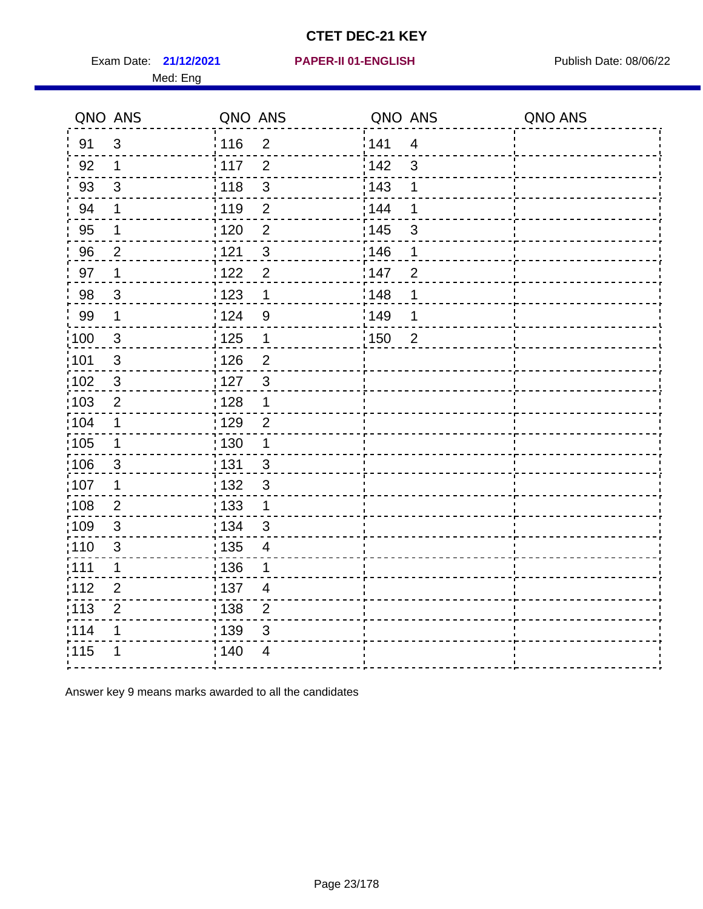Exam Date: 21/12/2021 **PAPER-II 01-ENGLISH Propriet Access 12/12/2021** Publish Date: 08/06/22 Med: Eng

#### **21/12/2021 PAPER-II 01-ENGLISH**

| QNO ANS           |                | QNO ANS           |                          | QNO ANS |                | QNO ANS |
|-------------------|----------------|-------------------|--------------------------|---------|----------------|---------|
| 91                | $\mathfrak{3}$ | : 116             | $\overline{2}$           | 141     | $\overline{4}$ |         |
| 92                | $\mathbf 1$    | 117               | 2                        | 142     | $\mathbf{3}$   |         |
| 93                | $\mathsf 3$    | 118               | $\mathfrak{S}$           | 143     | 1              |         |
| 94                | 1              | : 119             | $\overline{2}$           | 144     | 1              |         |
| 95                | $\mathbf 1$    | : 120             | $\overline{2}$           | : 145   | $\mathfrak{B}$ |         |
| 96                | $\overline{2}$ | 1121              | $\mathfrak{S}$           | 146     | 1              |         |
| 97                | $\mathbf 1$    | 122               | $\overline{2}$           | 147     | $\overline{2}$ |         |
| 98                | $\mathbf{3}$   | $\frac{1}{2}$ 123 | $\mathbf 1$              | 148     | 1              |         |
| 99                | $\mathbf 1$    | 124               | $\overline{9}$           | 149     | 1              |         |
| :100              | $\mathbf{3}$   | 125               | $\mathbf{1}$             | 150     | $\overline{2}$ |         |
| :101              | $\sqrt{3}$     | $\frac{1}{2}$ 126 | $\overline{2}$           |         |                |         |
| $\frac{1}{1}$ 102 | $\sqrt{3}$     | $\frac{1}{1}$ 127 | $\mathfrak{3}$           |         |                |         |
| 103               | 2              | : 128             | $\mathbf 1$              |         |                |         |
| 104               | 1              | : 129             | $\overline{2}$           |         |                |         |
| $\frac{1}{1}$ 105 | $\mathbf 1$    | : 130             | $\mathbf 1$              |         |                |         |
| :106              | $\mathfrak{3}$ | : 131             | $\mathbf{3}$             |         |                |         |
| 107               | 1              | : 132             | 3                        |         |                |         |
| 108               | $\overline{2}$ | : 133             | $\mathbf 1$              |         |                |         |
| $\frac{1}{1}$ 109 | $\mathfrak{S}$ | : 134             | $\mathbf{3}$             |         |                |         |
| 110               | $\mathfrak{S}$ | $\frac{1}{1}$ 135 | $\overline{\mathcal{A}}$ |         |                |         |
| : 111             | 1              | : 136             | 1                        |         |                |         |
| 112               | $\overline{2}$ | :137              | $\overline{4}$           |         |                |         |
| : 113             | $\mathbf{2}$   | 138               | $\overline{2}$           |         |                |         |
| 114               | 1              | : 139             | 3                        |         |                |         |
| 115               | 1              | : 140             | 4                        |         |                |         |
|                   |                |                   |                          |         |                |         |

Answer key 9 means marks awarded to all the candidates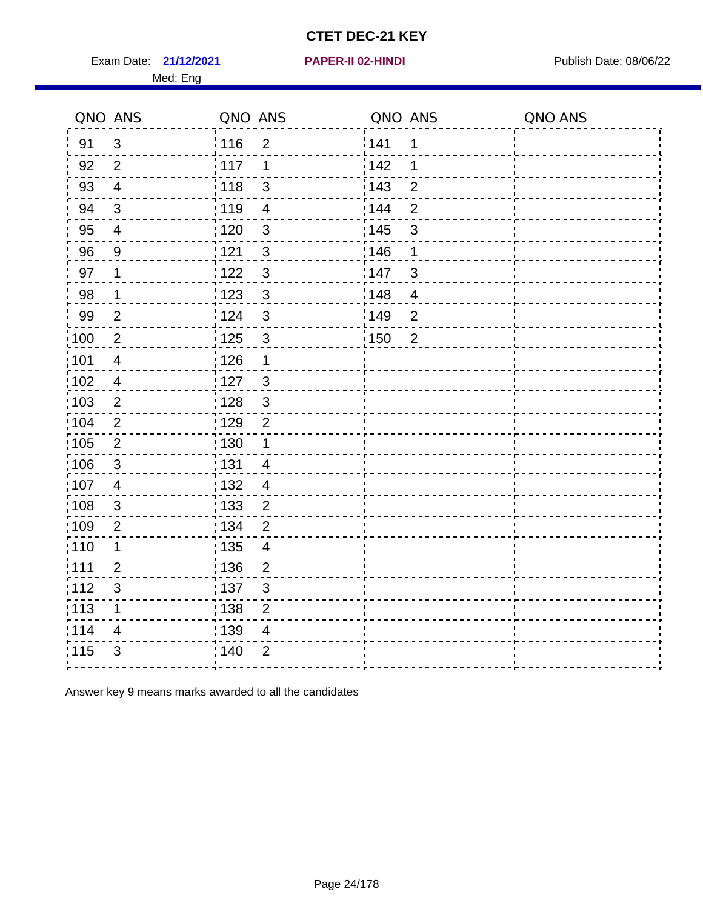Exam Date: 21/12/2021 **PAPER-II 02-HINDI Exam Date: 08/06/22** 

#### **21/12/2021 PAPER-II 02-HINDI**

Med: Eng

| QNO ANS                  | QNO ANS                                                                                                                     | QNO ANS                                                                                                                                                                                                     | QNO ANS                                         |
|--------------------------|-----------------------------------------------------------------------------------------------------------------------------|-------------------------------------------------------------------------------------------------------------------------------------------------------------------------------------------------------------|-------------------------------------------------|
| $\mathfrak{S}$           | 116<br>$\overline{2}$                                                                                                       | 1                                                                                                                                                                                                           |                                                 |
| $\overline{2}$           | $\frac{1}{2}$ 117<br>1                                                                                                      | 142<br>1                                                                                                                                                                                                    |                                                 |
| $\overline{4}$           | 118<br>3                                                                                                                    | : 143<br>$\overline{2}$                                                                                                                                                                                     |                                                 |
| $\mathfrak{S}$           | 119<br>$\overline{\mathbf{4}}$                                                                                              | $\overline{2}$<br>: 144                                                                                                                                                                                     |                                                 |
| $\overline{4}$           | : 120<br>$\mathfrak{S}$                                                                                                     | 3                                                                                                                                                                                                           |                                                 |
| $\overline{9}$           | 121<br>3                                                                                                                    | 1                                                                                                                                                                                                           |                                                 |
| 1                        | $\mathbf{3}$                                                                                                                | 3                                                                                                                                                                                                           |                                                 |
| $\mathbf 1$              | 1123<br>$\mathbf{3}$                                                                                                        | $\overline{4}$                                                                                                                                                                                              |                                                 |
| $\overline{2}$           | 124<br>$\mathfrak{3}$                                                                                                       | $\overline{2}$                                                                                                                                                                                              |                                                 |
| $\overline{2}$           | : 125<br>$\mathfrak{S}$                                                                                                     | $\overline{2}$                                                                                                                                                                                              |                                                 |
| $\overline{4}$           | : 126<br>1                                                                                                                  |                                                                                                                                                                                                             |                                                 |
| $\overline{\mathcal{A}}$ | : 127<br>$\sqrt{3}$                                                                                                         |                                                                                                                                                                                                             |                                                 |
| $\sqrt{2}$               | $\mathfrak{S}$<br>: 128                                                                                                     |                                                                                                                                                                                                             |                                                 |
| $\mathbf{2}$             | $\overline{2}$                                                                                                              |                                                                                                                                                                                                             |                                                 |
| $\overline{2}$           | : 130                                                                                                                       |                                                                                                                                                                                                             |                                                 |
| $\mathfrak{S}$           | : 131<br>$\overline{\mathcal{A}}$                                                                                           |                                                                                                                                                                                                             |                                                 |
| $\overline{4}$           | $\overline{4}$                                                                                                              |                                                                                                                                                                                                             |                                                 |
|                          |                                                                                                                             |                                                                                                                                                                                                             |                                                 |
|                          |                                                                                                                             |                                                                                                                                                                                                             |                                                 |
|                          |                                                                                                                             |                                                                                                                                                                                                             |                                                 |
|                          |                                                                                                                             |                                                                                                                                                                                                             |                                                 |
|                          |                                                                                                                             |                                                                                                                                                                                                             |                                                 |
|                          |                                                                                                                             |                                                                                                                                                                                                             |                                                 |
|                          |                                                                                                                             |                                                                                                                                                                                                             |                                                 |
|                          |                                                                                                                             |                                                                                                                                                                                                             |                                                 |
|                          | $\ensuremath{\mathsf{3}}$<br>$\overline{2}$<br>1<br>$\overline{2}$<br>$\ensuremath{\mathsf{3}}$<br>1<br>4<br>$\mathfrak{S}$ | 1122<br>: 129<br>132<br>$\overline{c}$<br>133<br>: 134<br>$\overline{2}$<br>: 135<br>4<br>136<br>$\overline{c}$<br>;137<br>$\mathfrak{S}$<br>138<br>$\overline{c}$<br>: 139<br>4<br>: 140<br>$\overline{2}$ | 141<br>: 145<br>146<br>147<br>148<br>149<br>150 |

Answer key 9 means marks awarded to all the candidates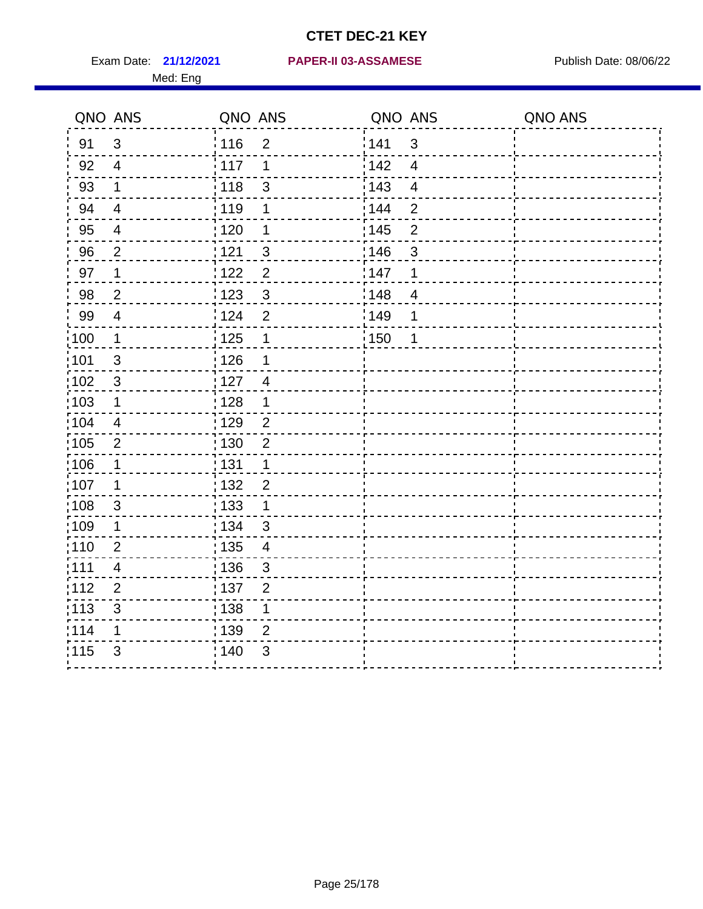|                   | QNO ANS                  | QNO ANS           |                          | QNO ANS           |                          | QNO ANS |
|-------------------|--------------------------|-------------------|--------------------------|-------------------|--------------------------|---------|
| 91                | $\mathfrak{S}$           | : 116             | $\overline{2}$           | 141               | $\mathfrak{3}$           |         |
| 92                | $\overline{4}$           | 117               | 1                        | 142               | $\overline{4}$           |         |
| 93                | $\mathbf 1$              | 118               | $\mathfrak{S}$           | 143               | $\overline{\mathbf{4}}$  |         |
| 94                | $\overline{4}$           | : 119             | 1                        | : 144             | $\overline{2}$           |         |
| 95                | $\overline{4}$           | : 120             | 1                        | : 145             | $\overline{2}$           |         |
| 96                | $\overline{2}$           | 121               | 3                        | 146               | 3                        |         |
| 97                | 1                        | 122               | $\overline{2}$           | 147               | 1                        |         |
| 98                | $\overline{2}$           | 123               | $\mathfrak{S}$           | 148               | $\overline{\mathcal{A}}$ |         |
| 99                | $\overline{4}$           | 124               | $\overline{2}$           | $\frac{1}{2}$ 149 | 1                        |         |
| $\frac{1}{1}$ 100 | $\mathbf{1}$             | $\frac{1}{1}$ 125 | $\mathbf 1$              | $\frac{1}{1}$ 150 | 1                        |         |
| :101              | $\sqrt{3}$               | 126               | 1                        |                   |                          |         |
| 102               | $\mathbf{3}$             | : 127             | $\overline{4}$           |                   |                          |         |
| 103               | $\mathbf 1$              | 128               | $\mathbf 1$              |                   |                          |         |
| :104              | $\overline{4}$           | $\frac{1}{1}$ 129 | $\overline{2}$           |                   |                          |         |
| 105               | $\overline{2}$           | : 130             | $\overline{2}$           |                   |                          |         |
| :106              | 1                        | : 131             | $\mathbf 1$              |                   |                          |         |
| ;107              | 1                        | 132               | $\overline{2}$           |                   |                          |         |
| 108               | $\sqrt{3}$               | : 133             | $\mathbf{1}$             |                   |                          |         |
| :109              | $\mathbf 1$              | : 134             | 3                        |                   |                          |         |
| :110              | $\overline{2}$           | 135               | $\overline{\mathcal{A}}$ |                   |                          |         |
| :111              | $\overline{\mathcal{A}}$ | 136               | $\mathbf{3}$             |                   |                          |         |
| 112               | $\overline{2}$           | 137               | $\overline{2}$           |                   |                          |         |
| 113               | $\mathbf{3}$             | : 138             | 1                        |                   |                          |         |
| 114               | 1                        | 139               | 2                        |                   |                          |         |
| 115               | 3                        | 140               | $\mathfrak{S}$           |                   |                          |         |
|                   |                          |                   |                          |                   |                          |         |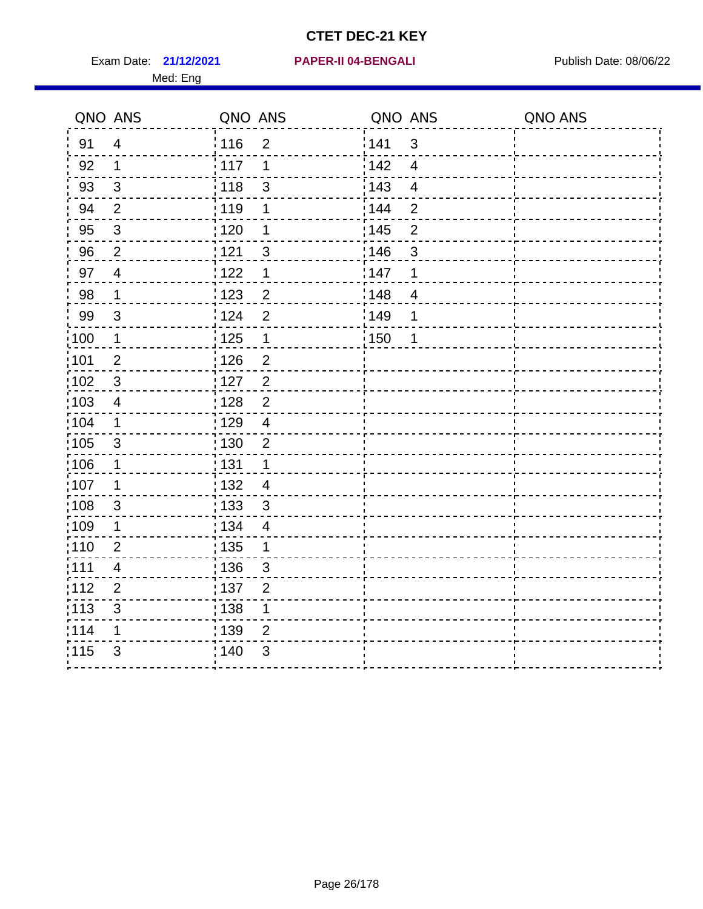Exam Date: 21/12/2021 **PAPER-II 04-BENGALI Exam Date: 08/06/22** Med: Eng

#### **21/12/2021 PAPER-II 04-BENGALI**

|                   | QNO ANS        | QNO ANS           |                  | QNO ANS           |                         | QNO ANS |
|-------------------|----------------|-------------------|------------------|-------------------|-------------------------|---------|
| 91                | $\overline{4}$ | 116               | $\overline{2}$   | 141               | $\mathbf{3}$            |         |
| 92                | $\mathbf 1$    | 117               | 1                | 142               | $\overline{\mathbf{4}}$ |         |
| 93                | $\sqrt{3}$     | 118               | $\mathsf 3$      | 143               | $\overline{\mathbf{4}}$ |         |
| 94                | 2              | 119               | 1                | 144               | $\overline{2}$          |         |
| 95                | $\mathbf{3}$   | : 120             | 1                | : 145             | $\overline{2}$          |         |
| 96                | $\overline{2}$ | 121               | $\mathfrak{S}$   | 146               | 3                       |         |
| 97                | $\overline{4}$ | 1122              | 1                | 147               | 1                       |         |
| 98                | $\mathbf 1$    | 123               | $\overline{2}$   | 148               | $\overline{4}$          |         |
| 99                | $\sqrt{3}$     | 124               | $\mathbf 2$      | 149               | 1                       |         |
| 100               | $\mathbf 1$    | 125               | $\mathbf 1$      | $\frac{1}{1}$ 150 | 1                       |         |
| 101               | $\mathbf 2$    | 126               | $\overline{2}$   |                   |                         |         |
| 102               | $\mathbf{3}$   | 127               | $\overline{2}$   |                   |                         |         |
| 103               | 4              | : 128             | $\overline{2}$   |                   |                         |         |
| $\frac{1}{104}$   | $\mathbf 1$    | : 129             | $\overline{4}$   |                   |                         |         |
| $\frac{1}{1}$ 105 | $\sqrt{3}$     | : 130             | $\boldsymbol{2}$ |                   |                         |         |
| :106              | $\mathbf 1$    | : 131             | $\mathbf{1}$     |                   |                         |         |
| 107               | 1              | : 132             | $\overline{4}$   |                   |                         |         |
| 108               | $\mathbf{3}$   | $\frac{1}{1}$ 133 | $\mathbf{3}$     |                   |                         |         |
| :109              | $\mathbf 1$    | : 134             | $\overline{4}$   |                   |                         |         |
| :110              | $\overline{2}$ | : 135             | 1                |                   |                         |         |
| : 111             | 4              | : 136             | $\mathsf 3$      |                   |                         |         |
| 112               | $\overline{2}$ | : 137             | $\overline{2}$   |                   |                         |         |
| $\frac{1}{1}$ 113 | $\mathfrak{S}$ | : 138             | 1                |                   |                         |         |
| 114               | 1              | : 139             | $\overline{2}$   |                   |                         |         |
| 115               | 3              | 140               | 3                |                   |                         |         |
|                   |                |                   |                  |                   |                         |         |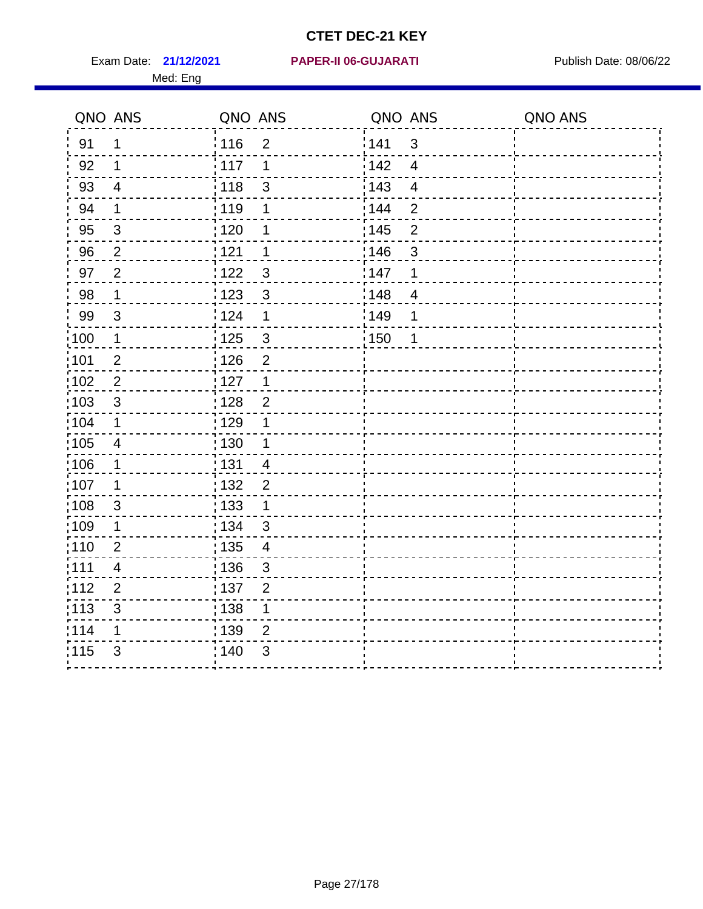Med: Eng

#### **21/12/2021 PAPER-II 06-GUJARATI** Exam Date: Publish Date: 08/06/22

|                   | QNO ANS                 | QNO ANS           |                          | QNO ANS           |                         | QNO ANS |
|-------------------|-------------------------|-------------------|--------------------------|-------------------|-------------------------|---------|
| 91                | 1                       | 116               | $\overline{2}$           | 141               | $\mathbf{3}$            |         |
| 92                | 1                       | 117               | 1                        | 142               | $\overline{\mathbf{4}}$ |         |
| 93                | $\overline{\mathbf{4}}$ | 118               | $\mathsf 3$              | 143               | $\overline{\mathbf{4}}$ |         |
| 94                | $\mathbf 1$             | 119               | 1                        | 144               | $\overline{2}$          |         |
| 95                | $\mathfrak{B}$          | : 120             | 1                        | : 145             | $\overline{2}$          |         |
| 96                | $\overline{2}$          | 121               | 1                        | 146               | 3                       |         |
| 97                | $\overline{2}$          | 1122              | $\mathfrak{B}$           | 147               | 1                       |         |
| 98                | $\mathbf 1$             | 123               | $\mathbf{3}$             | 148               | $\overline{4}$          |         |
| 99                | $\sqrt{3}$              | 124               | 1                        | 149               | 1                       |         |
| 100               | $\mathbf 1$             | $\frac{1}{1}$ 125 | $\mathfrak{S}$           | $\frac{1}{1}$ 150 | 1                       |         |
| 101               | $\mathbf 2$             | 126               | $\overline{2}$           |                   |                         |         |
| 102               | $\overline{2}$          | 127               | $\mathbf 1$              |                   |                         |         |
| 103               | $\mathfrak{S}$          | : 128             | $\overline{2}$           |                   |                         |         |
| $\frac{1}{1}$ 104 | $\mathbf 1$             | : 129             | 1                        |                   |                         |         |
| $\frac{1}{1}$ 105 | $\overline{4}$          | : 130             | $\mathbf{1}$             |                   |                         |         |
| :106              | $\mathbf 1$             | : 131             | $\overline{4}$           |                   |                         |         |
| 107               | $\mathbf 1$             | : 132             | $\overline{2}$           |                   |                         |         |
| 108               | $\mathbf{3}$            | : 133             | $\mathbf 1$              |                   |                         |         |
| :109              | $\mathbf 1$             | : 134             | $\mathfrak{3}$           |                   |                         |         |
| :110              | $\overline{2}$          | : 135             | $\overline{\mathcal{A}}$ |                   |                         |         |
| : 111             | 4                       | : 136             | $\sqrt{3}$               |                   |                         |         |
| 112               | $\overline{2}$          | : 137             | $\overline{2}$           |                   |                         |         |
| $\frac{1}{1}$ 113 | $\mathfrak{S}$          | : 138             | 1                        |                   |                         |         |
| 114               | 1                       | : 139             | $\overline{2}$           |                   |                         |         |
| 115               | 3                       | 140               | 3                        |                   |                         |         |
|                   |                         |                   |                          |                   |                         |         |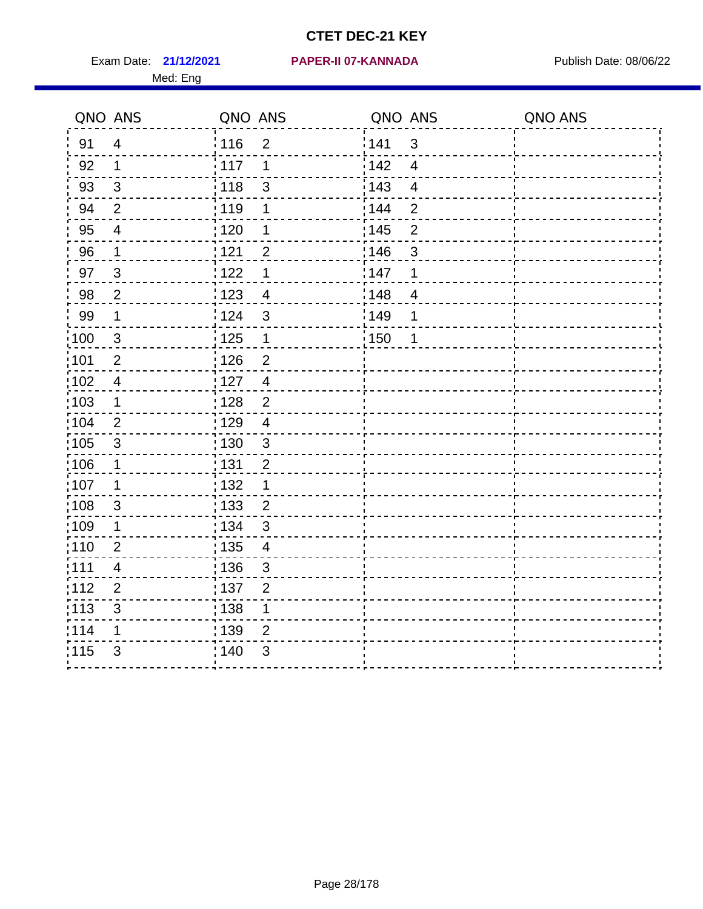Med: Eng

#### **21/12/2021 PAPER-II 07-KANNADA** Exam Date: Publish Date: 08/06/22

|                   | QNO ANS                  | QNO ANS           |                          | QNO ANS |                         | QNO ANS |
|-------------------|--------------------------|-------------------|--------------------------|---------|-------------------------|---------|
| 91                | $\overline{4}$           | 116               | $\overline{2}$           | 141     | $\mathbf{3}$            |         |
| 92                | $\mathbf 1$              | 117               | 1                        | 142     | $\overline{4}$          |         |
| 93                | $\mathfrak{S}$           | 118               | $\mathsf 3$              | 143     | $\overline{\mathbf{4}}$ |         |
| 94                | $\overline{2}$           | :119              | 1                        | 144     | $\overline{2}$          |         |
| 95                | $\overline{\mathcal{A}}$ | : 120             | 1                        | : 145   | $\mathbf 2$             |         |
| 96                | 1                        | 121               | $\overline{2}$           | 146     | 3                       |         |
| 97                | $\mathfrak{S}$           | 122               | 1                        | 147     | $\mathbf 1$             |         |
| 98                | $\overline{2}$           | 123               | $\overline{4}$           | 148     | $\overline{4}$          |         |
| 99                | $\mathbf 1$              | 124               | $\mathfrak{S}$           | 149     | 1                       |         |
| 100               | $\mathbf{3}$             | 125               | $\mathbf 1$              | 150     | 1                       |         |
| 101               | $\overline{2}$           | 126               | $\overline{2}$           |         |                         |         |
| 102               | $\overline{\mathbf{4}}$  | 127               | $\overline{\mathbf{4}}$  |         |                         |         |
| 103               | 1                        | : 128             | $\overline{2}$           |         |                         |         |
| 104               | 2                        | : 129             | $\overline{4}$           |         |                         |         |
| $\frac{1}{1}$ 105 | $\sqrt{3}$               | $\frac{1}{1}$ 130 | $\mathsf 3$              |         |                         |         |
| :106              | $\mathbf 1$              | : 131             | $\overline{2}$           |         |                         |         |
| :107              | 1                        | : 132             | $\mathbf 1$              |         |                         |         |
| 108               | $\mathbf{3}$             | : 133             | $\overline{2}$           |         |                         |         |
| :109              | $\mathbf 1$              | : 134             | $\mathfrak{S}$           |         |                         |         |
| : 110             | $\overline{2}$           | : 135             | $\overline{\mathcal{A}}$ |         |                         |         |
| :111              | 4                        | :136              | $\sqrt{3}$               |         |                         |         |
| 112               | $\overline{2}$           | : 137             | $\overline{2}$           |         |                         |         |
| : 113             | $\mathfrak{S}$           | : 138             | 1                        |         |                         |         |
| 114               | 1                        | 139               | $\overline{2}$           |         |                         |         |
| 115               | 3                        | 140               | 3                        |         |                         |         |
|                   |                          |                   |                          |         |                         |         |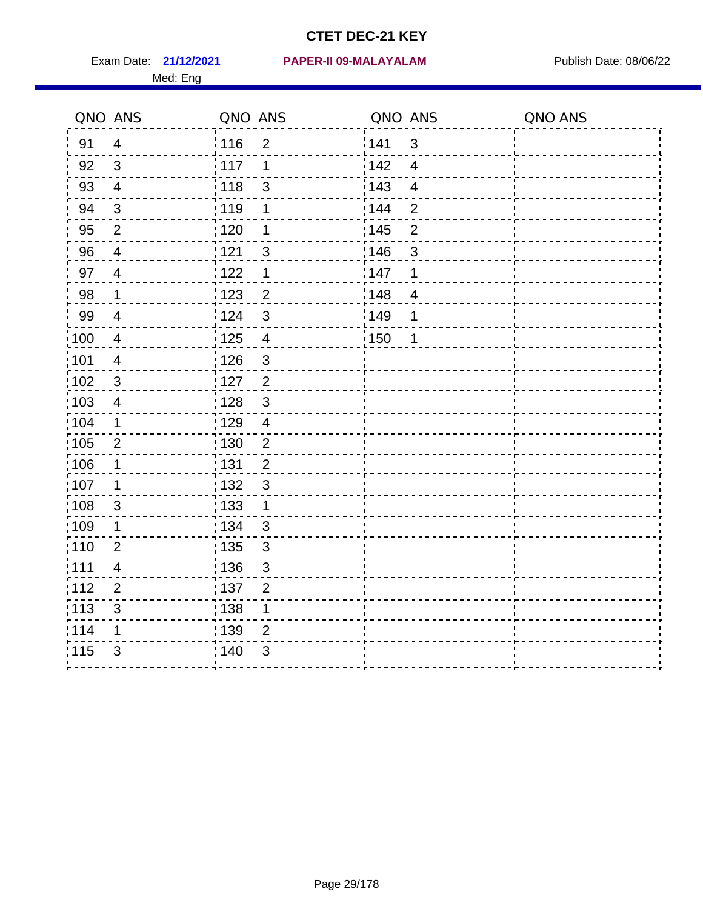|                   | QNO ANS                   | QNO ANS           |                | QNO ANS |                          | QNO ANS |
|-------------------|---------------------------|-------------------|----------------|---------|--------------------------|---------|
| 91                | $\overline{4}$            | 116               | $\overline{2}$ | 141     | $\mathfrak{S}$           |         |
| 92                | 3                         | 117               | 1              | 142     | $\overline{4}$           |         |
| 93                | $\overline{4}$            | 118               | 3              | 143     | $\overline{\mathbf{4}}$  |         |
| 94                | 3                         | : 119             | 1              | : 144   | $\overline{2}$           |         |
| 95                | 2                         | : 120             | 1              | : 145   | $\overline{2}$           |         |
| 96                | $\overline{4}$            | 121               | 3              | 146     | 3                        |         |
| 97                | $\overline{4}$            | 122               | 1              | 147     | 1                        |         |
| 98                | $\mathbf 1$               | 123               | $\overline{2}$ | 148     | $\overline{\mathcal{A}}$ |         |
| 99                | $\overline{\mathcal{A}}$  | 124               | $\mathfrak{S}$ | :149    | 1                        |         |
| $\frac{1}{1}$ 100 | $\overline{4}$            | 125               | $\overline{4}$ | 150     | $\mathbf 1$              |         |
| :101              | 4                         | 126               | 3              |         |                          |         |
| $\frac{1}{1}$ 102 | 3                         | : 127             | $\overline{2}$ |         |                          |         |
| 103               | $\overline{4}$            | : 128             | $\mathbf{3}$   |         |                          |         |
| 104               | $\mathbf 1$               | : 129             | $\overline{4}$ |         |                          |         |
| 105               | $\mathbf{2}$              | $\frac{1}{1}$ 130 | $\overline{c}$ |         |                          |         |
| 106               | 1                         | : 131             | $\overline{2}$ |         |                          |         |
| 107               | 1                         | : 132             | $\mathfrak{3}$ |         |                          |         |
| :108              | $\mathfrak{S}$            | : 133             | $\mathbf{1}$   |         |                          |         |
| :109              | $\mathbf 1$               | : 134             | $\mathfrak{S}$ |         |                          |         |
| 110               | $\overline{2}$            | 135               | $\mathfrak{S}$ |         |                          |         |
| : 111             | 4                         | : 136             | $\mathfrak{S}$ |         |                          |         |
| 112               | $\overline{2}$            | : 137             | $\overline{2}$ |         |                          |         |
| $\frac{1}{1}$ 113 | $\ensuremath{\mathsf{3}}$ | : 138             | 1              |         |                          |         |
| 114               | 1                         | : 139             | $\overline{2}$ |         |                          |         |
| 115               | 3                         | 140               | $\mathfrak{S}$ |         |                          |         |
|                   |                           |                   |                |         |                          |         |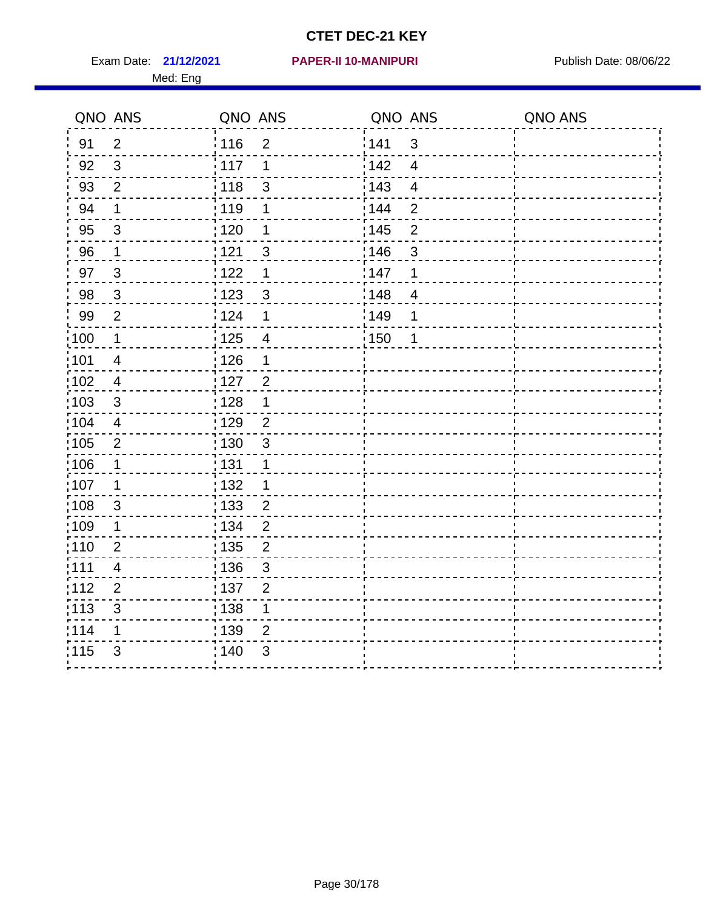Med: Eng

#### **21/12/2021 PAPER-II 10-MANIPURI** Exam Date: Publish Date: 08/06/22

|                   | QNO ANS                 | QNO ANS           |                         | QNO ANS           |                         | QNO ANS |
|-------------------|-------------------------|-------------------|-------------------------|-------------------|-------------------------|---------|
| 91                | $\overline{2}$          | :116              | $\overline{2}$          | 141               | 3                       |         |
| 92                | 3                       | 117               | 1                       | 142               | $\overline{4}$          |         |
| 93                | $\overline{2}$          | 118               | $\mathbf{3}$            | 143               | $\overline{\mathbf{4}}$ |         |
| 94                | $\mathbf 1$             | : 119             | $\mathbf 1$             | 144               | $\overline{2}$          |         |
| 95                | $\mathbf{3}$            | $\frac{1}{1}$ 120 | 1                       | : 145             | $\overline{2}$          |         |
| 96                | $\mathbf 1$             | 121               | $\sqrt{3}$              | 146               | 3                       |         |
| 97                | $\mathbf{3}$            | 122               | 1                       | 147               | 1                       |         |
| 98                | $\mathbf{3}$            | 123               | $\sqrt{3}$              | $\frac{1}{2}$ 148 | $\overline{4}$          |         |
| 99                | $\overline{2}$          | 124               | 1                       | 149               | 1                       |         |
| $\frac{1}{1}$ 100 | $\mathbf 1$             | 125               | $\overline{\mathbf{4}}$ | 150               | 1                       |         |
| :101              | $\overline{\mathbf{4}}$ | 126               | $\mathbf 1$             |                   |                         |         |
| :102              | $\overline{\mathbf{4}}$ | : 127             | $\overline{2}$          |                   |                         |         |
| $\frac{1}{1}$ 103 | 3                       | : 128             | 1                       |                   |                         |         |
| 104               | $\overline{4}$          | : 129             | $\overline{2}$          |                   |                         |         |
| $\frac{1}{1}$ 105 | $\boldsymbol{2}$        | 130               | $\sqrt{3}$              |                   |                         |         |
| 106               | $\mathbf 1$             | : 131             | $\mathbf 1$             |                   |                         |         |
| :107              | 1                       | :132              | 1                       |                   |                         |         |
| 108               | 3                       | 133               | $\overline{c}$          |                   |                         |         |
| $\frac{1}{1}$ 109 | $\mathbf 1$             | : 134             | $\overline{2}$          |                   |                         |         |
| : 110             | $\overline{2}$          | : 135             | $\overline{2}$          |                   |                         |         |
| :111              | 4                       | : 136             | $\mathfrak{S}$          |                   |                         |         |
| 112               | $\overline{2}$          | : 137             | $\overline{2}$          |                   |                         |         |
| : 113             | $\mathfrak{S}$          | : 138             | $\mathbf 1$             |                   |                         |         |
| 114               | 1                       | 139               | $\overline{2}$          |                   |                         |         |
| 115               | 3                       | 140               | 3                       |                   |                         |         |
|                   |                         |                   |                         |                   |                         |         |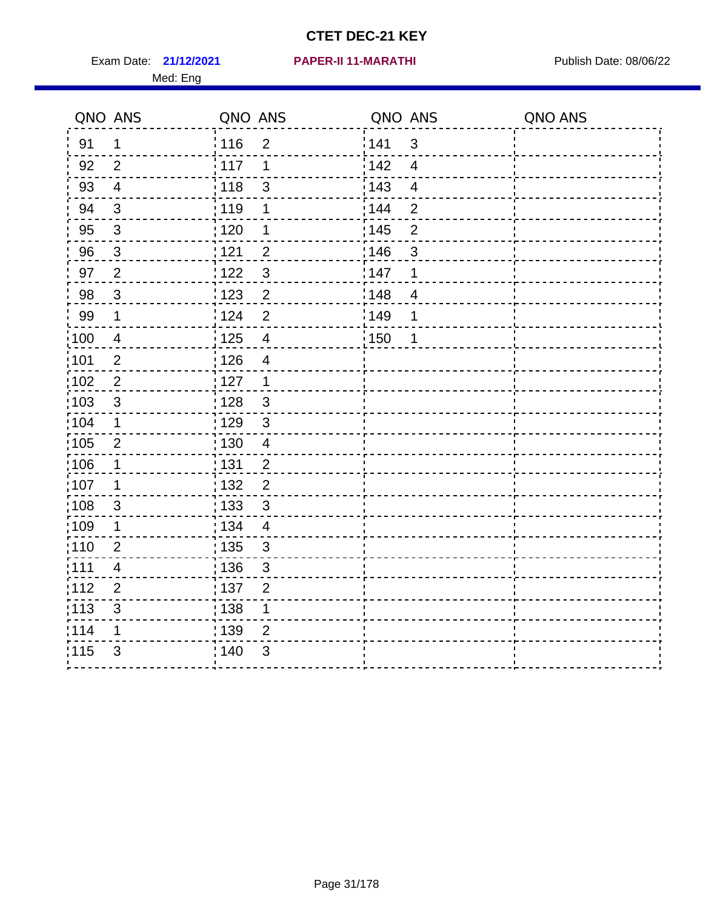Exam Date: 21/12/2021 **PAPER-II 11-MARATHI** 2008/22 Publish Date: 08/06/22 Med: Eng

#### **21/12/2021 PAPER-II 11-MARATHI**

|                   | QNO ANS                  | QNO ANS           |                          | QNO ANS |                         | QNO ANS |
|-------------------|--------------------------|-------------------|--------------------------|---------|-------------------------|---------|
| 91                | $\mathbf 1$              | : 116             | $\overline{2}$           | 141     | $\mathbf{3}$            |         |
| 92                | 2                        | : 117             | 1                        | 142     | $\overline{4}$          |         |
| 93                | $\overline{\mathcal{A}}$ | 118               | $\mathsf 3$              | 143     | $\overline{\mathbf{4}}$ |         |
| 94                | $\mathbf{3}$             | : 119             | 1                        | 144     | $\overline{2}$          |         |
| 95                | $\sqrt{3}$               | : 120             | 1                        | : 145   | $\mathbf 2$             |         |
| 96                | $\mathfrak{S}$           | 121               | $\overline{2}$           | 146     | 3                       |         |
| 97                | $\overline{2}$           | 122               | $\mathfrak{S}$           | 147     | $\mathbf 1$             |         |
| 98                | $\mathbf{3}$             | 123               | $\overline{2}$           | 148     | $\overline{4}$          |         |
| 99                | $\mathbf 1$              | : 124             | $\mathbf 2$              | 149     | 1                       |         |
| 100               | $\overline{4}$           | $\frac{1}{1}$ 125 | $\overline{\mathbf{4}}$  | : 150   | 1                       |         |
| 101               | $\mathbf{2}$             | 126               | $\overline{\mathcal{A}}$ |         |                         |         |
| 102               | $\overline{2}$           | : 127             | $\overline{1}$           |         |                         |         |
| 103               | 3                        | : 128             | $\mathbf{3}$             |         |                         |         |
| 104               | $\mathbf 1$              | : 129             | $\mathbf{3}$             |         |                         |         |
| $\frac{1}{1}$ 105 | $\mathbf{2}$             | : 130             | $\overline{4}$           |         |                         |         |
| 106               | $\mathbf 1$              | : 131             | $\overline{2}$           |         |                         |         |
| :107              | 1                        | : 132             | $\overline{2}$           |         |                         |         |
| 108               | $\mathbf{3}$             | 133               | $\mathbf{3}$             |         |                         |         |
| :109              | $\mathbf 1$              | : 134             | $\overline{4}$           |         |                         |         |
| : 110             | $\overline{2}$           | : 135             | $\mathfrak{B}$           |         |                         |         |
| :111              | 4                        | : 136             | $\sqrt{3}$               |         |                         |         |
| 112               | $\overline{2}$           | : 137             | $\overline{2}$           |         |                         |         |
| : 113             | $\mathfrak{S}$           | : 138             | $\mathbf 1$              |         |                         |         |
| 114               | 1                        | 139               | $\overline{2}$           |         |                         |         |
| 115               | 3                        | 140               | 3                        |         |                         |         |
|                   |                          |                   |                          |         |                         |         |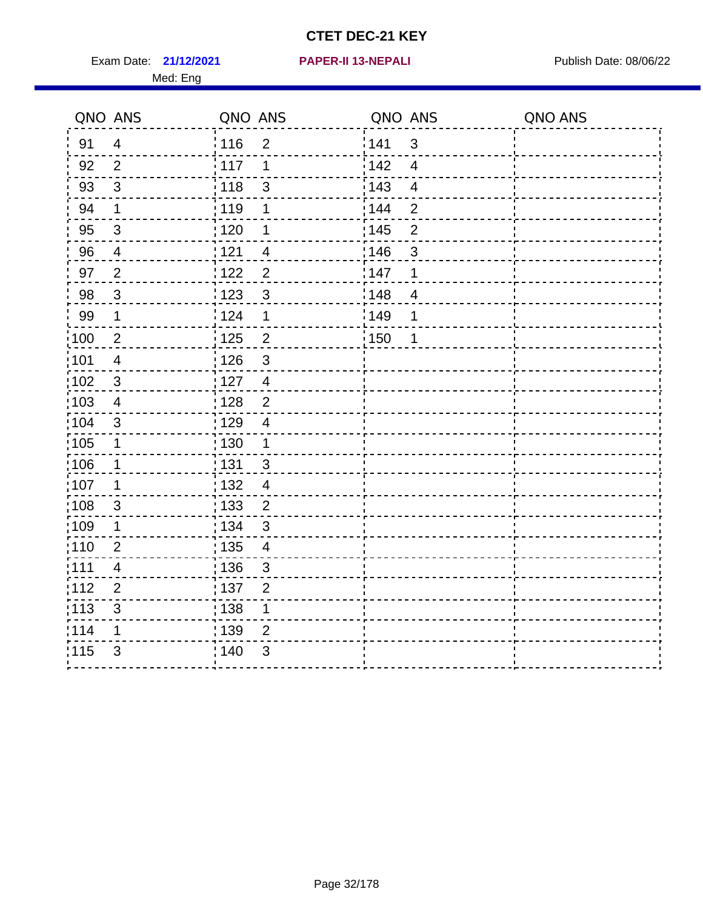Exam Date: 21/12/2021 **PAPER-II 13-NEPALI Exam Date: 08/06/22** Med: Eng

#### **21/12/2021 PAPER-II 13-NEPALI**

|                   | QNO ANS                 | QNO ANS           |                         | QNO ANS |                | QNO ANS |
|-------------------|-------------------------|-------------------|-------------------------|---------|----------------|---------|
| 91                | $\overline{4}$          | 116               | 2                       | 141     | 3              |         |
| 92                | $\overline{2}$          | 117               | 1                       | 142     | $\overline{4}$ |         |
| 93                | $\mathbf{3}$            | $\frac{1}{2}$ 118 | $\mathfrak{3}$          | 143     | $\overline{4}$ |         |
| 94                | 1                       | 119               | 1                       | 144     | $\overline{2}$ |         |
| 95                | $\sqrt{3}$              | : 120             | 1                       | : 145   | $\overline{2}$ |         |
| 96                | $\overline{4}$          | 121               | $\overline{4}$          | 146     | 3              |         |
| 97                | $\overline{2}$          | :122              | $\overline{2}$          | 147     | 1              |         |
| 98                | $\mathbf{3}$            | 123               | 3                       | : 148   | $\overline{4}$ |         |
| 99                | $\mathbf 1$             | 124               | $\mathbf 1$             | 1149    | 1              |         |
| $\frac{1}{2}100$  | $\overline{c}$          | 125               | $\mathbf 2$             | 150     | 1              |         |
| 101               | $\overline{\mathbf{4}}$ | : 126             | $\mathfrak{S}$          |         |                |         |
| 102               | $\sqrt{3}$              | : 127             | $\overline{4}$          |         |                |         |
| 103               | 4                       | : 128             | $\overline{2}$          |         |                |         |
| :104              | 3                       | : 129             | 4                       |         |                |         |
| $\frac{1}{1}$ 105 | $\mathbf 1$             | : 130             | $\mathbf{1}$            |         |                |         |
| 106               | $\mathbf 1$             | : 131             | $\mathfrak{3}$          |         |                |         |
| 107               | $\mathbf 1$             | :132              | $\overline{4}$          |         |                |         |
| :108              | $\mathbf{3}$            | 133               | $\overline{2}$          |         |                |         |
| :109              | 1                       | : 134             | $\mathfrak{3}$          |         |                |         |
| 110               | $\overline{2}$          | : 135             | $\overline{\mathbf{4}}$ |         |                |         |
| :111              | 4                       | 136               | $\mathfrak{B}$          |         |                |         |
| 112               | $\overline{2}$          | :137              | $\overline{2}$          |         |                |         |
| :113              | $\mathfrak{S}$          | : 138             | $\mathbf 1$             |         |                |         |
| 114               | 1                       | : 139             | $\overline{2}$          |         |                |         |
| 115               | 3                       | ; 140             | 3                       |         |                |         |
|                   |                         |                   |                         |         |                |         |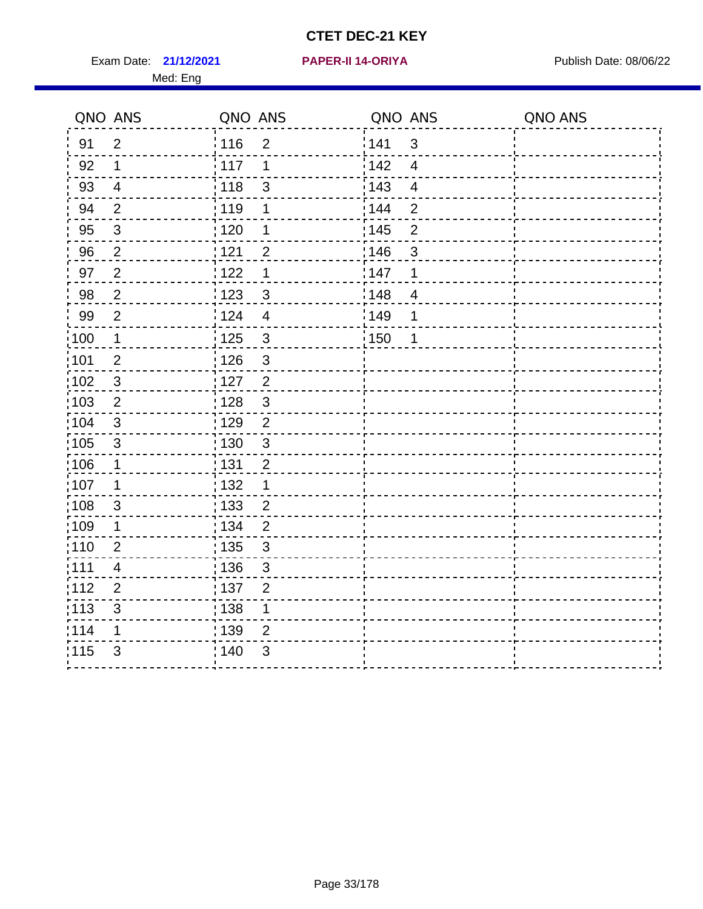Exam Date: 21/12/2021 PAPER-II 14-ORIYA Publish Date: 08/06/22 Med: Eng

#### **21/12/2021 PAPER-II 14-ORIYA**

|                   | QNO ANS        | QNO ANS           |                         | QNO ANS           |                | QNO ANS |
|-------------------|----------------|-------------------|-------------------------|-------------------|----------------|---------|
| 91                | $\overline{2}$ | : 116             | $\overline{2}$          | 141               | $\mathbf{3}$   |         |
| 92                | $\mathbf 1$    | 117               | 1                       | 142               | $\overline{4}$ |         |
| 93                | $\overline{4}$ | 118               | $\mathsf 3$             | 143               | $\overline{4}$ |         |
| 94                | $\overline{2}$ | : 119             | 1                       | 144               | $\overline{2}$ |         |
| 95                | $\mathfrak{S}$ | : 120             | 1                       | : 145             | $\mathbf 2$    |         |
| 96                | $\overline{2}$ | 121               | $\overline{2}$          | 146               | $\mathfrak{S}$ |         |
| 97                | $\overline{2}$ | 122               | 1                       | 147               | 1              |         |
| 98                | $\overline{2}$ | 123               | $\sqrt{3}$              | $\frac{1}{2}$ 148 | $\overline{4}$ |         |
| 99                | $\overline{2}$ | 124               | $\overline{\mathbf{4}}$ | 149               | 1              |         |
| $\frac{1}{1}$ 100 | $\mathbf 1$    | 125               | $\sqrt{3}$              | 150               | 1              |         |
| :101              | $\overline{2}$ | 126               | $\mathbf{3}$            |                   |                |         |
| $\frac{1}{1}$ 102 | $\sqrt{3}$     | : 127             | $\overline{2}$          |                   |                |         |
| :103              | 2              | : 128             | $\mathbf{3}$            |                   |                |         |
| 104               | 3              | : 129             | $\overline{2}$          |                   |                |         |
| :105              | $\sqrt{3}$     | $\frac{1}{1}$ 130 | $\mathbf{3}$            |                   |                |         |
| 106               | $\mathbf 1$    | : 131             | $\overline{2}$          |                   |                |         |
| 107               | 1              | : 132             | 1                       |                   |                |         |
| :108              | $\mathbf{3}$   | : 133             | $\overline{2}$          |                   |                |         |
| :109              | $\mathbf 1$    | : 134             | $\overline{2}$          |                   |                |         |
| :110              | $\overline{2}$ | : 135             | $\mathfrak{S}$          |                   |                |         |
| :111              | 4              | : 136             | 3                       |                   |                |         |
| 112               | $\overline{2}$ | :137              | $\overline{2}$          |                   |                |         |
| $\frac{1}{1}$ 113 | 3              | : 138             | $\mathbf 1$             |                   |                |         |
| 114               | 1              | : 139             | $\overline{2}$          |                   |                |         |
| 115               | $\mathfrak{S}$ | : 140             | 3                       |                   |                |         |
|                   |                |                   |                         |                   |                |         |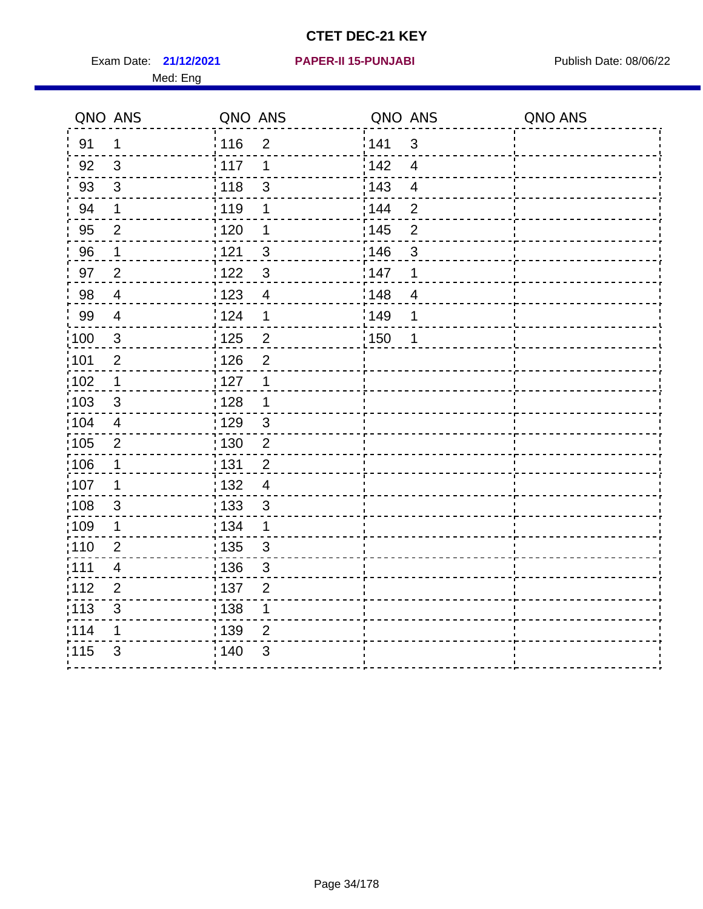Exam Date: 21/12/2021 **PAPER-II 15-PUNJABI** Publish Date: 08/06/22 Med: Eng

#### **21/12/2021 PAPER-II 15-PUNJABI**

| QNO ANS           |                | QNO ANS           |                | QNO ANS           |                         | QNO ANS |
|-------------------|----------------|-------------------|----------------|-------------------|-------------------------|---------|
| 91                | $\mathbf 1$    | 116               | $\overline{2}$ | 141               | $\mathbf{3}$            |         |
| 92                | 3              | 117               | 1              | 142               | $\overline{4}$          |         |
| 93                | $\mathfrak{S}$ | 118               | $\mathsf 3$    | 143               | $\overline{\mathbf{4}}$ |         |
| 94                | $\mathbf 1$    | : 119             | 1              | 144               | $\overline{2}$          |         |
| 95                | $\overline{2}$ | : 120             | 1              | : 145             | $\mathbf 2$             |         |
| 96                | 1              | 121               | $\mathfrak{B}$ | 146               | 3                       |         |
| 97                | $\overline{2}$ | 122               | $\mathbf{3}$   | 147               | 1                       |         |
| 98                | $\overline{4}$ | 123               | $\overline{4}$ | 148               | $\overline{4}$          |         |
| 99                | $\overline{4}$ | 1124              | $\mathbf 1$    | 149               | 1                       |         |
| 100               | $\sqrt{3}$     | $\frac{1}{1}$ 125 | $\overline{2}$ | $\frac{1}{1}$ 150 | 1                       |         |
| 101               | $\overline{2}$ | 126               | $\overline{2}$ |                   |                         |         |
| 102               | $\mathbf 1$    | 127               | 1              |                   |                         |         |
| 103               | 3              | : 128             | $\mathbf 1$    |                   |                         |         |
| $\frac{1}{104}$   | $\overline{4}$ | : 129             | $\mathbf{3}$   |                   |                         |         |
| 105               | $\sqrt{2}$     | : 130             | $\sqrt{2}$     |                   |                         |         |
| 106               | $\mathbf 1$    | : 131             | $\overline{2}$ |                   |                         |         |
| 107               | 1              | : 132             | $\overline{4}$ |                   |                         |         |
| $\frac{1}{1}$ 108 | $\sqrt{3}$     | : 133             | $\mathfrak{3}$ |                   |                         |         |
| :109              | 1              | : 134             | $\mathbf 1$    |                   |                         |         |
| :110              | $\overline{2}$ | : 135             | $\mathfrak{B}$ |                   |                         |         |
| : 111             | 4              | : 136             | $\mathfrak{S}$ |                   |                         |         |
| 112               | $\overline{2}$ | : 137             | $\overline{2}$ |                   |                         |         |
| : 113             | $\mathsf 3$    | : 138             | 1              |                   |                         |         |
| 114               | 1              | : 139             | $\overline{2}$ |                   |                         |         |
| 115               | 3              | 140               | 3              |                   |                         |         |
|                   |                |                   |                |                   |                         |         |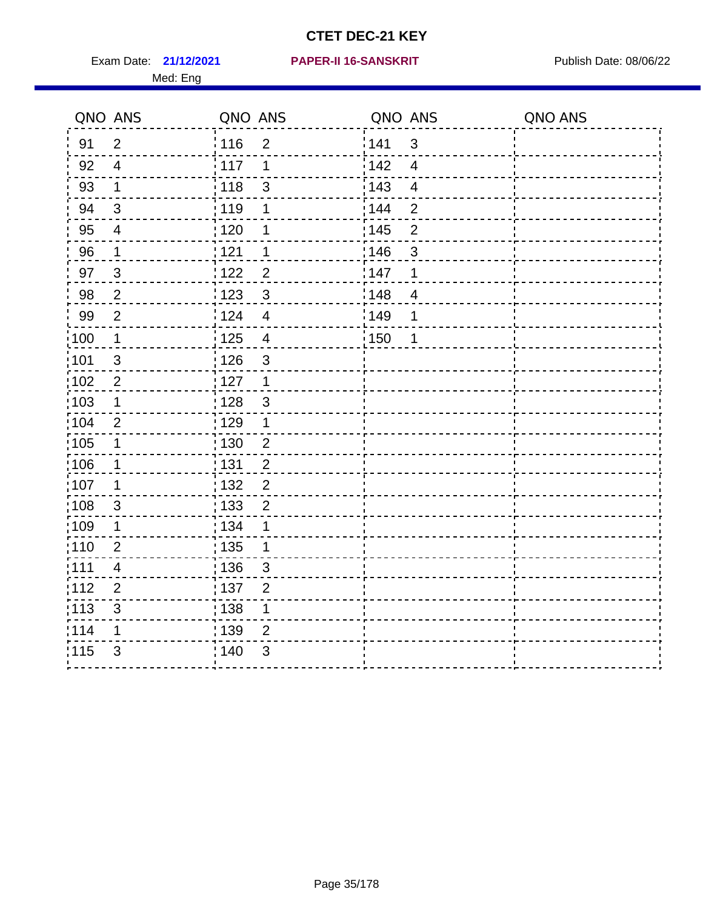Med: Eng

#### **21/12/2021 PAPER-II 16-SANSKRIT** Exam Date: Publish Date: 08/06/22

|                   | QNO ANS                  | QNO ANS           |                         | QNO ANS |                         | QNO ANS |
|-------------------|--------------------------|-------------------|-------------------------|---------|-------------------------|---------|
| 91                | $\overline{2}$           | : 116             | $\overline{2}$          | 141     | $\mathbf{3}$            |         |
| 92                | $\overline{4}$           | 117               | 1                       | 142     | $\overline{4}$          |         |
| 93                | $\mathbf 1$              | 118               | $\mathsf 3$             | 143     | $\overline{\mathbf{4}}$ |         |
| 94                | $\mathfrak{S}$           | :119              | 1                       | 144     | $\overline{2}$          |         |
| 95                | $\overline{\mathcal{A}}$ | : 120             | 1                       | : 145   | $\mathbf 2$             |         |
| 96                | 1                        | 121               | 1                       | 146     | 3                       |         |
| 97                | $\mathfrak{S}$           | 122               | $\overline{2}$          | 147     | $\mathbf 1$             |         |
| 98                | $\overline{2}$           | 1123              | $\sqrt{3}$              | 148     | $\overline{4}$          |         |
| 99                | $\overline{2}$           | 124               | $\overline{\mathbf{4}}$ | 149     | 1                       |         |
| 100               | $\mathbf 1$              | 125               | $\overline{\mathbf{4}}$ | 150     | 1                       |         |
| 101               | $\sqrt{3}$               | 126               | $\mathfrak{S}$          |         |                         |         |
| $\frac{1}{1}$ 102 | $\overline{2}$           | 127               | $\overline{1}$          |         |                         |         |
| 103               | 1                        | : 128             | $\mathbf{3}$            |         |                         |         |
| 104               | $\overline{2}$           | : 129             | $\mathbf 1$             |         |                         |         |
| $\frac{1}{1}$ 105 | $\mathbf 1$              | $\frac{1}{1}$ 130 | $\overline{2}$          |         |                         |         |
| 106               | $\mathbf 1$              | : 131             | $\overline{2}$          |         |                         |         |
| :107              | 1                        | : 132             | $\overline{2}$          |         |                         |         |
| 108               | $\mathbf{3}$             | : 133             | $\overline{2}$          |         |                         |         |
| :109              | $\mathbf 1$              | : 134             | 1                       |         |                         |         |
| : 110             | $\overline{2}$           | : 135             | 1                       |         |                         |         |
| :111              | 4                        | : 136             | $\sqrt{3}$              |         |                         |         |
| 112               | $\overline{2}$           | : 137             | $\overline{2}$          |         |                         |         |
| : 113             | $\mathfrak{S}$           | 138               | $\mathbf 1$             |         |                         |         |
| 114               | 1                        | 139               | $\overline{2}$          |         |                         |         |
| 115               | 3                        | 140               | 3                       |         |                         |         |
|                   |                          |                   |                         |         |                         |         |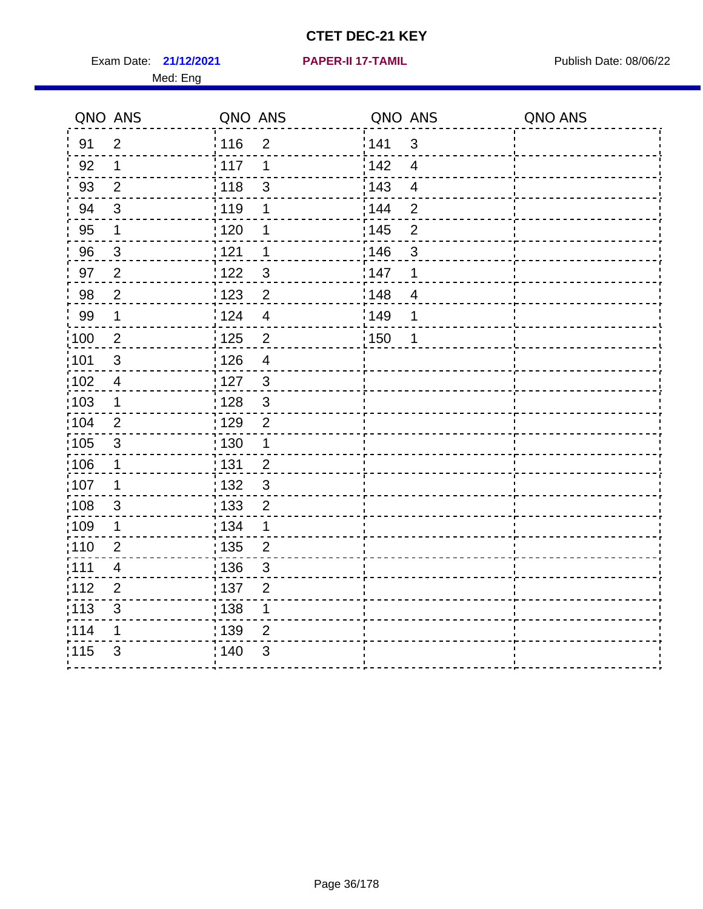**21/12/2021 PAPER-II 17-TAMIL** Exam Date: Publish Date: 08/06/22

|  |  |  | PAPER-II 17-TAMIL |  |
|--|--|--|-------------------|--|
|  |  |  |                   |  |

| QNO ANS                  |                                                                                                          |                                                                                                                 |                                                                                                                  |                                                 | QNO ANS |
|--------------------------|----------------------------------------------------------------------------------------------------------|-----------------------------------------------------------------------------------------------------------------|------------------------------------------------------------------------------------------------------------------|-------------------------------------------------|---------|
| $\overline{2}$           | 116                                                                                                      | $\overline{2}$                                                                                                  |                                                                                                                  | 3                                               |         |
| 1                        |                                                                                                          | 1                                                                                                               | 142                                                                                                              | $\overline{4}$                                  |         |
| 2                        | 118                                                                                                      | 3                                                                                                               | 143                                                                                                              | $\overline{4}$                                  |         |
| $\sqrt{3}$               | 119                                                                                                      | 1                                                                                                               | 144                                                                                                              | $\mathbf{2}$                                    |         |
| 1                        | 120                                                                                                      | 1                                                                                                               |                                                                                                                  | $\overline{2}$                                  |         |
| $\mathbf{3}$             | 121                                                                                                      | $\mathbf 1$                                                                                                     |                                                                                                                  | $\sqrt{3}$                                      |         |
| $\overline{2}$           |                                                                                                          | $\mathbf{3}$                                                                                                    |                                                                                                                  | 1                                               |         |
| $\overline{2}$           | : 123                                                                                                    | $\overline{2}$                                                                                                  |                                                                                                                  | $\overline{\mathcal{A}}$                        |         |
| 1                        | i 124                                                                                                    | $\overline{4}$                                                                                                  |                                                                                                                  | 1                                               |         |
| $\overline{2}$           | $\frac{1}{2}$ 125                                                                                        | $\overline{2}$                                                                                                  |                                                                                                                  | $\mathbf 1$                                     |         |
| $\mathbf{3}$             | 126                                                                                                      | $\overline{4}$                                                                                                  |                                                                                                                  |                                                 |         |
| $\overline{\mathcal{A}}$ | 127                                                                                                      | $\sqrt{3}$                                                                                                      |                                                                                                                  |                                                 |         |
| $\mathbf 1$              | 128                                                                                                      | $\mathfrak{S}$                                                                                                  |                                                                                                                  |                                                 |         |
| $\overline{2}$           |                                                                                                          | $\overline{2}$                                                                                                  |                                                                                                                  |                                                 |         |
| $\mathfrak{S}$           |                                                                                                          | 1                                                                                                               |                                                                                                                  |                                                 |         |
| 1                        |                                                                                                          | $\overline{2}$                                                                                                  |                                                                                                                  |                                                 |         |
| 1                        |                                                                                                          |                                                                                                                 |                                                                                                                  |                                                 |         |
|                          |                                                                                                          |                                                                                                                 |                                                                                                                  |                                                 |         |
|                          |                                                                                                          | 1                                                                                                               |                                                                                                                  |                                                 |         |
|                          |                                                                                                          |                                                                                                                 |                                                                                                                  |                                                 |         |
|                          |                                                                                                          |                                                                                                                 |                                                                                                                  |                                                 |         |
|                          |                                                                                                          |                                                                                                                 |                                                                                                                  |                                                 |         |
|                          |                                                                                                          |                                                                                                                 |                                                                                                                  |                                                 |         |
|                          |                                                                                                          |                                                                                                                 |                                                                                                                  |                                                 |         |
|                          |                                                                                                          |                                                                                                                 |                                                                                                                  |                                                 |         |
|                          | $\mathsf 3$<br>$\mathbf 1$<br>$\overline{2}$<br>4<br>$\mathbf{2}$<br>$\ensuremath{\mathsf{3}}$<br>1<br>3 | : 117<br>122<br>: 129<br>: 130<br>: 131<br>: 132<br>: 133<br>: 134<br>135<br>: 136<br>:137<br>138<br>139<br>140 | QNO ANS<br>$\mathfrak{S}$<br>$\overline{c}$<br>$\overline{2}$<br>3<br>$\overline{2}$<br>1<br>$\overline{2}$<br>3 | 141<br>: 145<br>146<br>147<br>148<br>149<br>150 | QNO ANS |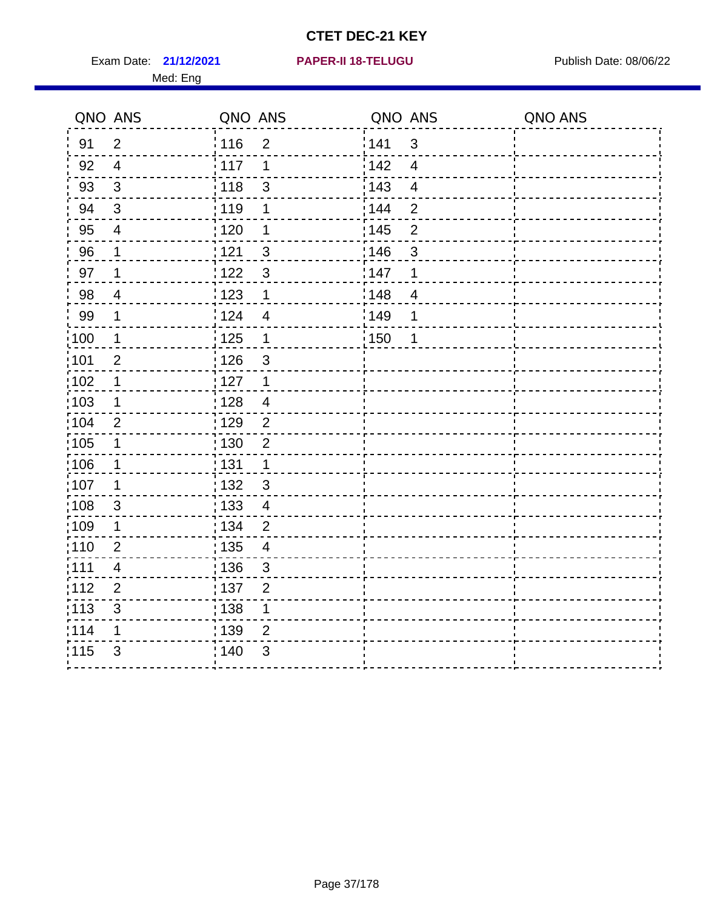Exam Date: **21/12/2021 PAPER-II 18-TELUGU Exam Date: 08/06/22** 

#### **21/12/2021 PAPER-II 18-TELUGU**

|                   | QNO ANS                   | QNO ANS          |                          | QNO ANS |                | QNO ANS |
|-------------------|---------------------------|------------------|--------------------------|---------|----------------|---------|
| 91                | $\overline{2}$            | <sup>'</sup> 116 | $\overline{2}$           | 141     | 3              |         |
| 92                | $\overline{4}$            | 117              | 1                        | 142     | $\overline{4}$ |         |
| 93                | 3                         | : 118            | $\mathbf{3}$             | : 143   | $\overline{4}$ |         |
| 94                | $\sqrt{3}$                | : 119            | 1                        | : 144   | $\overline{2}$ |         |
| 95                | 4                         | : 120            | 1                        | : 145   | $\overline{2}$ |         |
| 96                | 1                         | 121              | $\mathbf{3}$             | 146     | $\mathfrak{S}$ |         |
| 97                | 1                         | 1122             | $\mathbf{3}$             | 147     | 1              |         |
| 98                | 4                         | : 123            | $\mathbf 1$              | 148     | $\overline{4}$ |         |
| 99                | 1                         | 124              | 4                        | 149     | 1              |         |
| 100               | 1                         | : 125            | $\mathbf 1$              | :150    | 1              |         |
| $\frac{1}{1}$ 101 | $\overline{2}$            | : 126            | 3                        |         |                |         |
| 102               | 1                         | 127              | $\mathbf 1$              |         |                |         |
| 103               | 1                         | 128              | $\overline{\mathcal{A}}$ |         |                |         |
| 104               | $\overline{2}$            | : 129            | $\overline{2}$           |         |                |         |
| 105               |                           | :130             | $\overline{2}$           |         |                |         |
| 106               | 1                         | : 131            | 1                        |         |                |         |
| :107              | 1                         | : 132            | $\mathbf{3}$             |         |                |         |
| 108               | $\ensuremath{\mathsf{3}}$ | : 133            | $\overline{4}$           |         |                |         |
| 109               | 1                         | : 134            | $\overline{2}$           |         |                |         |
| :110              | $\overline{2}$            | : 135            | 4                        |         |                |         |
| :111              | 4                         | : 136            | $\mathfrak{S}$           |         |                |         |
| 112               | $\overline{2}$            | : 137            | $\overline{2}$           |         |                |         |
| 113               | $\ensuremath{\mathsf{3}}$ | 138              | 1                        |         |                |         |
| 114               | 1                         | : 139            | $\overline{2}$           |         |                |         |
| 115               | 3                         | 140              | 3                        |         |                |         |
|                   |                           |                  |                          |         |                |         |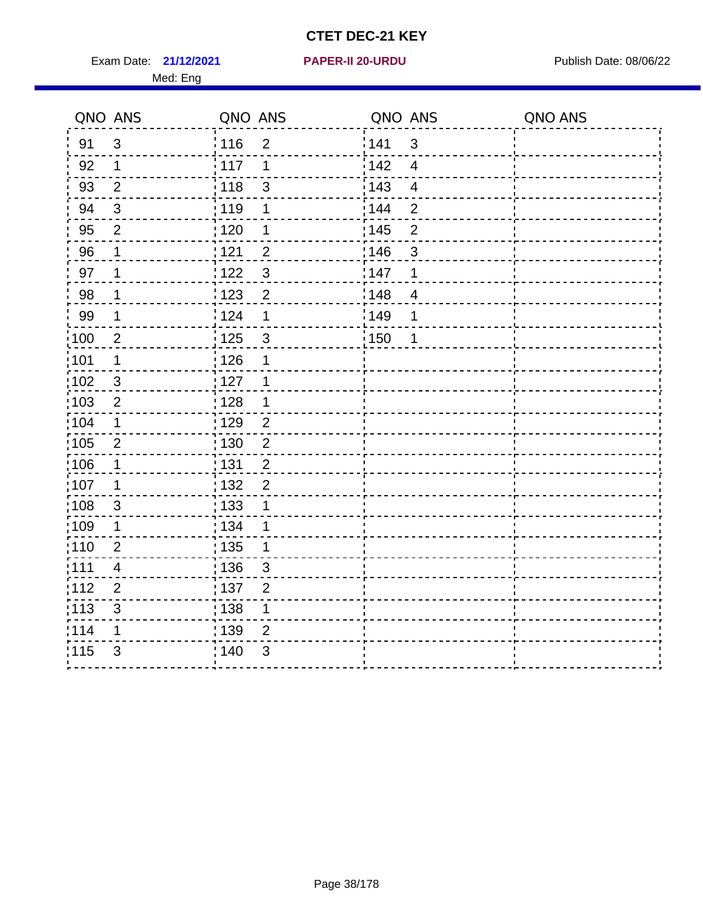Exam Date: **21/12/2021 PAPER-II 20-URDU Exam Date: 08/06/22** Med: Eng

#### **21/12/2021 PAPER-II 20-URDU**

| QNO ANS        |                                                  |                                                                                                                                            |                                                                                                                                         |                                                     | QNO ANS |
|----------------|--------------------------------------------------|--------------------------------------------------------------------------------------------------------------------------------------------|-----------------------------------------------------------------------------------------------------------------------------------------|-----------------------------------------------------|---------|
| $\mathfrak{S}$ | : 116                                            | $\overline{2}$                                                                                                                             |                                                                                                                                         | $\mathfrak{S}$                                      |         |
| $\mathbf 1$    | 117                                              | 1                                                                                                                                          | 142                                                                                                                                     | $\overline{4}$                                      |         |
| $\overline{2}$ | 118                                              | $\mathbf{3}$                                                                                                                               | 143                                                                                                                                     | $\overline{4}$                                      |         |
| $\sqrt{3}$     | 119                                              | 1                                                                                                                                          | 144                                                                                                                                     | $\overline{2}$                                      |         |
| $\overline{2}$ |                                                  | 1                                                                                                                                          |                                                                                                                                         | $\mathbf 2$                                         |         |
| 1              |                                                  |                                                                                                                                            |                                                                                                                                         | 3                                                   |         |
| 1              |                                                  |                                                                                                                                            |                                                                                                                                         | 1                                                   |         |
| 1              |                                                  | $\overline{2}$                                                                                                                             |                                                                                                                                         | $\overline{4}$                                      |         |
| $\mathbf 1$    |                                                  | 1                                                                                                                                          |                                                                                                                                         | 1                                                   |         |
| $\overline{c}$ | : 125                                            | $\mathfrak{S}$                                                                                                                             |                                                                                                                                         | 1                                                   |         |
| $\mathbf 1$    |                                                  | 1                                                                                                                                          |                                                                                                                                         |                                                     |         |
| $\sqrt{3}$     | : 127                                            | 1                                                                                                                                          |                                                                                                                                         |                                                     |         |
| $\overline{2}$ |                                                  | 1                                                                                                                                          |                                                                                                                                         |                                                     |         |
| 1              |                                                  | $\overline{2}$                                                                                                                             |                                                                                                                                         |                                                     |         |
| $\overline{2}$ |                                                  |                                                                                                                                            |                                                                                                                                         |                                                     |         |
| $\mathbf 1$    | : 131                                            |                                                                                                                                            |                                                                                                                                         |                                                     |         |
| 1              |                                                  |                                                                                                                                            |                                                                                                                                         |                                                     |         |
| $\mathfrak{S}$ | : 133                                            | 1                                                                                                                                          |                                                                                                                                         |                                                     |         |
| 1              |                                                  | 1                                                                                                                                          |                                                                                                                                         |                                                     |         |
|                |                                                  | 1                                                                                                                                          |                                                                                                                                         |                                                     |         |
| 4              |                                                  | 3                                                                                                                                          |                                                                                                                                         |                                                     |         |
|                |                                                  |                                                                                                                                            |                                                                                                                                         |                                                     |         |
|                |                                                  |                                                                                                                                            |                                                                                                                                         |                                                     |         |
| 1              |                                                  | $\overline{2}$                                                                                                                             |                                                                                                                                         |                                                     |         |
|                |                                                  |                                                                                                                                            |                                                                                                                                         |                                                     |         |
|                | $\mathbf 2$<br>$\overline{2}$<br>$\sqrt{3}$<br>3 | : 120<br>121<br>122<br>123<br>: 124<br>: 126<br>: 128<br>: 129<br>130<br>: 132<br>: 134<br>: 135<br>: 136<br>:137<br>138<br>: 139<br>; 140 | QNO ANS<br>$\overline{2}$<br>$\mathfrak{3}$<br>$\overline{2}$<br>$\overline{2}$<br>$\overline{2}$<br>$\overline{2}$<br>$\mathbf 1$<br>3 | 141<br>: 145<br>:146<br>147<br>148<br>:149<br>: 150 | QNO ANS |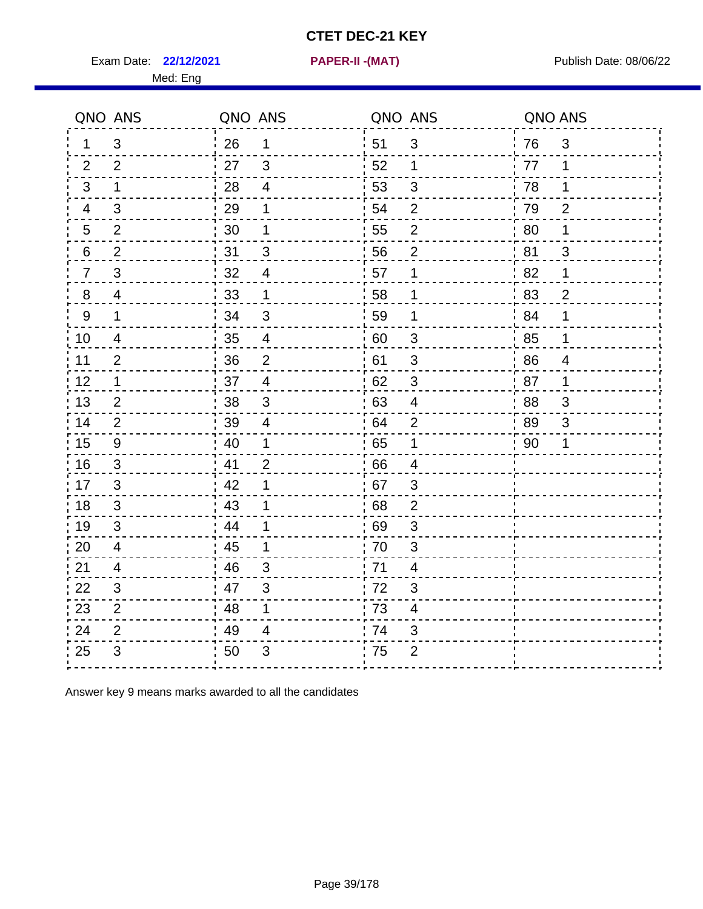Exam Date: 22/12/2021 **PAPER-II - (MAT)** PARE Exam Date: 08/06/22

Med: Eng

**22/12/2021 PAPER-II -(MAT)**

|                | QNO ANS        | QNO ANS |                | QNO ANS          |                         | QNO ANS          |                |
|----------------|----------------|---------|----------------|------------------|-------------------------|------------------|----------------|
| 1.             | 3              | 26      | $\mathbf{1}$   | ່ 51             | 3                       | 76               | $\mathfrak{S}$ |
| 2              | 2              | 27      | $\mathbf{3}$   | 52               | 1                       | 77               | 1              |
| 3              | $\mathbf 1$    | 28      | $\overline{4}$ | 53               | 3                       | 78               | 1              |
| 4              | 3              | 29      | 1              | 54               | $\overline{2}$          | 79               | $\overline{2}$ |
| 5              | $\overline{2}$ | 30      | 1              | 55               | $\overline{c}$          | 80               | 1              |
| 6              | $\overline{2}$ | 31      | 3              | 56               | 2                       | 81               | 3              |
| $\overline{7}$ | 3              | 32      | $\overline{4}$ | 57               | 1                       | 82               | 1              |
| 8              | 4              | 33      | $\mathbf 1$    | 58               | $\mathbf 1$             | 83               | $\overline{2}$ |
| 9              | $\mathbf{1}$   | 34      | $\sqrt{3}$     | 59               | 1                       | $\frac{1}{2}$ 84 | 1              |
| 10             | 4              | 35      | $\overline{4}$ | 60               | $\sqrt{3}$              | 85               | 1              |
| 11             | $\overline{2}$ | 36      | $\overline{2}$ | 61               | $\sqrt{3}$              | 86               | $\overline{4}$ |
| 12             | $\mathbf 1$    | 37      | $\overline{4}$ | 62               | $\sqrt{3}$              | 87               | 1              |
| 13             | 2              | 38      | 3              | 63               | $\overline{4}$          | 88               | 3              |
| 14             | 2              | 39      | 4              | 64               | 2                       | 89               | 3              |
| 15             | 9              | 40      | 1              | 65               | $\mathbf 1$             | 90               | 1              |
| 16             | 3              | 41      | $\overline{2}$ | 66               | $\overline{4}$          |                  |                |
| 17             | 3              | 42      | 1              | 67               | 3                       |                  |                |
| 18             | 3              | 43      | 1              | 68               | $\mathbf{2}$            |                  |                |
| 19             | $\mathfrak{S}$ | 44      | 1              | .69              | 3                       |                  |                |
| 20             | $\overline{4}$ | 45      | 1              | 70               | $\mathfrak{B}$          |                  |                |
| 21             | 4              | 46      | 3              | 71               | 4                       |                  |                |
| 22             | 3              | 47      | 3              | 72               | 3                       |                  |                |
| 23             | $\overline{2}$ | 48      | 1              | $\frac{1}{2}$ 73 | $\overline{\mathbf{4}}$ |                  |                |
| 24             | $\overline{2}$ | 49      | 4              | 74               | 3                       |                  |                |
| 25             | 3              | 50      | $\mathfrak{B}$ | 75               | $\overline{2}$          |                  |                |

Answer key 9 means marks awarded to all the candidates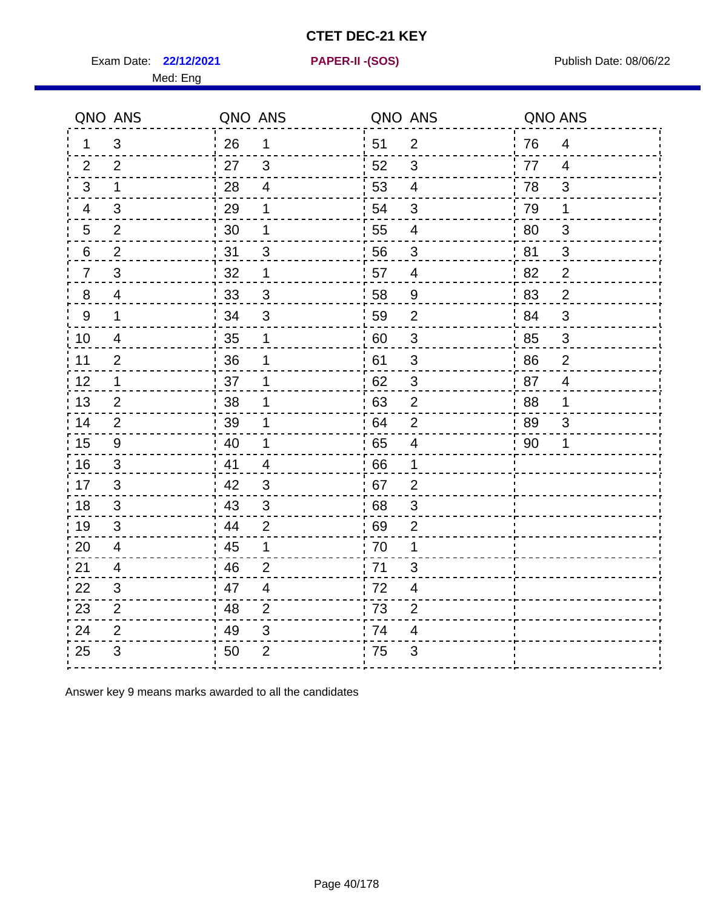Exam Date: 22/12/2021 **PAPER-II-(SOS)** PREXAMENT Publish Date: 08/06/22

Med: Eng

**22/12/2021 PAPER-II -(SOS)**

|                | QNO ANS                  | QNO ANS |                | QNO ANS          |                           | QNO ANS        |                |
|----------------|--------------------------|---------|----------------|------------------|---------------------------|----------------|----------------|
| 1.             | 3                        | 26      | 1              | 51               | $\overline{2}$            | 76             | 4              |
| 2              | 2                        | 27      | 3              | 52               | 3                         | 77             | $\overline{4}$ |
| 3              | 1                        | 28      | $\overline{4}$ | 53               | $\overline{4}$            | 78             | 3              |
| 4              | 3                        | 29      | 1              | 54               | 3                         | 79             | $\mathbf 1$    |
| 5              | $\overline{2}$           | 30      | 1              | 55               | 4                         | 80             | 3              |
| 6              | $\overline{2}$           | 31      | 3              | 56               | 3                         | 81             | 3              |
| $\overline{7}$ | 3                        | 32      | 1              | 57               | 4                         | $^{\prime}$ 82 | $\overline{2}$ |
| 8              | 4                        | 33      | 3              | 58               | 9                         | '83            | $\overline{2}$ |
| 9              | $\mathbf{1}$             | 34      | $\mathfrak{S}$ | 59               | $\overline{2}$            | 84             | $\mathbf{3}$   |
| 10             | 4                        | 35      | 1              | 60               | $\sqrt{3}$                | 85             | $\mathbf{3}$   |
| 11             | $\overline{2}$           | 36      | 1              | 61               | 3                         | 86             | $\overline{2}$ |
| 12             | 1                        | 37      |                | 62               | $\ensuremath{\mathsf{3}}$ | 87             | $\overline{4}$ |
| 13             | $\overline{2}$           | 38      | 1              | 63               | $\mathbf{2}$              | 88             | 1              |
| 14             | 2                        | 39      | 1              | 64               | $\overline{2}$            | -89            | 3              |
| 15             | 9                        | 40      | 1              | 65               | $\overline{4}$            | 90             | 1              |
| 16             | $\sqrt{3}$               | 41      | $\overline{4}$ | 66               | 1                         |                |                |
| 17             | 3                        | 42      | 3              | 67               | $\overline{2}$            |                |                |
| 18             | 3                        | 43      | 3              | 68               | 3                         |                |                |
| 19             | 3                        | 44      | $\overline{2}$ | 69               | $\overline{2}$            |                |                |
| 20             | $\overline{\mathcal{A}}$ | 45      | 1              | 70               | 1                         |                |                |
| 21             | 4                        | 46      | $\overline{2}$ | $\frac{1}{2}$ 71 | 3                         |                |                |
| 22             | 3                        | 47      | $\overline{4}$ | 72               | 4                         |                |                |
| 23             | 2                        | 48      | $\overline{2}$ | 73               | $\overline{2}$            |                |                |
| 24             | $\overline{2}$           | 49      | $\mathsf 3$    | 74               | 4                         |                |                |
| 25             | 3                        | 50      | $\overline{2}$ | .75              | 3                         |                |                |

Answer key 9 means marks awarded to all the candidates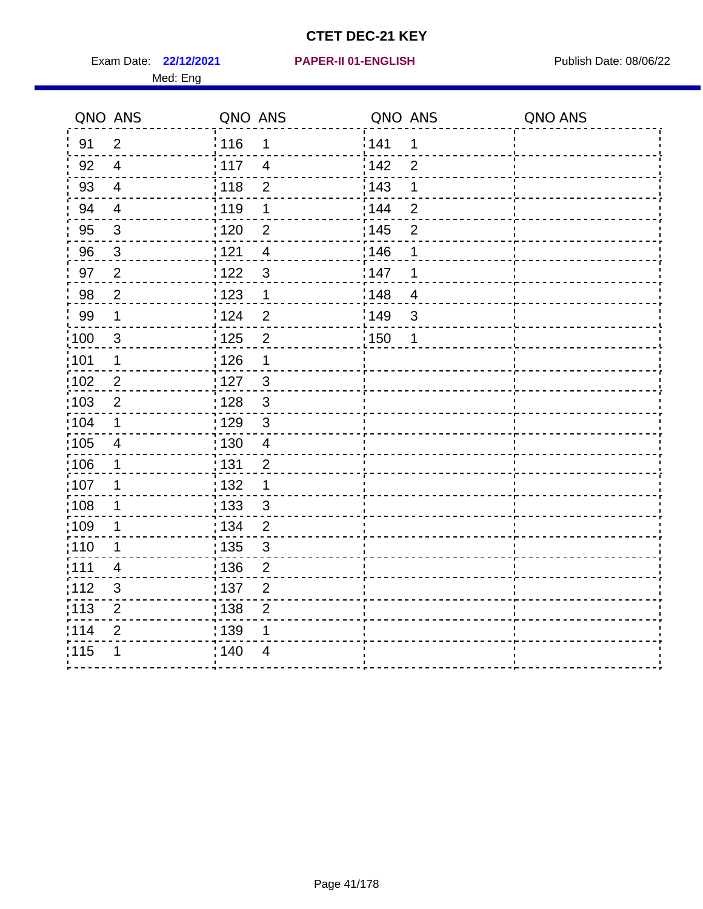Exam Date: 22/12/2021 **PAPER-II 01-ENGLISH Propriet Access 12/12/2021** Publish Date: 08/06/22 Med: Eng

#### **22/12/2021 PAPER-II 01-ENGLISH**

|                   | QNO ANS                 | QNO ANS           |                | QNO ANS           |                | QNO ANS |
|-------------------|-------------------------|-------------------|----------------|-------------------|----------------|---------|
| 91                | $\overline{2}$          | : 116             | 1              | 141               | 1              |         |
| 92                | $\overline{4}$          | : 117             | $\overline{4}$ | 142               | $\overline{2}$ |         |
| 93                | $\overline{\mathbf{4}}$ | 118               | $\overline{2}$ | 143               | $\mathbf 1$    |         |
| 94                | $\overline{4}$          | 119               | $\mathbf 1$    | 144               | $\overline{2}$ |         |
| 95                | $\sqrt{3}$              | $\frac{1}{1}$ 120 | $\overline{2}$ | : 145             | $\mathbf{2}$   |         |
| 96                | $\mathbf{3}$            | 121               | $\overline{4}$ | 146               | 1              |         |
| 97                | $\overline{2}$          | :122              | $\sqrt{3}$     | 147               | 1              |         |
| 98                | $\overline{2}$          | $\frac{1}{2}$ 123 | 1              | $\frac{1}{2}$ 148 | $\overline{4}$ |         |
| 99                | $\mathbf 1$             | 124               | $\overline{2}$ | 149               | $\sqrt{3}$     |         |
| $\frac{1}{1}$ 100 | $\mathbf{3}$            | 125               | $\overline{2}$ | 150               | 1              |         |
| :101              | $\mathbf 1$             | 126               | 1              |                   |                |         |
| :102              | $\overline{2}$          | : 127             | $\mathbf{3}$   |                   |                |         |
| 103               | $\overline{2}$          | : 128             | $\mathbf{3}$   |                   |                |         |
| 104               | $\mathbf 1$             | : 129             | 3              |                   |                |         |
| :105              | $\overline{\mathbf{4}}$ | 130               | $\overline{4}$ |                   |                |         |
| 106               | $\mathbf 1$             | : 131             | $\overline{2}$ |                   |                |         |
| :107              | 1                       | :132              | $\mathbf 1$    |                   |                |         |
| 108               | $\mathbf 1$             | 133               | $\mathfrak{3}$ |                   |                |         |
| :109              | $\mathbf 1$             | : 134             | $\overline{2}$ |                   |                |         |
| : 110             | 1                       | : 135             | $\sqrt{3}$     |                   |                |         |
| :111              | 4                       | : 136             | $\overline{2}$ |                   |                |         |
| 112               | $\sqrt{3}$              | : 137             | $\mathbf{2}$   |                   |                |         |
| : 113             | $\overline{2}$          | 138               | $\overline{2}$ |                   |                |         |
| 114               | $\overline{2}$          | : 139             | 1              |                   |                |         |
| 115               | 1                       | 140               | $\overline{4}$ |                   |                |         |
|                   |                         |                   |                |                   |                |         |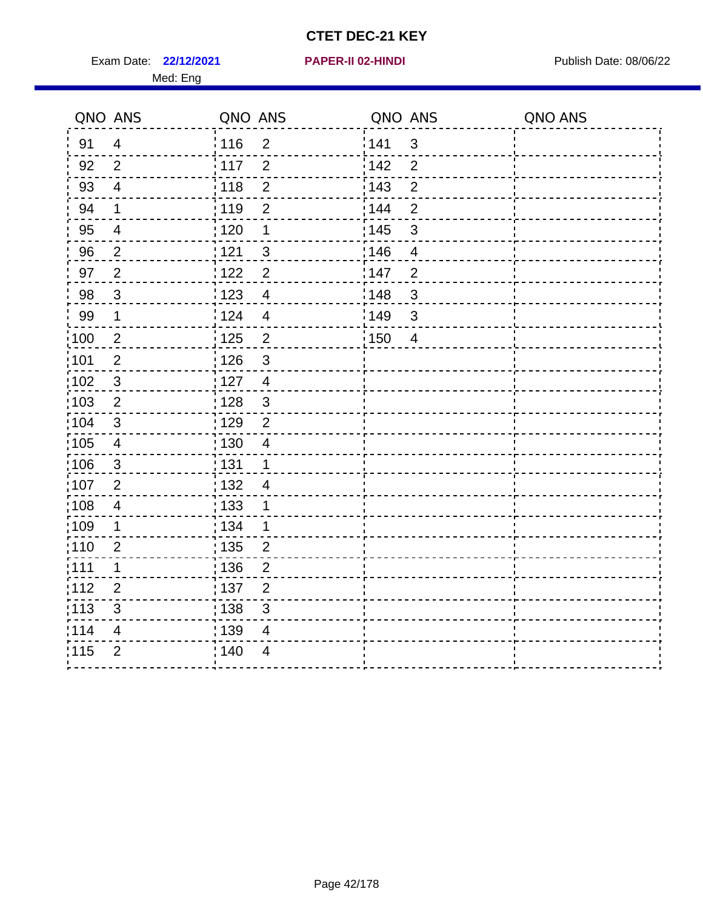Exam Date: 22/12/2021 **PAPER-II 02-HINDI Exam Date: 08/06/22** 

#### **22/12/2021 PAPER-II 02-HINDI**

|       | QNO ANS                   | QNO ANS           |                | QNO ANS          |                           | QNO ANS |
|-------|---------------------------|-------------------|----------------|------------------|---------------------------|---------|
| 91    | $\overline{4}$            | 116               | $\overline{2}$ | <sup>'</sup> 141 | 3                         |         |
| 92    | 2                         | : 117             | $\overline{2}$ | $\frac{1}{142}$  | $\overline{2}$            |         |
| 93    | $\overline{4}$            | 118               | $\overline{2}$ | : 143            | $\overline{2}$            |         |
| 94    | 1                         | 119               | $\mathbf{2}$   | : 144            | $\overline{2}$            |         |
| 95    | $\overline{4}$            | :120              | 1              | : 145            | $\ensuremath{\mathsf{3}}$ |         |
| 96    | $\overline{2}$            | $\frac{1}{1}$ 121 | $\overline{3}$ | 146              | $\overline{4}$            |         |
| 97    | $\overline{2}$            | 122               | $\overline{2}$ | 147              | $\overline{2}$            |         |
| 98    | 3                         | 123               | $\overline{4}$ | 148              | $\mathbf{3}$              |         |
| 99    | $\mathbf 1$               | i 124             | $\overline{4}$ | 149              | $\mathbf{3}$              |         |
| :100  | $\overline{2}$            | : 125             | $\overline{2}$ | 150              | $\overline{4}$            |         |
| :101  | $\overline{2}$            | : 126             | $\mathfrak{S}$ |                  |                           |         |
| 102   | $\sqrt{3}$                | : 127             | $\overline{4}$ |                  |                           |         |
| 103   | $\sqrt{2}$                | 128               | $\mathsf 3$    |                  |                           |         |
| 104   | $\ensuremath{\mathsf{3}}$ | : 129             | $\overline{2}$ |                  |                           |         |
| 105   | $\overline{\mathcal{A}}$  | 130               | 4              |                  |                           |         |
| 106   | $\mathfrak{S}$            | 131               | 1              |                  |                           |         |
| 107   | $\overline{2}$            | 132               | 4              |                  |                           |         |
| :108  | $\overline{4}$            | : 133             |                |                  |                           |         |
| :109  | 1                         | : 134             | 1              |                  |                           |         |
| :110  | $\overline{2}$            | : 135             | $\overline{2}$ |                  |                           |         |
| : 111 | 1                         | : 136             | $\overline{c}$ |                  |                           |         |
| 112   | $\overline{2}$            | 137               | $\overline{c}$ |                  |                           |         |
| : 113 | $\ensuremath{\mathsf{3}}$ | : 138             | $\mathsf 3$    |                  |                           |         |
| 114   | 4                         | : 139             | 4              |                  |                           |         |
| 115   | $\overline{2}$            | : 140             | 4              |                  |                           |         |
|       |                           |                   |                |                  |                           |         |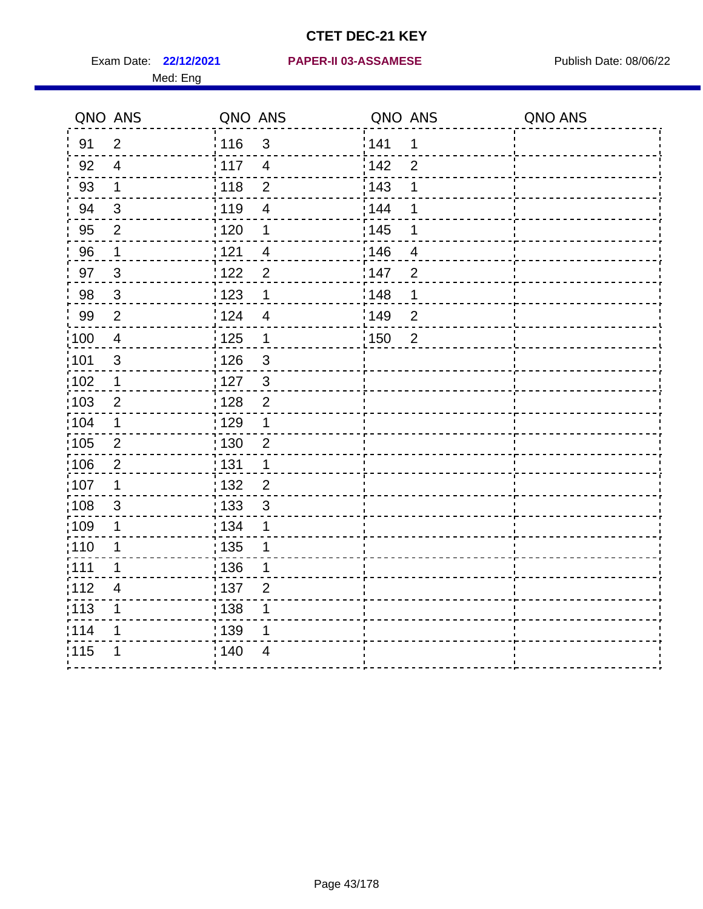|                   | QNO ANS        | QNO ANS           |                | QNO ANS           |                  | QNO ANS |
|-------------------|----------------|-------------------|----------------|-------------------|------------------|---------|
| 91                | $\overline{2}$ | : 116             | $\mathfrak{S}$ | 141               | 1                |         |
| 92                | $\overline{4}$ | 117               | $\overline{4}$ | 142               | $\overline{2}$   |         |
| 93                | $\mathbf 1$    | 118               | $\mathbf 2$    | 143               | 1                |         |
| 94                | $\mathfrak{B}$ | : 119             | $\overline{4}$ | 144               | 1                |         |
| 95                | $\overline{2}$ | : 120             | 1              | : 145             | 1                |         |
| 96                | 1              | 121               | 4              | :146              | 4                |         |
| 97                | $\mathbf{3}$   | 1122              | $\overline{2}$ | 147               | $\overline{2}$   |         |
| 98                | $\mathbf{3}$   | : 123             | 1              | :148              | 1                |         |
| 99                | $\mathbf{2}$   | 124               | $\overline{4}$ | 149               | $\boldsymbol{2}$ |         |
| 100               | $\overline{4}$ | $\frac{1}{1}$ 125 | $\mathbf 1$    | $\frac{1}{1}$ 150 | $\overline{2}$   |         |
| 101               | $\sqrt{3}$     | 126               | $\mathsf 3$    |                   |                  |         |
| 102               | $\mathbf 1$    | : 127             | $\mathbf{3}$   |                   |                  |         |
| :103              | $\overline{2}$ | : 128             | $\overline{2}$ |                   |                  |         |
| 104               | $\mathbf 1$    | : 129             | 1              |                   |                  |         |
| 105               | $\overline{2}$ | $\frac{1}{1}$ 130 | $\mathbf{2}$   |                   |                  |         |
| 106               | $\overline{2}$ | : 131             | 1              |                   |                  |         |
| :107              | 1              | : 132             | $\overline{2}$ |                   |                  |         |
| :108              | $\sqrt{3}$     | : 133             | $\sqrt{3}$     |                   |                  |         |
| :109              | 1              | : 134             | $\mathbf 1$    |                   |                  |         |
| :110              | 1              | 135               | 1              |                   |                  |         |
| : 111             | 1              | : 136             | 1              |                   |                  |         |
| 112               | 4              | : 137             | $\overline{2}$ |                   |                  |         |
| $\frac{1}{1}$ 113 | 1              | : 138             | 1              |                   |                  |         |
| 114               | 1              | 139               | 1              |                   |                  |         |
| 115               | 1              | 140               | $\overline{4}$ |                   |                  |         |
|                   |                |                   |                |                   |                  |         |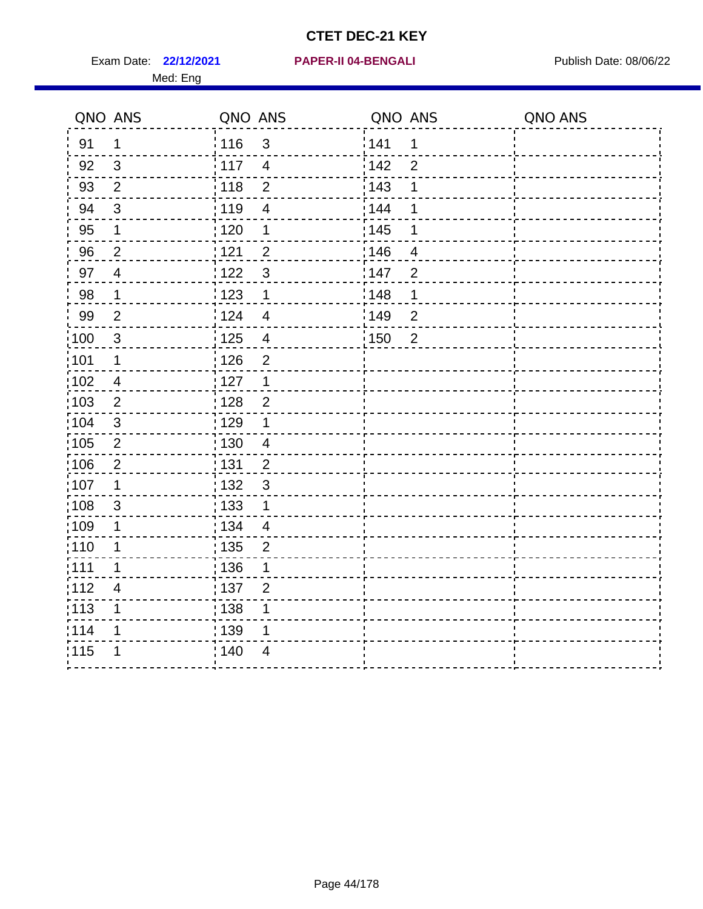Exam Date: 22/12/2021 **PAPER-II 04-BENGALI** PUBLISH Date: 08/06/22 Med: Eng

#### **22/12/2021 PAPER-II 04-BENGALI**

|                   | QNO ANS        | QNO ANS |                         | QNO ANS           |                | QNO ANS |
|-------------------|----------------|---------|-------------------------|-------------------|----------------|---------|
| 91                | $\mathbf 1$    | : 116   | $\mathfrak{S}$          | 141               | 1              |         |
| 92                | 3              | 117     | $\overline{4}$          | 142               | $\overline{2}$ |         |
| 93                | $\overline{2}$ | 118     | $\mathbf 2$             | 143               | 1              |         |
| 94                | $\mathbf{3}$   | 119     | $\overline{4}$          | 144               | 1              |         |
| 95                | 1              | : 120   | 1                       | : 145             | 1              |         |
| 96                | $\overline{2}$ | 121     | $\overline{2}$          | :146              | 4              |         |
| 97                | $\overline{4}$ | 122     | $\mathfrak{S}$          | 147               | $\overline{2}$ |         |
| 98                | $\mathbf 1$    | 123     | 1                       | 148               | 1              |         |
| 99                | $\overline{2}$ | 124     | $\overline{\mathbf{4}}$ | 149               | $\overline{2}$ |         |
| 100               | $\mathbf{3}$   | 125     | $\overline{\mathbf{4}}$ | $\frac{1}{1}$ 150 | $\overline{2}$ |         |
| 101               | $\mathbf 1$    | 126     | $\overline{2}$          |                   |                |         |
| 102               | $\overline{4}$ | : 127   | $\mathbf{1}$            |                   |                |         |
| 103               | $\overline{2}$ | : 128   | $\overline{2}$          |                   |                |         |
| $\frac{1}{1}$ 104 | $\mathbf{3}$   | : 129   | 1                       |                   |                |         |
| $\frac{1}{1}$ 105 | $\sqrt{2}$     | : 130   | $\overline{4}$          |                   |                |         |
| 106               | $\overline{2}$ | : 131   | $\overline{2}$          |                   |                |         |
| :107              | $\mathbf 1$    | : 132   | $\mathbf{3}$            |                   |                |         |
| 108               | $\sqrt{3}$     | : 133   | $\mathbf 1$             |                   |                |         |
| :109              | $\mathbf 1$    | : 134   | $\overline{4}$          |                   |                |         |
| :110              | 1              | : 135   | $\overline{2}$          |                   |                |         |
| : 111             | 1              | 136     | 1                       |                   |                |         |
| 112               | $\overline{4}$ | : 137   | $\overline{2}$          |                   |                |         |
| : 113             | 1              | : 138   | 1                       |                   |                |         |
| 114               | 1              | 139     | 1                       |                   |                |         |
| 115               | 1              | 140     | $\overline{4}$          |                   |                |         |
|                   |                |         |                         |                   |                |         |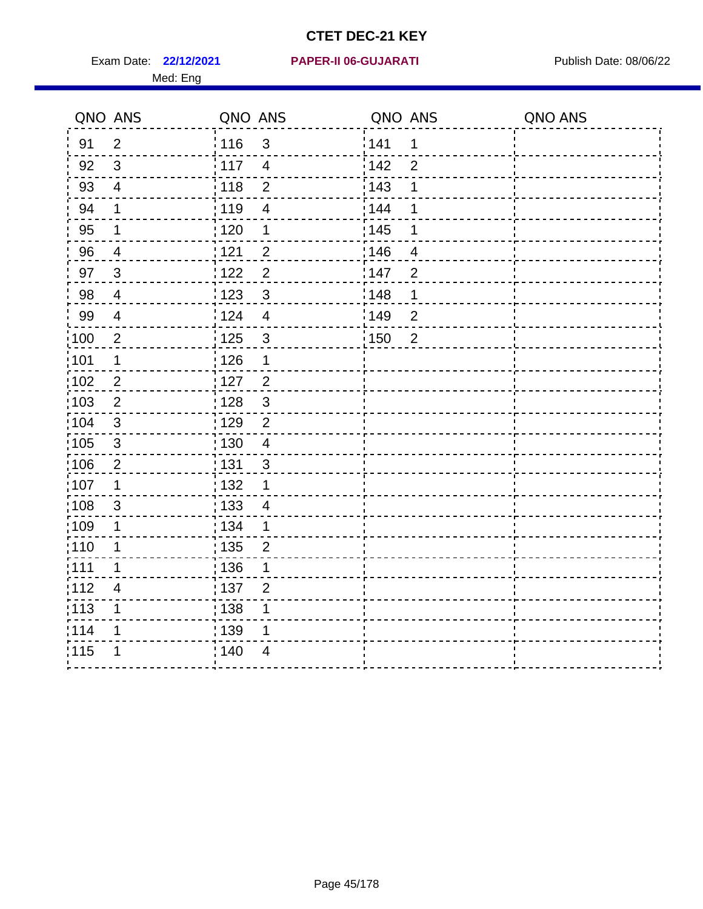Med: Eng

#### **22/12/2021 PAPER-II 06-GUJARATI** Exam Date: Publish Date: 08/06/22

|                   | QNO ANS                  | QNO ANS           |                         | QNO ANS           |                | QNO ANS |
|-------------------|--------------------------|-------------------|-------------------------|-------------------|----------------|---------|
| 91                | $\overline{2}$           | : 116             | $\mathfrak{S}$          | 141               | $\mathbf 1$    |         |
| 92                | 3                        | 117               | $\overline{4}$          | 142               | $\overline{2}$ |         |
| 93                | $\overline{\mathcal{A}}$ | 118               | $\mathbf 2$             | 143               | 1              |         |
| 94                | 1                        | : 119             | $\overline{4}$          | 144               | 1              |         |
| 95                | 1                        | : 120             | 1                       | : 145             | 1              |         |
| 96                | $\overline{4}$           | 121               | $\mathbf{2}$            | 146               | $\overline{4}$ |         |
| 97                | $\mathbf{3}$             | 122               | $\overline{2}$          | 147               | $\overline{2}$ |         |
| 98                | $\overline{4}$           | $\frac{1}{2}$ 123 | $\mathfrak{S}$          | : 148             | 1              |         |
| 99                | $\overline{4}$           | 1124              | $\overline{\mathbf{4}}$ | 149               | $\overline{2}$ |         |
| 100               | $\boldsymbol{2}$         | $\frac{1}{1}$ 125 | $\mathsf 3$             | $\frac{1}{1}$ 150 | $\overline{2}$ |         |
| 101               | $\mathbf 1$              | 126               | $\mathbf 1$             |                   |                |         |
| 102               | $\overline{2}$           | : 127             | $\overline{2}$          |                   |                |         |
| 103               | 2                        | : 128             | $\mathbf{3}$            |                   |                |         |
| 104               | 3                        | : 129             | $\overline{2}$          |                   |                |         |
| :105              | $\sqrt{3}$               | $\frac{1}{1}$ 130 | $\overline{4}$          |                   |                |         |
| 106               | $\overline{2}$           | : 131             | $\mathbf{3}$            |                   |                |         |
| :107              | 1                        | :132              | $\mathbf 1$             |                   |                |         |
| 108               | 3                        | : 133             | $\overline{4}$          |                   |                |         |
| 109               | $\mathbf 1$              | : 134             | $\mathbf{1}$            |                   |                |         |
| : 110             | 1                        | : 135             | $\overline{2}$          |                   |                |         |
| : 111             | 1                        | : 136             | 1                       |                   |                |         |
| 112               | $\overline{4}$           | : 137             | $\overline{2}$          |                   |                |         |
| $\frac{1}{1}$ 113 | 1                        | : 138             | 1                       |                   |                |         |
| 114               | 1                        | : 139             | 1                       |                   |                |         |
| 115               | 1                        | : 140             | $\overline{4}$          |                   |                |         |
|                   |                          |                   |                         |                   |                |         |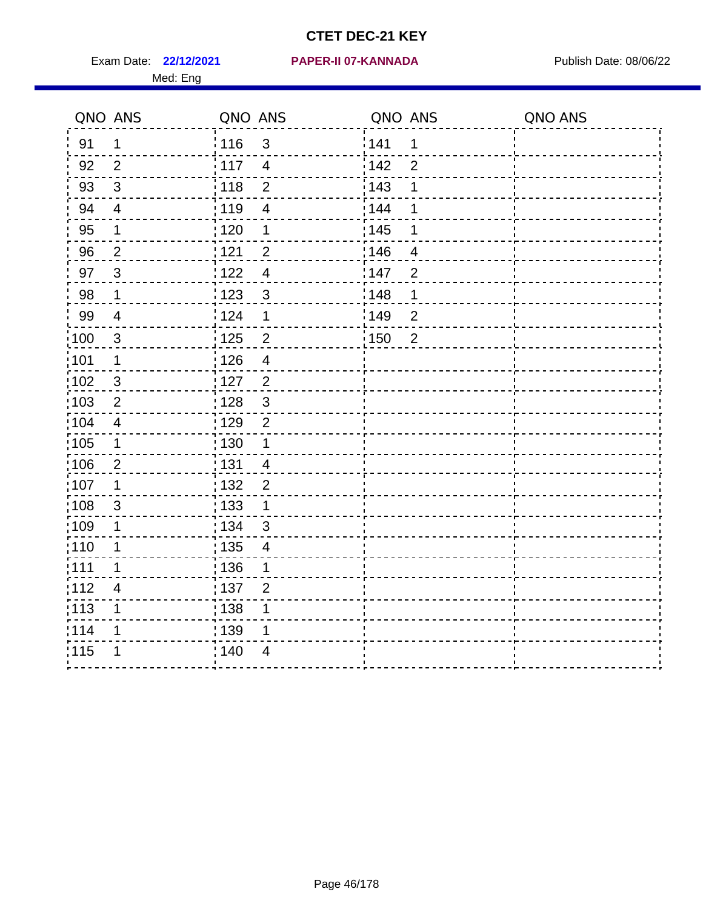Med: Eng

#### **22/12/2021 PAPER-II 07-KANNADA** Exam Date: Publish Date: 08/06/22

| QNO ANS           |                          | QNO ANS         |                          | QNO ANS |                | QNO ANS |
|-------------------|--------------------------|-----------------|--------------------------|---------|----------------|---------|
| 91                | $\mathbf 1$              | $\frac{1}{116}$ | $\mathbf{3}$             | 141     | 1              |         |
| 92                | 2                        | 117             | $\overline{4}$           | 142     | $\overline{2}$ |         |
| 93                | $\mathfrak{S}$           | 118             | $\overline{2}$           | 143     | 1              |         |
| 94                | $\overline{4}$           | 119             | $\overline{4}$           | 144     | 1              |         |
| 95                | $\mathbf 1$              | : 120           | 1                        | : 145   | 1              |         |
| 96                | $\overline{2}$           | 1121            | $\overline{2}$           | 146     | $\overline{4}$ |         |
| 97                | $\mathbf{3}$             | 122             | $\overline{4}$           | 147     | $\overline{2}$ |         |
| 98                | $\mathbf 1$              | ¦ 123           | $\mathbf{3}$             | 148     | 1              |         |
| 99                | $\overline{\mathcal{A}}$ | 124             | $\mathbf 1$              | 149     | $\overline{2}$ |         |
| 100               | $\sqrt{3}$               | 125             | $\overline{2}$           | 150     | $\overline{2}$ |         |
| 101               | $\mathbf 1$              | : 126           | $\overline{\mathcal{A}}$ |         |                |         |
| $\frac{1}{1}$ 102 | $\mathfrak{S}$           | : 127           | $\overline{2}$           |         |                |         |
| :103              | 2                        | : 128           | $\mathbf{3}$             |         |                |         |
| 104               | $\overline{4}$           | : 129           | $\overline{2}$           |         |                |         |
| 105               | $\mathbf 1$              | 130             | $\mathbf{1}$             |         |                |         |
| :106              | $\overline{2}$           | : 131           | $\overline{4}$           |         |                |         |
| 107               | 1                        | : 132           | $\overline{2}$           |         |                |         |
| 108               | $\sqrt{3}$               | : 133           | $\mathbf 1$              |         |                |         |
| :109              | 1                        | : 134           | 3                        |         |                |         |
| : 110             | 1                        | : 135           | 4                        |         |                |         |
| :111              | 1                        | : 136           | 1                        |         |                |         |
| 112               | $\overline{\mathbf{4}}$  | : 137           | $\overline{2}$           |         |                |         |
| $\frac{1}{1}$ 113 | 1                        | : 138           | 1                        |         |                |         |
| 114               | 1                        | 139             | 1                        |         |                |         |
| 115               | 1                        | 140             | 4                        |         |                |         |
|                   |                          |                 |                          |         |                |         |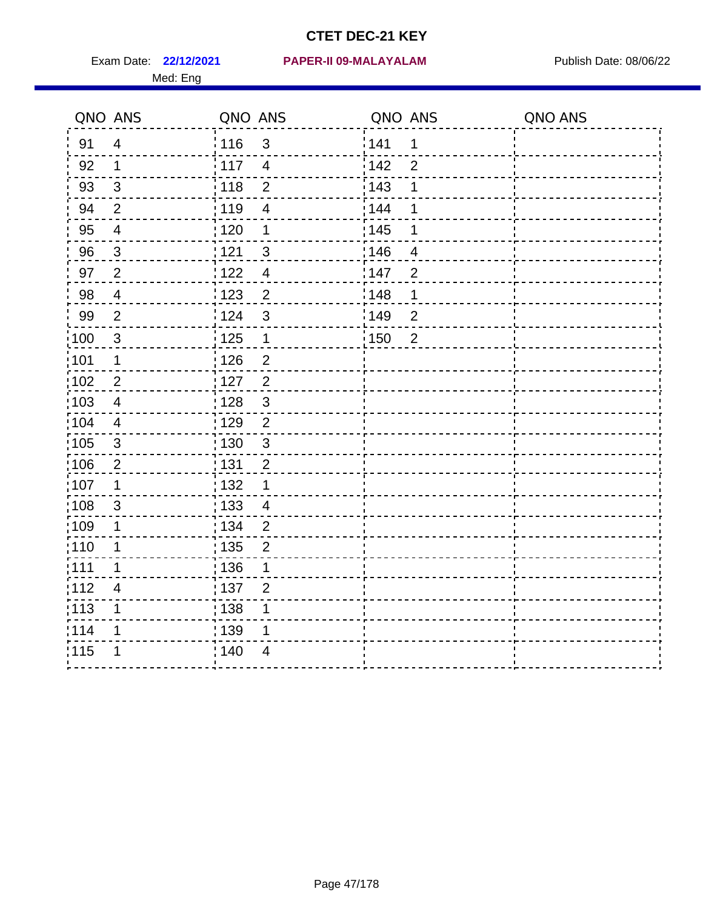| QNO ANS           |                         | QNO ANS           |                         | QNO ANS           |                | QNO ANS |
|-------------------|-------------------------|-------------------|-------------------------|-------------------|----------------|---------|
| 91                | $\overline{\mathbf{4}}$ | : 116             | $\mathfrak{S}$          | 141               | 1              |         |
| 92                | 1                       | 117               | $\overline{\mathbf{4}}$ | 142               | $\overline{2}$ |         |
| 93                | $\sqrt{3}$              | 118               | $\overline{2}$          | 143               | 1              |         |
| 94                | $\overline{2}$          | : 119             | $\overline{4}$          | : 144             | 1              |         |
| 95                | $\overline{\mathbf{4}}$ | : 120             | 1                       | $\frac{1}{1}$ 145 | 1              |         |
| 96                | 3                       | 121               | 3                       | :146              | 4              |         |
| 97                | $\overline{2}$          | 1122              | $\overline{\mathbf{4}}$ | 147               | $\overline{2}$ |         |
| 98                | $\overline{4}$          | $\frac{1}{2}$ 123 | $\overline{2}$          | 148               | $\mathbf 1$    |         |
| 99                | $\overline{2}$          | 124               | 3                       | $\frac{1}{2}$ 149 | $\overline{2}$ |         |
| $\frac{1}{1}$ 100 | $\mathbf{3}$            | $\frac{1}{1}$ 125 | $\mathbf 1$             | : 150             | $\overline{2}$ |         |
| 101               | $\mathbf 1$             | 126               | $\overline{2}$          |                   |                |         |
| :102              | $\overline{2}$          | : 127             | $\overline{c}$          |                   |                |         |
| 103               | 4                       | : 128             | 3                       |                   |                |         |
| 104               | $\overline{\mathbf{4}}$ | : 129             | $\overline{2}$          |                   |                |         |
| 105               | $\sqrt{3}$              | 130               | $\mathfrak{S}$          |                   |                |         |
| 106               | $\overline{2}$          | : 131             | $\overline{2}$          |                   |                |         |
| :107              | $\mathbf 1$             | : 132             | $\mathbf 1$             |                   |                |         |
| 108               | $\mathfrak{S}$          | : 133             | $\overline{4}$          |                   |                |         |
| :109              | 1                       | : 134             | $\overline{2}$          |                   |                |         |
| :110              | 1                       | : 135             | $\overline{2}$          |                   |                |         |
| 1111              | 1                       | :136              | 1                       |                   |                |         |
| 112               | $\overline{4}$          | : 137             | $\overline{2}$          |                   |                |         |
| : 113             | 1                       | : 138             | 1                       |                   |                |         |
| 114               | 1                       | : 139             | 1                       |                   |                |         |
| 115               | 1                       | ; 140             | 4                       |                   |                |         |
|                   |                         |                   |                         |                   |                |         |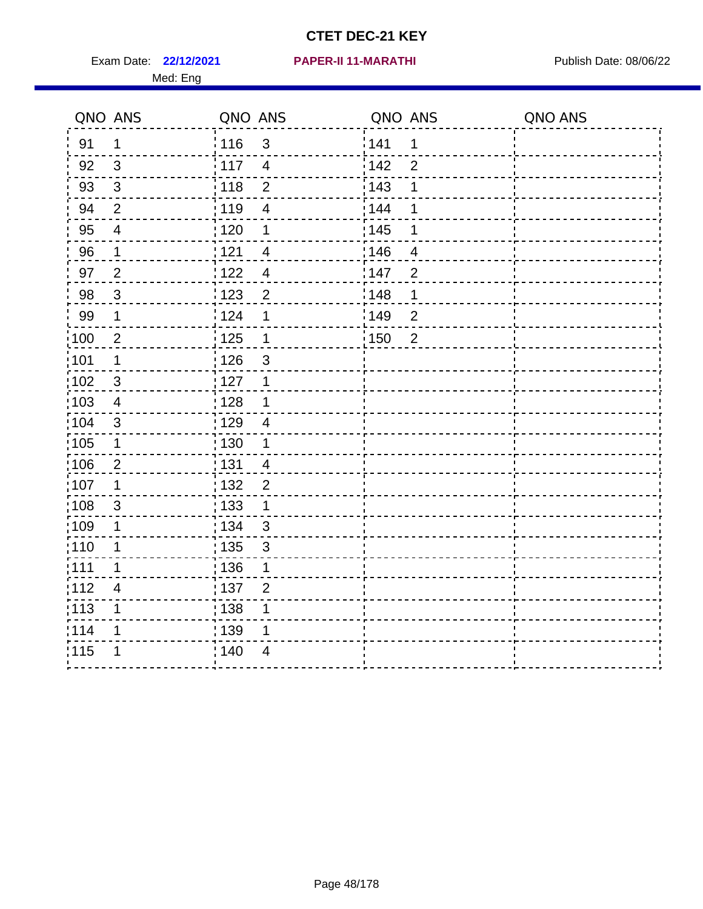Exam Date: 22/12/2021 **PAPER-II 11-MARATHI** Publish Date: 08/06/22 Med: Eng

#### **22/12/2021 PAPER-II 11-MARATHI**

|                   | QNO ANS                  | QNO ANS                        | QNO ANS           |                | QNO ANS |
|-------------------|--------------------------|--------------------------------|-------------------|----------------|---------|
| 91                | $\mathbf 1$              | :116<br>$\mathfrak{S}$         | 141               | 1              |         |
| 92                | $\mathbf{3}$             | 117<br>$\overline{4}$          | 142               | $\overline{2}$ |         |
| 93                | $\sqrt{3}$               | 118<br>$\overline{2}$          | 143               | 1              |         |
| 94                | $\overline{2}$           | : 119<br>$\overline{4}$        | 144               | 1              |         |
| 95                | $\overline{\mathcal{A}}$ | $\frac{1}{1}$ 120<br>1         | 145               | 1              |         |
| 96                | 1                        | 121<br>$\overline{4}$          | 146               | $\overline{4}$ |         |
| 97                | $\overline{2}$           | 122<br>$\overline{\mathbf{4}}$ | 147               | $\overline{2}$ |         |
| 98                | $\mathbf{3}$             | 123<br>$\overline{2}$          | $\frac{1}{2}$ 148 | $\mathbf 1$    |         |
| 99                | $\mathbf 1$              | 124<br>1                       | 149               | $\overline{2}$ |         |
| $\frac{1}{1}$ 100 | $\overline{2}$           | 125<br>$\mathbf 1$             | 150               | $\overline{2}$ |         |
| :101              | $\mathbf 1$              | 126<br>$\sqrt{3}$              |                   |                |         |
| $\frac{1}{1}$ 102 | $\mathbf{3}$             | : 127<br>1                     |                   |                |         |
| $\frac{1}{1}$ 103 | 4                        | : 128<br>1                     |                   |                |         |
| 104               | 3                        | : 129<br>4                     |                   |                |         |
| :105              | $\mathbf{1}$             | 130<br>$\mathbf 1$             |                   |                |         |
| 106               | $\overline{2}$           | : 131<br>$\overline{4}$        |                   |                |         |
| :107              | 1                        | :132<br>$\overline{2}$         |                   |                |         |
| 108               | 3                        | 133<br>$\mathbf 1$             |                   |                |         |
| :109              | $\mathbf 1$              | : 134<br>$\mathfrak{3}$        |                   |                |         |
| : 110             | 1                        | : 135<br>3                     |                   |                |         |
| :111              | 1                        | : 136<br>1                     |                   |                |         |
| 112               | $\overline{4}$           | : 137<br>$\overline{2}$        |                   |                |         |
| : 113             | 1                        | 138<br>1                       |                   |                |         |
| 114               | 1                        | 139<br>1                       |                   |                |         |
| 115               | 1                        | 140<br>$\overline{4}$          |                   |                |         |
|                   |                          |                                |                   |                |         |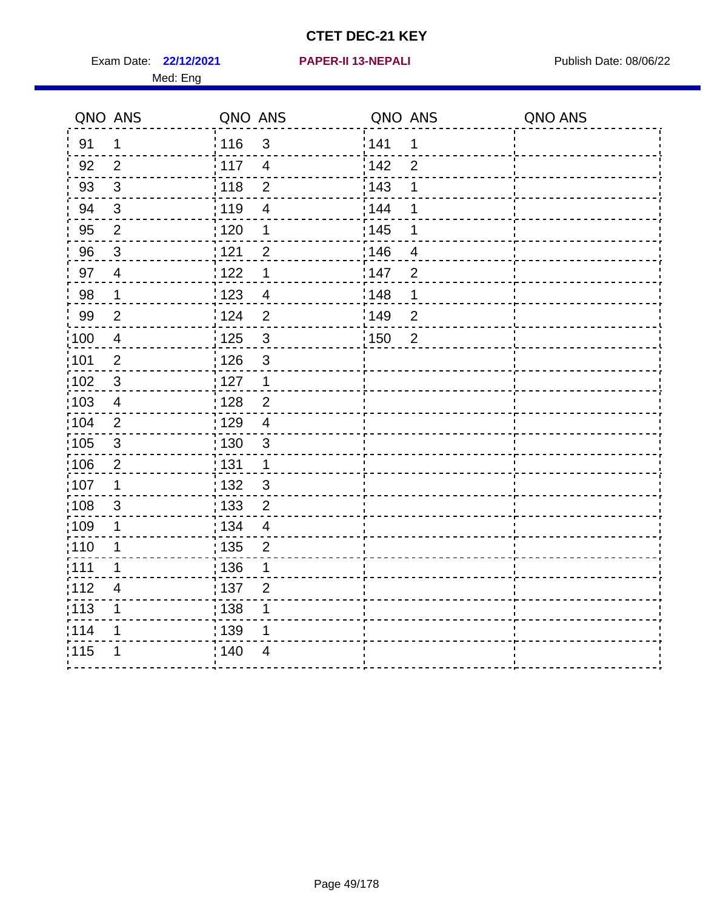Exam Date: 22/12/2021 **PAPER-II 13-NEPALI Exam Date: 08/06/22** Med: Eng

#### **22/12/2021 PAPER-II 13-NEPALI**

|                   | QNO ANS                 | QNO ANS                          | QNO ANS               | QNO ANS |
|-------------------|-------------------------|----------------------------------|-----------------------|---------|
| 91                | $\mathbf 1$             | : 116<br>$\mathfrak{S}$          | 141<br>1              |         |
| 92                | 2                       | : 117<br>$\overline{4}$          | 142<br>$\overline{2}$ |         |
| 93                | $\sqrt{3}$              | 118<br>$\overline{2}$            | 143<br>1              |         |
| 94                | $\mathbf{3}$            | : 119<br>$\overline{4}$          | 144<br>1              |         |
| 95                | $\sqrt{2}$              | : 120<br>1                       | : 145<br>1            |         |
| 96                | $\mathbf{3}$            | 121<br>$\overline{2}$            | 146<br>4              |         |
| 97                | $\overline{4}$          | 1122<br>$\mathbf 1$              | 147<br>$\overline{2}$ |         |
| 98                | $\mathbf 1$             | 123<br>$\overline{4}$            | 148<br>1              |         |
| 99                | 2                       | : 124<br>$\overline{2}$          | 149<br>$\overline{2}$ |         |
| $\frac{1}{2}100$  | $\overline{\mathbf{4}}$ | $\mathbf{3}$<br>125              | 150<br>$\overline{2}$ |         |
| 101               | $\overline{2}$          | 126<br>$\mathbf{3}$              |                       |         |
| 102               | $\mathfrak{3}$          | : 127<br>$\mathbf 1$             |                       |         |
| 103               | $\overline{4}$          | : 128<br>$\overline{2}$          |                       |         |
| 104               | 2                       | : 129<br>$\overline{4}$          |                       |         |
| $\frac{1}{1}$ 105 | $\sqrt{3}$              | 130<br>$\mathfrak{3}$            |                       |         |
| 106               | $\overline{2}$          | : 131<br>$\mathbf 1$             |                       |         |
| :107              | 1                       | : 132<br>$\mathbf{3}$            |                       |         |
| :108              | 3                       | 133<br>$\overline{2}$            |                       |         |
| $\frac{1}{1}$ 109 | 1                       | : 134<br>$\overline{\mathbf{4}}$ |                       |         |
| : 110             | 1                       | : 135<br>$\overline{2}$          |                       |         |
| : 111             | 1                       | : 136<br>1                       |                       |         |
| 112               | $\overline{4}$          | : 137<br>$\overline{2}$          |                       |         |
| :113              | 1                       | : 138<br>1                       |                       |         |
| 114               | 1                       | : 139<br>1                       |                       |         |
| 115               |                         | 140<br>4                         |                       |         |
|                   |                         |                                  |                       |         |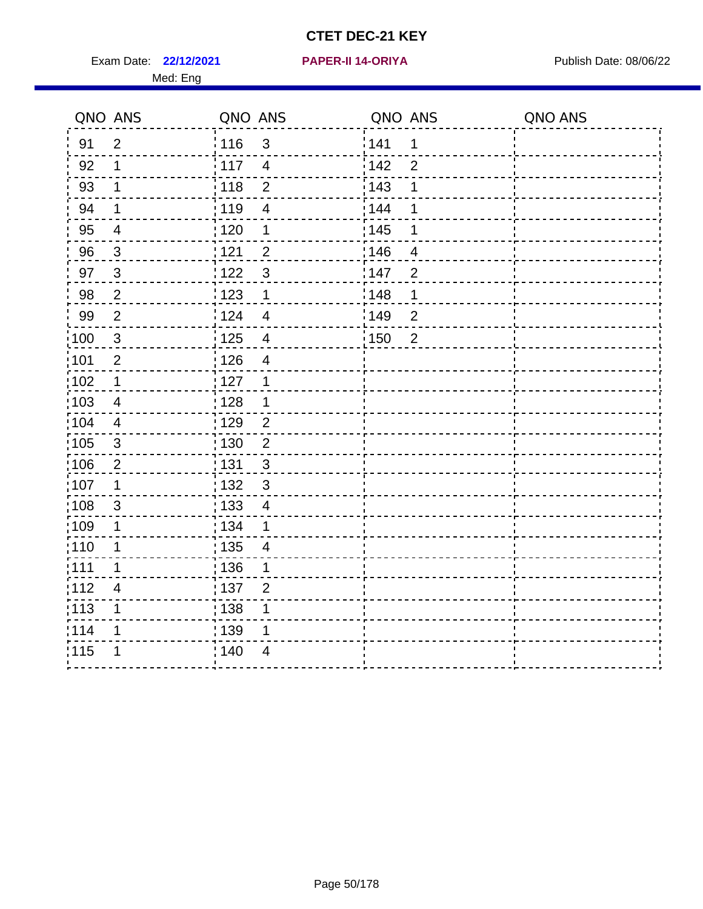**22/12/2021 PAPER-II 14-ORIYA** Exam Date: Publish Date: 08/06/22

|  | PAPER-II 14-ORIYA |  |
|--|-------------------|--|
|  |                   |  |

|       | QNO ANS                  | QNO ANS           |                | QNO ANS |                          | QNO ANS |
|-------|--------------------------|-------------------|----------------|---------|--------------------------|---------|
| 91    | $\overline{2}$           | 116               | $\mathfrak{S}$ | 141     | 1                        |         |
| 92    | 1                        | : 117             | $\overline{4}$ | 142     | $\overline{2}$           |         |
| 93    | $\mathbf 1$              | 118               | $\overline{2}$ | 143     | 1                        |         |
| 94    | $\mathbf 1$              | 119               | 4              | 144     | 1                        |         |
| 95    | $\overline{4}$           | $\frac{1}{1}$ 120 | 1              | : 145   | 1                        |         |
| 96    | $\mathbf{3}$             | 121               | $\overline{c}$ | 146     | $\overline{\mathcal{A}}$ |         |
| 97    | $\mathbf{3}$             | 122               | 3              | 147     | $\overline{2}$           |         |
| 98    | $\overline{2}$           | 123               | 1              | 148     | 1                        |         |
| 99    | $\overline{2}$           | 124               | $\overline{4}$ | 149     | $\overline{2}$           |         |
| 100   | $\mathbf{3}$             | $\frac{1}{2}$ 125 | $\overline{4}$ | 150     | $\overline{2}$           |         |
| :101  | $\overline{2}$           | 126               | $\overline{4}$ |         |                          |         |
| 102   | $\mathbf 1$              | 127               | 1              |         |                          |         |
| :103  | $\overline{4}$           | 128               | 1              |         |                          |         |
| 104   | $\overline{4}$           | : 129             | $\overline{2}$ |         |                          |         |
| 105   | 3                        | : 130             | $\overline{2}$ |         |                          |         |
| 106   | $\overline{c}$           | : 131             | $\mathsf 3$    |         |                          |         |
| :107  | 1                        | 132               | $\mathsf 3$    |         |                          |         |
| 108   | $\mathfrak{S}$           | $\frac{1}{1}$ 133 | $\overline{4}$ |         |                          |         |
| 109   | 1                        | : 134             | 1              |         |                          |         |
| :110  | 1                        | : 135             | 4              |         |                          |         |
| :111  | $\mathbf 1$              | 136               | 1              |         |                          |         |
| 112   | $\overline{\mathcal{A}}$ | $\frac{1}{1}$ 137 | $\overline{2}$ |         |                          |         |
| : 113 | 1                        | : 138             |                |         |                          |         |
| 114   | 1                        | : 139             | 1              |         |                          |         |
| 115   | 1                        | 140               | 4              |         |                          |         |
|       |                          |                   |                |         |                          |         |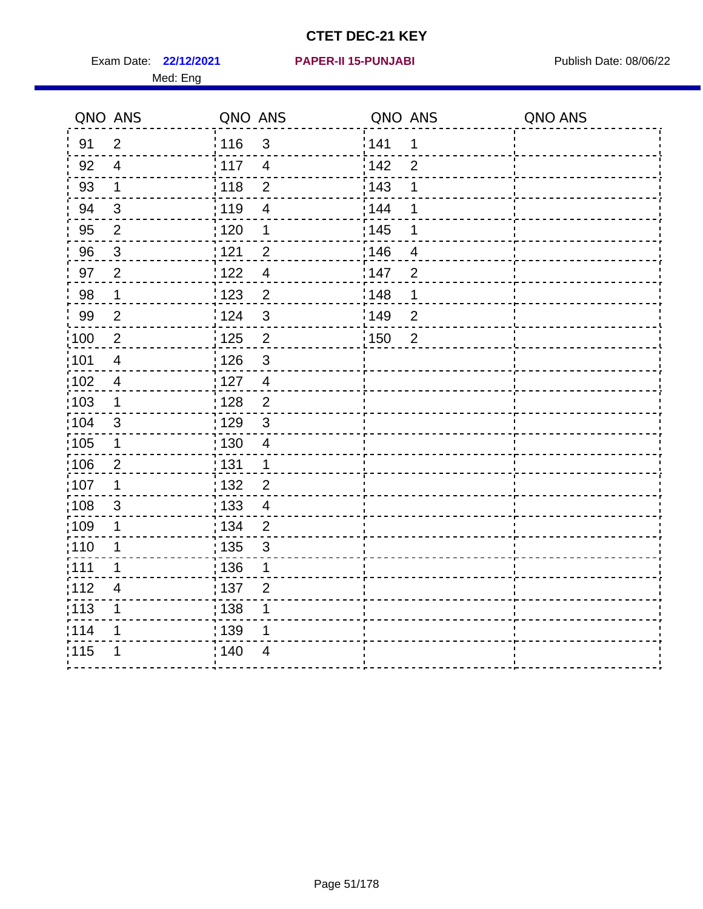Exam Date: 22/12/2021 **PAPER-II 15-PUNJABI** Publish Date: 08/06/22 Med: Eng

#### **22/12/2021 PAPER-II 15-PUNJABI**

|       | QNO ANS        | QNO ANS           |                          | QNO ANS           |                | QNO ANS |
|-------|----------------|-------------------|--------------------------|-------------------|----------------|---------|
| 91    | $\overline{2}$ | : 116             | $\mathfrak{S}$           | 1141              | $\mathbf 1$    |         |
| 92    | $\overline{4}$ | $\frac{1}{2}$ 117 | $\overline{4}$           | 142               | $\overline{2}$ |         |
| 93    | $\mathbf 1$    | 118               | $\mathbf 2$              | 143               | 1              |         |
| 94    | $\mathfrak{B}$ | 119               | $\overline{\mathbf{4}}$  | : 144             | 1              |         |
| 95    | $\overline{2}$ | : 120             | 1                        | : 145             | 1              |         |
| 96    | $\mathfrak{S}$ | 121               | $\overline{2}$           | :146              | 4              |         |
| 97    | $\overline{2}$ | 122               | $\overline{4}$           | 147               | $\overline{2}$ |         |
| 98    | $\mathbf{1}$   | 123               | $\overline{2}$           | : 148             | 1              |         |
| 99    | $\overline{2}$ | 124               | $\mathsf 3$              | :149              | $\mathbf 2$    |         |
| 100   | $\sqrt{2}$     | 125               | $\overline{2}$           | $\frac{1}{1}$ 150 | $\overline{2}$ |         |
| 101   | $\overline{4}$ | 126               | $\mathsf 3$              |                   |                |         |
| 102   | $\overline{4}$ | : 127             | $\overline{4}$           |                   |                |         |
| 103   | $\mathbf 1$    | : 128             | $\overline{2}$           |                   |                |         |
| 104   | 3              | : 129             | $\mathbf{3}$             |                   |                |         |
| 105   | $\mathbf 1$    | $\frac{1}{1}$ 130 | $\overline{\mathcal{A}}$ |                   |                |         |
| 106   | $\overline{2}$ | : 131             | $\mathbf 1$              |                   |                |         |
| 107   | 1              | : 132             | $\overline{2}$           |                   |                |         |
| 108   | $\sqrt{3}$     | 133               | $\overline{\mathbf{4}}$  |                   |                |         |
| :109  | $\mathbf 1$    | : 134             | $\overline{2}$           |                   |                |         |
| : 110 | 1              | : 135             | $\sqrt{3}$               |                   |                |         |
| : 111 | 1              | : 136             | 1                        |                   |                |         |
| 112   | 4              | : 137             | $\overline{2}$           |                   |                |         |
| : 113 | $\mathbf 1$    | : 138             | 1                        |                   |                |         |
| 114   | 1              | : 139             | 1                        |                   |                |         |
| 115   | 1              | 140               | $\overline{4}$           |                   |                |         |
|       |                |                   |                          |                   |                |         |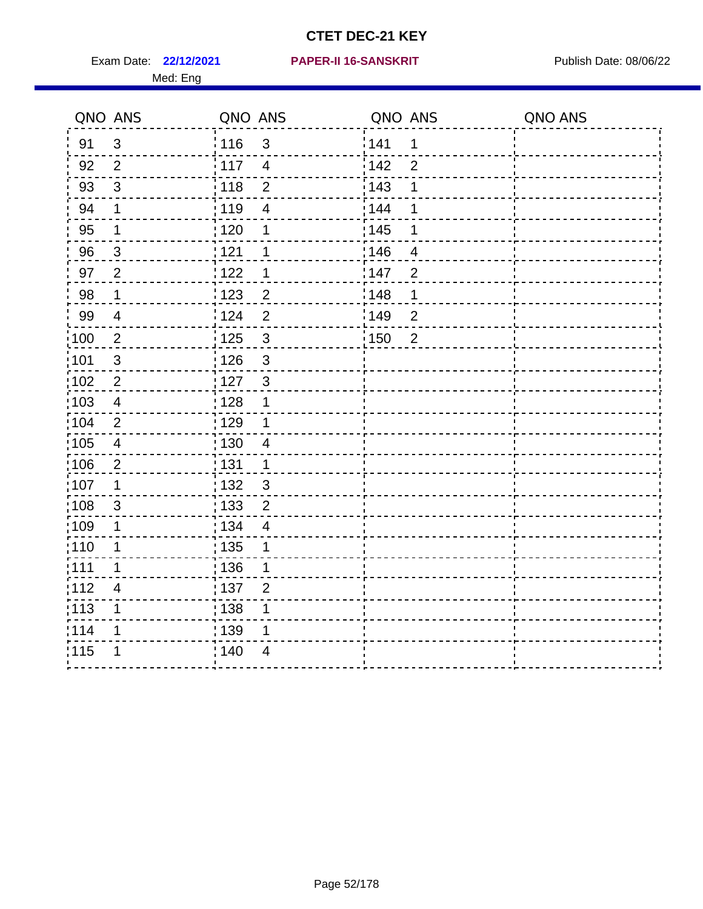Med: Eng

#### **22/12/2021 PAPER-II 16-SANSKRIT** Exam Date: Publish Date: 08/06/22

|                   | QNO ANS                  | QNO ANS           |                | QNO ANS           |                | QNO ANS |
|-------------------|--------------------------|-------------------|----------------|-------------------|----------------|---------|
| 91                | $\mathbf{3}$             | : 116             | $\mathbf{3}$   | 141               | 1              |         |
| 92                | 2                        | $\frac{1}{117}$   | $\overline{4}$ | 142               | $\overline{2}$ |         |
| 93                | $\mathfrak{S}$           | 118               | $\overline{2}$ | 143               | 1              |         |
| 94                | 1                        | :119              | $\overline{4}$ | 144               | 1              |         |
| 95                | 1                        | : 120             | 1              | : 145             | 1              |         |
| 96                | $\mathfrak{S}$           | 121               | 1              | 146               | $\overline{4}$ |         |
| 97                | $\overline{2}$           | 122               | 1              | 147               | $\overline{2}$ |         |
| 98                | $\mathbf 1$              | 123               | $\overline{2}$ | 148               | 1              |         |
| 99                | $\overline{\mathcal{A}}$ | 124               | $\overline{2}$ | :149              | $\overline{2}$ |         |
| 100               | $\sqrt{2}$               | $\frac{1}{1}$ 125 | $\mathfrak{S}$ | $\frac{1}{1}$ 150 | $\overline{2}$ |         |
| 101               | $\sqrt{3}$               | 126               | $\mathbf{3}$   |                   |                |         |
| 102               | $\overline{2}$           | 127               | $\mathbf{3}$   |                   |                |         |
| 103               | $\overline{\mathcal{A}}$ | : 128             | $\mathbf 1$    |                   |                |         |
| $\frac{1}{104}$   | 2                        | : 129             | 1              |                   |                |         |
| $\frac{1}{1}$ 105 | $\overline{\mathbf{4}}$  | $\frac{1}{1}$ 130 | $\overline{4}$ |                   |                |         |
| 106               | $\overline{2}$           | : 131             | $\mathbf 1$    |                   |                |         |
| 107               | 1                        | : 132             | $\mathbf{3}$   |                   |                |         |
| 108               | $\sqrt{3}$               | 133               | $\overline{2}$ |                   |                |         |
| 109               | $\mathbf 1$              | : 134             | $\overline{4}$ |                   |                |         |
| : 110             | 1                        | : 135             | 1              |                   |                |         |
| : 111             | 1                        | : 136             | 1              |                   |                |         |
| 112               | $\overline{\mathbf{4}}$  | : 137             | $\overline{2}$ |                   |                |         |
| $\frac{1}{1}$ 113 | 1                        | : 138             | 1              |                   |                |         |
| 114               | 1                        | 139               | 1              |                   |                |         |
| 115               | 1                        | 140               | $\overline{4}$ |                   |                |         |
|                   |                          |                   |                |                   |                |         |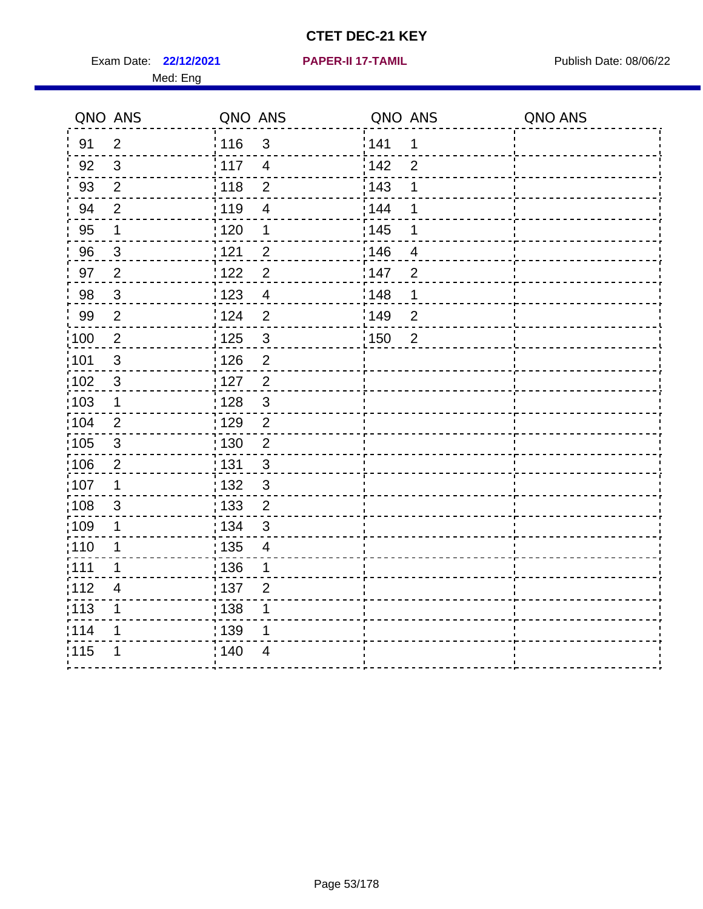**22/12/2021 PAPER-II 17-TAMIL** Exam Date: Publish Date: 08/06/22

|  |  | PAPER-II 17-TAMIL |  |  |
|--|--|-------------------|--|--|
|  |  |                   |  |  |

|       | QNO ANS                   | QNO ANS           |                | QNO ANS |                          | QNO ANS |
|-------|---------------------------|-------------------|----------------|---------|--------------------------|---------|
| 91    | $\overline{2}$            | 116               | 3              | ¦ 141   | 1                        |         |
| 92    | 3                         | 117               | $\overline{4}$ | 142     | $\overline{2}$           |         |
| 93    | $\overline{2}$            | 118               | $\overline{2}$ | 143     | 1                        |         |
| 94    | $\overline{2}$            | 119               | 4              | : 144   | 1                        |         |
| 95    | 1                         | 120               | 1              | : 145   | 1                        |         |
| 96    | $\mathbf{3}$              | 121               | $\overline{c}$ | 146     | $\overline{\mathcal{A}}$ |         |
| 97    | $\overline{2}$            | 122               | $\overline{2}$ | 147     | $\overline{2}$           |         |
| 98    | $\mathbf{3}$              | 123               | $\overline{4}$ | 148     | 1                        |         |
| 99    | $\overline{2}$            | 124               | $\overline{2}$ | 149     | $\overline{2}$           |         |
| 100   | $\overline{2}$            | : 125             | $\mathbf{3}$   | 150     | 2                        |         |
| :101  | $\mathbf{3}$              | 126               | $\overline{2}$ |         |                          |         |
| 102   | $\sqrt{3}$                | 127               | $\overline{2}$ |         |                          |         |
| :103  | $\mathbf 1$               | 128               | $\mathbf{3}$   |         |                          |         |
| 104   | $\overline{2}$            | : 129             | $\overline{2}$ |         |                          |         |
| 105   | $\sqrt{3}$                | : 130             | $\overline{2}$ |         |                          |         |
| 106   | $\overline{2}$            | : 131             | $\sqrt{3}$     |         |                          |         |
| ,107  | 1                         | 132               | $\mathfrak{S}$ |         |                          |         |
| 108   | $\ensuremath{\mathsf{3}}$ | $\frac{1}{1}$ 133 | $\overline{c}$ |         |                          |         |
| :109  | 1                         | : 134             | $\mathbf{3}$   |         |                          |         |
| :110  | 1                         | : 135             | 4              |         |                          |         |
| ;111  | 1                         | : 136             | 1              |         |                          |         |
| 112   | 4                         | :137              | $\overline{2}$ |         |                          |         |
| : 113 | 1                         | 138               | 1              |         |                          |         |
| 114   | 1                         | 139               | 1              |         |                          |         |
| 115   | 1                         | 140               | 4              |         |                          |         |
|       |                           |                   |                |         |                          |         |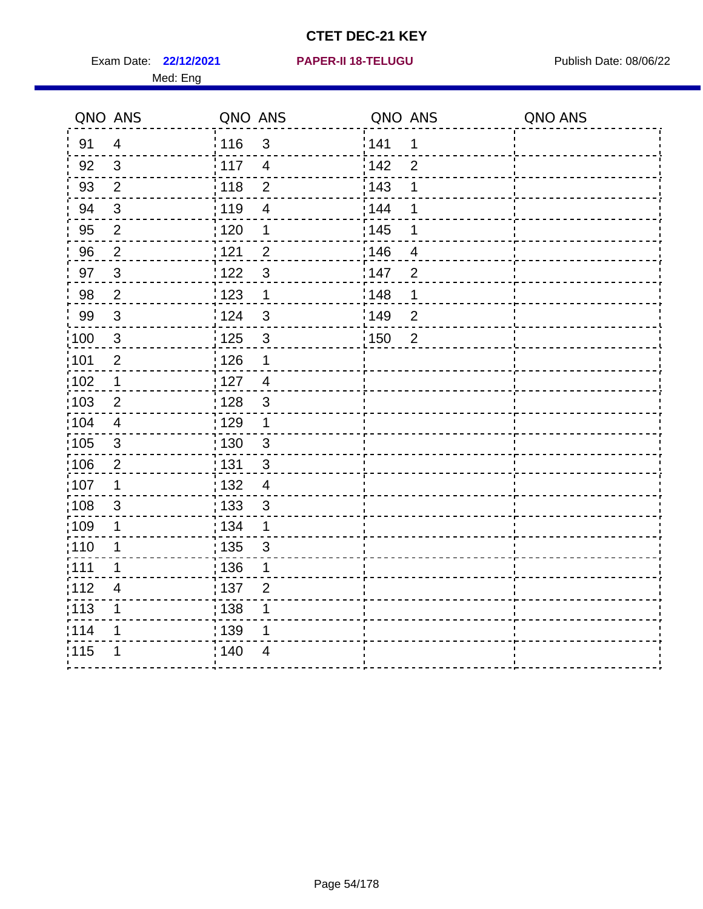Exam Date: 22/12/2021 **PAPER-II 18-TELUGU** PUBlish Date: 08/06/22 Med: Eng

#### **22/12/2021 PAPER-II 18-TELUGU**

| QNO ANS         |                | QNO ANS                             | QNO ANS                 | QNO ANS |
|-----------------|----------------|-------------------------------------|-------------------------|---------|
| 91              | $\overline{4}$ | : 116<br>$\mathfrak{S}$             | 141<br>1                |         |
| 92              | 3              | $\frac{1}{117}$<br>$\overline{4}$   | 142<br>$\overline{2}$   |         |
| 93              | $\overline{2}$ | $\overline{2}$<br>118               | 143<br>1                |         |
| 94              | $\sqrt{3}$     | : 119<br>$\overline{4}$             | 144<br>1                |         |
| 95              | $\overline{2}$ | :120<br>1                           | : 145<br>1              |         |
| 96              | $\overline{2}$ | 121<br>$\overline{2}$               | 146<br>$\overline{4}$   |         |
| 97              | $\sqrt{3}$     | :122<br>$\mathfrak{3}$              | 147<br>$\overline{2}$   |         |
| 98              | $\overline{2}$ | 1123<br>1                           | ¦148<br>1               |         |
| 99              | $\sqrt{3}$     | :124<br>$\mathbf{3}$                | :149<br>$\overline{2}$  |         |
| $\frac{1}{100}$ | $\mathbf{3}$   | $\mathbf{3}$<br>125                 | : 150<br>$\overline{2}$ |         |
| :101            | $\overline{2}$ | : 126<br>1                          |                         |         |
| 102             | $\mathbf 1$    | : 127<br>$\overline{4}$             |                         |         |
| 103             | $\overline{2}$ | : 128<br>$\mathbf{3}$               |                         |         |
| :104            | 4              | : 129<br>1                          |                         |         |
| 105             | $\sqrt{3}$     | $\frac{1}{1}$ 130<br>$\mathfrak{3}$ |                         |         |
| 106             | $\overline{2}$ | : 131<br>$\mathbf{3}$               |                         |         |
| 107             | 1              | : 132<br>$\overline{4}$             |                         |         |
| 108             | 3              | : 133<br>$\mathfrak{S}$             |                         |         |
| :109            | 1              | : 134<br>1                          |                         |         |
| : 110           | $\mathbf 1$    | 135<br>$\mathfrak{S}$               |                         |         |
| :111            | 1              | : 136<br>1                          |                         |         |
| 112             | $\overline{4}$ | :137<br>$\overline{2}$              |                         |         |
| :113            | $\mathbf 1$    | : 138<br>1                          |                         |         |
| 114             | 1              | 139<br>1                            |                         |         |
| 115             |                | ; 140<br>4                          |                         |         |
|                 |                |                                     |                         |         |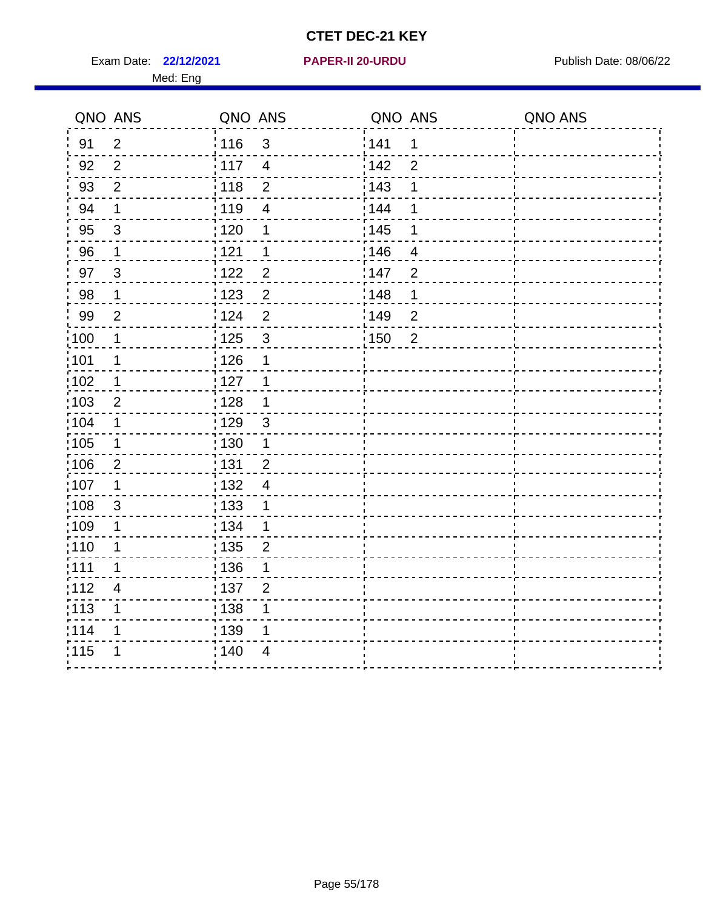Exam Date: 22/12/2021 **PAPER-II 20-URDU** PAPER Publish Date: 08/06/22 Med: Eng

#### **22/12/2021 PAPER-II 20-URDU**

| $\overline{2}$<br><sup>'</sup> 116<br>91<br>3<br>92<br>$\overline{2}$<br>: 117<br>$\overline{4}$<br>93<br>$\overline{2}$<br>: 118<br>$\overline{2}$<br>119<br>94<br>1<br>4 | ¦141<br>1<br>142<br>$\overline{2}$<br>$\frac{1}{2}$ 143<br>1<br>144<br>1 |  |
|----------------------------------------------------------------------------------------------------------------------------------------------------------------------------|--------------------------------------------------------------------------|--|
|                                                                                                                                                                            |                                                                          |  |
|                                                                                                                                                                            |                                                                          |  |
|                                                                                                                                                                            |                                                                          |  |
|                                                                                                                                                                            |                                                                          |  |
| 95<br>$\sqrt{3}$<br>: 120<br>$\mathbf 1$                                                                                                                                   | $\frac{1}{1}$ 145<br>1                                                   |  |
| 96<br>121<br>1<br>$\mathbf 1$                                                                                                                                              | 146<br>4                                                                 |  |
| 122<br>$\overline{2}$<br>97<br>3                                                                                                                                           | 147<br>$\overline{2}$                                                    |  |
| $\overline{2}$<br>98<br>123<br>$\mathbf 1$                                                                                                                                 | 148<br>1                                                                 |  |
| 99<br>$\overline{2}$<br>¦ 124<br>$\overline{2}$                                                                                                                            | :149<br>$\overline{2}$                                                   |  |
| 100<br>3<br>$\frac{1}{1}$ 125<br>1                                                                                                                                         | : 150<br>$\overline{2}$                                                  |  |
| :101<br>$\frac{1}{2}$ 126<br>1<br>1                                                                                                                                        |                                                                          |  |
| 102<br>:127<br>1<br>$\mathbf 1$                                                                                                                                            |                                                                          |  |
| :103<br>: 128<br>$\overline{2}$<br>1                                                                                                                                       |                                                                          |  |
| :104<br>: 129<br>$\mathbf{3}$<br>1                                                                                                                                         |                                                                          |  |
| 105<br>: 130<br>$\mathbf 1$<br>$\mathbf 1$                                                                                                                                 |                                                                          |  |
| :106<br>: 131<br>$\overline{2}$<br>$\overline{2}$                                                                                                                          |                                                                          |  |
| 107<br>: 132<br>1<br>4                                                                                                                                                     |                                                                          |  |
| 108 <br>$\frac{1}{1}$ 133<br>3<br>1                                                                                                                                        |                                                                          |  |
| :109<br>: 134<br>$\mathbf 1$<br>1                                                                                                                                          |                                                                          |  |
| :110<br>: 135<br>1<br>$\overline{2}$                                                                                                                                       |                                                                          |  |
| :111<br>:136<br>1<br>1                                                                                                                                                     |                                                                          |  |
| 112<br>$\frac{1}{1}$ 137<br>$\overline{4}$<br>$\overline{2}$                                                                                                               |                                                                          |  |
| 113<br>: 138<br>1<br>1                                                                                                                                                     |                                                                          |  |
| 1114<br>139<br>1<br>1                                                                                                                                                      |                                                                          |  |
| 115<br>140<br>$\overline{4}$                                                                                                                                               |                                                                          |  |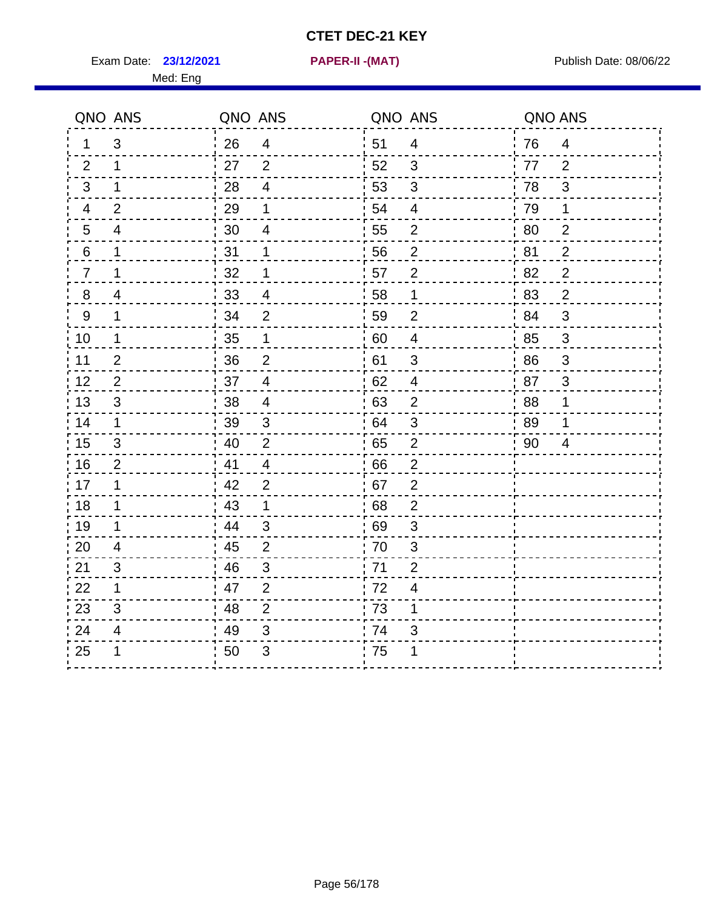Exam Date: 23/12/2021 PAPER-II - (MAT) PRER-IN - Publish Date: 08/06/22

Med: Eng

**23/12/2021 PAPER-II -(MAT)**

|                | QNO ANS        | QNO ANS |                | QNO ANS |                | QNO ANS |                           |
|----------------|----------------|---------|----------------|---------|----------------|---------|---------------------------|
| 1              | 3              | 26      | $\overline{4}$ | 51      | $\overline{4}$ | 76      | $\overline{4}$            |
| 2              | $\mathbf 1$    | 27      | $\overline{2}$ | 52      | 3              | 77      | 2                         |
| 3              | $\mathbf 1$    | 28      | $\overline{4}$ | 53      | $\mathbf{3}$   | 78      | 3                         |
| 4              | $\overline{2}$ | 29      | 1              | 54      | $\overline{4}$ | 79      | $\mathbf 1$               |
| 5              | 4              | 30      | $\overline{4}$ | 55      | $\overline{2}$ | 80      | $\overline{2}$            |
| 6              | $\mathbf 1$    | 31      | 1              | 56      | $\overline{c}$ | 81      | $\overline{c}$            |
| $\overline{7}$ | $\mathbf 1$    | 32      | $\mathbf 1$    | 57      | $\overline{2}$ | 82      | $\overline{2}$            |
| 8              | 4              | 33      | 4              | 58      | $\mathbf{1}$   | 83      | $\overline{2}$            |
| 9              | $\mathbf 1$    | 34      | 2              | 59      | 2              | 84      | 3                         |
| 10             | $\mathbf 1$    | 35      | $\mathbf{1}$   | 60      | $\overline{4}$ | 85      | 3                         |
| 11             | $\overline{2}$ | 36      | $\overline{2}$ | 61      | $\mathbf{3}$   | 86      | 3                         |
| 12             | $\overline{2}$ | 37      | $\overline{4}$ | 62      | $\overline{4}$ | 87      | $\ensuremath{\mathsf{3}}$ |
| 13             | $\mathfrak{S}$ | 38      | $\overline{4}$ | 63      | $\overline{2}$ | 88      | $\mathbf 1$               |
| 14             | 1              | 39      | $\mathfrak{S}$ | 64      | $\mathfrak{S}$ | 89      | 1                         |
| 15             | 3              | 40      | 2              | 65      | $\overline{2}$ | 90      | 4                         |
| 16             | $\overline{2}$ | 41      | $\overline{4}$ | 66      | $\overline{2}$ |         |                           |
| 17             | 1              | 42      | $\overline{2}$ | 67      | $\overline{2}$ |         |                           |
| 18             | $\mathbf 1$    | 43      | $\mathbf 1$    | 68      | $\mathbf{2}$   |         |                           |
| 19             | 1              | 44      | 3              | 69      | 3              |         |                           |
| 20             | 4              | 45      | 2              | 70      | 3              |         |                           |
| 21             | 3              | 46      | $\mathbf{3}$   | 71      | $\overline{2}$ |         |                           |
| 22             | $\mathbf 1$    | 47      | $\overline{2}$ | 72      | 4              |         |                           |
| 23             | $\sqrt{3}$     | 48      | $\overline{2}$ | 73      | 1              |         |                           |
| 24             | 4              | 49      | 3              | 74      | $\mathfrak{S}$ |         |                           |
| 25             | 1              | 50      | 3              | 75      | 1              |         |                           |
|                |                |         |                |         |                |         |                           |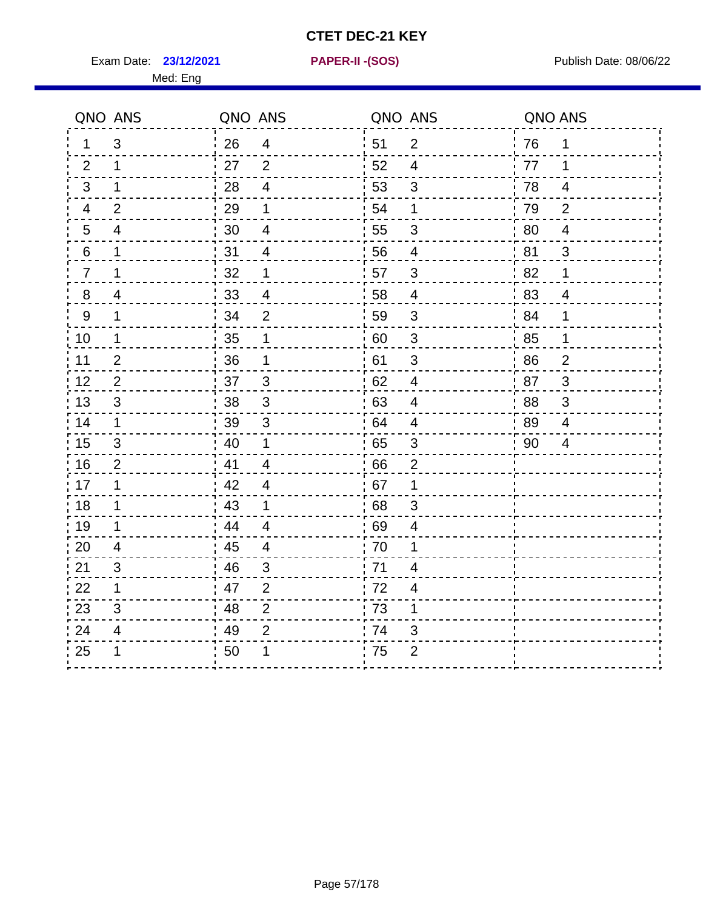Exam Date: **23/12/2021 PAPER-II - (SOS)** Publish Date: 08/06/22

Med: Eng

**23/12/2021 PAPER-II -(SOS)**

|                  | QNO ANS        | QNO ANS |                         |    | QNO ANS                   | QNO ANS |                |
|------------------|----------------|---------|-------------------------|----|---------------------------|---------|----------------|
| 1.               | $\mathfrak{S}$ | 26      | $\overline{4}$          | 51 | $\overline{2}$            | 76      | 1              |
| 2                | 1              | 27      | 2                       | 52 | $\overline{4}$            | 77      | 1              |
| 3                | 1              | 28      | $\overline{4}$          | 53 | $\mathfrak{B}$            | 78      | 4              |
| 4                | $\overline{2}$ | 29      | 1                       | 54 | 1                         | 79      | 2              |
| $5\overline{)}$  | $\overline{4}$ | 30      | $\overline{\mathbf{4}}$ | 55 | $\sqrt{3}$                | 80      | $\overline{4}$ |
| 6                | 1              | 31      | 4                       | 56 | 4                         | 81      | 3              |
| $\overline{7}$   | 1              | 32      | 1                       | 57 | $\sqrt{3}$                | 82      | $\mathbf 1$    |
| $\bf 8$          | 4              | 33      | $\overline{4}$          | 58 | $\overline{4}$            | 83      | $\overline{4}$ |
| $\boldsymbol{9}$ | 1              | 34      | $\overline{2}$          | 59 | $\mathfrak{S}$            | 84      | 1              |
| 10               | 1              | 35      | 1                       | 60 | $\ensuremath{\mathsf{3}}$ | 85      | $\mathbf 1$    |
| 11               | $\overline{2}$ | 36      | 1                       | 61 | $\mathfrak{S}$            | 86      | $\overline{2}$ |
| 12               | 2              | 37      | $\mathfrak{3}$          | 62 | $\overline{4}$            | 87      | 3              |
| 13               | 3              | 38      | 3                       | 63 | $\overline{4}$            | 88      | 3              |
| 14               | 1              | 39      | $\mathbf{3}$            | 64 | 4                         | 89      | 4              |
| 15               | $\sqrt{3}$     | 40      | 1                       | 65 | $\sqrt{3}$                | 90      | $\overline{4}$ |
| 16               | $\overline{2}$ | 41      | $\overline{4}$          | 66 | $\overline{2}$            |         |                |
| 17               | 1              | 42      | $\overline{4}$          | 67 | 1                         |         |                |
| 18               | 1              | 43      | $\mathbf 1$             | 68 | $\sqrt{3}$                |         |                |
| 19               | 1              | 44      | $\overline{4}$          | 69 | $\overline{\mathcal{A}}$  |         |                |
| 20               | $\overline{4}$ | 45      | $\overline{4}$          | 70 | 1                         |         |                |
| 21               | 3              | 46      | 3                       | 71 | 4                         |         |                |
| 22               | 1              | 47      | $\overline{2}$          | 72 | $\overline{4}$            |         |                |
| 23               | 3              | 48      | $\overline{2}$          | 73 | 1                         |         |                |
| 24               | $\overline{4}$ | 49      | $\overline{2}$          | 74 | 3                         |         |                |
| 25               | 1              | 50      | 1                       | 75 | $\overline{2}$            |         |                |
|                  |                |         |                         |    |                           |         |                |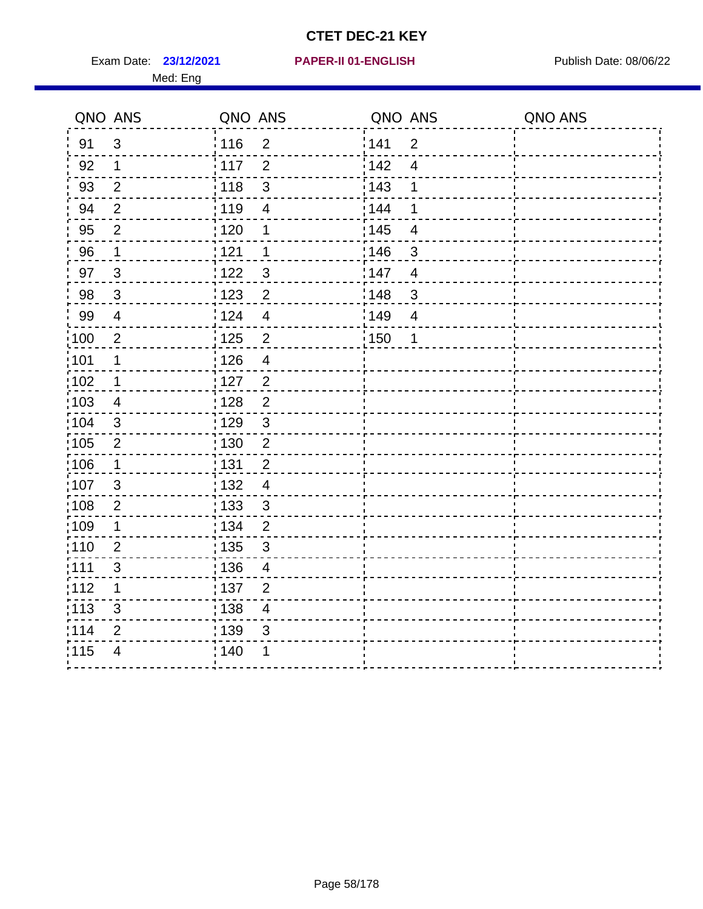Exam Date: 23/12/2021 **PAPER-II 01-ENGLISH Propriet Access 12-12/2021** Publish Date: 08/06/22 Med: Eng

#### **23/12/2021 PAPER-II 01-ENGLISH**

|       | QNO ANS                  | QNO ANS           |                          | QNO ANS           |                | QNO ANS |
|-------|--------------------------|-------------------|--------------------------|-------------------|----------------|---------|
| 91    | $\mathfrak{S}$           | : 116             | $\overline{2}$           | 1141              | $\overline{2}$ |         |
| 92    | 1                        | 117               | $\overline{2}$           | 142               | $\overline{4}$ |         |
| 93    | $\mathbf{2}$             | $\frac{1}{118}$   | $\mathsf 3$              | 143               | 1              |         |
| 94    | $\overline{2}$           | : 119             | $\overline{\mathbf{4}}$  | : 144             | 1              |         |
| 95    | $\overline{2}$           | : 120             | 1                        | : 145             | $\overline{4}$ |         |
| 96    | 1                        | 121               | 1                        | :146              | $\mathfrak{S}$ |         |
| 97    | $\mathbf{3}$             | 1122              | $\mathfrak{S}$           | 147               | $\overline{4}$ |         |
| 98    | $\mathbf{3}$             | 123               | $\overline{2}$           | 148               | $\sqrt{3}$     |         |
| 99    | $\overline{\mathcal{A}}$ | 124               | $\overline{\mathbf{4}}$  | :149              | $\overline{4}$ |         |
| 100   | $\mathbf 2$              | 125               | $\mathbf 2$              | $\frac{1}{1}$ 150 | 1              |         |
| 101   | $\mathbf 1$              | : 126             | $\overline{\mathcal{A}}$ |                   |                |         |
| 102   | $\mathbf 1$              | : 127             | $\overline{2}$           |                   |                |         |
| 103   | 4                        | : 128             | $\overline{2}$           |                   |                |         |
| 104   | $\mathbf{3}$             | : 129             | $\mathbf{3}$             |                   |                |         |
| 105   | $\sqrt{2}$               | $\frac{1}{1}$ 130 | $\mathbf 2$              |                   |                |         |
| 106   | $\mathbf 1$              | : 131             | $\overline{2}$           |                   |                |         |
| 107   | 3                        | : 132             | $\overline{4}$           |                   |                |         |
| :108  | $\sqrt{2}$               | 133               | $\mathbf{3}$             |                   |                |         |
| :109  | $\mathbf 1$              | : 134             | $\overline{2}$           |                   |                |         |
| :110  | $\overline{2}$           | : 135             | $\sqrt{3}$               |                   |                |         |
| : 111 | $\mathfrak{S}$           | : 136             | $\overline{4}$           |                   |                |         |
| 112   | 1                        | : 137             | $\overline{2}$           |                   |                |         |
| : 113 | $\sqrt{3}$               | : 138             | $\overline{\mathbf{4}}$  |                   |                |         |
| 114   | 2                        | : 139             | 3                        |                   |                |         |
| 115   | $\overline{4}$           | : 140             | 1                        |                   |                |         |
|       |                          |                   |                          |                   |                |         |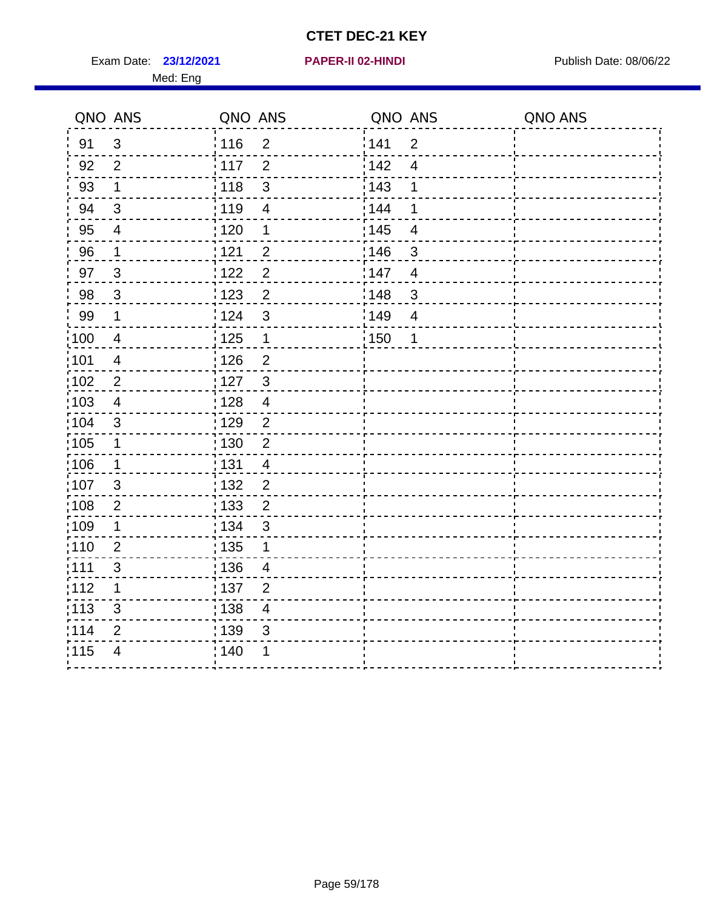Exam Date: 23/12/2021 **PAPER-II 02-HINDI Exam Date: 08/06/22** Med: Eng

#### **23/12/2021 PAPER-II 02-HINDI**

| QNO ANS |                | QNO ANS           |                         | QNO ANS          |                          | QNO ANS |
|---------|----------------|-------------------|-------------------------|------------------|--------------------------|---------|
| 91      | $\mathfrak{S}$ | 116               | $\overline{2}$          | 141              | $\overline{2}$           |         |
| 92      | $\overline{2}$ | 117               | $\overline{2}$          | <sup>'</sup> 142 | $\overline{4}$           |         |
| 93      | $\mathbf 1$    | 118               | $\mathbf{3}$            | : 143            | 1                        |         |
| 94      | $\mathbf{3}$   | 119               | $\overline{4}$          | 144              | 1                        |         |
| 95      | $\overline{4}$ | : 120             | 1                       | : 145            | $\overline{4}$           |         |
| 96      | 1              | 121               | $\overline{2}$          | 146              | 3                        |         |
| 97      | $\mathbf{3}$   | 122               | $\overline{2}$          | 147              | $\overline{4}$           |         |
| 98      | $\mathbf{3}$   | $\frac{1}{2}$ 123 | $\overline{2}$          | 148              | $\sqrt{3}$               |         |
| 99      | $\mathbf 1$    | 124               | $\mathbf{3}$            | :149             | $\overline{\mathcal{A}}$ |         |
| 100     | $\overline{4}$ | $\frac{1}{1}$ 125 | $\mathbf{1}$            | 150              | 1                        |         |
| :101    | $\overline{4}$ | $\frac{1}{2}$ 126 | $\overline{2}$          |                  |                          |         |
| 102     | $\overline{2}$ | 127               | $\mathbf{3}$            |                  |                          |         |
| :103    | 4              | : 128             | $\overline{4}$          |                  |                          |         |
| 104     | 3              | : 129             | $\overline{2}$          |                  |                          |         |
| 105     | $\mathbf 1$    | : 130             | $\mathbf 2$             |                  |                          |         |
| 106     | $\mathbf 1$    | : 131             | $\overline{4}$          |                  |                          |         |
| 107     | 3              | 132               | $\overline{2}$          |                  |                          |         |
| 108     | $\overline{2}$ | $\frac{1}{1}$ 133 | $\overline{2}$          |                  |                          |         |
| :109    | 1              | : 134             | $\mathbf{3}$            |                  |                          |         |
| :110    | $\overline{2}$ | : 135             | 1                       |                  |                          |         |
| 111     | 3              | : 136             | $\overline{4}$          |                  |                          |         |
| 112     | 1              | 137               | $\overline{2}$          |                  |                          |         |
| : 113   | 3              | : 138             | $\overline{\mathbf{4}}$ |                  |                          |         |
| 114     | $\overline{2}$ | : 139             | 3                       |                  |                          |         |
| 115     | $\overline{4}$ | 140               | 1                       |                  |                          |         |
|         |                |                   |                         |                  |                          |         |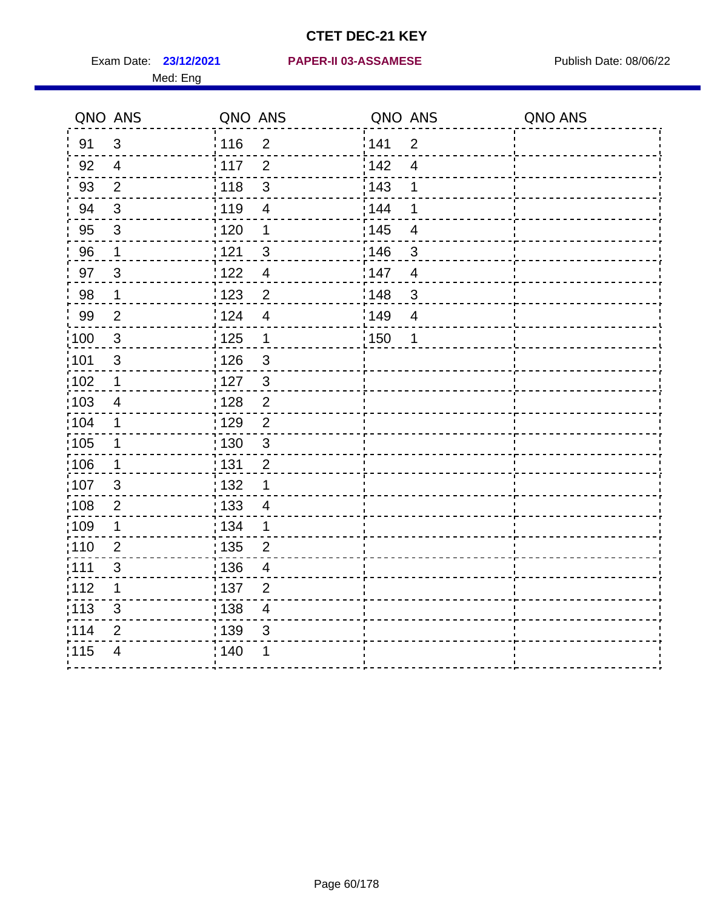|       | QNO ANS        | QNO ANS           |                          | QNO ANS           |                | QNO ANS |
|-------|----------------|-------------------|--------------------------|-------------------|----------------|---------|
| 91    | $\mathbf{3}$   | : 116             | $\overline{2}$           | 1141              | $\overline{2}$ |         |
| 92    | $\overline{4}$ | 117               | $\overline{2}$           | 142               | $\overline{4}$ |         |
| 93    | $\mathbf{2}$   | $\frac{1}{118}$   | $\mathsf 3$              | 143               | 1              |         |
| 94    | 3              | : 119             | $\overline{\mathbf{4}}$  | : 144             | 1              |         |
| 95    | 3              | : 120             | 1                        | : 145             | $\overline{4}$ |         |
| 96    | 1              | 121               | $\sqrt{3}$               | :146              | $\mathfrak{S}$ |         |
| 97    | $\mathfrak{S}$ | 1122              | $\overline{\mathcal{A}}$ | 147               | $\overline{4}$ |         |
| 98    | $\mathbf{1}$   | 123               | $\overline{c}$           | 148               | $\sqrt{3}$     |         |
| 99    | $\overline{2}$ | 124               | $\overline{\mathbf{4}}$  | :149              | $\overline{4}$ |         |
| 100   | $\sqrt{3}$     | 125               | $\mathbf 1$              | $\frac{1}{1}$ 150 | 1              |         |
| 101   | $\sqrt{3}$     | 126               | $\sqrt{3}$               |                   |                |         |
| 102   | $\mathbf 1$    | : 127             | $\mathbf{3}$             |                   |                |         |
| 103   | 4              | : 128             | $\overline{2}$           |                   |                |         |
| 104   | $\mathbf 1$    | : 129             | $\overline{2}$           |                   |                |         |
| 105   | $\mathbf 1$    | $\frac{1}{1}$ 130 | $\mathbf{3}$             |                   |                |         |
| 106   | $\mathbf 1$    | : 131             | $\overline{2}$           |                   |                |         |
| 107   | 3              | : 132             | $\mathbf 1$              |                   |                |         |
| :108  | $\sqrt{2}$     | : 133             | $\overline{4}$           |                   |                |         |
| :109  | $\mathbf 1$    | : 134             | $\mathbf 1$              |                   |                |         |
| :110  | $\overline{2}$ | : 135             | $\overline{2}$           |                   |                |         |
| : 111 | $\mathfrak{S}$ | : 136             | $\overline{4}$           |                   |                |         |
| 112   | 1              | : 137             | $\overline{2}$           |                   |                |         |
| : 113 | $\sqrt{3}$     | : 138             | $\overline{\mathbf{4}}$  |                   |                |         |
| 114   | 2              | : 139             | 3                        |                   |                |         |
| 115   | $\overline{4}$ | : 140             | 1                        |                   |                |         |
|       |                |                   |                          |                   |                |         |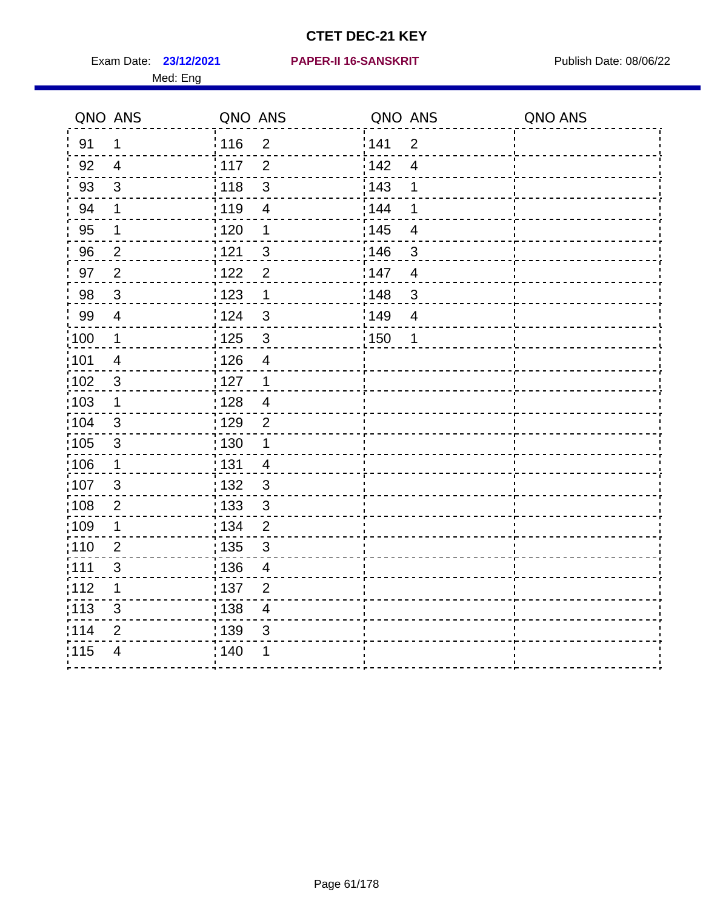Med: Eng

#### **23/12/2021 PAPER-II 16-SANSKRIT** Exam Date: Publish Date: 08/06/22

|                   | QNO ANS                  | QNO ANS           |                         | QNO ANS |                         | QNO ANS |
|-------------------|--------------------------|-------------------|-------------------------|---------|-------------------------|---------|
| 91                | $\mathbf 1$              | : 116             | $\overline{2}$          | 141     | $\overline{2}$          |         |
| 92                | $\overline{4}$           | : 117             | $\overline{2}$          | 142     | $\overline{4}$          |         |
| 93                | $\mathfrak{S}$           | 118               | $\mathfrak{S}$          | 143     | 1                       |         |
| 94                | 1                        | :119              | $\overline{4}$          | 144     | 1                       |         |
| 95                | 1                        | : 120             | 1                       | : 145   | $\overline{\mathbf{4}}$ |         |
| 96                | $\overline{2}$           | 121               | $\mathfrak{B}$          | 146     | 3                       |         |
| 97                | $\overline{2}$           | 122               | $\overline{2}$          | 147     | $\overline{4}$          |         |
| 98                | $\mathbf{3}$             | 123               | $\mathbf 1$             | 148     | $\sqrt{3}$              |         |
| 99                | $\overline{\mathcal{A}}$ | 124               | $\mathbf{3}$            | 149     | $\overline{4}$          |         |
| 100               | $\mathbf 1$              | $\frac{1}{1}$ 125 | $\mathbf{3}$            | : 150   | 1                       |         |
| 101               | $\overline{\mathbf{4}}$  | 126               | $\overline{\mathbf{4}}$ |         |                         |         |
| $\frac{1}{1}$ 102 | $\mathbf{3}$             | : 127             | $\mathbf 1$             |         |                         |         |
| 103               | 1                        | : 128             | $\overline{4}$          |         |                         |         |
| $\frac{1}{1}$ 104 | 3                        | : 129             | $\overline{2}$          |         |                         |         |
| $\frac{1}{1}$ 105 | $\sqrt{3}$               | : 130             | $\mathbf 1$             |         |                         |         |
| :106              | $\mathbf 1$              | : 131             | $\overline{4}$          |         |                         |         |
| 107               | 3                        | : 132             | $\mathbf{3}$            |         |                         |         |
| 108               | $\overline{2}$           | 133               | $\mathbf{3}$            |         |                         |         |
| :109              | $\mathbf 1$              | : 134             | $\overline{2}$          |         |                         |         |
| : 110             | $\overline{2}$           | : 135             | $\mathfrak{S}$          |         |                         |         |
| : 111             | $\mathfrak{S}$           | : 136             | 4                       |         |                         |         |
| 112               | 1                        | : 137             | $\overline{2}$          |         |                         |         |
| : 113             | $\mathfrak{S}$           | : 138             | $\overline{4}$          |         |                         |         |
| 114               | 2                        | 139               | 3                       |         |                         |         |
| 115               | $\overline{4}$           | : 140             | 1                       |         |                         |         |
|                   |                          |                   |                         |         |                         |         |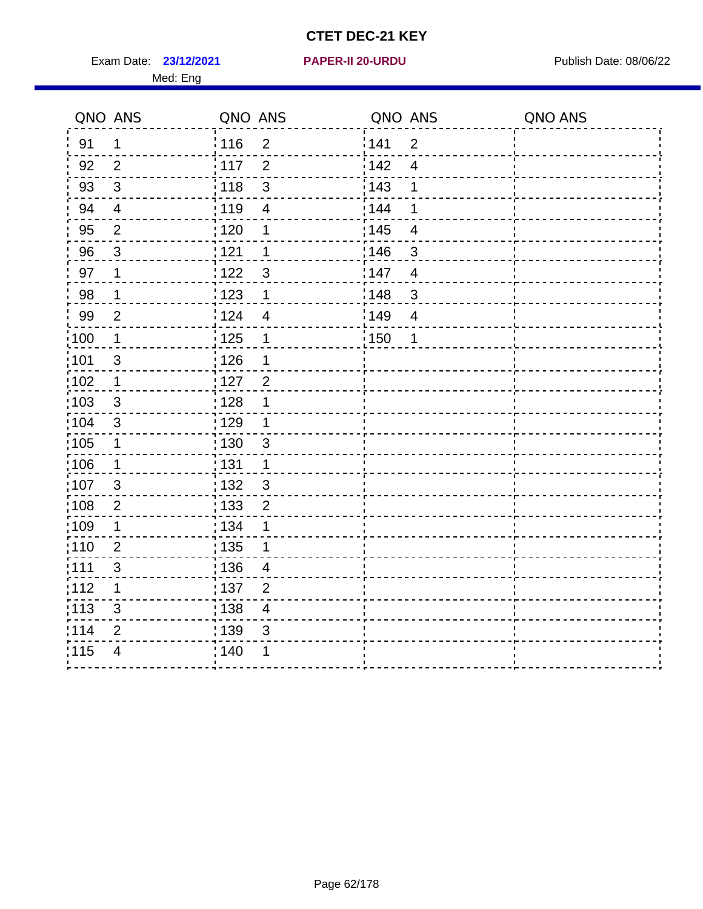Exam Date: 23/12/2021 **PAPER-II 20-URDU** PAPER Publish Date: 08/06/22 Med: Eng

#### **23/12/2021 PAPER-II 20-URDU**

|                   | QNO ANS        | QNO ANS           |                         | QNO ANS           |                | QNO ANS |
|-------------------|----------------|-------------------|-------------------------|-------------------|----------------|---------|
| 91                | 1              | :116              | $\overline{2}$          | 141               | $\overline{2}$ |         |
| 92                | $\overline{2}$ | 117               | $\overline{2}$          | 142               | $\overline{4}$ |         |
| 93                | $\sqrt{3}$     | 118               | $\mathsf 3$             | 143               | 1              |         |
| 94                | $\overline{4}$ | : 119             | $\overline{4}$          | 144               | 1              |         |
| 95                | $\overline{2}$ | : 120             | 1                       | : 145             | $\overline{4}$ |         |
| 96                | 3              | 121               | 1                       | 146               | 3              |         |
| 97                | 1              | 1122              | $\sqrt{3}$              | 147               | $\overline{4}$ |         |
| 98                | 1              | : 123             | 1                       | 148               | $\sqrt{3}$     |         |
| 99                | $\mathbf{2}$   | 124               | $\overline{4}$          | :149              | $\overline{4}$ |         |
| 100               | $\mathbf 1$    | $\frac{1}{1}$ 125 | $\mathbf 1$             | $\frac{1}{1}$ 150 | 1              |         |
| :101              | $\sqrt{3}$     | 126               | 1                       |                   |                |         |
| 102               | $\mathbf 1$    | : 127             | $\overline{2}$          |                   |                |         |
| 103               | 3              | : 128             | 1                       |                   |                |         |
| :104              | $\mathfrak{B}$ | : 129             | $\mathbf 1$             |                   |                |         |
| 105               | $\mathbf 1$    | 130               | $\mathbf{3}$            |                   |                |         |
| 106               | 1              | : 131             | 1                       |                   |                |         |
| 107               | 3              | :132              | $\mathfrak{B}$          |                   |                |         |
| $\frac{1}{1}$ 108 | $\mathbf{2}$   | : 133             | $\boldsymbol{2}$        |                   |                |         |
| 109               | 1              | : 134             | 1                       |                   |                |         |
| :110              | $\overline{2}$ | : 135             | 1                       |                   |                |         |
| 111               | $\sqrt{3}$     | : 136             | $\overline{4}$          |                   |                |         |
| 112               | 1              | $\frac{1}{1}$ 137 | $\overline{2}$          |                   |                |         |
| : 113             | 3              | : 138             | $\overline{\mathbf{4}}$ |                   |                |         |
| 114               | $\overline{2}$ | : 139             | 3                       |                   |                |         |
| 115               | $\overline{4}$ | 140               | 1                       |                   |                |         |
|                   |                |                   |                         |                   |                |         |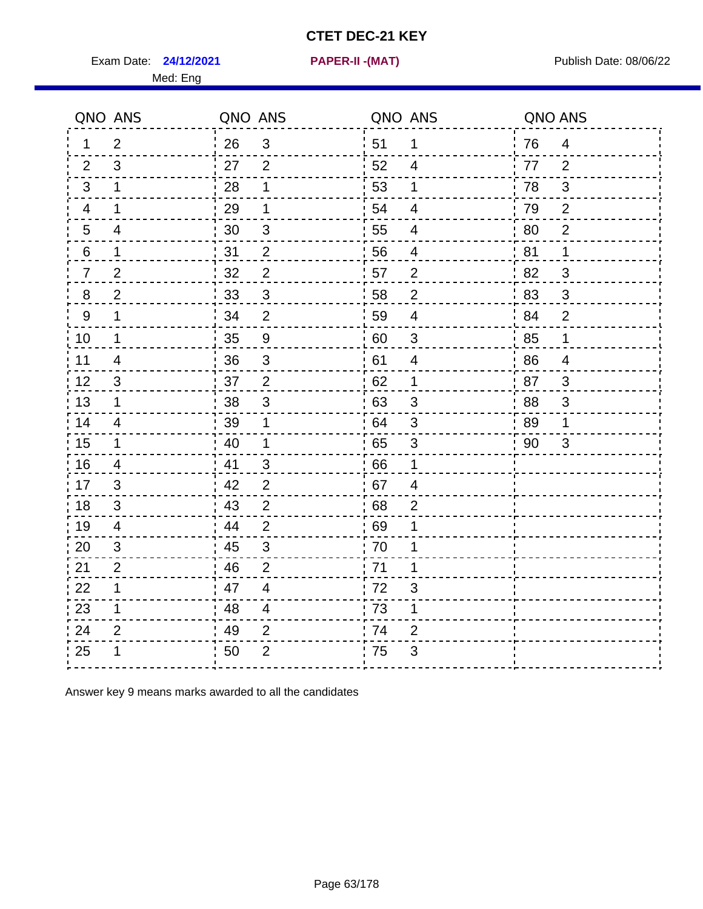Exam Date: **24/12/2021 PAPER-II -(MAT)** PUBLISH Date: 08/06/22

Med: Eng

**24/12/2021 PAPER-II -(MAT)**

|                | QNO ANS        | QNO ANS |                          |      | QNO ANS                   | QNO ANS |                |
|----------------|----------------|---------|--------------------------|------|---------------------------|---------|----------------|
| 1.             | $\overline{2}$ | 26      | $\mathbf{3}$             | ່ 51 | $\mathbf 1$               | 76      | $\overline{4}$ |
| 2              | 3              | 27      | $\overline{2}$           | 52   | $\overline{4}$            | 77      | 2              |
| 3              | $\mathbf 1$    | 28      | 1                        | 53   | $\mathbf 1$               | 78      | $\mathfrak{S}$ |
| $\overline{4}$ | 1              | 29      | 1                        | 54   | 4                         | 79      | $\overline{2}$ |
| 5              | 4              | 30      | $\sqrt{3}$               | 55   | $\overline{4}$            | 80      | $\overline{2}$ |
| 6              | $\mathbf 1$    | 31      | $\overline{2}$           | 56   | 4                         | 81      | 1              |
| $\overline{7}$ | $\overline{2}$ | 32      | $\overline{2}$           | 57   | $\overline{2}$            | 82      | 3              |
| $8\phantom{1}$ | $\overline{2}$ | 33      | $\sqrt{3}$               | 58   | $\boldsymbol{2}$          | 83      | $\sqrt{3}$     |
| 9              | $\mathbf 1$    | 34      | $\overline{2}$           | 59   | $\overline{\mathbf{4}}$   | 84      | $\overline{2}$ |
| 10             | $\mathbf 1$    | 35      | $\boldsymbol{9}$         | 60   | $\ensuremath{\mathsf{3}}$ | 85      | $\mathbf 1$    |
| 11             | 4              | 36      | $\mathsf 3$              | 61   | 4                         | 86      | $\overline{4}$ |
| 12             | $\mathfrak{S}$ | 37      | $\overline{2}$           | 62   | $\mathbf 1$               | 87      | $\mathfrak{3}$ |
| 13             | $\mathbf 1$    | 38      | 3                        | .63  | 3                         | 88      | 3              |
| 14             | 4              | 39      | 1                        | 64   | 3                         | 89      | 1              |
| 15             | $\mathbf 1$    | 40      | $\mathbf 1$              | 65   | $\sqrt{3}$                | 90      | $\mathfrak{S}$ |
| 16             | 4              | 41      | $\mathfrak{3}$           | 66   | 1                         |         |                |
| 17             | 3              | 42      | 2                        | 67   | 4                         |         |                |
| 18             | 3              | 43      | $\boldsymbol{2}$         | 68   | $\overline{2}$            |         |                |
| 19             | $\overline{4}$ | 44      | $\overline{2}$           | .69  | 1                         |         |                |
| 20             | 3              | 45      | $\mathfrak{S}$           | 70   | 1                         |         |                |
| 21             | $\overline{2}$ | 46      | $\overline{2}$           | 71   | 1                         |         |                |
| 22             | $\mathbf 1$    | 47      | $\overline{\mathcal{A}}$ | 72   | 3                         |         |                |
| 23             | $\mathbf 1$    | 48      | $\overline{4}$           | 73   | 1                         |         |                |
| 24             | $\overline{2}$ | 49      | $\overline{2}$           | 74   | $\overline{2}$            |         |                |
| 25             | 1              | 50      | $\overline{2}$           | 75   | 3                         |         |                |

Answer key 9 means marks awarded to all the candidates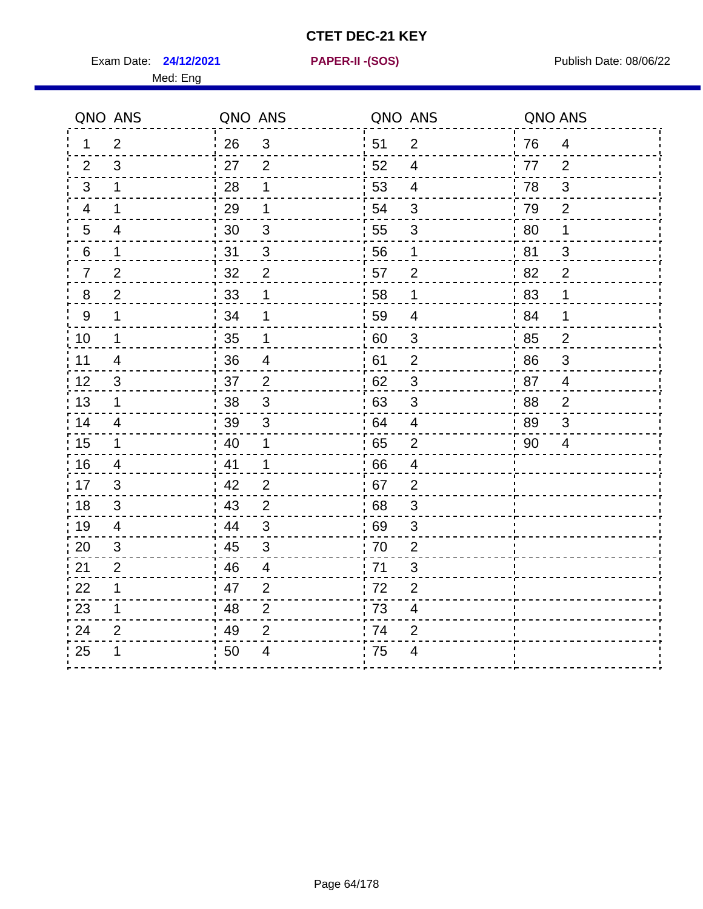Exam Date: **24/12/2021 PAPER-II - (SOS)** Publish Date: 08/06/22

Med: Eng

**24/12/2021 PAPER-II -(SOS)**

|                  | QNO ANS        | QNO ANS |                |    | QNO ANS                   | QNO ANS |                           |
|------------------|----------------|---------|----------------|----|---------------------------|---------|---------------------------|
| 1                | $\overline{2}$ | 26      | 3              | 51 | 2                         | 76      | $\overline{4}$            |
| 2                | 3              | 27      | $\overline{2}$ | 52 | $\overline{4}$            | 77      | 2                         |
| 3                | 1              | 28      | 1              | 53 | $\overline{4}$            | 78      | 3                         |
| 4                | 1              | 29      | 1              | 54 | $\mathfrak{S}$            | 79      | $\overline{2}$            |
| $5\overline{)}$  | $\overline{4}$ | 30      | 3              | 55 | $\mathfrak{S}$            | 80      | 1                         |
| 6                | 1              | 31      | $\mathfrak{B}$ | 56 | 1                         | 81      | 3                         |
| $\overline{7}$   | $\overline{2}$ | 32      | $\overline{2}$ | 57 | $\overline{2}$            | 82      | $\overline{2}$            |
| $\bf 8$          | $\overline{2}$ | 33      | 1              | 58 | 1                         | 83      | 1                         |
| $\boldsymbol{9}$ | 1              | 34      | 1              | 59 | $\overline{4}$            | 84      | 1                         |
| 10               | 1              | 35      | 1              | 60 | $\ensuremath{\mathsf{3}}$ | 85      | $\overline{2}$            |
| 11               | $\overline{4}$ | 36      | $\overline{4}$ | 61 | $\mathbf 2$               | 86      | $\ensuremath{\mathsf{3}}$ |
| 12               | 3              | 37      | $\overline{2}$ | 62 | $\sqrt{3}$                | 87      | $\overline{4}$            |
| 13               | 1              | 38      | 3              | 63 | 3                         | 88      | $\overline{2}$            |
| 14               | $\overline{4}$ | 39      | 3              | 64 | $\overline{4}$            | 89      | 3                         |
| 15               | 1              | 40      | 1              | 65 | $\overline{2}$            | 90      | $\overline{4}$            |
| 16               | $\overline{4}$ | 41      | $\mathbf 1$    | 66 | $\overline{4}$            |         |                           |
| 17               | 3              | 42      | $\overline{2}$ | 67 | $\overline{2}$            |         |                           |
| 18               | 3              | 43      | $\overline{2}$ | 68 | $\sqrt{3}$                |         |                           |
| 19               | $\overline{4}$ | 44      | $\mathfrak{S}$ | 69 | $\sqrt{3}$                |         |                           |
| 20               | 3              | 45      | 3              | 70 | $\overline{2}$            |         |                           |
| 21               | $\overline{2}$ | 46      | 4              | 71 | 3                         |         |                           |
| 22               | 1              | 47      | $\overline{2}$ | 72 | $\overline{2}$            |         |                           |
| 23               | 1              | 48      | $\overline{2}$ | 73 | $\overline{\mathbf{4}}$   |         |                           |
| 24               | $\overline{2}$ | 49      | $\overline{2}$ | 74 | $\overline{2}$            |         |                           |
| 25               | 1              | 50      | 4              | 75 | 4                         |         |                           |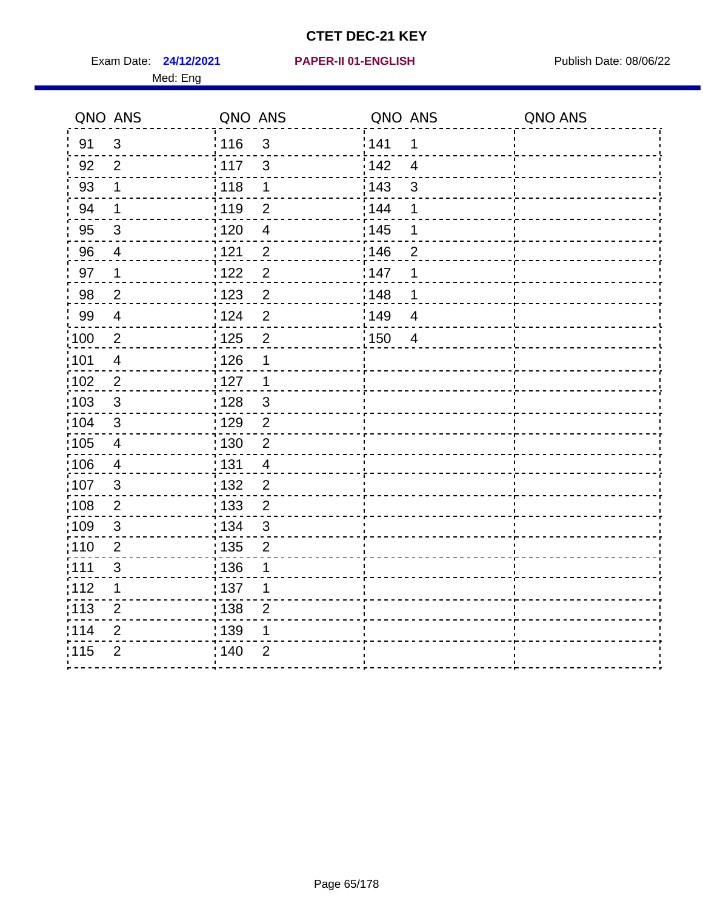Exam Date: 24/12/2021 PAPER-II 01-ENGLISH PREERENT Publish Date: 08/06/22 Med: Eng

#### **24/12/2021 PAPER-II 01-ENGLISH**

|                   | QNO ANS                 | QNO ANS           |                | QNO ANS |                | QNO ANS |
|-------------------|-------------------------|-------------------|----------------|---------|----------------|---------|
| 91                | 3                       | : 116             | 3              | 141     | 1              |         |
| 92                | $\overline{2}$          | 117               | $\mathbf{3}$   | 142     | $\overline{4}$ |         |
| 93                | $\mathbf 1$             | 118               | $\mathbf 1$    | 143     | $\mathbf{3}$   |         |
| 94                | $\mathbf 1$             | : 119             | $\overline{2}$ | 144     | 1              |         |
| 95                | $\mathfrak{B}$          | : 120             | $\overline{4}$ | : 145   | 1              |         |
| 96                | 4                       | 121               | $\overline{2}$ | 146     | $\overline{2}$ |         |
| 97                | $\mathbf 1$             | :122              | $\mathbf 2$    | 147     | 1              |         |
| 98                | $\overline{2}$          | $\frac{1}{2}$ 123 | $\overline{2}$ | 148     | 1              |         |
| 99                | $\overline{\mathbf{4}}$ | 124               | $\overline{2}$ | 149     | $\overline{4}$ |         |
| 100               | $\sqrt{2}$              | $\frac{1}{1}$ 125 | $\overline{2}$ | 150     | $\overline{4}$ |         |
| 101               | $\overline{4}$          | 126               | 1              |         |                |         |
| 102               | $\overline{2}$          | :127              | $\overline{1}$ |         |                |         |
| 103               | 3                       | : 128             | $\mathbf{3}$   |         |                |         |
| $\frac{1}{1}$ 104 | $\mathbf{3}$            | : 129             | $\overline{2}$ |         |                |         |
| $\frac{1}{1}$ 105 | $\overline{4}$          | : 130             | $\overline{2}$ |         |                |         |
| :106              | $\overline{4}$          | : 131             | $\overline{4}$ |         |                |         |
| 107               | $\mathfrak{B}$          | : 132             | $\overline{2}$ |         |                |         |
| $\frac{1}{1}$ 108 | $\overline{2}$          | 133               | $\overline{2}$ |         |                |         |
| 109               | $\sqrt{3}$              | : 134             | $\mathbf{3}$   |         |                |         |
| :110              | $\overline{2}$          | : 135             | $\overline{2}$ |         |                |         |
| : 111             | 3                       | : 136             | 1              |         |                |         |
| 112               | 1                       | : 137             | 1              |         |                |         |
| $\frac{1}{1}$ 113 | $\overline{2}$          | : 138             | $\overline{2}$ |         |                |         |
| 114               | $\overline{2}$          | : 139             | 1              |         |                |         |
| 115               | $\overline{2}$          | 140               | $\overline{2}$ |         |                |         |
|                   |                         |                   |                |         |                |         |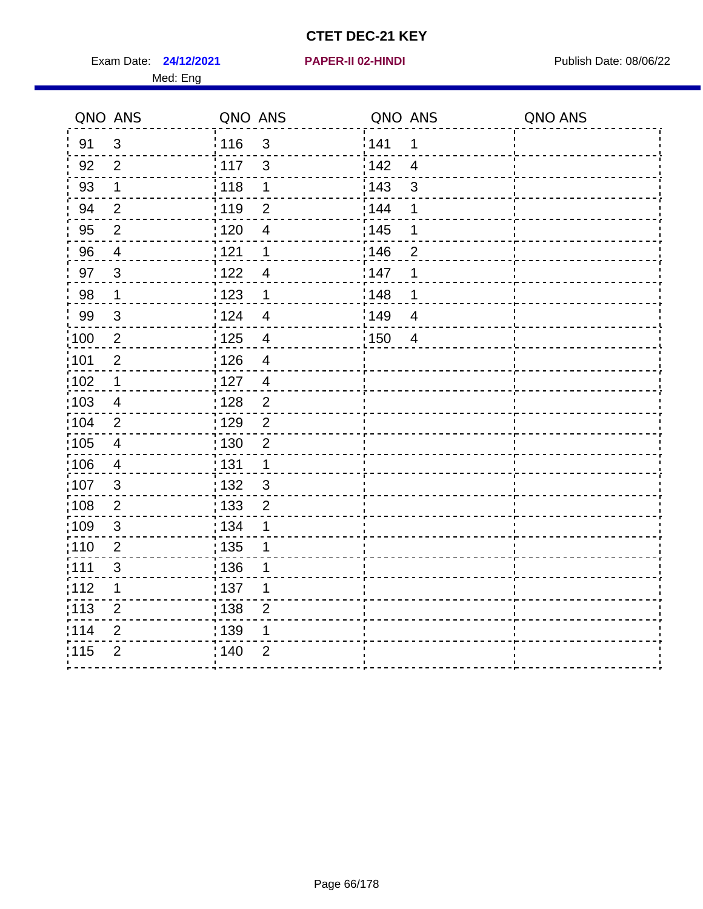Exam Date: 24/12/2021 **PAPER-II 02-HINDI Exam Date: 08/06/22** Med: Eng

# **24/12/2021 PAPER-II 02-HINDI**

| QNO ANS           |                          | QNO ANS                          | QNO ANS                | QNO ANS |
|-------------------|--------------------------|----------------------------------|------------------------|---------|
| 91                | $\mathfrak{3}$           | :116<br>3                        | 141<br>$\mathbf 1$     |         |
| 92                | $\overline{2}$           | 117<br>3                         | 142<br>$\overline{4}$  |         |
| 93                | $\mathbf 1$              | $\frac{1}{2}$ 118<br>$\mathbf 1$ | 143<br>3               |         |
| 94                | $\overline{2}$           | : 119<br>$\overline{2}$          | 144<br>1               |         |
| 95                | $\overline{2}$           | : 120<br>$\overline{4}$          | $\frac{1}{1}$ 145<br>1 |         |
| 96                | $\overline{4}$           | 121<br>1                         | 146<br>$\overline{2}$  |         |
| 97                | $\mathbf{3}$             | 122<br>$\overline{4}$            | 147<br>1               |         |
| 98                | $\mathbf 1$              | 1123<br>$\mathbf 1$              | 148<br>1               |         |
| 99                | $\mathfrak{S}$           | 124<br>$\overline{4}$            | 149<br>$\overline{4}$  |         |
| $\frac{1}{1}$ 100 | $\overline{2}$           | : 125<br>$\overline{\mathbf{4}}$ | 150<br>$\overline{4}$  |         |
| :101              | $\overline{2}$           | : 126<br>$\overline{4}$          |                        |         |
| 102               | $\mathbf 1$              | : 127<br>$\overline{4}$          |                        |         |
| :103              | $\overline{4}$           | : 128<br>$\overline{2}$          |                        |         |
| :104              | 2                        | : 129<br>$\overline{2}$          |                        |         |
| 105               | $\overline{\mathcal{A}}$ | : 130<br>$\overline{2}$          |                        |         |
| 106               | $\overline{4}$           | : 131<br>$\mathbf 1$             |                        |         |
| :107              | 3                        | :132<br>$\mathbf{3}$             |                        |         |
| 108               | $\overline{2}$           | : 133<br>$\overline{2}$          |                        |         |
| 109               | $\sqrt{3}$               | : 134<br>1                       |                        |         |
| :110              | $\overline{2}$           | : 135<br>1                       |                        |         |
| 111               | 3                        | : 136<br>1                       |                        |         |
| 112               | $\mathbf 1$              | : 137<br>1                       |                        |         |
| $\frac{1}{1}$ 113 | $\overline{2}$           | 138<br>$\overline{2}$            |                        |         |
| 114               | $\overline{2}$           | : 139<br>1                       |                        |         |
| 115               | $\overline{2}$           | 140<br>$\overline{2}$            |                        |         |
|                   |                          |                                  |                        |         |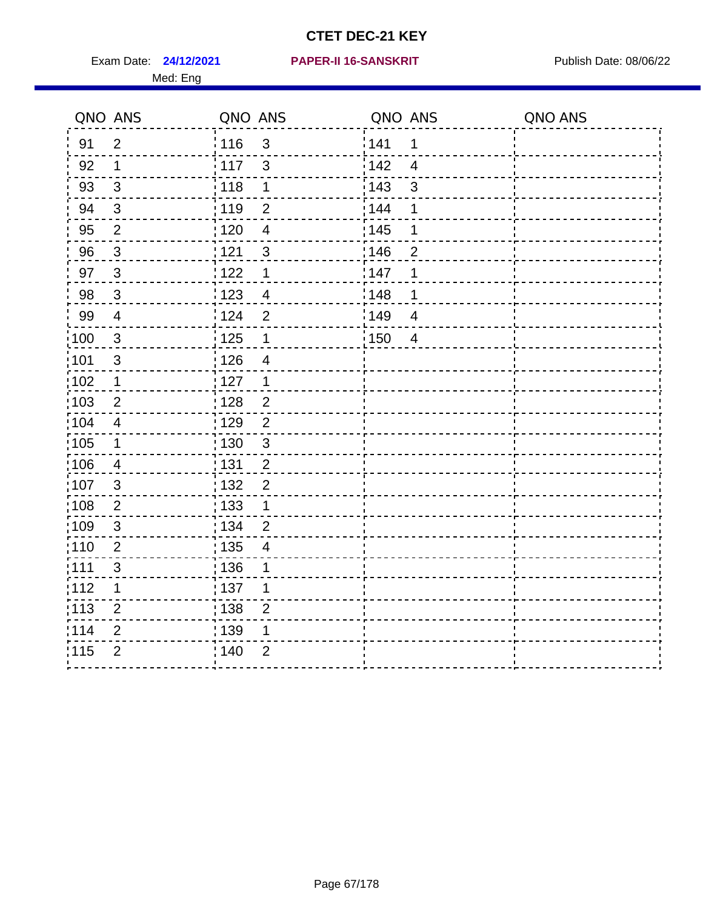Med: Eng

#### **24/12/2021 PAPER-II 16-SANSKRIT** Exam Date: Publish Date: 08/06/22

|                   | QNO ANS        | QNO ANS |                          | QNO ANS           |                | QNO ANS |
|-------------------|----------------|---------|--------------------------|-------------------|----------------|---------|
| 91                | $\overline{2}$ | : 116   | $\mathbf{3}$             | 141               | $\mathbf 1$    |         |
| 92                | $\mathbf 1$    | : 117   | $\mathbf{3}$             | 142               | $\overline{4}$ |         |
| 93                | $\mathfrak{S}$ | 118     | $\mathbf 1$              | 143               | $\mathsf 3$    |         |
| 94                | $\mathbf{3}$   | : 119   | $\overline{2}$           | 144               | 1              |         |
| 95                | $\overline{2}$ | : 120   | $\overline{4}$           | : 145             | 1              |         |
| 96                | $\mathbf{3}$   | 121     | $\mathfrak{B}$           | 146               | $\overline{2}$ |         |
| 97                | $\mathbf{3}$   | 122     | $\mathbf 1$              | 147               | 1              |         |
| 98                | $\mathbf{3}$   | 123     | $\overline{4}$           | 148               | 1              |         |
| 99                | $\overline{4}$ | 124     | $\mathbf 2$              | 149               | $\overline{4}$ |         |
| 100               | $\mathbf{3}$   | 125     | $\mathbf 1$              | $\frac{1}{1}$ 150 | $\overline{4}$ |         |
| 101               | $\sqrt{3}$     | 126     | $\overline{\mathcal{A}}$ |                   |                |         |
| 102               | $\mathbf{1}$   | : 127   | $\mathbf 1$              |                   |                |         |
| 103               | $\overline{2}$ | : 128   | $\overline{2}$           |                   |                |         |
| 104               | $\overline{4}$ | : 129   | $\overline{2}$           |                   |                |         |
| $\frac{1}{1}$ 105 | $\mathbf 1$    | : 130   | $\mathfrak{S}$           |                   |                |         |
| 106               | $\overline{4}$ | : 131   | $\overline{2}$           |                   |                |         |
| 107               | 3              | : 132   | $\overline{2}$           |                   |                |         |
| 108               | $\overline{2}$ | : 133   | $\mathbf 1$              |                   |                |         |
| :109              | $\sqrt{3}$     | : 134   | $\overline{2}$           |                   |                |         |
| : 110             | $\overline{2}$ | : 135   | 4                        |                   |                |         |
| : 111             | $\mathfrak{S}$ | :136    | 1                        |                   |                |         |
| 112               | 1              | : 137   | 1                        |                   |                |         |
| : 113             | $\overline{2}$ | 138     | $\overline{2}$           |                   |                |         |
| 114               | $\overline{2}$ | : 139   | 1                        |                   |                |         |
| 115               | $\overline{2}$ | 140     | $\overline{2}$           |                   |                |         |
|                   |                |         |                          |                   |                |         |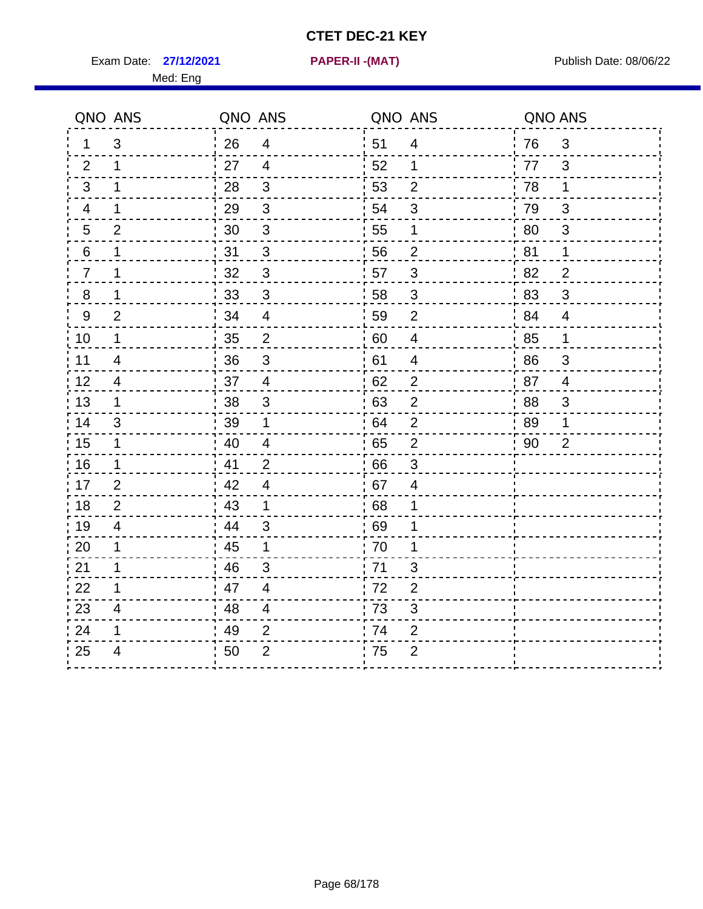Exam Date: 27/12/2021 **PAPER-II-(MAT)** Pressure Publish Date: 08/06/22 Med: Eng

**27/12/2021 PAPER-II -(MAT)**

|                | QNO ANS                  | QNO ANS |                           | QNO ANS |                | QNO ANS |                           |
|----------------|--------------------------|---------|---------------------------|---------|----------------|---------|---------------------------|
| 1              | 3                        | 26      | $\overline{4}$            | ່ 51    | $\overline{4}$ | 76      | $\mathfrak{S}$            |
| 2              | $\mathbf 1$              | 27      | $\overline{4}$            | 52      | $\mathbf 1$    | 77      | 3                         |
| 3              | 1                        | 28      | $\mathfrak{S}$            | 53      | $\overline{2}$ | 78      | $\mathbf 1$               |
| 4              | 1                        | 29      | $\sqrt{3}$                | 54      | $\sqrt{3}$     | 79      | $\mathsf 3$               |
| 5              | $\overline{2}$           | 30      | $\sqrt{3}$                | 55      | 1              | 80      | $\sqrt{3}$                |
| 6              | 1                        | 31      | 3                         | 56      | $\overline{2}$ | 81      | 1                         |
| $\overline{7}$ | 1                        | 32      | $\mathbf{3}$              | 57      | 3              | 82      | $\overline{2}$            |
| $\bf 8$        | 1                        | 33      | $\sqrt{3}$                | 58      | $\sqrt{3}$     | 83      | $\mathfrak{S}$            |
| 9              | $\overline{2}$           | 34      | $\overline{4}$            | 59      | $\overline{2}$ | 84      | $\overline{4}$            |
| 10             | $\mathbf 1$              | 35      | $\overline{2}$            | 60      | $\overline{4}$ | 85      | $\mathbf 1$               |
| 11             | $\overline{\mathcal{A}}$ | 36      | $\ensuremath{\mathsf{3}}$ | 61      | $\overline{4}$ | 86      | $\ensuremath{\mathsf{3}}$ |
| 12             | $\overline{4}$           | 37      | $\overline{4}$            | 62      | $\overline{2}$ | 87      | $\overline{4}$            |
| 13             | 1                        | 38      | 3                         | 63      | $\overline{2}$ | 88      | 3                         |
| 14             | 3                        | 39      | 1                         | 64      | $\overline{2}$ | 89      | 1                         |
| 15             | $\mathbf 1$              | 40      | $\overline{\mathcal{A}}$  | 65      | $\mathbf 2$    | 90      | $\overline{2}$            |
| 16             | $\mathbf 1$              | 41      | $\overline{2}$            | 66      | 3              |         |                           |
| 17             | $\overline{2}$           | 42      | 4                         | 67      | $\overline{4}$ |         |                           |
| 18             | 2                        | 43      | $\mathbf 1$               | 68      | 1              |         |                           |
| 19             | $\overline{4}$           | 44      | $\mathfrak{S}$            | 69      | 1              |         |                           |
| 20             | 1                        | 45      | 1                         | 70      | 1              |         |                           |
| 21             | 1                        | 46      | 3                         | 71      | 3              |         |                           |
| 22             | 1                        | 47      | $\overline{4}$            | 72      | $\overline{2}$ |         |                           |
| 23             | $\overline{4}$           | 48      | $\overline{\mathbf{4}}$   | 73      | 3              |         |                           |
| 24             | 1                        | 49      | 2                         | .74     | $\overline{2}$ |         |                           |
| 25             | 4                        | 50      | $\overline{2}$            | 75      | $\overline{2}$ |         |                           |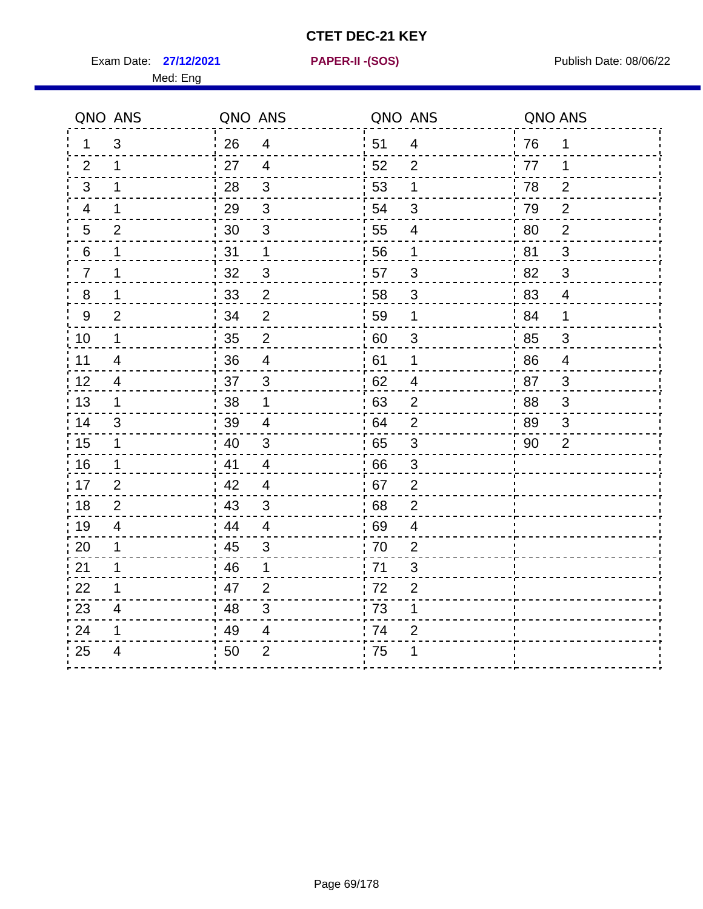Exam Date: 27/12/2021 **PAPER-II-(SOS)** Provided a Publish Date: 08/06/22

Med: Eng

**27/12/2021 PAPER-II -(SOS)**

|                | QNO ANS                  | QNO ANS |                           | QNO ANS |                           | QNO ANS |                |
|----------------|--------------------------|---------|---------------------------|---------|---------------------------|---------|----------------|
| 1.             | 3                        | 26      | $\overline{4}$            | 51      | $\overline{4}$            | 76      | 1              |
| 2              | 1                        | 27      | $\overline{4}$            | 52      | 2                         | 77      | 1              |
| 3              | 1                        | 28      | $\mathfrak{3}$            | 53      | 1                         | 78      | $\overline{2}$ |
| 4              | 1                        | 29      | $\mathfrak{S}$            | 54      | $\mathfrak{S}$            | 79      | $\overline{2}$ |
| 5              | $\overline{2}$           | 30      | $\ensuremath{\mathsf{3}}$ | 55      | $\overline{4}$            | 80      | $\overline{2}$ |
| 6              | 1                        | 31      | $\mathbf{1}$              | 56      | 1                         | 81      | 3              |
| $\overline{7}$ | 1                        | 32      | 3                         | 57      | 3                         | 82      | 3              |
| $\,8\,$        | 1                        | 33      | $\overline{2}$            | 58      | $\sqrt{3}$                | 83      | $\overline{4}$ |
| 9              | $\overline{2}$           | 34      | $\overline{2}$            | 59      | 1                         | 84      | 1              |
| 10             | 1                        | 35      | $\overline{c}$            | 60      | $\mathfrak{S}$            | 85      | 3              |
| 11             | $\overline{\mathcal{A}}$ | 36      | $\overline{\mathcal{A}}$  | 61      | 1                         | 86      | $\overline{4}$ |
| 12             | $\overline{4}$           | 37      | $\mathbf{3}$              | 62      | $\overline{\mathbf{4}}$   | 87      | 3              |
| 13             | 1                        | 38      | 1                         | 63      | 2                         | 88      | 3              |
| 14             | 3                        | 39      | $\overline{4}$            | 64      | 2                         | 89      | 3              |
| 15             | $\mathbf 1$              | 40      | $\mathfrak{S}$            | 65      | $\ensuremath{\mathsf{3}}$ | 90      | $\overline{2}$ |
| 16             | $\mathbf 1$              | 41      | $\overline{4}$            | 66      | 3                         |         |                |
| 17             | 2                        | 42      | $\overline{4}$            | 67      | $\overline{2}$            |         |                |
| 18             | 2                        | 43      | $\mathfrak{3}$            | 68      | $\overline{2}$            |         |                |
| 19             | $\overline{\mathcal{A}}$ | 44      | $\overline{4}$            | 69      | 4                         |         |                |
| 20             | 1                        | 45      | 3                         | 70      | $\overline{2}$            |         |                |
| 21             | 1                        | 46      | 1                         | 71      | 3                         |         |                |
| 22             | 1                        | 47      | $\overline{2}$            | 72      | $\overline{2}$            |         |                |
| 23             | $\overline{4}$           | 48      | 3                         | 73      | 1                         |         |                |
| 24             | 1                        | 49      | 4                         | 74      | $\overline{2}$            |         |                |
| 25             | 4                        | 50      | $\overline{2}$            | 75      | 1                         |         |                |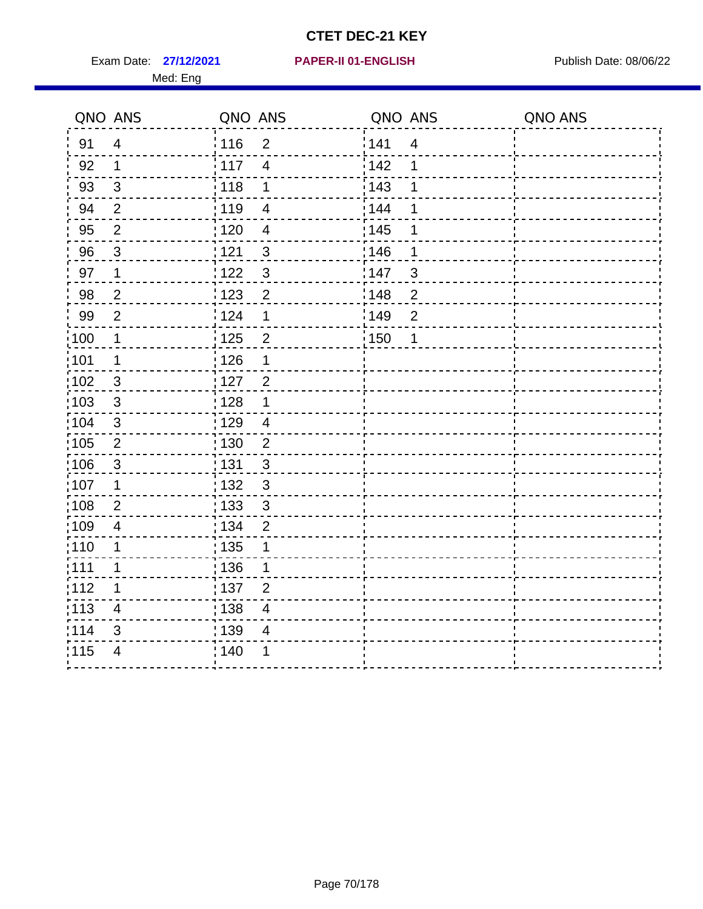Exam Date: 27/12/2021 **PAPER-II 01-ENGLISH Propriet Access 127/12/2021** Publish Date: 08/06/22 Med: Eng

#### **27/12/2021 PAPER-II 01-ENGLISH**

|                   | QNO ANS                  | QNO ANS           |                          | QNO ANS           |                         | QNO ANS |
|-------------------|--------------------------|-------------------|--------------------------|-------------------|-------------------------|---------|
| 91                | $\overline{4}$           | 116               | $\overline{2}$           | 1141              | $\overline{\mathbf{4}}$ |         |
| 92                | 1                        | $\frac{1}{2}$ 117 | $\overline{4}$           | 142               | 1                       |         |
| 93                | $\sqrt{3}$               | 118               | $\mathbf 1$              | 143               | 1                       |         |
| 94                | $\overline{2}$           | 119               | $\overline{\mathbf{4}}$  | : 144             | 1                       |         |
| 95                | $\overline{2}$           | : 120             | $\overline{\mathcal{A}}$ | : 145             | 1                       |         |
| 96                | 3                        | 121               | $\sqrt{3}$               | :146              | 1                       |         |
| 97                | $\mathbf 1$              | 1122              | $\mathfrak{S}$           | 147               | $\mathfrak{S}$          |         |
| 98                | $\overline{c}$           | 123               | $\overline{c}$           | 148               | $\overline{2}$          |         |
| 99                | $\overline{2}$           | 124               | 1                        | :149              | $\mathbf 2$             |         |
| 100               | $\mathbf 1$              | 125               | $\mathbf{2}$             | $\frac{1}{1}$ 150 | 1                       |         |
| 101               | $\mathbf 1$              | 126               | 1                        |                   |                         |         |
| 102               | 3                        | : 127             | $\overline{2}$           |                   |                         |         |
| 103               | $\mathbf{3}$             | : 128             | $\mathbf 1$              |                   |                         |         |
| 104               | $\mathbf{3}$             | : 129             | $\overline{4}$           |                   |                         |         |
| 105               | $\sqrt{2}$               | $\frac{1}{1}$ 130 | $\mathbf 2$              |                   |                         |         |
| 106               | $\mathbf{3}$             | : 131             | 3                        |                   |                         |         |
| 107               | $\mathbf 1$              | : 132             | $\mathbf{3}$             |                   |                         |         |
| 108               | $\overline{2}$           | 133               | $\mathbf{3}$             |                   |                         |         |
| :109              | $\overline{\mathcal{A}}$ | : 134             | $\overline{2}$           |                   |                         |         |
| :110              | 1                        | : 135             | 1                        |                   |                         |         |
| : 111             | 1                        | : 136             | 1                        |                   |                         |         |
| 112               | 1                        | : 137             | $\overline{2}$           |                   |                         |         |
| $\frac{1}{1}$ 113 | $\overline{4}$           | : 138             | $\overline{4}$           |                   |                         |         |
| 114               | 3                        | : 139             | 4                        |                   |                         |         |
| 115               | $\overline{4}$           | 140               | 1                        |                   |                         |         |
|                   |                          |                   |                          |                   |                         |         |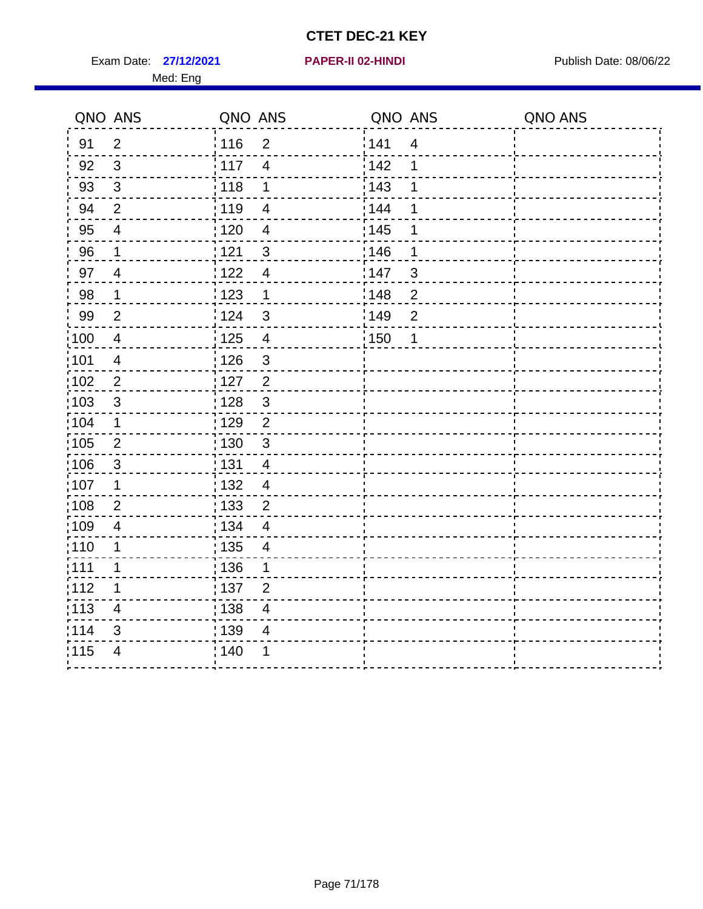Exam Date: 27/12/2021 **PAPER-II 02-HINDI Exam Date: 08/06/22** 

#### **27/12/2021 PAPER-II 02-HINDI**

|                   | QNO ANS                 | QNO ANS                             | QNO ANS |                | QNO ANS |
|-------------------|-------------------------|-------------------------------------|---------|----------------|---------|
| 91                | $\overline{2}$          | 116<br>$\overline{2}$               | 141     | $\overline{4}$ |         |
| 92                | $\sqrt{3}$              | 117<br>$\overline{\mathbf{4}}$      | 142     | 1              |         |
| 93                | $\mathsf 3$             | 118<br>1                            | 143     | 1              |         |
| 94                | $\overline{2}$          | : 119<br>$\overline{4}$             | 144     | 1              |         |
| 95                | $\overline{4}$          | : 120<br>$\overline{4}$             | : 145   | 1              |         |
| 96                | $\mathbf 1$             | 121<br>3                            | 146     | 1              |         |
| 97                | $\overline{4}$          | : 122<br>$\overline{4}$             | 147     | 3              |         |
| 98                | $\mathbf{1}$            | 123<br>1                            | 148     | $\overline{c}$ |         |
| 99                | $\overline{2}$          | 124<br>$\mathbf{3}$                 | 149     | $\mathbf{2}$   |         |
| :100              | $\overline{4}$          | 125<br>$\overline{4}$               | 150     | 1              |         |
| 101               | $\overline{\mathbf{4}}$ | 126<br>$\mathfrak{S}$               |         |                |         |
| 102               | $\overline{2}$          | : 127<br>$\overline{2}$             |         |                |         |
| :103              | $\mathbf{3}$            | 3<br>:128                           |         |                |         |
| 104               | $\mathbf 1$             | : 129<br>$\overline{2}$             |         |                |         |
| 105               | $\overline{2}$          | : 130<br>$\mathbf{3}$               |         |                |         |
| 106               | $\mathfrak{S}$          | : 131<br>$\overline{4}$             |         |                |         |
| 107               | $\mathbf 1$             | 132<br>$\overline{4}$               |         |                |         |
| $\frac{1}{1}$ 108 | $\overline{2}$          | $\frac{1}{1}$ 133<br>$\overline{c}$ |         |                |         |
| :109              | $\overline{\mathbf{4}}$ | : 134<br>$\overline{4}$             |         |                |         |
| :110              | 1                       | : 135<br>$\overline{4}$             |         |                |         |
| 1111              | 1                       | 136<br>1                            |         |                |         |
| 112               | 1                       | $\frac{1}{1}$ 137<br>$\overline{2}$ |         |                |         |
| $\frac{1}{1}$ 113 | $\overline{\mathbf{4}}$ | 138<br>4                            |         |                |         |
| 114               | $\mathfrak{S}$          | 139<br>4                            |         |                |         |
| 115               | 4                       | 140<br>1                            |         |                |         |
|                   |                         |                                     |         |                |         |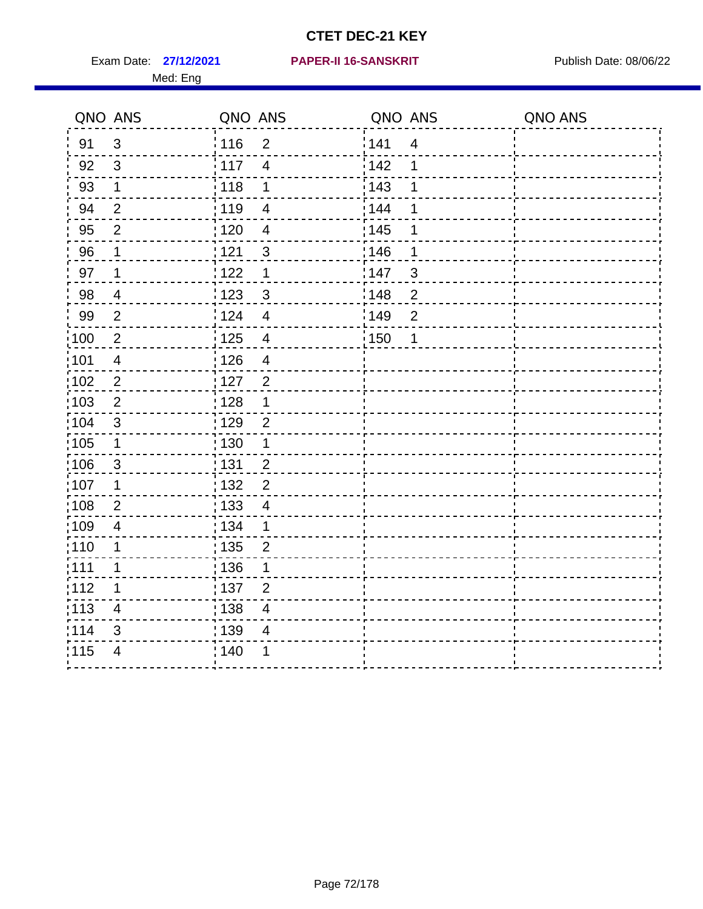Med: Eng

#### **27/12/2021 PAPER-II 16-SANSKRIT** Exam Date: Publish Date: 08/06/22

|                   | QNO ANS                 | QNO ANS           |                          | QNO ANS |                | QNO ANS |
|-------------------|-------------------------|-------------------|--------------------------|---------|----------------|---------|
| 91                | $\mathbf{3}$            | : 116             | $\overline{2}$           | 141     | $\overline{4}$ |         |
| 92                | $\mathbf{3}$            | : 117             | $\overline{4}$           | 142     | 1              |         |
| 93                | $\mathbf 1$             | 118               | 1                        | 143     |                |         |
| 94                | $\overline{2}$          | : 119             | $\overline{4}$           | 144     | 1              |         |
| 95                | $\overline{2}$          | : 120             | $\overline{4}$           | : 145   |                |         |
| 96                | 1                       | 121               | $\mathfrak{S}$           | 146     | 1              |         |
| 97                | $\mathbf 1$             | 122               | $\mathbf 1$              | 147     | $\mathfrak{S}$ |         |
| 98                | $\overline{4}$          | 123               | $\mathbf{3}$             | 148     | $\overline{2}$ |         |
| 99                | $\mathbf{2}$            | 124               | $\overline{4}$           | 149     | $\overline{2}$ |         |
| 100               | $\sqrt{2}$              | $\frac{1}{1}$ 125 | $\overline{4}$           | 150     | 1              |         |
| 101               | $\overline{\mathbf{4}}$ | 126               | $\overline{\mathcal{A}}$ |         |                |         |
| 102               | $\overline{2}$          | : 127             | $\overline{2}$           |         |                |         |
| 103               | 2                       | : 128             | 1                        |         |                |         |
| 104               | 3                       | : 129             | $\overline{2}$           |         |                |         |
| $\frac{1}{1}$ 105 | $\mathbf 1$             | : 130             | $\mathbf{1}$             |         |                |         |
| 106               | $\mathbf{3}$            | : 131             | $\overline{2}$           |         |                |         |
| 107               | 1                       | : 132             | $\overline{2}$           |         |                |         |
| 108               | $\overline{2}$          | : 133             | $\overline{\mathcal{A}}$ |         |                |         |
| :109              | $\overline{4}$          | : 134             | $\mathbf 1$              |         |                |         |
| : 110             | 1                       | : 135             | $\overline{2}$           |         |                |         |
| :111              | 1                       | :136              | 1                        |         |                |         |
| 112               | 1                       | : 137             | $\overline{2}$           |         |                |         |
| : 113             | $\overline{4}$          | $\frac{1}{1}$ 138 | $\overline{4}$           |         |                |         |
| 114               | 3                       | 139               | 4                        |         |                |         |
| 115               | $\overline{4}$          | : 140             | 1                        |         |                |         |
|                   |                         |                   |                          |         |                |         |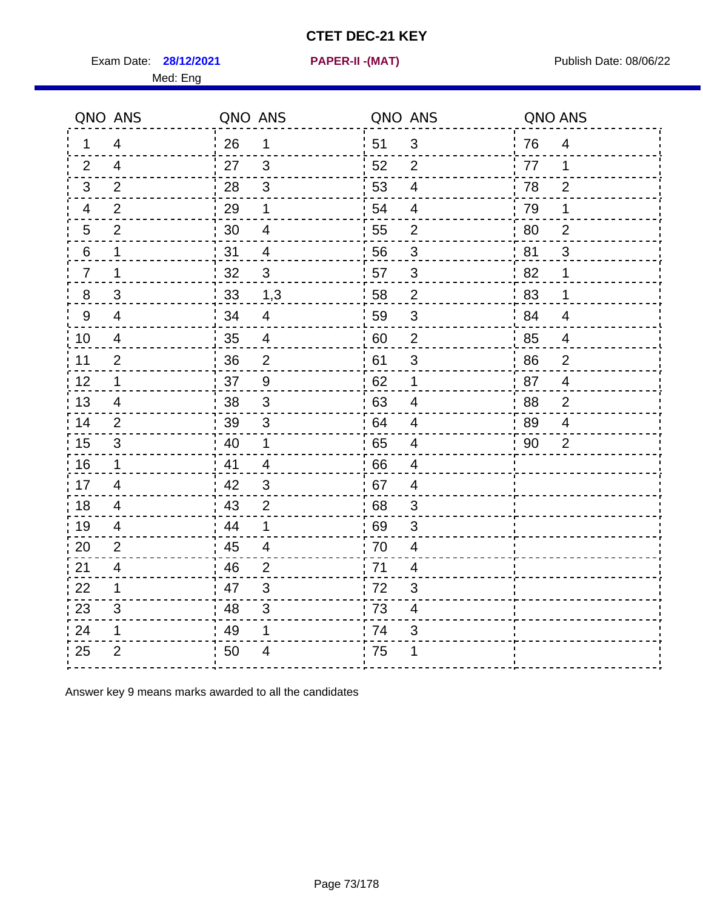Exam Date: **28/12/2021 PAPER-II -(MAT)** PUblish Date: 08/06/22

Med: Eng

**28/12/2021 PAPER-II -(MAT)**

|                | QNO ANS        | QNO ANS |                         | QNO ANS          |                         | QNO ANS |                |
|----------------|----------------|---------|-------------------------|------------------|-------------------------|---------|----------------|
| $\mathbf 1$    | $\overline{4}$ | 26      | $\mathbf{1}$            | ່ 51             | 3                       | 76      | $\overline{4}$ |
| 2              | 4              | 27      | $\mathbf{3}$            | 52               | 2                       | 77      | 1              |
| $\mathbf{3}$   | $\overline{2}$ | 28      | $\mathbf{3}$            | 53               | $\overline{4}$          | 78      | $\overline{2}$ |
| 4              | $\overline{2}$ | 29      | 1                       | 54               | 4                       | 79      | 1              |
| 5              | $\overline{2}$ | 30      | $\overline{\mathbf{4}}$ | 55               | $\overline{c}$          | 80      | $\overline{2}$ |
| 6              | 1              | 31      | $\overline{4}$          | 56               | 3                       | .81     | 3              |
| $\overline{7}$ | 1              | 32      | $\mathbf{3}$            | 57               | $\mathfrak{B}$          | 82      | 1              |
| 8              | 3              | 33      | 1,3                     | 58               | $\overline{2}$          | 83      | 1              |
| 9              | $\overline{4}$ | 34      | $\overline{4}$          | 59               | $\sqrt{3}$              | ' 84    | $\overline{4}$ |
| 10             | $\overline{4}$ | 35      | $\overline{4}$          | 60               | $\overline{c}$          | 85      | $\overline{4}$ |
| 11             | $\overline{2}$ | 36      | $\overline{2}$          | 61               | $\sqrt{3}$              | 86      | $\mathbf 2$    |
| 12             | $\mathbf{1}$   | 37      | $\boldsymbol{9}$        | 62               | $\mathbf 1$             | 87      | $\overline{4}$ |
| 13             | 4              | 38      | 3                       | 63               | $\overline{4}$          | 88      | 2              |
| 14             | 2              | 39      | $\mathbf{3}$            | 64               | 4                       | 89      | 4              |
| 15             | 3              | 40      | $\mathbf 1$             | 65               | 4                       | 90      | $\overline{2}$ |
| 16             | $\mathbf{1}$   | 41      | $\overline{4}$          | 66               | $\overline{4}$          |         |                |
| 17             | 4              | 42      | 3                       | 67               | $\overline{4}$          |         |                |
| 18             | $\overline{4}$ | 43      | $\overline{2}$          | 68               | 3                       |         |                |
| 19             | $\overline{4}$ | 44      | 1                       | .69              | 3                       |         |                |
| 20             | $\overline{2}$ | 45      | $\overline{4}$          | 70               | $\overline{\mathbf{4}}$ |         |                |
| 21             | 4              | 46      | 2                       | 71               | 4                       |         |                |
| 22             | $\mathbf 1$    | 47      | $\sqrt{3}$              | 72               | 3                       |         |                |
| 23             | 3              | 48      | $\mathfrak{S}$          | $\frac{1}{2}$ 73 | $\overline{\mathbf{4}}$ |         |                |
| 24             | 1              | 49      | 1                       | 74               | 3                       |         |                |
| 25             | $\overline{2}$ | 50      | 4                       | 75               | 1                       |         |                |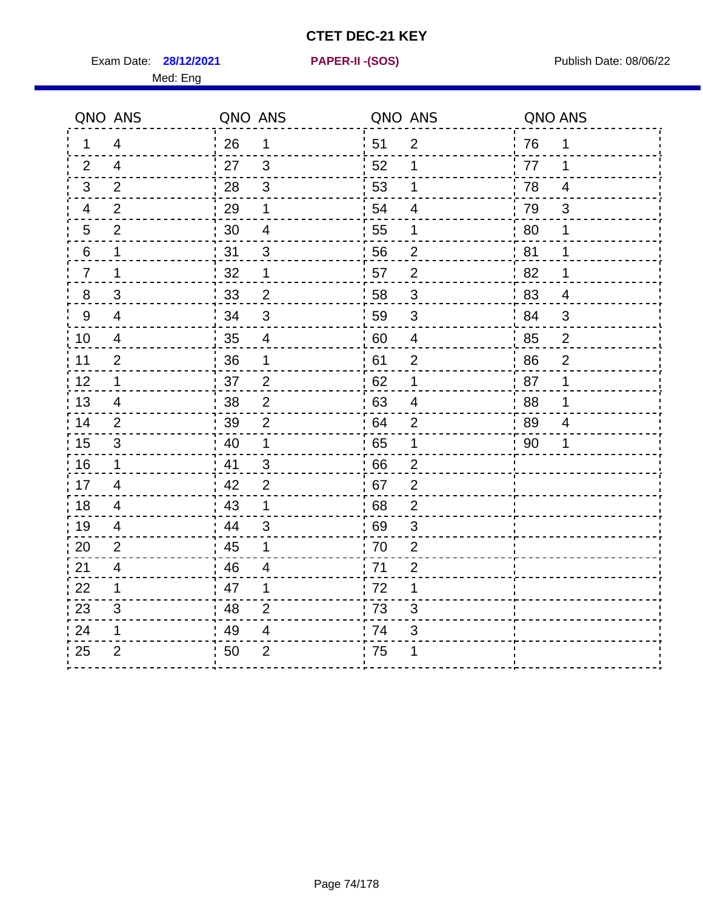Exam Date: **28/12/2021 PAPER-II - (SOS)** Publish Date: 08/06/22

Med: Eng

**28/12/2021 PAPER-II -(SOS)**

|                  | QNO ANS                  | QNO ANS |                          |    | QNO ANS        | QNO ANS |                         |
|------------------|--------------------------|---------|--------------------------|----|----------------|---------|-------------------------|
| 1                | 4                        | 26      | $\mathbf 1$              | 51 | 2              | 76      | 1                       |
| 2                | $\overline{4}$           | 27      | 3                        | 52 | 1              | 77      | 1                       |
| 3                | 2                        | 28      | 3                        | 53 | 1              | 78      | $\overline{\mathbf{4}}$ |
| 4                | $\overline{2}$           | 29      | 1                        | 54 | $\overline{4}$ | 79      | 3                       |
| 5                | $\overline{2}$           | 30      | 4                        | 55 | 1              | 80      | 1                       |
| 6                | 1                        | 31      | 3                        | 56 | $\overline{2}$ | 81      | 1                       |
| $\overline{7}$   | 1                        | 32      | 1                        | 57 | $\overline{2}$ | 82      | 1                       |
| $\bf 8$          | 3                        | 33      | $\overline{2}$           | 58 | $\sqrt{3}$     | 83      | $\overline{4}$          |
| $\boldsymbol{9}$ | $\overline{\mathcal{A}}$ | 34      | $\mathfrak{S}$           | 59 | $\sqrt{3}$     | 84      | 3                       |
| 10               | $\overline{4}$           | 35      | $\overline{\mathcal{A}}$ | 60 | $\overline{4}$ | 85      | $\overline{c}$          |
| 11               | $\overline{2}$           | 36      | 1                        | 61 | $\mathbf 2$    | 86      | $\mathbf 2$             |
| 12               | 1                        | 37      | $\overline{2}$           | 62 | 1              | 87      | 1                       |
| 13               | $\overline{4}$           | 38      | $\overline{2}$           | 63 | 4              | 88      | 1                       |
| 14               | 2                        | 39      | $\overline{2}$           | 64 | 2              | 89      | 4                       |
| 15               | $\sqrt{3}$               | 40      | $\mathbf 1$              | 65 | 1              | 90      | 1                       |
| 16               | 1                        | 41      | 3                        | 66 | $\overline{2}$ |         |                         |
| 17               | $\overline{4}$           | 42      | $\overline{2}$           | 67 | $\overline{2}$ |         |                         |
| 18               | 4                        | 43      | 1                        | 68 | $\overline{2}$ |         |                         |
| 19               | 4                        | 44      | $\mathfrak{S}$           | 69 | 3              |         |                         |
| 20               | $\overline{2}$           | 45      | 1                        | 70 | $\overline{2}$ |         |                         |
| 21               | $\overline{4}$           | 46      | 4                        | 71 | $\overline{2}$ |         |                         |
| 22               | 1                        | 47      | 1                        | 72 | 1              |         |                         |
| 23               | $\mathfrak{S}$           | 48      | $\overline{2}$           | 73 | 3              |         |                         |
| 24               | 1                        | 49      | 4                        | 74 | $\mathsf 3$    |         |                         |
| 25               | $\overline{2}$           | 50      | $\overline{2}$           | 75 | 1              |         |                         |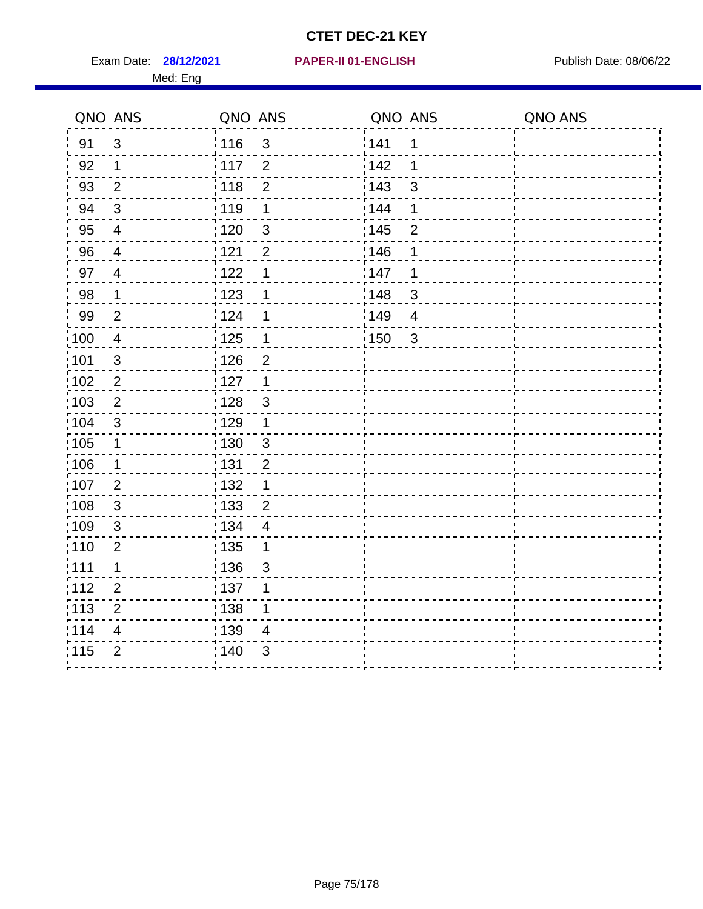Exam Date: 28/12/2021 PAPER-II 01-ENGLISH PREERENT Publish Date: 08/06/22

114 4

<u> - - - - - - - -</u>

 $\frac{1}{115}$  2  $\frac{1}{140}$  3

 $\frac{1}{1}$  139 4

#### **28/12/2021 PAPER-II 01-ENGLISH**

#### Med: Eng

| QNO ANS |                         | QNO ANS           |                | QNO ANS |                | QNO ANS |
|---------|-------------------------|-------------------|----------------|---------|----------------|---------|
| 91      | 3                       | 116               | $\mathfrak{S}$ | 141     | 1              |         |
| 92      | 1                       | $\frac{1}{2}$ 117 | $\overline{2}$ | 142     | 1              |         |
| 93      | $\overline{2}$          | : 118             | $\overline{2}$ | : 143   | $\mathbf{3}$   |         |
| 94      | $\mathsf 3$             | : 119             | $\mathbf 1$    | : 144   | 1              |         |
| 95      | $\overline{\mathbf{4}}$ | : 120             | $\mathfrak{S}$ | : 145   | $\overline{2}$ |         |
| 96      | $\overline{\mathbf{4}}$ | 121               | $\mathbf{2}$   | :146    | 1              |         |
| 97      | $\overline{\mathbf{4}}$ | 1122              | 1              | 147     | 1              |         |
| 98      | 1                       | 1123              | 1              | : 148   | $\mathbf{3}$   |         |
| 99      | $\overline{2}$          | 124               | $\mathbf 1$    | 149     | $\overline{4}$ |         |
| 100     | $\overline{\mathbf{4}}$ | $\frac{1}{2}$ 125 | $\mathbf 1$    | :150    | $\sqrt{3}$     |         |
| 101     | 3                       | : 126             | $\overline{2}$ |         |                |         |
| 102     | $\overline{2}$          | $\frac{1}{1}$ 127 | $\mathbf 1$    |         |                |         |
| 103     | $\overline{2}$          | : 128             | $\mathfrak{S}$ |         |                |         |
| :104    | $\mathfrak{B}$          | : 129             | $\mathbf 1$    |         |                |         |
| 105     | $\mathbf 1$             | : 130             | 3              |         |                |         |
| 106     | $\mathbf 1$             | : 131             | $\overline{c}$ |         |                |         |
| 107     | $\overline{2}$          | : 132             | $\mathbf 1$    |         |                |         |
| 108     | $\mathfrak{S}$          | 133               | $\overline{2}$ |         |                |         |
| 109     | $\mathfrak{S}$          | 134               | $\overline{4}$ |         |                |         |
| 110     | $\overline{2}$          | : 135             | 1              |         |                |         |
| :111    | 1                       | : 136             | $\mathfrak{B}$ |         |                |         |
| 112     | $\overline{2}$          | $\frac{1}{2}$ 137 | 1              |         |                |         |
| 113     | $\overline{2}$          | 138               | 1              |         |                |         |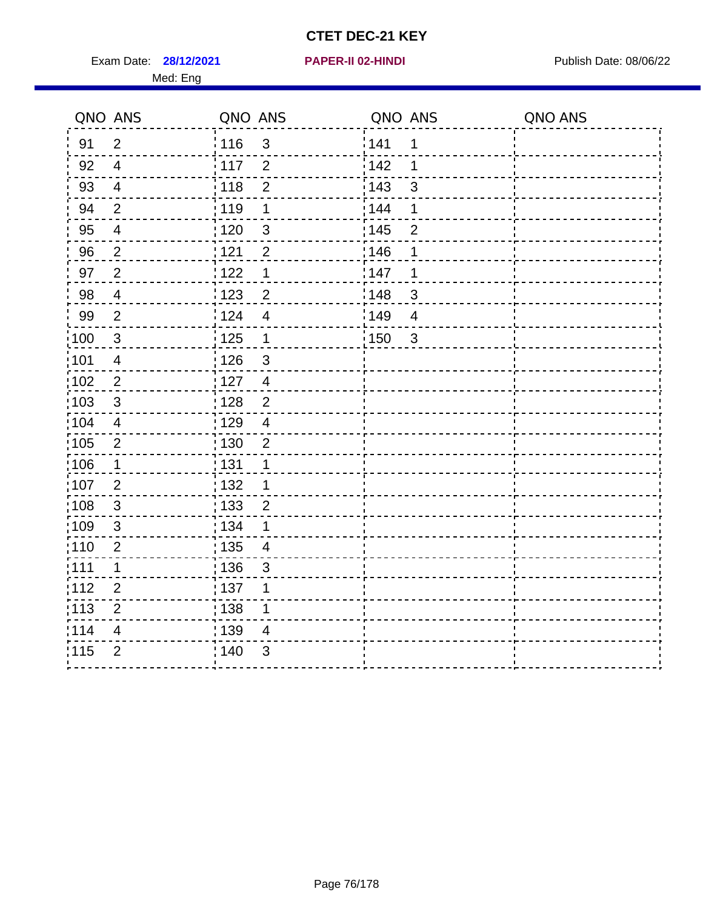Exam Date: **28/12/2021 PAPER-II 02-HINDI Exam Date: 08/06/22** 

#### **28/12/2021 PAPER-II 02-HINDI**

Med: Eng

|       | QNO ANS        | QNO ANS                             | QNO ANS                 | QNO ANS |
|-------|----------------|-------------------------------------|-------------------------|---------|
| 91    | $\overline{2}$ | : 116<br>$\mathfrak{S}$             | 141<br>1                |         |
| 92    | $\overline{4}$ | $\frac{1}{2}$ 117<br>$\overline{2}$ | i 142<br>1              |         |
| 93    | $\overline{4}$ | : 118<br>$\overline{2}$             | 143<br>3                |         |
| 94    | $\mathbf{2}$   | 119<br>1                            | : 144<br>1              |         |
| 95    | $\overline{4}$ | : 120<br>$\mathfrak{S}$             | : 145<br>$\overline{2}$ |         |
| 96    | $\overline{c}$ | 121<br>$\overline{2}$               | 146<br>1                |         |
| 97    | $\overline{2}$ | 1122<br>1                           | 147<br>1                |         |
| 98    | $\overline{4}$ | 123<br>$\overline{2}$               | 148<br>$\mathbf{3}$     |         |
| 99    | $\overline{2}$ | i 124<br>$\overline{4}$             | ¦149<br>$\overline{4}$  |         |
| :100  | 3              | : 125<br>$\mathbf 1$                | 150<br>$\overline{3}$   |         |
| :101  | $\overline{4}$ | : 126<br>$\mathfrak{B}$             |                         |         |
| 102   | $\mathbf{2}$   | : 127<br>$\overline{4}$             |                         |         |
| 103   | $\mathsf 3$    | $\overline{\mathbf{c}}$<br>: 128    |                         |         |
| 104   | $\overline{4}$ | : 129<br>$\overline{4}$             |                         |         |
| 105   | $\overline{2}$ | : 130<br>$\overline{2}$             |                         |         |
| 106   | 1              | 131<br>1                            |                         |         |
| 107   | $\overline{2}$ | 132                                 |                         |         |
| 108   | $\sqrt{3}$     | : 133<br>$\overline{2}$             |                         |         |
| :109  | $\sqrt{3}$     | : 134                               |                         |         |
| :110  | $\overline{2}$ | : 135<br>4                          |                         |         |
| : 111 | $\mathbf 1$    | 136<br>3                            |                         |         |
| 112   | $\overline{2}$ | $\frac{1}{1}$ 137                   |                         |         |
| : 113 | $\mathbf 2$    | 138                                 |                         |         |
| 114   | 4              | : 139<br>4                          |                         |         |
| 115   | $\overline{2}$ | : 140<br>3                          |                         |         |
|       |                |                                     |                         |         |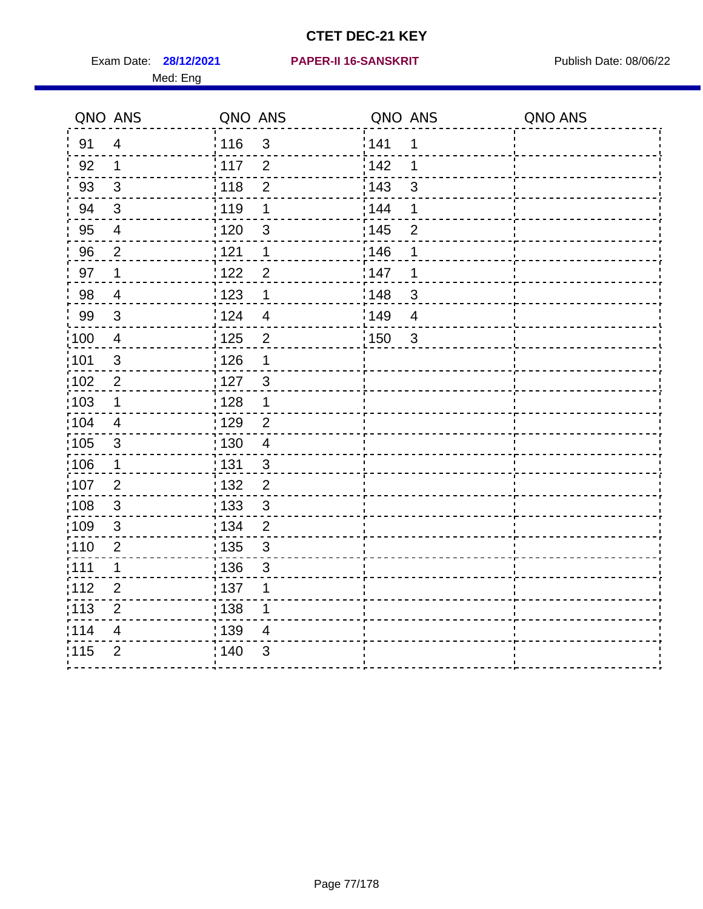Med: Eng

#### **28/12/2021 PAPER-II 16-SANSKRIT** Exam Date: Publish Date: 08/06/22

|                 | QNO ANS                  | QNO ANS           |                | QNO ANS |                | QNO ANS |
|-----------------|--------------------------|-------------------|----------------|---------|----------------|---------|
| 91              | $\overline{4}$           | : 116             | $\mathfrak{3}$ | 141     | 1              |         |
| 92              | $\mathbf 1$              | 117               | $\overline{2}$ | 142     | 1              |         |
| 93              | $\sqrt{3}$               | 118               | $\overline{2}$ | 143     | 3              |         |
| 94              | $\sqrt{3}$               | : 119             | 1              | 144     | 1              |         |
| 95              | $\overline{\mathcal{A}}$ | : 120             | 3              | : 145   | $\overline{2}$ |         |
| 96              | $\overline{2}$           | 121               | 1              | 146     | 1              |         |
| 97              | 1                        | 122               | $\overline{2}$ | 147     | 1              |         |
| 98              | $\overline{4}$           | 123               | $\mathbf 1$    | 148     | $\mathfrak{S}$ |         |
| 99              | $\mathfrak{S}$           | 124               | $\overline{4}$ | 149     | $\overline{4}$ |         |
| 100             | $\overline{4}$           | $\frac{1}{1}$ 125 | $\overline{2}$ | 150     | $\mathfrak{S}$ |         |
| 101             | $\sqrt{3}$               | : 126             | 1              |         |                |         |
| 102             | 2                        | : 127             | $\mathbf{3}$   |         |                |         |
| 103             | 1                        | : 128             | $\mathbf 1$    |         |                |         |
| $\frac{1}{104}$ | $\overline{4}$           | : 129             | $\overline{2}$ |         |                |         |
| :105            | $\sqrt{3}$               | : 130             | $\overline{4}$ |         |                |         |
| 106             | 1                        | : 131             | 3              |         |                |         |
| :107            | $\overline{2}$           | : 132             | $\overline{2}$ |         |                |         |
| :108            | $\sqrt{3}$               | : 133             | $\mathfrak{S}$ |         |                |         |
| 109             | $\mathfrak{B}$           | : 134             | $\overline{2}$ |         |                |         |
| : 110           | $\overline{2}$           | 135               | 3              |         |                |         |
| 111             | 1                        | : 136             | $\sqrt{3}$     |         |                |         |
| 112             | $\overline{2}$           | : 137             | 1              |         |                |         |
| : 113           | $\overline{2}$           | : 138             | 1              |         |                |         |
| 114             | 4                        | 139               | 4              |         |                |         |
| 115             | $\overline{2}$           | 140               | 3              |         |                |         |
|                 |                          |                   |                |         |                |         |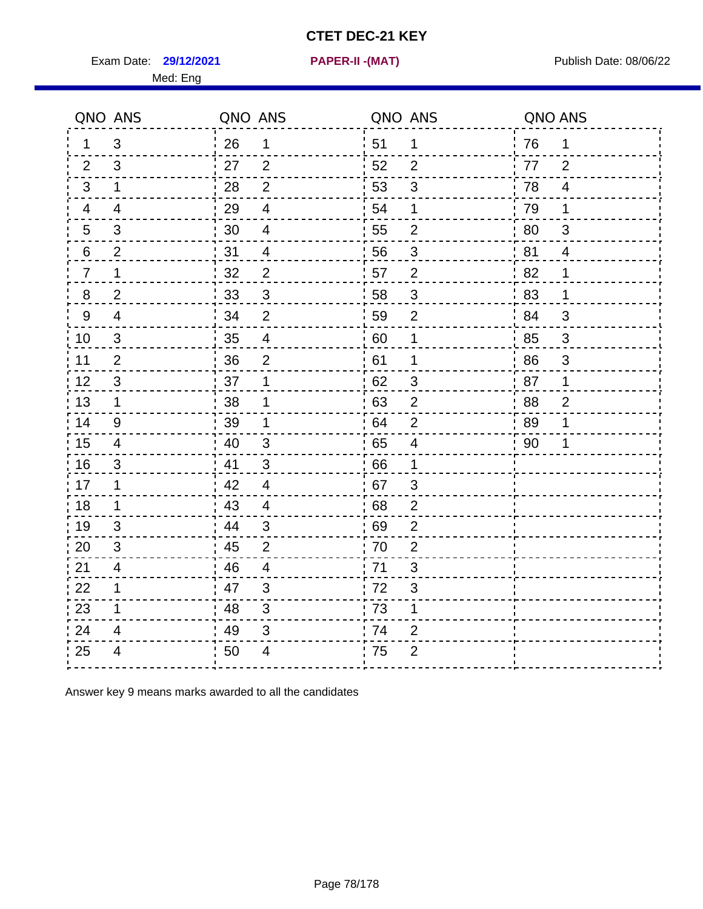Exam Date: **29/12/2021 PAPER-II -(MAT)** PUblish Date: 08/06/22

Med: Eng

**29/12/2021 PAPER-II -(MAT)**

|                | QNO ANS                  | QNO ANS |                          |     | QNO ANS                   | QNO ANS |                |
|----------------|--------------------------|---------|--------------------------|-----|---------------------------|---------|----------------|
| 1.             | 3                        | 26      | $\mathbf 1$              | 51  | $\mathbf 1$               | 76      | $\mathbf 1$    |
| 2              | 3                        | 27      | $\overline{2}$           | 52  | $\overline{2}$            | 77      | 2              |
| 3              | $\mathbf 1$              | 28      | $\overline{2}$           | 53  | $\sqrt{3}$                | 78      | $\overline{4}$ |
| $\overline{4}$ | $\overline{\mathcal{A}}$ | 29      | $\overline{\mathbf{4}}$  | 54  | 1                         | 79      | 1              |
| 5              | 3                        | 30      | $\overline{4}$           | 55  | $\overline{2}$            | 80      | $\sqrt{3}$     |
| 6              | $\overline{2}$           | 31      | $\overline{\mathcal{A}}$ | 56  | 3                         | 81      | 4              |
| $\overline{7}$ | 1                        | 32      | $\overline{2}$           | 57  | $\overline{2}$            | 82      | 1              |
| $\bf 8$        | $\overline{2}$           | 33      | $\sqrt{3}$               | 58  | $\ensuremath{\mathsf{3}}$ | 83      | 1              |
| 9              | $\overline{4}$           | 34      | $\overline{2}$           | 59  | $\overline{2}$            | 84      | 3              |
| 10             | $\mathfrak{S}$           | 35      | $\overline{4}$           | 60  | $\mathbf 1$               | 85      | $\mathsf 3$    |
| 11             | $\overline{2}$           | 36      | $\overline{2}$           | 61  | 1                         | 86      | $\sqrt{3}$     |
| 12             | $\sqrt{3}$               | 37      | $\mathbf 1$              | 62  | $\sqrt{3}$                | 87      | 1              |
| 13             | $\mathbf 1$              | 38      | 1                        | .63 | 2                         | 88      | $\overline{2}$ |
| 14             | 9                        | 39      | 1                        | 64  | $\overline{2}$            | 89      | 1              |
| 15             | 4                        | 40      | $\mathsf 3$              | 65  | $\overline{\mathbf{4}}$   | 90      | 1              |
| 16             | 3                        | 41      | $\mathfrak{S}$           | 66  | $\mathbf 1$               |         |                |
| 17             | 1                        | 42      | 4                        | 67  | 3                         |         |                |
| 18             | $\mathbf 1$              | 43      | $\overline{\mathbf{4}}$  | 68  | $\overline{2}$            |         |                |
| 19             | $\mathfrak{S}$           | 44      | $\sqrt{3}$               | 69  | $\overline{2}$            |         |                |
| 20             | 3                        | 45      | $\overline{2}$           | 70  | $\overline{2}$            |         |                |
| 21             | 4                        | 46      | 4                        | 71  | 3                         |         |                |
| 22             | $\mathbf 1$              | 47      | $\mathfrak{B}$           | 72  | 3                         |         |                |
| 23             | 1                        | 48      | $\mathfrak{S}$           | 73  | 1                         |         |                |
| 24             | 4                        | 49      | 3                        | 74  | $\overline{2}$            |         |                |
| 25             | 4                        | 50      | 4                        | 75  | $\overline{2}$            |         |                |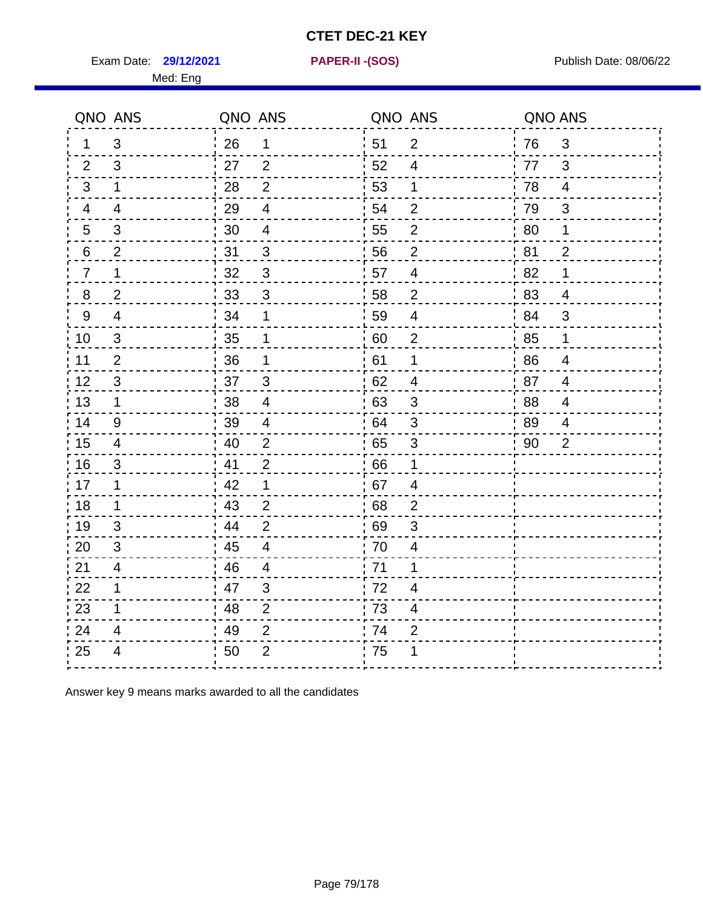Exam Date: **29/12/2021 PAPER-II - (SOS)** Publish Date: 08/06/22

Med: Eng

**29/12/2021 PAPER-II -(SOS)**

|                | QNO ANS        | QNO ANS |                          | QNO ANS |                         | QNO ANS |                |
|----------------|----------------|---------|--------------------------|---------|-------------------------|---------|----------------|
| 1.             | 3              | 26      | 1                        | 51      | $\overline{2}$          | 76      | 3              |
| 2              | 3              | 27      | 2                        | 52      | 4                       | 77      | 3              |
| 3              | $\mathbf 1$    | 28      | $\overline{2}$           | 53      | 1                       | 78      | $\overline{4}$ |
| 4              | $\overline{4}$ | 29      | $\overline{4}$           | 54      | $\overline{2}$          | 79      | 3              |
| 5              | 3              | 30      | $\overline{4}$           | 55      | $\mathbf{2}$            | 80      | 1              |
| 6              | $\overline{2}$ | 31      | 3                        | 56      | $\overline{2}$          | 81      | $\overline{2}$ |
| $\overline{7}$ | 1              | 32      | $\mathbf{3}$             | 57      | 4                       | .82     | 1              |
| 8              | $\overline{2}$ | 33      | $\mathfrak{B}$           | 58      | $\overline{2}$          | '83     | $\overline{4}$ |
| 9              | $\overline{4}$ | 34      | 1                        | 59      | $\overline{4}$          | :84     | 3              |
| 10             | 3              | 35      | 1                        | 60      | $\overline{2}$          | 85      | 1              |
| 11             | $\overline{2}$ | 36      | 1                        | 61      | 1                       | 86      | $\overline{4}$ |
| 12             | $\sqrt{3}$     | 37      | $\mathfrak{S}$           | 62      | $\overline{4}$          | 87      | $\overline{4}$ |
| 13             | 1              | 38      | $\overline{\mathcal{A}}$ | 63      | 3                       | 88      | 4              |
| 14             | 9              | 39      | $\overline{4}$           | 64      | 3                       | : 89    | $\overline{4}$ |
| 15             | $\overline{4}$ | 40      | $\overline{2}$           | 65      | $\mathfrak{B}$          | 90      | $\overline{2}$ |
| 16             | $\sqrt{3}$     | 41      | $\overline{2}$           | 66      | 1                       |         |                |
| 17             | 1              | 42      | 1                        | 67      | 4                       |         |                |
| 18             | 1              | 43      | 2                        | 68      | $\overline{2}$          |         |                |
| 19             | 3              | 44      | $\overline{2}$           | 69      | $\mathfrak{S}$          |         |                |
| 20             | $\mathfrak{B}$ | 45      | $\overline{4}$           | 70      | $\overline{\mathbf{4}}$ |         |                |
| 21             | 4              | 46      | $\overline{4}$           | : 71    | 1                       |         |                |
| 22             | 1              | 47      | 3                        | 72      | 4                       |         |                |
| 23             | 1              | 48      | $\overline{2}$           | 73      | 4                       |         |                |
| 24             | 4              | 49      | $\overline{2}$           | 74      | $\overline{2}$          |         |                |
| 25             | $\overline{4}$ | 50      | $\overline{2}$           | .75     | 1                       |         |                |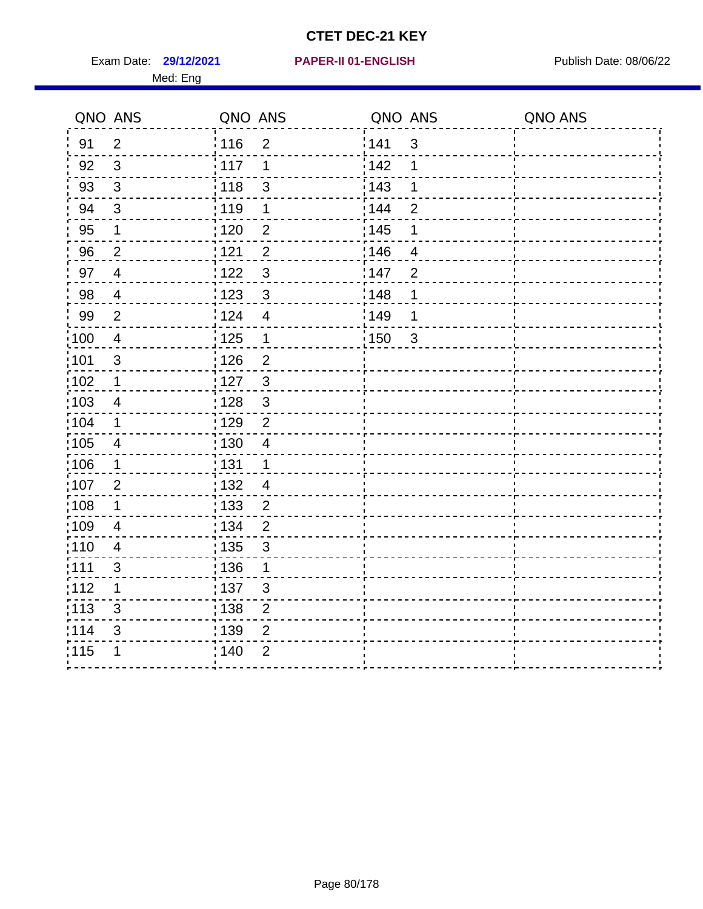Exam Date: **29/12/2021 PAPER-II 01-ENGLISH Proposed by Publish Date: 08/06/22** Med: Eng

#### **29/12/2021 PAPER-II 01-ENGLISH**

|       | QNO ANS                  | QNO ANS           |                         | QNO ANS           |                | QNO ANS |
|-------|--------------------------|-------------------|-------------------------|-------------------|----------------|---------|
| 91    | $\overline{2}$           | 116               | $\overline{2}$          | 1141              | $\sqrt{3}$     |         |
| 92    | 3                        | 117               | 1                       | 142               | 1              |         |
| 93    | $\sqrt{3}$               | 118               | $\mathsf 3$             | 143               | 1              |         |
| 94    | $\mathfrak{B}$           | : 119             | 1                       | : 144             | $\overline{2}$ |         |
| 95    | 1                        | :120              | 2                       | : 145             | 1              |         |
| 96    | $\overline{2}$           | 121               | $\overline{2}$          | :146              | 4              |         |
| 97    | $\overline{4}$           | 1122              | $\mathfrak{S}$          | 147               | $\overline{2}$ |         |
| 98    | $\overline{\mathcal{A}}$ | 123               | $\mathfrak{3}$          | : 148             | 1              |         |
| 99    | $\overline{2}$           | 124               | $\overline{\mathbf{4}}$ | :149              | 1              |         |
| 100   | $\overline{4}$           | 125               | $\mathbf 1$             | $\frac{1}{1}$ 150 | $\mathbf{3}$   |         |
| 101   | $\sqrt{3}$               | 126               | $\overline{2}$          |                   |                |         |
| 102   | $\mathbf 1$              | : 127             | $\mathbf{3}$            |                   |                |         |
| :103  | 4                        | : 128             | $\mathbf{3}$            |                   |                |         |
| 104   | $\mathbf 1$              | : 129             | $\overline{2}$          |                   |                |         |
| 105   | $\overline{4}$           | $\frac{1}{1}$ 130 | $\overline{\mathbf{4}}$ |                   |                |         |
| 106   | $\mathbf 1$              | : 131             | $\mathbf{1}$            |                   |                |         |
| 107   | $\overline{2}$           | : 132             | $\overline{4}$          |                   |                |         |
| :108  | $\mathbf 1$              | 133               | $\overline{2}$          |                   |                |         |
| :109  | $\overline{4}$           | : 134             | $\overline{2}$          |                   |                |         |
| :110  | $\overline{4}$           | : 135             | $\sqrt{3}$              |                   |                |         |
| : 111 | 3                        | : 136             | 1                       |                   |                |         |
| 112   | 1                        | $\frac{1}{1}$ 137 | $\sqrt{3}$              |                   |                |         |
| : 113 | $\sqrt{3}$               | : 138             | $\boldsymbol{2}$        |                   |                |         |
| 114   | 3                        | : 139             | $\overline{2}$          |                   |                |         |
| 115   | 1                        | 140               | $\overline{2}$          |                   |                |         |
|       |                          |                   |                         |                   |                |         |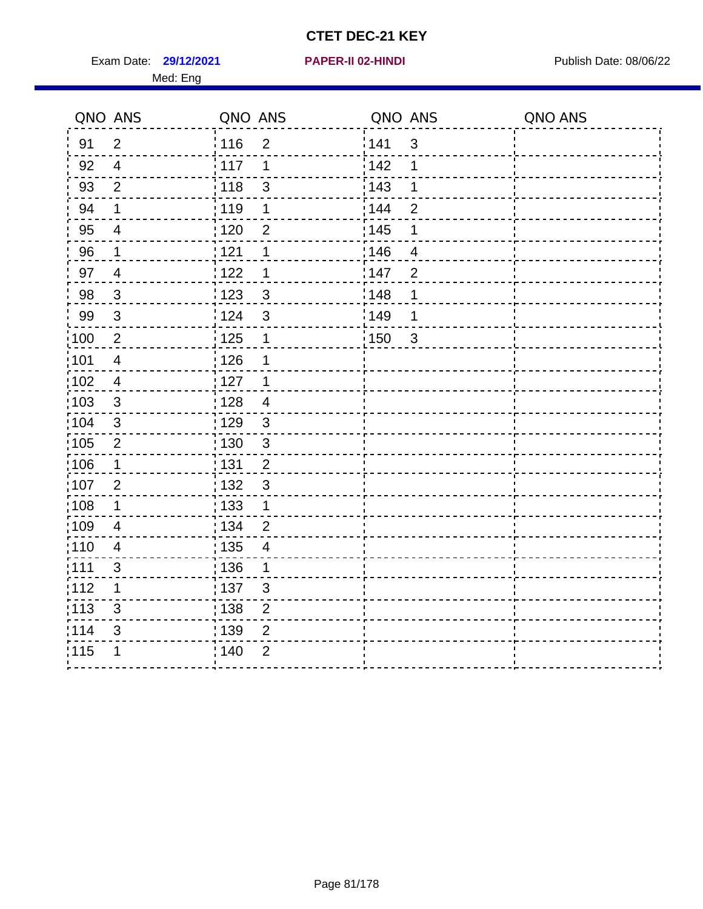Exam Date: 29/12/2021 **PAPER-II 02-HINDI Exam Date: 08/06/22** Med: Eng

## **29/12/2021 PAPER-II 02-HINDI**

|                   | QNO ANS                  | QNO ANS                             |       | QNO ANS        | QNO ANS |
|-------------------|--------------------------|-------------------------------------|-------|----------------|---------|
| 91                | $\overline{2}$           | :116<br>$\overline{2}$              | 141   | 3              |         |
| 92                | $\overline{4}$           | : 117<br>1                          | 142   | 1              |         |
| 93                | $\overline{2}$           | 3<br>118                            | 143   | 1              |         |
| 94                | $\mathbf 1$              | : 119<br>1                          | 144   | $\overline{2}$ |         |
| 95                | $\overline{4}$           | : 120<br>$\overline{2}$             | : 145 | 1              |         |
| 96                | $\mathbf 1$              | 121<br>1                            | 146   | 4              |         |
| 97                | $\overline{4}$           | 122<br>1                            | 147   | $\overline{2}$ |         |
| 98                | $\mathbf{3}$             | $\mathbf{3}$<br>123                 | 148   | 1              |         |
| 99                | 3                        | 3<br>124                            | 149   | 1              |         |
| $\frac{1}{1}$ 100 | $\overline{2}$           | $\frac{1}{2}$ 125<br>$\mathbf 1$    | 150   | $\mathbf{3}$   |         |
| 101               | $\overline{\mathcal{A}}$ | 126<br>1                            |       |                |         |
| :102              | $\overline{4}$           | : 127<br>$\overline{1}$             |       |                |         |
| 103               | 3                        | : 128<br>$\overline{4}$             |       |                |         |
| 104               | 3                        | : 129<br>$\mathbf{3}$               |       |                |         |
| :105              | $\overline{2}$           | : 130<br>$\mathfrak{S}$             |       |                |         |
| $\frac{1}{1}$ 106 | $\mathbf 1$              | : 131<br>$\overline{2}$             |       |                |         |
| 107               | $\overline{2}$           | $\mathbf{3}$<br>: 132               |       |                |         |
| :108              | $\mathbf 1$              | : 133<br>$\mathbf 1$                |       |                |         |
| $\frac{1}{1}$ 109 | $\overline{4}$           | : 134<br>$\overline{2}$             |       |                |         |
| : 110             | $\overline{4}$           | $\frac{1}{1}$ 135<br>$\overline{4}$ |       |                |         |
| :111              | 3                        | : 136<br>1                          |       |                |         |
| 112               | 1                        | : 137<br>$\mathbf{3}$               |       |                |         |
| : 113             | $\mathsf 3$              | $\frac{1}{1}$ 138<br>$\overline{2}$ |       |                |         |
| 114               | 3                        | : 139<br>$\overline{2}$             |       |                |         |
| 115               | 1                        | : 140<br>$\overline{2}$             |       |                |         |
|                   |                          |                                     |       |                |         |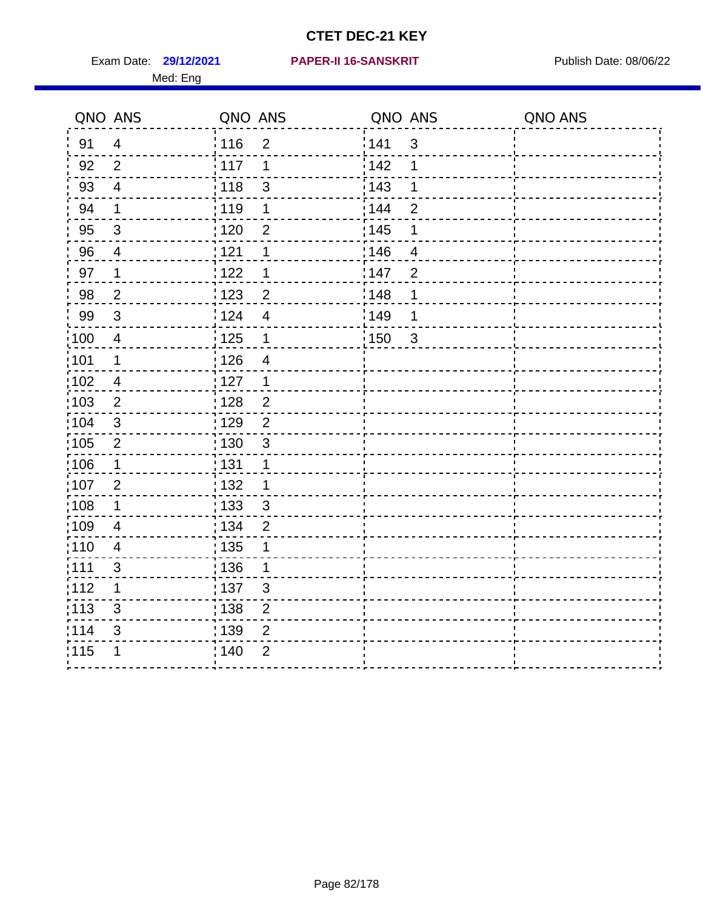Med: Eng

#### **29/12/2021 PAPER-II 16-SANSKRIT** Exam Date: Publish Date: 08/06/22

|                   | QNO ANS                 | QNO ANS           |                         | QNO ANS           |                | QNO ANS |
|-------------------|-------------------------|-------------------|-------------------------|-------------------|----------------|---------|
| 91                | $\overline{4}$          | $\frac{1}{116}$   | $\overline{2}$          | 141               | $\mathfrak{3}$ |         |
| 92                | $\overline{2}$          | 117               | 1                       | 142               | 1              |         |
| 93                | $\overline{4}$          | 118               | 3                       | 143               | 1              |         |
| 94                | $\mathbf 1$             | : 119             | 1                       | : 144             | $\overline{2}$ |         |
| 95                | $\mathfrak{B}$          | $\frac{1}{1}$ 120 | $\overline{2}$          | : 145             | 1              |         |
| 96                | $\overline{4}$          | 1121              | 1                       | 146               | $\overline{4}$ |         |
| 97                | $\mathbf 1$             | 122               | 1                       | 147               | $\overline{2}$ |         |
| 98                | $\overline{2}$          | $\frac{1}{2}$ 123 | $\overline{2}$          | 148               | $\mathbf 1$    |         |
| 99                | $\sqrt{3}$              | 124               | $\overline{\mathbf{4}}$ | $\frac{1}{2}$ 149 | 1              |         |
| $\frac{1}{1}$ 100 | $\overline{4}$          | $\frac{1}{1}$ 125 | $\mathbf 1$             | $\frac{1}{1}$ 150 | $\mathfrak{3}$ |         |
| :101              | $\mathbf 1$             | 126               | $\overline{\mathbf{4}}$ |                   |                |         |
| 102               | $\overline{4}$          | 127               | $\mathbf{1}$            |                   |                |         |
| 103               | 2                       | : 128             | $\overline{2}$          |                   |                |         |
| 104               | $\mathbf{3}$            | 129               | $\overline{2}$          |                   |                |         |
| 105               | $\overline{2}$          | $\frac{1}{1}$ 130 | $\mathfrak{S}$          |                   |                |         |
| :106              | $\mathbf{1}$            | : 131             | $\mathbf{1}$            |                   |                |         |
| 107               | $\overline{2}$          | : 132             | $\mathbf 1$             |                   |                |         |
| 108               | $\mathbf 1$             | : 133             | $\mathbf{3}$            |                   |                |         |
| :109              | $\overline{\mathbf{4}}$ | : 134             | $\overline{2}$          |                   |                |         |
| :110              | $\overline{4}$          | 135               | 1                       |                   |                |         |
| ;111              | $\mathfrak{S}$          | 136               | 1                       |                   |                |         |
| 112               | 1                       | : 137             | $\mathfrak{S}$          |                   |                |         |
| 113               | $\mathbf{3}$            | : 138             | $\overline{2}$          |                   |                |         |
| 114               | 3                       | :139              | $\overline{2}$          |                   |                |         |
| 115               | 1                       | 140               | $\overline{2}$          |                   |                |         |
|                   |                         |                   |                         |                   |                |         |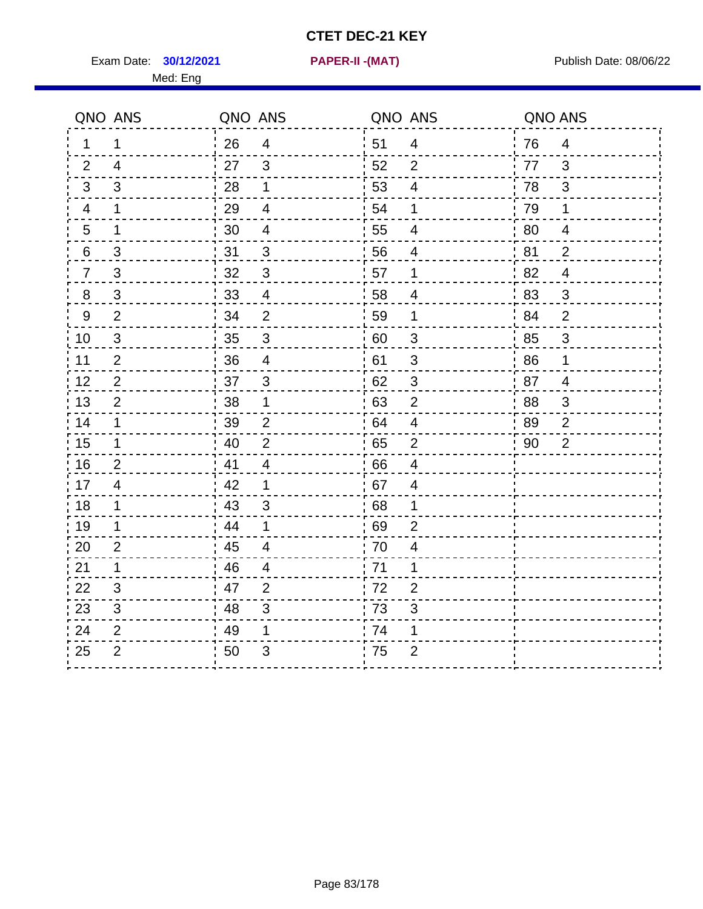Exam Date: **30/12/2021 PAPER-II -(MAT)** Publish Date: 08/06/22 Med: Eng

**30/12/2021 PAPER-II -(MAT)**

|                 | QNO ANS                   | QNO ANS                            | QNO ANS              | QNO ANS              |
|-----------------|---------------------------|------------------------------------|----------------------|----------------------|
| $\mathbf 1$     | 1                         | 26<br>$\overline{4}$               | 51<br>$\overline{4}$ | 76<br>$\overline{4}$ |
| 2               | $\overline{4}$            | 27<br>3                            | 52<br>2              | 77<br>3              |
| 3               | 3                         | 28<br>1                            | 53<br>$\overline{4}$ | 78<br>3              |
| $\overline{4}$  | $\mathbf{1}$              | 29<br>$\overline{4}$               | 54<br>$\mathbf 1$    | 79<br>$\mathbf 1$    |
| 5               | $\mathbf 1$               | 30<br>$\overline{4}$               | 55<br>$\overline{4}$ | 80<br>4              |
| $6\phantom{.}6$ | $\ensuremath{\mathsf{3}}$ | 31<br>$\sqrt{3}$                   | 56<br>4              | 81<br>$\overline{2}$ |
| $\overline{7}$  | 3                         | 32<br>$\mathbf{3}$                 | 57<br>1              | 82<br>$\overline{4}$ |
| 8               | 3                         | 33<br>$\overline{4}$               | 58<br>4              | 83<br>3              |
| 9               | $\overline{2}$            | 34<br>$\overline{2}$               | 59<br>1              | 84<br>$\overline{2}$ |
| 10              | $\mathfrak{S}$            | 35<br>$\mathfrak{S}$               | 60<br>3              | $\mathbf{3}$<br>85   |
| 11              | $\overline{2}$            | 36<br>$\overline{4}$               | 61<br>3              | 86<br>1              |
| 12              | $\mathbf{2}$              | 37<br>$\mathsf 3$                  | $\sqrt{3}$<br>62     | 87<br>$\overline{4}$ |
| 13              | $\overline{2}$            | 38<br>1                            | 63<br>$\overline{2}$ | 88<br>3              |
| 14              | $\mathbf{1}$              | 39<br>2                            | 64<br>$\overline{4}$ | 89<br>$\overline{2}$ |
| 15              | $\mathbf 1$               | $\overline{2}$<br>40               | 65<br>$\overline{2}$ | $\overline{2}$<br>90 |
| 16              | $\overline{2}$            | $\frac{1}{2}$ 41<br>$\overline{4}$ | 66<br>$\overline{4}$ |                      |
| 17              | $\overline{4}$            | 42<br>1                            | 67<br>4              |                      |
| 18              | $\mathbf 1$               | 43<br>3                            | 68<br>1              |                      |
| 19              | $\mathbf 1$               | 44<br>1                            | 69<br>$\overline{2}$ |                      |
| 20              | $\overline{2}$            | 45<br>$\overline{4}$               | 70<br>4              |                      |
| 21              | $\mathbf 1$               | 46<br>$\overline{4}$               | 71<br>1              |                      |
| 22              | 3                         | 47<br>$\overline{2}$               | 72<br>$\overline{2}$ |                      |
| 23              | $\mathfrak{B}$            | 48<br>3                            | 73<br>3              |                      |
| 24              | $\overline{2}$            | 49<br>1                            | 74<br>1              |                      |
| 25              | $\overline{2}$            | 3<br>50                            | 75<br>$\overline{2}$ |                      |
|                 |                           |                                    |                      |                      |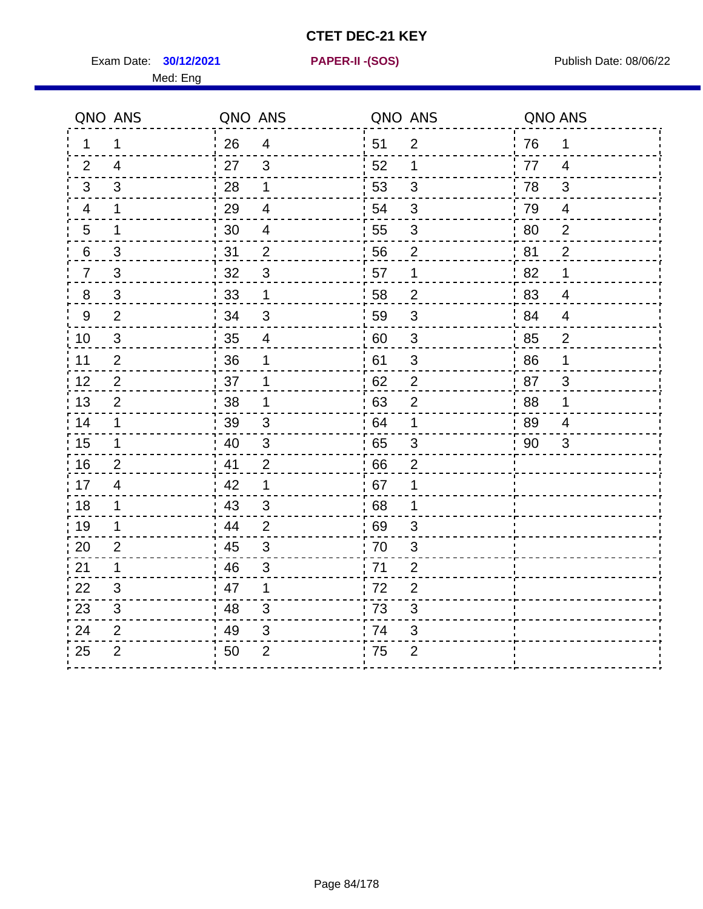**30/12/2021 PAPER-II -(SOS)**

Exam Date: **30/12/2021 PAPER-II - (SOS)** Publish Date: 08/06/22 Med: Eng

| QNO ANS                      | QNO ANS          |                         | QNO ANS |                | QNO ANS |                |
|------------------------------|------------------|-------------------------|---------|----------------|---------|----------------|
| 1<br>$\mathbf{1}$            | 26               | $\overline{\mathbf{4}}$ | 51      | $\overline{2}$ | 76      | $\mathbf 1$    |
| 2<br>$\overline{4}$          | 27               | 3                       | 52      | $\mathbf 1$    | 77      | $\overline{4}$ |
| 3<br>3                       | 28               | 1                       | 53      | 3              | 78      | 3              |
| 1<br>4                       | 29               | 4                       | 54      | 3              | 79      | 4              |
| 5<br>1                       | 30               | $\overline{4}$          | 55      | 3              | 80      | $\overline{2}$ |
| $\mathsf 3$<br>6             | 31               | $\overline{2}$          | 56      | $\overline{2}$ | 81      | $\overline{2}$ |
| $\sqrt{3}$<br>$\overline{7}$ | 32               | 3                       | 57      | 1              | 82      | 1              |
| 3<br>8                       | 33               | 1                       | 58      | $\overline{2}$ | 83      | $\overline{4}$ |
| $\overline{2}$<br>9          | 34               | 3                       | 59      | 3              | 84      | $\overline{4}$ |
| 10<br>$\mathfrak{S}$         | 35               | 4                       | 60      | $\mathfrak{S}$ | 85      | $\overline{2}$ |
| $\overline{2}$<br>11         | 36               | 1                       | 61      | 3              | 86      | 1              |
| 12<br>$\overline{2}$         | 37               | 1                       | 62      | $\mathbf{2}$   | 87      | $\mathfrak{B}$ |
| 13<br>$\overline{2}$         | 38               | 1                       | 63      | $\overline{2}$ | 88      | 1              |
| 14<br>1                      | 39               | 3                       | 64      | 1              | 89      | 4              |
| 15<br>1                      | 40               | 3                       | 65      | 3              | 90      | 3              |
| $\overline{2}$<br>16         | 41               | $\overline{2}$          | 66      | $\overline{2}$ |         |                |
| 17<br>$\overline{4}$         | 42               | 1                       | 67      | 1              |         |                |
| 18<br>1                      | $\frac{1}{2}$ 43 | 3                       | 68      | 1              |         |                |
| 19<br>$\mathbf 1$            | 44               | $\overline{2}$          | 69      | 3              |         |                |
| 20<br>$\overline{2}$         | 45               | 3                       | 70      | 3              |         |                |
| 21<br>$\mathbf 1$            | 46               | 3                       | 71      | $\overline{2}$ |         |                |
| 3<br>22                      | 47               | $\mathbf 1$             | 72      | $\overline{2}$ |         |                |
| 23<br>3                      | 48               | 3                       | 73      | 3              |         |                |
| 24<br>$\overline{2}$         | 49               | 3                       | 74      | 3              |         |                |
| $\overline{2}$<br>25         | 50               | $\overline{2}$          | 75      | $\overline{2}$ |         |                |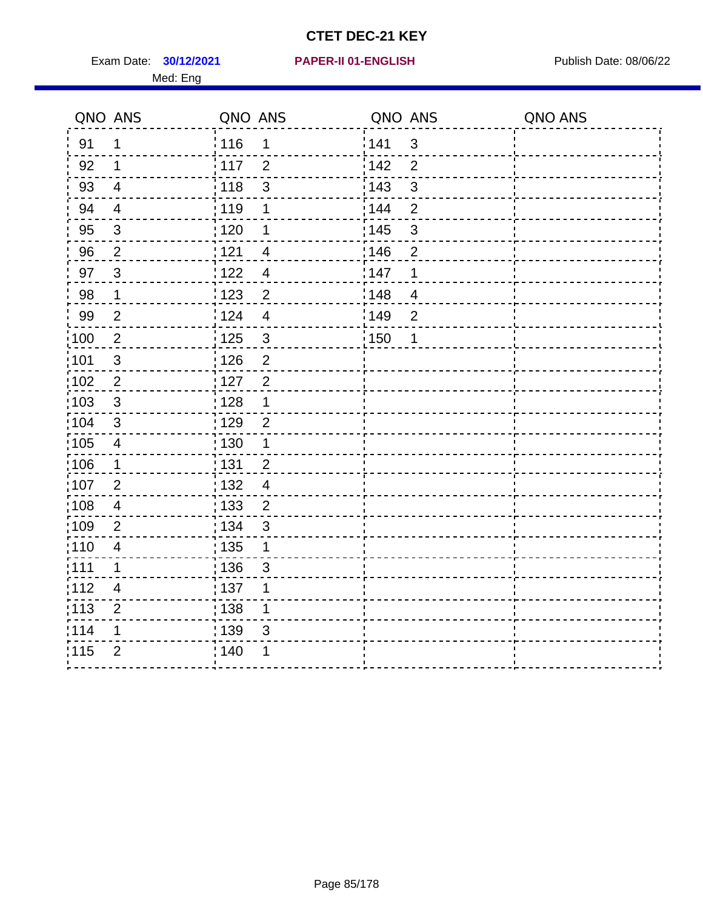Exam Date: **30/12/2021 PAPER-II 01-ENGLISH Proposed by Publish Date: 08/06/22** Med: Eng

#### **30/12/2021 PAPER-II 01-ENGLISH**

| QNO ANS           |                         | QNO ANS                 | QNO ANS                             | QNO ANS |
|-------------------|-------------------------|-------------------------|-------------------------------------|---------|
| 91                | $\mathbf 1$             | : 116<br>1              | 141<br>3                            |         |
| 92                | 1                       | 117<br>$\overline{2}$   | 142<br>$\overline{2}$               |         |
| 93                | $\overline{\mathbf{4}}$ | 118<br>$\mathsf 3$      | 143<br>$\ensuremath{\mathsf{3}}$    |         |
| 94                | $\overline{4}$          | :119<br>1               | 144<br>$\overline{2}$               |         |
| 95                | $\mathbf{3}$            | : 120<br>1              | : 145<br>$\mathbf{3}$               |         |
| 96                | $\overline{2}$          | 1121<br>4               | 146<br>$\overline{2}$               |         |
| 97                | $\mathbf{3}$            | 122<br>$\overline{4}$   | 1<br>147                            |         |
| 98                | $\mathbf{1}$            | $\overline{c}$<br>: 123 | $\frac{1}{2}$ 148<br>$\overline{4}$ |         |
| 99                | $\overline{2}$          | 124<br>$\overline{4}$   | 149<br>$\overline{2}$               |         |
| $\frac{1}{100}$   | $\sqrt{2}$              | $\mathsf 3$<br>125      | : 150<br>1                          |         |
| :101              | 3                       | $\overline{2}$<br>: 126 |                                     |         |
| $\frac{1}{1}$ 102 | $\sqrt{2}$              | 127<br>$\overline{2}$   |                                     |         |
| 103               | 3                       | 128<br>1                |                                     |         |
| :104              | 3                       | : 129<br>$\overline{2}$ |                                     |         |
| $\frac{1}{1}$ 105 | $\overline{\mathbf{4}}$ | : 130<br>$\mathbf 1$    |                                     |         |
| 106               | $\mathbf 1$             | : 131<br>$\overline{2}$ |                                     |         |
| 107               | $\overline{2}$          | : 132<br>$\overline{4}$ |                                     |         |
| 108               | 4                       | 133<br>$\overline{2}$   |                                     |         |
| 109               | $\overline{2}$          | : 134<br>$\mathfrak{S}$ |                                     |         |
| :110              | $\overline{\mathbf{4}}$ | : 135<br>$\mathbf 1$    |                                     |         |
| :111              | 1                       | 136<br>3                |                                     |         |
| 112               | $\overline{4}$          | : 137<br>1              |                                     |         |
| : 113             | $\overline{2}$          | : 138<br>1              |                                     |         |
| 114               | 1                       | 139<br>3                |                                     |         |
| 115               | $\overline{2}$          | : 140                   |                                     |         |
|                   |                         |                         |                                     |         |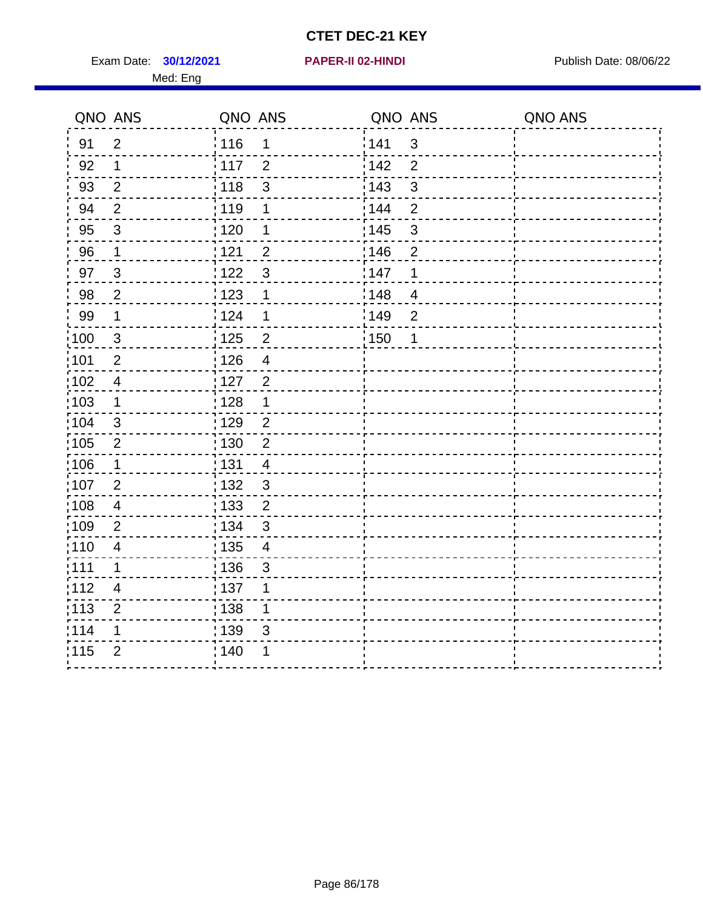Exam Date: **30/12/2021 PAPER-II 02-HINDI Exam Date: 08/06/22** Med: Eng

 $\frac{1}{115}$  2  $\frac{1}{140}$  1

 $\frac{1}{2}$ 

 $\overline{a}$ 

. . . . . . . . . . .

#### **30/12/2021 PAPER-II 02-HINDI**

 $- - - - - - - - -$ - - - i  $- - - 1$  $- - - 1$ 

 $\sim$   $\sim$   $\sim$  $- - -1$ 

 $\sim$   $\sim$   $\sim$  $- - - - \sim$   $\sim$   $\sim$  $- - - - - - - - - - -$ 

|        | QNO ANS                 | QNO ANS           |                           | QNO ANS           |                | QNO ANS |
|--------|-------------------------|-------------------|---------------------------|-------------------|----------------|---------|
| 91     | $\overline{2}$          | 116               | 1                         | 141               | 3              |         |
| 92     | 1                       | $\frac{1}{2}$ 117 | $\overline{2}$            | 142               | $\overline{2}$ |         |
| 93     | $\mathbf 2$             | 118               | $\mathbf{3}$              | 143               | 3              |         |
| 94     | $\overline{2}$          | 119               | 1                         | : 144             | $\overline{2}$ |         |
| 95     | $\mathfrak{S}$          | 120               | $\mathbf 1$               | : 145             | $\mathbf{3}$   |         |
| 96     | 1                       | 121               | $\overline{2}$            | 146               | $\overline{2}$ |         |
| $97\,$ | $\mathfrak{S}$          | 122               | $\sqrt{3}$                | 147               | $\mathbf 1$    |         |
| 98     | $\overline{2}$          | 123               | 1                         | 148               | $\overline{4}$ |         |
| 99     | $\mathbf 1$             | 124               | $\mathbf 1$               | 149               | $\overline{2}$ |         |
| 100    | $\mathfrak{S}$          | 125               | $\overline{2}$            | $\frac{1}{2}$ 150 | $\mathbf 1$    |         |
| 101    | $\overline{2}$          | $\frac{1}{126}$   | $\overline{4}$            |                   |                |         |
| 102    | $\overline{\mathbf{4}}$ | : 127             | $\overline{2}$            |                   |                |         |
| :103   | 1                       | : 128             | 1                         |                   |                |         |
| 104    | 3                       | : 129             | $\overline{2}$            |                   |                |         |
| :105   | $\overline{2}$          | : 130             | $\overline{2}$            |                   |                |         |
| 106    | $\mathbf{1}$            | : 131             | $\overline{\mathbf{4}}$   |                   |                |         |
| 107    | $\overline{2}$          | : 132             | $\ensuremath{\mathsf{3}}$ |                   |                |         |
| 108    | $\overline{\mathbf{4}}$ | : 133             | $\mathbf 2$               |                   |                |         |
| 109    | $\overline{2}$          | : 134             | $\mathfrak{S}$            |                   |                |         |
| :110   | $\overline{\mathbf{4}}$ | : 135             | $\overline{\mathcal{A}}$  |                   |                |         |
| : 111  | 1                       | : 136             | $\sqrt{3}$                |                   |                |         |
| 112    | $\overline{\mathbf{4}}$ | : 137             | 1                         |                   |                |         |
| : 113  | $\overline{2}$          | : 138             | $\mathbf 1$               |                   |                |         |
| 114    |                         | : 139             | $\mathsf 3$               |                   |                |         |
| 1445   | C                       | 1.110             | 1                         |                   |                |         |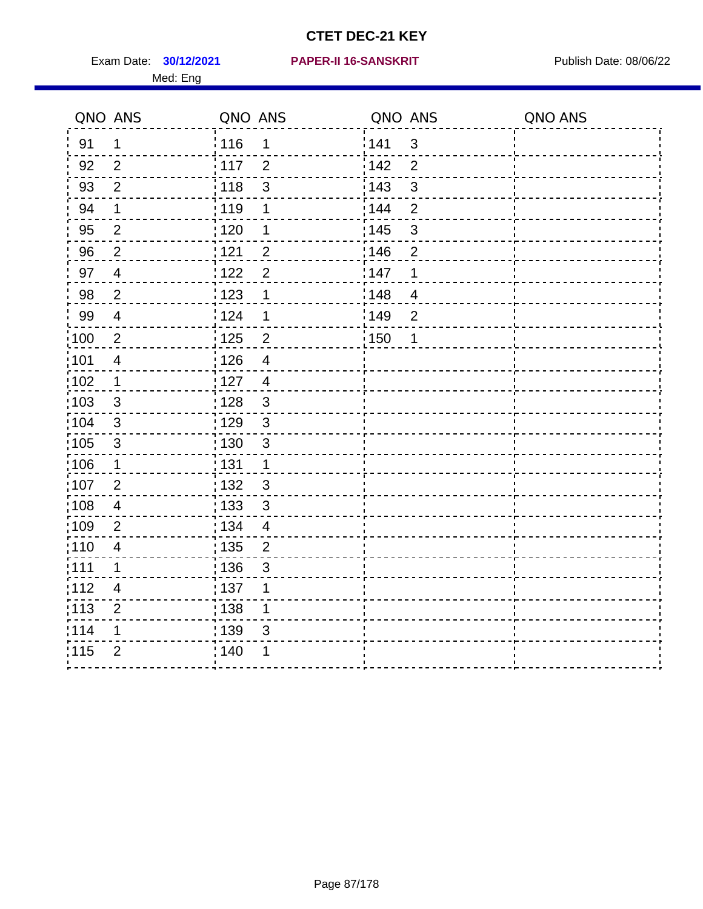Med: Eng

|                   | QNO ANS                  | QNO ANS           |                | QNO ANS |                          | QNO ANS |
|-------------------|--------------------------|-------------------|----------------|---------|--------------------------|---------|
| 91                | 1                        | 116               | 1              | 141     | $\mathbf{3}$             |         |
| 92                | $\overline{2}$           | 117               | $\overline{2}$ | 142     | $\overline{2}$           |         |
| 93                | $\overline{2}$           | 118               | $\mathsf 3$    | 143     | $\mathfrak{S}$           |         |
| 94                | $\mathbf 1$              | : 119             | 1              | : 144   | $\overline{2}$           |         |
| 95                | $\overline{2}$           | : 120             | 1              | : 145   | $\mathbf{3}$             |         |
| 96                | $\overline{2}$           | : 121             | $\overline{2}$ | 146     | $\overline{2}$           |         |
| 97                | $\overline{\mathbf{4}}$  | 122               | $\overline{2}$ | 147     | 1                        |         |
| 98                | $\overline{2}$           | $\frac{1}{2}$ 123 | 1              | 148     | $\overline{\mathcal{A}}$ |         |
| 99                | $\overline{4}$           | 124               | $\mathbf 1$    | :149    | $\mathbf 2$              |         |
| $\frac{1}{1}$ 100 | $\sqrt{2}$               | $\frac{1}{1}$ 125 | $\mathbf 2$    | : 150   | 1                        |         |
| :101              | $\overline{\mathcal{A}}$ | : 126             | $\overline{4}$ |         |                          |         |
| 102               | $\mathbf{1}$             | : 127             | $\overline{4}$ |         |                          |         |
| 103               | $\mathbf{3}$             | : 128             | $\mathbf{3}$   |         |                          |         |
| :104              | $\mathbf{3}$             | $\frac{1}{1}$ 129 | $\mathbf{3}$   |         |                          |         |
| 105               | $\sqrt{3}$               | : 130             | $\mathsf 3$    |         |                          |         |
| :106              | $\mathbf{1}$             | : 131             | $\mathbf 1$    |         |                          |         |
| :107              | $\overline{2}$           | 132               | $\sqrt{3}$     |         |                          |         |
| 108               | $\overline{4}$           | $\frac{1}{1}$ 133 | $\sqrt{3}$     |         |                          |         |
| :109              | $\overline{2}$           | : 134             | $\overline{4}$ |         |                          |         |
| :110              | $\overline{4}$           | : 135             | 2              |         |                          |         |
| :111              | $\mathbf 1$              | : 136             | 3              |         |                          |         |
| 112               | $\overline{4}$           | : 137             | 1              |         |                          |         |
| 113               | $\overline{2}$           | : 138             | 1              |         |                          |         |
| 114               | 1                        | 139               | 3              |         |                          |         |
| 115               | $\overline{2}$           | 140               | 1              |         |                          |         |
|                   |                          |                   |                |         |                          |         |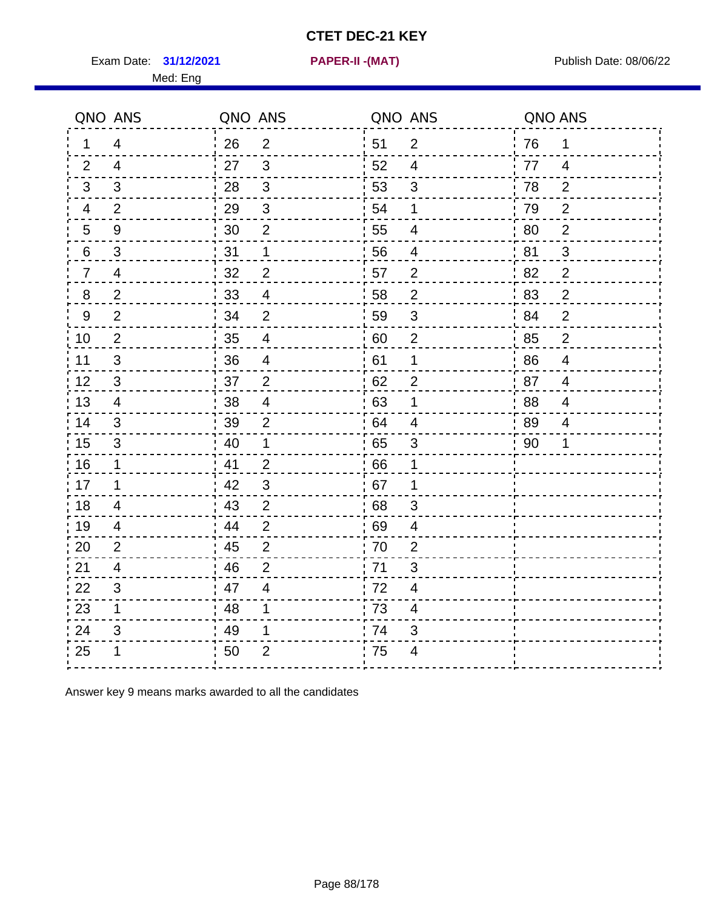Exam Date: 31/12/2021 **PAPER-II - (MAT)** PARE Exam Date: 08/06/22

Med: Eng

**31/12/2021 PAPER-II -(MAT)**

|                | QNO ANS                  | QNO ANS |                          |      | QNO ANS                  | QNO ANS |                |
|----------------|--------------------------|---------|--------------------------|------|--------------------------|---------|----------------|
| 1              | $\overline{4}$           | 26      | $\overline{2}$           | ່ 51 | $\overline{2}$           | 76      | 1              |
| 2              | $\overline{4}$           | 27      | $\mathbf{3}$             | 52   | $\overline{4}$           | 77      | $\overline{4}$ |
| 3              | 3                        | 28      | $\mathbf{3}$             | 53   | $\mathfrak{S}$           | 78      | $\overline{2}$ |
| $\overline{4}$ | $\overline{2}$           | 29      | $\sqrt{3}$               | 54   | 1                        | 79      | $\mathbf{2}$   |
| 5              | 9                        | 30      | $\mathbf 2$              | 55   | $\overline{4}$           | 80      | $\overline{2}$ |
| 6              | 3                        | 31      | 1                        | 56   | 4                        | 81      | 3              |
| $\overline{7}$ | 4                        | 32      | $\overline{2}$           | 57   | $\overline{2}$           | 82      | $\overline{2}$ |
| 8              | $\overline{2}$           | 33      | $\overline{\mathcal{A}}$ | 58   | $\mathbf{2}$             | 83      | $\overline{2}$ |
| 9              | $\overline{2}$           | 34      | $\overline{2}$           | 59   | $\mathfrak{B}$           | 84      | $\overline{2}$ |
| 10             | $\overline{2}$           | 35      | $\overline{4}$           | 60   | $\overline{2}$           | 85      | $\overline{2}$ |
| 11             | 3                        | 36      | $\overline{\mathcal{A}}$ | 61   | 1                        | 86      | $\overline{4}$ |
| 12             | $\sqrt{3}$               | 37      | $\overline{2}$           | 62   | $\overline{2}$           | 87      | $\overline{4}$ |
| 13             | 4                        | 38      | $\overline{4}$           | .63  | 1                        | 88      | 4              |
| 14             | 3                        | 39      | $\overline{2}$           | 64   | 4                        | 89      | 4              |
| 15             | $\mathfrak{S}$           | 40      | $\mathbf 1$              | 65   | $\sqrt{3}$               | 90      | 1              |
| 16             | $\mathbf 1$              | 41      | $\overline{2}$           | 66   | 1                        |         |                |
| 17             | 1                        | 42      | 3                        | 67   | 1                        |         |                |
| 18             | 4                        | 43      | $\overline{2}$           | 68   | 3                        |         |                |
| 19             | $\overline{\mathcal{A}}$ | 44      | $\overline{2}$           | .69  | 4                        |         |                |
| 20             | 2                        | 45      | $\overline{2}$           | 70   | $\overline{2}$           |         |                |
| 21             | 4                        | 46      | $\overline{2}$           | 71   | 3                        |         |                |
| 22             | 3                        | 47      | $\overline{\mathcal{A}}$ | 72   | 4                        |         |                |
| 23             | $\mathbf 1$              | 48      | 1                        | 73   | $\overline{\mathcal{A}}$ |         |                |
| 24             | 3                        | 49      | 1                        | 74   | 3                        |         |                |
| 25             | 1                        | 50      | $\overline{2}$           | 75   | $\overline{4}$           |         |                |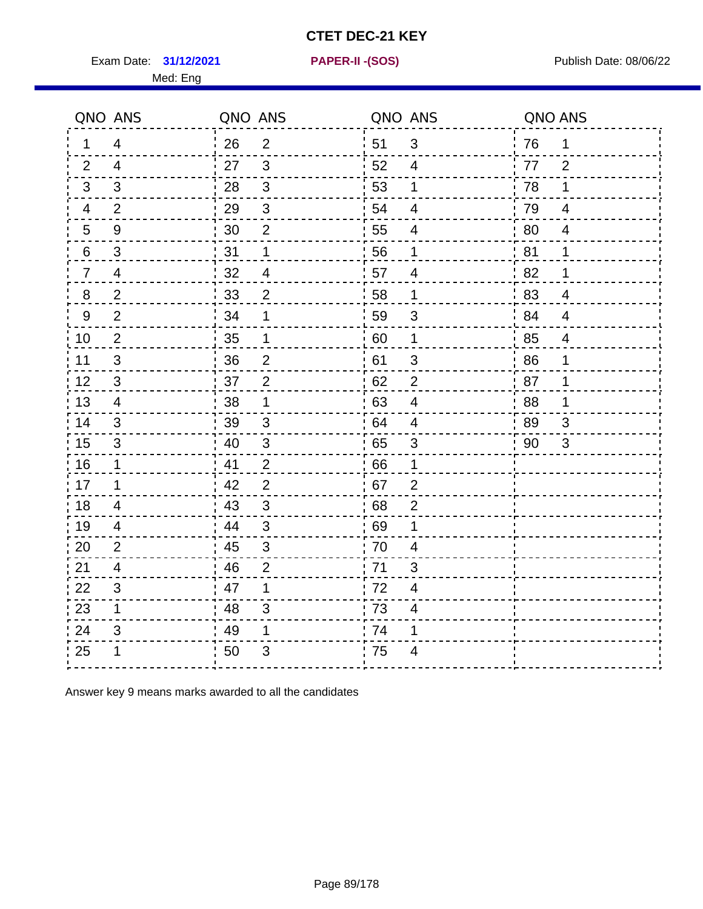Exam Date: 31/12/2021 **PAPER-II-(SOS)** PARER-IN Publish Date: 08/06/22

Med: Eng

**31/12/2021 PAPER-II -(SOS)**

|                | QNO ANS        | QNO ANS |                | QNO ANS |                          | QNO ANS |                |
|----------------|----------------|---------|----------------|---------|--------------------------|---------|----------------|
| 1              | 4              | 26      | $\overline{2}$ | 51      | 3                        | 76      | 1              |
| 2              | 4              | 27      | 3              | 52      | 4                        | 77      | 2              |
| 3              | 3              | 28      | $\mathbf{3}$   | 53      | 1                        | 78      | 1              |
| 4              | 2              | 29      | $\sqrt{3}$     | 54      | $\overline{4}$           | 79      | $\overline{4}$ |
| 5              | $9\,$          | 30      | $\mathbf 2$    | 55      | $\overline{\mathcal{A}}$ | 80      | $\overline{4}$ |
| 6              | 3              | 31      | 1              | 56      | 1                        | 81      | 1              |
| $\overline{7}$ | 4              | 32      | $\overline{4}$ | 57      | $\overline{4}$           | .82     | 1              |
| 8              | $\overline{2}$ | 33      | $\overline{2}$ | 58      | $\mathbf 1$              | 83      | $\overline{4}$ |
| 9              | $\overline{2}$ | 34      | 1              | 59      | 3                        | :84     | $\overline{4}$ |
| 10             | $\overline{2}$ | 35      | 1              | 60      | $\mathbf 1$              | 85      | $\overline{4}$ |
| 11             | 3              | 36      | $\overline{2}$ | 61      | $\sqrt{3}$               | 86      | 1              |
| 12             | $\sqrt{3}$     | 37      | $\overline{2}$ | 62      | $\overline{2}$           | 87      | 1              |
| 13             | 4              | 38      | 1              | 63      | $\overline{4}$           | 88      | 1              |
| 14             | 3              | 39      | 3              | 64      | 4                        | : 89    | 3              |
| 15             | 3              | 40      | $\sqrt{3}$     | 65      | $\mathfrak{S}$           | 90      | 3              |
| 16             | $\mathbf 1$    | 41      | $\overline{2}$ | 66      | 1                        |         |                |
| 17             | 1              | 42      | $\overline{2}$ | 67      | $\overline{2}$           |         |                |
| 18             | 4              | 43      | 3              | 68      | $\overline{2}$           |         |                |
| 19             | $\overline{4}$ | 44      | $\mathfrak{3}$ | 69      | 1                        |         |                |
| 20             | $\overline{2}$ | 45      | $\sqrt{3}$     | 70      | $\overline{\mathbf{4}}$  |         |                |
| 21             | 4              | 46      | $\overline{2}$ | 71      | 3                        |         |                |
| 22             | 3              | 47      | 1              | 72      | 4                        |         |                |
| 23             | $\mathbf 1$    | 48      | 3              | 73      | 4                        |         |                |
| 24             | 3              | 49      | 1              | 74      | 1                        |         |                |
| 25             | 1              | 50      | 3              | .75     | $\overline{4}$           |         |                |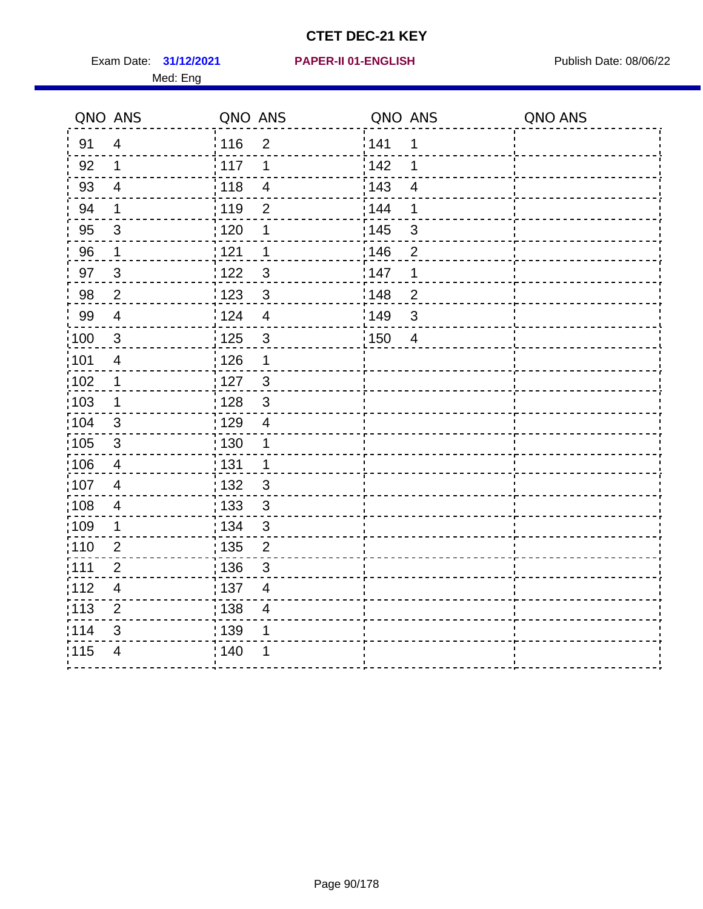Exam Date: 31/12/2021 **PAPER-II 01-ENGLISH Propriet Access 14/12/2021** Publish Date: 08/06/22 Med: Eng

#### **31/12/2021 PAPER-II 01-ENGLISH**

|                   | QNO ANS                 | QNO ANS |                         | QNO ANS |                         | QNO ANS |
|-------------------|-------------------------|---------|-------------------------|---------|-------------------------|---------|
| 91                | $\overline{4}$          | 116     | $\overline{2}$          | 141     | 1                       |         |
| 92                | 1                       | 117     | 1                       | 142     | 1                       |         |
| 93                | $\overline{\mathbf{4}}$ | 118     | $\overline{\mathbf{4}}$ | 143     | $\overline{\mathbf{4}}$ |         |
| 94                | $\mathbf 1$             | 119     | $\overline{2}$          | 144     | 1                       |         |
| 95                | 3                       | : 120   | 1                       | : 145   | $\mathbf{3}$            |         |
| 96                | 1                       | 121     | 1                       | 146     | $\overline{2}$          |         |
| 97                | $\mathfrak{B}$          | 1122    | $\mathfrak{B}$          | 147     | 1                       |         |
| 98                | $\overline{2}$          | 123     | $\mathfrak{3}$          | 148     | $\mathbf{2}$            |         |
| 99                | $\overline{4}$          | 124     | $\overline{\mathbf{4}}$ | 149     | $\sqrt{3}$              |         |
| 100               | $\sqrt{3}$              | 125     | $\mathsf 3$             | 150     | $\overline{4}$          |         |
| 101               | $\overline{\mathbf{4}}$ | 126     | $\mathbf 1$             |         |                         |         |
| 102               | $\mathbf 1$             | : 127   | $\mathbf{3}$            |         |                         |         |
| 103               | 1                       | 128     | $\mathbf{3}$            |         |                         |         |
| $\frac{1}{1}$ 104 | $\mathbf{3}$            | : 129   | $\overline{4}$          |         |                         |         |
| $\frac{1}{1}$ 105 | $\mathfrak{Z}$          | : 130   | $\mathbf 1$             |         |                         |         |
| 106               | $\overline{4}$          | : 131   | $\mathbf{1}$            |         |                         |         |
| 107               | $\overline{4}$          | : 132   | $\mathbf{3}$            |         |                         |         |
| $\frac{1}{1}$ 108 | $\overline{\mathbf{4}}$ | 133     | $\mathbf{3}$            |         |                         |         |
| :109              | $\mathbf 1$             | : 134   | $\sqrt{3}$              |         |                         |         |
| :110              | $\overline{2}$          | : 135   | $\overline{2}$          |         |                         |         |
| : 111             | $\overline{2}$          | : 136   | $\sqrt{3}$              |         |                         |         |
| 112               | $\overline{4}$          | : 137   | $\overline{4}$          |         |                         |         |
| $\frac{1}{1}$ 113 | $\overline{2}$          | : 138   | 4                       |         |                         |         |
| 114               | 3                       | 139     | 1                       |         |                         |         |
| 115               | $\overline{4}$          | : 140   | 1                       |         |                         |         |
|                   |                         |         |                         |         |                         |         |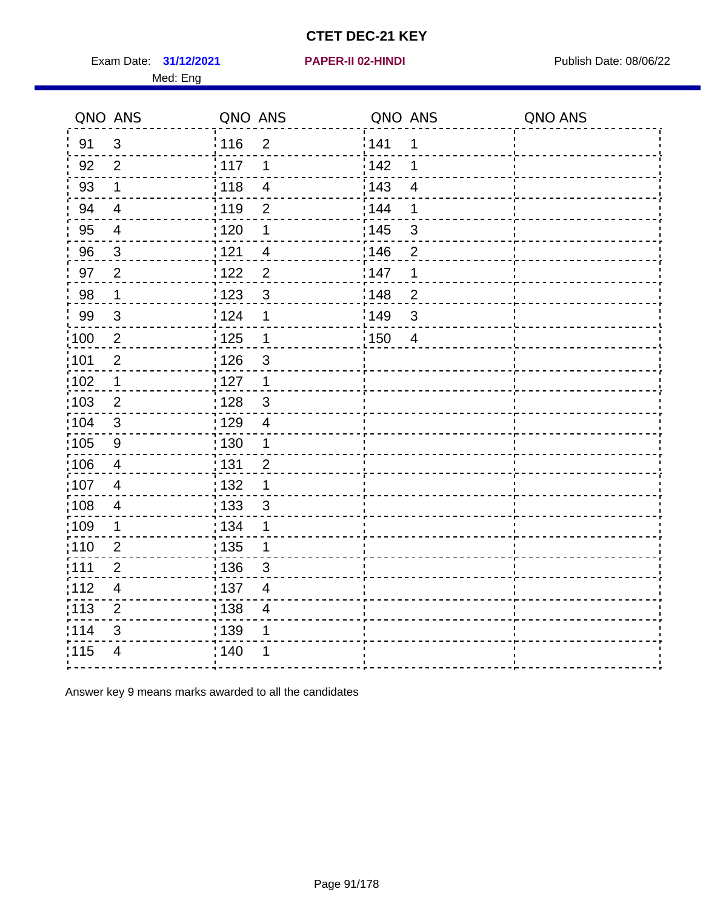Exam Date: 31/12/2021 **PAPER-II 02-HINDI Exam Date: 08/06/22** Med: Eng

#### **31/12/2021 PAPER-II 02-HINDI**

| QNO ANS           |                | QNO ANS |                          | QNO ANS           |                | QNO ANS |
|-------------------|----------------|---------|--------------------------|-------------------|----------------|---------|
| 91                | $\mathfrak{S}$ | :116    | $\overline{2}$           | 141               | 1              |         |
| 92                | $\overline{2}$ | : 117   | 1                        | 142               | 1              |         |
| 93                | $\mathbf{1}$   | : 118   | $\overline{4}$           | 143               | $\overline{4}$ |         |
| 94                | $\overline{4}$ | : 119   | $\overline{2}$           | 144               | 1              |         |
| 95                | $\overline{4}$ | : 120   | $\mathbf 1$              | $\frac{1}{1}$ 145 | $\mathfrak{S}$ |         |
| 96                | $\mathbf{3}$   | 121     | $\overline{\mathbf{4}}$  | 146               | $\overline{2}$ |         |
| 97                | 2              | 1122    | $\overline{2}$           | 147               | 1              |         |
| 98                | $\mathbf 1$    | 123     | 3                        | 148               | $\overline{2}$ |         |
| 99                | 3              | : 124   | $\mathbf 1$              | 149               | 3              |         |
| 100               | $\overline{2}$ | 125     | $\mathbf 1$              | $\frac{1}{1}$ 150 | $\overline{4}$ |         |
| :101              | $\mathbf 2$    | : 126   | 3                        |                   |                |         |
| 102               | $\mathbf 1$    | : 127   | $\mathbf{1}$             |                   |                |         |
| :103              | 2              | : 128   | 3                        |                   |                |         |
| :104              | 3              | : 129   | $\overline{4}$           |                   |                |         |
| 105               | $9$            | : 130   | $\mathbf 1$              |                   |                |         |
| $\frac{1}{106}$   | $\overline{4}$ | : 131   | $\overline{2}$           |                   |                |         |
| :107              | $\overline{4}$ | : 132   | 1                        |                   |                |         |
| 108               | $\overline{4}$ | : 133   | 3                        |                   |                |         |
| $\frac{1}{1}$ 109 | 1              | : 134   | 1                        |                   |                |         |
| 110               | $\overline{2}$ | : 135   | 1                        |                   |                |         |
| :111              | $\overline{2}$ | :136    | 3                        |                   |                |         |
| 112               | $\overline{4}$ | : 137   | $\overline{\mathbf{4}}$  |                   |                |         |
| $\frac{1}{1}$ 113 | $\overline{2}$ | 138     | $\overline{\mathcal{A}}$ |                   |                |         |
| 114               | 3              | : 139   | 1                        |                   |                |         |
| 115               | 4              | 140     |                          |                   |                |         |
|                   |                |         |                          |                   |                |         |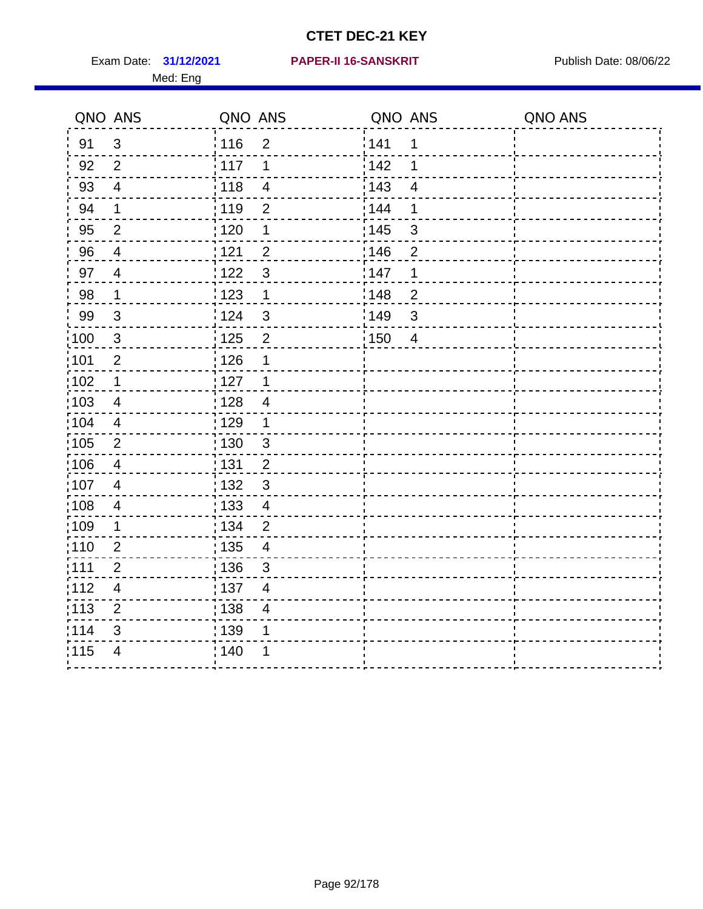Med: Eng

#### **31/12/2021 PAPER-II 16-SANSKRIT** Exam Date: Publish Date: 08/06/22

|                   | QNO ANS                  | QNO ANS |                          | QNO ANS |                         | QNO ANS |
|-------------------|--------------------------|---------|--------------------------|---------|-------------------------|---------|
| 91                | $\mathbf{3}$             | : 116   | $\overline{2}$           | 141     | 1                       |         |
| 92                | $\overline{2}$           | 117     | 1                        | 142     | 1                       |         |
| 93                | $\overline{\mathbf{4}}$  | 118     | $\overline{\mathbf{4}}$  | 143     | $\overline{\mathbf{4}}$ |         |
| 94                | $\mathbf 1$              | 119     | $\overline{2}$           | 144     | 1                       |         |
| 95                | $\overline{2}$           | : 120   | 1                        | : 145   | $\mathfrak{S}$          |         |
| 96                | $\overline{4}$           | 121     | $\overline{2}$           | 146     | $\overline{2}$          |         |
| 97                | $\overline{4}$           | 1122    | $\mathfrak{S}$           | 147     | 1                       |         |
| 98                | $\mathbf 1$              | 123     | $\mathbf 1$              | 148     | $\mathbf{2}$            |         |
| 99                | $\sqrt{3}$               | 124     | $\mathfrak{S}$           | 149     | $\mathsf 3$             |         |
| 100               | $\sqrt{3}$               | 125     | $\overline{2}$           | 150     | $\overline{4}$          |         |
| 101               | $\mathbf 2$              | 126     | 1                        |         |                         |         |
| 102               | $\mathbf 1$              | 127     | 1                        |         |                         |         |
| 103               | 4                        | : 128   | $\overline{4}$           |         |                         |         |
| $\frac{1}{1}$ 104 | 4                        | : 129   | $\mathbf 1$              |         |                         |         |
| $\frac{1}{1}$ 105 | $\mathbf{2}$             | : 130   | $\mathbf{3}$             |         |                         |         |
| 106               | $\overline{\mathcal{A}}$ | : 131   | $\overline{2}$           |         |                         |         |
| 107               | $\overline{4}$           | : 132   | $\mathbf{3}$             |         |                         |         |
| $\frac{1}{1}$ 108 | $\overline{\mathbf{4}}$  | : 133   | $\overline{\mathbf{4}}$  |         |                         |         |
| :109              | $\mathbf 1$              | : 134   | $\overline{2}$           |         |                         |         |
| :110              | $\overline{2}$           | : 135   | $\overline{\mathcal{A}}$ |         |                         |         |
| : 111             | $\overline{2}$           | : 136   | $\sqrt{3}$               |         |                         |         |
| 112               | $\overline{4}$           | : 137   | 4                        |         |                         |         |
| $\frac{1}{1}$ 113 | $\overline{2}$           | : 138   | 4                        |         |                         |         |
| 114               | 3                        | 139     | 1                        |         |                         |         |
| 115               | $\overline{4}$           | : 140   | 1                        |         |                         |         |
|                   |                          |         |                          |         |                         |         |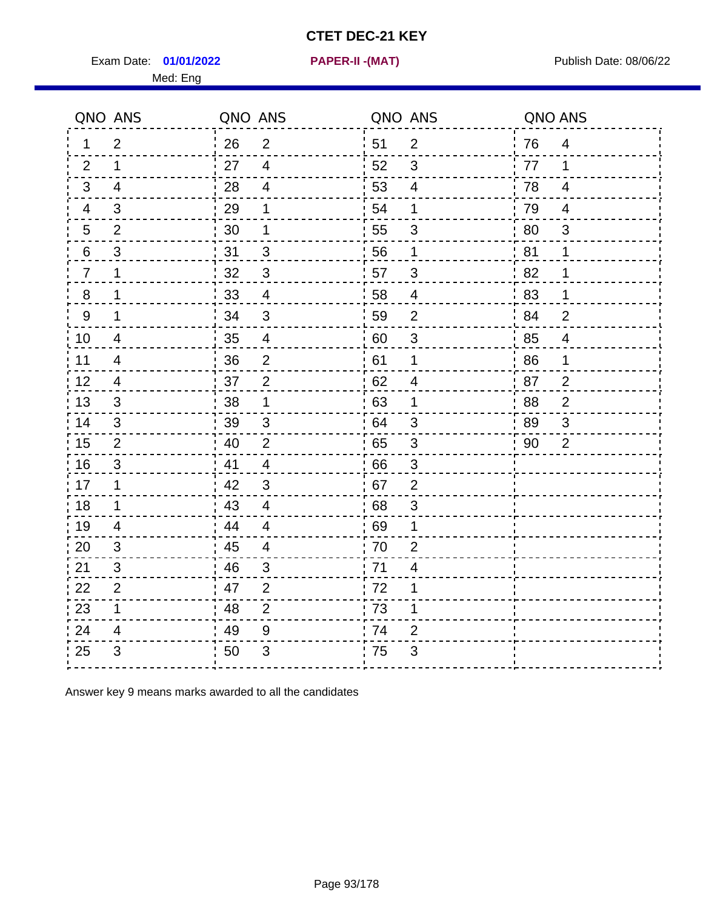Exam Date: **01/01/2022 PAPER-II -(MAT)** PUBLISH Date: 08/06/22

Med: Eng

**01/01/2022 PAPER-II -(MAT)**

|                | QNO ANS        | QNO ANS |                | QNO ANS |                           | QNO ANS |                |
|----------------|----------------|---------|----------------|---------|---------------------------|---------|----------------|
| 1              | 2              | 26      | $\overline{2}$ | i 51    | $\overline{2}$            | 76      | $\overline{4}$ |
| 2              | $\mathbf 1$    | 27      | $\overline{4}$ | 52      | 3                         | 77      | 1              |
| 3              | $\overline{4}$ | 28      | $\overline{4}$ | 53      | $\overline{4}$            | 78      | $\overline{4}$ |
| 4              | 3              | 29      | 1              | 54      | 1                         | 79      | 4              |
| 5              | $\overline{2}$ | 30      | 1              | 55      | $\ensuremath{\mathsf{3}}$ | 80      | $\sqrt{3}$     |
| 6              | 3              | 31      | 3              | 56      | 1                         | 81      | 1              |
| $\overline{7}$ | 1              | 32      | 3              | 57      | 3                         | 82      | 1              |
| 8              | 1              | 33      | $\overline{4}$ | 58      | $\overline{4}$            | 83      | $\mathbf 1$    |
| $9\,$          | $\mathbf{1}$   | 34      | $\mathbf{3}$   | 59      | $\overline{2}$            | 84      | $\overline{2}$ |
| 10             | $\overline{4}$ | 35      | $\overline{4}$ | 60      | $\sqrt{3}$                | 85      | $\overline{4}$ |
| 11             | $\overline{4}$ | 36      | $\mathbf 2$    | 61      | $\mathbf 1$               | 86      | 1              |
| 12             | $\overline{4}$ | 37      | $\mathbf 2$    | 62      | $\overline{4}$            | 87      | $\overline{c}$ |
| 13             | 3              | 38      | 1              | 63      | 1                         | 88      | $\overline{2}$ |
| 14             | 3              | 39      | 3              | 64      | 3                         | 89      | 3              |
| 15             | 2              | 40      | $\overline{2}$ | 65      | $\mathbf{3}$              | 90      | $\overline{2}$ |
| 16             | $\mathfrak{S}$ | 41      | $\overline{4}$ | 66      | 3                         |         |                |
| 17             | 1              | 42      | 3              | 67      | $\overline{2}$            |         |                |
| 18             | 1              | 43      | $\overline{4}$ | 68      | 3                         |         |                |
| 19             | 4              | 44      | $\overline{4}$ | 69      | 1                         |         |                |
| 20             | $\mathfrak{B}$ | 45      | $\overline{4}$ | 70      | $\overline{2}$            |         |                |
| 21             | 3              | 46      | 3              | 71      | 4                         |         |                |
| 22             | 2              | 47      | 2              | 72      | 1                         |         |                |
| 23             | $\mathbf{1}$   | 48      | $\overline{2}$ | 73      | 1                         |         |                |
| 24             | 4              | 49      | 9              | 74      | 2                         |         |                |
| 25             | 3              | 50      | 3              | 75      | 3                         |         |                |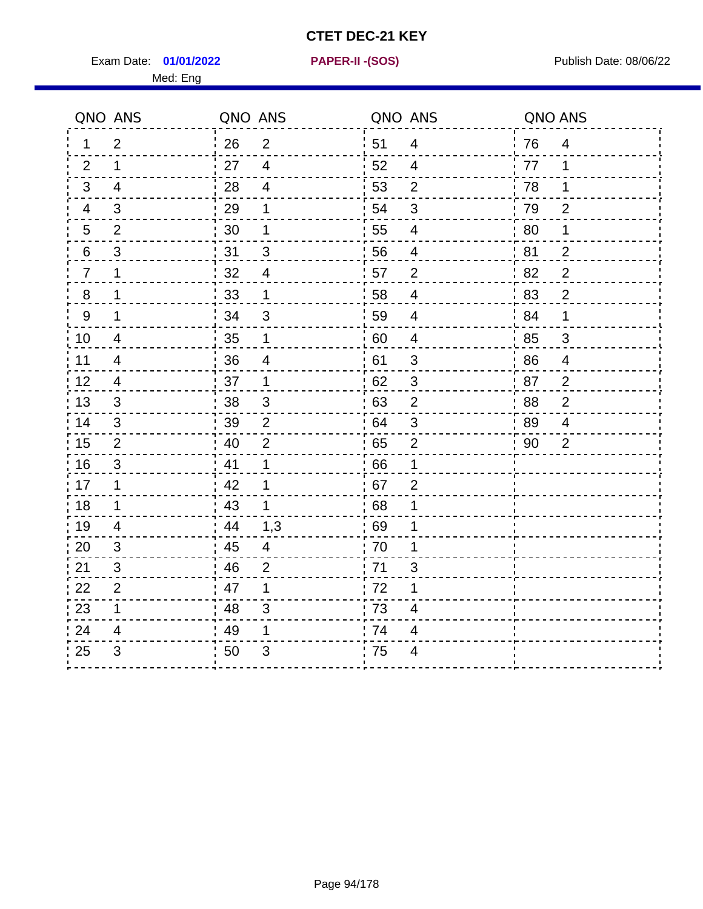Exam Date: **01/01/2022 PAPER-II - (SOS)** PUBLISH Date: 08/06/22

Med: Eng

**01/01/2022 PAPER-II -(SOS)**

|                | QNO ANS                  | QNO ANS |                          | QNO ANS |                          | QNO ANS |                |
|----------------|--------------------------|---------|--------------------------|---------|--------------------------|---------|----------------|
| 1.             | $\overline{2}$           | 26      | $\overline{2}$           | 51      | $\overline{4}$           | 76      | $\overline{4}$ |
| 2              | 1                        | 27      | $\overline{4}$           | 52      | 4                        | 77      | 1              |
| 3              | $\overline{4}$           | 28      | $\overline{4}$           | 53      | $\overline{2}$           | 78      | 1              |
| 4              | $\mathfrak{B}$           | 29      | 1                        | 54      | $\mathfrak{S}$           | 79      | $\overline{2}$ |
| 5              | $\overline{2}$           | $30\,$  | 1                        | 55      | $\overline{4}$           | 80      | 1              |
| 6              | 3                        | 31      | 3                        | 56      | 4                        | 81      | $\overline{2}$ |
| $\overline{7}$ | 1                        | 32      | $\overline{\mathcal{A}}$ | 57      | $\overline{2}$           | 82      | $\overline{2}$ |
| $\bf 8$        | 1                        | 33      | 1                        | 58      | $\overline{\mathcal{A}}$ | 83      | $\overline{2}$ |
| $9\,$          | 1                        | 34      | $\mathfrak{S}$           | 59      | $\overline{\mathbf{4}}$  | 84      | 1              |
| 10             | $\overline{\mathcal{A}}$ | 35      | 1                        | 60      | $\overline{4}$           | 85      | $\mathfrak{S}$ |
| 11             | $\overline{\mathcal{A}}$ | 36      | $\overline{\mathbf{4}}$  | 61      | $\mathfrak{S}$           | 86      | $\overline{4}$ |
| 12             | $\overline{4}$           | 37      | $\mathbf 1$              | 62      | $\sqrt{3}$               | 87      | $\overline{2}$ |
| 13             | 3                        | 38      | $\mathbf{3}$             | 63      | $\overline{2}$           | 88      | $\overline{2}$ |
| 14             | 3                        | 39      | $\overline{2}$           | 64      | 3                        | 89      | $\overline{4}$ |
| 15             | $\mathbf{2}$             | 40      | $\overline{2}$           | 65      | $\mathbf 2$              | 90      | $\overline{2}$ |
| 16             | 3                        | 41      | $\mathbf{1}$             | 66      | 1                        |         |                |
| 17             | 1                        | 42      | 1                        | 67      | $\overline{2}$           |         |                |
| 18             | $\mathbf{1}$             | 43      | $\mathbf 1$              | 68      | 1                        |         |                |
| 19             | $\overline{4}$           | 44      | 1,3                      | 69      | 1                        |         |                |
| 20             | 3                        | 45      | $\overline{4}$           | 70      | 1                        |         |                |
| 21             | 3                        | 46      | 2                        | 71      | $\mathsf 3$              |         |                |
| 22             | $\mathbf 2$              | 47      | 1                        | 72      | 1                        |         |                |
| 23             | 1                        | 48      | 3                        | 73      | 4                        |         |                |
| 24             | 4                        | 49      | 1                        | 74      | 4                        |         |                |
| 25             | 3                        | 50      | 3                        | 75      | 4                        |         |                |
|                |                          |         |                          |         |                          |         |                |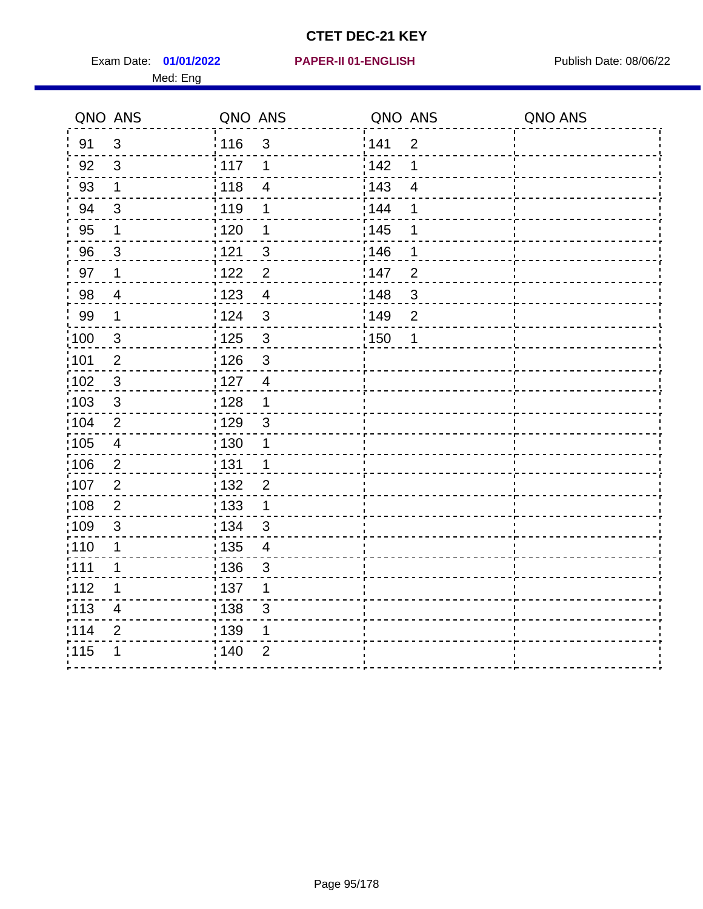Exam Date: 01/01/2022 PAPER-II 01-ENGLISH PREERENT Publish Date: 08/06/22 Med: Eng

#### **01/01/2022 PAPER-II 01-ENGLISH**

|                   | QNO ANS                 | QNO ANS                             |                   | QNO ANS                 | QNO ANS |
|-------------------|-------------------------|-------------------------------------|-------------------|-------------------------|---------|
| 91                | $\mathbf{3}$            | 116<br>$\mathfrak{S}$               | 141               | $\overline{2}$          |         |
| 92                | $\mathfrak{S}$          | 117<br>1                            | 142               | 1                       |         |
| 93                | $\mathbf 1$             | 118<br>$\overline{\mathbf{4}}$      | 143               | $\overline{\mathbf{4}}$ |         |
| 94                | 3                       | : 119<br>1                          | : 144             | 1                       |         |
| 95                | 1                       | $\frac{1}{1}$ 120<br>1              | : 145             | 1                       |         |
| 96                | 3                       | : 121<br>$\mathfrak{S}$             | :146              | 1                       |         |
| 97                | $\mathbf 1$             | 122<br>$\overline{2}$               | 147               | $\overline{2}$          |         |
| 98                | $\overline{4}$          | $\frac{1}{2}$ 123<br>$\overline{4}$ | $\frac{1}{2}$ 148 | $\sqrt{3}$              |         |
| 99                | $\mathbf 1$             | 124<br>$\sqrt{3}$                   | :149              | $\mathbf 2$             |         |
| $\frac{1}{1}$ 100 | $\mathbf{3}$            | $\frac{1}{1}$ 125<br>$\mathfrak{S}$ | : 150             | 1                       |         |
| :101              | $\mathbf 2$             | : 126<br>$\mathfrak{S}$             |                   |                         |         |
| 102               | 3                       | : 127<br>$\overline{4}$             |                   |                         |         |
| 103               | 3                       | : 128<br>$\mathbf 1$                |                   |                         |         |
| :104              | $\overline{2}$          | $\frac{1}{1}$ 129<br>$\mathfrak{3}$ |                   |                         |         |
| 105               | $\overline{\mathbf{4}}$ | 130<br>1                            |                   |                         |         |
| :106              | $\overline{2}$          | : 131<br>$\mathbf 1$                |                   |                         |         |
| ;107              | $\overline{2}$          | : 132<br>$\overline{2}$             |                   |                         |         |
| 108               | $\overline{2}$          | : 133<br>$\mathbf{1}$               |                   |                         |         |
| :109              | $\mathfrak{3}$          | : 134<br>$\mathbf{3}$               |                   |                         |         |
| :110              | 1                       | : 135<br>$\overline{\mathcal{A}}$   |                   |                         |         |
| : 111             | 1                       | : 136<br>$\mathsf 3$                |                   |                         |         |
| 112               | 1                       | : 137<br>1                          |                   |                         |         |
| 113               | $\overline{\mathbf{4}}$ | : 138<br>3                          |                   |                         |         |
| 114               | $\overline{2}$          | : 139<br>1                          |                   |                         |         |
| 115               | 1                       | 140<br>$\overline{2}$               |                   |                         |         |
|                   |                         |                                     |                   |                         |         |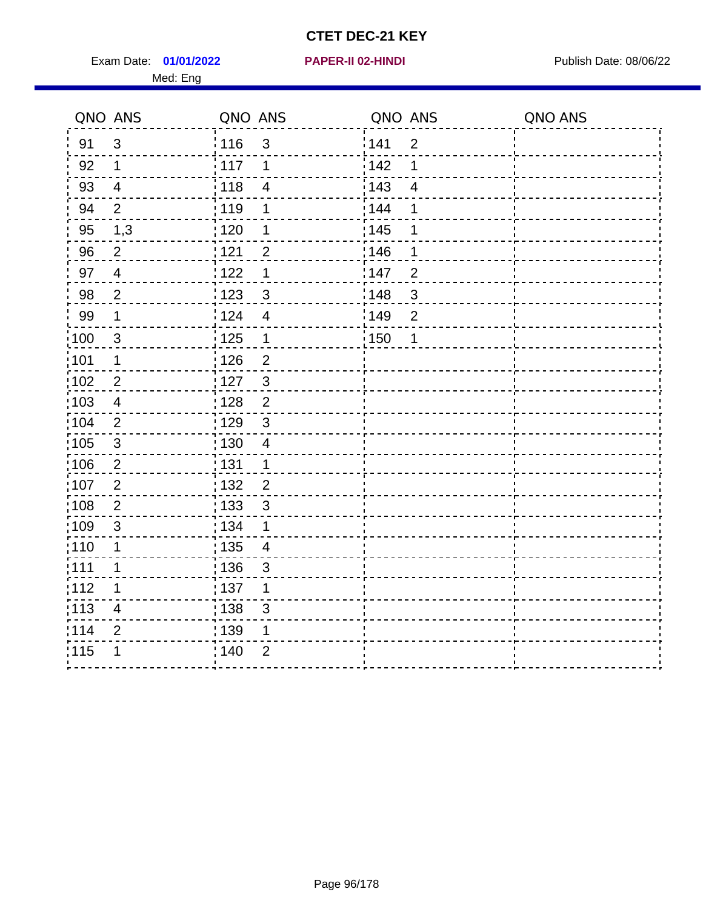Exam Date: 01/01/2022 **PAPER-II 02-HINDI Exam Date: 08/06/22** Med: Eng

#### **01/01/2022 PAPER-II 02-HINDI**

| QNO ANS           |                           | QNO ANS           |                | QNO ANS |                | QNO ANS |
|-------------------|---------------------------|-------------------|----------------|---------|----------------|---------|
| 91                | $\mathfrak{S}$            | : 116             | $\mathfrak{S}$ | 141     | $\overline{2}$ |         |
| 92                | $\mathbf 1$               | 117               | 1              | 142     | 1              |         |
| 93                | $\overline{4}$            | 118               | $\overline{4}$ | 143     | $\overline{4}$ |         |
| 94                | $\overline{2}$            | : 119             | 1              | 144     | 1              |         |
| 95                | 1,3                       | :120              | 1              | : 145   | 1              |         |
| 96                | $\overline{2}$            | 1121              | $\overline{2}$ | 146     | 1              |         |
| 97                | $\overline{4}$            | 1122              | 1              | 147     | $\overline{2}$ |         |
| 98                | $\overline{2}$            | 1123              | $\mathfrak{B}$ | 148     | $\mathfrak{S}$ |         |
| 99                | $\mathbf 1$               | 124               | $\overline{4}$ | 149     | $\overline{2}$ |         |
| $\frac{1}{100}$   | $\mathbf{3}$              | $\frac{1}{1}$ 125 | $\mathbf 1$    | : 150   | 1              |         |
| :101              | $\mathbf 1$               | : 126             | $\overline{2}$ |         |                |         |
| $\frac{1}{1}$ 102 | $\sqrt{2}$                | : 127             | $\mathbf{3}$   |         |                |         |
| 103               | 4                         | : 128             | $\overline{2}$ |         |                |         |
| :104              | $\overline{2}$            | : 129             | 3              |         |                |         |
| 105               | $\mathfrak{3}$            | : 130             | $\overline{4}$ |         |                |         |
| 106               | $\overline{2}$            | : 131             | $\mathbf 1$    |         |                |         |
| 107               | 2                         | : 132             | $\overline{2}$ |         |                |         |
| 108               | $\overline{2}$            | : 133             | $\mathbf{3}$   |         |                |         |
| $\frac{1}{1}$ 109 | $\ensuremath{\mathsf{3}}$ | : 134             | 1              |         |                |         |
| : 110             | $\mathbf 1$               | : 135             | $\overline{4}$ |         |                |         |
| :111              | 1                         | : 136             | 3              |         |                |         |
| :112              | $\mathbf 1$               | : 137             | 1              |         |                |         |
| :113              | $\overline{4}$            | : 138             | $\mathfrak{S}$ |         |                |         |
| 114               | $\overline{2}$            | 139               | 1              |         |                |         |
| 115               | 1                         | 140               | $\overline{2}$ |         |                |         |
|                   |                           |                   |                |         |                |         |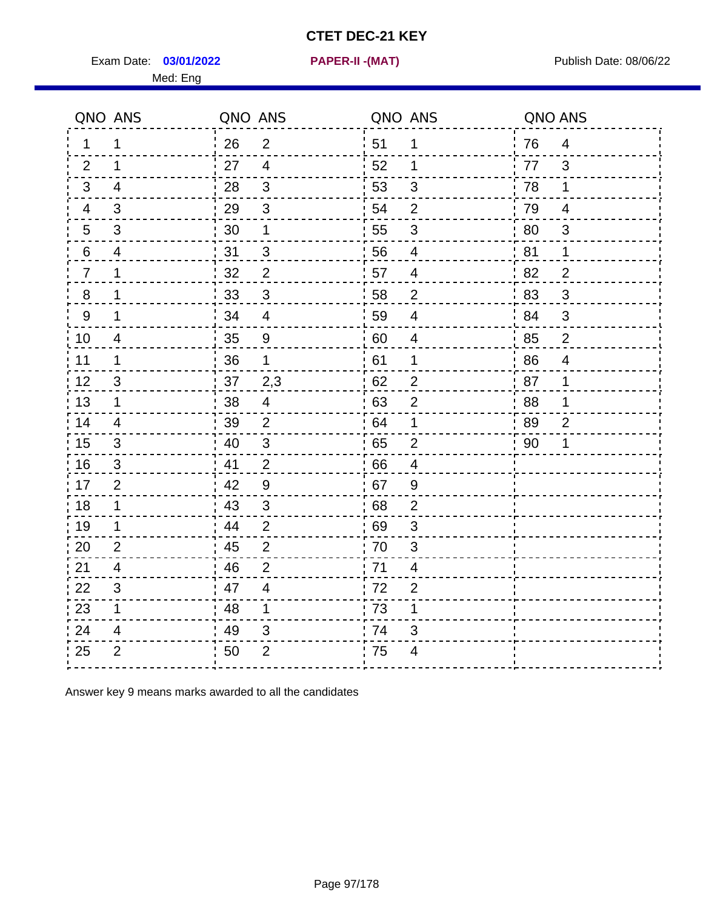Exam Date: 03/01/2022 **PAPER-II - (MAT)** PARE Exam Date: 08/06/22 Med: Eng

**03/01/2022 PAPER-II -(MAT)**

|                 | QNO ANS        | QNO ANS |                          | QNO ANS |                         | QNO ANS |                |
|-----------------|----------------|---------|--------------------------|---------|-------------------------|---------|----------------|
| 1               | 1              | 26      | $\overline{2}$           | 51      | 1                       | 76      | $\overline{4}$ |
| 2               | 1              | 27      | $\overline{4}$           | 52      | 1                       | 77      | $\mathfrak{3}$ |
| 3               | $\overline{4}$ | 28      | 3                        | 53      | 3                       | 78      | 1              |
| $\overline{4}$  | 3              | 29      | 3                        | 54      | $\overline{2}$          | 79      | $\overline{4}$ |
| $5\phantom{.0}$ | 3              | 30      | 1                        | 55      | 3                       | 80      | 3              |
| 6               | 4              | 31      | $\mathfrak{S}$           | 56      | 4                       | 81      | 1              |
| $\overline{7}$  | 1              | 32      | $\overline{2}$           | 57      | 4                       | 82      | $\overline{2}$ |
| 8               | 1              | 33      | 3                        | 58      | $\overline{2}$          | ' 83    | 3              |
| 9               | 1              | 34      | $\overline{4}$           | 59      | $\overline{4}$          | 84      | 3              |
| 10              | 4              | 35      | 9                        | 60      | 4                       | 85      | $\overline{2}$ |
| 11              | 1              | 36      | $\mathbf 1$              | 61      | 1                       | 86      | $\overline{4}$ |
| 12              | $\mathbf{3}$   | 37      | 2,3                      | 62      | $\overline{2}$          | 87      | 1              |
| 13              | $\mathbf{1}$   | 38      | $\overline{\mathcal{A}}$ | 63      | $\overline{2}$          | 88      | 1              |
| 14              | $\overline{4}$ | 39      | 2                        | 64      | 1                       | 89      | 2              |
| 15              | 3              | 40      | 3                        | 65      | $\overline{2}$          | 90      | 1              |
| 16              | 3              | 41      | $\overline{2}$           | 66      | 4                       |         |                |
| 17              | 2              | 42      | $9\,$                    | 67      | 9                       |         |                |
| 18              | 1              | 43      | 3                        | 68      | $\overline{2}$          |         |                |
| 19              | 1              | 44      | $\overline{2}$           | 69      | 3                       |         |                |
| 20              | $\overline{2}$ | 45      | $\overline{2}$           | 70      | 3                       |         |                |
| 21              | 4              | 46      | 2                        | 71      | $\overline{4}$          |         |                |
| 22              | 3              | 47      | $\overline{4}$           | 72      | $\overline{2}$          |         |                |
| 23              | $\mathbf{1}$   | 48      | $\mathbf 1$              | 73      | 1                       |         |                |
| 24              | 4              | 49      | 3                        | 74      | 3                       |         |                |
| 25              | $\overline{2}$ | 50      | $\overline{2}$           | 75      | $\overline{\mathbf{4}}$ |         |                |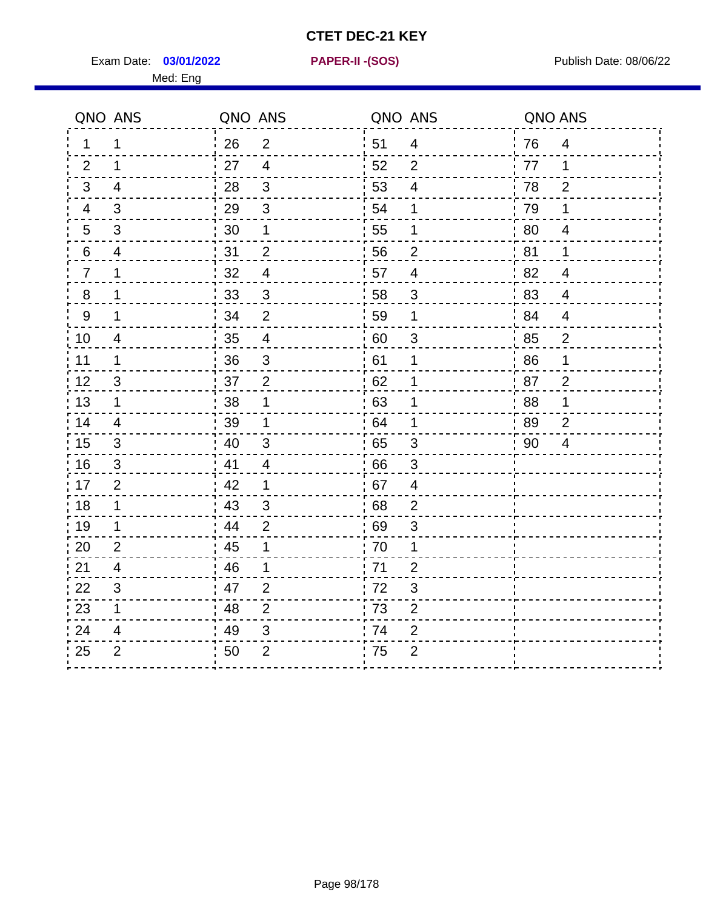Exam Date: 03/01/2022 **PAPER-II-(SOS)** Provided by Publish Date: 08/06/22 Med: Eng

**03/01/2022 PAPER-II -(SOS)**

|                 | QNO ANS                   | QNO ANS |                          | QNO ANS |                | QNO ANS |                |
|-----------------|---------------------------|---------|--------------------------|---------|----------------|---------|----------------|
| $\mathbf 1$     | 1                         | 26      | 2                        | 51      | 4              | 76      | $\overline{4}$ |
| 2               | 1                         | 27      | $\overline{4}$           | 52      | 2              | 77      | 1              |
| 3               | 4                         | 28      | 3                        | 53      | $\overline{4}$ | 78      | $\overline{2}$ |
| 4               | 3                         | 29      | $\mathbf{3}$             | 54      | 1              | 79      | $\mathbf 1$    |
| $5\phantom{.0}$ | 3                         | 30      | 1                        | 55      | 1              | 80      | 4              |
| 6               | $\overline{4}$            | 31      | $\overline{2}$           | 56      | $\overline{2}$ | 81      | 1              |
| $\overline{7}$  | 1                         | 32      | $\overline{4}$           | 57      | $\overline{4}$ | 82      | $\overline{4}$ |
| 8               | 1                         | 33      | 3                        | 58      | 3              | 83      | $\overline{4}$ |
| 9               | 1                         | 34      | $\overline{2}$           | 59      | 1              | 84      | $\overline{4}$ |
| 10              | $\overline{4}$            | 35      | $\overline{\mathcal{A}}$ | 60      | $\sqrt{3}$     | 85      | $\overline{2}$ |
| 11              | 1                         | 36      | $\mathfrak{S}$           | 61      | 1              | 86      | 1              |
| 12              | $\ensuremath{\mathsf{3}}$ | 37      | $\overline{2}$           | 62      | 1              | 87      | $\overline{2}$ |
| 13              | 1                         | 38      | 1                        | 63      | 1              | 88      | 1              |
| 14              | $\overline{4}$            | 39      | 1                        | 64      | 1              | 89      | 2              |
| 15              | 3                         | 40      | $\mathfrak{S}$           | 65      | 3              | 90      | 4              |
| 16              | 3                         | 41      | $\overline{4}$           | 66      | 3              |         |                |
| 17              | $\overline{2}$            | 42      | $\mathbf 1$              | 67      | 4              |         |                |
| 18              | 1                         | 43      | 3                        | 68      | $\overline{2}$ |         |                |
| 19              | 1                         | 44      | $\overline{2}$           | 69      | 3              |         |                |
| 20              | $\overline{2}$            | 45      | 1                        | 70      | 1              |         |                |
| 21              | 4                         | 46      | 1                        | 71      | $\overline{2}$ |         |                |
| 22              | 3                         | 47      | 2                        | 72      | 3              |         |                |
| 23              | 1                         | 48      | $\overline{2}$           | 73      | $\mathbf{2}$   |         |                |
| 24              | 4                         | 49      | 3                        | 74      | $\overline{2}$ |         |                |
| 25              | $\overline{2}$            | 50      | $\overline{2}$           | 75      | $\overline{2}$ |         |                |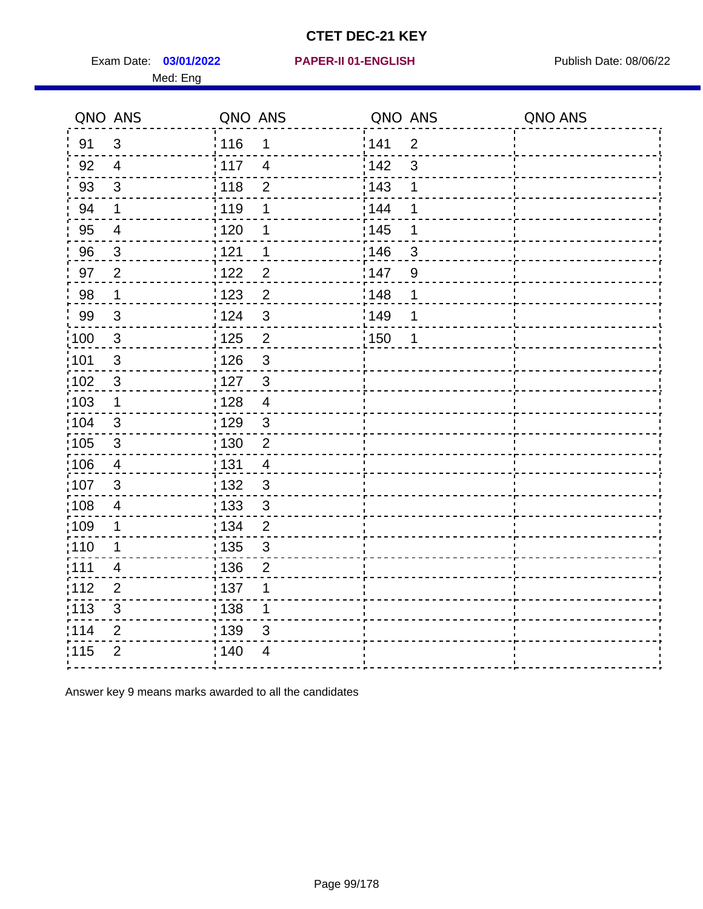Exam Date: 03/01/2022 PAPER-II 01-ENGLISH PREERENT Publish Date: 08/06/22 Med: Eng

|                   | QNO ANS                 | QNO ANS           |                         | QNO ANS |                | QNO ANS |
|-------------------|-------------------------|-------------------|-------------------------|---------|----------------|---------|
| 91                | $\mathfrak{3}$          | : 116             | 1                       | 141     | $\overline{2}$ |         |
| 92                | $\overline{4}$          | $\frac{1}{2}$ 117 | $\overline{4}$          | 142     | $\mathbf{3}$   |         |
| 93                | $\mathfrak{S}$          | 118               | $\overline{2}$          | 143     | 1              |         |
| 94                | $\mathbf 1$             | : 119             | 1                       | 144     | 1              |         |
| 95                | $\overline{4}$          | : 120             | 1                       | : 145   | 1              |         |
| 96                | $\mathbf{3}$            | 121               | 1                       | 146     | 3              |         |
| 97                | $\overline{2}$          | 122               | $\overline{2}$          | 147     | 9              |         |
| 98                | $\mathbf 1$             | 123               | $\overline{2}$          | 148     | 1              |         |
| 99                | $\mathfrak{3}$          | 124               | 3                       | 149     | 1              |         |
| $\frac{1}{1}$ 100 | $\mathbf{3}$            | $\frac{1}{2}$ 125 | $\overline{\mathbf{c}}$ | 150     | 1              |         |
| 101               | $\sqrt{3}$              | 126               | 3                       |         |                |         |
| $\frac{1}{1}$ 102 | $\mathbf{3}$            | : 127             | $\mathfrak{3}$          |         |                |         |
| 103               | 1                       | : 128             | $\overline{4}$          |         |                |         |
| :104              | 3                       | : 129             | 3                       |         |                |         |
| $\frac{1}{1}$ 105 | $\sqrt{3}$              | $\frac{1}{1}$ 130 | $\overline{2}$          |         |                |         |
| 106               | $\overline{4}$          | : 131             | $\overline{4}$          |         |                |         |
| 107               | 3                       | : 132             | $\mathbf{3}$            |         |                |         |
| :108              | $\overline{\mathbf{4}}$ | : 133             | $\mathbf{3}$            |         |                |         |
| :109              | $\mathbf 1$             | : 134             | $\overline{2}$          |         |                |         |
| : 110             | $\mathbf 1$             | : 135             | $\mathfrak{S}$          |         |                |         |
| :111              | 4                       | : 136             | $\overline{2}$          |         |                |         |
| 112               | $\overline{2}$          | :137              | 1                       |         |                |         |
| $\frac{1}{1}$ 113 | $\sqrt{3}$              | : 138             | $\mathbf{1}$            |         |                |         |
| 114               | $\overline{2}$          | : 139             | 3                       |         |                |         |
| 115               | $\overline{2}$          | ; 140             | 4                       |         |                |         |
|                   |                         |                   |                         |         |                |         |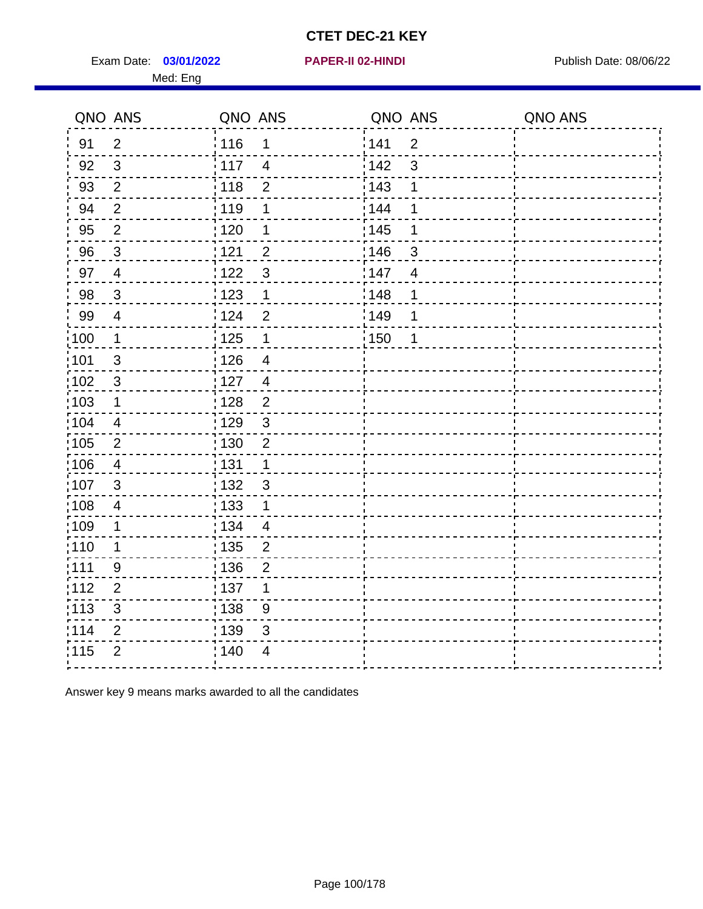Exam Date: 03/01/2022 **PAPER-II 02-HINDI Exam Date: 08/06/22** Med: Eng

|                   | QNO ANS                 | QNO ANS                          | QNO ANS               | QNO ANS |
|-------------------|-------------------------|----------------------------------|-----------------------|---------|
| 91                | $\overline{2}$          | : 116<br>1                       | 141<br>$\overline{2}$ |         |
| 92                | $\mathfrak{S}$          | 117<br>$\overline{4}$            | 142<br>3              |         |
| 93                | $\overline{2}$          | 118<br>$\overline{2}$            | 143<br>1              |         |
| 94                | $\overline{2}$          | : 119<br>1                       | 144<br>1              |         |
| 95                | $\overline{2}$          | 120<br>1                         | : 145<br>1            |         |
| 96                | $\mathfrak{S}$          | 1121<br>$\overline{2}$           | 146<br>3              |         |
| 97                | $\overline{4}$          | 122<br>$\mathbf{3}$              | 147<br>$\overline{4}$ |         |
| 98                | $\mathbf{3}$            | 123<br>$\mathbf 1$               | 1148<br>1             |         |
| 99                | $\overline{4}$          | 124<br>$\overline{2}$            | 149<br>1              |         |
| $\frac{1}{1}$ 100 | $\mathbf{1}$            | 125<br>$\mathbf{1}$              | 150<br>1              |         |
| :101              | $\sqrt{3}$              | : 126<br>$\overline{4}$          |                       |         |
| 102               | $\mathfrak{3}$          | : 127<br>$\overline{4}$          |                       |         |
| 103               | 1                       | : 128<br>$\overline{2}$          |                       |         |
| :104              | $\overline{4}$          | : 129<br>$\mathbf{3}$            |                       |         |
| $\frac{1}{1}$ 105 | $\mathbf{2}$            | 130<br>$\overline{2}$            |                       |         |
| 106               | $\overline{4}$          | : 131<br>$\mathbf{1}$            |                       |         |
| 107               | 3                       | : 132<br>$\mathbf{3}$            |                       |         |
| 108               | $\overline{\mathbf{4}}$ | $\frac{1}{1}$ 133<br>$\mathbf 1$ |                       |         |
| $\frac{1}{1}$ 109 | $\mathbf 1$             | : 134<br>$\overline{4}$          |                       |         |
| :110              | 1                       | : 135<br>$\overline{2}$          |                       |         |
| : 111             | 9                       | : 136<br>$\overline{2}$          |                       |         |
| 112               | $\overline{2}$          | 137<br>1                         |                       |         |
| : 113             | $\sqrt{3}$              | 138<br>9                         |                       |         |
| 114               | $\overline{2}$          | : 139<br>$\mathfrak{S}$          |                       |         |
| 115               | $\overline{2}$          | 140<br>4                         |                       |         |
|                   |                         |                                  |                       |         |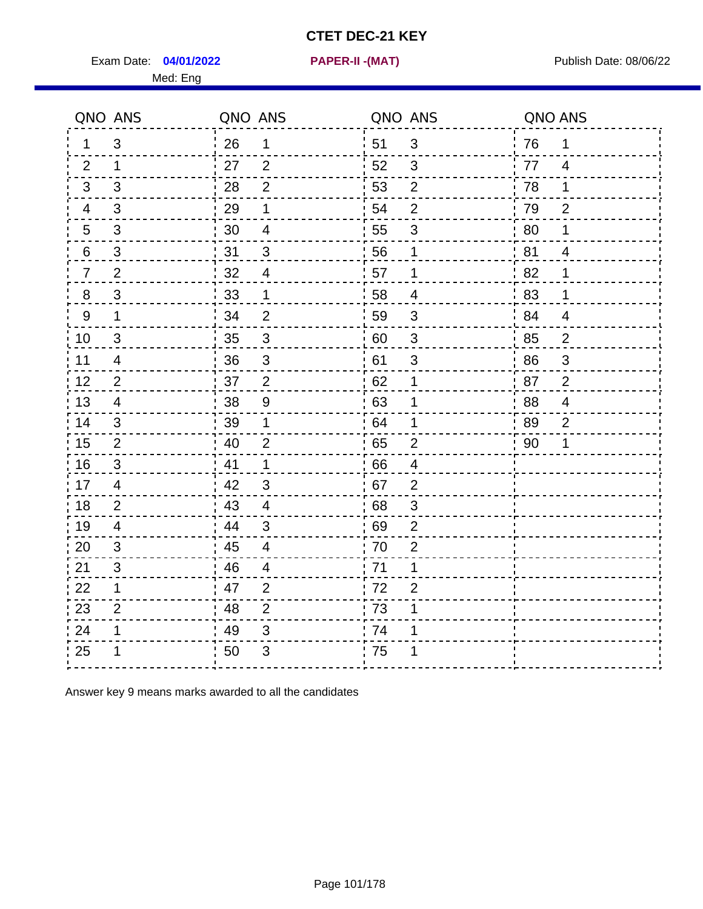Exam Date: 04/01/2022 PAPER-II -(MAT) Pressure and Publish Date: 08/06/22

Med: Eng

**04/01/2022 PAPER-II -(MAT)**

|                | QNO ANS        | QNO ANS |                         | QNO ANS          |                          | QNO ANS |                |
|----------------|----------------|---------|-------------------------|------------------|--------------------------|---------|----------------|
| 1.             | 3              | 26      | 1                       | ່ 51             | 3                        | 76      | 1              |
| 2              | 1              | 27      | 2                       | 52               | 3                        | 77      | $\overline{4}$ |
| 3              | 3              | 28      | $\overline{2}$          | 53               | $\mathbf 2$              | 78      | 1              |
| 4              | 3              | 29      | 1                       | 54               | $\overline{2}$           | 79      | $\overline{2}$ |
| 5              | 3              | 30      | $\overline{\mathbf{4}}$ | 55               | $\sqrt{3}$               | 80      | 1              |
| 6              | 3              | 31      | 3                       | 56               | 1                        | 81      | $\overline{4}$ |
| $\overline{7}$ | 2              | 32      | $\overline{4}$          | 57               | 1                        | 82      | 1              |
| 8              | 3              | 33      | 1                       | 58               | $\overline{\mathcal{A}}$ | 83      | 1              |
| 9              | $\mathbf{1}$   | 34      | $\overline{2}$          | 59               | 3                        | 84      | $\overline{4}$ |
| 10             | $\mathfrak{S}$ | 35      | $\sqrt{3}$              | 60               | $\sqrt{3}$               | 85      | $\overline{2}$ |
| 11             | 4              | 36      | $\mathfrak{S}$          | 61               | $\mathfrak{S}$           | 86      | 3              |
| 12             | $\overline{2}$ | 37      | $\mathbf 2$             | 62               | 1                        | 87      | $\mathbf 2$    |
| 13             | 4              | 38      | $\boldsymbol{9}$        | 63               | 1                        | 88      | 4              |
| 14             | 3              | 39      | 1                       | 64               | 1                        | 89      | $\overline{2}$ |
| 15             | 2              | 40      | $\overline{2}$          | 65               | $\overline{2}$           | 90      | 1              |
| 16             | 3              | 41      | 1                       | 66               | $\overline{4}$           |         |                |
| 17             | $\overline{4}$ | 42      | 3                       | 67               | $\overline{2}$           |         |                |
| 18             | 2              | 43      | $\overline{4}$          | 68               | 3                        |         |                |
| 19             | 4              | 44      | $\mathfrak{3}$          | 69               | $\mathbf{2}$             |         |                |
| 20             | 3              | 45      | $\overline{\mathbf{4}}$ | $\frac{1}{2}$ 70 | $\overline{2}$           |         |                |
| 21             | 3              | 46      | $\overline{4}$          | : 71             | 1                        |         |                |
| 22             | $\mathbf 1$    | 47      | 2                       | 72               | $\overline{2}$           |         |                |
| 23             | $\overline{2}$ | 48      | $\overline{2}$          | 73               | 1                        |         |                |
| 24             | 1              | 49      | $\sqrt{3}$              | 74               | 1                        |         |                |
| 25             |                | 50      | $\mathfrak{B}$          | .75              | 1                        |         |                |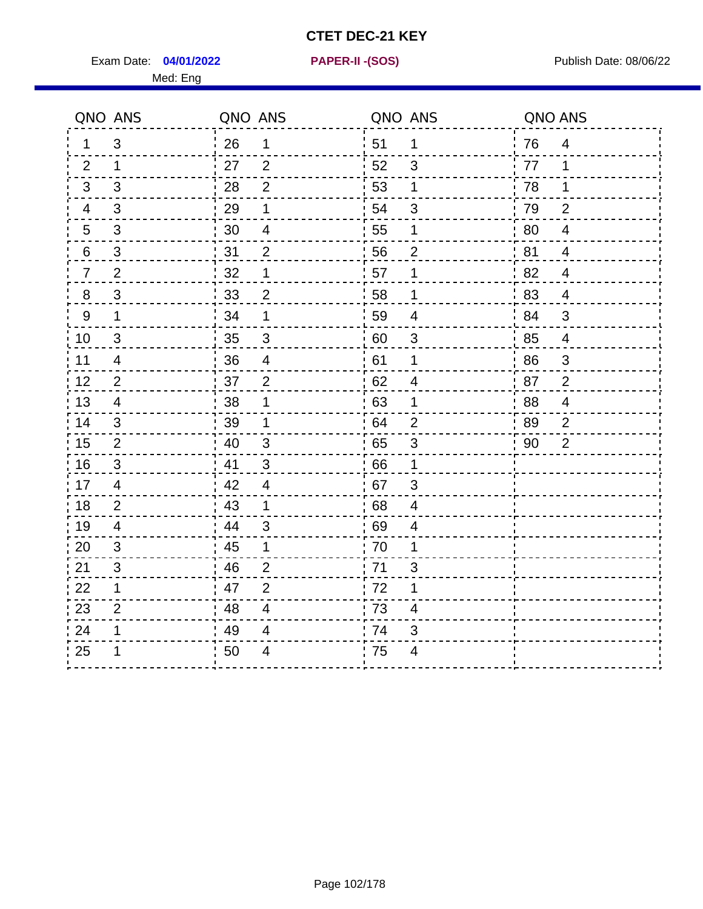Exam Date: 04/01/2022 **PAPER-II-(SOS)** Provided by Publish Date: 08/06/22

Med: Eng

**04/01/2022 PAPER-II -(SOS)**

|                  | QNO ANS                 | QNO ANS |                           |    | QNO ANS                   | QNO ANS |                           |
|------------------|-------------------------|---------|---------------------------|----|---------------------------|---------|---------------------------|
| 1                | 3                       | 26      | $\mathbf 1$               | 51 | 1                         | 76      | $\overline{4}$            |
| 2                | 1                       | 27      | $\overline{2}$            | 52 | 3                         | 77      | 1                         |
| 3                | 3                       | 28      | $\overline{2}$            | 53 | 1                         | 78      | 1                         |
| 4                | $\mathfrak{B}$          | 29      | 1                         | 54 | $\mathfrak{S}$            | 79      | $\overline{2}$            |
| 5                | $\mathfrak{S}$          | 30      | $\overline{\mathbf{4}}$   | 55 | 1                         | 80      | $\overline{4}$            |
| 6                | 3                       | 31      | $\overline{2}$            | 56 | $\overline{2}$            | 81      | $\overline{4}$            |
| $\overline{7}$   | $\overline{2}$          | 32      | 1                         | 57 | 1                         | 82      | $\overline{4}$            |
| $\bf 8$          | $\mathfrak{S}$          | 33      | $\mathbf{2}$              | 58 | 1                         | 83      | $\overline{4}$            |
| $\boldsymbol{9}$ | 1                       | 34      | 1                         | 59 | $\overline{\mathbf{4}}$   | 84      | 3                         |
| 10               | $\sqrt{3}$              | 35      | $\mathsf 3$               | 60 | $\ensuremath{\mathsf{3}}$ | 85      | $\overline{4}$            |
| 11               | $\overline{\mathbf{4}}$ | 36      | $\overline{\mathbf{4}}$   | 61 | 1                         | 86      | $\ensuremath{\mathsf{3}}$ |
| 12               | $\overline{2}$          | 37      | $\overline{2}$            | 62 | $\overline{4}$            | 87      | $\overline{2}$            |
| 13               | $\overline{4}$          | 38      | 1                         | 63 | 1                         | 88      | $\overline{4}$            |
| 14               | 3                       | 39      | 1                         | 64 | $\overline{2}$            | 89      | $\overline{2}$            |
| 15               | $\mathbf{2}$            | 40      | $\ensuremath{\mathsf{3}}$ | 65 | $\ensuremath{\mathsf{3}}$ | 90      | $\overline{2}$            |
| 16               | 3                       | 41      | 3                         | 66 | 1                         |         |                           |
| 17               | $\overline{4}$          | 42      | $\overline{4}$            | 67 | 3                         |         |                           |
| 18               | $\overline{2}$          | 43      | $\mathbf 1$               | 68 | $\overline{\mathbf{4}}$   |         |                           |
| 19               | $\overline{4}$          | 44      | 3                         | 69 | $\overline{\mathcal{A}}$  |         |                           |
| 20               | 3                       | 45      | 1                         | 70 | 1                         |         |                           |
| 21               | 3                       | 46      | $\overline{2}$            | 71 | $\mathfrak{S}$            |         |                           |
| 22               | 1                       | 47      | $\overline{2}$            | 72 | 1                         |         |                           |
| 23               | $\overline{2}$          | 48      | $\overline{4}$            | 73 | 4                         |         |                           |
| 24               | 1                       | 49      | 4                         | 74 | 3                         |         |                           |
| 25               | 1                       | 50      | 4                         | 75 | $\overline{4}$            |         |                           |
|                  |                         |         |                           |    |                           |         |                           |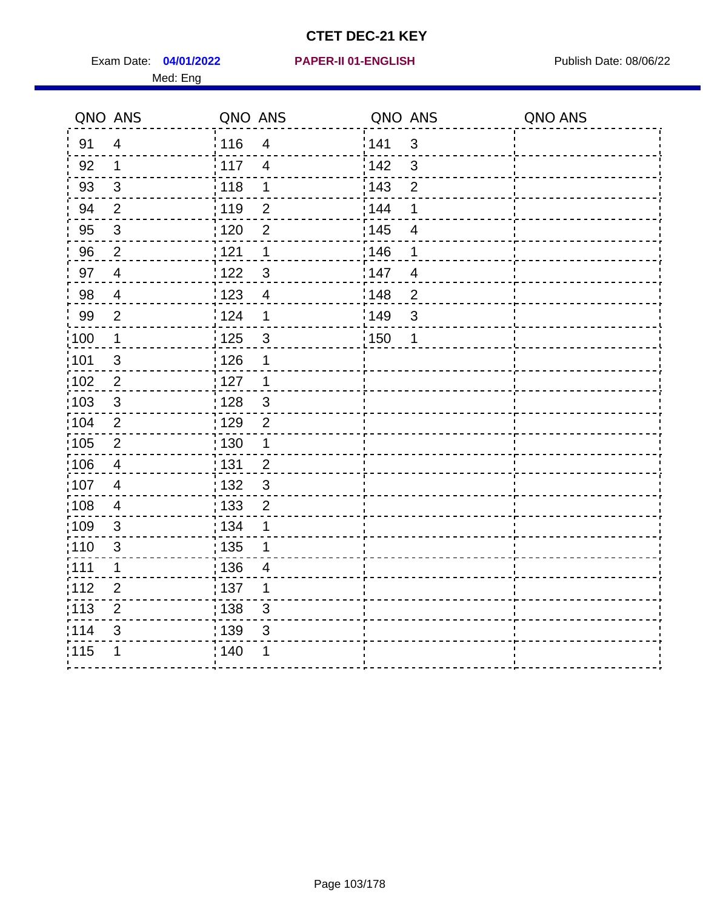Exam Date: 04/01/2022 PAPER-II 01-ENGLISH PREERENT Publish Date: 08/06/22 Med: Eng

#### **04/01/2022 PAPER-II 01-ENGLISH**

|                   | QNO ANS        | QNO ANS           |                | QNO ANS           |                | QNO ANS |
|-------------------|----------------|-------------------|----------------|-------------------|----------------|---------|
| 91                | $\overline{4}$ | : 116             | $\overline{4}$ | 141               | $\mathbf{3}$   |         |
| 92                | $\mathbf{1}$   | 117               | $\overline{4}$ | 142               | 3              |         |
| 93                | $\sqrt{3}$     | 118               | 1              | 143               | $\overline{2}$ |         |
| 94                | $\overline{2}$ | : 119             | $\overline{2}$ | 144               | 1              |         |
| 95                | $\sqrt{3}$     | : 120             | $\overline{2}$ | : 145             | 4              |         |
| 96                | $\overline{2}$ | 121               | 1              | 146               | 1              |         |
| 97                | $\overline{4}$ | 122               | $\mathbf{3}$   | 147               | $\overline{4}$ |         |
| 98                | $\overline{4}$ | 123               | $\overline{4}$ | :148              | $\overline{2}$ |         |
| 99                | $\mathbf{2}$   | $\frac{1}{2}$ 124 | $\mathbf 1$    | :149              | $\mathbf{3}$   |         |
| $\frac{1}{1}$ 100 | $\mathbf{1}$   | $\frac{1}{1}$ 125 | $\mathsf 3$    | $\frac{1}{1}$ 150 | 1              |         |
| :101              | $\sqrt{3}$     | : 126             | 1              |                   |                |         |
| 102               | $\overline{2}$ | 127               | $\mathbf 1$    |                   |                |         |
| 103               | 3              | : 128             | $\mathbf{3}$   |                   |                |         |
| 104               | $\overline{2}$ | : 129             | $\overline{2}$ |                   |                |         |
| 105               | $\sqrt{2}$     | $\frac{1}{1}$ 130 | $\mathbf{1}$   |                   |                |         |
| :106              | $\overline{4}$ | : 131             | 2              |                   |                |         |
| :107              | $\overline{4}$ | : 132             | 3              |                   |                |         |
| 108               | $\overline{4}$ | $\frac{1}{1}$ 133 | $\overline{2}$ |                   |                |         |
| :109              | $\sqrt{3}$     | : 134             | 1              |                   |                |         |
| :110              | 3              | : 135             | 1              |                   |                |         |
| : 111             | 1              | 136               | 4              |                   |                |         |
| 112               | $\mathbf{2}$   | 137               | 1              |                   |                |         |
| : 113             | $\overline{2}$ | : 138             | 3              |                   |                |         |
| 114               | 3              | :139              | 3              |                   |                |         |
| 115               | 1              | 140               | 1              |                   |                |         |
|                   |                |                   |                |                   |                |         |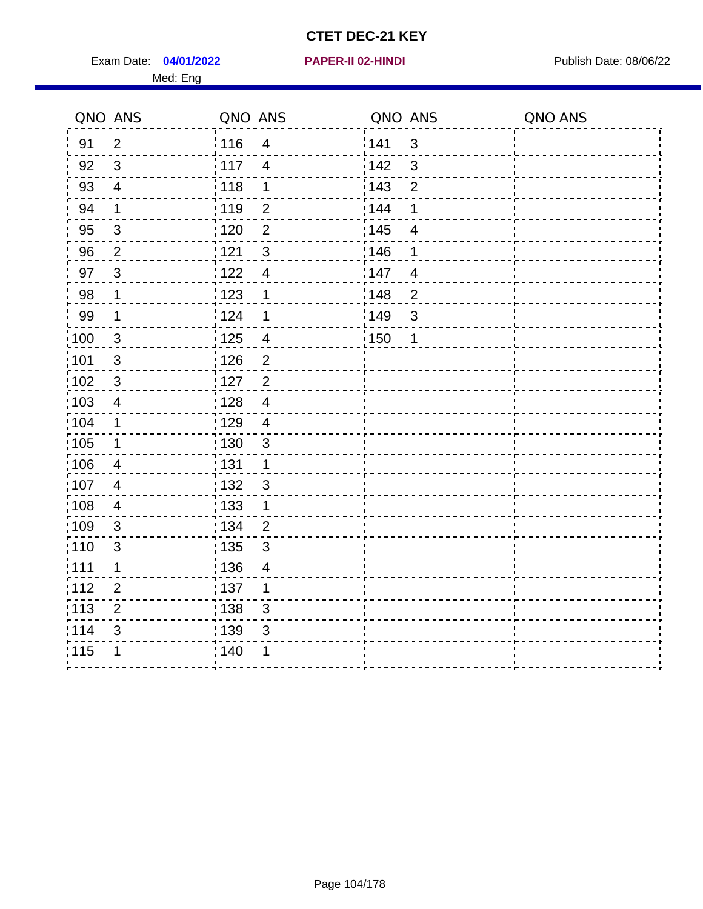Exam Date: 04/01/2022 **PAPER-II 02-HINDI Exam Date: 08/06/22** Med: Eng

|                   | QNO ANS        | QNO ANS           |                           | QNO ANS           |                | QNO ANS |
|-------------------|----------------|-------------------|---------------------------|-------------------|----------------|---------|
| 91                | $\overline{2}$ | 116               | $\overline{4}$            | 1141              | $\mathfrak{B}$ |         |
| 92                | $\mathfrak{S}$ | 117               | $\overline{4}$            | 142               | $\mathfrak{S}$ |         |
| 93                | $\overline{4}$ | 118               | $\mathbf 1$               | 143               | $\overline{2}$ |         |
| 94                | 1              | : 119             | $\overline{2}$            | 144               | 1              |         |
| 95                | 3              | : 120             | $\overline{2}$            | : 145             | $\overline{4}$ |         |
| 96                | $\overline{2}$ | 121               | 3                         | 146               | 1              |         |
| 97                | 3              | 122               | $\overline{4}$            | 147               | $\overline{4}$ |         |
| 98                | $\mathbf 1$    | 123               | 1                         | :148              | $\overline{2}$ |         |
| 99                | $\mathbf 1$    | 124               | 1                         | :149              | $\mathsf 3$    |         |
| 100               | $\mathbf{3}$   | 125               | $\overline{\mathbf{4}}$   | $\frac{1}{1}$ 150 | 1              |         |
| 101               | $\sqrt{3}$     | 126               | $\overline{2}$            |                   |                |         |
| $102$             | $\mathbf{3}$   | : 127             | $\overline{c}$            |                   |                |         |
| 103               | $\overline{4}$ | 128               | $\overline{4}$            |                   |                |         |
| 104               | $\mathbf 1$    | : 129             | $\overline{4}$            |                   |                |         |
| $\frac{1}{1}$ 105 | $\mathbf 1$    | $\frac{1}{1}$ 130 | $\mathsf 3$               |                   |                |         |
| 106               | $\overline{4}$ | : 131             | $\mathbf{1}$              |                   |                |         |
| :107              | 4              | :132              | $\mathbf{3}$              |                   |                |         |
| $\frac{1}{1}$ 108 | $\overline{4}$ | : 133             | $\mathbf{1}$              |                   |                |         |
| $\frac{1}{1}$ 109 | $\mathfrak{S}$ | : 134             | $\overline{2}$            |                   |                |         |
| 110               | $\sqrt{3}$     | : 135             | $\sqrt{3}$                |                   |                |         |
| :111              | 1              | : 136             | 4                         |                   |                |         |
| 112               | $\overline{2}$ | : 137             | 1                         |                   |                |         |
| : 113             | $\overline{2}$ | : 138             | $\ensuremath{\mathsf{3}}$ |                   |                |         |
| 114               | 3              | : 139             | 3                         |                   |                |         |
| 115               | 1              | 140               | 1                         |                   |                |         |
|                   |                |                   |                           |                   |                |         |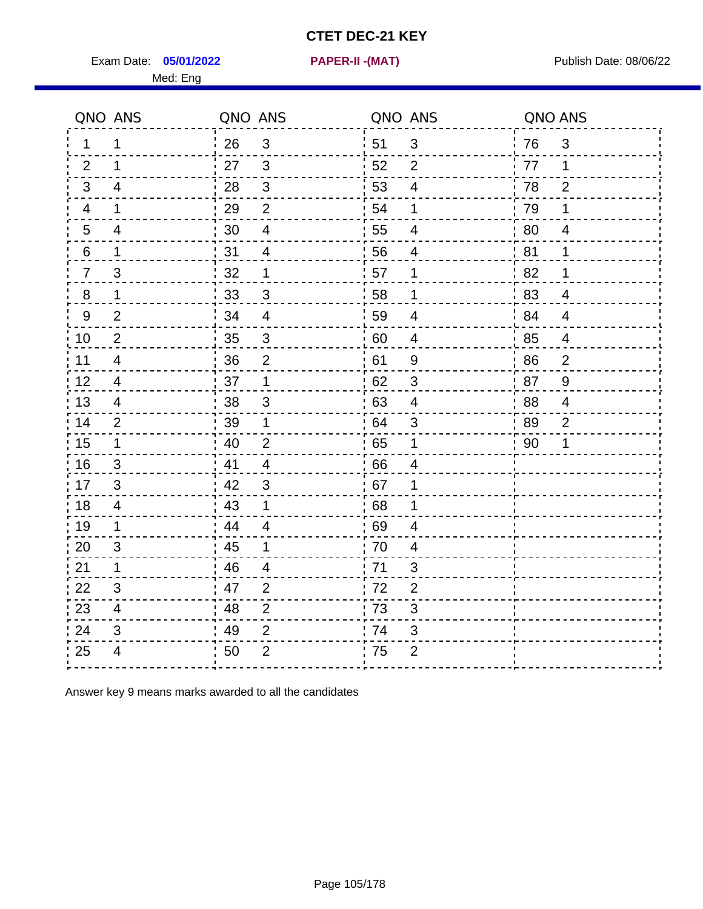**05/01/2022 PAPER-II -(MAT)**

Exam Date: **05/01/2022 PAPER-II -(MAT)** Publish Date: 08/06/22 Med: Eng

|                | QNO ANS                  | QNO ANS |                         | QNO ANS |                | QNO ANS |                |
|----------------|--------------------------|---------|-------------------------|---------|----------------|---------|----------------|
| 1.             | 1                        | 26      | $\mathfrak{S}$          | 51      | $\mathbf{3}$   | 76      | $\mathfrak{S}$ |
| 2              | 1                        | 27      | 3                       | 52      | 2              | 77      | 1              |
| 3              | $\overline{4}$           | 28      | 3                       | 53      | 4              | 78      | $\overline{2}$ |
| 4              | $\mathbf 1$              | 29      | 2                       | 54      | $\mathbf 1$    | 79      | $\mathbf 1$    |
| $\overline{5}$ | 4                        | 30      | $\overline{\mathbf{4}}$ | 55      | 4              | 80      | 4              |
| 6              | 1                        | 31      | 4                       | 56      | $\overline{4}$ | 81      | $\mathbf 1$    |
| $\overline{7}$ | 3                        | 32      | $\mathbf 1$             | 57      | 1              | 82      | $\mathbf 1$    |
| 8              | 1                        | 33      | 3                       | 58      | 1              | 83      | 4              |
| $9\,$          | $\overline{2}$           | 34      | $\overline{4}$          | 59      | $\overline{4}$ | 84      | $\overline{4}$ |
| 10             | $\overline{2}$           | 35      | $\mathbf{3}$            | 60      | $\overline{4}$ | 85      | 4              |
| 11             | $\overline{4}$           | 36      | $\overline{2}$          | 61      | $9\,$          | 86      | $\overline{2}$ |
| 12             | $\overline{\mathcal{A}}$ | 37      | $\mathbf 1$             | 62      | $\mathfrak{S}$ | 87      | $\overline{9}$ |
| 13             | $\overline{4}$           | 38      | 3                       | 63      | $\overline{4}$ | 88      | 4              |
| 14             | 2                        | 39      | $\mathbf{1}$            | 64      | 3              | 89      | $\overline{2}$ |
| 15             | $\mathbf 1$              | 40      | $\overline{2}$          | 65      | $\mathbf 1$    | 90      | 1              |
| 16             | 3                        | 41      | $\overline{4}$          | 66      | $\overline{4}$ |         |                |
| 17             | 3                        | 42      | 3                       | 67      | 1              |         |                |
| 18             | $\overline{4}$           | 43      | $\mathbf 1$             | 68      | 1              |         |                |
| 19             | 1                        | 44      | $\overline{\mathbf{4}}$ | 69      | 4              |         |                |
| 20             | 3                        | 45      | 1                       | 70      | 4              |         |                |
| 21             | $\mathbf{1}$             | 46      | 4                       | 71      | 3              |         |                |
| 22             | 3                        | 47      | $\overline{2}$          | 72      | $\overline{2}$ |         |                |
| 23             | 4                        | 48      | $\overline{2}$          | 73      | 3              |         |                |
| 24             | 3                        | 49      | $\overline{2}$          | 74      | 3              |         |                |
| 25             | 4                        | 50      | $\overline{2}$          | 75      | $\overline{2}$ |         |                |
|                |                          |         |                         |         |                |         |                |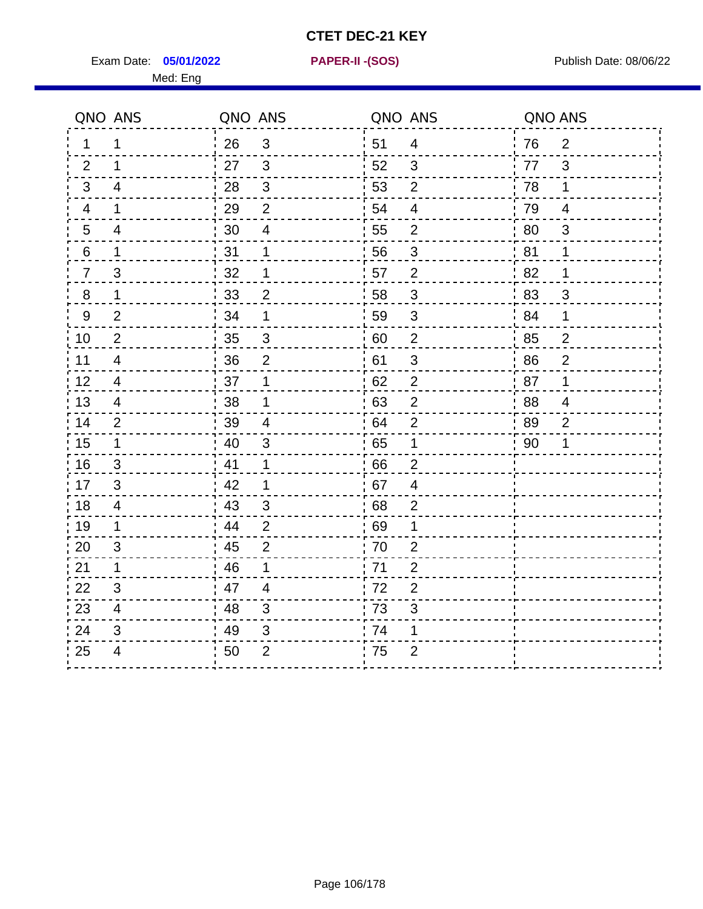Exam Date: **05/01/2022 PAPER-II - (SOS)** PUBLISH Date: 08/06/22 Med: Eng

**05/01/2022 PAPER-II -(SOS)**

|                  | QNO ANS                 | QNO ANS |                         | QNO ANS |                | QNO ANS |                |
|------------------|-------------------------|---------|-------------------------|---------|----------------|---------|----------------|
| $\mathbf{1}$     | 1                       | 26      | 3                       | 51      | $\overline{4}$ | 76      | $\overline{2}$ |
| 2                | 1                       | 27      | 3                       | 52      | 3              | 77      | 3              |
| 3                | 4                       | 28      | $\mathfrak{S}$          | 53      | $\overline{2}$ | 78      | 1              |
| 4                | $\mathbf 1$             | 29      | $\overline{2}$          | 54      | $\overline{4}$ | 79      | $\overline{4}$ |
| 5                | 4                       | 30      | $\overline{\mathbf{4}}$ | 55      | $\overline{2}$ | 80      | $\mathfrak{S}$ |
| 6                | $\mathbf 1$             | 31      | $\mathbf 1$             | 56      | 3              | 81      | 1              |
| $\overline{7}$   | 3                       | 32      | 1                       | 57      | $\overline{2}$ | 82      | 1              |
| 8                | $\mathbf 1$             | 33      | $\overline{2}$          | 58      | $\mathsf 3$    | 83      | 3              |
| $\boldsymbol{9}$ | $\overline{2}$          | 34      | 1                       | 59      | $\mathfrak{S}$ | 84      | $\mathbf{1}$   |
| 10               | $\overline{2}$          | 35      | $\mathfrak{S}$          | 60      | $\overline{c}$ | 85      | $\overline{c}$ |
| 11               | $\overline{4}$          | 36      | $\overline{2}$          | 61      | $\mathfrak{S}$ | 86      | $\overline{2}$ |
| 12               | $\overline{4}$          | 37      | 1                       | 62      | $\overline{2}$ | 87      | 1              |
| 13               | $\overline{4}$          | 38      | 1                       | 63      | $\overline{2}$ | 88      | 4              |
| 14               | 2                       | 39      | 4                       | 64      | 2              | 89      | $\overline{2}$ |
| 15               | $\mathbf{1}$            | 40      | $\mathsf 3$             | 65      | $\mathbf 1$    | 90      | 1              |
| 16               | 3                       | 41      | $\mathbf{1}$            | 66      | $\overline{2}$ |         |                |
| 17               | 3                       | -42     | $\mathbf 1$             | 67      | $\overline{4}$ |         |                |
| 18               | $\overline{4}$          | 43      | $\mathbf{3}$            | 68      | $\overline{2}$ |         |                |
| 19               | 1                       | 44      | $\overline{2}$          | .69     | 1              |         |                |
| 20               | 3                       | 45      | 2                       | 70      | 2              |         |                |
| 21               | 1                       | 46      | $\mathbf{1}$            | 71      | $\overline{2}$ |         |                |
| 22               | 3                       | 47      | 4                       | 72      | $\overline{2}$ |         |                |
| 23               | $\overline{\mathbf{4}}$ | 48      | 3                       | 73      | $\mathfrak{S}$ |         |                |
| 24               | 3                       | 49      | 3                       | 74      | 1              |         |                |
| 25               | 4                       | 50      | $\overline{2}$          | 75      | $\overline{2}$ |         |                |
|                  |                         |         |                         |         |                |         |                |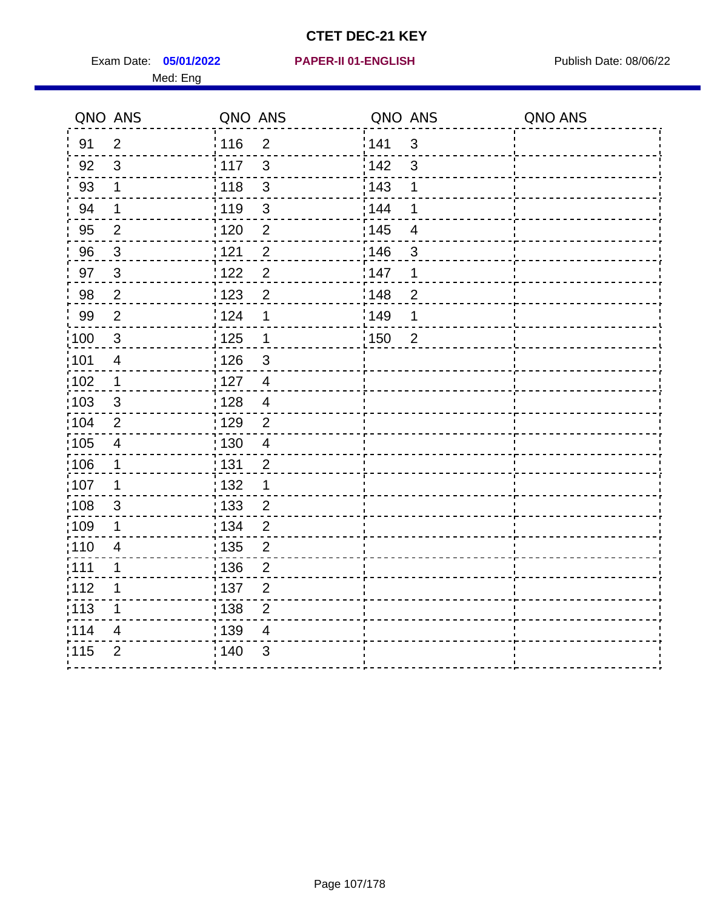Exam Date: 05/01/2022 **PAPER-II 01-ENGLISH Propriet Access 198/06/22** Med: Eng

#### **05/01/2022 PAPER-II 01-ENGLISH**

|      | QNO ANS                 | QNO ANS           |                | QNO ANS |                | QNO ANS |
|------|-------------------------|-------------------|----------------|---------|----------------|---------|
| 91   | $\overline{2}$          | 116               | $\overline{2}$ | 141     | $\mathbf{3}$   |         |
| 92   | $\mathfrak{S}$          | 117               | $\mathbf{3}$   | 142     | $\mathbf{3}$   |         |
| 93   | $\mathbf 1$             | 118               | $\sqrt{3}$     | 143     | 1              |         |
| 94   | $\mathbf 1$             | : 119             | $\mathfrak{S}$ | : 144   | 1              |         |
| 95   | $\overline{2}$          | :120              | $\overline{2}$ | : 145   | 4              |         |
| 96   | $\mathbf{3}$            | 121               | $\overline{2}$ | 146     | 3              |         |
| 97   | $\mathbf{3}$            | 122               | $\overline{c}$ | 147     | 1              |         |
| 98   | $\overline{2}$          | 123               | $\overline{2}$ | 148     | $\overline{2}$ |         |
| 99   | $\mathbf{2}$            | 124               | $\mathbf 1$    | :149    | 1              |         |
| 100  | $\sqrt{3}$              | 125               | $\mathbf 1$    | : 150   | $\overline{2}$ |         |
| 101  | $\overline{\mathbf{4}}$ | : 126             | 3              |         |                |         |
| 102  | 1                       | : 127             | $\overline{4}$ |         |                |         |
| 103  | $\mathbf{3}$            | 128               | $\overline{4}$ |         |                |         |
| 104  | $\overline{2}$          | :129              | 2              |         |                |         |
| :105 | $\overline{4}$          | : 130             | $\overline{4}$ |         |                |         |
| :106 | 1                       | : 131             | $\overline{2}$ |         |                |         |
| 107  | 1                       | : 132             | 1              |         |                |         |
| 108  | $\sqrt{3}$              | : 133             | $\overline{2}$ |         |                |         |
| :109 | 1                       | : 134             | $\overline{2}$ |         |                |         |
| :110 | $\overline{4}$          | : 135             | $\overline{2}$ |         |                |         |
| 111  | $\mathbf{1}$            | : 136             | $\overline{2}$ |         |                |         |
| 112  | $\mathbf 1$             | $\frac{1}{1}$ 137 | $\overline{2}$ |         |                |         |
| 113  | 1                       | : 138             | $\overline{2}$ |         |                |         |
| 114  | 4                       | 139               | 4              |         |                |         |
| 115  | $\overline{2}$          | 140               | $\mathfrak{B}$ |         |                |         |
|      |                         |                   |                |         |                |         |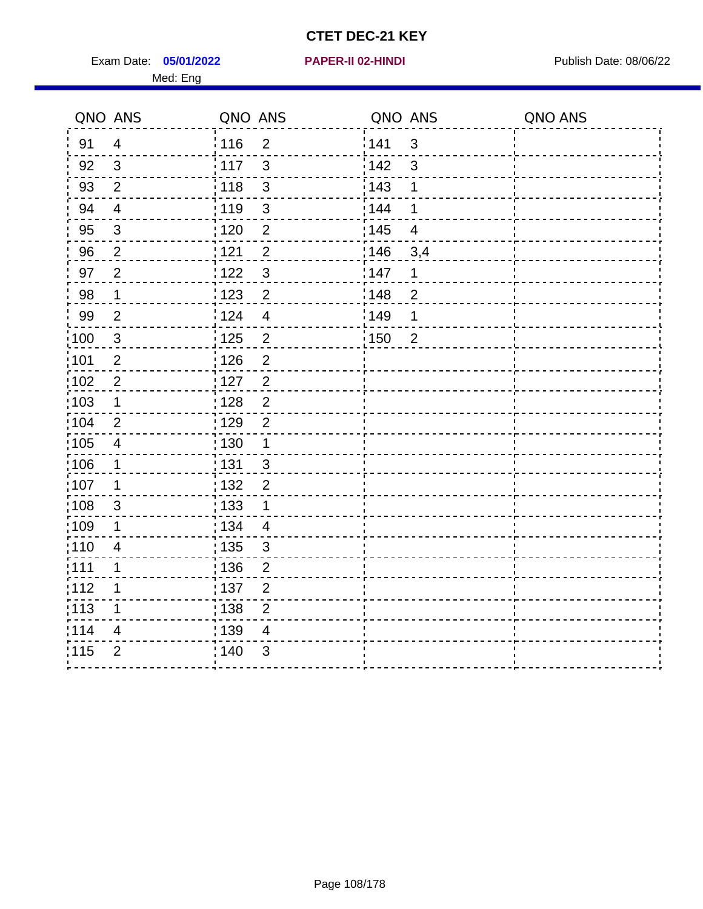Exam Date: 05/01/2022 **PAPER-II 02-HINDI Exam Date: 08/06/22** Med: Eng

**05/01/2022 PAPER-II 02-HINDI**

|                   | QNO ANS        | QNO ANS |                         | QNO ANS           |                         | QNO ANS |
|-------------------|----------------|---------|-------------------------|-------------------|-------------------------|---------|
| 91                | $\overline{4}$ | 116     | $\overline{2}$          | 141               | 3                       |         |
| 92                | $\mathbf{3}$   | : 117   | 3                       | 142               | 3                       |         |
| 93                | $\overline{2}$ | 118     | $\mathfrak{S}$          | 143               | 1                       |         |
| 94                | $\overline{4}$ | : 119   | $\mathfrak{S}$          | : 144             | 1                       |         |
| 95                | $\mathfrak{B}$ | : 120   | $\overline{2}$          | : 145             | $\overline{\mathbf{4}}$ |         |
| 96                | $\overline{2}$ | 121     | $\overline{2}$          | 146               | 3,4                     |         |
| 97                | $\overline{2}$ | : 122   | $\mathbf{3}$            | 147               | 1                       |         |
| 98                | $\mathbf{1}$   | 123     | $\overline{c}$          | 148               | $\overline{2}$          |         |
| 99                | $\overline{2}$ | : 124   | $\overline{\mathbf{4}}$ | $\frac{1}{2}$ 149 | 1                       |         |
| 100               | $\mathbf{3}$   | 125     | $\overline{2}$          | 150               | $\overline{2}$          |         |
| :101              | $\overline{2}$ | : 126   | $\overline{2}$          |                   |                         |         |
| 102               | $\overline{2}$ | : 127   | $\overline{2}$          |                   |                         |         |
| 103               | 1              | :128    | $\overline{2}$          |                   |                         |         |
| :104              | $\overline{2}$ | : 129   | $\overline{2}$          |                   |                         |         |
| $\frac{1}{1}$ 105 | $\overline{4}$ | : 130   | $\mathbf 1$             |                   |                         |         |
| :106              | 1              | : 131   | $\mathbf{3}$            |                   |                         |         |
| :107              | 1              | : 132   | $\overline{2}$          |                   |                         |         |
| 108               | $\sqrt{3}$     | : 133   | $\mathbf 1$             |                   |                         |         |
| :109              | 1              | : 134   | $\overline{4}$          |                   |                         |         |
| :110              | $\overline{4}$ | : 135   | $\mathfrak{S}$          |                   |                         |         |
| : 111             | $\mathbf 1$    | : 136   | $\overline{c}$          |                   |                         |         |
| 112               | 1              | 137     | $\overline{2}$          |                   |                         |         |
| 113               | 1              | : 138   | $\overline{2}$          |                   |                         |         |
| 114               | 4              | 139     | 4                       |                   |                         |         |
| 115               | $\overline{2}$ | : 140   | 3                       |                   |                         |         |
|                   |                |         |                         |                   |                         |         |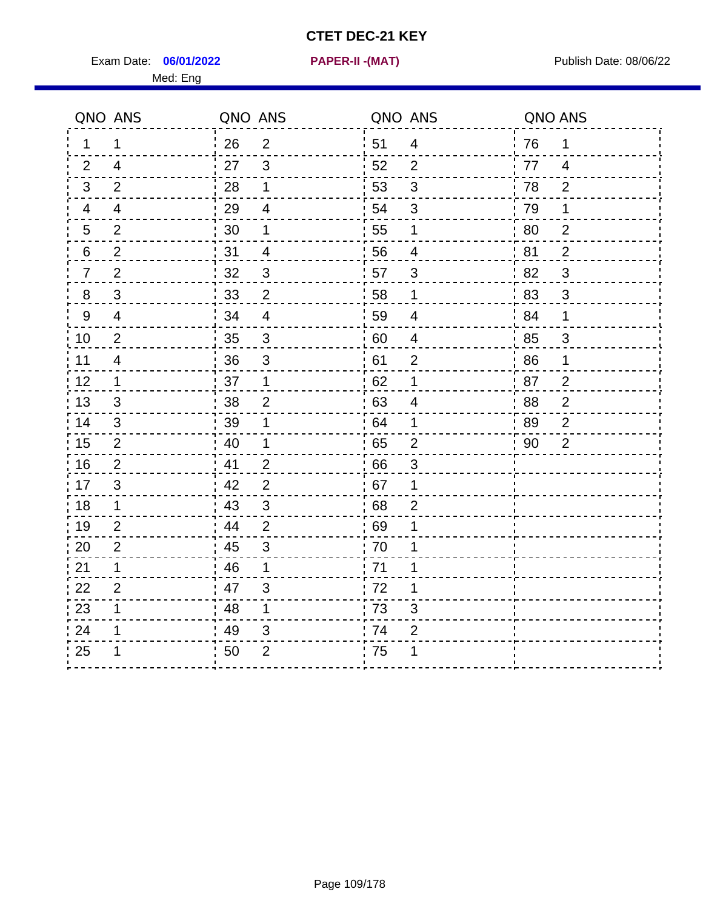Exam Date: **06/01/2022 PAPER-II -(MAT)** Publish Date: 08/06/22 Med: Eng

**06/01/2022 PAPER-II -(MAT)**

|    | QNO ANS                  | QNO ANS |                           | QNO ANS |                          | QNO ANS |                |
|----|--------------------------|---------|---------------------------|---------|--------------------------|---------|----------------|
| 1. | 1                        | 26      | $\overline{2}$            | ່ 51    | $\overline{4}$           | 76      | 1              |
| 2  | 4                        | 27      | $\mathbf{3}$              | 52      | $\overline{2}$           | 77      | $\overline{4}$ |
| 3  | 2                        | 28      | $\mathbf 1$               | 53      | $\mathfrak{S}$           | 78      | $\overline{2}$ |
| 4  | 4                        | 29      | $\overline{4}$            | 54      | 3                        | 79      | 1              |
| 5  | $\overline{2}$           | 30      | 1                         | 55      | $\mathbf 1$              | 80      | $\overline{2}$ |
| 6  | $\overline{2}$           | 31      | 4                         | 56      | 4                        | 81      | 2              |
| 7  | $\overline{2}$           | 32      | $\mathbf{3}$              | 57      | 3                        | 82      | 3              |
| 8  | $\sqrt{3}$               | 33      | $\mathbf{2}$              | 58      | $\mathbf 1$              | 83      | $\mathfrak{S}$ |
| 9  | $\overline{4}$           | 34      | $\overline{4}$            | 59      | $\overline{4}$           | 84      | 1              |
| 10 | $\overline{2}$           | 35      | $\sqrt{3}$                | 60      | $\overline{\mathcal{A}}$ | 85      | $\mathfrak{S}$ |
| 11 | $\overline{\mathcal{A}}$ | 36      | $\mathfrak{S}$            | 61      | $\mathbf 2$              | 86      | 1              |
| 12 | 1                        | 37      | 1                         | 62      | 1                        | 87      | $\overline{2}$ |
| 13 | 3                        | 38      | $\overline{2}$            | 63      | $\overline{4}$           | 88      | $\overline{2}$ |
| 14 | 3                        | 39      | 1                         | 64      | 1                        | 89      | 2              |
| 15 | 2                        | 40      | 1                         | 65      | $\overline{2}$           | 90      | $\overline{2}$ |
| 16 | $\overline{2}$           | 41      | $\overline{2}$            | 66      | 3                        |         |                |
| 17 | 3                        | 42      | $\overline{2}$            | 67      | 1                        |         |                |
| 18 | $\mathbf{1}$             | 43      | 3                         | 68      | $\overline{2}$           |         |                |
| 19 | $\overline{2}$           | 44      | $\overline{2}$            | 69      | 1                        |         |                |
| 20 | $\overline{2}$           | 45      | $\mathsf 3$               | 70      | 1                        |         |                |
| 21 | 1                        | 46      | 1                         | .71     | 1                        |         |                |
| 22 | $\overline{2}$           | 47      | 3                         | 72      | 1                        |         |                |
| 23 | 1                        | 48      | $\mathbf 1$               | 73      | 3                        |         |                |
| 24 | 1                        | 49      | $\ensuremath{\mathsf{3}}$ | 74      | $\mathbf{2}$             |         |                |
| 25 |                          | 50      | $\overline{2}$            | 75      |                          |         |                |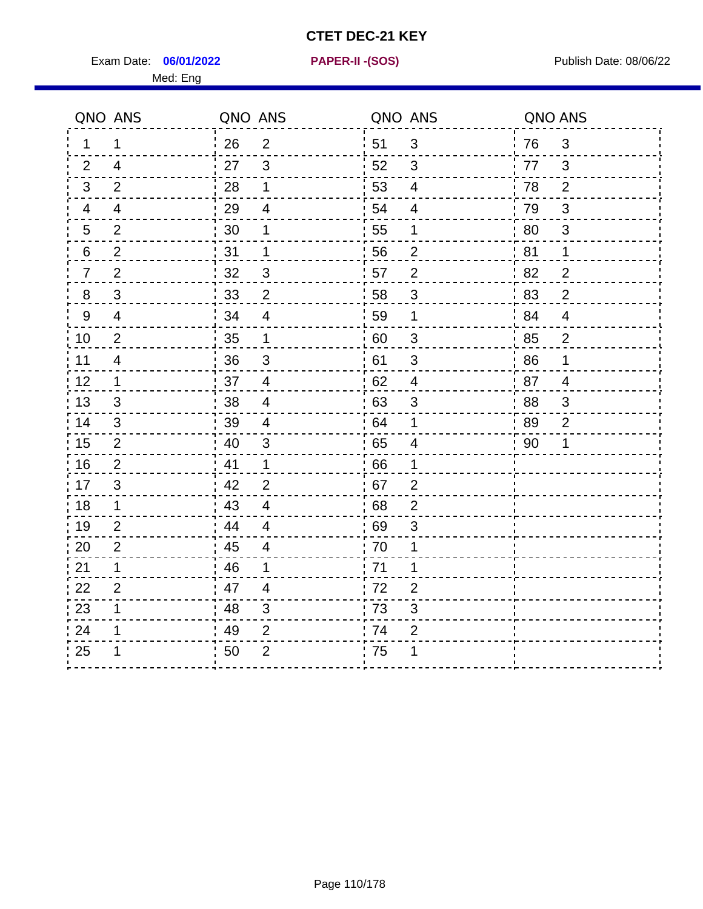Exam Date: **06/01/2022 PAPER-II - (SOS)** Publish Date: 08/06/22

Med: Eng

**06/01/2022 PAPER-II -(SOS)**

|                  | QNO ANS                  | QNO ANS |                           |    | QNO ANS                   | QNO ANS |                |
|------------------|--------------------------|---------|---------------------------|----|---------------------------|---------|----------------|
| 1                | 1                        | 26      | 2                         | 51 | 3                         | 76      | $\mathbf{3}$   |
| 2                | $\overline{4}$           | 27      | 3                         | 52 | 3                         | 77      | 3              |
| 3                | $\overline{2}$           | 28      | $\mathbf 1$               | 53 | $\overline{\mathcal{A}}$  | 78      | $\overline{2}$ |
| 4                | $\overline{\mathcal{A}}$ | 29      | 4                         | 54 | $\overline{\mathcal{A}}$  | 79      | 3              |
| 5                | $\overline{2}$           | $30\,$  | 1                         | 55 | 1                         | 80      | $\mathfrak{S}$ |
| 6                | $\overline{2}$           | 31      | 1                         | 56 | $\overline{2}$            | 81      | 1              |
| 7                | $\overline{2}$           | 32      | $\mathbf{3}$              | 57 | $\overline{2}$            | 82      | $\overline{2}$ |
| 8                | $\mathfrak{S}$           | 33      | $\overline{c}$            | 58 | $\mathfrak{S}$            | 83      | $\overline{2}$ |
| $\boldsymbol{9}$ | $\overline{\mathbf{4}}$  | 34      | $\overline{\mathbf{4}}$   | 59 | 1                         | 84      | $\overline{4}$ |
| 10               | $\overline{2}$           | 35      | 1                         | 60 | $\ensuremath{\mathsf{3}}$ | 85      | $\overline{2}$ |
| 11               | $\overline{\mathcal{A}}$ | 36      | $\sqrt{3}$                | 61 | $\sqrt{3}$                | 86      | $\mathbf 1$    |
| 12               | $\mathbf 1$              | 37      | $\overline{4}$            | 62 | $\overline{\mathbf{4}}$   | 87      | $\overline{4}$ |
| 13               | 3                        | 38      | $\overline{4}$            | 63 | 3                         | 88      | 3              |
| 14               | 3                        | 39      | 4                         | 64 | 1                         | 89      | $\overline{2}$ |
| 15               | $\mathbf{2}$             | 40      | $\ensuremath{\mathsf{3}}$ | 65 | $\overline{\mathbf{4}}$   | 90      | 1              |
| 16               | 2                        | 41      | $\mathbf 1$               | 66 | 1                         |         |                |
| 17               | 3                        | 42      | $\overline{2}$            | 67 | $\overline{2}$            |         |                |
| 18               | $\mathbf 1$              | 43      | $\overline{\mathbf{4}}$   | 68 | $\overline{2}$            |         |                |
| 19               | $\overline{2}$           | 44      | $\overline{4}$            | 69 | 3                         |         |                |
| 20               | 2                        | 45      | $\overline{4}$            | 70 | 1                         |         |                |
| 21               | 1                        | 46      | 1                         | 71 | 1                         |         |                |
| 22               | $\overline{2}$           | 47      | 4                         | 72 | $\overline{2}$            |         |                |
| 23               | 1                        | 48      | 3                         | 73 | $\ensuremath{\mathsf{3}}$ |         |                |
| 24               | 1                        | 49      | 2                         | 74 | 2                         |         |                |
| 25               |                          | 50      | $\overline{2}$            | 75 | 1                         |         |                |
|                  |                          |         |                           |    |                           |         |                |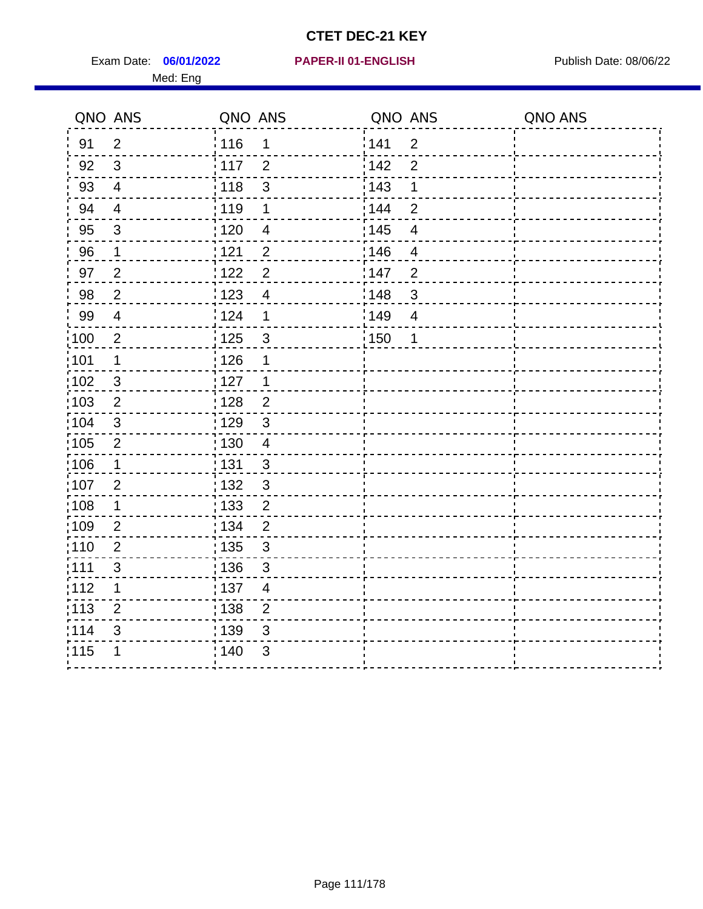Exam Date: 06/01/2022 **PAPER-II 01-ENGLISH Propriet Access 198/06/22** Med: Eng

#### **06/01/2022 PAPER-II 01-ENGLISH**

|                   | QNO ANS          | QNO ANS           |                         | QNO ANS           |                | QNO ANS |
|-------------------|------------------|-------------------|-------------------------|-------------------|----------------|---------|
| 91                | $\overline{2}$   | 116               | 1                       | 141               | $\overline{2}$ |         |
| 92                | $\mathbf{3}$     | : 117             | $\overline{2}$          | 142               | $\overline{2}$ |         |
| 93                | $\overline{4}$   | 118               | $\mathsf 3$             | 143               | 1              |         |
| 94                | $\overline{4}$   | : 119             | $\mathbf 1$             | : 144             | $\overline{2}$ |         |
| 95                | $\mathfrak{B}$   | : 120             | $\overline{\mathbf{4}}$ | : 145             | 4              |         |
| 96                | 1                | : 121             | $\overline{2}$          | 146               | 4              |         |
| 97                | $\overline{2}$   | 122               | $\overline{2}$          | 147               | $\overline{2}$ |         |
| 98                | $\overline{2}$   | $\frac{1}{2}$ 123 | $\overline{4}$          | 148               | 3              |         |
| 99                | $\overline{4}$   | 124               | 1                       | $\frac{1}{2}$ 149 | $\overline{4}$ |         |
| $\frac{1}{1}$ 100 | $\boldsymbol{2}$ | $\frac{1}{1}$ 125 | $\mathbf{3}$            | $\frac{1}{1}$ 150 | 1              |         |
| :101              | 1                | 126               | 1                       |                   |                |         |
| 102               | 3                | : 127             | $\mathbf{1}$            |                   |                |         |
| 103               | $\overline{2}$   | : 128             | $\overline{2}$          |                   |                |         |
| 104               | $\mathbf{3}$     | $\frac{1}{1}$ 129 | $\mathbf{3}$            |                   |                |         |
| 105               | $\overline{2}$   | $\frac{1}{1}$ 130 | $\overline{4}$          |                   |                |         |
| :106              | $\mathbf 1$      | 131               | 3                       |                   |                |         |
| :107              | $\overline{2}$   | 132               | $\mathfrak{3}$          |                   |                |         |
| 108               | $\mathbf 1$      | : 133             | $\overline{2}$          |                   |                |         |
| :109              | $\overline{2}$   | : 134             | $\overline{2}$          |                   |                |         |
| :110              | $\overline{2}$   | 135               | 3                       |                   |                |         |
| :111              | $\mathfrak{S}$   | : 136             | $\mathbf{3}$            |                   |                |         |
| 112               | 1                | : 137             | $\overline{4}$          |                   |                |         |
| 113               | $\overline{2}$   | : 138             | $\overline{2}$          |                   |                |         |
| 114               | 3                | 139               | 3                       |                   |                |         |
| 115               | 1                | 140               | $\mathfrak{S}$          |                   |                |         |
|                   |                  |                   |                         |                   |                |         |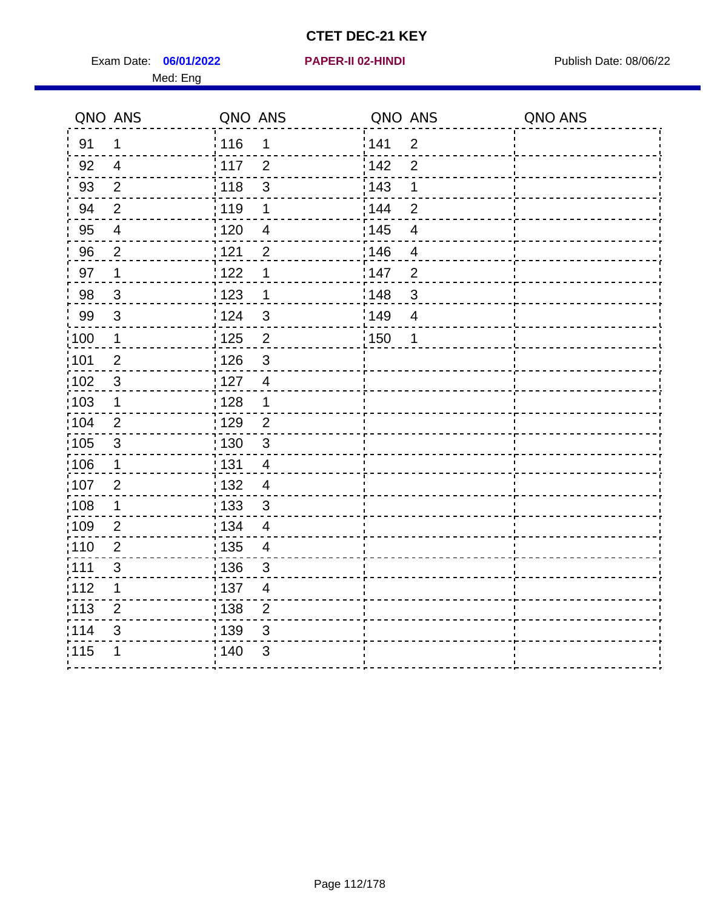Exam Date: 06/01/2022 **PAPER-II 02-HINDI Exam Date: 08/06/22** Med: Eng

**06/01/2022 PAPER-II 02-HINDI**

|       | QNO ANS        | QNO ANS           |                          | QNO ANS |                          | QNO ANS |
|-------|----------------|-------------------|--------------------------|---------|--------------------------|---------|
| 91    | $\mathbf{1}$   | 116               | 1                        | 141     | $\overline{2}$           |         |
| 92    | $\overline{4}$ | 117               | $\overline{2}$           | 142     | $\overline{2}$           |         |
| 93    | $\overline{2}$ | 118               | $\mathfrak{S}$           | 143     | 1                        |         |
| 94    | $\overline{2}$ | 119               | $\mathbf 1$              | : 144   | $\overline{2}$           |         |
| 95    | $\overline{4}$ | :120              | $\overline{\mathcal{A}}$ | : 145   | $\overline{4}$           |         |
| 96    | $\overline{2}$ | 121               | $\overline{2}$           | 146     | $\overline{\mathcal{A}}$ |         |
| 97    | 1              | 122               | 1                        | : 147   | $\overline{2}$           |         |
| 98    | $\mathbf{3}$   | 123               | $\mathbf 1$              | 148     | $\sqrt{3}$               |         |
| 99    | $\sqrt{3}$     | 124               | $\mathfrak{3}$           | 149     | $\overline{4}$           |         |
| 100   | $\mathbf 1$    | $\frac{1}{1}$ 125 | $\overline{2}$           | 150     | 1                        |         |
| :101  | $\mathbf 2$    | : 126             | $\mathsf 3$              |         |                          |         |
| 102   | $\mathfrak{S}$ | : 127             | $\overline{4}$           |         |                          |         |
| 103   | $\mathbf 1$    | : 128             | $\mathbf 1$              |         |                          |         |
| 104   | $\overline{2}$ | : 129             | $\overline{2}$           |         |                          |         |
| 105   | $\sqrt{3}$     | : 130             | $\mathbf{3}$             |         |                          |         |
| ;106  | $\mathbf 1$    | : 131             | $\overline{4}$           |         |                          |         |
| :107  | $\overline{2}$ | : 132             | $\overline{4}$           |         |                          |         |
| 108   | $\mathbf 1$    | $\frac{1}{1}$ 133 | $\sqrt{3}$               |         |                          |         |
| :109  | $\overline{2}$ | : 134             | $\overline{4}$           |         |                          |         |
| :110  | $\overline{2}$ | : 135             | $\overline{4}$           |         |                          |         |
| : 111 | $\sqrt{3}$     | : 136             | $\mathbf{3}$             |         |                          |         |
| 112   | 1              | : 137             | $\overline{4}$           |         |                          |         |
| 113   | $\overline{2}$ | : 138             | $\overline{2}$           |         |                          |         |
| 1114  | 3              | : 139             | 3                        |         |                          |         |
| 115   | 1              | 140               | $\mathfrak{S}$           |         |                          |         |
|       |                |                   |                          |         |                          |         |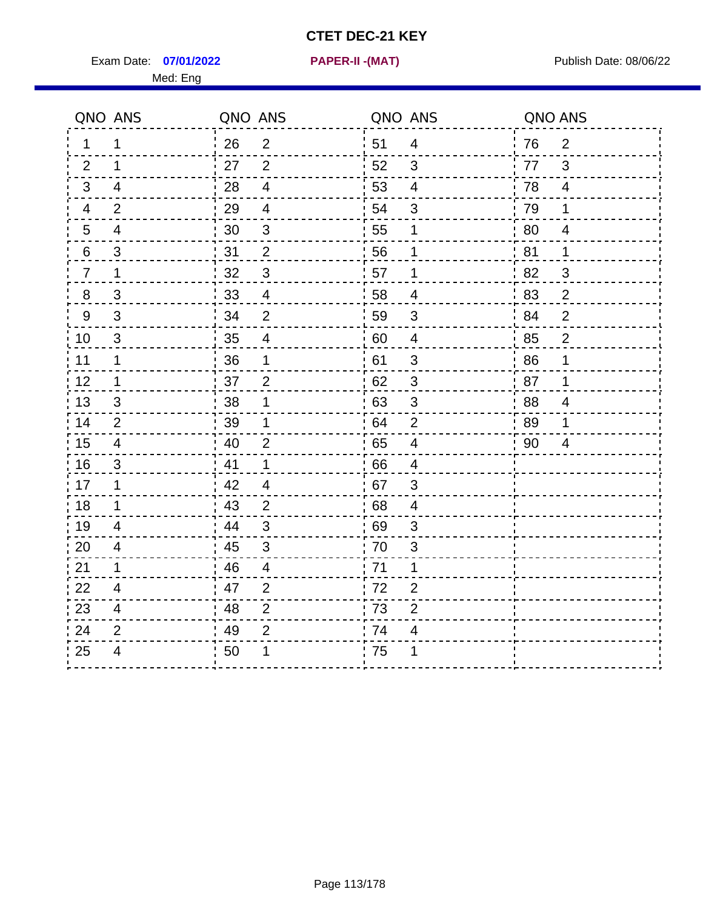Exam Date: 07/01/2022 **PAPER-II - (MAT)** Exam Date: 08/06/22 Med: Eng

**07/01/2022 PAPER-II -(MAT)**

| QNO ANS        |                | QNO ANS |                | QNO ANS          |                | QNO ANS |                |
|----------------|----------------|---------|----------------|------------------|----------------|---------|----------------|
| $\mathbf 1$    | 1              | 26      | $\overline{2}$ | 51               | 4              | 76      | $\overline{2}$ |
| 2              | 1              | 27      | $\overline{2}$ | 52               | 3              | 77      | 3              |
| 3              | $\overline{4}$ | 28      | $\overline{4}$ | 53               | 4              | 78      | $\overline{4}$ |
| 4              | $\overline{2}$ | 29      | $\overline{4}$ | 54               | 3              | 79      | $\mathbf{1}$   |
| 5              | $\overline{4}$ | 30      | $\mathfrak{B}$ | 55               | 1              | 80      | 4              |
| 6              | 3              | 31      | $\overline{2}$ | 56               | 1              | 81      | 1              |
| $\overline{7}$ | 1              | 32      | $\mathfrak{S}$ | 57               | 1              | 82      | 3              |
| 8              | 3              | 33      | $\overline{4}$ | 58               | 4              | 83      | $\overline{2}$ |
| 9              | 3              | 34      | $\overline{2}$ | 59               | 3              | 84      | $\overline{2}$ |
| 10             | 3              | 35      | $\overline{4}$ | 60               | $\overline{4}$ | 85      | $\overline{2}$ |
| 11             | 1              | 36      | 1              | 61               | 3              | 86      | 1              |
| 12             | $\mathbf 1$    | 37      | $\overline{2}$ | 62               | $\sqrt{3}$     | 87      | 1              |
| 13             | 3              | 38      | 1              | .63              | 3              | 88      | 4              |
| 14             | 2              | 39      | 1              | : 64             | 2              | 89      | 1              |
| 15             | 4              | 40      | $\overline{2}$ | .65              | $\overline{4}$ | 90      | 4              |
| 16             | 3              | 41      | 1              | 66               | 4              |         |                |
| 17             | 1              | 42      | $\overline{4}$ | .67              | 3              |         |                |
| 18             | 1              | 43      | 2              | .68              | 4              |         |                |
| 19             | $\overline{4}$ | 44      | 3              | .69              | 3              |         |                |
| 20             | $\overline{4}$ | 45      | $\mathbf{3}$   | $\frac{1}{1}$ 70 | 3              |         |                |
| 21             | 1              | 46      | $\overline{4}$ | : 71             | 1              |         |                |
| 22             | $\overline{4}$ | 47      | 2              | 72               | $\overline{2}$ |         |                |
| 23             | 4              | 48      | $\overline{2}$ | .73              | $\overline{2}$ |         |                |
| 24             | $\overline{2}$ | 49      | $\overline{2}$ | 74               | 4              |         |                |
| 25             | 4              | 50      | 1              | .75              | 1              |         |                |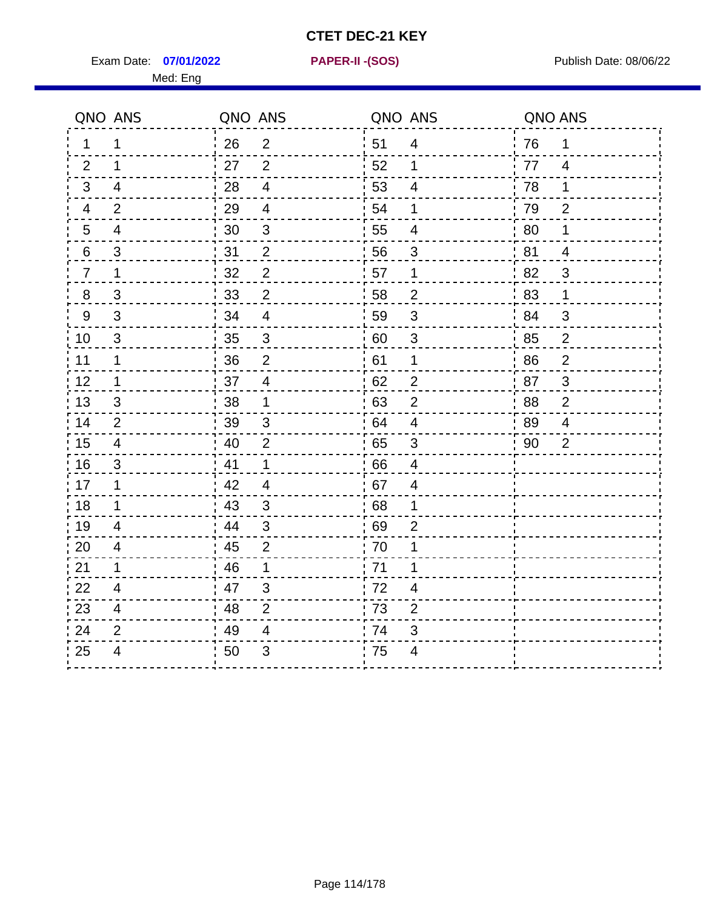Exam Date: 07/01/2022 **PAPER-II-(SOS)** PARER-IN PUBLISH Date: 08/06/22 Med: Eng

**07/01/2022 PAPER-II -(SOS)**

|                | QNO ANS                 | QNO ANS |                | QNO ANS |                          | QNO ANS |                |
|----------------|-------------------------|---------|----------------|---------|--------------------------|---------|----------------|
| 1              | 1                       | 26      | $\overline{2}$ | 51      | 4                        | 76      | $\mathbf 1$    |
| 2              | 1                       | 27      | $\overline{2}$ | 52      | 1                        | 77      | $\overline{4}$ |
| 3              | 4                       | 28      | $\overline{4}$ | 53      | $\overline{4}$           | 78      | 1              |
| 4              | 2                       | 29      | $\overline{4}$ | 54      | 1                        | 79      | $\overline{2}$ |
| 5              | 4                       | 30      | $\mathbf{3}$   | 55      | 4                        | 80      | 1              |
| 6              | 3                       | 31      | $\overline{2}$ | 56      | 3                        | 81      | 4              |
| $\overline{7}$ | 1                       | 32      | $\overline{c}$ | 57      | 1                        | 82      | 3              |
| 8              | 3                       | 33      | $\overline{2}$ | 58      | 2                        | 83      | 1              |
| 9              | 3                       | 34      | $\overline{4}$ | 59      | 3                        | 84      | 3              |
| 10             | 3                       | 35      | 3              | 60      | 3                        | 85      | $\overline{2}$ |
| 11             | 1                       | 36      | $\overline{2}$ | 61      | 1                        | 86      | $\overline{2}$ |
| 12             | $\mathbf 1$             | 37      | $\overline{4}$ | 62      | $\overline{2}$           | 87      | 3              |
| 13             | 3                       | 38      | 1              | .63     | $\overline{2}$           | 88      | $\overline{2}$ |
| 14             | 2                       | 39      | 3              | .64     | 4                        | 89      | 4              |
| 15             | 4                       | 40      | $\overline{2}$ | 65      | 3                        | 90      | $\overline{2}$ |
| 16             | 3                       | 41      | 1              | 66      | 4                        |         |                |
| 17             | 1                       | 42      | $\overline{4}$ | 67      | 4                        |         |                |
| 18             | 1                       | : 43    | 3              | .68     | 1                        |         |                |
| 19             | 4                       | 44      | 3              | 69      | $\overline{2}$           |         |                |
| 20             | $\overline{4}$          | 45      | $\overline{2}$ | .70     | 1                        |         |                |
| 21             | $\mathbf 1$             | 46      | $\mathbf{1}$   | 71      | 1                        |         |                |
| 22             | 4                       | 47      | 3              | 72      | 4                        |         |                |
| 23             | 4                       | 48      | $\overline{2}$ | 73      | $\overline{2}$           |         |                |
| 24             | $\overline{2}$          | 49      | 4              | 74      | 3                        |         |                |
| 25             | $\overline{\mathbf{4}}$ | 50      | 3              | 75      | $\overline{\mathcal{A}}$ |         |                |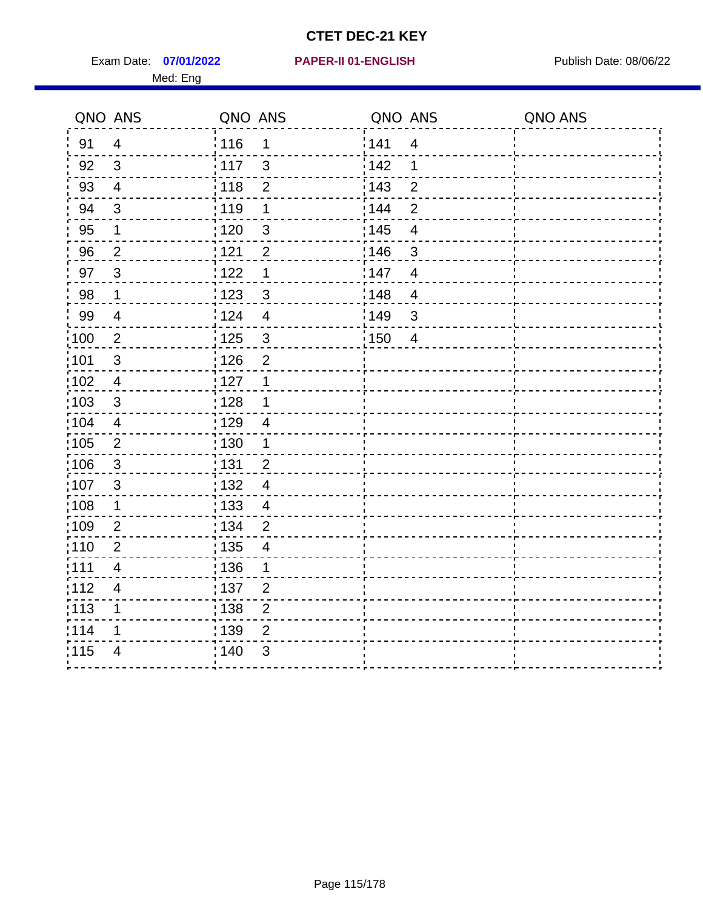Exam Date: 07/01/2022 PAPER-II 01-ENGLISH PREERENT Publish Date: 08/06/22 Med: Eng

#### **07/01/2022 PAPER-II 01-ENGLISH**

|                   | QNO ANS                  | QNO ANS           |                          | QNO ANS           |                         | QNO ANS |
|-------------------|--------------------------|-------------------|--------------------------|-------------------|-------------------------|---------|
| 91                | $\overline{4}$           | : 116             | 1                        | 141               | $\overline{4}$          |         |
| 92                | 3                        | $\frac{1}{117}$   | $\mathbf{3}$             | 142               | 1                       |         |
| 93                | $\overline{4}$           | 118               | $\overline{2}$           | 143               | $\overline{2}$          |         |
| 94                | 3                        | : 119             | $\mathbf 1$              | : 144             | $\overline{2}$          |         |
| 95                | 1                        | : 120             | $\mathfrak{B}$           | : 145             | $\overline{\mathbf{4}}$ |         |
| 96                | $\overline{2}$           | 121               | $\overline{2}$           | 146               | 3                       |         |
| 97                | $\overline{3}$           | 122               | 1                        | 147               | $\overline{4}$          |         |
| 98                | $\mathbf{1}$             | 123               | $\mathfrak{S}$           | 148               | $\overline{4}$          |         |
| 99                | $\overline{4}$           | 124               | $\overline{\mathbf{4}}$  | 149               | $\mathfrak{S}$          |         |
| $\frac{1}{1}$ 100 | $\sqrt{2}$               | $\frac{1}{1}$ 125 | $\mathfrak{S}$           | $\frac{1}{1}$ 150 | $\overline{4}$          |         |
| :101              | $\sqrt{3}$               | : 126             | $\overline{2}$           |                   |                         |         |
| 102               | $\overline{4}$           | : 127             | $\mathbf{1}$             |                   |                         |         |
| :103              | 3                        | : 128             | $\mathbf 1$              |                   |                         |         |
| $\frac{1}{104}$   | $\overline{4}$           | : 129             | $\overline{4}$           |                   |                         |         |
| 105               | $\overline{2}$           | : 130             | $\mathbf{1}$             |                   |                         |         |
| 106               | $\mathfrak{S}$           | 131               | $\overline{2}$           |                   |                         |         |
| 107               | $\mathbf{3}$             | : 132             | $\overline{4}$           |                   |                         |         |
| 108               | $\mathbf 1$              | : 133             | $\overline{4}$           |                   |                         |         |
| :109              | $\boldsymbol{2}$         | : 134             | $\overline{2}$           |                   |                         |         |
| :110              | $\overline{2}$           | : 135             | $\overline{\mathcal{A}}$ |                   |                         |         |
| :111              | $\overline{4}$           | 136               | 1                        |                   |                         |         |
| 112               | $\overline{\mathcal{A}}$ | 137               | $\overline{2}$           |                   |                         |         |
| 113               | 1                        | : 138             | $\overline{c}$           |                   |                         |         |
| 114               | 1                        | 139               | 2                        |                   |                         |         |
| 115               | $\overline{4}$           | 140               | $\mathfrak{S}$           |                   |                         |         |
|                   |                          |                   |                          |                   |                         |         |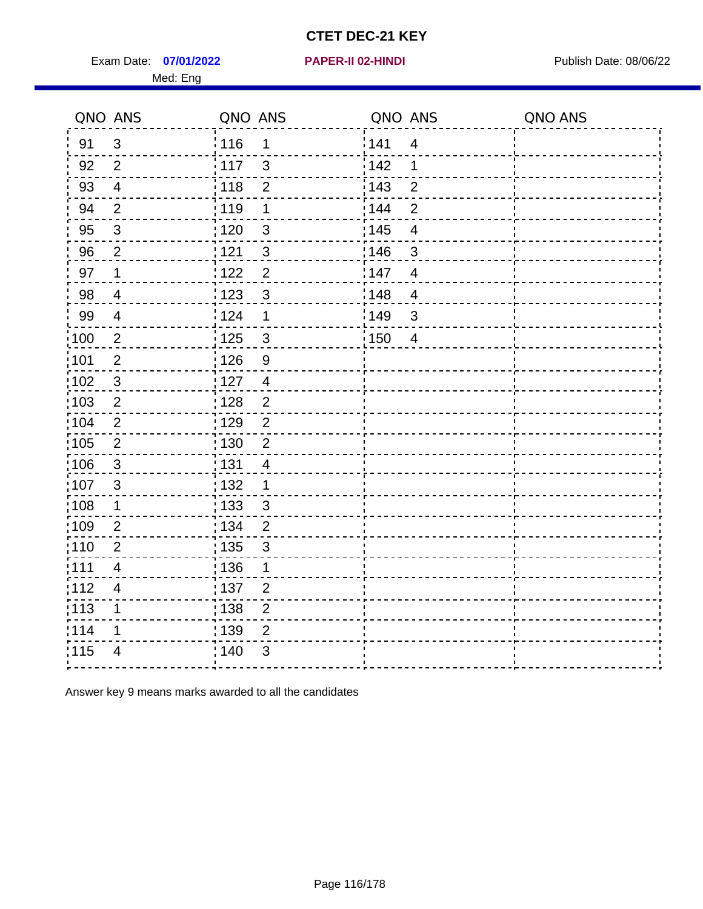Exam Date: 07/01/2022 PAPER-II 02-HINDI PREER PREER PUblish Date: 08/06/22 Med: Eng

|                   | QNO ANS        | QNO ANS           |                | QNO ANS |                | QNO ANS |
|-------------------|----------------|-------------------|----------------|---------|----------------|---------|
| 91                | $\mathfrak{3}$ | : 116             | $\mathbf 1$    | 141     | $\overline{4}$ |         |
| 92                | 2              | 117               | $\mathbf{3}$   | 142     | 1              |         |
| 93                | $\overline{4}$ | 118               | $\overline{2}$ | 143     | $\overline{2}$ |         |
| 94                | $\overline{2}$ | 119               | 1              | 144     | $\overline{2}$ |         |
| 95                | $\sqrt{3}$     | $\frac{1}{1}$ 120 | $\mathfrak{3}$ | : 145   | $\overline{4}$ |         |
| 96                | $\overline{2}$ | 1121              | $\mathbf{3}$   | 146     | 3              |         |
| 97                | $\mathbf{1}$   | 122               | $\overline{2}$ | 147     | $\overline{4}$ |         |
| 98                | $\overline{4}$ | 123               | $\mathbf{3}$   | 148     | $\overline{4}$ |         |
| 99                | $\overline{4}$ | 124               | $\mathbf 1$    | 149     | $\mathfrak{B}$ |         |
| $\frac{1}{1}$ 100 | $\overline{2}$ | 125               | $\mathbf{3}$   | 150     | $\overline{4}$ |         |
| :101              | $\mathbf 2$    | : 126             | $\overline{9}$ |         |                |         |
| $\frac{1}{1}$ 102 | $\sqrt{3}$     | : 127             | $\overline{4}$ |         |                |         |
| 103               | $\overline{2}$ | : 128             | 2              |         |                |         |
| 104               | 2              | :129              | $\overline{2}$ |         |                |         |
| $\frac{1}{1}$ 105 | $\overline{2}$ | : 130             | $\overline{2}$ |         |                |         |
| 106               | $\mathbf{3}$   | : 131             | $\overline{4}$ |         |                |         |
| 107               | $\mathfrak{S}$ | : 132             | $\mathbf 1$    |         |                |         |
| 108               | $\mathbf{1}$   | $\frac{1}{1}$ 133 | $\mathbf{3}$   |         |                |         |
| :109              | $\overline{2}$ | : 134             | $\overline{2}$ |         |                |         |
| :110              | $\overline{2}$ | : 135             | $\mathfrak{S}$ |         |                |         |
| : 111             | $\overline{4}$ | : 136             | 1              |         |                |         |
| 112               | 4              | : 137             | $\overline{2}$ |         |                |         |
| 113               | 1              | : 138             | $\mathbf 2$    |         |                |         |
| 114               | 1              | : 139             | $\overline{2}$ |         |                |         |
| 115               | $\overline{4}$ | 140               | $\sqrt{3}$     |         |                |         |
|                   |                |                   |                |         |                |         |

Answer key 9 means marks awarded to all the candidates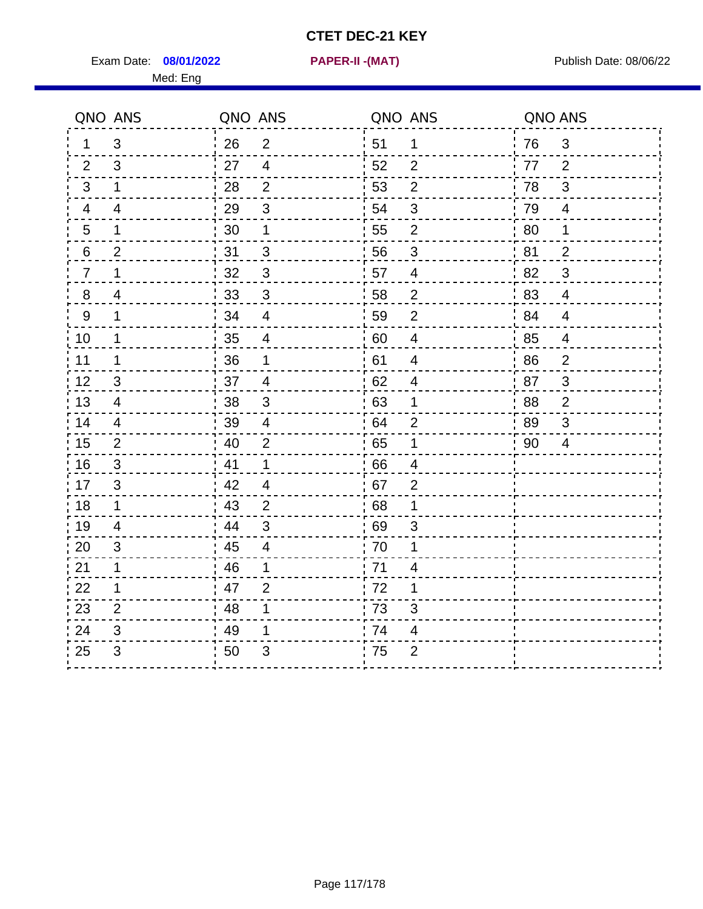Exam Date: 08/01/2022 **PAPER-II-(MAT)** Pressure Publish Date: 08/06/22 Med: Eng

**08/01/2022 PAPER-II -(MAT)**

|                 | QNO ANS                   | QNO ANS              | QNO ANS |                         | QNO ANS |                |
|-----------------|---------------------------|----------------------|---------|-------------------------|---------|----------------|
| $\mathbf 1$     | 3                         | 26<br>$\overline{2}$ | 51      | 1                       | 76      | 3              |
| 2               | 3                         | 27<br>$\overline{4}$ | 52      | 2                       | 77      | 2              |
| 3               | 1                         | 2<br>28              | 53      | $\overline{2}$          | 78      | 3              |
| 4               | $\overline{4}$            | 29<br>3              | 54      | 3                       | 79      | $\overline{4}$ |
| $\overline{5}$  | $\mathbf 1$               | 30<br>1              | 55      | $\overline{2}$          | 80      | 1              |
| $6\phantom{.}6$ | $\overline{c}$            | 31<br>$\mathfrak{B}$ | 56      | $\sqrt{3}$              | 81      | $\overline{2}$ |
| $\overline{7}$  | $\mathbf{1}$              | 32<br>3              | 57      | $\overline{4}$          | 82      | 3              |
| 8               | 4                         | 33<br>3              | 58      | $\overline{2}$          | 83      | $\overline{4}$ |
| 9               | $\mathbf{1}$              | 34<br>$\overline{4}$ | 59      | $\overline{2}$          | 84      | $\overline{4}$ |
| 10              | $\mathbf 1$               | 35<br>$\overline{4}$ | 60      | $\overline{4}$          | 85      | $\overline{4}$ |
| 11              | 1                         | 36<br>1              | 61      | $\overline{4}$          | 86      | $\overline{2}$ |
| 12              | $\ensuremath{\mathsf{3}}$ | 37<br>$\overline{4}$ | 62      | $\overline{\mathbf{4}}$ | 87      | 3              |
| 13              | $\overline{4}$            | 38<br>3              | 63      | 1                       | 88      | $\overline{2}$ |
| 14              | 4                         | 39<br>$\overline{4}$ | 64      | $\overline{2}$          | 89      | 3              |
| 15              | $\overline{2}$            | 40<br>$\overline{2}$ | 65      | $\mathbf 1$             | 90      | $\overline{4}$ |
| 16              | 3                         | 41<br>$\mathbf{1}$   | 66      | $\overline{4}$          |         |                |
| 17              | 3                         | 42<br>$\overline{4}$ | 67      | 2                       |         |                |
| 18              | 1                         | 43<br>2              | 68      | 1                       |         |                |
| 19              | $\overline{4}$            | 44<br>3              | 69      | 3                       |         |                |
| 20              | 3                         | 45<br>$\overline{4}$ | 70      | 1                       |         |                |
| 21              | $\mathbf 1$               | -46<br>1             | 71      | 4                       |         |                |
| 22              | $\mathbf 1$               | 47<br>2              | 72      | 1                       |         |                |
| 23              | $\overline{2}$            | 48<br>1              | 73      | 3                       |         |                |
| 24              | 3                         | 49                   | 74      | 4                       |         |                |
| 25              | 3                         | 50<br>3              | 75      | $\overline{2}$          |         |                |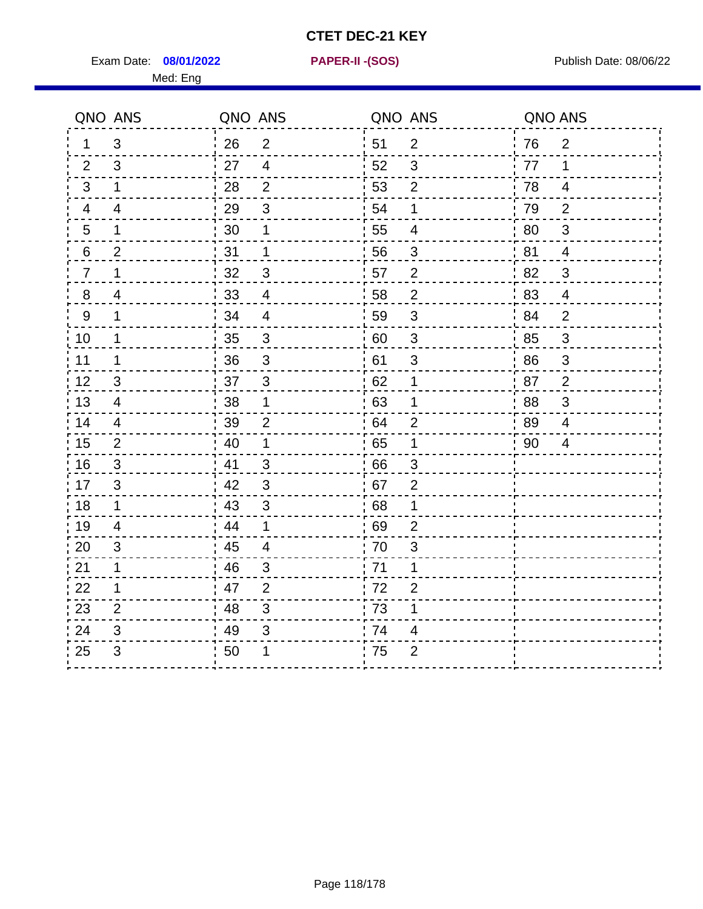Exam Date: 08/01/2022 **PAPER-II-(SOS)** Provided by Publish Date: 08/06/22 Med: Eng

**08/01/2022 PAPER-II -(SOS)**

|                | QNO ANS                   | QNO ANS |                | QNO ANS |                          | QNO ANS |                |
|----------------|---------------------------|---------|----------------|---------|--------------------------|---------|----------------|
| 1              | 3                         | 26      | 2              | 51      | 2                        | 76      | 2              |
| 2              | 3                         | 27      | 4              | 52      | 3                        | 77      | 1              |
| 3              | 1                         | 28      | 2              | 53      | $\overline{2}$           | 78      | 4              |
| 4              | $\overline{\mathbf{4}}$   | 29      | $\sqrt{3}$     | 54      | $\mathbf 1$              | 79      | $\overline{2}$ |
| 5              | 1                         | 30      | 1              | 55      | 4                        | 80      | 3              |
| 6              | $\overline{2}$            | 31      | $\mathbf 1$    | 56      | 3                        | 81      | $\overline{4}$ |
| $\overline{7}$ | 1                         | 32      | 3              | 57      | 2                        | 82      | 3              |
| 8              | 4                         | 33      | $\overline{4}$ | 58      | $\overline{2}$           | 83      | $\overline{4}$ |
| 9              | 1                         | 34      | $\overline{4}$ | 59      | 3                        | 84      | $\overline{2}$ |
| 10             | $\mathbf 1$               | 35      | $\sqrt{3}$     | 60      | $\mathbf{3}$             | 85      | 3              |
| 11             | 1                         | 36      | 3              | 61      | 3                        | 86      | 3              |
| 12             | $\ensuremath{\mathsf{3}}$ | 37      | $\sqrt{3}$     | 62      | $\mathbf 1$              | 87      | $\overline{2}$ |
| 13             | 4                         | 38      | 1              | 63      | 1                        | 88      | 3              |
| 14             | 4                         | 39      | $\overline{2}$ | 64      | 2                        | -89     | 4              |
| 15             | 2                         | 40      | $\mathbf{1}$   | 65      | 1                        | 90      | 4              |
| 16             | 3                         | 41      | $\mathfrak{B}$ | 66      | 3                        |         |                |
| 17             | 3                         | 42      | 3              | 67      | $\overline{2}$           |         |                |
| 18             | $\mathbf 1$               | 43      | 3              | 68      | 1                        |         |                |
| 19             | 4                         | 44      | $\mathbf 1$    | 69      | $\overline{2}$           |         |                |
| 20             | 3                         | 45      | $\overline{4}$ | 70      | $\mathsf 3$              |         |                |
| 21             | 1                         | 46      | 3              | : 71    | 1                        |         |                |
| 22             | $\mathbf 1$               | 47      | 2              | 72      | $\overline{2}$           |         |                |
| 23             | $\overline{2}$            | 48      | 3              | 73      | $\mathbf 1$              |         |                |
| 24             | 3                         | 49      | 3              | 74      | $\overline{\mathcal{A}}$ |         |                |
| 25             | 3                         | 50      | 1              | 75      | $\overline{2}$           |         |                |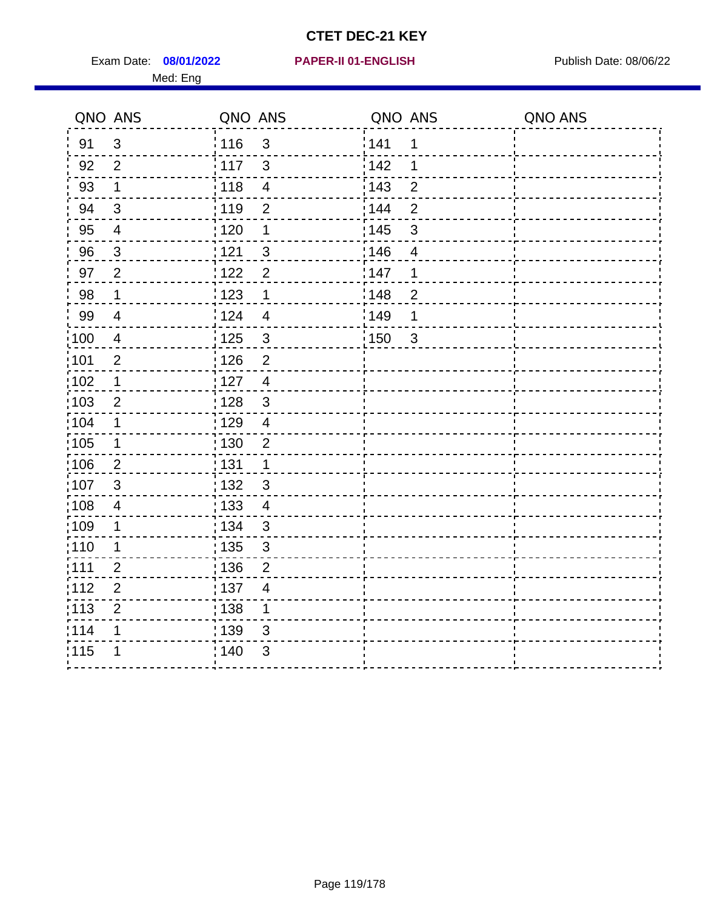Exam Date: 08/01/2022 **PAPER-II 01-ENGLISH Propriet Access 198/06/22** Publish Date: 08/06/22 Med: Eng

#### **08/01/2022 PAPER-II 01-ENGLISH**

|                   | QNO ANS        | QNO ANS           |                         | QNO ANS           |                | QNO ANS |
|-------------------|----------------|-------------------|-------------------------|-------------------|----------------|---------|
| 91                | $\mathbf{3}$   | 116               | $\mathfrak{3}$          | 141               | $\mathbf 1$    |         |
| 92                | $\overline{2}$ | 117               | 3                       | 142               | 1              |         |
| 93                | $\mathbf 1$    | 118               | $\overline{\mathbf{4}}$ | 143               | $\overline{2}$ |         |
| 94                | 3              | : 119             | $\overline{2}$          | : 144             | $\overline{2}$ |         |
| 95                | $\overline{4}$ | : 120             | 1                       | : 145             | 3              |         |
| 96                | $\mathbf{3}$   | 121               | 3                       | 146               | $\overline{4}$ |         |
| 97                | $\overline{2}$ | : 122             | $\overline{2}$          | 147               | 1              |         |
| 98                | $\mathbf{1}$   | 123               | $\mathbf{1}$            | 148               | $\overline{c}$ |         |
| 99                | $\overline{4}$ | 124               | $\overline{\mathbf{4}}$ | $\frac{1}{2}$ 149 | 1              |         |
| $\frac{1}{1}$ 100 | $\overline{4}$ | $\frac{1}{1}$ 125 | $\mathbf{3}$            | 150               | $\mathbf{3}$   |         |
| :101              | $\mathbf 2$    | : 126             | $\overline{2}$          |                   |                |         |
| 102               | $\mathbf 1$    | 127               | $\overline{4}$          |                   |                |         |
| ;103              | $\overline{2}$ | :128              | $\mathbf{3}$            |                   |                |         |
| 104               | $\mathbf 1$    | : 129             | $\overline{\mathbf{4}}$ |                   |                |         |
| 105               | $\mathbf 1$    | 130               | $\overline{2}$          |                   |                |         |
| :106              | $\overline{2}$ | : 131             | $\mathbf 1$             |                   |                |         |
| 107               | 3              | :132              | $\mathfrak{B}$          |                   |                |         |
| 108               | $\overline{4}$ | : 133             | $\overline{\mathbf{4}}$ |                   |                |         |
| :109              | $\mathbf 1$    | : 134             | $\mathbf{3}$            |                   |                |         |
| : 110             | 1              | : 135             | 3                       |                   |                |         |
| 111               | $\overline{2}$ | : 136             | $\overline{c}$          |                   |                |         |
| 112               | $\mathbf 2$    | 137               | $\overline{4}$          |                   |                |         |
| 113               | $\overline{2}$ | 138               | 1                       |                   |                |         |
| 114               | 1              | 139               | 3                       |                   |                |         |
| 115               | 1              | 140               | $\mathfrak{S}$          |                   |                |         |
|                   |                |                   |                         |                   |                |         |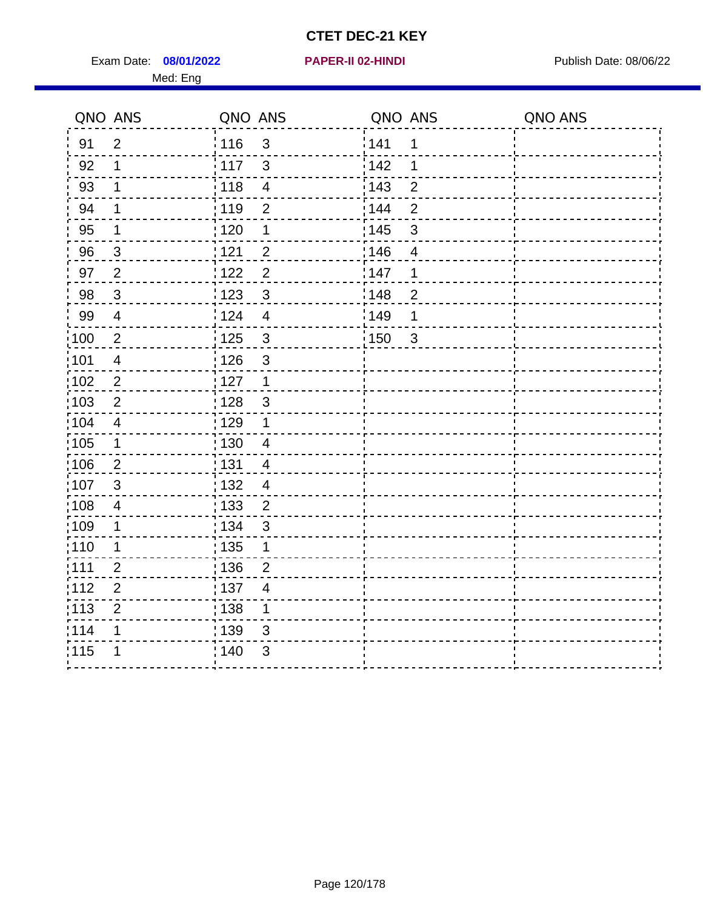Exam Date: 08/01/2022 **PAPER-II 02-HINDI Exam Date: 08/06/22** Med: Eng

**08/01/2022 PAPER-II 02-HINDI**

|      | QNO ANS                 | QNO ANS               |                          | QNO ANS |                | QNO ANS |
|------|-------------------------|-----------------------|--------------------------|---------|----------------|---------|
| 91   | $\overline{2}$          | 116                   | $\mathbf{3}$             | 1141    | $\mathbf 1$    |         |
| 92   | 1                       | 117                   | $\mathfrak{S}$           | 142     | 1              |         |
| 93   | 1                       | 118                   | $\overline{\mathbf{4}}$  | 143     | $\overline{2}$ |         |
| 94   | 1                       | : 119                 | 2                        | 144     | $\overline{2}$ |         |
| 95   | 1                       | : 120                 | 1                        | : 145   | 3              |         |
| 96   | 3                       | 121                   | $\overline{2}$           | 146     | 4              |         |
| 97   | $\overline{2}$          | $\overline{2}$<br>122 |                          | 147     | 1              |         |
| 98   | $\mathbf{3}$            | $\mathbf{3}$<br>123   |                          | 148     | $\overline{2}$ |         |
| 99   | $\overline{4}$          | : 124                 | $\overline{\mathbf{4}}$  | :149    | 1              |         |
| 100  | $\overline{2}$          | 125<br>$\mathbf{3}$   |                          | 150     | $\mathbf{3}$   |         |
| :101 | $\overline{\mathbf{4}}$ | : 126                 | $\mathsf 3$              |         |                |         |
| 102  | $\overline{2}$          | : 127<br>$\mathbf{1}$ |                          |         |                |         |
| 103  | $\overline{2}$          | $\mathbf{3}$<br>: 128 |                          |         |                |         |
| 104  | $\overline{4}$          | 129<br>$\mathbf 1$    |                          |         |                |         |
| 105  | $\mathbf 1$             | 130                   | $\overline{4}$           |         |                |         |
| :106 | $\overline{2}$          | : 131                 | $\overline{4}$           |         |                |         |
| 107  | $\mathbf{3}$            | 132                   | $\overline{4}$           |         |                |         |
| 108  | $\overline{4}$          | 133                   | $\sqrt{2}$               |         |                |         |
| ;109 | 1                       | : 134<br>$\mathbf{3}$ |                          |         |                |         |
| :110 | 1                       | : 135                 | 1                        |         |                |         |
| ;111 | $\overline{2}$          | : 136                 | $\overline{2}$           |         |                |         |
| 112  | $\overline{2}$          | : 137                 | $\overline{\mathcal{A}}$ |         |                |         |
| :113 | $\boldsymbol{2}$        | : 138                 | 1                        |         |                |         |
| 1114 | 1                       | : 139                 | 3                        |         |                |         |
| 115  | 1                       | 140                   | 3                        |         |                |         |
|      |                         |                       |                          |         |                |         |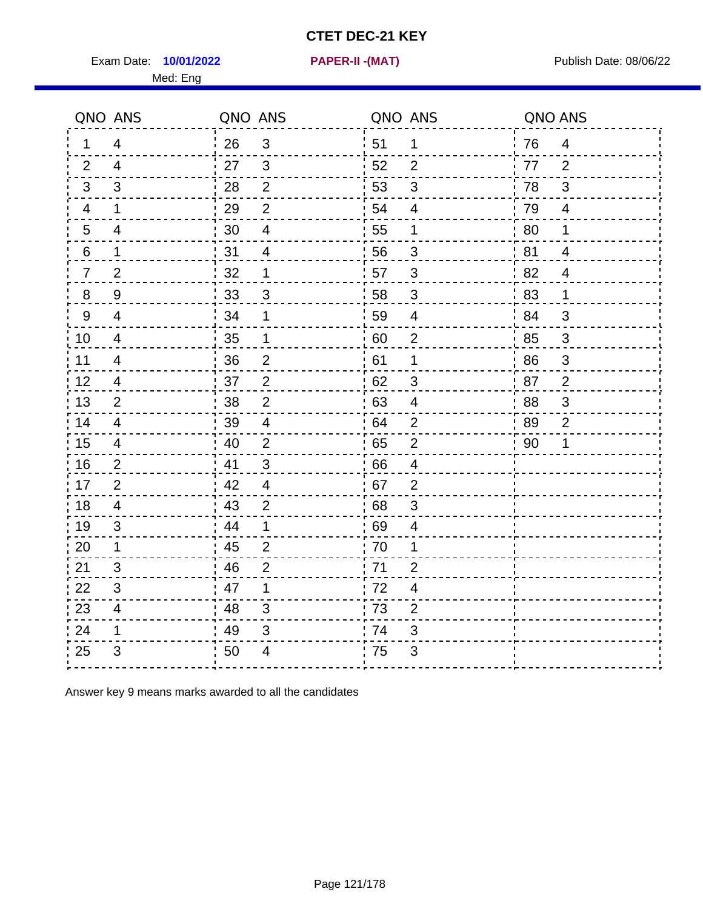Exam Date: **10/01/2022 PAPER-II -(MAT)** Publish Date: 08/06/22 Med: Eng

**10/01/2022 PAPER-II -(MAT)**

|                | QNO ANS        | QNO ANS        |                | QNO ANS |                | QNO ANS |                |
|----------------|----------------|----------------|----------------|---------|----------------|---------|----------------|
| 1              | 4              | 26             | $\sqrt{3}$     | 51      | $\mathbf 1$    | 76      | $\overline{4}$ |
| 2              | $\overline{4}$ | 27             | 3              | 52      | $\overline{2}$ | 77      | 2              |
| 3              | 3              | 28             | 2              | 53      | 3              | 78      | 3              |
| $\overline{4}$ | 1              | 29             | 2              | 54      | $\overline{4}$ | 79      | $\overline{4}$ |
| 5              | $\overline{4}$ | 30             | $\overline{4}$ | 55      | $\mathbf 1$    | 80      | $\mathbf 1$    |
| 6              | 1              | 31             | 4              | 56      | 3              | 81      | $\overline{4}$ |
| $\overline{7}$ | $\overline{2}$ | 32             | 1              | 57      | 3              | 82      | $\overline{4}$ |
| 8              | 9              | $^{\prime}$ 33 | 3              | 58      | 3              | '83     | $\mathbf 1$    |
| 9              | $\overline{4}$ | 34             | 1              | 59      | $\overline{4}$ | i 84    | 3              |
| 10             | 4              | 35             | 1              | 60      | $\overline{2}$ | 85      | 3              |
| 11             | $\overline{4}$ | 36             | $\overline{2}$ | 61      | 1              | 86      | 3              |
| 12             | 4              | 37             | $\overline{2}$ | 62      | $\mathfrak{S}$ | 87      | $\overline{2}$ |
| 13             | $\overline{2}$ | 38             | $\overline{2}$ | 63      | 4              | 88      | 3              |
| 14             | 4              | 39             | 4              | 64      | $\overline{2}$ | - 89    | $\overline{2}$ |
| 15             | 4              | 40             | 2              | 65      | $\overline{2}$ | 90      | 1              |
| 16             | $\overline{2}$ | 41             | 3              | 66      | $\overline{4}$ |         |                |
| 17             | $\overline{2}$ | 42             | $\overline{4}$ | 67      | $\overline{2}$ |         |                |
| 18             | 4              | 43             | $\overline{2}$ | 68      | 3              |         |                |
| 19             | 3              | 44             | 1              | 69      | 4              |         |                |
| 20             | 1              | 45             | $\overline{2}$ | 70      | 1              |         |                |
| 21             | 3              | 46             | $\overline{2}$ | 71      | 2              |         |                |
| 22             | 3              | 47             | 1              | 72      | $\overline{4}$ |         |                |
| 23             | 4              | 48             | 3              | 73      | $\overline{2}$ |         |                |
| 24             | 1              | 49             | 3              | 74      | 3              |         |                |
| 25             | 3              | 50             | 4              | 75      | 3              |         |                |
|                |                |                |                |         |                |         |                |

Answer key 9 means marks awarded to all the candidates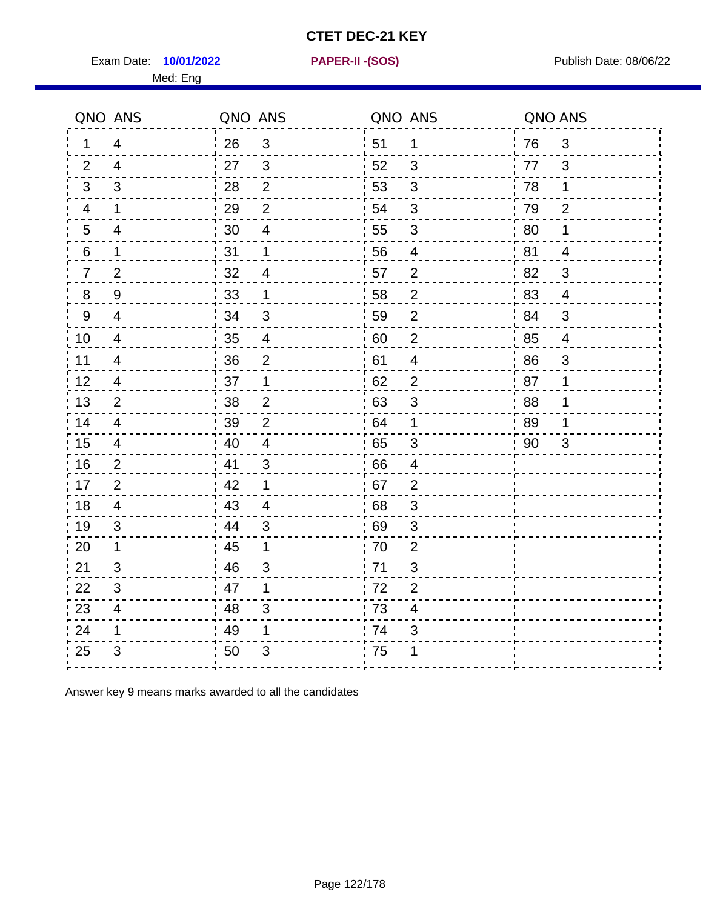Exam Date: **10/01/2022 PAPER-II - (SOS)** PUblish Date: 08/06/22

Med: Eng

**10/01/2022 PAPER-II -(SOS)**

|                 | QNO ANS                 | QNO ANS |                         | QNO ANS |                         | QNO ANS |                |
|-----------------|-------------------------|---------|-------------------------|---------|-------------------------|---------|----------------|
| 1               | 4                       | 26      | $\mathbf{3}$            | ່ 51    | $\mathbf 1$             | 76      | 3              |
| 2               | $\overline{4}$          | 27      | $\mathbf{3}$            | 52      | 3                       | 77      | 3              |
| 3               | 3                       | 28      | $\overline{2}$          | 53      | 3                       | 78      | 1              |
| 4               | $\mathbf 1$             | 29      | $\overline{2}$          | 54      | 3                       | 79      | $\overline{2}$ |
| $5\phantom{.0}$ | 4                       | 30      | $\overline{\mathbf{4}}$ | 55      | $\sqrt{3}$              | 80      | 1              |
| 6               | 1                       | 31      | 1                       | 56      | 4                       | 81      | $\overline{4}$ |
| 7               | $\overline{2}$          | 32      | $\overline{4}$          | 57      | $\overline{2}$          | 82      | 3              |
| 8               | 9                       | 33      | 1                       | 58      | $\overline{2}$          | 83      | $\overline{4}$ |
| 9               | $\overline{4}$          | 34      | 3                       | 59      | $\overline{2}$          | 84      | 3              |
| 10              | $\overline{4}$          | 35      | $\overline{4}$          | 60      | $\overline{c}$          | 85      | $\overline{4}$ |
| 11              | $\overline{4}$          | 36      | $\overline{2}$          | 61      | $\overline{\mathbf{4}}$ | 86      | 3              |
| 12              | $\overline{\mathbf{4}}$ | 37      | $\mathbf 1$             | 62      | $\overline{c}$          | 87      | 1              |
| 13              | $\overline{2}$          | 38      | $\overline{2}$          | 63      | 3                       | 88      | 1              |
| 14              | 4                       | 39      | $\overline{2}$          | 64      | 1                       | 89      | 1              |
| 15              | 4                       | 40      | $\overline{4}$          | 65      | 3                       | 90      | 3              |
| 16              | $\overline{2}$          | 41      | $\mathfrak{B}$          | .66     | $\overline{4}$          |         |                |
| 17              | $\overline{2}$          | 42      | 1                       | .67     | $\overline{2}$          |         |                |
| 18              | 4                       | 43      | 4                       | 68      | 3                       |         |                |
| 19              | 3                       | 44      | 3                       | 69      | 3                       |         |                |
| 20              | $\mathbf 1$             | 45      | 1                       | 70      | $\mathbf{2}$            |         |                |
| 21              | 3                       | 46      | 3                       | .71     | 3                       |         |                |
| 22              | 3                       | 47      | 1                       | 72      | $\overline{2}$          |         |                |
| 23              | $\overline{4}$          | 48      | $\mathfrak{S}$          | 73      | 4                       |         |                |
| 24              | 1                       | 49      | 1                       | 74      | $\sqrt{3}$              |         |                |
| 25              | 3                       | 50      | 3                       | 75      | 1                       |         |                |

Answer key 9 means marks awarded to all the candidates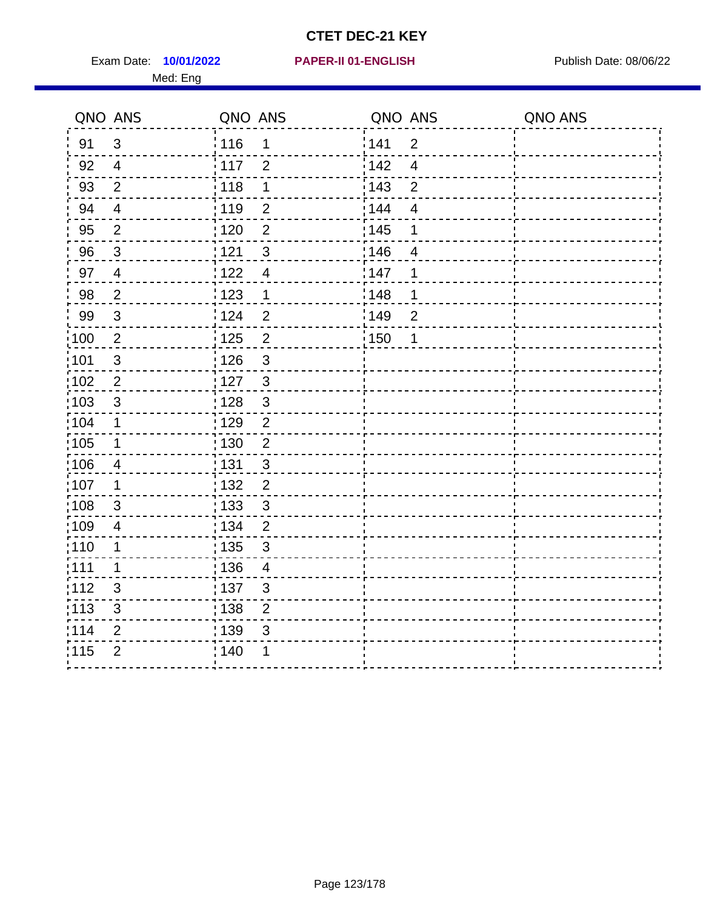Exam Date: 10/01/2022 **PAPER-II 01-ENGLISH Exam Date: 08/06/22** Med: Eng

**10/01/2022 PAPER-II 01-ENGLISH**

|                   | QNO ANS                   | QNO ANS           |                          | QNO ANS |                         | QNO ANS |
|-------------------|---------------------------|-------------------|--------------------------|---------|-------------------------|---------|
| 91                | 3                         | : 116             | 1                        | 141     | $\overline{2}$          |         |
| 92                | $\overline{4}$            | 117               | $\overline{2}$           | 142     | $\overline{\mathbf{4}}$ |         |
| 93                | $\overline{2}$            | 118               | 1                        | 143     | $\overline{2}$          |         |
| 94                | $\overline{4}$            | : 119             | $\overline{2}$           | : 144   | $\overline{4}$          |         |
| 95                | $\overline{2}$            | : 120             | $\overline{2}$           | : 145   | 1                       |         |
| 96                | 3                         | 121               | 3                        | :146    | 4                       |         |
| 97                | $\overline{4}$            | 122               | $\overline{4}$           | 147     | 1                       |         |
| 98                | $\overline{2}$            | 123               | $\mathbf 1$              | 148     | 1                       |         |
| 99                | $\ensuremath{\mathsf{3}}$ | 124               | $\overline{2}$           | 149     | $\boldsymbol{2}$        |         |
| $\frac{1}{1}$ 100 | $\overline{2}$            | $\frac{1}{1}$ 125 | $\overline{2}$           | 150     | 1                       |         |
| :101              | $\sqrt{3}$                | : 126             | $\mathfrak{S}$           |         |                         |         |
| 102               | $\overline{2}$            | 127               | $\mathbf{3}$             |         |                         |         |
| 103               | 3                         | : 128             | $\mathbf{3}$             |         |                         |         |
| 104               | $\mathbf 1$               | : 129             | $\overline{2}$           |         |                         |         |
| 105               | $\mathbf 1$               | $\frac{1}{1}$ 130 | $\mathbf 2$              |         |                         |         |
| :106              | $\overline{4}$            | : 131             | 3                        |         |                         |         |
| :107              | $\mathbf 1$               | : 132             | $\overline{2}$           |         |                         |         |
| 108               | $\sqrt{3}$                | : 133             | $\mathbf{3}$             |         |                         |         |
| :109              | $\overline{\mathbf{4}}$   | : 134             | $\overline{2}$           |         |                         |         |
| :110              | 1                         | : 135             | 3                        |         |                         |         |
| : 111             | $\mathbf 1$               | 136               | $\overline{\mathcal{A}}$ |         |                         |         |
| 112               | $\sqrt{3}$                | : 137             | $\sqrt{3}$               |         |                         |         |
| 113               | $\sqrt{3}$                | : 138             | $\overline{2}$           |         |                         |         |
| 114               | $\overline{2}$            | : 139             | 3                        |         |                         |         |
| 115               | $\overline{2}$            | 140               | 1                        |         |                         |         |
|                   |                           |                   |                          |         |                         |         |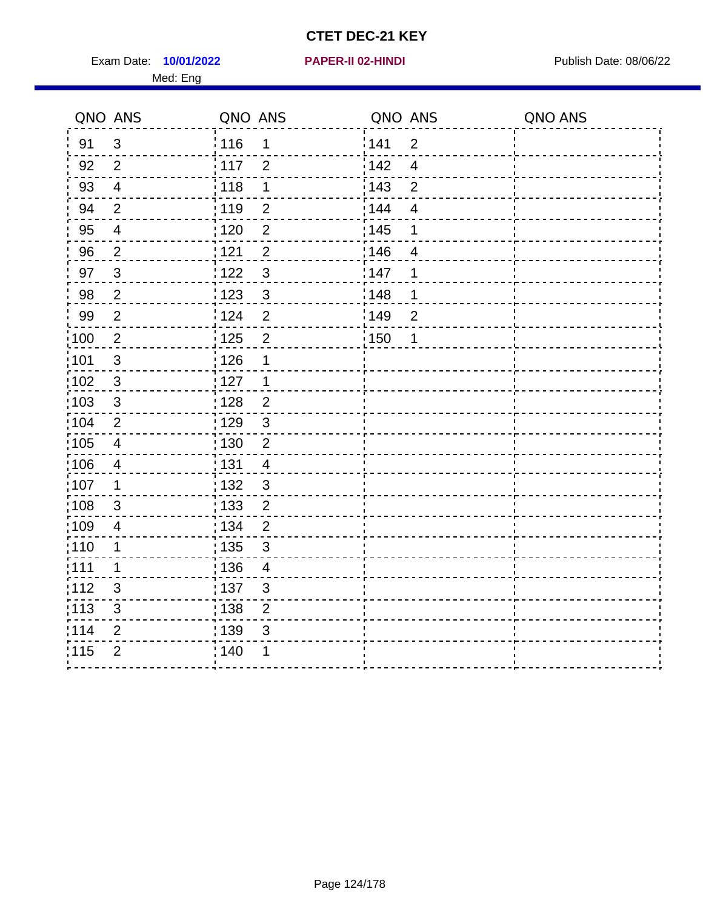Exam Date: 10/01/2022 **PAPER-II 02-HINDI Exam Date: 08/06/22** Med: Eng

#### **10/01/2022 PAPER-II 02-HINDI**

|                   | QNO ANS        | QNO ANS           |                | QNO ANS           |                | QNO ANS |
|-------------------|----------------|-------------------|----------------|-------------------|----------------|---------|
| 91                | $\mathbf{3}$   | : 116             | 1              | 141               | $\overline{2}$ |         |
| 92                | 2              | 117               | $\overline{2}$ | 142               | $\overline{4}$ |         |
| 93                | $\overline{4}$ | 118               | 1              | 143               | $\overline{2}$ |         |
| 94                | $\overline{2}$ | 119               | $\overline{2}$ | 144               | $\overline{4}$ |         |
| 95                | $\overline{4}$ | 120               | $\overline{2}$ | : 145             | $\mathbf 1$    |         |
| 96                | $\overline{2}$ | 121               | $\overline{2}$ | : 146             | $\overline{4}$ |         |
| 97                | $\mathbf{3}$   | 122               | $\mathfrak{3}$ | 147               | 1              |         |
| 98                | $\overline{2}$ | 123               | $\mathbf{3}$   | 148               | $\mathbf 1$    |         |
| 99                | $\overline{2}$ | 124               | $\overline{2}$ | 149               | $\overline{2}$ |         |
| $\frac{1}{100}$   | $\overline{2}$ | 125               | $\overline{2}$ | $\frac{1}{1}$ 150 | $\mathbf 1$    |         |
| :101              | $\sqrt{3}$     | : 126             | 1              |                   |                |         |
| 102               | $\mathbf{3}$   | 127               | $\mathbf{1}$   |                   |                |         |
| 103               | 3              | : 128             | $\overline{2}$ |                   |                |         |
| :104              | 2              | 129               | $\mathbf{3}$   |                   |                |         |
| $\frac{1}{1}$ 105 | $\overline{4}$ | : 130             | $\overline{2}$ |                   |                |         |
| 106               | $\overline{4}$ | : 131             | $\overline{4}$ |                   |                |         |
| 107               | 1              | : 132             | $\mathbf{3}$   |                   |                |         |
| 108               | 3              | $\frac{1}{1}$ 133 | $\overline{2}$ |                   |                |         |
| $\frac{1}{1}$ 109 | 4              | : 134             | $\overline{2}$ |                   |                |         |
| : 110             | $\mathbf 1$    | : 135             | $\mathbf{3}$   |                   |                |         |
| :111              | 1              | :136              | 4              |                   |                |         |
| 112               | 3              | :137              | $\mathbf{3}$   |                   |                |         |
| :113              | $\sqrt{3}$     | : 138             | $\overline{2}$ |                   |                |         |
| 114               | $\overline{2}$ | : 139             | $\mathsf 3$    |                   |                |         |
| 115               | $\overline{2}$ | ; 140             |                |                   |                |         |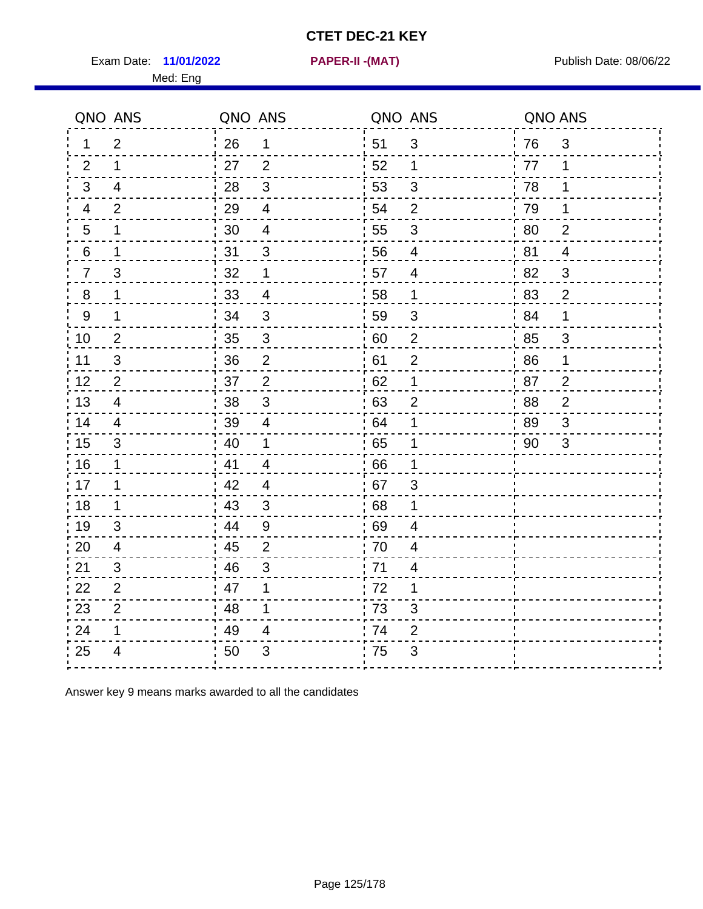Exam Date: **11/01/2022 PAPER-II -(MAT)** Publish Date: 08/06/22

Med: Eng

**11/01/2022 PAPER-II -(MAT)**

|         | QNO ANS        | QNO ANS |                           | QNO ANS |                | QNO ANS |                |
|---------|----------------|---------|---------------------------|---------|----------------|---------|----------------|
| 1       | $\overline{2}$ | 26      | 1                         | ່ 51    | 3              | 76      | $\mathfrak{3}$ |
| 2       | $\mathbf 1$    | 27      | $\overline{2}$            | 52      | $\mathbf 1$    | 77      | 1              |
| 3       | $\overline{4}$ | 28      | $\mathbf{3}$              | 53      | $\mathfrak{B}$ | 78      | 1              |
| 4       | $\overline{2}$ | 29      | $\overline{4}$            | 54      | $\overline{2}$ | 79      | 1              |
| 5       | 1              | 30      | $\overline{4}$            | 55      | $\mathfrak{S}$ | 80      | $\overline{2}$ |
| 6       | 1              | 31      | 3                         | 56      | 4              | 81      | $\overline{4}$ |
| 7       | 3              | 32      | 1                         | 57      | 4              | 82      | 3              |
| $\bf 8$ | 1              | 33      | $\overline{4}$            | 58      | $\mathbf 1$    | 83      | $\overline{2}$ |
| 9       | 1              | 34      | 3                         | 59      | 3              | 84      | 1              |
| 10      | $\overline{2}$ | 35      | $\ensuremath{\mathsf{3}}$ | 60      | $\sqrt{2}$     | 85      | 3              |
| 11      | $\sqrt{3}$     | 36      | $\overline{2}$            | 61      | $\overline{2}$ | 86      | 1              |
| 12      | $\overline{2}$ | 37      | $\overline{2}$            | 62      | 1              | 87      | $\overline{2}$ |
| 13      | 4              | 38      | $\mathbf{3}$              | .63     | 2              | 88      | $\overline{2}$ |
| 14      | 4              | 39      | $\overline{4}$            | 64      | 1              | 89      | 3              |
| 15      | $\sqrt{3}$     | 40      | 1                         | 65      | $\mathbf 1$    | 90      | 3              |
| 16      | $\mathbf 1$    | 41      | $\overline{4}$            | 66      | 1              |         |                |
| 17      | 1              | 42      | 4                         | : 67    | 3              |         |                |
| 18      | $\mathbf 1$    | 43      | 3                         | 68      | 1              |         |                |
| 19      | $\mathfrak{B}$ | 44      | $9\,$                     | .69     | 4              |         |                |
| 20      | 4              | 45      | $\overline{2}$            | 70      | $\overline{4}$ |         |                |
| 21      | 3              | 46      | 3                         | 71      | 4              |         |                |
| 22      | $\overline{2}$ | 47      | 1                         | 72      | 1              |         |                |
| 23      | $\overline{2}$ | 48      | 1                         | 73      | 3              |         |                |
| 24      | 1              | 49      | 4                         | 74      | $\overline{2}$ |         |                |
| 25      | 4              | 50      | 3                         | 75      | 3              |         |                |

Answer key 9 means marks awarded to all the candidates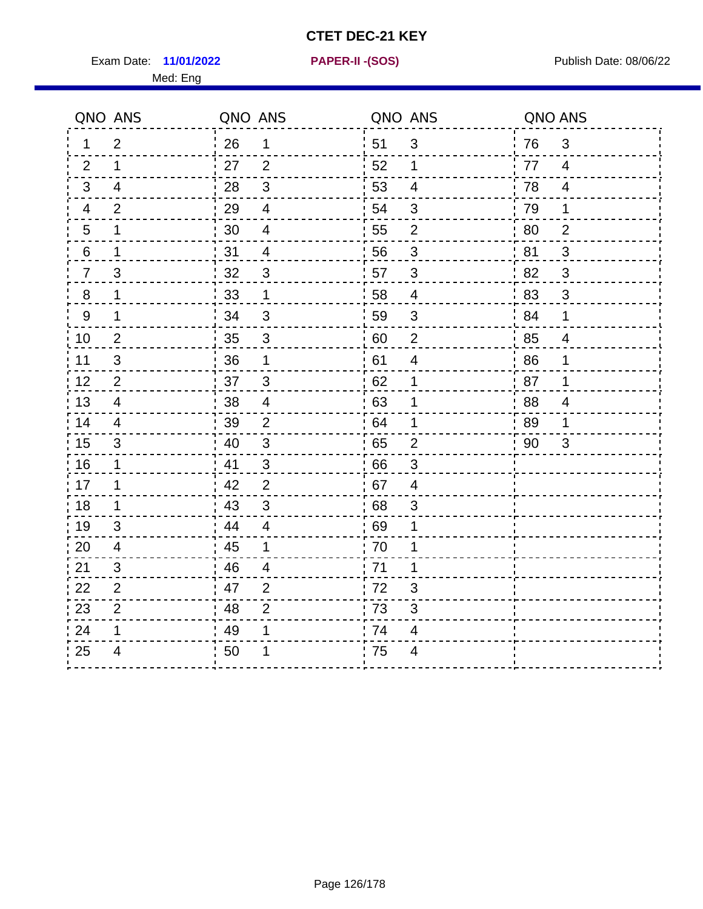Exam Date: **11/01/2022 PAPER-II - (SOS)** Publish Date: 08/06/22

Med: Eng

**11/01/2022 PAPER-II -(SOS)**

|                  | QNO ANS        | QNO ANS |                | QNO ANS |                          | QNO ANS |                |
|------------------|----------------|---------|----------------|---------|--------------------------|---------|----------------|
| 1.               | $\overline{2}$ | 26      | $\mathbf 1$    | 51      | $\mathfrak{S}$           | 76      | 3              |
| 2                | 1              | 27      | $\overline{2}$ | 52      | $\mathbf 1$              | 77      | $\overline{4}$ |
| 3                | $\overline{4}$ | 28      | $\mathfrak{3}$ | 53      | $\overline{4}$           | 78      | $\overline{4}$ |
| 4                | $\overline{2}$ | 29      | $\overline{4}$ | 54      | 3                        | 79      | 1              |
| 5                | 1              | 30      | 4              | 55      | $\mathbf{2}$             | 80      | $\overline{2}$ |
| 6                | 1              | 31      | $\overline{4}$ | 56      | 3                        | 81      | 3              |
| $\overline{7}$   | 3              | 32      | $\mathbf{3}$   | 57      | $\mathfrak{B}$           | 82      | 3              |
| 8                | 1              | 33      | 1              | 58      | $\overline{\mathcal{A}}$ | 83      | $\mathbf{3}$   |
| $\boldsymbol{9}$ | 1              | 34      | $\mathfrak{S}$ | 59      | $\sqrt{3}$               | 84      | $\mathbf 1$    |
| 10               | $\overline{2}$ | 35      | $\sqrt{3}$     | 60      | $\overline{\mathbf{c}}$  | 85      | $\overline{4}$ |
| 11               | $\mathfrak{S}$ | 36      | 1              | 61      | $\overline{\mathbf{4}}$  | 86      | 1              |
| 12               | $\overline{2}$ | 37      | $\mathfrak{3}$ | 62      | 1                        | 87      | $\mathbf 1$    |
| 13               | 4              | 38      | $\overline{4}$ | 63      | 1                        | 88      | $\overline{4}$ |
| 14               | $\overline{4}$ | 39      | $\overline{2}$ | 64      | 1                        | 89      | 1              |
| 15               | $\mathfrak{S}$ | 40      | $\mathfrak{S}$ | 65      | $\mathbf 2$              | 90      | 3              |
| 16               | 1              | 41      | 3              | 66      | 3                        |         |                |
| 17               | 1              | 42      | $\overline{2}$ | 67      | $\overline{4}$           |         |                |
| 18               | 1              | 43      | $\mathbf{3}$   | 68      | $\mathfrak{S}$           |         |                |
| 19               | $\mathfrak{S}$ | 44      | $\overline{4}$ | 69      | 1                        |         |                |
| 20               | $\overline{4}$ | 45      | 1              | 70      | 1                        |         |                |
| 21               | 3              | 46      | 4              | 71      | 1                        |         |                |
| 22               | $\overline{2}$ | 47      | $\overline{2}$ | 72      | $\sqrt{3}$               |         |                |
| 23               | $\overline{2}$ | 48      | $\overline{2}$ | 73      | $\mathfrak{S}$           |         |                |
| 24               | 1              | 49      | 1              | 74      | 4                        |         |                |
| 25               | 4              | 50      | 1              | 75      | 4                        |         |                |
|                  |                |         |                |         |                          |         |                |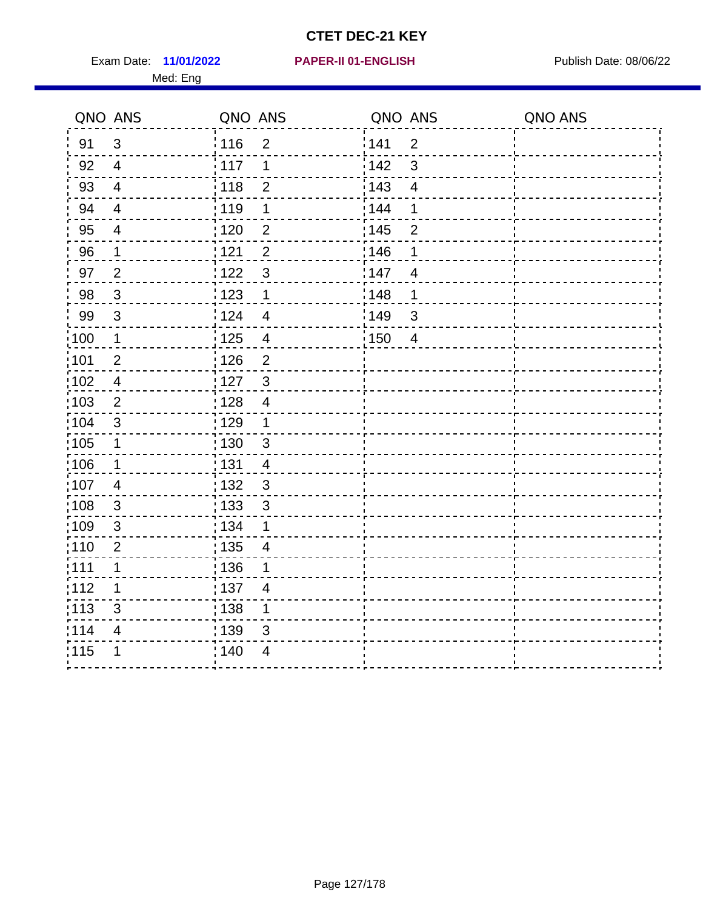Exam Date: 11/01/2022 **PAPER-II 01-ENGLISH Exam Date: 08/06/22** Med: Eng

#### **11/01/2022 PAPER-II 01-ENGLISH**

|                   | QNO ANS                  | QNO ANS           |                          | QNO ANS |                          | QNO ANS |
|-------------------|--------------------------|-------------------|--------------------------|---------|--------------------------|---------|
| 91                | $\mathfrak{S}$           | : 116             | $\overline{2}$           | 141     | $\overline{2}$           |         |
| 92                | $\overline{4}$           | 117               | 1                        | 142     | 3                        |         |
| 93                | $\overline{\mathcal{A}}$ | 118               | $\overline{2}$           | 143     | $\overline{\mathcal{A}}$ |         |
| 94                | $\overline{4}$           | 119               | 1                        | 144     | 1                        |         |
| 95                | $\overline{4}$           | : 120             | $\overline{2}$           | : 145   | $\overline{2}$           |         |
| 96                | 1                        | 121               | $\overline{2}$           | 146     | 1                        |         |
| 97                | $\overline{2}$           | 1122              | $\mathfrak{S}$           | 147     | $\overline{4}$           |         |
| 98                | $\mathbf{3}$             | 123               | $\mathbf 1$              | 148     | 1                        |         |
| 99                | $\sqrt{3}$               | 124               | $\overline{\mathcal{A}}$ | 149     | $\sqrt{3}$               |         |
| 100               | $\mathbf 1$              | $\frac{1}{2}$ 125 | $\overline{\mathbf{4}}$  | 150     | $\overline{4}$           |         |
| 101               | $\mathbf 2$              | 126               | $\overline{2}$           |         |                          |         |
| $102$             | $\overline{4}$           | 127               | $\mathbf{3}$             |         |                          |         |
| 103               | $\overline{2}$           | 128               | $\overline{4}$           |         |                          |         |
| $\frac{1}{104}$   | $\mathbf{3}$             | : 129             | $\mathbf 1$              |         |                          |         |
| $\frac{1}{1}$ 105 | $\mathbf 1$              | : 130             | $\mathbf{3}$             |         |                          |         |
| :106              | $\mathbf 1$              | : 131             | $\overline{4}$           |         |                          |         |
| 107               | $\overline{4}$           | : 132             | $\mathbf{3}$             |         |                          |         |
| $\frac{1}{1}$ 108 | $\mathbf{3}$             | $\frac{1}{1}$ 133 | $\mathbf{3}$             |         |                          |         |
| :109              | $\sqrt{3}$               | : 134             | 1                        |         |                          |         |
| 110               | $\overline{2}$           | : 135             | $\overline{4}$           |         |                          |         |
| : 111             | 1                        | : 136             | 1                        |         |                          |         |
| 112               | 1                        | : 137             | 4                        |         |                          |         |
| : 113             | $\mathfrak{S}$           | 138               | 1                        |         |                          |         |
| 114               | 4                        | 139               | 3                        |         |                          |         |
| 115               | 1                        | 140               | $\overline{\mathbf{4}}$  |         |                          |         |
|                   |                          |                   |                          |         |                          |         |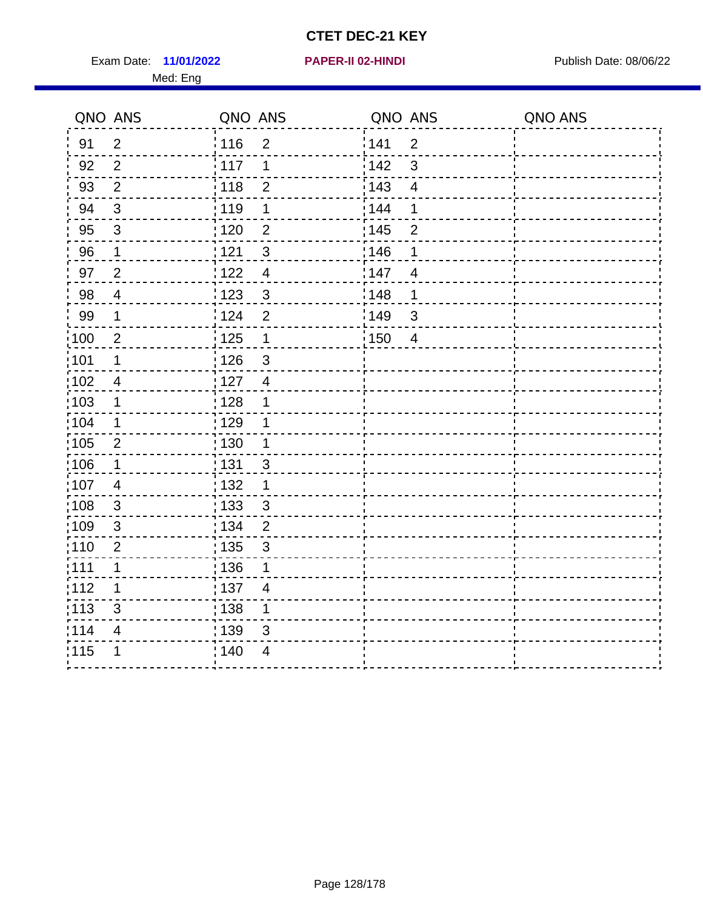Exam Date: 11/01/2022 **PAPER-II 02-HINDI Exam Date: 08/06/22** Med: Eng

#### **11/01/2022 PAPER-II 02-HINDI**

|                   | QNO ANS                 | QNO ANS           |                         | QNO ANS           |                | QNO ANS |
|-------------------|-------------------------|-------------------|-------------------------|-------------------|----------------|---------|
| 91                | $\overline{2}$          | : 116             | $\overline{2}$          | 141               | $\overline{2}$ |         |
| 92                | $\overline{2}$          | $\frac{1}{117}$   | 1                       | 142               | 3              |         |
| 93                | $\overline{2}$          | 118               | $\overline{2}$          | 143               | $\overline{4}$ |         |
| 94                | $\mathfrak{S}$          | : 119             | $\mathbf 1$             | 144               | 1              |         |
| 95                | $\mathfrak{S}$          | : 120             | $\overline{2}$          | : 145             | $\overline{2}$ |         |
| 96                | 1                       | 121               | $\mathfrak{S}$          | 146               | 1              |         |
| 97                | $\overline{2}$          | 122               | $\overline{\mathbf{4}}$ | 147               | $\overline{4}$ |         |
| 98                | $\overline{4}$          | 1123              | $\sqrt{3}$              | 148               | 1              |         |
| 99                | $\mathbf 1$             | 124               | $\mathbf 2$             | 149               | $\mathbf{3}$   |         |
| 100               | $\overline{2}$          | 125               | $\mathbf 1$             | $\frac{1}{1}$ 150 | $\overline{4}$ |         |
| 101               | $\mathbf 1$             | 126               | $\mathsf 3$             |                   |                |         |
| 102               | $\overline{\mathbf{4}}$ | : 127             | $\overline{4}$          |                   |                |         |
| 103               | 1                       | : 128             | 1                       |                   |                |         |
| 104               | $\mathbf 1$             | : 129             | 1                       |                   |                |         |
| $\frac{1}{1}$ 105 | $\mathbf{2}$            | $\frac{1}{1}$ 130 | $\mathbf 1$             |                   |                |         |
| 106               | $\mathbf 1$             | : 131             | $\mathbf{3}$            |                   |                |         |
| :107              | $\overline{4}$          | : 132             | $\mathbf 1$             |                   |                |         |
| 108               | $\mathbf{3}$            | 133               | $\mathbf{3}$            |                   |                |         |
| :109              | $\sqrt{3}$              | : 134             | $\overline{2}$          |                   |                |         |
| : 110             | $\overline{2}$          | : 135             | 3                       |                   |                |         |
| : 111             | 1                       | :136              | 1                       |                   |                |         |
| 112               | 1                       | : 137             | $\overline{4}$          |                   |                |         |
| : 113             | $\mathfrak{S}$          | 138               | 1                       |                   |                |         |
| 114               | 4                       | 139               | 3                       |                   |                |         |
| 115               | 1                       | 140               | $\overline{4}$          |                   |                |         |
|                   |                         |                   |                         |                   |                |         |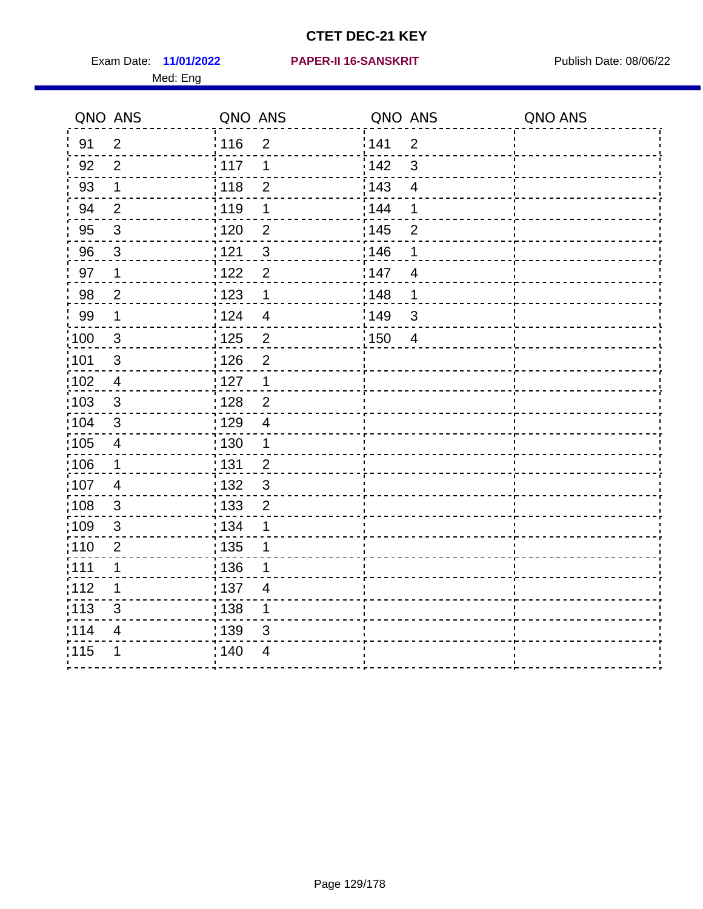Med: Eng

#### **11/01/2022 PAPER-II 16-SANSKRIT** Exam Date: Publish Date: 08/06/22

|                   | QNO ANS                 | QNO ANS           |                          | QNO ANS |                | QNO ANS |
|-------------------|-------------------------|-------------------|--------------------------|---------|----------------|---------|
| 91                | $\overline{2}$          | : 116             | $\overline{2}$           | 141     | $\overline{2}$ |         |
| 92                | $\overline{2}$          | 117               | 1                        | 142     | 3              |         |
| 93                | $\mathbf 1$             | 118               | $\overline{2}$           | 143     | $\overline{4}$ |         |
| 94                | $\overline{2}$          | : 119             | 1                        | : 144   | 1              |         |
| 95                | $\mathfrak{S}$          | : 120             | $\overline{2}$           | : 145   | $\overline{2}$ |         |
| 96                | 3                       | 121               | $\mathfrak{S}$           | :146    | 1              |         |
| 97                | $\mathbf 1$             | 122               | $\overline{2}$           | 147     | 4              |         |
| 98                | $\overline{2}$          | $\frac{1}{2}$ 123 | $\mathbf 1$              | : 148   | 1              |         |
| 99                | $\mathbf 1$             | 124               | $\overline{\mathcal{A}}$ | :149    | $\mathfrak{S}$ |         |
| $\frac{1}{1}$ 100 | $\mathbf{3}$            | $\frac{1}{1}$ 125 | $\mathbf 2$              | 150     | $\overline{4}$ |         |
| :101              | $\sqrt{3}$              | : 126             | $\overline{2}$           |         |                |         |
| 102               | $\overline{4}$          | : 127             | $\mathbf 1$              |         |                |         |
| 103               | 3                       | : 128             | $\overline{2}$           |         |                |         |
| $\frac{1}{104}$   | 3                       | $\frac{1}{1}$ 129 | $\overline{4}$           |         |                |         |
| 105               | $\overline{\mathbf{4}}$ | 130               | $\mathbf{1}$             |         |                |         |
| :106              | $\mathbf 1$             | : 131             | $\overline{2}$           |         |                |         |
| ;107              | $\overline{4}$          | 132               | $\mathbf{3}$             |         |                |         |
| 108               | $\mathbf 3$             | $\frac{1}{1}$ 133 | $\overline{2}$           |         |                |         |
| :109              | $\mathfrak{S}$          | : 134             | 1                        |         |                |         |
| :110              | $\overline{2}$          | : 135             | 1                        |         |                |         |
| : 111             | 1                       | : 136             | 1                        |         |                |         |
| 112               | 1                       | : 137             | 4                        |         |                |         |
| 113               | $\mathfrak{S}$          | : 138             | 1                        |         |                |         |
| 114               | 4                       | 139               | 3                        |         |                |         |
| 115               | 1                       | 140               | $\overline{4}$           |         |                |         |
|                   |                         |                   |                          |         |                |         |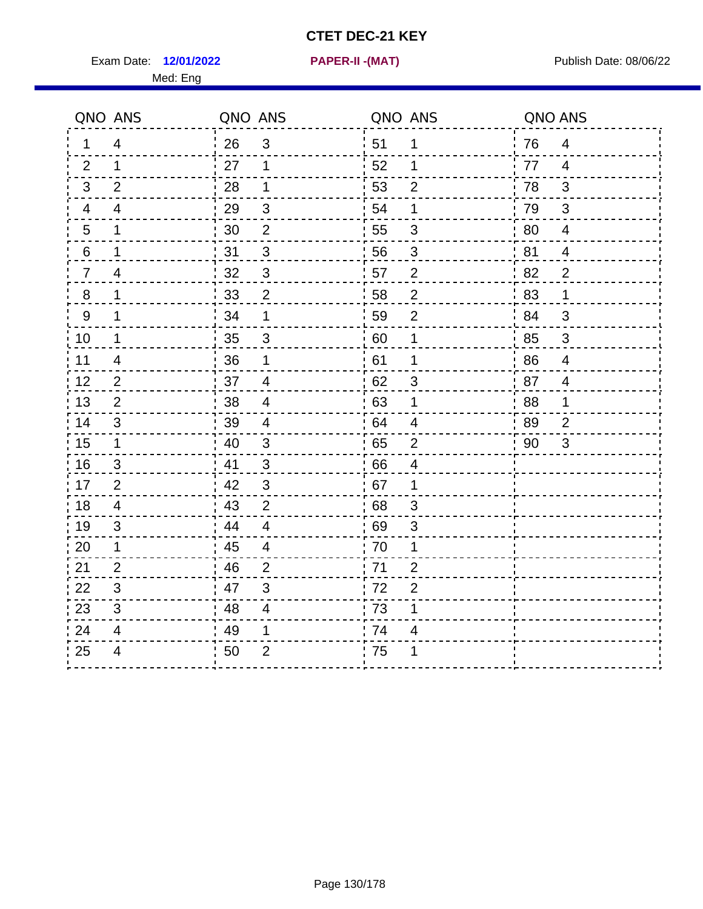Exam Date: 12/01/2022 **PAPER-II - (MAT)** Publish Date: 08/06/22 Med: Eng

**12/01/2022 PAPER-II -(MAT)**

|                  | QNO ANS        | QNO ANS |                | QNO ANS          |                | QNO ANS |                |
|------------------|----------------|---------|----------------|------------------|----------------|---------|----------------|
| 1.               | 4              | 26      | $\mathfrak{S}$ | 51               | 1              | 76      | $\overline{4}$ |
| 2                | $\mathbf 1$    | 27      | 1              | 52               | 1              | 77      | $\overline{4}$ |
| 3                | 2              | 28      | 1              | 53               | $\overline{2}$ | 78      | 3              |
| 4                | 4              | 29      | $\sqrt{3}$     | 54               | 1              | 79      | 3              |
| $\overline{5}$   | 1              | 30      | $\mathbf{2}$   | 55               | $\sqrt{3}$     | 80      | $\overline{4}$ |
| 6                | 1              | 31      | 3              | 56               | 3              | 81      | $\overline{4}$ |
| $\overline{7}$   | 4              | 32      | $\mathbf{3}$   | 57               | $\overline{2}$ | 82      | $\overline{2}$ |
| $\,8\,$          | $\mathbf 1$    | 33      | $\overline{2}$ | 58               | $\mathbf 2$    | 83      | 1              |
| $\boldsymbol{9}$ | $\mathbf 1$    | 34      | 1              | 59               | $\overline{2}$ | 84      | 3              |
| 10               | $\mathbf{1}$   | 35      | $\sqrt{3}$     | 60               | $\mathbf 1$    | 85      | $\mathbf{3}$   |
| 11               | 4              | 36      | 1              | 61               | 1              | 86      | $\overline{4}$ |
| 12               | 2              | 37      | $\overline{4}$ | 62               | 3              | 87      | $\overline{4}$ |
| 13               | 2              | 38      | $\overline{4}$ | 63               | 1              | 88      | 1              |
| 14               | 3              | 39      | 4              | 64               | 4              | 89      | $\overline{2}$ |
| 15               | $\mathbf 1$    | 40      | $\sqrt{3}$     | 65               | $\mathbf{2}$   | 90      | 3              |
| 16               | 3              | : 41    | 3              | 66               | $\overline{4}$ |         |                |
| 17               | $\overline{2}$ | 42      | $\mathbf{3}$   | 67               | $\mathbf 1$    |         |                |
| 18               | $\overline{4}$ | 43      | $\overline{2}$ | 68               | $\mathfrak{S}$ |         |                |
| 19               | $\mathfrak{S}$ | 44      | $\overline{4}$ | 69               | $\sqrt{3}$     |         |                |
| 20               | 1              | .45     | 4              | 70               | 1              |         |                |
| 21               | $\overline{2}$ | 46      | $\overline{2}$ | 71               | $\mathbf 2$    |         |                |
| 22               | 3              | 47      | 3              | $\frac{1}{1}$ 72 | $\overline{2}$ |         |                |
| 23               | 3              | 48      | $\overline{4}$ | 73               | 1              |         |                |
| 24               | $\overline{4}$ | 49      | 1              | 74               | $\overline{4}$ |         |                |
| 25               | 4              | 50      | $\overline{2}$ | 75               | 1              |         |                |
|                  |                |         |                |                  |                |         |                |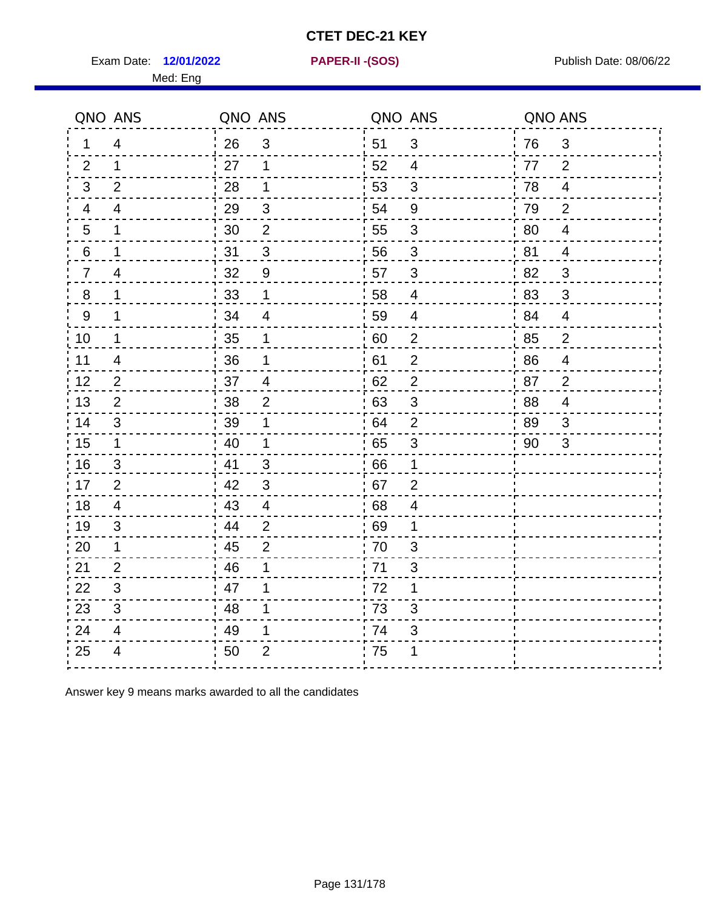Exam Date: 12/01/2022 **PAPER-II-(SOS)** PARER-IN Publish Date: 08/06/22

Med: Eng

**12/01/2022 PAPER-II -(SOS)**

|                | QNO ANS                  | QNO ANS |                          | QNO ANS |                           | QNO ANS |                |
|----------------|--------------------------|---------|--------------------------|---------|---------------------------|---------|----------------|
| 1.             | 4                        | 26      | $\mathfrak{S}$           | 51      | 3                         | 76      | 3              |
| 2              | 1                        | 27      | 1                        | 52      | 4                         | 77      | 2              |
| 3              | 2                        | 28      | 1                        | 53      | 3                         | 78      | $\overline{4}$ |
| 4              | 4                        | 29      | 3                        | 54      | $9\,$                     | 79      | 2              |
| 5              | 1                        | 30      | $\overline{2}$           | 55      | $\ensuremath{\mathsf{3}}$ | 80      | $\overline{4}$ |
| 6              | 1                        | 31      | $\mathfrak{S}$           | 56      | $\mathfrak{S}$            | 81      | $\overline{4}$ |
| $\overline{7}$ | 4                        | 32      | 9                        | 57      | 3                         | .82     | 3              |
| 8              | 1                        | 33      | 1                        | 58      | 4                         | '83     | $\mathfrak{S}$ |
| 9              | 1                        | 34      | $\overline{4}$           | 59      | $\overline{4}$            | :84     | $\overline{4}$ |
| 10             | 1                        | 35      | 1                        | 60      | $\overline{2}$            | 85      | $\overline{2}$ |
| 11             | $\overline{4}$           | 36      | 1                        | 61      | $\overline{2}$            | 86      | $\overline{4}$ |
| 12             | $\mathbf{2}$             | 37      | $\overline{\mathcal{A}}$ | 62      | $\overline{2}$            | 87      | $\overline{2}$ |
| 13             | $\overline{2}$           | 38      | $\overline{2}$           | 63      | 3                         | 88      | 4              |
| 14             | 3                        | 39      | 1                        | 64      | $\overline{2}$            | : 89    | 3              |
| 15             | $\mathbf 1$              | 40      | 1                        | 65      | $\mathfrak{S}$            | 90      | $\mathfrak{S}$ |
| 16             | 3                        | 41      | 3                        | 66      | 1                         |         |                |
| 17             | 2                        | 42      | 3                        | 67      | $\overline{2}$            |         |                |
| 18             | 4                        | 43      | $\overline{4}$           | 68      | 4                         |         |                |
| 19             | 3                        | 44      | $\overline{2}$           | 69      | 1                         |         |                |
| 20             | 1                        | 45      | $\overline{2}$           | 70      | $\mathfrak{S}$            |         |                |
| 21             | 2                        | 46      | 1                        | : 71    | 3                         |         |                |
| 22             | 3                        | 47      | 1                        | 72      | 1                         |         |                |
| 23             | 3                        | 48      | 1                        | 73      | 3                         |         |                |
| 24             | $\overline{\mathcal{A}}$ | 49      | 1                        | 74      | $\ensuremath{\mathsf{3}}$ |         |                |
| 25             | $\overline{4}$           | 50      | $\overline{2}$           | .75     |                           |         |                |

Answer key 9 means marks awarded to all the candidates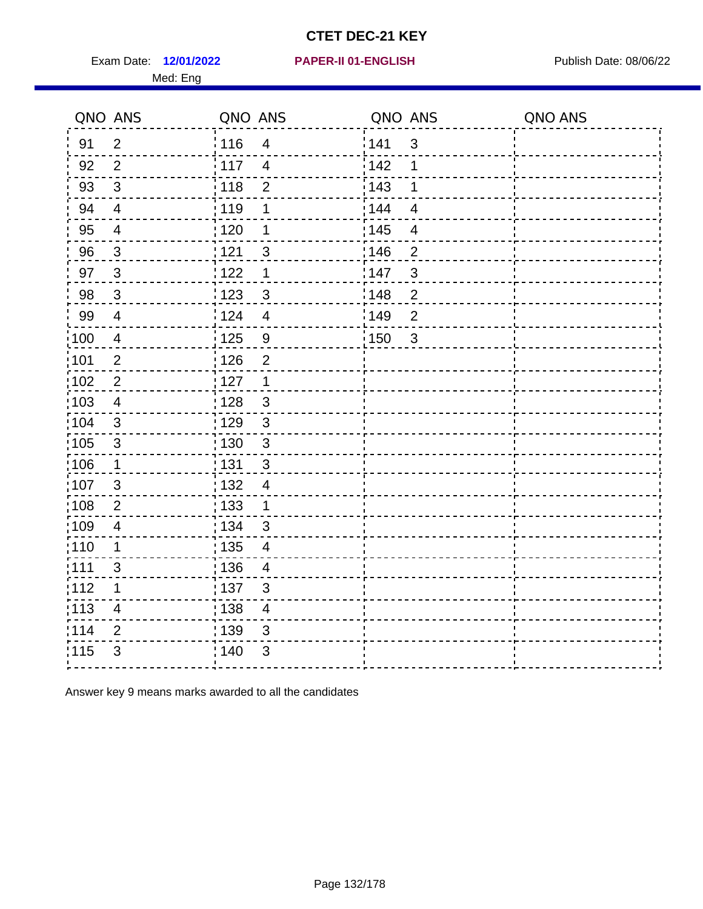Exam Date: 12/01/2022 **PAPER-II 01-ENGLISH** PUBLISH Publish Date: 08/06/22 Med: Eng

#### **12/01/2022 PAPER-II 01-ENGLISH**

|                   | QNO ANS                  | QNO ANS           |                         | QNO ANS           |                         | QNO ANS |
|-------------------|--------------------------|-------------------|-------------------------|-------------------|-------------------------|---------|
| 91                | $\overline{2}$           | 116               | $\overline{\mathbf{4}}$ | 141               | $\mathbf{3}$            |         |
| 92                | $\overline{2}$           | : 117             | $\overline{4}$          | 142               | 1                       |         |
| 93                | $\mathbf{3}$             | 118               | $\overline{2}$          | 143               | 1                       |         |
| 94                | $\overline{4}$           | : 119             | $\mathbf 1$             | 144               | $\overline{4}$          |         |
| 95                | $\overline{\mathcal{A}}$ | $\frac{1}{1}$ 120 | $\mathbf 1$             | $\frac{1}{1}$ 145 | $\overline{\mathbf{4}}$ |         |
| 96                | 3                        | 121               | 3                       | 146               | $\overline{2}$          |         |
| 97                | $\mathbf{3}$             | 122               | $\mathbf 1$             | 147               | $\mathfrak{S}$          |         |
| 98                | $\mathbf{3}$             | ¦ 123             | $\mathfrak{S}$          | 148               | $\overline{c}$          |         |
| 99                | $\overline{4}$           | 124               | $\overline{4}$          | 149               | $\overline{2}$          |         |
| $\frac{1}{1}$ 100 | $\overline{4}$           | 125               | 9                       | 150               | $\mathbf{3}$            |         |
| :101              | $\overline{2}$           | : 126             | $\overline{2}$          |                   |                         |         |
| $\frac{1}{1}$ 102 | $\sqrt{2}$               | : 127             | $\overline{1}$          |                   |                         |         |
| 103               | 4                        | : 128             | $\mathbf{3}$            |                   |                         |         |
| :104              | 3                        | :129              | 3                       |                   |                         |         |
| $\frac{1}{1}$ 105 | $\mathfrak{S}$           | : 130             | $\mathfrak{3}$          |                   |                         |         |
| 106               | $\mathbf 1$              | : 131             | 3                       |                   |                         |         |
| 107               | 3                        | : 132             | $\overline{4}$          |                   |                         |         |
| 108               | $\overline{2}$           | : 133             | $\mathbf 1$             |                   |                         |         |
| :109              | $\overline{\mathbf{4}}$  | : 134             | $\mathfrak{S}$          |                   |                         |         |
| :110              | $\mathbf 1$              | $\frac{1}{1}$ 135 | $\overline{4}$          |                   |                         |         |
| : 111             | 3                        | : 136             | $\overline{4}$          |                   |                         |         |
| 112               | 1                        | :137              | 3                       |                   |                         |         |
| : 113             | 4                        | : 138             | $\overline{4}$          |                   |                         |         |
| 114               | $\mathbf{2}$             | : 139             | $\mathfrak{B}$          |                   |                         |         |
| 115               | 3                        | 140               | 3                       |                   |                         |         |
|                   |                          |                   |                         |                   |                         |         |

Answer key 9 means marks awarded to all the candidates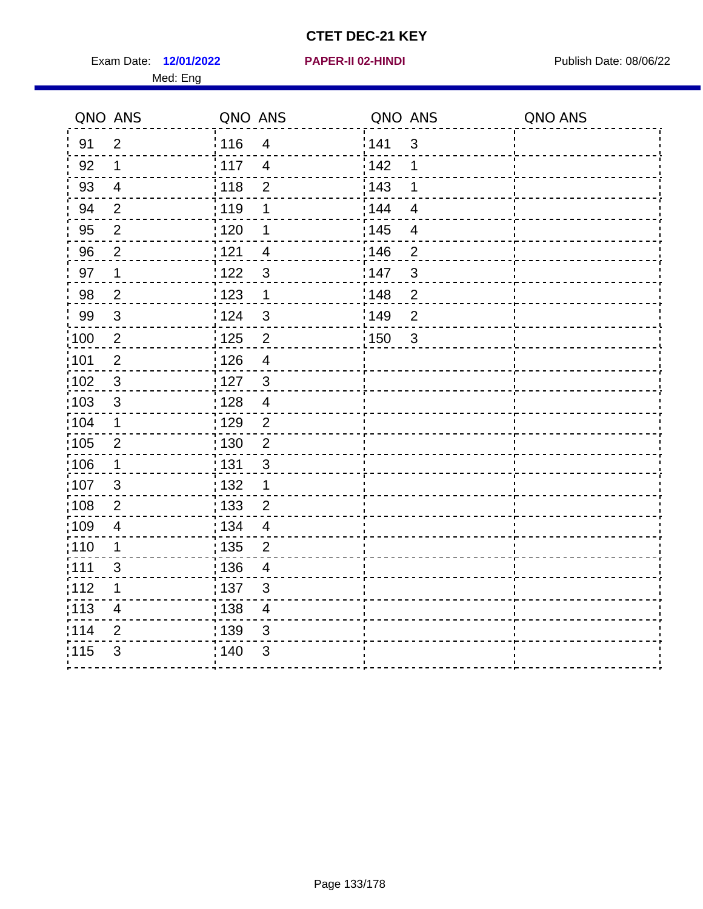Exam Date: 12/01/2022 **PAPER-II 02-HINDI Exam Date: 08/06/22** Med: Eng

#### **12/01/2022 PAPER-II 02-HINDI**

|                   | QNO ANS        | QNO ANS         |                          | QNO ANS |                | QNO ANS |
|-------------------|----------------|-----------------|--------------------------|---------|----------------|---------|
| 91                | $\overline{2}$ | : 116           | $\overline{4}$           | 141     | 3              |         |
| 92                | $\mathbf 1$    | $\frac{1}{117}$ | $\overline{4}$           | 142     | 1              |         |
| 93                | $\overline{4}$ | 118             | $\overline{2}$           | 143     | 1              |         |
| 94                | $\overline{2}$ | 119             | 1                        | 144     | $\overline{4}$ |         |
| 95                | $\overline{2}$ | :120            | 1                        | : 145   | $\overline{4}$ |         |
| 96                | $\overline{2}$ | 121             | $\overline{4}$           | 146     | $\overline{2}$ |         |
| 97                | 1              | 122             | $\mathbf{3}$             | 147     | $\mathbf{3}$   |         |
| 98                | $\overline{2}$ | 123             | $\mathbf 1$              | 148     | $\overline{2}$ |         |
| 99                | $\mathbf{3}$   | :124            | $\mathbf{3}$             | 149     | $\overline{2}$ |         |
| $\frac{1}{100}$   | $\overline{2}$ | : 125           | $\overline{c}$           | : 150   | 3              |         |
| :101              | $\overline{2}$ | : 126           | $\overline{4}$           |         |                |         |
| 102               | $\mathsf 3$    | : 127           | $\mathbf{3}$             |         |                |         |
| 103               | $\mathfrak{S}$ | : 128           | $\overline{\mathcal{A}}$ |         |                |         |
| :104              | 1              | :129            | 2                        |         |                |         |
| 105               | $\overline{2}$ | 130             | $\overline{2}$           |         |                |         |
| $\frac{1}{1}$ 106 | $\mathbf 1$    | : 131           | $\mathbf{3}$             |         |                |         |
| 107               | 3              | : 132           | $\mathbf 1$              |         |                |         |
| 108               | $\overline{2}$ | : 133           | $\overline{2}$           |         |                |         |
| 109               | 4              | : 134           | $\overline{4}$           |         |                |         |
| : 110             | $\mathbf 1$    | : 135           | $\overline{2}$           |         |                |         |
| :111              | 3              | : 136           | 4                        |         |                |         |
| :112              | 1              | :137            | 3                        |         |                |         |
| :113              | $\overline{4}$ | : 138           | $\overline{\mathcal{A}}$ |         |                |         |
| 114               | $\mathbf 2$    | : 139           | $\mathbf{3}$             |         |                |         |
| 115               | $\mathfrak{B}$ | : 140           | 3                        |         |                |         |
|                   |                |                 |                          |         |                |         |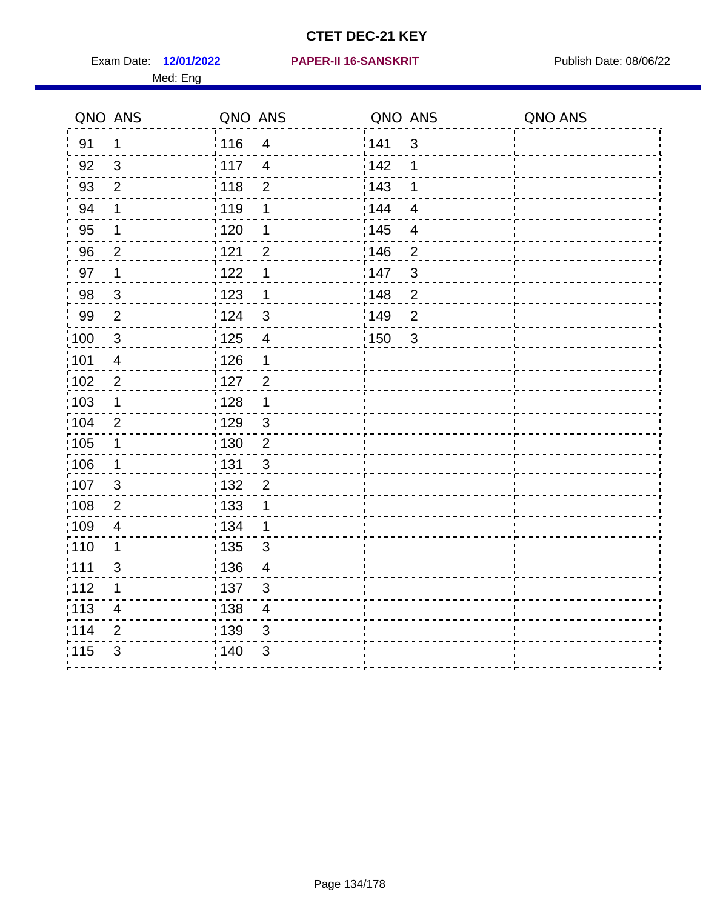Med: Eng

|                   | QNO ANS                 | QNO ANS           |                          | QNO ANS           |                          | QNO ANS |
|-------------------|-------------------------|-------------------|--------------------------|-------------------|--------------------------|---------|
| 91                | 1                       | : 116             | $\overline{4}$           | 141               | $\mathbf{3}$             |         |
| 92                | $\mathbf{3}$            | 117               | $\overline{4}$           | 142               | 1                        |         |
| 93                | $\overline{2}$          | 118               | $\mathbf 2$              | 143               | 1                        |         |
| 94                | 1                       | : 119             | 1                        | : 144             | $\overline{4}$           |         |
| 95                | 1                       | $\frac{1}{1}$ 120 | 1                        | : 145             | $\overline{\mathcal{A}}$ |         |
| 96                | $\overline{2}$          | : 121             | $\overline{2}$           | 146               | $\overline{2}$           |         |
| 97                | 1                       | 122               | 1                        | 147               | $\mathsf 3$              |         |
| 98                | $\mathbf{3}$            | : 123             | 1                        | 148               | $\overline{2}$           |         |
| 99                | $\mathbf{2}$            | : 124             | $\mathfrak{S}$           | 149               | $\overline{2}$           |         |
| $\frac{1}{1}$ 100 | $\sqrt{3}$              | $\frac{1}{1}$ 125 | $\overline{\mathbf{4}}$  | $\frac{1}{1}$ 150 | 3                        |         |
| :101              | $\overline{4}$          | : 126             | 1                        |                   |                          |         |
| 102               | $\overline{2}$          | 127               | $\overline{2}$           |                   |                          |         |
| 103               | $\mathbf 1$             | : 128             | $\mathbf 1$              |                   |                          |         |
| 104               | 2                       | : 129             | $\mathbf{3}$             |                   |                          |         |
| :105              | $\mathbf 1$             | $\frac{1}{1}$ 130 | $\boldsymbol{2}$         |                   |                          |         |
| :106              | $\mathbf 1$             | : 131             | 3                        |                   |                          |         |
| 107               | 3                       | : 132             | $\overline{2}$           |                   |                          |         |
| 108               | $\overline{2}$          | 133               | 1                        |                   |                          |         |
| :109              | $\overline{4}$          | : 134             | $\mathbf 1$              |                   |                          |         |
| :110              | 1                       | : 135             | $\mathbf{3}$             |                   |                          |         |
| :111              | 3                       | 136               | $\overline{\mathcal{A}}$ |                   |                          |         |
| 112               | 1                       | : 137             | $\sqrt{3}$               |                   |                          |         |
| : 113             | $\overline{\mathbf{4}}$ | : 138             | $\overline{\mathcal{A}}$ |                   |                          |         |
| 114               | $\overline{2}$          | :139              | 3                        |                   |                          |         |
| 115               | 3                       | 140               | 3                        |                   |                          |         |
|                   |                         |                   |                          |                   |                          |         |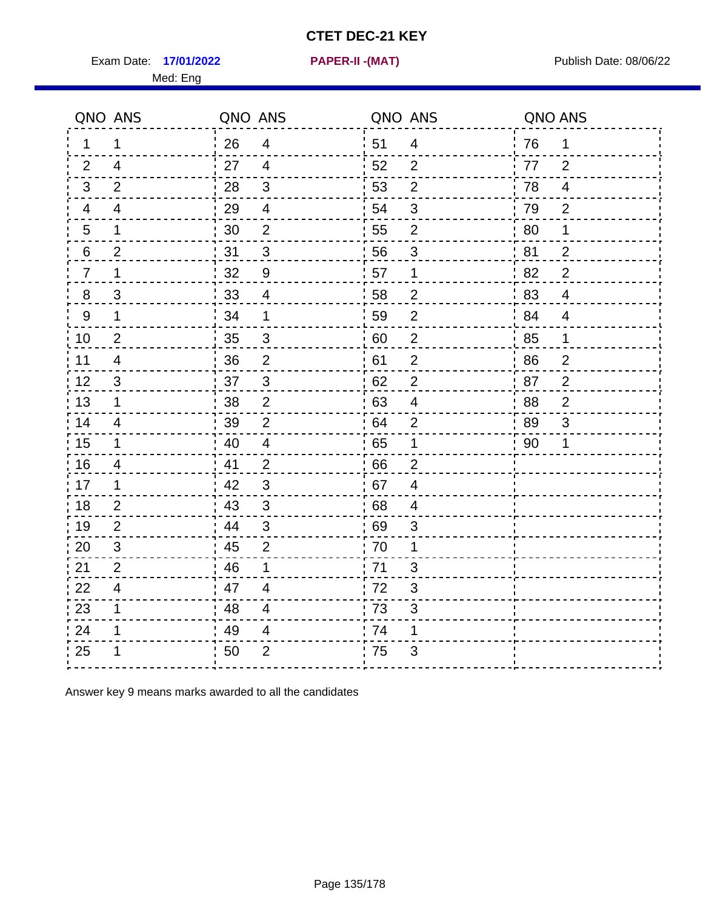Exam Date: 17/01/2022 **PAPER-II - (MAT)** Publish Date: 08/06/22

Med: Eng

**17/01/2022 PAPER-II -(MAT)**

|    | QNO ANS                  | QNO ANS |                         | QNO ANS |                  | QNO ANS |                |
|----|--------------------------|---------|-------------------------|---------|------------------|---------|----------------|
| 1  | 1                        | 26      | $\overline{4}$          | 51      | $\overline{4}$   | 76      | 1              |
| 2  | $\overline{4}$           | 27      | $\overline{4}$          | 52      | $\overline{2}$   | 77      | $\overline{2}$ |
| 3  | 2                        | 28      | $\sqrt{3}$              | 53      | $\mathbf 2$      | 78      | $\overline{4}$ |
| 4  | 4                        | 29      | $\overline{4}$          | 54      | 3                | 79      | $\overline{2}$ |
| 5  | 1                        | 30      | $\overline{2}$          | 55      | $\overline{2}$   | 80      | 1              |
| 6  | $\overline{2}$           | 31      | 3                       | 56      | 3                | 81      | $\overline{2}$ |
| 7  | 1                        | 32      | 9                       | 57      | 1                | 82      | $\overline{2}$ |
| 8  | 3                        | 33      | $\overline{4}$          | 58      | $\overline{2}$   | 83      | $\overline{4}$ |
| 9  | 1                        | 34      | 1                       | 59      | $\mathbf 2$      | 84      | $\overline{4}$ |
| 10 | $\overline{2}$           | 35      | $\mathfrak{S}$          | 60      | $\boldsymbol{2}$ | 85      | 1              |
| 11 | $\overline{\mathcal{A}}$ | 36      | $\overline{2}$          | 61      | $\overline{2}$   | 86      | $\overline{c}$ |
| 12 | $\sqrt{3}$               | 37      | 3                       | 62      | $\overline{2}$   | 87      | $\overline{2}$ |
| 13 | 1                        | 38      | 2                       | 63      | 4                | 88      | $\overline{2}$ |
| 14 | 4                        | 39      | $\overline{2}$          | 64      | 2                | 89      | 3              |
| 15 | $\mathbf 1$              | 40      | $\overline{4}$          | 65      | $\mathbf 1$      | '90     | 1              |
| 16 | $\overline{4}$           | 41      | $\overline{2}$          | .66     | $\overline{2}$   |         |                |
| 17 | 1                        | 42      | 3                       | .67     | $\overline{4}$   |         |                |
| 18 | 2                        | 43      | $\mathbf{3}$            | 68      | 4                |         |                |
| 19 | 2                        | 44      | $\sqrt{3}$              | 69      | 3                |         |                |
| 20 | 3                        | 45      | $\overline{2}$          | 70      | 1                |         |                |
| 21 | 2                        | 46      | 1                       | .71     | 3                |         |                |
| 22 | $\overline{4}$           | 47      | $\overline{4}$          | 72      | $\mathfrak{B}$   |         |                |
| 23 | 1                        | 48      | $\overline{\mathbf{4}}$ | 73      | 3                |         |                |
| 24 | 1                        | 49      | 4                       | 74      | 1                |         |                |
| 25 |                          | 50      | $\overline{2}$          | 75      | 3                |         |                |

Answer key 9 means marks awarded to all the candidates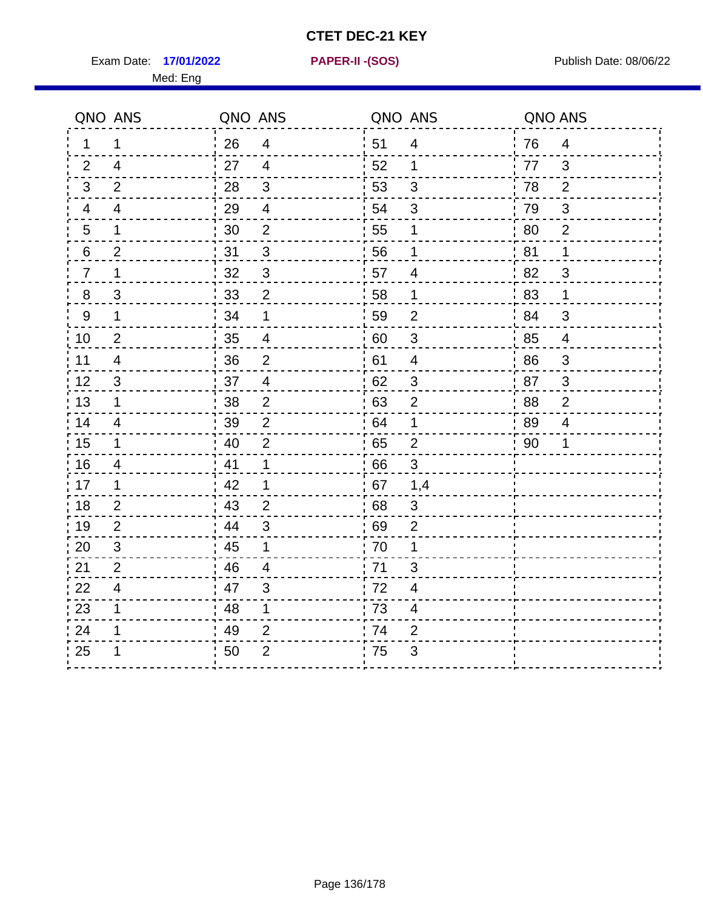Exam Date: 17/01/2022 **PAPER-II-(SOS)** Presset Material Publish Date: 08/06/22

Med: Eng

**17/01/2022 PAPER-II -(SOS)**

|                  | QNO ANS        | QNO ANS |                         | QNO ANS          |                           | QNO ANS |                |
|------------------|----------------|---------|-------------------------|------------------|---------------------------|---------|----------------|
| 1                | 1              | 26      | $\overline{4}$          | ¦ 51             | $\overline{4}$            | 76      | $\overline{4}$ |
| 2                | $\overline{4}$ | 27      | $\overline{4}$          | 52               | 1                         | 77      | 3              |
| 3                | $\overline{2}$ | 28      | 3                       | 53               | $\mathfrak{B}$            | 78      | $\overline{2}$ |
| 4                | $\overline{4}$ | 29      | $\overline{\mathbf{4}}$ | 54               | 3                         | 79      | $\sqrt{3}$     |
| 5                | 1              | 30      | $\mathbf 2$             | 55               | 1                         | 80      | $\overline{2}$ |
| 6                | $\overline{2}$ | 31      | 3                       | 56               | 1                         | 81      | 1              |
| $\overline{7}$   | 1              | 32      | $\mathfrak{S}$          | 57               | 4                         | 82      | 3              |
| $\bf 8$          | 3              | 33      | $\overline{2}$          | 58               | $\mathbf{1}$              | 83      | $\mathbf 1$    |
| $\boldsymbol{9}$ | 1              | 34      | $\mathbf 1$             | 59               | $\mathbf{2}$              | 84      | 3              |
| 10               | $\overline{2}$ | 35      | $\overline{4}$          | 60               | $\ensuremath{\mathsf{3}}$ | 85      | $\overline{4}$ |
| 11               | $\overline{4}$ | 36      | $\overline{2}$          | 61               | $\overline{4}$            | 86      | $\sqrt{3}$     |
| 12               | 3              | 37      | $\overline{4}$          | 62               | $\mathfrak{B}$            | 87      | $\mathbf{3}$   |
| 13               | 1              | 38      | $\overline{2}$          | 63               | $\overline{2}$            | 88      | $\overline{2}$ |
| 14               | 4              | 39      | $\overline{2}$          | 64               | 1                         | 89      | $\overline{4}$ |
| 15               | 1              | 40      | $\overline{2}$          | 65               | $\overline{2}$            | 90      | 1              |
| 16               | $\overline{4}$ | 41      | 1                       | 66               | 3                         |         |                |
| 17               | 1              | 42      | 1                       | 67               | 1,4                       |         |                |
| 18               | $\overline{2}$ | 43      | $\overline{2}$          | 68               | $\mathfrak{S}$            |         |                |
| 19               | 2              | 44      | 3                       | 69               | $\overline{2}$            |         |                |
| 20               | 3              | 45      | 1                       | 70               | 1                         |         |                |
| 21               | $\overline{2}$ | 46      | 4                       | 71               | 3                         |         |                |
| 22               | $\overline{4}$ | 47      | 3                       | $\frac{1}{1}$ 72 | $\overline{\mathcal{A}}$  |         |                |
| 23               | 1              | 48      | 1                       | 73               | $\overline{\mathcal{A}}$  |         |                |
| 24               | 1              | 49      | $\overline{2}$          | 74               | $\overline{2}$            |         |                |
| 25               | 1              | 50      | $\overline{2}$          | 75               | 3                         |         |                |
|                  |                |         |                         |                  |                           |         |                |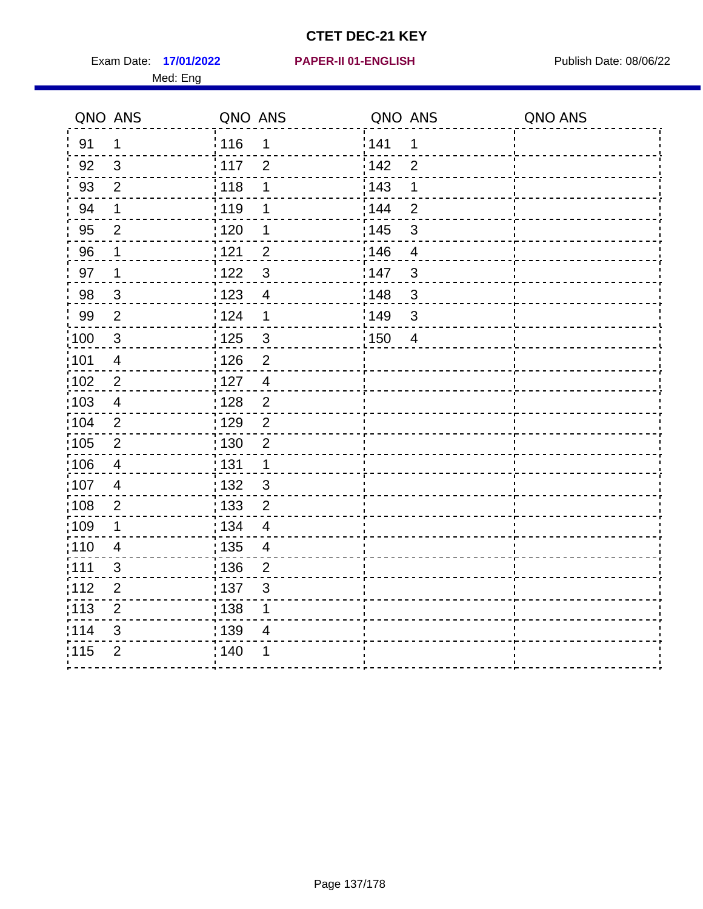Exam Date: 17/01/2022 **PAPER-II 01-ENGLISH Exam Date: 08/06/22** Med: Eng

#### **17/01/2022 PAPER-II 01-ENGLISH**

|                 | QNO ANS                  | QNO ANS           |                          | QNO ANS           |                | QNO ANS |
|-----------------|--------------------------|-------------------|--------------------------|-------------------|----------------|---------|
| 91              | 1                        | 116               | 1                        | 141               | 1              |         |
| 92              | $\mathbf{3}$             | $\frac{1}{2}$ 117 | $\overline{2}$           | 142               | $\overline{2}$ |         |
| 93              | $\overline{2}$           | 118               | 1                        | 143               | 1              |         |
| 94              | $\mathbf 1$              | : 119             | 1                        | : 144             | $\overline{2}$ |         |
| 95              | $\overline{2}$           | : 120             | 1                        | : 145             | 3              |         |
| 96              | 1                        | 121               | $\overline{2}$           | 146               | $\overline{4}$ |         |
| 97              | $\mathbf 1$              | 122               | $\mathbf{3}$             | 147               | 3              |         |
| 98              | $\mathbf{3}$             | ¦ 123             | $\overline{4}$           | 148               | 3              |         |
| 99              | $\overline{2}$           | 124               | 1                        | 149               | 3              |         |
| 100             | $\mathbf 3$              | $\frac{1}{1}$ 125 | $\mathbf{3}$             | $\frac{1}{1}$ 150 | $\overline{4}$ |         |
| :101            | $\overline{\mathcal{A}}$ | 126               | $\overline{2}$           |                   |                |         |
| 102             | $\overline{2}$           | : 127             | $\overline{4}$           |                   |                |         |
| 103             | $\overline{4}$           | : 128             | $\overline{2}$           |                   |                |         |
| $\frac{1}{104}$ | $\overline{2}$           | $\frac{1}{1}$ 129 | $\overline{2}$           |                   |                |         |
| 105             | $\overline{2}$           | 130               | $\overline{2}$           |                   |                |         |
| 106             | $\overline{4}$           | : 131             | $\mathbf 1$              |                   |                |         |
| ;107            | $\overline{4}$           | 132               | $\mathfrak{S}$           |                   |                |         |
| 108             | $\mathbf{2}$             | : 133             | $\overline{2}$           |                   |                |         |
| :109            | $\mathbf 1$              | : 134             | $\overline{4}$           |                   |                |         |
| :110            | $\overline{4}$           | : 135             | $\overline{\mathcal{A}}$ |                   |                |         |
| :111            | 3                        | 136               | $\overline{2}$           |                   |                |         |
| 112             | $\mathbf{2}$             | 137               | $\mathfrak{S}$           |                   |                |         |
| 113             | $\mathbf 2$              | : 138             | 1                        |                   |                |         |
| 114             | 3                        | 139               | 4                        |                   |                |         |
| 115             | $\overline{2}$           | 140               | 1                        |                   |                |         |
|                 |                          |                   |                          |                   |                |         |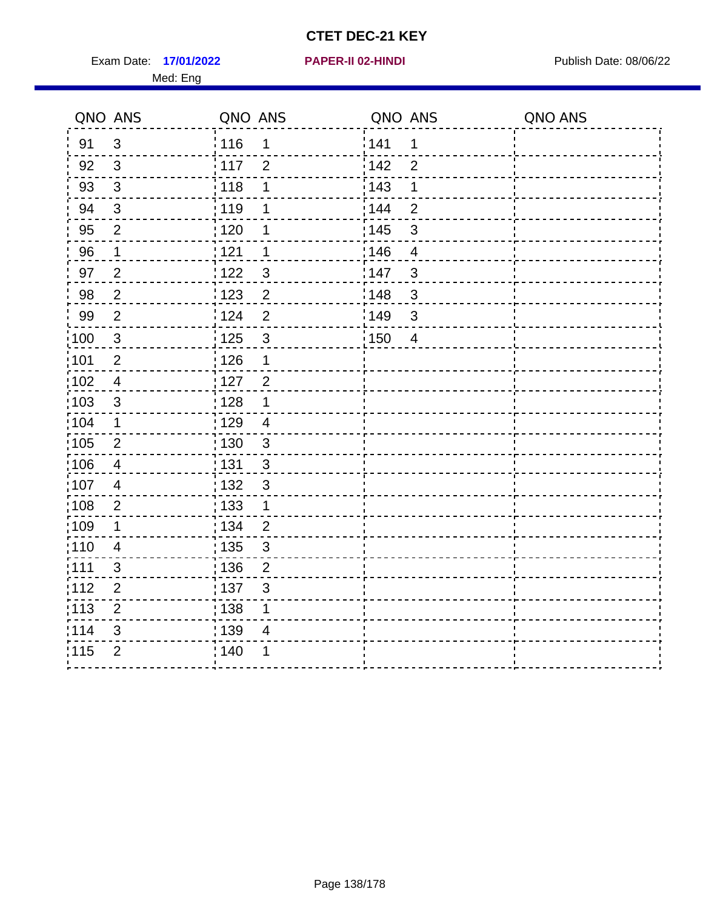Exam Date: 17/01/2022 **PAPER-II 02-HINDI Exam Date: 08/06/22** Med: Eng

#### **17/01/2022 PAPER-II 02-HINDI**

|                   | QNO ANS                 | QNO ANS           |                | QNO ANS |                | QNO ANS |
|-------------------|-------------------------|-------------------|----------------|---------|----------------|---------|
| 91                | $\mathfrak{S}$          | : 116             | 1              | 141     | 1              |         |
| 92                | 3                       | 117               | $\overline{2}$ | 142     | $\overline{2}$ |         |
| 93                | $\mathfrak{S}$          | 118               | 1              | 143     | $\mathbf 1$    |         |
| 94                | $\sqrt{3}$              | : 119             | 1              | 144     | $\overline{2}$ |         |
| 95                | $\overline{2}$          | : 120             | 1              | : 145   | $\mathfrak{S}$ |         |
| 96                | $\mathbf 1$             | 1121              | 1              | 146     | $\overline{4}$ |         |
| 97                | $\overline{2}$          | 1122              | $\mathbf{3}$   | 147     | 3              |         |
| 98                | $\overline{2}$          | 1123              | $\overline{2}$ | 148     | 3              |         |
| 99                | $\overline{2}$          | 124               | $\overline{2}$ | 149     | 3              |         |
| $\frac{1}{100}$   | $\mathbf{3}$            | : 125             | 3              | : 150   | 4              |         |
| :101              | $\overline{2}$          | : 126             | 1              |         |                |         |
| $\frac{1}{1}$ 102 | $\overline{4}$          | $\frac{1}{1}$ 127 | $\overline{2}$ |         |                |         |
| 103               | 3                       | : 128             | 1              |         |                |         |
| :104              | $\mathbf 1$             | : 129             | $\overline{4}$ |         |                |         |
| 105               | $\overline{2}$          | : 130             | $\mathbf{3}$   |         |                |         |
| $\frac{1}{1}$ 106 | $\overline{\mathbf{4}}$ | : 131             | $\mathfrak{3}$ |         |                |         |
| 107               | $\overline{4}$          | 132               | 3              |         |                |         |
| 108               | $\overline{2}$          | : 133             | $\mathbf 1$    |         |                |         |
| $\frac{1}{1}$ 109 | $\mathbf 1$             | : 134             | $\overline{2}$ |         |                |         |
| : 110             | $\overline{\mathbf{4}}$ | 135               | $\mathfrak{S}$ |         |                |         |
| :111              | 3                       | : 136             | 2              |         |                |         |
| 112               | $\overline{2}$          | : 137             | $\mathbf{3}$   |         |                |         |
| :113              | $\mathbf{2}$            | : 138             | $\mathbf 1$    |         |                |         |
| 114               | 3                       | 139               | 4              |         |                |         |
| 115               | $\overline{2}$          | : 140             |                |         |                |         |
|                   |                         |                   |                |         |                |         |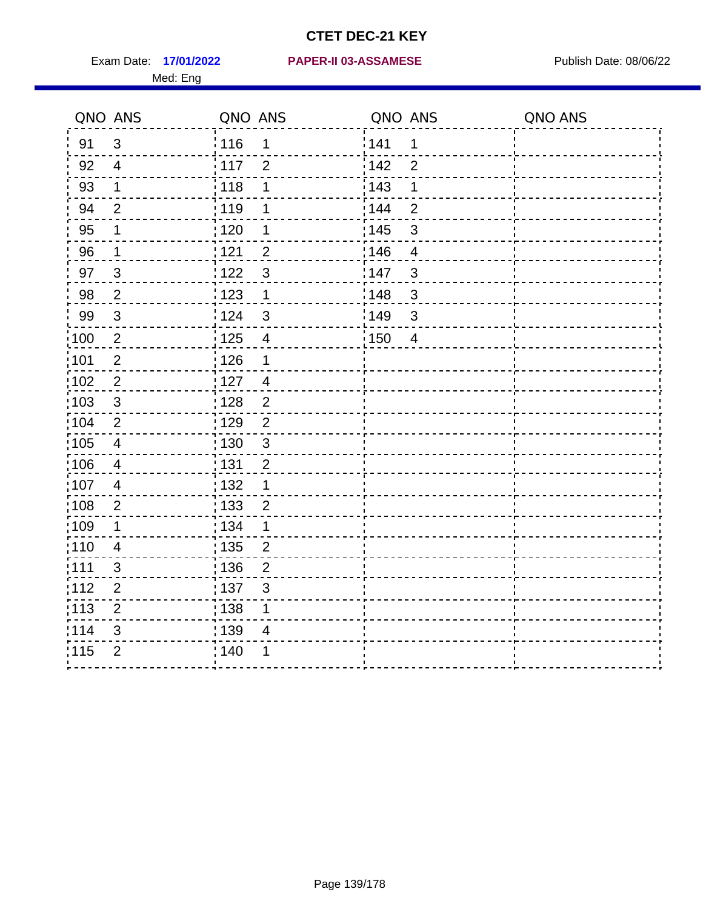Med: Eng

#### **17/01/2022 PAPER-II 03-ASSAMESE** Exam Date: Publish Date: 08/06/22

|                   | QNO ANS        | QNO ANS |                         | QNO ANS |                | QNO ANS |
|-------------------|----------------|---------|-------------------------|---------|----------------|---------|
| 91                | $\mathbf{3}$   | 116     | 1                       | 141     | 1              |         |
| 92                | $\overline{4}$ | 117     | $\overline{2}$          | 142     | $\overline{2}$ |         |
| 93                | $\mathbf 1$    | 118     | 1                       | 143     | 1              |         |
| 94                | $\overline{2}$ | : 119   | 1                       | 144     | $\overline{2}$ |         |
| 95                | 1              | : 120   | 1                       | : 145   | $\sqrt{3}$     |         |
| 96                | 1              | 121     | $\overline{2}$          | 146     | $\overline{4}$ |         |
| 97                | $\mathbf{3}$   | 122     | $\mathbf{3}$            | 147     | $\mathfrak{S}$ |         |
| 98                | $\overline{2}$ | 123     | $\mathbf{1}$            | 148     | $\mathbf{3}$   |         |
| 99                | $\sqrt{3}$     | 124     | $\mathfrak{3}$          | 149     | $\sqrt{3}$     |         |
| 100               | $\sqrt{2}$     | 125     | $\overline{\mathbf{4}}$ | 150     | $\overline{4}$ |         |
| 101               | $\overline{2}$ | 126     | $\mathbf 1$             |         |                |         |
| 102               | $\overline{2}$ | 127     | $\overline{4}$          |         |                |         |
| 103               | 3              | : 128   | $\overline{2}$          |         |                |         |
| $\frac{1}{104}$   | 2              | : 129   | $\overline{2}$          |         |                |         |
| $\frac{1}{1}$ 105 | $\overline{4}$ | : 130   | $\mathsf 3$             |         |                |         |
| 106               | $\overline{4}$ | : 131   | $\overline{2}$          |         |                |         |
| 107               | $\overline{4}$ | : 132   | $\mathbf 1$             |         |                |         |
| 108               | $\sqrt{2}$     | : 133   | $\overline{2}$          |         |                |         |
| :109              | $\mathbf 1$    | : 134   | $\mathbf 1$             |         |                |         |
| :110              | 4              | 135     | $\overline{2}$          |         |                |         |
| : 111             | 3              | : 136   | $\overline{2}$          |         |                |         |
| 112               | $\overline{2}$ | : 137   | $\sqrt{3}$              |         |                |         |
| $\frac{1}{1}$ 113 | $\overline{2}$ | : 138   | 1                       |         |                |         |
| 114               | 3              | : 139   | 4                       |         |                |         |
| 115               | $\overline{2}$ | 140     | 1                       |         |                |         |
|                   |                |         |                         |         |                |         |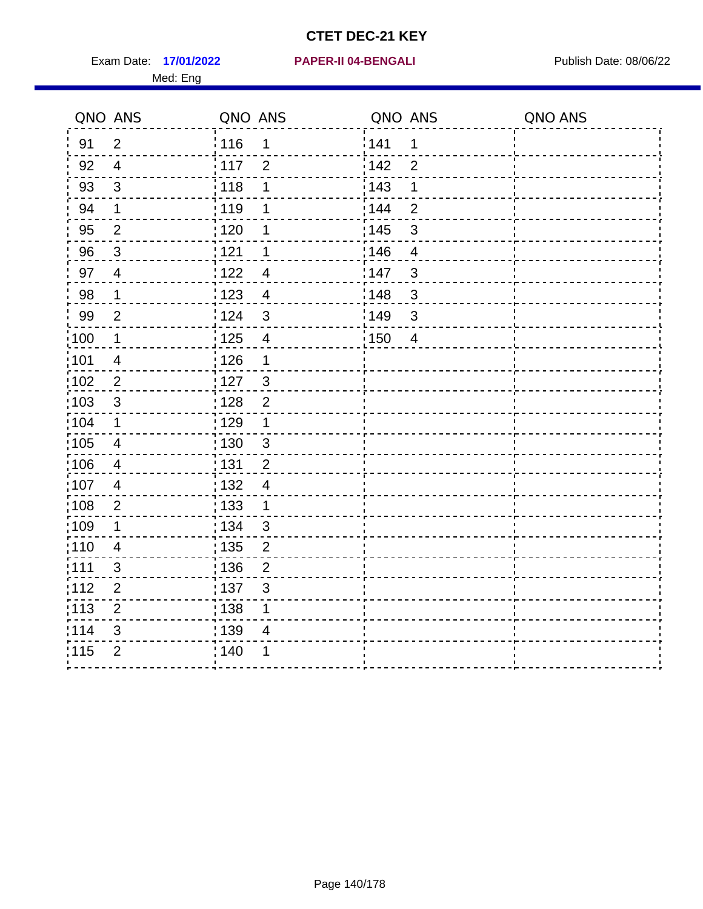Exam Date: 17/01/2022 **PAPER-II 04-BENGALI Exam Date: 08/06/22** Med: Eng

#### **17/01/2022 PAPER-II 04-BENGALI**

|                   | QNO ANS        | QNO ANS |                         | QNO ANS |                | QNO ANS |
|-------------------|----------------|---------|-------------------------|---------|----------------|---------|
| 91                | $\overline{2}$ | 116     | 1                       | 141     | 1              |         |
| 92                | $\overline{4}$ | 117     | $\overline{2}$          | 142     | $\overline{2}$ |         |
| 93                | $\sqrt{3}$     | 118     | 1                       | 143     | 1              |         |
| 94                | $\mathbf 1$    | 119     | 1                       | 144     | $\overline{2}$ |         |
| 95                | $\overline{2}$ | : 120   | 1                       | : 145   | $\mathfrak{S}$ |         |
| 96                | 3              | 121     | 1                       | 146     | 4              |         |
| 97                | $\overline{4}$ | 1122    | $\overline{4}$          | 147     | $\mathbf{3}$   |         |
| 98                | $\mathbf 1$    | 123     | $\overline{4}$          | 148     | $\mathbf{3}$   |         |
| 99                | $\overline{2}$ | 124     | $\sqrt{3}$              | 149     | $\mathsf 3$    |         |
| 100               | $\mathbf 1$    | 125     | $\overline{\mathbf{4}}$ | 150     | $\overline{4}$ |         |
| 101               | $\overline{4}$ | 126     | $\mathbf 1$             |         |                |         |
| $102$             | $\overline{2}$ | : 127   | $\mathbf{3}$            |         |                |         |
| 103               | $\mathbf{3}$   | 128     | $\overline{2}$          |         |                |         |
| $\frac{1}{1}$ 104 | $\mathbf 1$    | : 129   | $\mathbf 1$             |         |                |         |
| $\frac{1}{1}$ 105 | $\overline{4}$ | : 130   | $\mathfrak{S}$          |         |                |         |
| 106               | $\overline{4}$ | : 131   | $\overline{2}$          |         |                |         |
| 107               | $\overline{4}$ | : 132   | $\overline{4}$          |         |                |         |
| 108               | $\sqrt{2}$     | 133     | $\mathbf{1}$            |         |                |         |
| :109              | $\mathbf 1$    | : 134   | $\mathfrak{3}$          |         |                |         |
| :110              | $\overline{4}$ | : 135   | $\overline{2}$          |         |                |         |
| : 111             | $\mathfrak{S}$ | 136     | $\overline{2}$          |         |                |         |
| 112               | $\overline{2}$ | : 137   | $\sqrt{3}$              |         |                |         |
| $\frac{1}{1}$ 113 | $\overline{2}$ | 138     | 1                       |         |                |         |
| 114               | 3              | : 139   | 4                       |         |                |         |
| 115               | $\overline{2}$ | 140     | 1                       |         |                |         |
|                   |                |         |                         |         |                |         |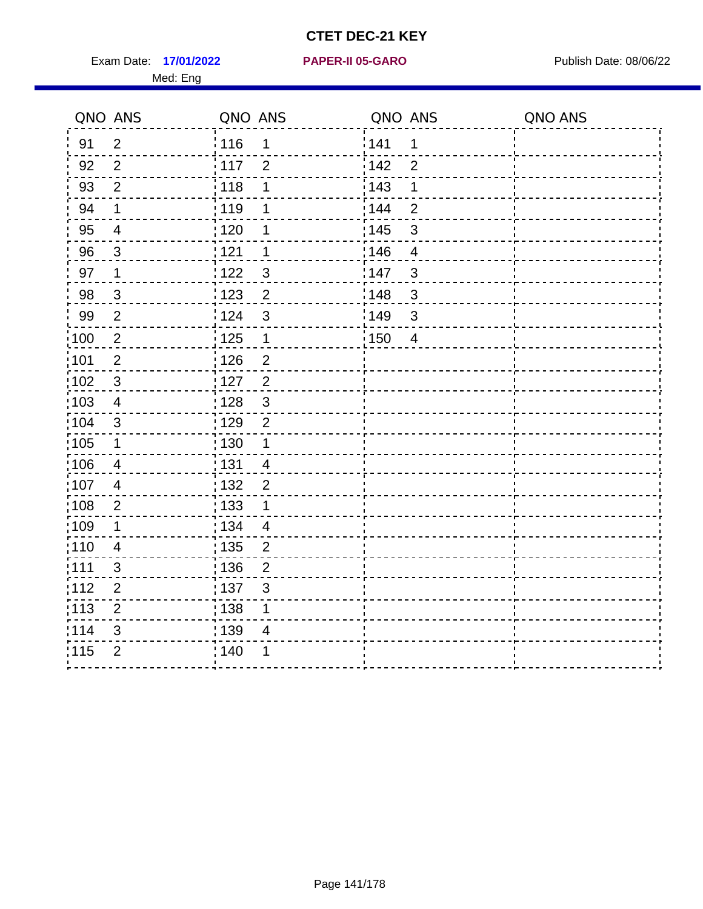Exam Date: 17/01/2022 **PAPER-II 05-GARO** Publish Date: 08/06/22 Med: Eng

#### **17/01/2022 PAPER-II 05-GARO**

| QNO ANS           |                | QNO ANS                             | QNO ANS                                        | QNO ANS |
|-------------------|----------------|-------------------------------------|------------------------------------------------|---------|
| 91                | $\overline{2}$ | : 116<br>1                          | <sup>'</sup> 141<br>$\mathbf 1$                |         |
| 92                | $\overline{2}$ | : 117<br>$\overline{2}$             | 142<br>$\overline{2}$                          |         |
| 93                | $\overline{2}$ | 118<br>1                            | 143<br>$\mathbf 1$                             |         |
| 94                | $\mathbf 1$    | :119<br>1                           | 144<br>$\overline{2}$                          |         |
| 95                | $\overline{4}$ | : 120<br>1                          | $\frac{1}{1}$ 145<br>$\ensuremath{\mathsf{3}}$ |         |
| 96                | $\mathbf{3}$   | 121<br>1                            | 146<br>4                                       |         |
| 97                | $\mathbf 1$    | :122<br>$\mathbf{3}$                | 147<br>3                                       |         |
| 98                | $\mathfrak{S}$ | $\frac{1}{2}$ 123<br>$\overline{2}$ | 148<br>3                                       |         |
| 99                | $\overline{2}$ | 124<br>$\mathbf{3}$                 | :149<br>$\mathbf{3}$                           |         |
| $\frac{1}{1}$ 100 | $\overline{2}$ | $\frac{1}{1}$ 125<br>$\mathbf 1$    | : 150<br>4                                     |         |
| 101               | $\mathbf 2$    | 126<br>$\overline{2}$               |                                                |         |
| 102               | $\mathbf{3}$   | 127<br>$\overline{2}$               |                                                |         |
| 103               | 4              | $\mathbf{3}$<br>: 128               |                                                |         |
| 104               | 3              | : 129<br>$\overline{2}$             |                                                |         |
| 105               | $\mathbf 1$    | : 130<br>$\mathbf 1$                |                                                |         |
| 106               | 4              | : 131<br>$\overline{4}$             |                                                |         |
| 107               | $\overline{4}$ | : 132<br>$\overline{2}$             |                                                |         |
| 108               | $\overline{2}$ | : 133<br>$\mathbf 1$                |                                                |         |
| 109               | 1              | : 134<br>$\overline{4}$             |                                                |         |
| :110              | 4              | : 135<br>$\overline{2}$             |                                                |         |
| 111               | 3              | : 136<br>$\overline{c}$             |                                                |         |
| 112               | $\overline{2}$ | $\frac{1}{1}$ 137<br>$\mathsf 3$    |                                                |         |
| : 113             | $\overline{2}$ | : 138<br>1                          |                                                |         |
| 114               | 3              | 139<br>4                            |                                                |         |
| 115               | $\overline{2}$ | 140<br>1                            |                                                |         |
|                   |                |                                     |                                                |         |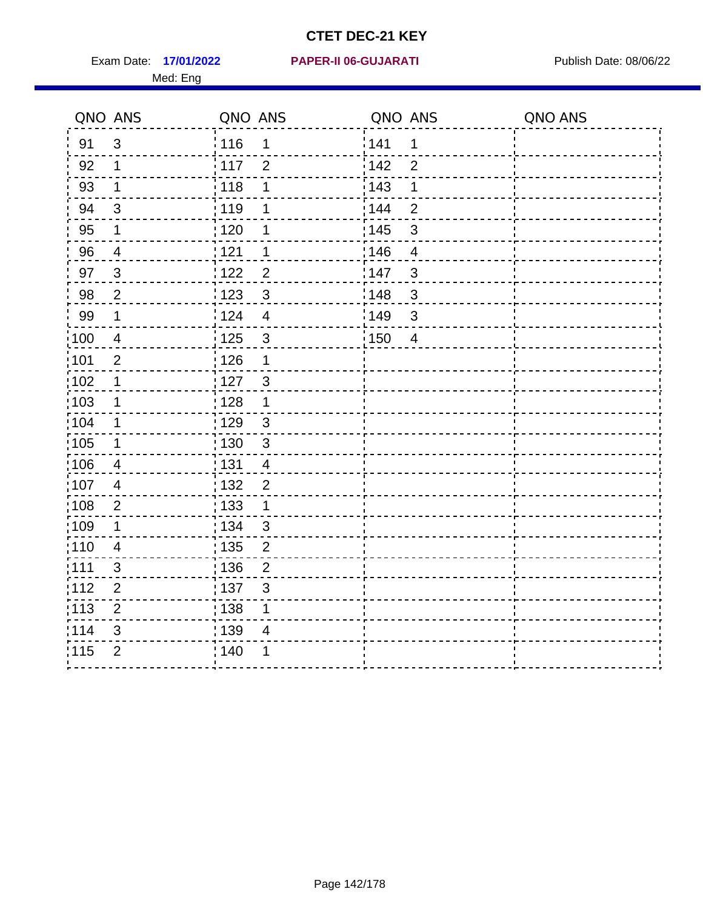Med: Eng

#### **17/01/2022 PAPER-II 06-GUJARATI** Exam Date: Publish Date: 08/06/22

|                   | QNO ANS                  | QNO ANS           |                         | QNO ANS           |                          | QNO ANS |
|-------------------|--------------------------|-------------------|-------------------------|-------------------|--------------------------|---------|
| 91                | $\mathbf{3}$             | ່ 116             | 1                       | 141               | 1                        |         |
| 92                | $\mathbf{1}$             | 117               | $\overline{2}$          | 142               | $\overline{2}$           |         |
| 93                | $\mathbf 1$              | 118               | 1                       | 143               | 1                        |         |
| 94                | $\sqrt{3}$               | : 119             | 1                       | : 144             | $\overline{2}$           |         |
| 95                | 1                        | 120               | 1                       | : 145             | 3                        |         |
| 96                | $\overline{4}$           | 121               | 1                       | 146               | $\overline{\mathcal{A}}$ |         |
| 97                | $\mathbf{3}$             | 122               | $\overline{2}$          | 147               | 3                        |         |
| 98                | $\overline{2}$           | 123               | $\mathfrak{S}$          | 148               | $\mathbf{3}$             |         |
| 99                | $\mathbf 1$              | 124               | $\overline{\mathbf{4}}$ | 149               | $\mathfrak{S}$           |         |
| $\frac{1}{1}$ 100 | $\overline{4}$           | $\frac{1}{1}$ 125 | $\mathfrak{S}$          | $\frac{1}{1}$ 150 | $\overline{4}$           |         |
| :101              | $\mathbf 2$              | : 126             | 1                       |                   |                          |         |
| 102               | $\mathbf 1$              | 127               | $\mathbf{3}$            |                   |                          |         |
| 103               | $\mathbf 1$              | : 128             | $\mathbf 1$             |                   |                          |         |
| 104               | $\mathbf{1}$             | : 129             | $\mathfrak{3}$          |                   |                          |         |
| 105               | $\mathbf 1$              | : 130             | $\mathfrak{S}$          |                   |                          |         |
| :106              | $\overline{4}$           | : 131             | $\overline{4}$          |                   |                          |         |
| 107               | $\overline{\mathcal{A}}$ | 132               | $\overline{2}$          |                   |                          |         |
| 108               | $\overline{2}$           | 133               | $\mathbf{1}$            |                   |                          |         |
| :109              | $\mathbf 1$              | : 134             | 3                       |                   |                          |         |
| 110               | $\overline{4}$           | 135               | $\overline{2}$          |                   |                          |         |
| 111               | 3                        | : 136             | $\overline{2}$          |                   |                          |         |
| 112               | $\overline{2}$           | 137               | $\mathfrak{B}$          |                   |                          |         |
| 113               | $\mathbf 2$              | 138               | 1                       |                   |                          |         |
| 114               | 3                        | 139               | 4                       |                   |                          |         |
| 115               | $\overline{2}$           | 140               | 1                       |                   |                          |         |
|                   |                          |                   |                         |                   |                          |         |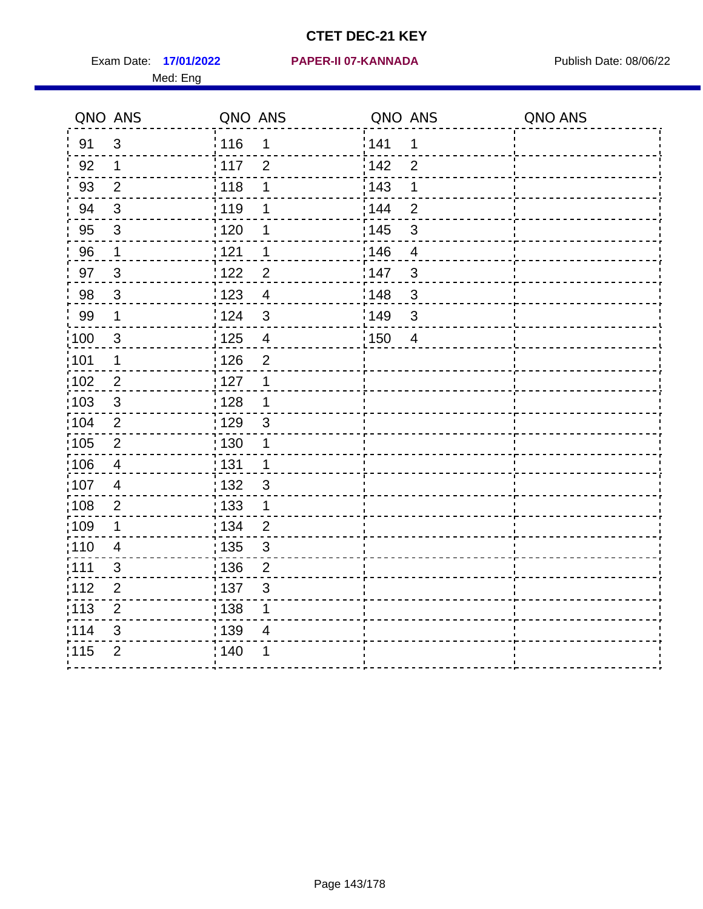Med: Eng

#### **17/01/2022 PAPER-II 07-KANNADA** Exam Date: Publish Date: 08/06/22

|                   | QNO ANS        | QNO ANS                                      | QNO ANS                             | QNO ANS |
|-------------------|----------------|----------------------------------------------|-------------------------------------|---------|
| 91                | $\mathfrak{S}$ | : 116<br>1                                   | 141<br>1                            |         |
| 92                | $\mathbf 1$    | 117<br>$\overline{2}$                        | 142<br>$\overline{2}$               |         |
| 93                | $\overline{2}$ | 118<br>1                                     | 143<br>$\mathbf 1$                  |         |
| 94                | $\mathfrak{S}$ | 119<br>1                                     | 144<br>$\overline{2}$               |         |
| 95                | $\sqrt{3}$     | $\frac{1}{1}$ 120<br>1                       | : 145<br>$\mathbf{3}$               |         |
| 96                | $\mathbf{1}$   | 1121<br>1                                    | 146<br>4                            |         |
| 97                | $\mathbf{3}$   | 122<br>$\overline{2}$                        | 147<br>$\mathfrak{S}$               |         |
| 98                | $\mathbf{3}$   | 123<br>$\overline{4}$                        | 148<br>$\mathbf{3}$                 |         |
| 99                | $\mathbf 1$    | 124<br>$\mathfrak{S}$                        | :149<br>$\mathfrak{S}$              |         |
| $\frac{1}{1}$ 100 | $\mathfrak{3}$ | $\frac{1}{2}$ 125<br>$\overline{\mathbf{4}}$ | $\frac{1}{1}$ 150<br>$\overline{4}$ |         |
| :101              | $\mathbf{1}$   | $\frac{1}{2}$ 126<br>$\overline{2}$          |                                     |         |
| 102               | $\overline{2}$ | 127<br>1                                     |                                     |         |
| 103               | 3              | 128<br>$\mathbf{1}$                          |                                     |         |
| 104               | $\overline{2}$ | : 129<br>$\mathbf{3}$                        |                                     |         |
| 105               | $\sqrt{2}$     | $\frac{1}{1}$ 130<br>$\mathbf 1$             |                                     |         |
| :106              | 4              | : 131<br>$\mathbf 1$                         |                                     |         |
| :107              | $\overline{4}$ | : 132<br>3                                   |                                     |         |
| 108               | $\overline{2}$ | 133<br>$\mathbf{1}$                          |                                     |         |
| :109              | $\mathbf 1$    | : 134<br>$\overline{2}$                      |                                     |         |
| :110              | $\overline{4}$ | : 135<br>3                                   |                                     |         |
| 111               | $\mathfrak{S}$ | : 136<br>$\overline{2}$                      |                                     |         |
| 112               | $\overline{2}$ | 137<br>$\mathfrak{B}$                        |                                     |         |
| 113               | $\mathbf 2$    | 138<br>1                                     |                                     |         |
| 114               | 3              | 139<br>4                                     |                                     |         |
| 115               | $\overline{2}$ | 140<br>1                                     |                                     |         |
|                   |                |                                              |                                     |         |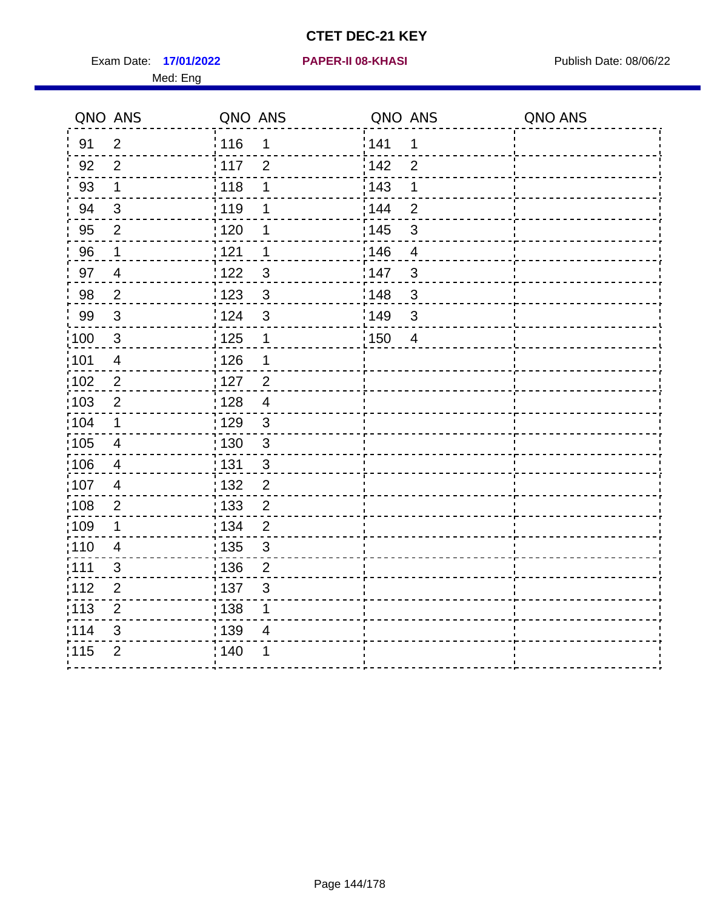Exam Date: 17/01/2022 **PAPER-II 08-KHASI** Publish Date: 08/06/22 Med: Eng

#### **17/01/2022 PAPER-II 08-KHASI**

|                   | QNO ANS                 | QNO ANS |                | QNO ANS           |                | QNO ANS |
|-------------------|-------------------------|---------|----------------|-------------------|----------------|---------|
| 91                | $\overline{2}$          | 116     | 1              | 141               | 1              |         |
| 92                | $\overline{2}$          | 117     | $\overline{2}$ | 142               | $\overline{2}$ |         |
| 93                | $\mathbf 1$             | 118     | 1              | 143               | 1              |         |
| 94                | $\mathfrak{B}$          | : 119   | 1              | 144               | $\overline{2}$ |         |
| 95                | $\overline{2}$          | : 120   | 1              | : 145             | $\sqrt{3}$     |         |
| 96                | 1                       | 121     | 1              | 146               | 4              |         |
| 97                | $\overline{4}$          | 1122    | $\mathbf{3}$   | 147               | $\sqrt{3}$     |         |
| 98                | $\overline{c}$          | 1123    | $\mathbf{3}$   | 148               | $\mathbf{3}$   |         |
| 99                | $\sqrt{3}$              | 124     | $\mathbf{3}$   | 149               | $\sqrt{3}$     |         |
| 100               | $\sqrt{3}$              | 125     | $\mathbf 1$    | $\frac{1}{1}$ 150 | $\overline{4}$ |         |
| 101               | $\overline{\mathbf{4}}$ | 126     | 1              |                   |                |         |
| 102               | $\overline{2}$          | : 127   | $\overline{2}$ |                   |                |         |
| :103              | $\overline{2}$          | : 128   | $\overline{4}$ |                   |                |         |
| 104               | $\mathbf 1$             | : 129   | $\mathbf{3}$   |                   |                |         |
| 105               | $\overline{\mathbf{4}}$ | : 130   | $\mathbf{3}$   |                   |                |         |
| 106               | $\overline{4}$          | : 131   | 3              |                   |                |         |
| :107              | $\overline{4}$          | : 132   | $\overline{2}$ |                   |                |         |
| $\frac{1}{1}$ 108 | $\mathbf{2}$            | 133     | $\overline{2}$ |                   |                |         |
| :109              | $\mathbf 1$             | : 134   | $\overline{2}$ |                   |                |         |
| :110              | 4                       | 135     | 3              |                   |                |         |
| 1111              | 3                       | : 136   | $\overline{2}$ |                   |                |         |
| 112               | $\overline{2}$          | : 137   | $\sqrt{3}$     |                   |                |         |
| $\frac{1}{1}$ 113 | $\overline{2}$          | : 138   | 1              |                   |                |         |
| 114               | 3                       | : 139   | 4              |                   |                |         |
| 115               | $\overline{2}$          | 140     | 1              |                   |                |         |
|                   |                         |         |                |                   |                |         |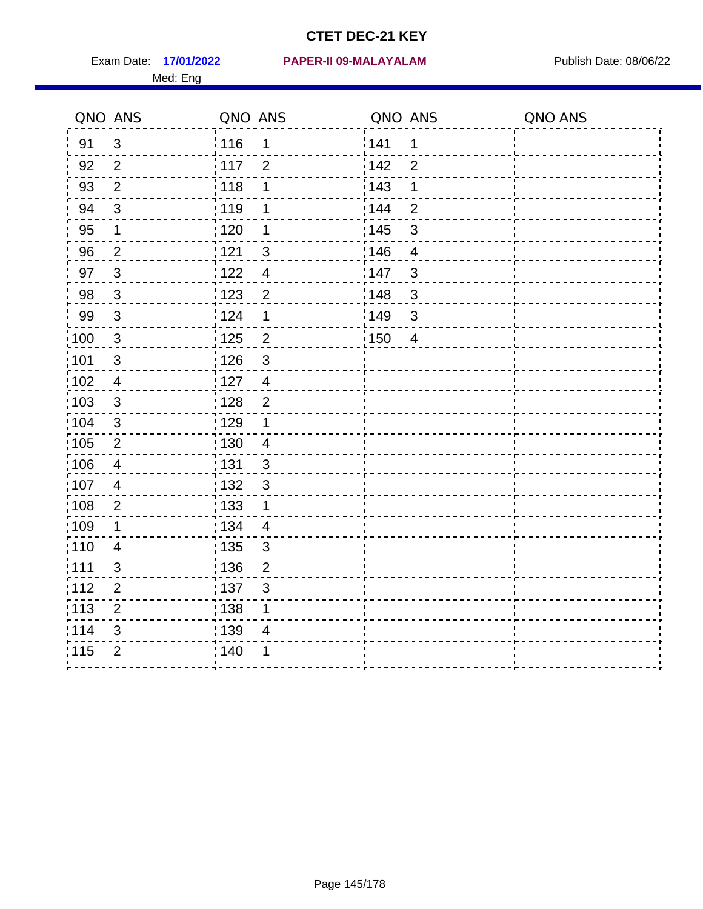Med: Eng

#### **17/01/2022 PAPER-II 09-MALAYALAM** Exam Date: Publish Date: 08/06/22

| QNO ANS |                          | QNO ANS |                          | QNO ANS |                          | QNO ANS |
|---------|--------------------------|---------|--------------------------|---------|--------------------------|---------|
| 91      | $\mathfrak{S}$           | 116     | 1                        | 141     | 1                        |         |
| 92      | $\overline{2}$           | 117     | $\overline{2}$           | 142     | $\overline{2}$           |         |
| 93      | $\overline{2}$           | 118     | 1                        | : 143   | 1                        |         |
| 94      | $\mathfrak{S}$           | 119     | 1                        | : 144   | $\overline{2}$           |         |
| 95      | 1                        | 120     | 1                        | : 145   | $\mathbf{3}$             |         |
| 96      | $\overline{2}$           | 121     | 3                        | 146     | $\overline{4}$           |         |
| 97      | $\mathbf{3}$             | 122     | $\overline{4}$           | 147     | $\overline{\mathbf{3}}$  |         |
| 98      | $\mathbf{3}$             | 123     | $\overline{2}$           | 148     | $\mathbf{3}$             |         |
| 99      | $\mathfrak{3}$           | 124     | $\mathbf 1$              | 149     | $\overline{\mathbf{3}}$  |         |
| 100     | $\mathbf{3}$             | 125     | $\overline{2}$           | 150     | $\overline{\mathcal{A}}$ |         |
| 101     | $\sqrt{3}$               | 126     | $\mathbf{3}$             |         |                          |         |
| 102     | $\overline{4}$           | 127     | $\overline{4}$           |         |                          |         |
| 103     | $\mathbf{3}$             | : 128   | $\overline{2}$           |         |                          |         |
| 104     | $\mathfrak{B}$           | 129     | 1                        |         |                          |         |
| 105     | $\overline{2}$           | 130     | $\overline{\mathbf{4}}$  |         |                          |         |
| 106     | $\overline{4}$           | 131     | 3                        |         |                          |         |
| 107     | $\overline{\mathcal{A}}$ | : 132   | 3                        |         |                          |         |
| 108     | $\overline{2}$           | 133     | $\mathbf 1$              |         |                          |         |
| 109     | 1                        | 134     | $\overline{\mathcal{A}}$ |         |                          |         |
| 110     | 4                        | 135     | $\mathfrak{S}$           |         |                          |         |
| 111     | 3                        | : 136   | $\overline{2}$           |         |                          |         |
| 112     | $\overline{2}$           | :137    | $\mathfrak{B}$           |         |                          |         |
| 113     | $\overline{2}$           | 138     | $\mathbf 1$              |         |                          |         |
| 114     | 3                        | 139     | $\overline{\mathcal{A}}$ |         |                          |         |
| 115     | $\overline{2}$           | : 140   | 1                        |         |                          |         |
|         |                          |         |                          |         |                          |         |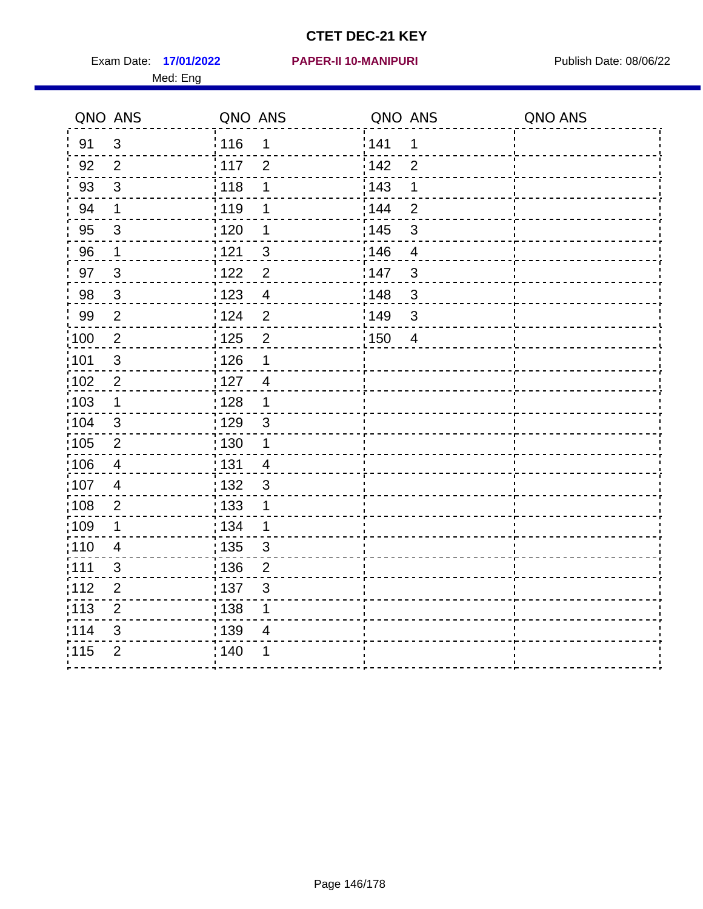Exam Date: 17/01/2022 PAPER-II 10-MANIPURI<br>
Publish Date: 08/06/22 Med: Eng

|                   | QNO ANS        | QNO ANS                             | QNO ANS                 | QNO ANS |
|-------------------|----------------|-------------------------------------|-------------------------|---------|
| 91                | $\mathfrak{S}$ | 116<br>1                            | 141<br>$\mathbf 1$      |         |
| 92                | $\overline{2}$ | $\frac{1}{2}$ 117<br>$\overline{2}$ | 142<br>$\overline{2}$   |         |
| 93                | $\mathfrak{S}$ | 118<br>1                            | 143<br>1                |         |
| 94                | 1              | : 119<br>1                          | : 144<br>$\overline{2}$ |         |
| 95                | 3              | : 120<br>1                          | : 145<br>3              |         |
| 96                | $\mathbf 1$    | 121<br>3                            | 146<br>$\overline{4}$   |         |
| 97                | $\mathbf{3}$   | $\overline{2}$<br>122               | 147<br>3                |         |
| 98                | $\mathbf{3}$   | 123<br>$\overline{4}$               | 148<br>$\mathbf{3}$     |         |
| 99                | $\overline{2}$ | 124<br>$\overline{2}$               | 149<br>3                |         |
| :100              | $\sqrt{2}$     | $\overline{c}$<br>$\frac{1}{1}$ 125 | 150<br>$\overline{4}$   |         |
| :101              | $\sqrt{3}$     | 126<br>1                            |                         |         |
| 102               | $\overline{2}$ | : 127<br>$\overline{4}$             |                         |         |
| 103               | $\mathbf 1$    | : 128<br>$\mathbf{1}$               |                         |         |
| 104               | $\mathbf{3}$   | : 129<br>$\mathbf{3}$               |                         |         |
| $\frac{1}{1}$ 105 | $\overline{2}$ | 130<br>$\mathbf{1}$                 |                         |         |
| :106              | $\overline{4}$ | : 131<br>$\overline{4}$             |                         |         |
| 107               | $\overline{4}$ | $\mathbf{3}$<br>132                 |                         |         |
| 108               | $\overline{2}$ | 133<br>1                            |                         |         |
| :109              | $\mathbf 1$    | : 134<br>$\mathbf 1$                |                         |         |
| :110              | $\overline{4}$ | 135<br>3                            |                         |         |
| : 111             | 3              | : 136<br>$\overline{2}$             |                         |         |
| 112               | $\mathbf 2$    | $\frac{1}{1}$ 137<br>$\mathfrak{S}$ |                         |         |
| 113               | $\overline{2}$ | : 138<br>1                          |                         |         |
| 114               | 3              | : 139<br>4                          |                         |         |
| 115               | $\overline{2}$ | 140<br>1                            |                         |         |
|                   |                |                                     |                         |         |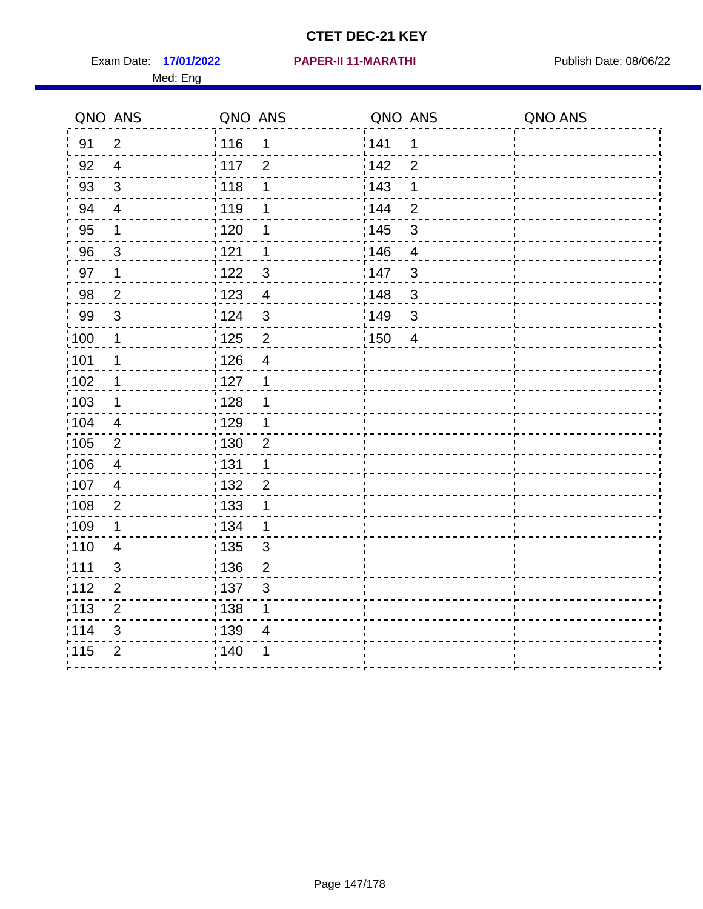Exam Date: 17/01/2022 PAPER-II 11-MARATHI Publish Date: 08/06/22 Med: Eng

**17/01/2022 PAPER-II 11-MARATHI**

|                   | QNO ANS        | QNO ANS                             | QNO ANS           |                | QNO ANS |
|-------------------|----------------|-------------------------------------|-------------------|----------------|---------|
| 91                | $\overline{2}$ | : 116<br>1                          | 141               | 1              |         |
| 92                | $\overline{4}$ | 117<br>$\overline{2}$               | 142               | $\overline{2}$ |         |
| 93                | $\sqrt{3}$     | 118<br>1                            | 143               | 1              |         |
| 94                | $\overline{4}$ | : 119<br>1                          | : 144             | $\overline{2}$ |         |
| 95                | 1              | $\frac{1}{1}$ 120<br>1              | : 145             | 3              |         |
| 96                | 3              | 121<br>1                            | 146               | 4              |         |
| 97                | 1              | 122<br>$\mathbf{3}$                 | 147               | 3              |         |
| 98                | $\overline{2}$ | $\frac{1}{2}$ 123<br>$\overline{4}$ | 148               | $\mathfrak{S}$ |         |
| 99                | $\sqrt{3}$     | 124<br>$\mathfrak{S}$               | 149               | 3              |         |
| $\frac{1}{1}$ 100 | $\mathbf{1}$   | $\frac{1}{1}$ 125<br>$\mathbf 2$    | $\frac{1}{1}$ 150 | $\overline{4}$ |         |
| :101              | 1              | 126<br>$\overline{4}$               |                   |                |         |
| 102               | 1              | : 127<br>$\mathbf 1$                |                   |                |         |
| 103               | $\mathbf 1$    | : 128<br>$\mathbf 1$                |                   |                |         |
| 104               | 4              | $\frac{1}{1}$ 129<br>1              |                   |                |         |
| 105               | $\overline{2}$ | : 130<br>$\overline{2}$             |                   |                |         |
| :106              | $\overline{4}$ | : 131<br>$\mathbf 1$                |                   |                |         |
| ;107              | $\overline{4}$ | 132<br>$\overline{2}$               |                   |                |         |
| 108               | $\mathbf{2}$   | : 133<br>$\mathbf 1$                |                   |                |         |
| :109              | 1              | : 134<br>$\mathbf 1$                |                   |                |         |
| :110              | $\overline{4}$ | 135<br>3                            |                   |                |         |
| :111              | 3              | 136<br>$\overline{2}$               |                   |                |         |
| 112               | $\mathbf 2$    | 137<br>$\mathfrak{S}$               |                   |                |         |
| 113               | $\mathbf 2$    | 138<br>1                            |                   |                |         |
| 114               | 3              | 139<br>4                            |                   |                |         |
| 115               | $\overline{2}$ | 140<br>1                            |                   |                |         |
|                   |                |                                     |                   |                |         |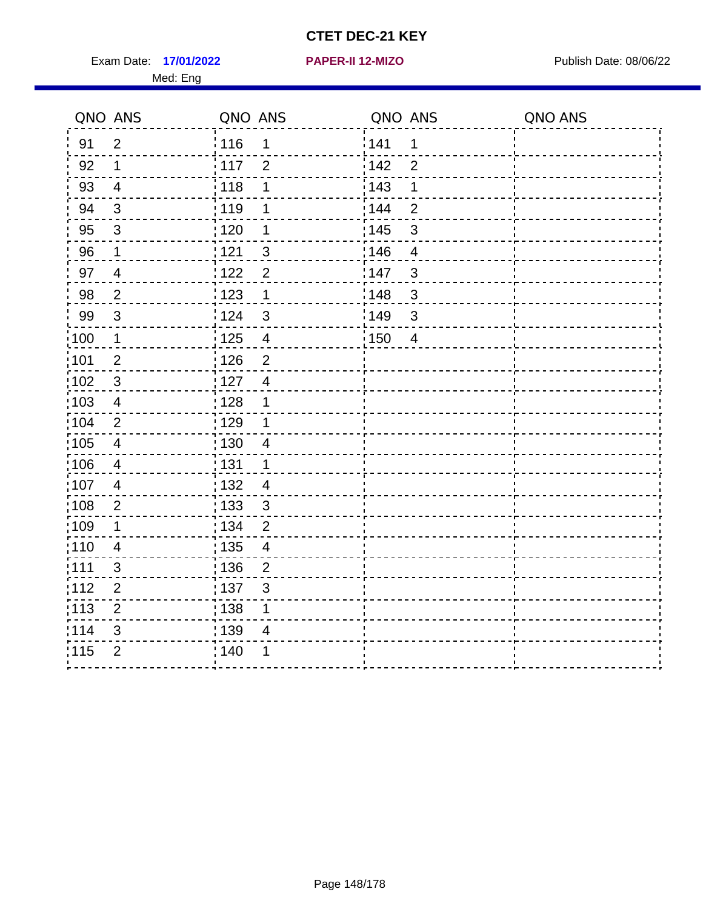Exam Date: 17/01/2022 **PAPER-II 12-MIZO** Publish Date: 08/06/22 Med: Eng

#### **17/01/2022 PAPER-II 12-MIZO**

|                   | QNO ANS                  | QNO ANS                                      | QNO ANS                 | QNO ANS |
|-------------------|--------------------------|----------------------------------------------|-------------------------|---------|
| 91                | $\overline{2}$           | <sup>'</sup> 116<br>1                        | 141<br>$\mathbf 1$      |         |
| 92                | $\mathbf 1$              | $\frac{1}{2}$ 117<br>$\overline{2}$          | i 142<br>$\overline{2}$ |         |
| 93                | $\overline{4}$           | $\frac{1}{2}$ 118<br>1                       | : 143<br>$\mathbf 1$    |         |
| 94                | $\sqrt{3}$               | : 119<br>1                                   | : 144<br>$\overline{2}$ |         |
| 95                | $\mathbf{3}$             | : 120<br>1                                   | : 145<br>$\sqrt{3}$     |         |
| 96                | $\mathbf 1$              | 121<br>$\mathfrak{B}$                        | 146<br>4                |         |
| 97                | $\overline{\mathcal{A}}$ | 122<br>$\overline{2}$                        | 147<br>$\sqrt{3}$       |         |
| 98                | $\overline{2}$           | 123<br>1                                     | 148<br>$\sqrt{3}$       |         |
| 99                | $\mathfrak{3}$           | 124<br>$\mathbf{3}$                          | 149<br>$\sqrt{3}$       |         |
| $\frac{1}{1}$ 100 | $\mathbf 1$              | $\frac{1}{1}$ 125<br>$\overline{\mathbf{4}}$ | 150<br>$\overline{4}$   |         |
| :101              | $\overline{2}$           | : 126<br>$\overline{2}$                      |                         |         |
| :102              | $\mathbf{3}$             | $\frac{1}{1}$ 127<br>$\overline{4}$          |                         |         |
| 103               | 4                        | : 128<br>1                                   |                         |         |
| $\frac{1}{104}$   | $\overline{2}$           | : 129<br>1                                   |                         |         |
| $\frac{1}{1}$ 105 | $\overline{4}$           | $\frac{1}{1}$ 130<br>$\overline{4}$          |                         |         |
| :106              | $\overline{4}$           | : 131<br>$\mathbf{1}$                        |                         |         |
| :107              | $\overline{4}$           | : 132<br>$\overline{4}$                      |                         |         |
| $\frac{1}{1}$ 108 | $\mathbf{2}$             | : 133<br>$\mathfrak{S}$                      |                         |         |
| :109              | $\mathbf 1$              | : 134<br>$\overline{2}$                      |                         |         |
| :110              | $\overline{4}$           | : 135<br>$\overline{\mathcal{A}}$            |                         |         |
| 111               | 3                        | : 136<br>$\overline{2}$                      |                         |         |
| 112               | $\overline{2}$           | $\frac{1}{1}$ 137<br>3                       |                         |         |
| : 113             | $\overline{2}$           | : 138<br>1                                   |                         |         |
| 114               | 3                        | 139<br>4                                     |                         |         |
| 115               | $\overline{2}$           | : 140<br>1                                   |                         |         |
|                   |                          |                                              |                         |         |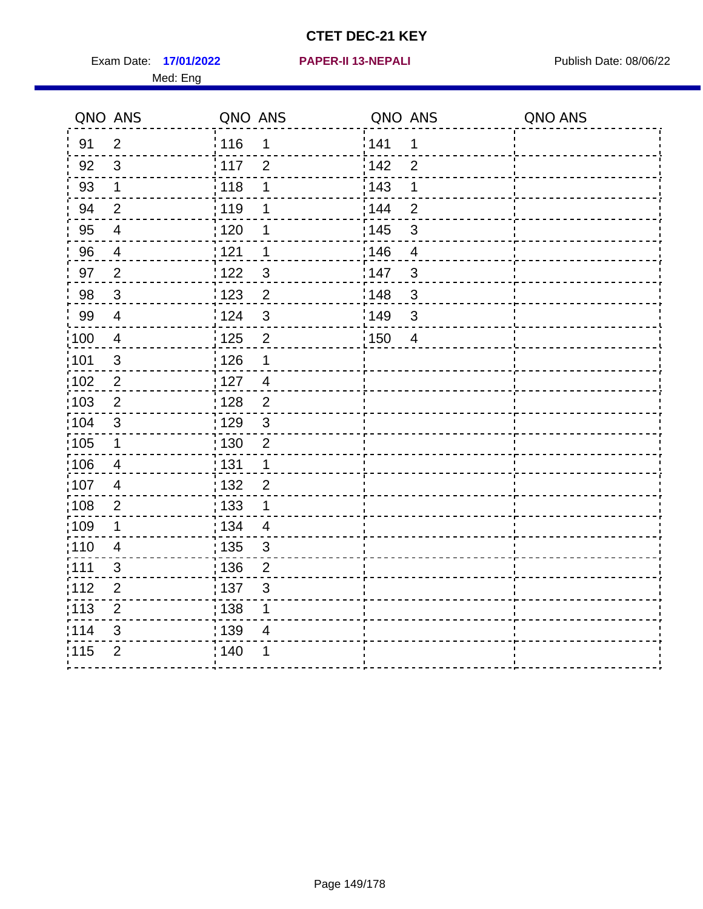Exam Date: 17/01/2022 **PAPER-II 13-NEPALI Exam Date: 08/06/22** Med: Eng

**17/01/2022 PAPER-II 13-NEPALI**

|                   | QNO ANS                  | QNO ANS           |                | QNO ANS |                | QNO ANS |
|-------------------|--------------------------|-------------------|----------------|---------|----------------|---------|
| 91                | $\overline{2}$           | 116               | $\mathbf 1$    | 1141    | $\mathbf 1$    |         |
| 92                | $\mathfrak{S}$           | 117               | $\overline{2}$ | 142     | $\overline{2}$ |         |
| 93                | $\mathbf{1}$             | 118               | 1              | 143     | 1              |         |
| 94                | $\overline{2}$           | : 119             | 1              | : 144   | $\overline{2}$ |         |
| 95                | $\overline{\mathcal{A}}$ | : 120             | 1              | : 145   | $\mathbf{3}$   |         |
| 96                | $\overline{4}$           | 121               | 1              | 146     | $\overline{4}$ |         |
| 97                | $\overline{2}$           | 122               | 3              | 147     | $\mathfrak{S}$ |         |
| 98                | $\mathbf{3}$             | : 123             | $\overline{c}$ | 148     | $\sqrt{3}$     |         |
| 99                | $\overline{4}$           | 124               | $\mathfrak{S}$ | :149    | $\mathsf 3$    |         |
| $\frac{1}{1}$ 100 | $\overline{4}$           | $\frac{1}{1}$ 125 | $\overline{2}$ | 150     | $\overline{4}$ |         |
| :101              | $\sqrt{3}$               | : 126             | 1              |         |                |         |
| :102              | $\overline{2}$           | 127               | $\overline{4}$ |         |                |         |
| 103               | $\overline{2}$           | : 128             | $\overline{2}$ |         |                |         |
| :104              | 3                        | : 129             | $\mathbf{3}$   |         |                |         |
| 105               | $\mathbf{1}$             | : 130             | $\sqrt{2}$     |         |                |         |
| :106              | $\overline{4}$           | : 131             | $\mathbf 1$    |         |                |         |
| 107               | $\overline{4}$           | 132               | $\overline{2}$ |         |                |         |
| 108               | $\sqrt{2}$               | : 133             | $\mathbf 1$    |         |                |         |
| :109              | $\mathbf 1$              | : 134             | $\overline{4}$ |         |                |         |
| :110              | $\overline{4}$           | : 135             | $\mathfrak{B}$ |         |                |         |
| ;111              | $\mathfrak{S}$           | : 136             | $\overline{2}$ |         |                |         |
| 112               | $\overline{2}$           | : 137             | $\sqrt{3}$     |         |                |         |
| :113              | $\mathbf 2$              | : 138             | 1              |         |                |         |
| 114               | 3                        | : 139             | 4              |         |                |         |
| 115               | $\overline{2}$           | 140               | 1              |         |                |         |
|                   |                          |                   |                |         |                |         |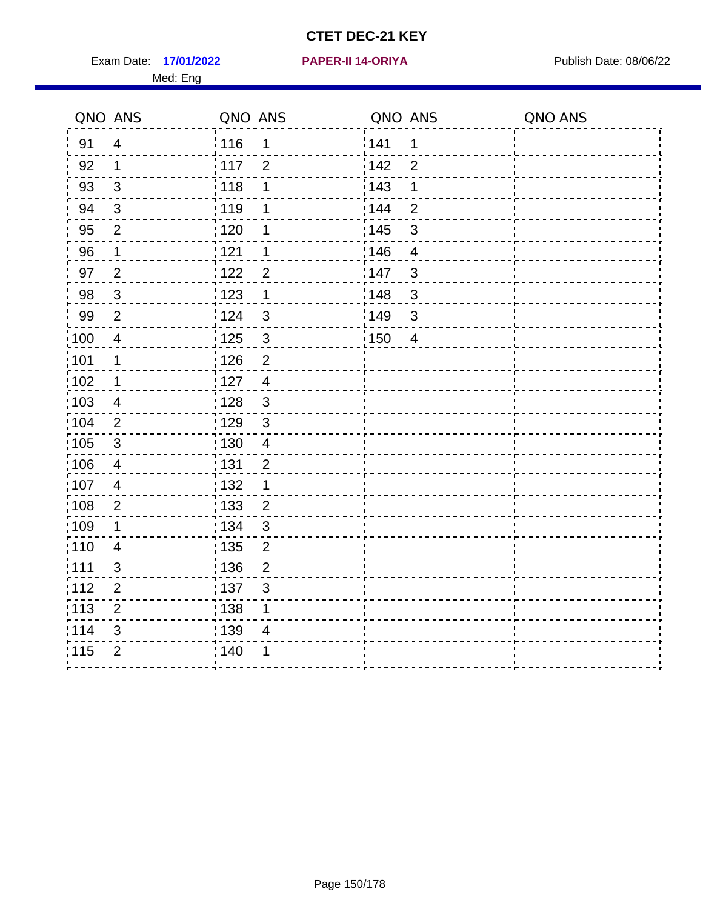Exam Date: 17/01/2022 **PAPER-II 14-ORIYA** Publish Date: 08/06/22 Med: Eng

#### **17/01/2022 PAPER-II 14-ORIYA**

| QNO ANS           |                         | QNO ANS           |                         | QNO ANS |                | QNO ANS |
|-------------------|-------------------------|-------------------|-------------------------|---------|----------------|---------|
| 91                | $\overline{4}$          | 116               | 1                       | 141     | $\mathbf{1}$   |         |
| 92                | $\mathbf{1}$            | 117               | $\overline{2}$          | 142     | $\overline{2}$ |         |
| 93                | $\mathfrak{S}$          | : 118             | 1                       | 143     | 1              |         |
| 94                | $\mathbf{3}$            | : 119             | 1                       | : 144   | $\overline{2}$ |         |
| 95                | $\overline{2}$          | $\frac{1}{1}$ 120 | 1                       | : 145   | $\sqrt{3}$     |         |
| 96                | $\mathbf 1$             | 121               | 1                       | 146     | 4              |         |
| 97                | $\overline{2}$          | 122               | $\overline{2}$          | 147     | $\mathfrak{B}$ |         |
| 98                | $\mathbf{3}$            | 123               | 1                       | 148     | $\sqrt{3}$     |         |
| 99                | $\overline{2}$          | 124               | $\mathbf{3}$            | 149     | $\sqrt{3}$     |         |
| $\frac{1}{100}$   | $\overline{4}$          | : 125             | $\mathbf{3}$            | : 150   | $\overline{4}$ |         |
| 101               | $\mathbf 1$             | 126               | $\overline{2}$          |         |                |         |
| 102               | $\mathbf 1$             | $\frac{1}{1}$ 127 | $\overline{4}$          |         |                |         |
| $\frac{1}{1}$ 103 | 4                       | : 128             | $\mathbf{3}$            |         |                |         |
| :104              | 2                       | : 129             | $\mathbf{3}$            |         |                |         |
| $\frac{1}{1}$ 105 | $\mathbf{3}$            | 130               | $\overline{\mathbf{4}}$ |         |                |         |
| 106               | $\overline{\mathbf{4}}$ | : 131             | $\overline{2}$          |         |                |         |
| $\frac{1}{1}$ 107 | $\overline{4}$          | : 132             | 1                       |         |                |         |
| :108              | $\overline{2}$          | : 133             | $\overline{2}$          |         |                |         |
| $\frac{1}{1}$ 109 | $\mathbf 1$             | : 134             | $\mathfrak{S}$          |         |                |         |
| 110               | $\overline{\mathbf{4}}$ | $\frac{1}{1}$ 135 | $\overline{2}$          |         |                |         |
| : 111             | 3                       | : 136             | $\overline{2}$          |         |                |         |
| 112               | $\overline{2}$          | : 137             | 3                       |         |                |         |
| 113               | $\overline{2}$          | $\frac{1}{1}$ 138 | $\mathbf 1$             |         |                |         |
| 114               | 3                       | 139               | $\overline{4}$          |         |                |         |
| 115               | $\overline{2}$          | ; 140             | 1                       |         |                |         |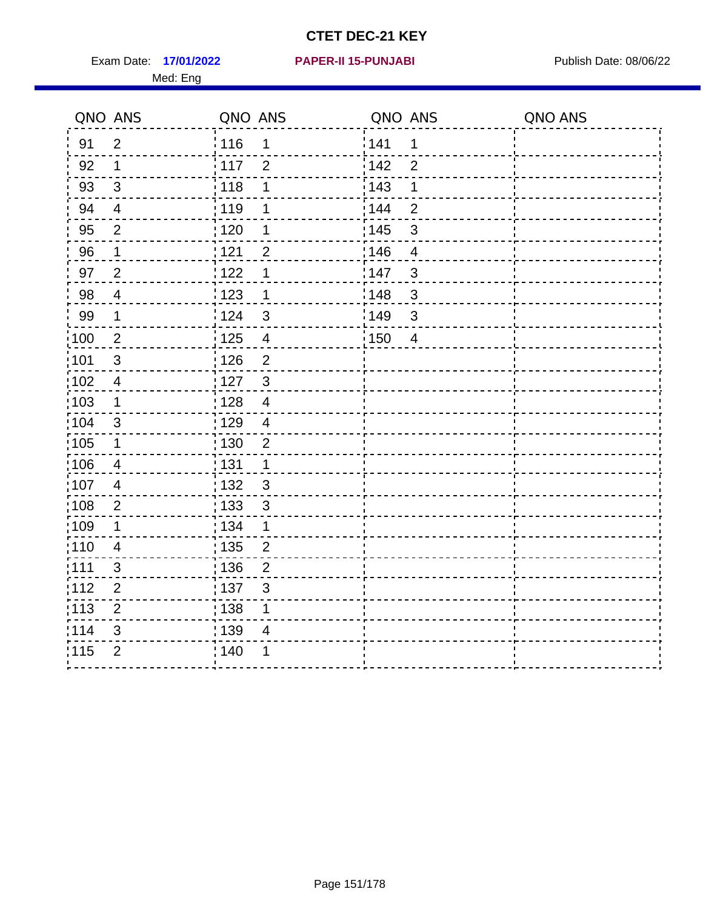Exam Date: 17/01/2022 **PAPER-II 15-PUNJABI** Publish Date: 08/06/22 Med: Eng

**17/01/2022 PAPER-II 15-PUNJABI**

|                   | QNO ANS                  | QNO ANS           |                | QNO ANS           |                | QNO ANS |
|-------------------|--------------------------|-------------------|----------------|-------------------|----------------|---------|
| 91                | $\overline{2}$           | : 116             | $\mathbf 1$    | 1141              | 1              |         |
| 92                | 1                        | 117               | $\overline{2}$ | 142               | $\overline{2}$ |         |
| 93                | $\sqrt{3}$               | $\frac{1}{1}$ 118 | 1              | 143               | 1              |         |
| 94                | $\overline{\mathcal{A}}$ | : 119             | 1              | 144               | $\overline{2}$ |         |
| 95                | 2                        | : 120             | 1              | : 145             | 3              |         |
| 96                | 1                        | 121               | $\overline{2}$ | 146               | $\overline{4}$ |         |
| 97                | $\overline{2}$           | 122               | 1              | 147               | 3              |         |
| 98                | $\overline{\mathbf{4}}$  | 1123              | $\mathbf 1$    | 148               | $\mathbf{3}$   |         |
| 99                | $\mathbf 1$              | 124               | 3              | $\frac{1}{2}$ 149 | $\mathfrak{S}$ |         |
| 100               | $\mathbf 2$              | $\frac{1}{1}$ 125 | $\overline{4}$ | $\frac{1}{2}$ 150 | $\overline{4}$ |         |
| :101              | $\sqrt{3}$               | : 126             | $\overline{2}$ |                   |                |         |
| 102               | $\overline{4}$           | : 127             | $\mathbf{3}$   |                   |                |         |
| 103               | $\mathbf 1$              | : 128             | $\overline{4}$ |                   |                |         |
| :104              | $\mathfrak{S}$           | : 129             | $\overline{4}$ |                   |                |         |
| :105              | $\mathbf 1$              | $\frac{1}{1}$ 130 | $\overline{2}$ |                   |                |         |
| 106               | 4                        | : 131             | 1              |                   |                |         |
| :107              | $\overline{4}$           | : 132             | 3              |                   |                |         |
| :108              | $\overline{2}$           | $\frac{1}{1}$ 133 | $\mathbf{3}$   |                   |                |         |
| :109              | 1                        | : 134             | $\mathbf 1$    |                   |                |         |
| :110              | $\overline{4}$           | : 135             | $\overline{2}$ |                   |                |         |
| 111               | 3                        | 136               | $\overline{2}$ |                   |                |         |
| 112               | $\mathbf 2$              | $\frac{1}{1}$ 137 | $\mathfrak{S}$ |                   |                |         |
| $\frac{1}{1}$ 113 | $\overline{2}$           | : 138             | 1              |                   |                |         |
| 114               | 3                        | 139               | 4              |                   |                |         |
| 115               | $\overline{2}$           | 140               | 1              |                   |                |         |
|                   |                          |                   |                |                   |                |         |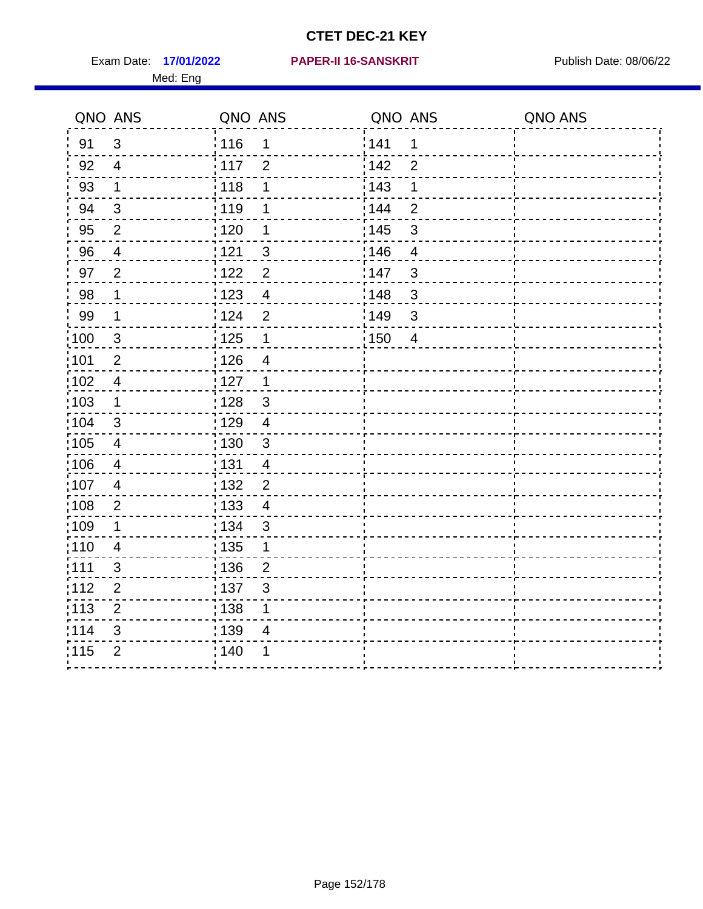Med: Eng

|                   | QNO ANS          | QNO ANS           |                         | QNO ANS |                | QNO ANS |
|-------------------|------------------|-------------------|-------------------------|---------|----------------|---------|
| 91                | $\mathfrak{3}$   | 116               | $\mathbf 1$             | 1141    | $\mathbf 1$    |         |
| 92                | $\overline{4}$   | 117               | $\overline{2}$          | 142     | $\overline{2}$ |         |
| 93                | $\mathbf{1}$     | 118               | 1                       | 143     | 1              |         |
| 94                | $\mathfrak{B}$   | : 119             | 1                       | : 144   | $\overline{2}$ |         |
| 95                | 2                | : 120             | 1                       | : 145   | $\mathbf{3}$   |         |
| 96                | $\overline{4}$   | : 121             | $\sqrt{3}$              | :146    | $\overline{4}$ |         |
| 97                | $\overline{2}$   | 122               | $\overline{2}$          | 147     | $\mathfrak{S}$ |         |
| 98                | $\mathbf{1}$     | 123               | $\overline{4}$          | 148     | $\sqrt{3}$     |         |
| 99                | $\mathbf{1}$     | 124               | $\overline{2}$          | :149    | $\mathsf 3$    |         |
| $\frac{1}{1}$ 100 | $\mathbf{3}$     | $\frac{1}{1}$ 125 | $\mathbf 1$             | 150     | $\overline{4}$ |         |
| :101              | $\boldsymbol{2}$ | : 126             | $\overline{4}$          |         |                |         |
| 102               | $\overline{4}$   | 127               | $\mathbf 1$             |         |                |         |
| 103               | $\mathbf 1$      | : 128             | $\mathbf{3}$            |         |                |         |
| :104              | 3                | : 129             | $\overline{4}$          |         |                |         |
| 105               | $\overline{4}$   | $\frac{1}{1}$ 130 | $\mathbf{3}$            |         |                |         |
| :106              | $\overline{4}$   | : 131             | $\overline{4}$          |         |                |         |
| 107               | $\overline{4}$   | 132               | 2                       |         |                |         |
| 108               | $\sqrt{2}$       | : 133             | $\overline{\mathbf{4}}$ |         |                |         |
| :109              | $\mathbf 1$      | : 134             | $\mathfrak{S}$          |         |                |         |
| :110              | $\overline{4}$   | : 135             | 1                       |         |                |         |
| ;111              | $\mathfrak{S}$   | : 136             | $\overline{2}$          |         |                |         |
| 112               | $\overline{2}$   | : 137             | $\sqrt{3}$              |         |                |         |
| :113              | $\mathbf 2$      | : 138             | 1                       |         |                |         |
| 114               | 3                | : 139             | 4                       |         |                |         |
| 115               | $\overline{2}$   | 140               | 1                       |         |                |         |
|                   |                  |                   |                         |         |                |         |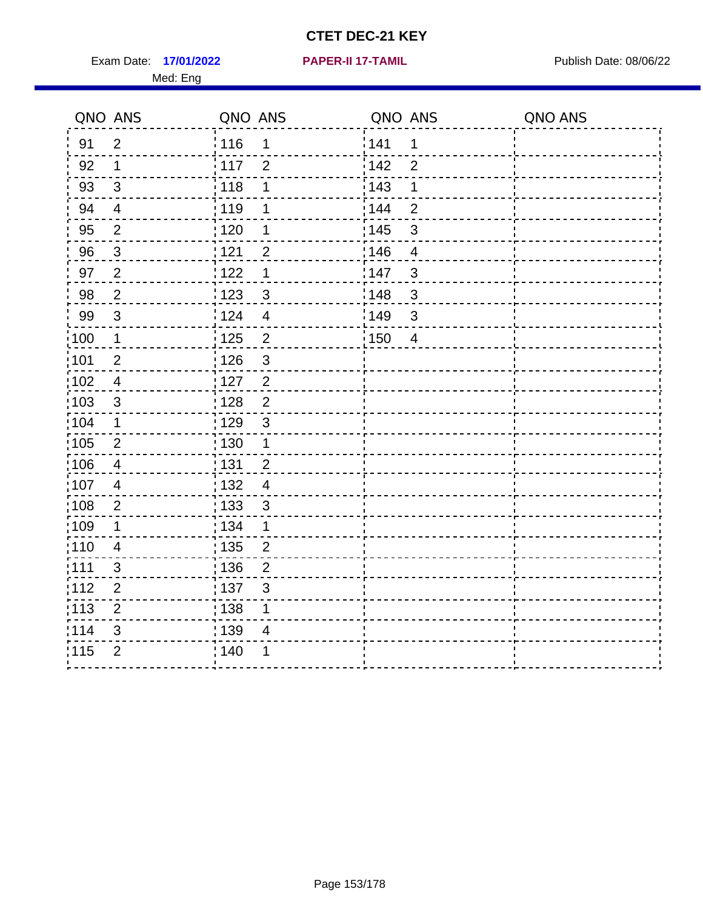Exam Date: 17/01/2022 **PAPER-II 17-TAMIL Exam Date: 08/06/22** Med: Eng

**17/01/2022 PAPER-II 17-TAMIL**

|                   | QNO ANS                  | QNO ANS           |                         | QNO ANS |                | QNO ANS |
|-------------------|--------------------------|-------------------|-------------------------|---------|----------------|---------|
| 91                | $\overline{2}$           | : 116             | 1                       | 141     | 1              |         |
| 92                | 1                        | $\frac{1}{117}$   | $\overline{2}$          | 142     | $\overline{2}$ |         |
| 93                | $\mathfrak{S}$           | : 118             | 1                       | 143     | 1              |         |
| 94                | $\overline{4}$           | : 119             | 1                       | 144     | $\overline{2}$ |         |
| 95                | $\overline{2}$           | : 120             | 1                       | : 145   | 3              |         |
| 96                | 3                        | 121               | $\overline{2}$          | 146     | $\overline{4}$ |         |
| 97                | $\overline{2}$           | 122               | 1                       | 147     | 3              |         |
| 98                | $\overline{2}$           | $\frac{1}{2}$ 123 | $\mathfrak{S}$          | 148     | $\mathfrak{S}$ |         |
| 99                | $\sqrt{3}$               | 124               | $\overline{\mathbf{4}}$ | :149    | $\mathfrak{S}$ |         |
| $\frac{1}{1}$ 100 | $\mathbf 1$              | $\frac{1}{1}$ 125 | $\overline{2}$          | : 150   | $\overline{4}$ |         |
| :101              | $\mathbf 2$              | : 126             | $\mathbf{3}$            |         |                |         |
| 102               | $\overline{4}$           | : 127             | $\overline{2}$          |         |                |         |
| 103               | $\mathbf{3}$             | : 128             | $\overline{2}$          |         |                |         |
| 104               | $\mathbf 1$              | : 129             | $\mathfrak{3}$          |         |                |         |
| 105               | $\overline{2}$           | : 130             | $\mathbf{1}$            |         |                |         |
| 106               | $\overline{\mathcal{A}}$ | : 131             | $\overline{2}$          |         |                |         |
| :107              | 4                        | : 132             | $\overline{4}$          |         |                |         |
| :108              | $\overline{2}$           | 133               | $\mathfrak{S}$          |         |                |         |
| 109               | 1                        | : 134             | $\mathbf 1$             |         |                |         |
| :110              | $\overline{4}$           | : 135             | $\overline{2}$          |         |                |         |
| 111               | $\mathfrak{S}$           | 136               | $\overline{2}$          |         |                |         |
| 112               | $\mathbf{2}$             | : 137             | $\mathfrak{S}$          |         |                |         |
| : 113             | $\mathbf 2$              | : 138             | 1                       |         |                |         |
| 114               | 3                        | 139               | 4                       |         |                |         |
| 115               | $\overline{2}$           | 140               | 1                       |         |                |         |
|                   |                          |                   |                         |         |                |         |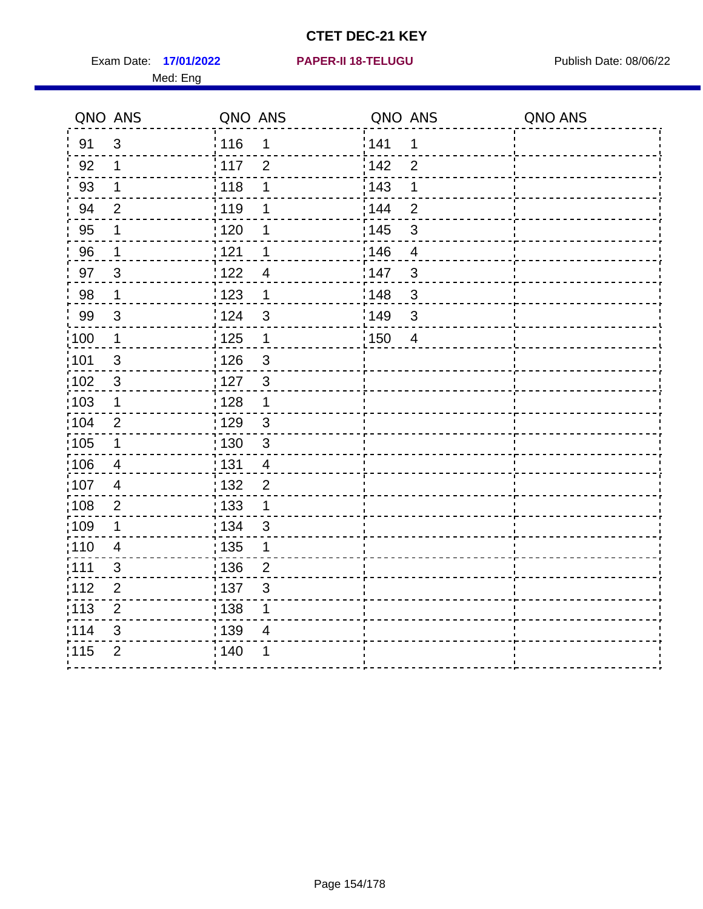Exam Date: 17/01/2022 **PAPER-II 18-TELUGU** PUBLISH Date: 08/06/22 Med: Eng

**17/01/2022 PAPER-II 18-TELUGU**

|                   | QNO ANS        | QNO ANS                           |       | QNO ANS        | QNO ANS |
|-------------------|----------------|-----------------------------------|-------|----------------|---------|
| 91                | $\mathbf{3}$   | 116<br>$\mathbf 1$                | 1141  | $\mathbf 1$    |         |
| 92                | $\mathbf 1$    | 117<br>$\overline{2}$             | 142   | $\overline{2}$ |         |
| 93                | $\mathbf 1$    | 118<br>1                          | 143   | 1              |         |
| 94                | $\overline{2}$ | : 119<br>1                        | : 144 | $\overline{2}$ |         |
| 95                | 1              | : 120<br>1                        | : 145 | 3              |         |
| 96                | $\mathbf 1$    | 121<br>1                          | 146   | $\overline{4}$ |         |
| 97                | $\overline{3}$ | 122<br>4                          | 147   | $\mathfrak{S}$ |         |
| 98                | $\mathbf{1}$   | 123<br>$\mathbf 1$                | 148   | $\sqrt{3}$     |         |
| 99                | $\sqrt{3}$     | 124<br>$\mathfrak{S}$             | :149  | $\mathfrak{S}$ |         |
| $\frac{1}{1}$ 100 | $\overline{1}$ | $\frac{1}{1}$ 125<br>$\mathbf{1}$ | 150   | $\overline{4}$ |         |
| :101              | $\sqrt{3}$     | : 126<br>$\mathfrak{S}$           |       |                |         |
| 102               | $\mathbf{3}$   | : 127<br>$\mathbf{3}$             |       |                |         |
| 103               | $\mathbf 1$    | $\mathbf{1}$<br>: 128             |       |                |         |
| 104               | 2              | : 129<br>$\mathfrak{3}$           |       |                |         |
| $\frac{1}{1}$ 105 | $\mathbf 1$    | $\mathfrak{3}$<br>: 130           |       |                |         |
| :106              | $\overline{4}$ | : 131<br>$\overline{4}$           |       |                |         |
| 107               | $\overline{4}$ | 132<br>$\overline{2}$             |       |                |         |
| 108               | $\sqrt{2}$     | 133<br>$\mathbf{1}$               |       |                |         |
| :109              | $\mathbf 1$    | : 134<br>$\mathbf{3}$             |       |                |         |
| :110              | $\overline{4}$ | : 135<br>1                        |       |                |         |
| :111              | 3              | : 136<br>$\overline{2}$           |       |                |         |
| 112               | $\mathbf 2$    | : 137<br>$\sqrt{3}$               |       |                |         |
| 113               | $\overline{2}$ | : 138<br>1                        |       |                |         |
| 114               | 3              | : 139<br>4                        |       |                |         |
| 115               | $\overline{2}$ | 140<br>1                          |       |                |         |
|                   |                |                                   |       |                |         |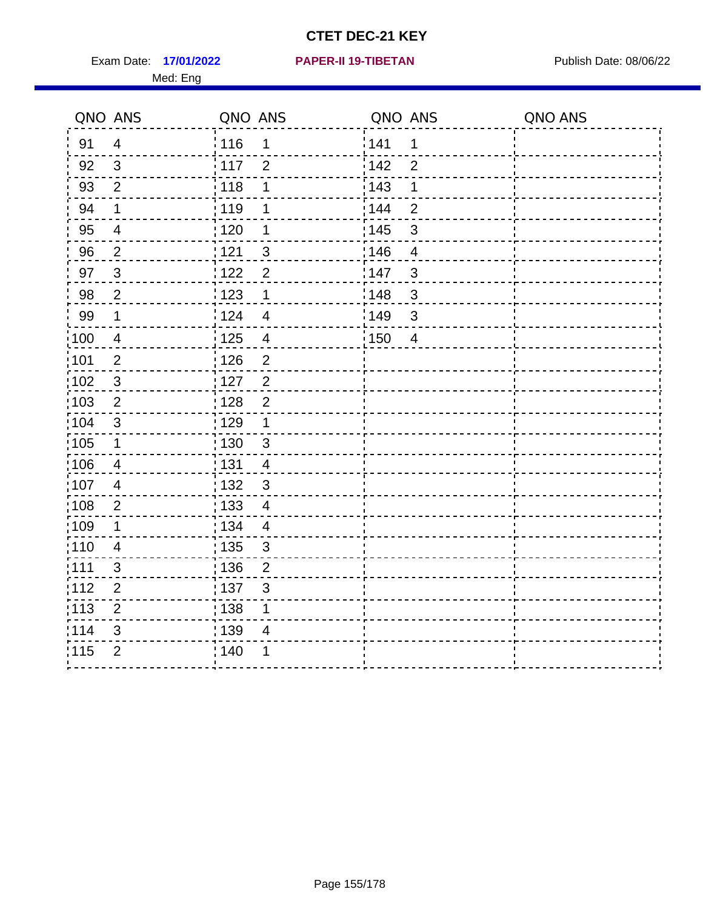Exam Date: 17/01/2022 **PAPER-II 19-TIBETAN** Publish Date: 08/06/22 Med: Eng

**17/01/2022 PAPER-II 19-TIBETAN**

|      | QNO ANS                  | QNO ANS           |                         | QNO ANS |                | QNO ANS |
|------|--------------------------|-------------------|-------------------------|---------|----------------|---------|
| 91   | $\overline{4}$           | 116               | $\mathbf 1$             | 1141    | 1              |         |
| 92   | $\mathfrak{S}$           | 117               | $\overline{2}$          | 142     | $\overline{2}$ |         |
| 93   | $\overline{2}$           | 118               | 1                       | 143     | 1              |         |
| 94   | 1                        | : 119             | 1                       | : 144   | $\overline{2}$ |         |
| 95   | $\overline{\mathcal{A}}$ | : 120             | 1                       | : 145   | $\mathfrak{B}$ |         |
| 96   | $\overline{2}$           | 121               | $\mathbf{3}$            | 146     | $\overline{4}$ |         |
| 97   | $\mathfrak{3}$           | 122               | $\overline{2}$          | 147     | $\mathfrak{B}$ |         |
| 98   | $\overline{2}$           | 123               | $\mathbf{1}$            | 148     | $\sqrt{3}$     |         |
| 99   | $\mathbf 1$              | 124               | $\overline{4}$          | 149     | $\mathsf 3$    |         |
| :100 | $\overline{4}$           | 125               | $\overline{\mathbf{4}}$ | 150     | $\overline{4}$ |         |
| :101 | $\overline{2}$           | $\frac{1}{1}$ 126 | $\overline{2}$          |         |                |         |
| 102  | $\mathfrak{3}$           | : 127             | 2                       |         |                |         |
| 103  | $\overline{2}$           | : 128             | $\overline{2}$          |         |                |         |
| 104  | $\mathfrak{3}$           | : 129             | $\mathbf 1$             |         |                |         |
| 105  | $\mathbf{1}$             | 130               | $\mathbf{3}$            |         |                |         |
| :106 | 4                        | : 131             | $\overline{4}$          |         |                |         |
| 107  | $\overline{4}$           | :132              | 3                       |         |                |         |
| 108  | $\sqrt{2}$               | : 133             | $\overline{4}$          |         |                |         |
| ;109 | $\mathbf 1$              | : 134             | $\overline{4}$          |         |                |         |
| :110 | 4                        | : 135             | 3                       |         |                |         |
| 111  | 3                        | : 136             | $\overline{2}$          |         |                |         |
| 112  | $\mathbf 2$              | 137               | 3                       |         |                |         |
| 113  | $\mathbf 2$              | : 138             | 1                       |         |                |         |
| 114  | 3                        | : 139             | 4                       |         |                |         |
| 115  | $\overline{2}$           | 140               | 1                       |         |                |         |
|      |                          |                   |                         |         |                |         |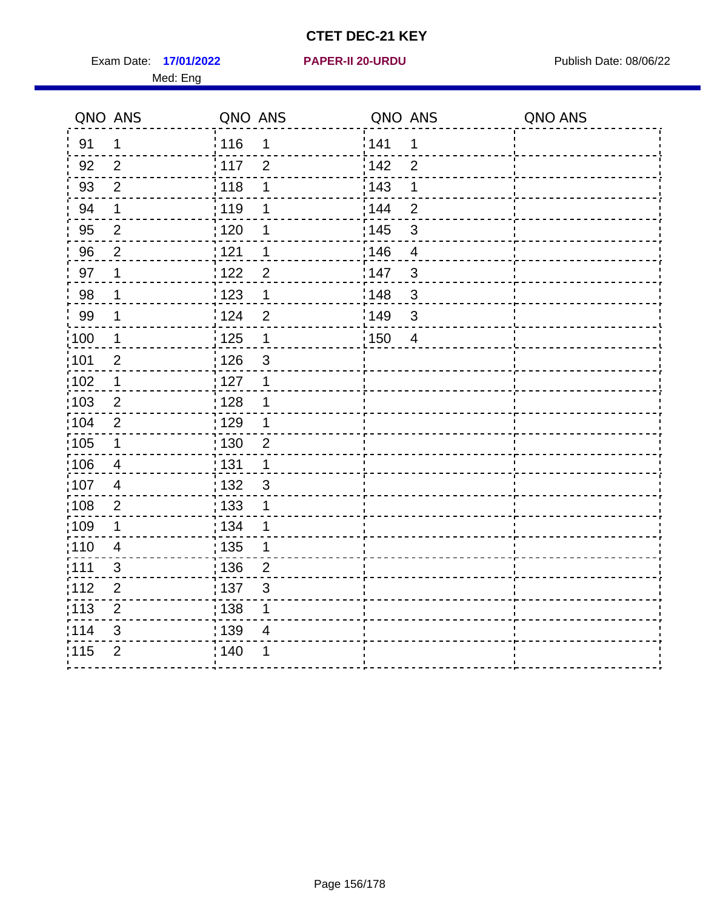Exam Date: 17/01/2022 **PAPER-II 20-URDU** PAPER Publish Date: 08/06/22 Med: Eng

#### **17/01/2022 PAPER-II 20-URDU**

| QNO ANS         |                | QNO ANS                             | QNO ANS                 | QNO ANS |
|-----------------|----------------|-------------------------------------|-------------------------|---------|
| 91              | $\mathbf 1$    | 116<br>1                            | 141<br>$\mathbf 1$      |         |
| 92              | 2              | 117<br>$\overline{2}$               | 142<br>$\overline{2}$   |         |
| 93              | $\overline{2}$ | 118<br>1                            | 143<br>1                |         |
| 94              | $\mathbf 1$    | 119<br>1                            | : 144<br>$\overline{2}$ |         |
| 95              | $\overline{2}$ | $\frac{1}{1}$ 120<br>1              | : 145<br>$\mathsf 3$    |         |
| 96              | $\overline{2}$ | 1121<br>1                           | 146<br>$\overline{4}$   |         |
| 97              | 1              | 122<br>$\overline{2}$               | 147<br>$\mathsf 3$      |         |
| 98              | $\mathbf 1$    | $\frac{1}{2}$ 123<br>1              | 148<br>$\mathbf{3}$     |         |
| 99              | $\mathbf 1$    | 124<br>$\overline{2}$               | 149<br>$\mathsf 3$      |         |
| 100             | $\mathbf 1$    | $\frac{1}{1}$ 125<br>$\mathbf 1$    | : 150<br>$\overline{4}$ |         |
| 101             | $\overline{2}$ | : 126<br>$\mathfrak{S}$             |                         |         |
| 102             | $\mathbf 1$    | 127<br>1                            |                         |         |
| :103            | $\overline{2}$ | : 128<br>1                          |                         |         |
| $\frac{1}{104}$ | $\overline{2}$ | $\frac{1}{1}$ 129<br>1              |                         |         |
| :105            | $\mathbf 1$    | 130<br>$\overline{2}$               |                         |         |
| 106             | 4              | : 131<br>$\mathbf 1$                |                         |         |
| 107             | $\overline{4}$ | 132<br>3                            |                         |         |
| 108             | $\overline{2}$ | : 133<br>1                          |                         |         |
| :109            | $\mathbf 1$    | : 134<br>1                          |                         |         |
| :110            | 4              | : 135<br>1                          |                         |         |
| :111            | $\sqrt{3}$     | : 136<br>$\overline{2}$             |                         |         |
| 112             | $\mathbf{2}$   | $\frac{1}{1}$ 137<br>$\mathfrak{S}$ |                         |         |
| 113             | $\overline{2}$ | : 138<br>1                          |                         |         |
| 114             | 3              | : 139<br>4                          |                         |         |
| 115             | $\overline{2}$ | 140<br>1                            |                         |         |
|                 |                |                                     |                         |         |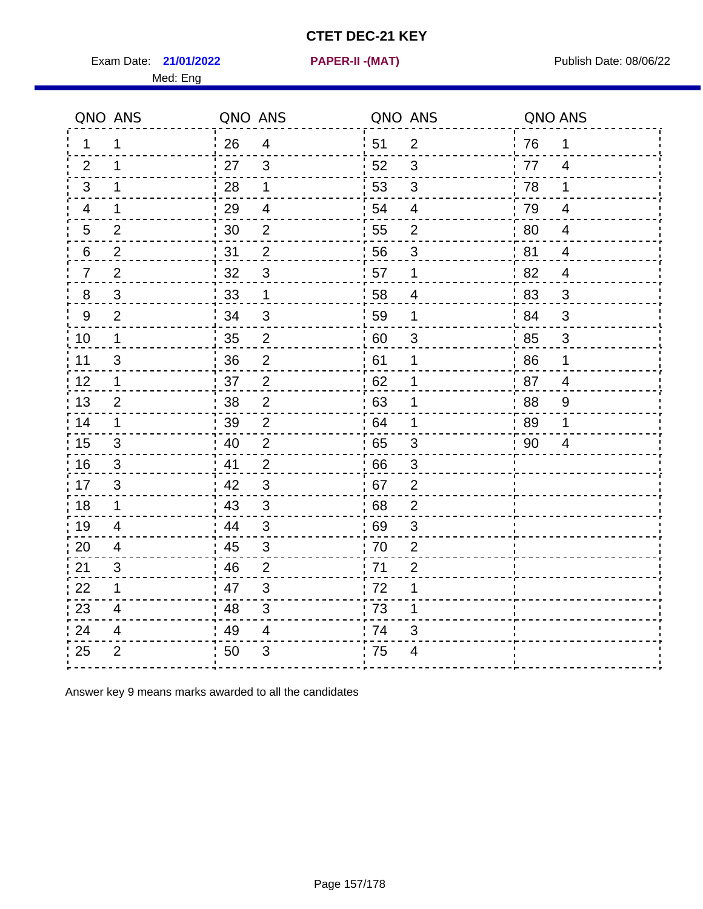Exam Date: **21/01/2022 PAPER-II -(MAT)** Publish Date: 08/06/22

Med: Eng

**21/01/2022 PAPER-II -(MAT)**

|                | QNO ANS        | QNO ANS |                          |      | QNO ANS                  | QNO ANS |                |
|----------------|----------------|---------|--------------------------|------|--------------------------|---------|----------------|
| $\mathbf 1$    | 1              | 26      | $\overline{4}$           | ່ 51 | 2                        | 76      | 1              |
| 2              | 1              | 27      | $\mathbf{3}$             | 52   | $\mathfrak{B}$           | 77      | $\overline{4}$ |
| 3              | $\mathbf 1$    | 28      | $\mathbf 1$              | 53   | 3                        | 78      | 1              |
| 4              | 1              | 29      | $\overline{\mathcal{A}}$ | 54   | $\overline{\mathcal{A}}$ | 79      | 4              |
| 5              | $\overline{2}$ | 30      | $\overline{2}$           | 55   | $\overline{c}$           | 80      | $\overline{4}$ |
| 6              | $\overline{2}$ | 31      | 2                        | 56   | 3                        | 81      | 4              |
| $\overline{7}$ | 2              | 32      | $\mathfrak{B}$           | 57   | $\mathbf 1$              | 82      | $\overline{4}$ |
| 8              | 3              | 33      | 1                        | 58   | 4                        | 83      | $\mathbf{3}$   |
| 9              | $\overline{2}$ | 34      | $\mathsf 3$              | 59   | 1                        | 84      | 3              |
| 10             | $\mathbf 1$    | 35      | $\overline{c}$           | 60   | $\mathfrak{S}$           | 85      | $\sqrt{3}$     |
| 11             | $\mathfrak{S}$ | 36      | $\overline{2}$           | 61   | 1                        | 86      | $\mathbf 1$    |
| 12             | $\mathbf 1$    | 37      | $\overline{2}$           | 62   | 1                        | 87      | $\overline{4}$ |
| 13             | 2              | 38      | 2                        | 63   | 1                        | 88      | 9              |
| 14             | $\mathbf 1$    | 39      | $\overline{2}$           | 64   | 1                        | 89      | 1              |
| 15             | 3              | 40      | $\overline{2}$           | 65   | $\mathfrak{B}$           | 90      | 4              |
| 16             | 3              | 41      | $\overline{2}$           | 66   | 3                        |         |                |
| 17             | 3              | 42      | 3                        | 67   | $\overline{2}$           |         |                |
| 18             | $\mathbf{1}$   | 43      | $\mathfrak{3}$           | 68   | $\overline{2}$           |         |                |
| 19             | $\overline{4}$ | 44      | $\sqrt{3}$               | 69   | 3                        |         |                |
| 20             | $\overline{4}$ | 45      | $\mathbf{3}$             | 70   | $\overline{2}$           |         |                |
| 21             | 3              | 46      | $\overline{2}$           | 71   | $\overline{2}$           |         |                |
| 22             | $\mathbf 1$    | 47      | $\sqrt{3}$               | 72   | 1                        |         |                |
| 23             | $\overline{4}$ | 48      | $\mathbf{3}$             | 73   | 1                        |         |                |
| 24             | 4              | 49      | $\overline{4}$           | 74   | 3                        |         |                |
| 25             | $\overline{2}$ | 50      | 3                        | 75   | 4                        |         |                |

Answer key 9 means marks awarded to all the candidates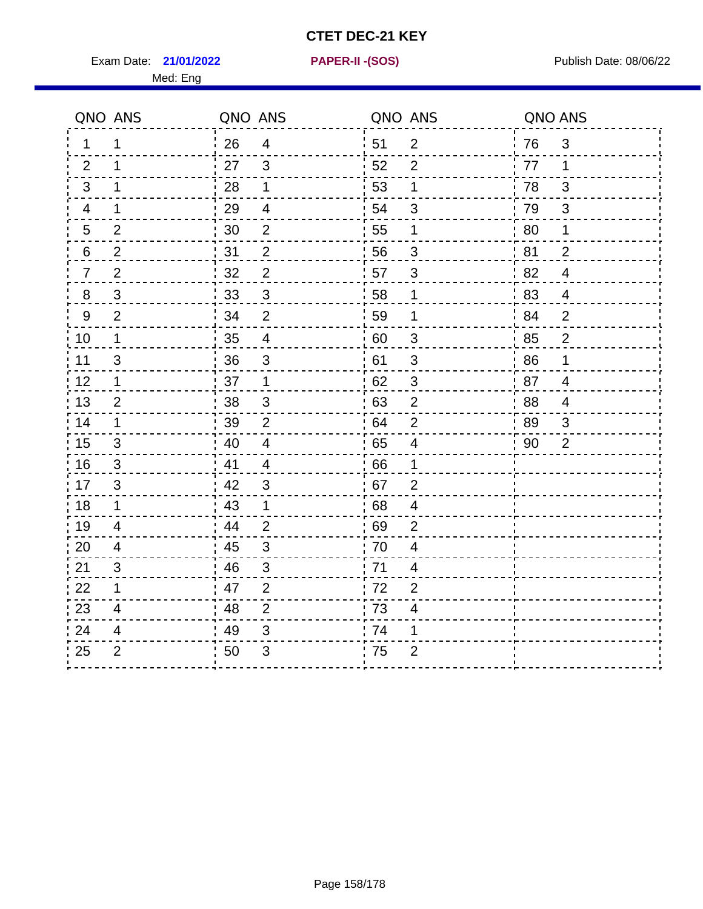Exam Date: **21/01/2022 PAPER-II - (SOS)** Publish Date: 08/06/22

Med: Eng

**21/01/2022 PAPER-II -(SOS)**

|                | QNO ANS        | QNO ANS |                         | QNO ANS |                          | QNO ANS |                |
|----------------|----------------|---------|-------------------------|---------|--------------------------|---------|----------------|
| 1              | 1              | 26      | $\overline{4}$          | 51      | $\overline{2}$           | 76      | 3              |
| 2              | 1              | 27      | 3                       | 52      | 2                        | 77      | 1              |
| 3              | 1              | 28      | 1                       | 53      | 1                        | 78      | 3              |
| 4              | 1              | 29      | $\overline{\mathbf{4}}$ | 54      | $\mathfrak{B}$           | 79      | 3              |
| 5              | $\overline{2}$ | 30      | $\overline{2}$          | 55      | 1                        | 80      | 1              |
| 6              | $\overline{2}$ | 31      | $\overline{2}$          | 56      | 3                        | 81      | $\overline{2}$ |
| $\overline{7}$ | $\overline{2}$ | 32      | $\overline{2}$          | 57      | 3                        | 82      | $\overline{4}$ |
| 8              | 3              | 33      | $\mathfrak{S}$          | 58      | 1                        | 83      | $\overline{4}$ |
| $9\,$          | $\overline{2}$ | 34      | $\overline{2}$          | 59      | 1                        | 84      | $\overline{2}$ |
| 10             | 1              | 35      | $\overline{4}$          | 60      | $\sqrt{3}$               | 85      | $\overline{c}$ |
| 11             | 3              | 36      | $\mathfrak{S}$          | 61      | $\mathsf 3$              | 86      | $\mathbf 1$    |
| 12             | 1              | 37      | $\mathbf 1$             | 62      | $\sqrt{3}$               | 87      | $\overline{4}$ |
| 13             | $\overline{2}$ | 38      | 3                       | 63      | $\overline{2}$           | 88      | $\overline{4}$ |
| 14             | 1              | 39      | $\overline{2}$          | 64      | $\overline{2}$           | 89      | 3              |
| 15             | $\mathfrak{S}$ | 40      | $\overline{\mathbf{4}}$ | 65      | $\overline{\mathcal{A}}$ | 90      | $\overline{2}$ |
| 16             | 3              | 41      | $\overline{4}$          | 66      | $\mathbf 1$              |         |                |
| 17             | 3              | 42      | 3                       | 67      | 2                        |         |                |
| 18             | $\mathbf 1$    | 43      | $\mathbf 1$             | 68      | $\overline{\mathbf{4}}$  |         |                |
| 19             | $\overline{4}$ | 44      | $\overline{2}$          | 69      | $\overline{2}$           |         |                |
| 20             | $\overline{4}$ | 45      | $\mathfrak{3}$          | 70      | 4                        |         |                |
| 21             | 3              | 46      | $\mathfrak{B}$          | 71      | 4                        |         |                |
| 22             | 1              | 47      | $\overline{2}$          | 72      | $\overline{2}$           |         |                |
| 23             | $\overline{4}$ | 48      | $\overline{2}$          | 73      | $\overline{\mathbf{4}}$  |         |                |
| 24             | 4              | 49      | 3                       | 74      | 1                        |         |                |
| 25             | $\overline{2}$ | 50      | 3                       | 75      | $\overline{2}$           |         |                |
|                |                |         |                         |         |                          |         |                |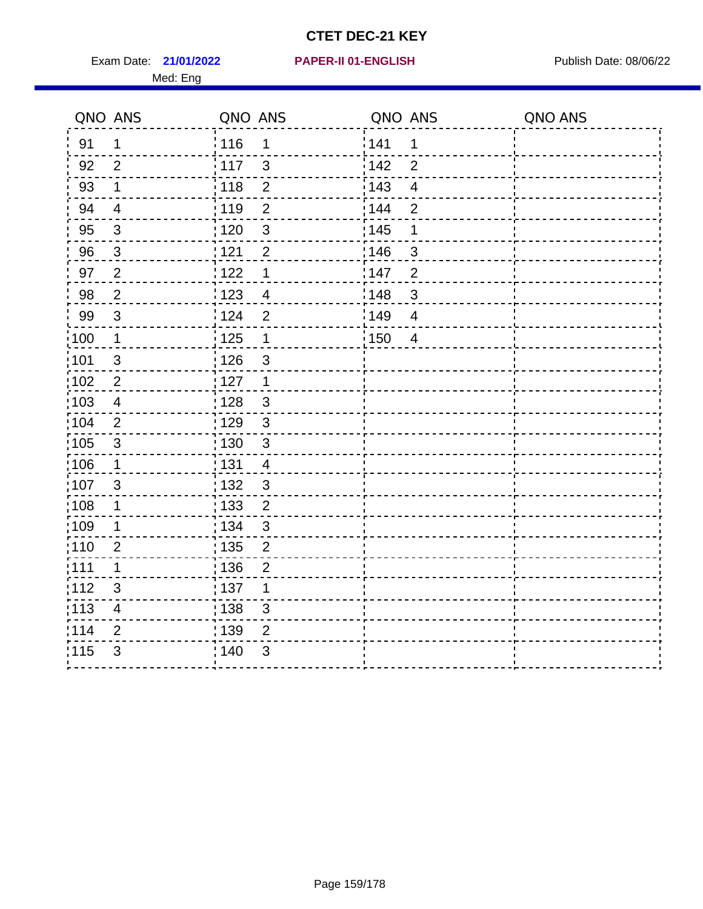Exam Date: 21/01/2022 **PAPER-II 01-ENGLISH Exam Date: 08/06/22** Med: Eng

#### **21/01/2022 PAPER-II 01-ENGLISH**

|       | QNO ANS                  | QNO ANS           |                | QNO ANS           |                | QNO ANS |
|-------|--------------------------|-------------------|----------------|-------------------|----------------|---------|
| 91    | $\mathbf 1$              | 116               | 1              | 141               | 1              |         |
| 92    | $\overline{2}$           | 117               | $\mathbf{3}$   | 142               | $\overline{2}$ |         |
| 93    | $\mathbf 1$              | 118               | $\mathbf{2}$   | 143               | $\overline{4}$ |         |
| 94    | $\overline{4}$           | : 119             | $\overline{2}$ | 144               | $\overline{2}$ |         |
| 95    | $\mathbf{3}$             | : 120             | $\mathbf{3}$   | : 145             | 1              |         |
| 96    | 3                        | 121               | $\overline{2}$ | 146               | 3              |         |
| 97    | $\overline{2}$           | 122               | 1              | 147               | $\overline{2}$ |         |
| 98    | $\overline{2}$           | $\frac{1}{2}$ 123 | $\overline{4}$ | $\frac{1}{2}$ 148 | $\mathfrak{B}$ |         |
| 99    | $\sqrt{3}$               | 124               | $\overline{2}$ | :149              | $\overline{4}$ |         |
| :100  | $\mathbf{1}$             | $\frac{1}{1}$ 125 | $\mathbf 1$    | 150               | $\overline{4}$ |         |
| :101  | $\sqrt{3}$               | : 126             | $\mathfrak{S}$ |                   |                |         |
| 102   | $\overline{2}$           | : 127             | $\mathbf{1}$   |                   |                |         |
| 103   | $\overline{4}$           | : 128             | $\mathbf{3}$   |                   |                |         |
| :104  | 2                        | $\frac{1}{1}$ 129 | $\mathbf{3}$   |                   |                |         |
| 105   | $\mathsf 3$              | : 130             | $\mathbf{3}$   |                   |                |         |
| :106  | $\mathbf{1}$             | : 131             | 4              |                   |                |         |
| 107   | $\mathfrak{B}$           | 132               | $\mathbf{3}$   |                   |                |         |
| 108   | $\mathbf 1$              | : 133             | $\overline{2}$ |                   |                |         |
| :109  | 1                        | : 134             | $\mathbf{3}$   |                   |                |         |
| :110  | $\overline{2}$           | : 135             | $\overline{2}$ |                   |                |         |
| :111  | $\mathbf 1$              | : 136             | $\overline{2}$ |                   |                |         |
| 112   | $\mathfrak{S}$           | : 137             | 1              |                   |                |         |
| : 113 | $\overline{\mathcal{A}}$ | : 138             | 3              |                   |                |         |
| 114   | 2                        | 139               | 2              |                   |                |         |
| 115   | 3                        | 140               | $\mathfrak{B}$ |                   |                |         |
|       |                          |                   |                |                   |                |         |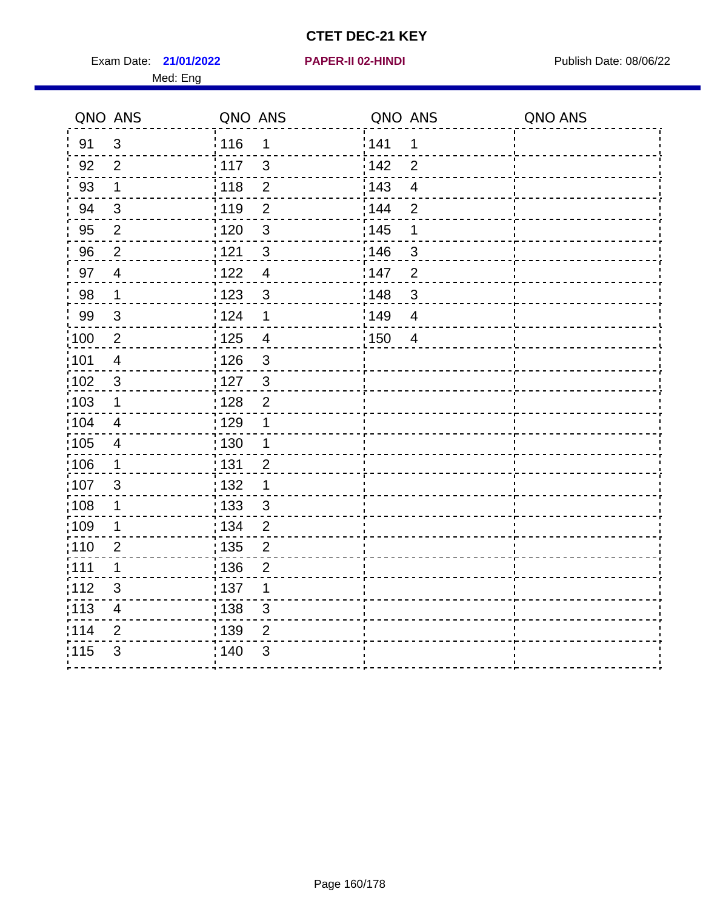Exam Date: 21/01/2022 **PAPER-II 02-HINDI Exam Date: 08/06/22** Med: Eng

|                   | QNO ANS                  | QNO ANS |                           | QNO ANS |                | QNO ANS |
|-------------------|--------------------------|---------|---------------------------|---------|----------------|---------|
| 91                | $\mathbf{3}$             | 116     | $\mathbf{1}$              | 1141    | $\mathbf 1$    |         |
| 92                | $\overline{2}$           | 117     | $\mathbf{3}$              | 142     | $\overline{2}$ |         |
| 93                | $\mathbf 1$              | 118     | $\overline{2}$            | 143     | $\overline{4}$ |         |
| 94                | $\mathbf{3}$             | : 119   | $\overline{2}$            | : 144   | $\overline{2}$ |         |
| 95                | 2                        | :120    | $\mathbf{3}$              | : 145   | 1              |         |
| 96                | $\overline{2}$           | 121     | $\mathfrak{S}$            | :146    | 3              |         |
| 97                | $\overline{4}$           | 1122    | $\overline{4}$            | 147     | $\overline{2}$ |         |
| 98                | $\mathbf 1$              | 1123    | $\mathbf{3}$              | 148     | $\mathbf{3}$   |         |
| 99                | $\sqrt{3}$               | 124     | 1                         | 149     | $\overline{4}$ |         |
| 100               | $\overline{2}$           | 125     | $\overline{\mathbf{4}}$   | 150     | $\overline{4}$ |         |
| 101               | $\overline{\mathcal{A}}$ | : 126   | $\sqrt{3}$                |         |                |         |
| 102               | $\mathbf{3}$             | : 127   | $\mathbf{3}$              |         |                |         |
| 103               | $\mathbf 1$              | : 128   | $\overline{2}$            |         |                |         |
| 104               | $\overline{4}$           | : 129   | 1                         |         |                |         |
| $\frac{1}{1}$ 105 | $\overline{4}$           | : 130   | $\mathbf{1}$              |         |                |         |
| 106               | $\mathbf 1$              | : 131   | $\overline{2}$            |         |                |         |
| 107               | 3                        | : 132   | $\mathbf 1$               |         |                |         |
| 108               | $\mathbf 1$              | 133     | $\mathbf{3}$              |         |                |         |
| :109              | $\mathbf 1$              | : 134   | $\overline{2}$            |         |                |         |
| : 110             | $\overline{2}$           | : 135   | $\overline{2}$            |         |                |         |
| : 111             | 1                        | : 136   | $\overline{2}$            |         |                |         |
| 112               | $\mathfrak{S}$           | : 137   | 1                         |         |                |         |
| $\frac{1}{1}$ 113 | $\overline{\mathbf{4}}$  | : 138   | $\ensuremath{\mathsf{3}}$ |         |                |         |
| 114               | $\overline{2}$           | : 139   | $\overline{2}$            |         |                |         |
| 115               | $\mathfrak{B}$           | : 140   | $\ensuremath{\mathsf{3}}$ |         |                |         |
|                   |                          |         |                           |         |                |         |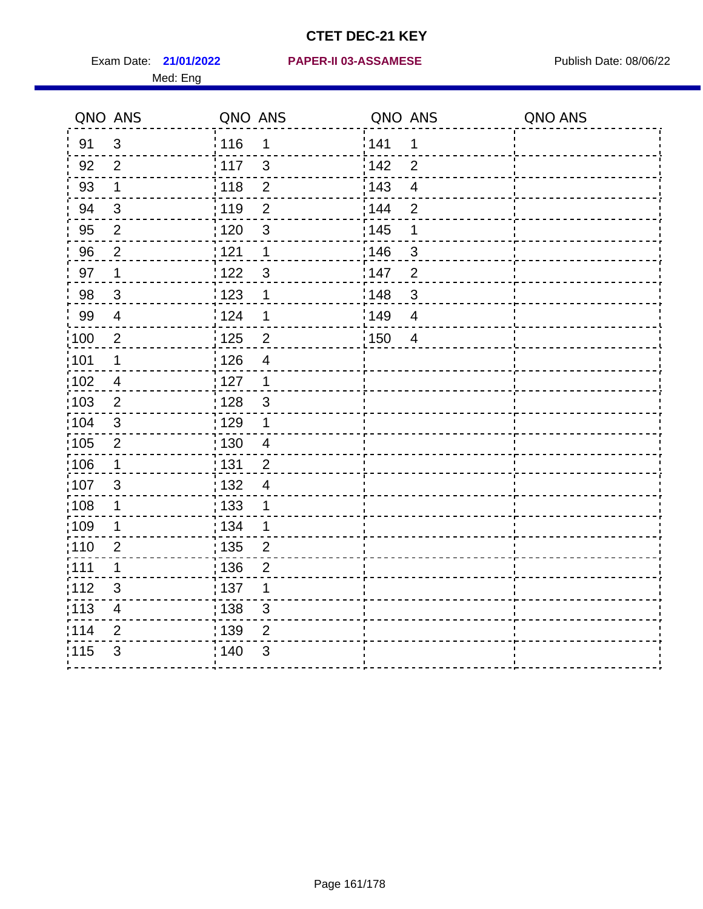Med: Eng

#### **21/01/2022 PAPER-II 03-ASSAMESE** Exam Date: Publish Date: 08/06/22

|                   | QNO ANS                  | QNO ANS           |                | QNO ANS |                | QNO ANS |
|-------------------|--------------------------|-------------------|----------------|---------|----------------|---------|
| 91                | $\mathbf{3}$             | 116               | 1              | 141     | 1              |         |
| 92                | $\overline{2}$           | $\frac{1}{117}$   | 3              | 142     | $\overline{2}$ |         |
| 93                | $\mathbf 1$              | 118               | $\overline{2}$ | 143     | $\overline{4}$ |         |
| 94                | 3                        | :119              | $\overline{2}$ | 144     | $\overline{2}$ |         |
| 95                | $\overline{2}$           | : 120             | $\mathfrak{3}$ | : 145   | 1              |         |
| 96                | $\overline{2}$           | 121               | 1              | 146     | 3              |         |
| 97                | 1                        | 122               | $\mathfrak{S}$ | 147     | $\overline{2}$ |         |
| 98                | $\mathbf{3}$             | 123               | 1              | 148     | $\mathbf{3}$   |         |
| 99                | $\overline{\mathcal{A}}$ | 124               | 1              | 149     | $\overline{4}$ |         |
| 100               | $\overline{2}$           | $\frac{1}{1}$ 125 | $\overline{2}$ | 150     | $\overline{4}$ |         |
| 101               | $\mathbf 1$              | 126               | $\overline{4}$ |         |                |         |
| 102               | $\overline{\mathcal{A}}$ | 127               | $\mathbf{1}$   |         |                |         |
| 103               | 2                        | : 128             | $\mathbf{3}$   |         |                |         |
| $\frac{1}{104}$   | $\mathbf{3}$             | : 129             | $\mathbf 1$    |         |                |         |
| 105               | $\mathbf{2}$             | $\frac{1}{1}$ 130 | $\overline{4}$ |         |                |         |
| 106               | $\mathbf 1$              | : 131             | $\overline{2}$ |         |                |         |
| 107               | 3                        | : 132             | $\overline{4}$ |         |                |         |
| :108              | $\mathbf 1$              | : 133             | 1              |         |                |         |
| :109              | 1                        | : 134             | $\mathbf 1$    |         |                |         |
| : 110             | $\overline{2}$           | 135               | $\overline{2}$ |         |                |         |
| : 111             | 1                        | : 136             | $\overline{2}$ |         |                |         |
| 112               | 3                        | : 137             | 1              |         |                |         |
| $\frac{1}{1}$ 113 | $\overline{\mathbf{4}}$  | : 138             | $\mathsf 3$    |         |                |         |
| 114               | $\overline{2}$           | : 139             | 2              |         |                |         |
| 115               | 3                        | 140               | 3              |         |                |         |
|                   |                          |                   |                |         |                |         |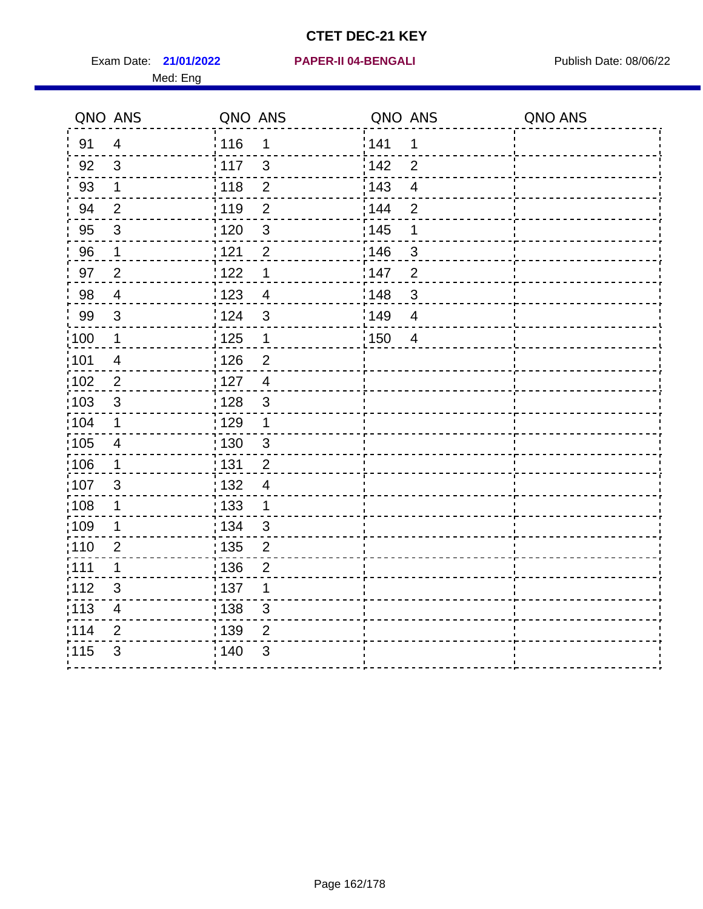Exam Date: 21/01/2022 **PAPER-II 04-BENGALI** Publish Date: 08/06/22 Med: Eng

#### **21/01/2022 PAPER-II 04-BENGALI**

|                   | QNO ANS                 | QNO ANS           |                | QNO ANS           |                         | QNO ANS |
|-------------------|-------------------------|-------------------|----------------|-------------------|-------------------------|---------|
| 91                | $\overline{4}$          | : 116             | 1              | 141               | $\mathbf 1$             |         |
| 92                | $\mathbf{3}$            | 117               | $\mathbf{3}$   | 142               | $\overline{2}$          |         |
| 93                | $\mathbf 1$             | 118               | $\mathbf 2$    | 143               | $\overline{\mathbf{4}}$ |         |
| 94                | $\overline{2}$          | : 119             | $\overline{2}$ | 144               | $\overline{2}$          |         |
| 95                | $\mathfrak{B}$          | : 120             | $\sqrt{3}$     | : 145             | 1                       |         |
| 96                | $\mathbf{1}$            | 121               | $\overline{2}$ | 146               | 3                       |         |
| 97                | $\overline{2}$          | 122               | $\mathbf 1$    | 147               | $\overline{2}$          |         |
| 98                | $\overline{4}$          | 123               | $\overline{4}$ | 148               | $\mathbf{3}$            |         |
| 99                | $\sqrt{3}$              | 124               | $\mathfrak{S}$ | 149               | $\overline{4}$          |         |
| $\frac{1}{1}$ 100 | $\mathbf 1$             | $\frac{1}{1}$ 125 | $\mathbf{1}$   | $\frac{1}{1}$ 150 | $\overline{4}$          |         |
| :101              | $\overline{\mathbf{4}}$ | 126               | $\overline{2}$ |                   |                         |         |
| :102              | $\overline{2}$          | 127               | $\overline{4}$ |                   |                         |         |
| 103               | $\mathbf{3}$            | 128               | $\mathbf{3}$   |                   |                         |         |
| :104              | $\mathbf 1$             | : 129             | $\mathbf{1}$   |                   |                         |         |
| 105               | $\overline{4}$          | 130               | $\mathfrak{S}$ |                   |                         |         |
| :106              | $\mathbf 1$             | : 131             | $\overline{2}$ |                   |                         |         |
| 107               | $\mathfrak{B}$          | : 132             | $\overline{4}$ |                   |                         |         |
| 108               | $\mathbf{1}$            | : 133             | $\mathbf{1}$   |                   |                         |         |
| :109              | $\mathbf{1}$            | : 134             | $\mathbf{3}$   |                   |                         |         |
| :110              | $\overline{2}$          | 135               | $\overline{2}$ |                   |                         |         |
| :111              | 1                       | : 136             | $\overline{2}$ |                   |                         |         |
| 112               | $\sqrt{3}$              | : 137             | 1              |                   |                         |         |
| 113               | $\overline{\mathbf{4}}$ | 138               | $\mathfrak{S}$ |                   |                         |         |
| 114               | $\overline{2}$          | : 139             | $\overline{2}$ |                   |                         |         |
| 115               | $\mathfrak{S}$          | 140               | $\mathfrak{S}$ |                   |                         |         |
|                   |                         |                   |                |                   |                         |         |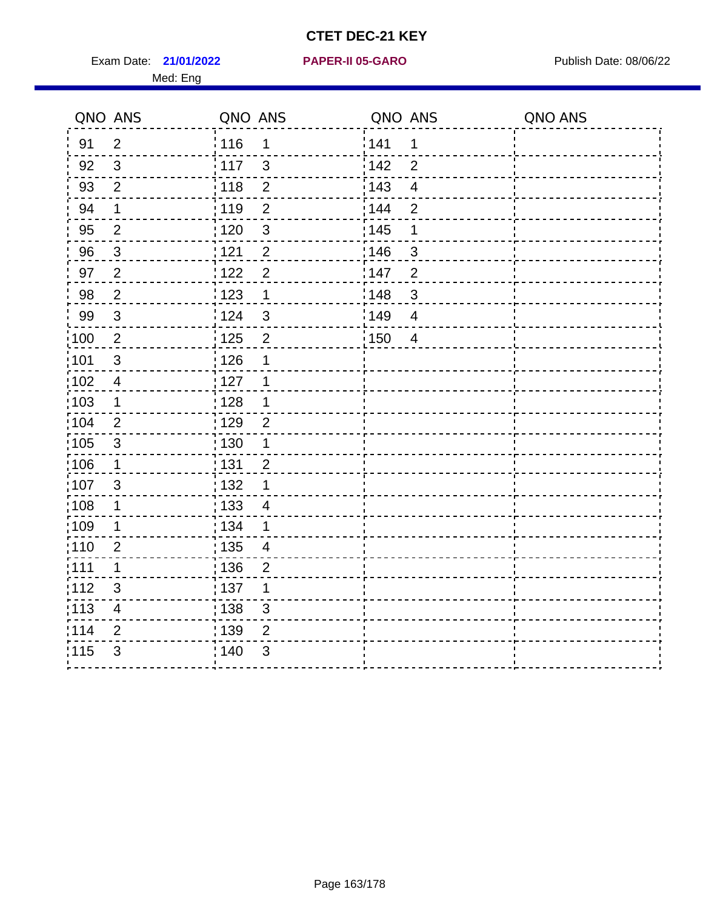Exam Date: 21/01/2022 **PAPER-II 05-GARO** Publish Date: 08/06/22 Med: Eng

#### **21/01/2022 PAPER-II 05-GARO**

|                   | QNO ANS        | QNO ANS           |                          | QNO ANS |                          | QNO ANS |
|-------------------|----------------|-------------------|--------------------------|---------|--------------------------|---------|
| 91                | 2              | : 116             | $\mathbf 1$              | 141     | $\mathbf 1$              |         |
| 92                | $\mathbf{3}$   | 117               | $\mathbf{3}$             | 142     | $\overline{2}$           |         |
| 93                | $\overline{2}$ | 118               | $\overline{2}$           | 143     | $\overline{\mathbf{4}}$  |         |
| 94                | $\mathbf 1$    | : 119             | $\overline{2}$           | : 144   | $\overline{2}$           |         |
| 95                | $\overline{2}$ | $\frac{1}{1}$ 120 | $\mathfrak{S}$           | : 145   | $\mathbf 1$              |         |
| 96                | 3              | 1121              | $\overline{2}$           | 146     | $\mathfrak{B}$           |         |
| 97                | $\overline{2}$ | 122               | $\overline{2}$           | 147     | $\overline{2}$           |         |
| 98                | $\overline{2}$ | $\frac{1}{2}$ 123 | $\mathbf 1$              | :148    | $\mathbf{3}$             |         |
| 99                | $\sqrt{3}$     | 124               | $\mathbf{3}$             | ¦149    | $\overline{\mathcal{A}}$ |         |
| $\frac{1}{1}$ 100 | $\sqrt{2}$     | $\frac{1}{1}$ 125 | $\overline{2}$           | 150     | $\overline{4}$           |         |
| 101               | $\sqrt{3}$     | : 126             | 1                        |         |                          |         |
| 102               | $\overline{4}$ | 127               | 1                        |         |                          |         |
| 103               | $\mathbf 1$    | : 128             | $\mathbf 1$              |         |                          |         |
| $\frac{1}{104}$   | $\overline{2}$ | : 129             | $\overline{2}$           |         |                          |         |
| 105               | $\sqrt{3}$     | : 130             | $\mathbf{1}$             |         |                          |         |
| 106               | $\mathbf 1$    | : 131             | $\overline{2}$           |         |                          |         |
| 107               | $\mathfrak{S}$ | 132               | $\mathbf 1$              |         |                          |         |
| :108              | $\mathbf 1$    | : 133             | $\overline{\mathcal{A}}$ |         |                          |         |
| :109              | $\mathbf 1$    | : 134             | $\mathbf 1$              |         |                          |         |
| :110              | $\overline{2}$ | : 135             | 4                        |         |                          |         |
| 111               | 1              | : 136             | $\overline{2}$           |         |                          |         |
| 112               | $\sqrt{3}$     | 137               | 1                        |         |                          |         |
| : 113             | $\overline{4}$ | : 138             | 3                        |         |                          |         |
| 114               | 2              | : 139             | 2                        |         |                          |         |
| 115               | 3              | 140               | 3                        |         |                          |         |
|                   |                |                   |                          |         |                          |         |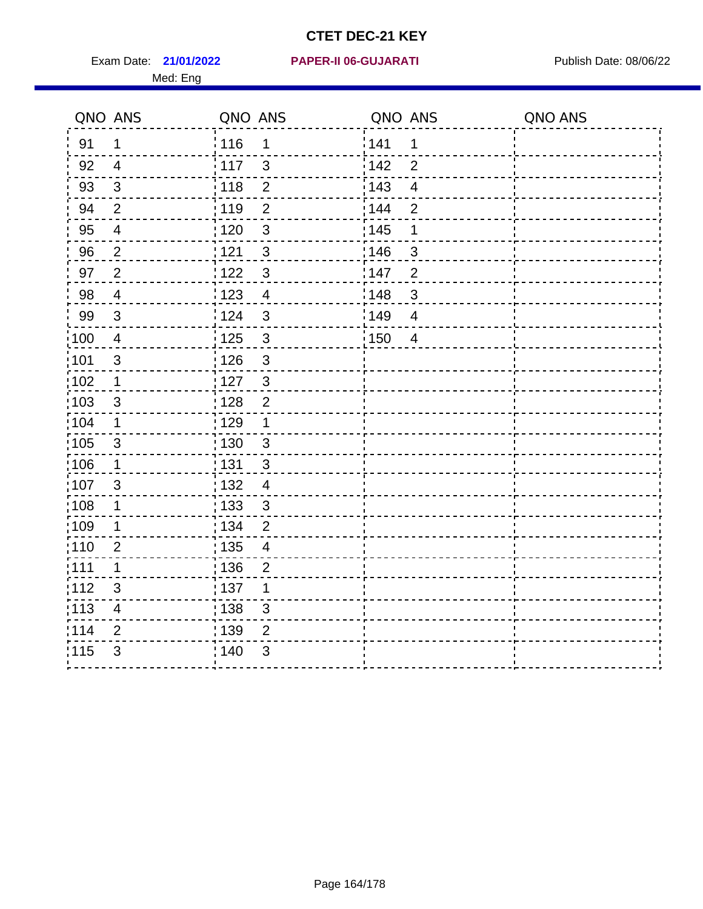Med: Eng

#### **21/01/2022 PAPER-II 06-GUJARATI** Exam Date: Publish Date: 08/06/22

|                   | QNO ANS                  | QNO ANS           |                          | QNO ANS           |                | QNO ANS |
|-------------------|--------------------------|-------------------|--------------------------|-------------------|----------------|---------|
| 91                | $\mathbf 1$              | 116               | 1                        | 141               | 1              |         |
| 92                | $\overline{4}$           | 117               | $\mathbf{3}$             | 142               | $\overline{2}$ |         |
| 93                | $\mathfrak{Z}$           | 118               | $\overline{2}$           | 143               | $\overline{4}$ |         |
| 94                | $\overline{2}$           | : 119             | $\overline{2}$           | 144               | $\overline{2}$ |         |
| 95                | $\overline{4}$           | : 120             | $\mathbf{3}$             | : 145             | 1              |         |
| 96                | $\overline{2}$           | 121               | 3                        | 146               | 3              |         |
| 97                | $\overline{2}$           | 122               | $\mathbf{3}$             | 147               | $\overline{2}$ |         |
| 98                | $\overline{4}$           | $\frac{1}{2}$ 123 | $\overline{4}$           | $\frac{1}{2}$ 148 | $\mathfrak{B}$ |         |
| 99                | $\sqrt{3}$               | 124               | $\mathfrak{3}$           | :149              | $\overline{4}$ |         |
| $\frac{1}{1}$ 100 | $\overline{4}$           | $\frac{1}{1}$ 125 | $\mathbf{3}$             | 150               | $\overline{4}$ |         |
| :101              | $\mathsf 3$              | : 126             | $\mathfrak{S}$           |                   |                |         |
| 102               | $\mathbf{1}$             | : 127             | $\mathbf{3}$             |                   |                |         |
| 103               | 3                        | : 128             | $\overline{2}$           |                   |                |         |
| :104              | $\mathbf 1$              | : 129             | $\mathbf{1}$             |                   |                |         |
| 105               | $\mathbf{3}$             | : 130             | $\mathbf{3}$             |                   |                |         |
| :106              | $\mathbf{1}$             | : 131             | 3                        |                   |                |         |
| 107               | 3                        | : 132             | $\overline{4}$           |                   |                |         |
| 108               | $\mathbf 1$              | : 133             | $\mathbf{3}$             |                   |                |         |
| :109              | $\mathbf 1$              | : 134             | $\overline{2}$           |                   |                |         |
| :110              | $\overline{2}$           | : 135             | $\overline{\mathcal{A}}$ |                   |                |         |
| :111              | $\mathbf 1$              | : 136             | $\overline{2}$           |                   |                |         |
| 112               | $\mathfrak{S}$           | : 137             | 1                        |                   |                |         |
| 113               | $\overline{\mathcal{A}}$ | : 138             | 3                        |                   |                |         |
| 114               | 2                        | 139               | 2                        |                   |                |         |
| 115               | 3                        | 140               | $\mathfrak{B}$           |                   |                |         |
|                   |                          |                   |                          |                   |                |         |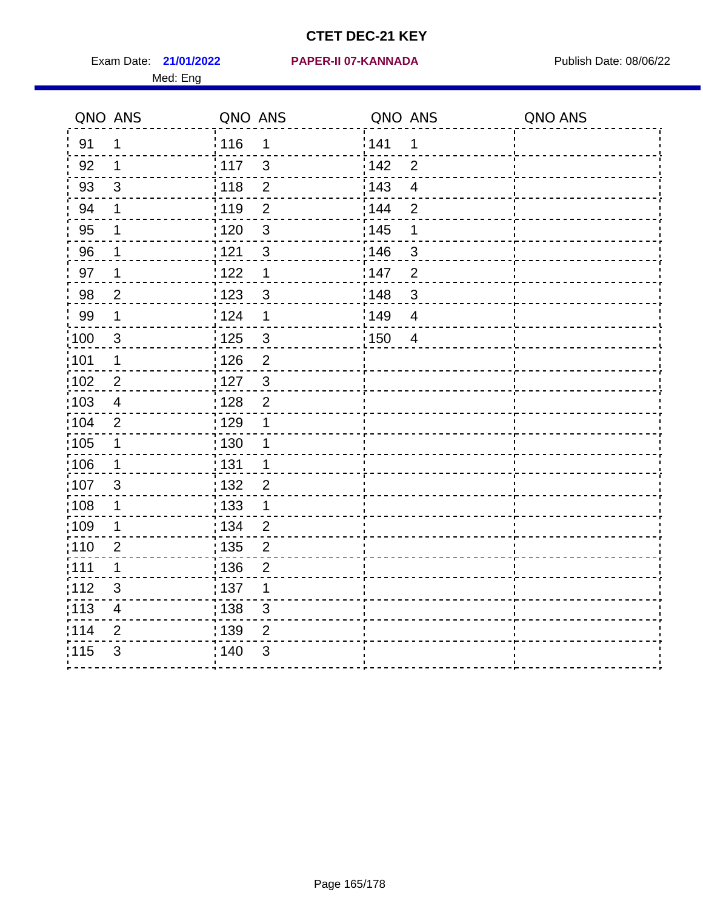Med: Eng

|                   | QNO ANS                   | QNO ANS           |                | QNO ANS           |                          | QNO ANS |
|-------------------|---------------------------|-------------------|----------------|-------------------|--------------------------|---------|
| 91                | 1                         | 116               | 1              | 141               | 1                        |         |
| 92                | 1                         | 117               | $\mathfrak{S}$ | 142               | $\overline{2}$           |         |
| 93                | $\sqrt{3}$                | 118               | $\mathbf 2$    | 143               | $\overline{\mathcal{A}}$ |         |
| 94                | 1                         | : 119             | $\overline{2}$ | : 144             | $\overline{2}$           |         |
| 95                | 1                         | : 120             | $\mathfrak{3}$ | : 145             | 1                        |         |
| 96                | 1                         | 121               | $\mathfrak{S}$ | 146               | 3                        |         |
| 97                | $\mathbf 1$               | 1122              | $\mathbf 1$    | 147               | $\overline{2}$           |         |
| 98                | $\overline{2}$            | : 123             | $\mathbf{3}$   | 148               | $\sqrt{3}$               |         |
| 99                | $\mathbf 1$               | 124               | 1              | 149               | $\overline{4}$           |         |
| 100               | $\mathfrak{3}$            | $\frac{1}{1}$ 125 | $\mathsf 3$    | $\frac{1}{1}$ 150 | $\overline{4}$           |         |
| 101               | $\mathbf 1$               | 126               | $\overline{2}$ |                   |                          |         |
| 102               | $\overline{2}$            | : 127             | $\mathbf{3}$   |                   |                          |         |
| 103               | 4                         | : 128             | $\overline{2}$ |                   |                          |         |
| 104               | 2                         | : 129             | 1              |                   |                          |         |
| 105               | $\mathbf 1$               | : 130             | 1              |                   |                          |         |
| 106               | $\mathbf 1$               | : 131             | 1              |                   |                          |         |
| :107              | 3                         | : 132             | $\overline{2}$ |                   |                          |         |
| $\frac{1}{1}$ 108 | $\mathbf 1$               | : 133             | $\mathbf 1$    |                   |                          |         |
| :109              | 1                         | : 134             | $\overline{2}$ |                   |                          |         |
| :110              | $\overline{2}$            | 135               | $\overline{2}$ |                   |                          |         |
| 111               | 1                         | : 136             | $\overline{2}$ |                   |                          |         |
| 112               | $\ensuremath{\mathsf{3}}$ | : 137             | 1              |                   |                          |         |
| $\frac{1}{1}$ 113 | $\overline{\mathbf{4}}$   | : 138             | $\mathsf 3$    |                   |                          |         |
| 114               | $\overline{2}$            | : 139             | 2              |                   |                          |         |
| 115               | 3                         | 140               | 3              |                   |                          |         |
|                   |                           |                   |                |                   |                          |         |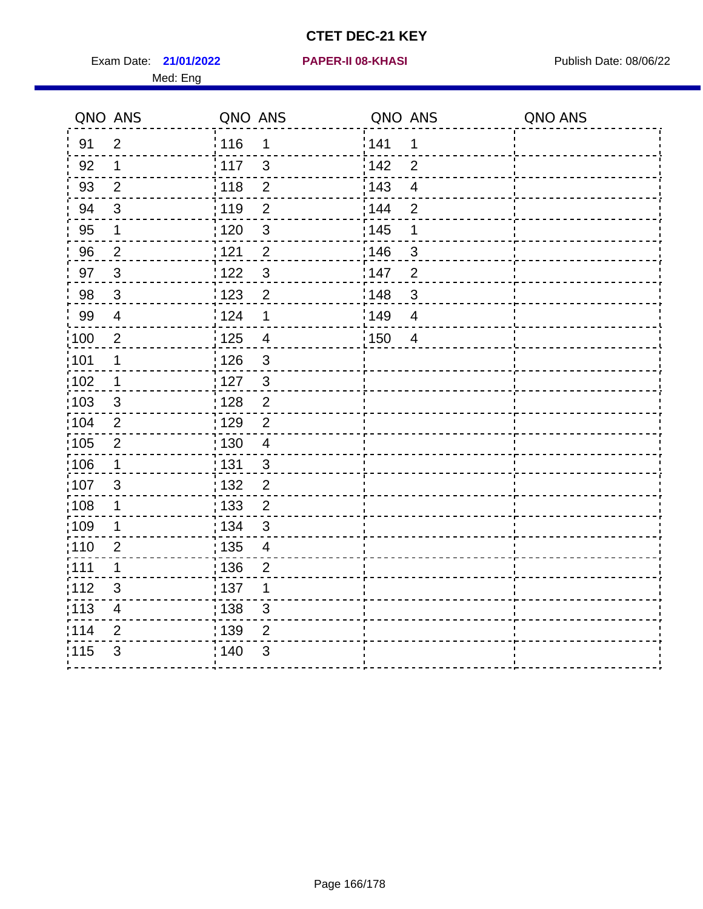Exam Date: 21/01/2022 **PAPER-II 08-KHASI** Publish Date: 08/06/22 Med: Eng

#### **21/01/2022 PAPER-II 08-KHASI**

| QNO ANS           |                         | QNO ANS |                          | QNO ANS |                         | QNO ANS |
|-------------------|-------------------------|---------|--------------------------|---------|-------------------------|---------|
| 91                | $\overline{2}$          | 116     | 1                        | 141     | $\mathbf 1$             |         |
| 92                | $\mathbf 1$             | 117     | 3                        | 142     | $\overline{2}$          |         |
| 93                | $\overline{2}$          | 118     | $\overline{2}$           | 143     | $\overline{\mathbf{4}}$ |         |
| 94                | $\sqrt{3}$              | : 119   | $\overline{2}$           | 144     | $\overline{2}$          |         |
| 95                | $\mathbf 1$             | :120    | $\mathfrak{S}$           | : 145   | 1                       |         |
| 96                | $\overline{2}$          | 121     | $\overline{2}$           | 146     | 3                       |         |
| 97                | $\mathbf{3}$            | 122     | $\sqrt{3}$               | 147     | $\overline{2}$          |         |
| 98                | $\mathbf{3}$            | 1123    | $\overline{2}$           | 148     | $\mathbf{3}$            |         |
| 99                | $\overline{\mathbf{4}}$ | 124     | 1                        | 149     | $\overline{4}$          |         |
| :100              | $\overline{2}$          | 125     | $\overline{\mathbf{4}}$  | 150     | $\overline{4}$          |         |
| :101              | $\mathbf 1$             | : 126   | 3                        |         |                         |         |
| 102               | $\mathbf 1$             | 127     | $\mathbf{3}$             |         |                         |         |
| 103               | 3                       | : 128   | $\overline{2}$           |         |                         |         |
| :104              | $\overline{2}$          | : 129   | $\overline{2}$           |         |                         |         |
| $\frac{1}{1}$ 105 | $\sqrt{2}$              | 130     | $\overline{\mathcal{A}}$ |         |                         |         |
| 106               | $\mathbf 1$             | : 131   | 3                        |         |                         |         |
| 107               | 3                       | 132     | $\overline{2}$           |         |                         |         |
| 108               | $\mathbf{1}$            | 133     | $\overline{2}$           |         |                         |         |
| 109               | 1                       | : 134   | $\mathfrak{S}$           |         |                         |         |
| :110              | $\overline{2}$          | : 135   | $\overline{\mathcal{A}}$ |         |                         |         |
| :111              | 1                       | : 136   | $\overline{2}$           |         |                         |         |
| 112               | 3                       | : 137   | 1                        |         |                         |         |
| :113              | $\overline{\mathbf{4}}$ | : 138   | $\mathfrak{S}$           |         |                         |         |
| 114               | $\overline{2}$          | 139     | $\overline{2}$           |         |                         |         |
| 115               | 3                       | : 140   | 3                        |         |                         |         |
|                   |                         |         |                          |         |                         |         |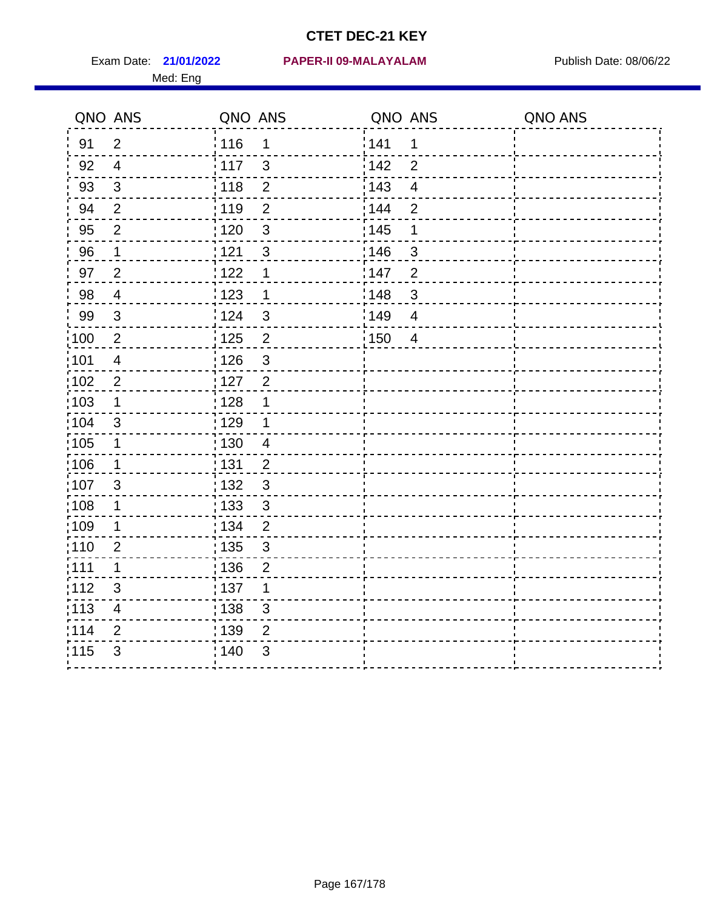Med: Eng

109 1  $110$  2  $111$  1 .<br>. . . . . . . . .<br>. . . . . . . .  $\frac{1}{113}$  4 .<br>. . . . . . . . .<br>. . . . . . . .

 $\sim$   $\sim$ 

#### **21/01/2022 PAPER-II 09-MALAYALAM** Exam Date: Publish Date: 08/06/22

| QNO ANS |                | QNO ANS |                | QNO ANS |                | QNO ANS |
|---------|----------------|---------|----------------|---------|----------------|---------|
| 91      | 2              | 116     | $\mathbf 1$    | 141     | $\mathbf{1}$   |         |
| 92      | $\overline{4}$ | i 117   | $\mathbf{3}$   | 142     | $\overline{2}$ |         |
| 93      | $\mathbf{3}$   | : 118   | $\overline{2}$ | : 143   | 4              |         |
| 94      | $\overline{2}$ | : 119   | 2              | : 144   | $\overline{2}$ |         |
| 95      | $\overline{2}$ | : 120   | $\mathbf{3}$   | : 145   | $\mathbf 1$    |         |
| 96      | $\overline{1}$ | 121     | $\mathbf{3}$   | 146     | 3              |         |
| 97      | $\overline{2}$ | 122     | $\mathbf 1$    | 147     | $\overline{2}$ |         |
| 98      | $\overline{4}$ | 123     | $\mathbf 1$    | 148     | 3              |         |
| 99      | $\mathbf{3}$   | 124     | $\mathbf{3}$   | 149     | $\overline{4}$ |         |
| 100     | $\overline{2}$ | : 125   | 2              | : 150   | $\overline{4}$ |         |
| :101    | $\overline{4}$ | : 126   | $\sqrt{3}$     |         |                |         |
| :102    | 2              | : 127   | 2              |         |                |         |
| 103     | 1              | : 128   | 1              |         |                |         |
| :104    | $\mathbf{3}$   | :129    | $\mathbf 1$    |         |                |         |
| 105     | 1              | : 130   | $\overline{4}$ |         |                |         |
| ;106    | 1              | : 131   | $\overline{2}$ |         |                |         |
| ,107    | 3              | 132     | $\mathfrak{S}$ |         |                |         |
| :108    | 1              | : 133   | 3              |         |                |         |

 $\frac{1}{1}$  134 2

| 135 3<br>|---------<br>| 136 2<br>|----------136

137 1

---------<br>¦ 138 3<br>--------- $139 - 2$ 

 $\frac{1}{115}$  3  $\frac{1}{140}$  3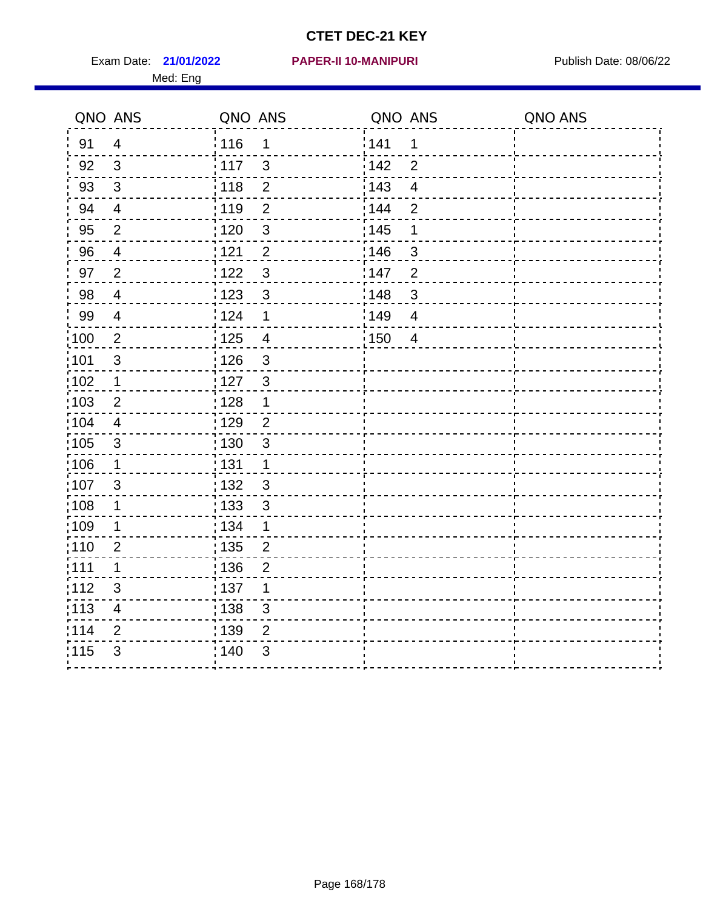Exam Date: 21/01/2022 PAPER-II 10-MANIPURI<br>
Publish Date: 08/06/22 Med: Eng

|                   | QNO ANS                 | QNO ANS           |                         | QNO ANS |                         | QNO ANS |
|-------------------|-------------------------|-------------------|-------------------------|---------|-------------------------|---------|
| 91                | $\overline{4}$          | 116               | $\mathbf 1$             | 141     | $\mathbf 1$             |         |
| 92                | $\mathfrak{S}$          | 117               | $\mathfrak{S}$          | 142     | $\overline{2}$          |         |
| 93                | $\mathfrak{Z}$          | 118               | $\overline{2}$          | 143     | $\overline{\mathbf{4}}$ |         |
| 94                | $\overline{4}$          | : 119             | $\overline{2}$          | 144     | $\overline{2}$          |         |
| 95                | $\overline{2}$          | : 120             | $\mathfrak{B}$          | : 145   | 1                       |         |
| 96                | 4                       | 121               | $\overline{2}$          | 146     | 3                       |         |
| 97                | $\overline{2}$          | 122               | 3                       | 147     | $\overline{2}$          |         |
| 98                | $\overline{\mathbf{4}}$ | 123               | $\mathfrak{S}$          | 148     | $\mathbf{3}$            |         |
| 99                | $\overline{4}$          | 124               | 1                       | 149     | $\overline{4}$          |         |
| :100              | $\sqrt{2}$              | $\frac{1}{1}$ 125 | $\overline{\mathbf{4}}$ | 150     | $\overline{4}$          |         |
| :101              | $\sqrt{3}$              | : 126             | 3                       |         |                         |         |
| 102               | $\mathbf{1}$            | : 127             | 3                       |         |                         |         |
| 103               | 2                       | : 128             | $\mathbf{1}$            |         |                         |         |
| $\frac{1}{104}$   | $\overline{4}$          | : 129             | $\overline{2}$          |         |                         |         |
| $\frac{1}{1}$ 105 | $\mathbf{3}$            | : 130             | $\mathfrak{S}$          |         |                         |         |
| :106              | $\mathbf 1$             | : 131             | $\mathbf{1}$            |         |                         |         |
| 107               | 3                       | 132               | $\mathbf{3}$            |         |                         |         |
| 108               | $\mathbf 1$             | 133               | $\mathfrak{S}$          |         |                         |         |
| :109              | 1                       | : 134             | $\mathbf{1}$            |         |                         |         |
| :110              | $\overline{2}$          | 135               | $\overline{2}$          |         |                         |         |
| : 111             | $\mathbf 1$             | 136               | $\overline{2}$          |         |                         |         |
| 112               | $\sqrt{3}$              | $\frac{1}{1}$ 137 | 1                       |         |                         |         |
| : 113             | $\overline{\mathbf{4}}$ | $\frac{1}{1}$ 138 | 3                       |         |                         |         |
| 114               | 2                       | :139              | $\overline{2}$          |         |                         |         |
| 115               | $\mathfrak{S}$          | 140               | $\sqrt{3}$              |         |                         |         |
|                   |                         |                   |                         |         |                         |         |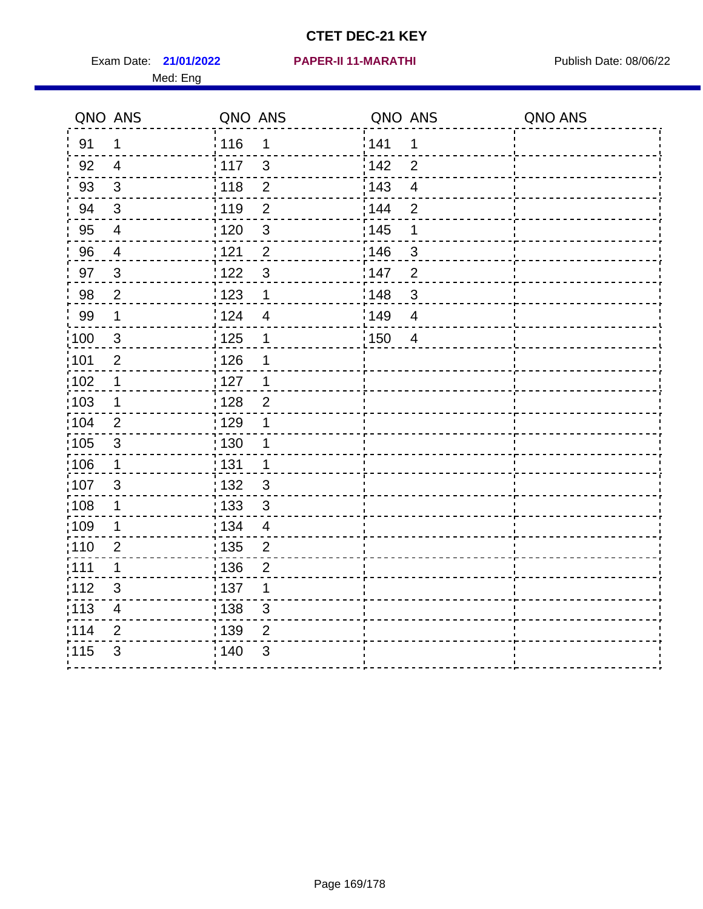Exam Date: 21/01/2022 PAPER-II 11-MARATHI Publish Date: 08/06/22 Med: Eng

**21/01/2022 PAPER-II 11-MARATHI**

|                   | QNO ANS                  | QNO ANS                          | QNO ANS           |                | QNO ANS |
|-------------------|--------------------------|----------------------------------|-------------------|----------------|---------|
| 91                | $\mathbf{1}$             | 116<br>1                         | 141               | 1              |         |
| 92                | $\overline{4}$           | 117<br>$\mathbf{3}$              | 142               | $\overline{2}$ |         |
| 93                | $\mathfrak{Z}$           | 118<br>$\mathbf{2}$              | 143               | $\overline{4}$ |         |
| 94                | $\mathbf{3}$             | : 119<br>$\overline{2}$          | : 144             | $\overline{2}$ |         |
| 95                | $\overline{4}$           | : 120<br>$\sqrt{3}$              | : 145             | 1              |         |
| 96                | $\overline{4}$           | 121<br>$\overline{2}$            | 146               | 3              |         |
| 97                | $\mathbf{3}$             | $\mathbf{3}$<br>122              | 147               | $\overline{2}$ |         |
| 98                | $\overline{2}$           | $\frac{1}{2}$ 123<br>$\mathbf 1$ | $\frac{1}{2}$ 148 | $\mathfrak{B}$ |         |
| 99                | $\mathbf 1$              | 124<br>$\overline{\mathcal{A}}$  | :149              | $\overline{4}$ |         |
| $\frac{1}{1}$ 100 | $\mathbf{3}$             | $\frac{1}{1}$ 125<br>$\mathbf 1$ | 150               | $\overline{4}$ |         |
| :101              | $\mathbf 2$              | : 126<br>1                       |                   |                |         |
| 102               | 1                        | : 127<br>$\mathbf 1$             |                   |                |         |
| 103               | $\mathbf 1$              | $\overline{2}$<br>: 128          |                   |                |         |
| :104              | $\overline{2}$           | $\frac{1}{1}$ 129<br>1           |                   |                |         |
| 105               | $\sqrt{3}$               | 130<br>$\mathbf 1$               |                   |                |         |
| 106               | $\mathbf 1$              | : 131<br>$\mathbf 1$             |                   |                |         |
| 107               | $\mathfrak{B}$           | 132<br>3                         |                   |                |         |
| 108               | $\mathbf 1$              | : 133<br>$\mathbf{3}$            |                   |                |         |
| :109              | 1                        | : 134<br>$\overline{4}$          |                   |                |         |
| :110              | $\overline{2}$           | : 135<br>2                       |                   |                |         |
| :111              | $\mathbf 1$              | : 136<br>$\overline{2}$          |                   |                |         |
| 112               | $\mathfrak{S}$           | : 137<br>1                       |                   |                |         |
| 113               | $\overline{\mathcal{A}}$ | : 138<br>3                       |                   |                |         |
| 114               | 2                        | : 139<br>2                       |                   |                |         |
| 115               | 3                        | 140<br>$\mathfrak{B}$            |                   |                |         |
|                   |                          |                                  |                   |                |         |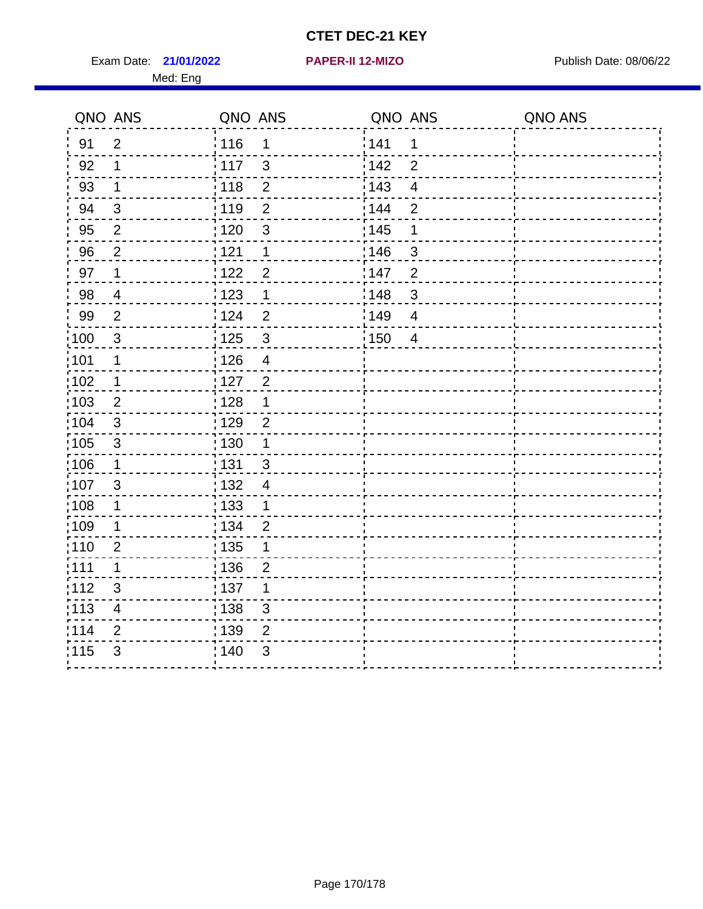Exam Date: 21/01/2022 **PAPER-II 12-MIZO** PUBLISH Date: 08/06/22 Med: Eng

#### **21/01/2022 PAPER-II 12-MIZO**

|                   | QNO ANS                  | QNO ANS           |                | QNO ANS |                         | QNO ANS |
|-------------------|--------------------------|-------------------|----------------|---------|-------------------------|---------|
| 91                | $\overline{2}$           | 116               | 1              | 141     | 1                       |         |
| 92                | $\mathbf 1$              | 117               | 3              | 142     | $\overline{2}$          |         |
| 93                | $\mathbf 1$              | 118               | $\overline{2}$ | 143     | $\overline{\mathbf{4}}$ |         |
| 94                | $\mathbf{3}$             | 119               | $\overline{2}$ | 144     | $\overline{2}$          |         |
| 95                | $\overline{2}$           | : 120             | $\mathbf{3}$   | : 145   | 1                       |         |
| 96                | $\overline{2}$           | 121               | 1              | 146     | 3                       |         |
| 97                | $\mathbf 1$              | 122               | $\overline{2}$ | 147     | $\overline{2}$          |         |
| 98                | $\overline{\mathcal{A}}$ | 123               | $\mathbf 1$    | 148     | $\mathbf{3}$            |         |
| 99                | $\overline{2}$           | 124               | $\overline{2}$ | 149     | $\overline{4}$          |         |
| :100              | $\sqrt{3}$               | 125               | $\mathbf{3}$   | 150     | $\overline{4}$          |         |
| :101              | $\mathbf 1$              | 126               | $\overline{4}$ |         |                         |         |
| 102               | $\mathbf 1$              | : 127             | $\overline{2}$ |         |                         |         |
| :103              | 2                        | : 128             | $\mathbf 1$    |         |                         |         |
| $\frac{1}{1}$ 104 | 3                        | : 129             | $\overline{2}$ |         |                         |         |
| 105               | $\sqrt{3}$               | 130               | $\mathbf 1$    |         |                         |         |
| 106               | $\mathbf 1$              | : 131             | 3              |         |                         |         |
| ;107              | 3                        | : 132             | $\overline{4}$ |         |                         |         |
| 108               | $\mathbf 1$              | : 133             | $\mathbf 1$    |         |                         |         |
| :109              | 1                        | : 134             | $\overline{2}$ |         |                         |         |
| :110              | $\overline{2}$           | : 135             | 1              |         |                         |         |
| :111              | 1                        | : 136             | $\overline{c}$ |         |                         |         |
| 112               | 3                        | $\frac{1}{1}$ 137 | 1              |         |                         |         |
| 113               | $\overline{4}$           | : 138             | 3              |         |                         |         |
| 1114              | $\overline{2}$           | 139               | $\overline{2}$ |         |                         |         |
| 115               | 3                        | 140               | 3              |         |                         |         |
|                   |                          |                   |                |         |                         |         |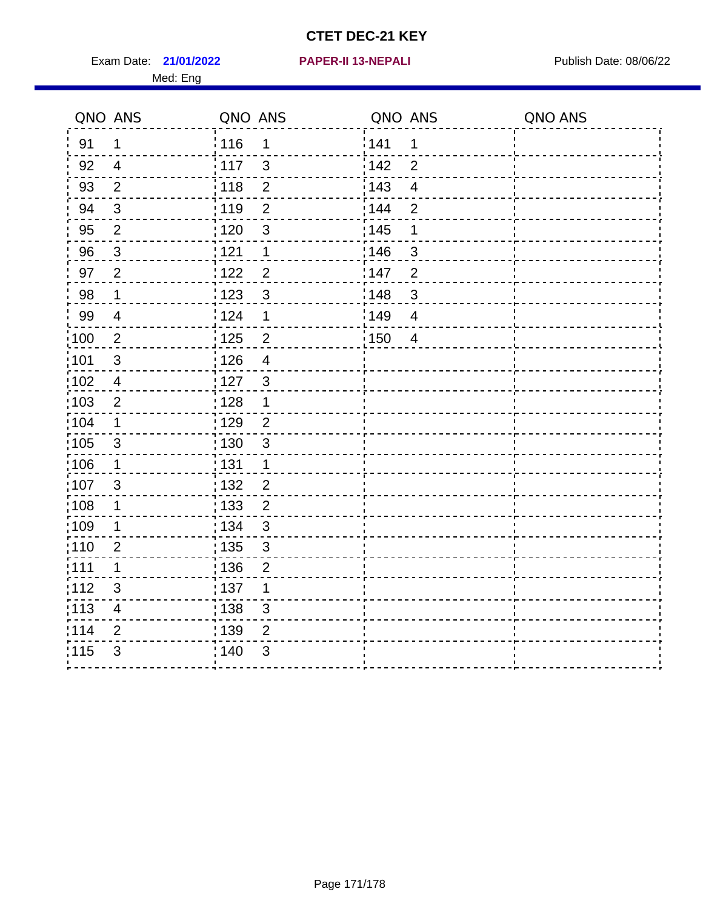Exam Date: 21/01/2022 **PAPER-II 13-NEPALI Exam Date: 08/06/22** Med: Eng

**21/01/2022 PAPER-II 13-NEPALI**

|                   | QNO ANS                  | QNO ANS           |                          | QNO ANS |                         | QNO ANS |
|-------------------|--------------------------|-------------------|--------------------------|---------|-------------------------|---------|
| 91                | $\mathbf 1$              | 116               | $\mathbf 1$              | 1141    | $\mathbf 1$             |         |
| 92                | $\overline{4}$           | 117               | $\mathbf{3}$             | 142     | $\overline{2}$          |         |
| 93                | $\overline{2}$           | 118               | $\sqrt{2}$               | 143     | $\overline{\mathbf{4}}$ |         |
| 94                | $\mathbf{3}$             | : 119             | $\overline{2}$           | : 144   | $\overline{2}$          |         |
| 95                | 2                        | :120              | 3                        | : 145   | 1                       |         |
| 96                | $\mathfrak{S}$           | 121               | 1                        | :146    | $\mathfrak{S}$          |         |
| 97                | $\overline{2}$           | 122               | $\overline{2}$           | 147     | $\overline{2}$          |         |
| 98                | $\mathbf{1}$             | : 123             | $\mathbf{3}$             | 148     | $\sqrt{3}$              |         |
| 99                | $\overline{4}$           | 124               | $\mathbf 1$              | :149    | $\overline{4}$          |         |
| $\frac{1}{1}$ 100 | $\sqrt{2}$               | $\frac{1}{1}$ 125 | $\overline{2}$           | 150     | $\overline{4}$          |         |
| :101              | $\sqrt{3}$               | : 126             | $\overline{\mathcal{A}}$ |         |                         |         |
| 102               | $\overline{4}$           | 127               | $\mathbf{3}$             |         |                         |         |
| 103               | $\overline{2}$           | : 128             | $\mathbf{1}$             |         |                         |         |
| 104               | $\mathbf 1$              | : 129             | $\overline{2}$           |         |                         |         |
| 105               | $\sqrt{3}$               | $\frac{1}{1}$ 130 | $\mathsf 3$              |         |                         |         |
| :106              | $\mathbf 1$              | : 131             | $\mathbf 1$              |         |                         |         |
| 107               | $\mathbf{3}$             | 132               | $\overline{2}$           |         |                         |         |
| 108               | $\mathbf{1}$             | : 133             | $\overline{2}$           |         |                         |         |
| :109              | $\mathbf{1}$             | : 134             | $\mathfrak{S}$           |         |                         |         |
| :110              | $\overline{2}$           | : 135             | $\mathfrak{B}$           |         |                         |         |
| ;111              | $\mathbf 1$              | : 136             | $\overline{2}$           |         |                         |         |
| 112               | $\mathfrak{S}$           | : 137             | 1                        |         |                         |         |
| 113               | $\overline{\mathcal{A}}$ | 138               | $\sqrt{3}$               |         |                         |         |
| 114               | $\overline{2}$           | : 139             | $\overline{2}$           |         |                         |         |
| 115               | $\mathfrak{S}$           | 140               | 3                        |         |                         |         |
|                   |                          |                   |                          |         |                         |         |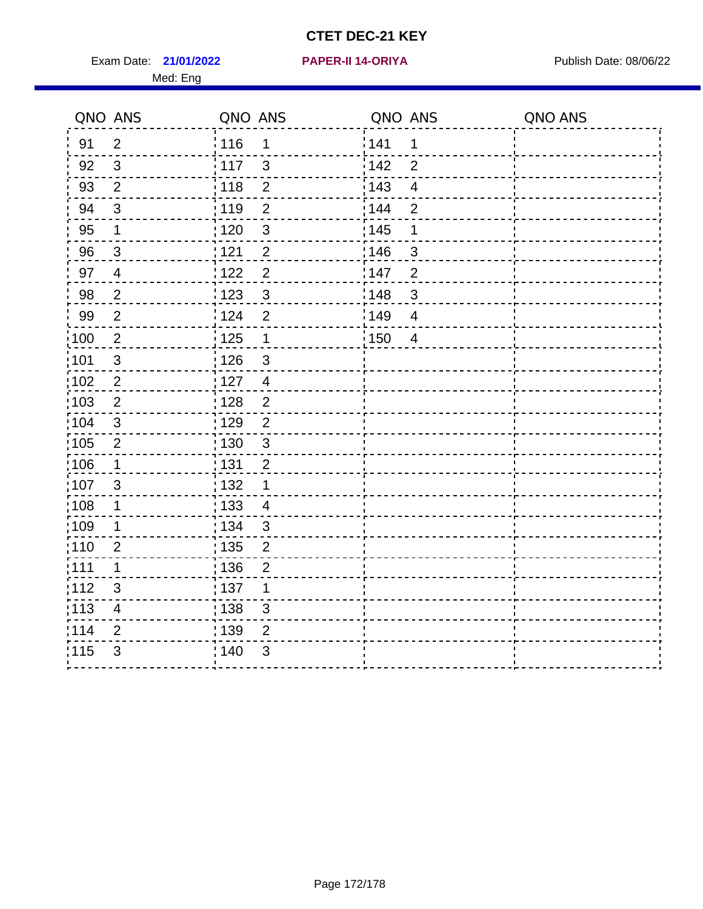Exam Date: 21/01/2022 PAPER-II 14-ORIYA Publish Date: 08/06/22 Med: Eng

#### **21/01/2022 PAPER-II 14-ORIYA**

|                   | QNO ANS                 | QNO ANS         |                | QNO ANS           |                | QNO ANS |
|-------------------|-------------------------|-----------------|----------------|-------------------|----------------|---------|
| 91                | $\overline{2}$          | 116             | 1              | 141               | 1              |         |
| 92                | $\mathbf{3}$            | $\frac{1}{117}$ | $\mathfrak{S}$ | 142               | $\overline{2}$ |         |
| 93                | $\mathbf{2}$            | 118             | $\mathbf 2$    | 143               | $\overline{4}$ |         |
| 94                | $\mathbf{3}$            | : 119           | $\overline{2}$ | : 144             | $\overline{2}$ |         |
| 95                | 1                       | : 120           | $\mathfrak{3}$ | : 145             | 1              |         |
| 96                | 3                       | 121             | $\overline{2}$ | :146              | 3              |         |
| 97                | $\overline{4}$          | 1122            | $\overline{c}$ | : 147             | $\overline{2}$ |         |
| 98                | $\overline{2}$          | 1123            | $\mathbf{3}$   | 148               | $\sqrt{3}$     |         |
| 99                | $\mathbf{2}$            | 124             | $\overline{2}$ | 149               | $\overline{4}$ |         |
| 100               | $\sqrt{2}$              | 125             | $\mathbf 1$    | $\frac{1}{1}$ 150 | $\overline{4}$ |         |
| 101               | $\sqrt{3}$              | 126             | $\mathfrak{S}$ |                   |                |         |
| 102               | $\overline{2}$          | : 127           | $\overline{4}$ |                   |                |         |
| 103               | 2                       | : 128           | $\overline{2}$ |                   |                |         |
| :104              | $\mathbf{3}$            | : 129           | $\overline{2}$ |                   |                |         |
| 105               | $\overline{2}$          | : 130           | $\mathfrak{S}$ |                   |                |         |
| 106               | $\mathbf 1$             | : 131           | $\overline{2}$ |                   |                |         |
| :107              | 3                       | : 132           | 1              |                   |                |         |
| $\frac{1}{1}$ 108 | $\mathbf 1$             | 133             | $\overline{4}$ |                   |                |         |
| :109              | 1                       | : 134           | $\mathfrak{3}$ |                   |                |         |
| :110              | $\overline{2}$          | 135             | $\overline{2}$ |                   |                |         |
| 1111              | 1                       | : 136           | $\overline{2}$ |                   |                |         |
| 112               | $\mathfrak{S}$          | : 137           | 1              |                   |                |         |
| 113               | $\overline{\mathbf{4}}$ | : 138           | $\mathsf 3$    |                   |                |         |
| 114               | $\overline{2}$          | : 139           | 2              |                   |                |         |
| 115               | 3                       | 140             | 3              |                   |                |         |
|                   |                         |                 |                |                   |                |         |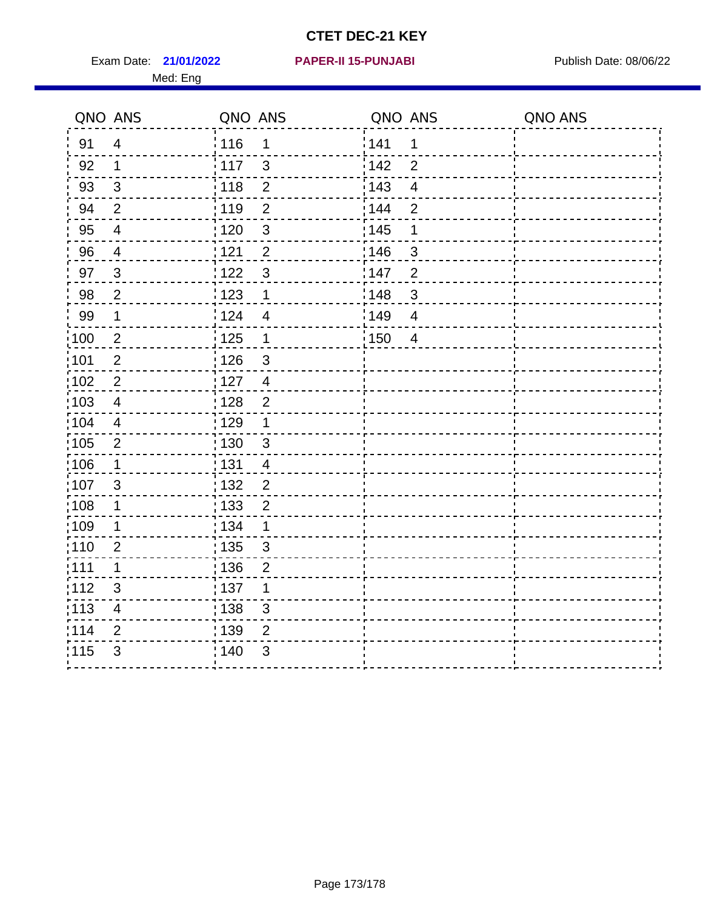Exam Date: 21/01/2022 **PAPER-II 15-PUNJABI** Publish Date: 08/06/22 Med: Eng

**21/01/2022 PAPER-II 15-PUNJABI**

|       | QNO ANS                  | QNO ANS           |                          | QNO ANS |                         | QNO ANS |
|-------|--------------------------|-------------------|--------------------------|---------|-------------------------|---------|
| 91    | $\overline{4}$           | 116               | $\mathbf 1$              | 1141    | $\mathbf 1$             |         |
| 92    | $\mathbf 1$              | $\frac{1}{2}$ 117 | $\mathbf{3}$             | 142     | $\overline{2}$          |         |
| 93    | $\mathbf{3}$             | 118               | $\overline{2}$           | 143     | $\overline{\mathbf{4}}$ |         |
| 94    | $\overline{2}$           | : 119             | $\overline{2}$           | : 144   | $\overline{2}$          |         |
| 95    | $\overline{\mathcal{A}}$ | :120              | 3                        | : 145   | 1                       |         |
| 96    | 4                        | 121               | $\overline{2}$           | :146    | 3                       |         |
| 97    | $\mathbf{3}$             | 122               | $\mathbf{3}$             | 147     | $\overline{2}$          |         |
| 98    | $\overline{c}$           | 123               | $\mathbf{1}$             | 148     | $\sqrt{3}$              |         |
| 99    | $\mathbf 1$              | 124               | $\overline{\mathcal{A}}$ | :149    | $\overline{4}$          |         |
| :100  | $\mathbf 2$              | $\frac{1}{1}$ 125 | $\mathbf 1$              | 150     | $\overline{4}$          |         |
| :101  | $\overline{2}$           | : 126             | $\sqrt{3}$               |         |                         |         |
| 102   | $\overline{2}$           | : 127             | $\overline{4}$           |         |                         |         |
| :103  | $\overline{4}$           | : 128             | 2                        |         |                         |         |
| 104   | $\overline{4}$           | $\frac{1}{1}$ 129 | $\mathbf 1$              |         |                         |         |
| :105  | $\overline{2}$           | : 130             | $\mathfrak{S}$           |         |                         |         |
| :106  | $\mathbf 1$              | : 131             | $\overline{4}$           |         |                         |         |
| 107   | 3                        | 132               | $\overline{2}$           |         |                         |         |
| 108   | $\mathbf 1$              | : 133             | $\overline{2}$           |         |                         |         |
| :109  | $\mathbf 1$              | : 134             | $\mathbf 1$              |         |                         |         |
| :110  | $\overline{2}$           | : 135             | $\mathbf{3}$             |         |                         |         |
| : 111 | $\mathbf 1$              | 136               | $\overline{2}$           |         |                         |         |
| 112   | $\sqrt{3}$               | 137               | 1                        |         |                         |         |
| : 113 | $\overline{\mathbf{4}}$  | $\frac{1}{1}$ 138 | 3                        |         |                         |         |
| 114   | 2                        | : 139             | 2                        |         |                         |         |
| 115   | $\mathfrak{S}$           | 140               | $\sqrt{3}$               |         |                         |         |
|       |                          |                   |                          |         |                         |         |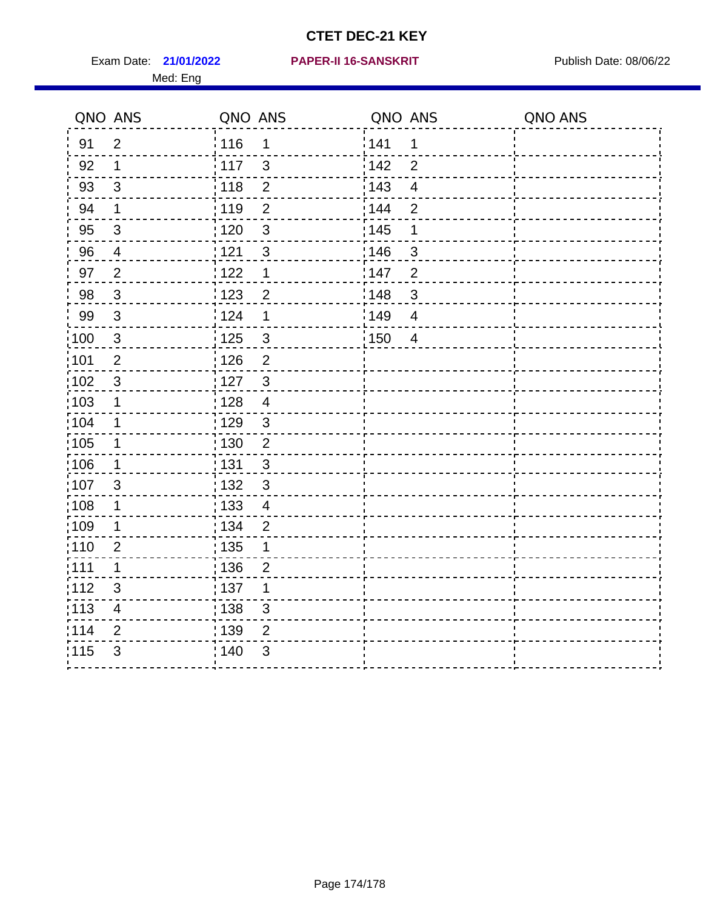Med: Eng

|                   | QNO ANS                  | QNO ANS           |                         | QNO ANS           |                         | QNO ANS |
|-------------------|--------------------------|-------------------|-------------------------|-------------------|-------------------------|---------|
| 91                | $\overline{2}$           | : 116             | $\mathbf{1}$            | 141               | 1                       |         |
| 92                | 1                        | 117               | $\mathbf{3}$            | 142               | $\overline{2}$          |         |
| 93                | $\sqrt{3}$               | 118               | $\overline{2}$          | 143               | $\overline{\mathbf{4}}$ |         |
| 94                | 1                        | : 119             | $\overline{2}$          | : 144             | $\overline{2}$          |         |
| 95                | $\mathfrak{S}$           | : 120             | $\mathbf{3}$            | : 145             | 1                       |         |
| 96                | 4                        | 121               | 3                       | 146               | 3                       |         |
| 97                | $\overline{2}$           | ¦ 122             | 1                       | 147               | $\overline{2}$          |         |
| 98                | $\mathbf{3}$             | 123               | $\overline{2}$          | 148               | $\mathbf{3}$            |         |
| 99                | $\sqrt{3}$               | ¦ 124             | 1                       | $\frac{1}{2}$ 149 | $\overline{4}$          |         |
| $\frac{1}{1}$ 100 | $\mathbf{3}$             | $\frac{1}{1}$ 125 | $\mathbf{3}$            | 150               | $\overline{4}$          |         |
| :101              | $\mathbf 2$              | : 126             | $\overline{2}$          |                   |                         |         |
| 102               | $\mathbf{3}$             | : 127             | $\mathbf{3}$            |                   |                         |         |
| ;103              | $\mathbf 1$              | :128              | $\overline{4}$          |                   |                         |         |
| 104               | $\mathbf{1}$             | : 129             | $\mathfrak{3}$          |                   |                         |         |
| 105               | $\mathbf 1$              | 130               | $\overline{2}$          |                   |                         |         |
| 106               | $\mathbf{1}$             | : 131             | 3                       |                   |                         |         |
| 107               | 3                        | :132              | $\mathbf{3}$            |                   |                         |         |
| 108               | $\mathbf 1$              | $\frac{1}{1}$ 133 | $\overline{\mathbf{4}}$ |                   |                         |         |
| :109              | 1                        | : 134             | $\overline{2}$          |                   |                         |         |
| : 110             | $\overline{2}$           | : 135             | 1                       |                   |                         |         |
| 111               | $\mathbf 1$              | : 136             | $\overline{2}$          |                   |                         |         |
| 112               | $\sqrt{3}$               | 137               | 1                       |                   |                         |         |
| : 113             | $\overline{\mathcal{A}}$ | : 138             | 3                       |                   |                         |         |
| 114               | 2                        | 139               | 2                       |                   |                         |         |
| 115               | 3                        | 140               | $\mathfrak{S}$          |                   |                         |         |
|                   |                          |                   |                         |                   |                         |         |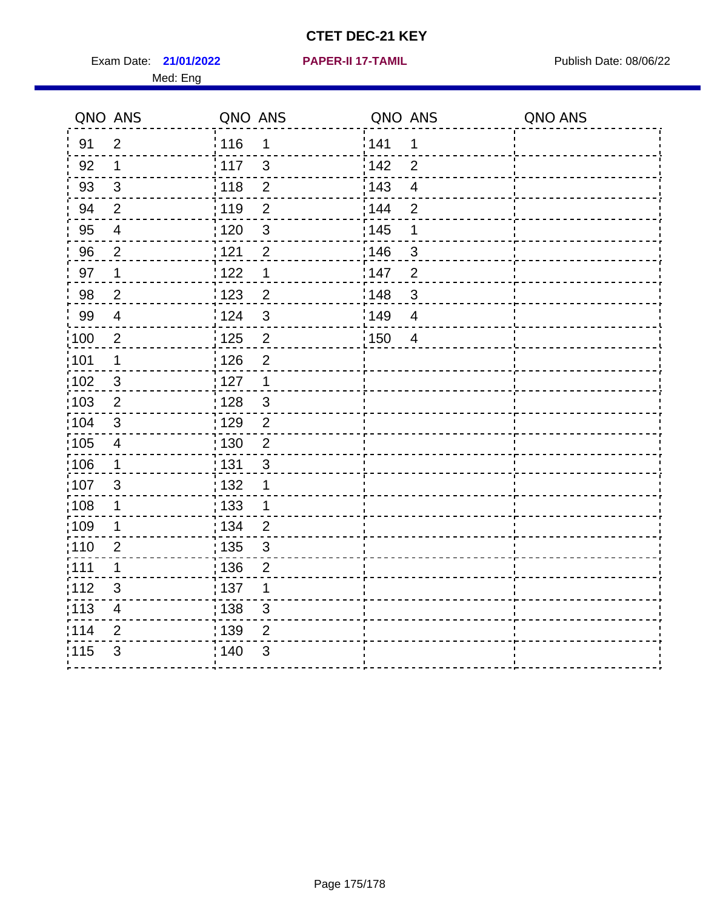Exam Date: 21/01/2022 **PAPER-II 17-TAMIL Exam Date: 08/06/22** Med: Eng

**21/01/2022 PAPER-II 17-TAMIL**

|                   | QNO ANS                  | QNO ANS           |                         | QNO ANS |                         | QNO ANS |
|-------------------|--------------------------|-------------------|-------------------------|---------|-------------------------|---------|
| 91                | $\overline{2}$           | 116               | 1                       | 141     | 1                       |         |
| 92                | $\mathbf 1$              | $\frac{1}{2}$ 117 | 3                       | 142     | $\overline{2}$          |         |
| 93                | $\sqrt{3}$               | : 118             | $\overline{2}$          | 143     | $\overline{\mathbf{4}}$ |         |
| 94                | $\overline{2}$           | : 119             | $\overline{2}$          | 144     | $\overline{2}$          |         |
| 95                | $\overline{4}$           | : 120             | $\mathbf{3}$            | : 145   | 1                       |         |
| 96                | $\overline{2}$           | 121               | $\overline{2}$          | 146     | 3                       |         |
| 97                | 1                        | 122               | 1                       | 147     | $\overline{2}$          |         |
| 98                | $\overline{c}$           | 123               | $\overline{c}$          | 148     | $\mathbf{3}$            |         |
| 99                | $\overline{\mathbf{4}}$  | 124               | 3                       | 149     | $\overline{4}$          |         |
| $\frac{1}{1}$ 100 | $\overline{2}$           | $\frac{1}{2}$ 125 | $\overline{\mathbf{c}}$ | 150     | $\overline{4}$          |         |
| :101              | $\mathbf 1$              | 126               | $\overline{2}$          |         |                         |         |
| $\frac{1}{1}$ 102 | $\mathbf{3}$             | : 127             | $\overline{1}$          |         |                         |         |
| 103               | 2                        | : 128             | $\mathbf{3}$            |         |                         |         |
| 104               | 3                        | : 129             | $\overline{2}$          |         |                         |         |
| $\frac{1}{1}$ 105 | $\overline{\mathcal{A}}$ | $\frac{1}{1}$ 130 | $\overline{2}$          |         |                         |         |
| 106               | $\mathbf 1$              | : 131             | 3                       |         |                         |         |
| 107               | 3                        | : 132             | 1                       |         |                         |         |
| :108              | $\mathbf 1$              | : 133             | 1                       |         |                         |         |
| :109              | 1                        | : 134             | $\overline{2}$          |         |                         |         |
| 110               | $\overline{2}$           | : 135             | $\mathfrak{S}$          |         |                         |         |
| :111              | 1                        | : 136             | $\overline{2}$          |         |                         |         |
| 112               | 3                        | :137              | 1                       |         |                         |         |
| $\frac{1}{1}$ 113 | $\overline{\mathbf{4}}$  | : 138             | $\mathfrak{S}$          |         |                         |         |
| 114               | $\mathbf{2}$             | 139               | $\overline{2}$          |         |                         |         |
| 115               | $\mathfrak{S}$           | ; 140             | 3                       |         |                         |         |
|                   |                          |                   |                         |         |                         |         |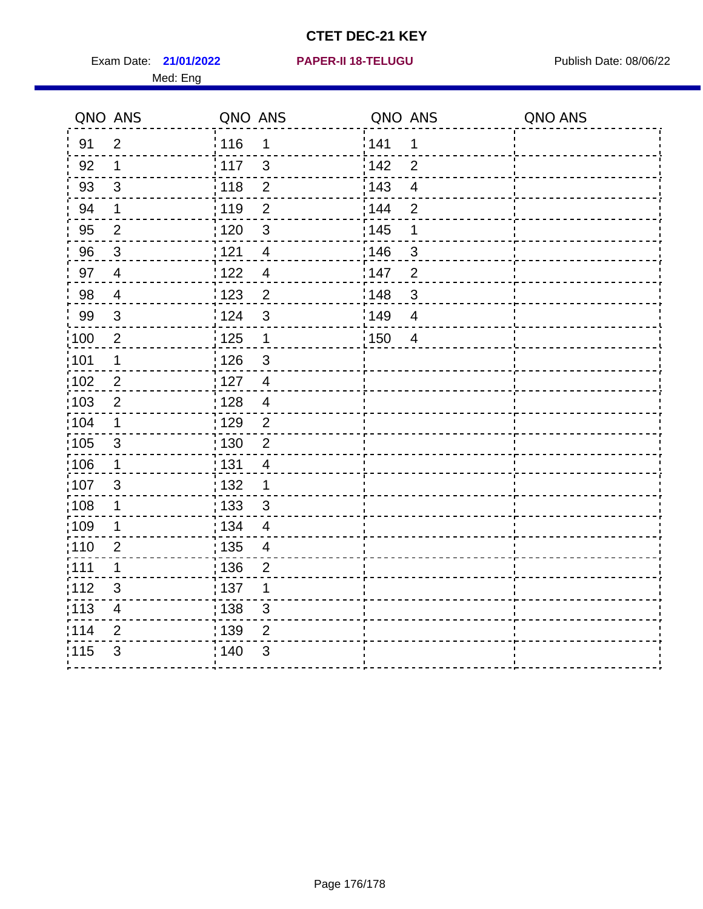Exam Date: 21/01/2022 PAPER-II 18-TELUGU PUBLISH Date: 08/06/22 Med: Eng

#### **21/01/2022 PAPER-II 18-TELUGU**

|                   | QNO ANS                 | QNO ANS                           | QNO ANS |                         | QNO ANS |
|-------------------|-------------------------|-----------------------------------|---------|-------------------------|---------|
| 91                | $\overline{2}$          | 116<br>$\mathbf 1$                | 141     | $\mathbf 1$             |         |
| 92                | $\mathbf 1$             | 117<br>3                          | 142     | $\overline{2}$          |         |
| 93                | $\sqrt{3}$              | $\overline{2}$<br>118             | 143     | $\overline{\mathbf{4}}$ |         |
| 94                | 1                       | : 119<br>$\overline{2}$           | : 144   | $\overline{2}$          |         |
| 95                | $\overline{2}$          | 120<br>$\mathfrak{S}$             | : 145   | 1                       |         |
| 96                | $\mathbf{3}$            | 121<br>$\overline{4}$             | 146     | 3                       |         |
| 97                | $\overline{4}$          | : 122<br>$\overline{4}$           | 147     | $\overline{2}$          |         |
| $98\,$            | $\overline{4}$          | 123<br>$\overline{2}$             | 148     | $\mathbf{3}$            |         |
| 99                | $\sqrt{3}$              | ¦ 124<br>$\mathfrak{S}$           | 149     | $\overline{4}$          |         |
| :100              | $\sqrt{2}$              | $\frac{1}{1}$ 125<br>$\mathbf{1}$ | 150     | $\overline{4}$          |         |
| :101              | 1                       | : 126<br>$\mathfrak{S}$           |         |                         |         |
| 102               | $\overline{2}$          | : 127<br>$\overline{4}$           |         |                         |         |
| 103               | $\overline{2}$          | : 128<br>$\overline{4}$           |         |                         |         |
| :104              | $\mathbf{1}$            | : 129<br>$\overline{2}$           |         |                         |         |
| $\frac{1}{1}$ 105 | $\mathbf{3}$            | 130<br>$\overline{2}$             |         |                         |         |
| :106              | $\mathbf 1$             | : 131<br>$\overline{4}$           |         |                         |         |
| 107               | 3                       | : 132<br>$\mathbf 1$              |         |                         |         |
| 108               | $\mathbf{1}$            | 133<br>$\mathbf{3}$               |         |                         |         |
| :109              | $\mathbf{1}$            | : 134<br>$\overline{4}$           |         |                         |         |
| :110              | $\overline{2}$          | 135<br>$\overline{\mathcal{A}}$   |         |                         |         |
| :111              | 1                       | : 136<br>$\overline{2}$           |         |                         |         |
| 112               | $\mathfrak{S}$          | : 137<br>1                        |         |                         |         |
| 113               | $\overline{\mathbf{4}}$ | : 138<br>$\mathfrak{S}$           |         |                         |         |
| 114               | $\overline{2}$          | : 139<br>$\overline{2}$           |         |                         |         |
| 115               | $\mathfrak{S}$          | 140<br>$\mathfrak{S}$             |         |                         |         |
|                   |                         |                                   |         |                         |         |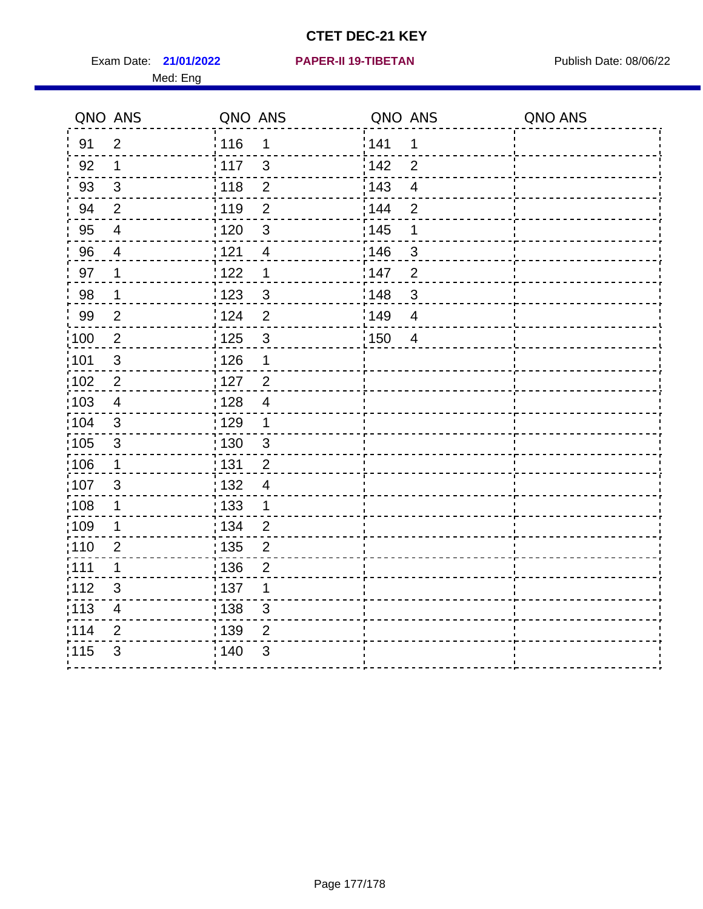Exam Date: 21/01/2022 **PAPER-II 19-TIBETAN** Publish Date: 08/06/22 Med: Eng

**21/01/2022 PAPER-II 19-TIBETAN**

|                   | QNO ANS                  | QNO ANS           |                | QNO ANS |                         | QNO ANS |
|-------------------|--------------------------|-------------------|----------------|---------|-------------------------|---------|
| 91                | $\overline{2}$           | 116               | $\mathbf 1$    | 1141    | 1                       |         |
| 92                | $\mathbf 1$              | 117               | $\mathfrak{S}$ | 142     | $\overline{2}$          |         |
| 93                | $\mathbf{3}$             | 118               | $\overline{2}$ | 143     | $\overline{\mathbf{4}}$ |         |
| 94                | $\overline{2}$           | : 119             | $\overline{2}$ | : 144   | $\overline{2}$          |         |
| 95                | $\overline{4}$           | : 120             | 3              | : 145   | 1                       |         |
| 96                | 4                        | 121               | 4              | :146    | $\mathfrak{S}$          |         |
| 97                | $\mathbf 1$              | 122               | $\mathbf 1$    | 147     | $\overline{c}$          |         |
| 98                | $\overline{1}$           | 123               | $\mathbf{3}$   | 148     | $\sqrt{3}$              |         |
| 99                | $\overline{2}$           | 124               | $\overline{2}$ | 149     | $\overline{\mathbf{4}}$ |         |
| $\frac{1}{1}$ 100 | $\overline{2}$           | 125               | $\mathfrak{3}$ | 150     | $\overline{4}$          |         |
| :101              | $\sqrt{3}$               | $\frac{1}{1}$ 126 | 1              |         |                         |         |
| 102               | $\overline{2}$           | : 127             | $\overline{2}$ |         |                         |         |
| 103               | $\overline{4}$           | : 128             | $\overline{4}$ |         |                         |         |
| 104               | 3                        | : 129             | $\mathbf 1$    |         |                         |         |
| 105               | $\sqrt{3}$               | 130               | $\mathbf{3}$   |         |                         |         |
| :106              | $\mathbf{1}$             | : 131             | $\overline{2}$ |         |                         |         |
| 107               | 3                        | :132              | $\overline{4}$ |         |                         |         |
| 108               | $\mathbf 1$              | : 133             | $\mathbf{1}$   |         |                         |         |
| :109              | $\mathbf 1$              | : 134             | $\overline{2}$ |         |                         |         |
| :110              | 2                        | : 135             | $\overline{2}$ |         |                         |         |
| 111               | $\mathbf 1$              | : 136             | $\overline{c}$ |         |                         |         |
| 112               | $\sqrt{3}$               | : 137             | 1              |         |                         |         |
| 113               | $\overline{\mathcal{A}}$ | : 138             | 3              |         |                         |         |
| 114               | 2                        | : 139             | 2              |         |                         |         |
| 115               | 3                        | 140               | $\mathfrak{B}$ |         |                         |         |
|                   |                          |                   |                |         |                         |         |